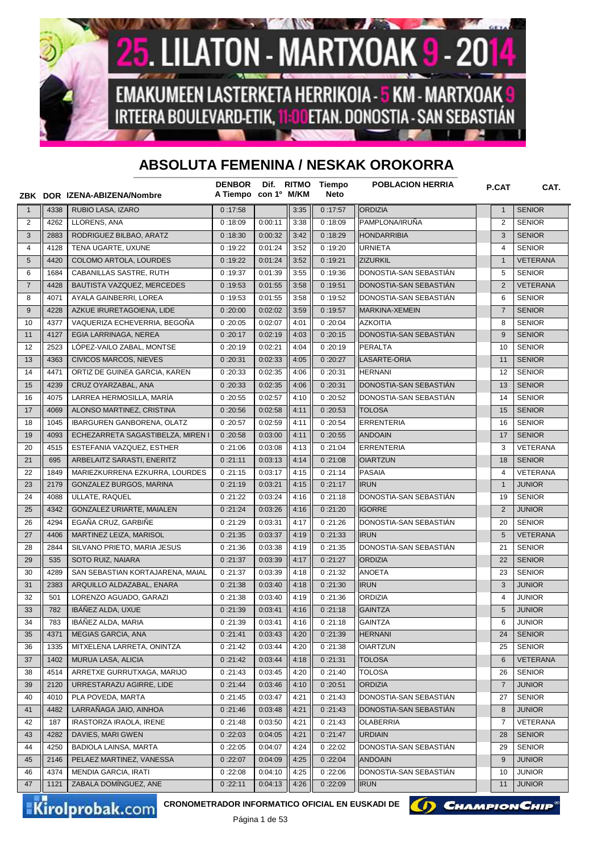

## **ABSOLUTA FEMENINA / NESKAK OROKORRA**

|                |      | ZBK DOR IZENA-ABIZENA/Nombre      | <b>DENBOR</b><br>A Tiempo con 1º M/KM |         | Dif. RITMO | Tiempo<br><b>Neto</b> | <b>POBLACION HERRIA</b> | <b>P.CAT</b>   | CAT.            |
|----------------|------|-----------------------------------|---------------------------------------|---------|------------|-----------------------|-------------------------|----------------|-----------------|
| $\mathbf{1}$   | 4338 | RUBIO LASA, IZARO                 | 0:17:58                               |         | 3:35       | 0:17:57               | <b>ORDIZIA</b>          | $\mathbf{1}$   | <b>SENIOR</b>   |
| $\overline{2}$ | 4262 | LLORENS, ANA                      | 0:18:09                               | 0:00:11 | 3:38       | 0:18:09               | PAMPLONA/IRUÑA          | $\overline{2}$ | <b>SENIOR</b>   |
| 3              | 2883 | RODRIGUEZ BILBAO, ARATZ           | 0:18:30                               | 0:00:32 | 3:42       | 0:18:29               | <b>HONDARRIBIA</b>      | 3              | <b>SENIOR</b>   |
| 4              | 4128 | TENA UGARTE. UXUNE                | 0:19:22                               | 0:01:24 | 3:52       | 0:19:20               | <b>URNIETA</b>          | 4              | <b>SENIOR</b>   |
| $\sqrt{5}$     | 4420 | COLOMO ARTOLA, LOURDES            | 0:19:22                               | 0:01:24 | 3:52       | 0:19:21               | <b>ZIZURKIL</b>         | $\mathbf{1}$   | VETERANA        |
| 6              | 1684 | CABANILLAS SASTRE, RUTH           | 0:19:37                               | 0:01:39 | 3:55       | 0:19:36               | DONOSTIA-SAN SEBASTIAN  | 5              | <b>SENIOR</b>   |
| $\overline{7}$ | 4428 | BAUTISTA VAZQUEZ, MERCEDES        | 0:19:53                               | 0:01:55 | 3:58       | 0:19:51               | DONOSTIA-SAN SEBASTIÁN  | 2              | <b>VETERANA</b> |
| 8              | 4071 | AYALA GAINBERRI, LOREA            | 0:19:53                               | 0:01:55 | 3:58       | 0:19:52               | DONOSTIA-SAN SEBASTIAN  | 6              | <b>SENIOR</b>   |
| 9              | 4228 | AZKUE IRURETAGOIENA, LIDE         | 0:20:00                               | 0:02:02 | 3:59       | 0:19:57               | MARKINA-XEMEIN          | $\overline{7}$ | <b>SENIOR</b>   |
| 10             | 4377 | VAQUERIZA ECHEVERRIA, BEGOÑA      | 0:20:05                               | 0:02:07 | 4:01       | 0:20:04               | <b>AZKOITIA</b>         | 8              | <b>SENIOR</b>   |
| 11             | 4127 | EGIA LARRINAGA, NEREA             | 0:20:17                               | 0:02:19 | 4:03       | 0:20:15               | DONOSTIA-SAN SEBASTIAN  | 9              | <b>SENIOR</b>   |
| 12             | 2523 | LÓPEZ-VAILO ZABAL, MONTSE         | 0:20:19                               | 0:02:21 | 4:04       | 0:20:19               | <b>PERALTA</b>          | 10             | <b>SENIOR</b>   |
| 13             | 4363 | <b>CIVICOS MARCOS, NIEVES</b>     | 0:20:31                               | 0:02:33 | 4:05       | 0:20:27               | LASARTE-ORIA            | 11             | <b>SENIOR</b>   |
| 14             | 4471 | ORTIZ DE GUINEA GARCIA, KAREN     | 0:20:33                               | 0:02:35 | 4:06       | 0:20:31               | <b>HERNANI</b>          | 12             | <b>SENIOR</b>   |
| 15             | 4239 | CRUZ OYARZABAL, ANA               | 0:20:33                               | 0:02:35 | 4:06       | 0:20:31               | DONOSTIA-SAN SEBASTIÁN  | 13             | <b>SENIOR</b>   |
| 16             | 4075 | LARREA HERMOSILLA. MARÍA          | 0:20:55                               | 0:02:57 | 4:10       | 0:20:52               | DONOSTIA-SAN SEBASTIAN  | 14             | <b>SENIOR</b>   |
| 17             | 4069 | ALONSO MARTINEZ, CRISTINA         | 0:20:56                               | 0:02:58 | 4:11       | 0:20:53               | <b>TOLOSA</b>           | 15             | <b>SENIOR</b>   |
| 18             | 1045 | IBARGUREN GANBORENA, OLATZ        | 0:20:57                               | 0:02:59 | 4:11       | 0:20:54               | <b>ERRENTERIA</b>       | 16             | <b>SENIOR</b>   |
| 19             | 4093 | ECHEZARRETA SAGASTIBELZA. MIREN I | 0:20:58                               | 0:03:00 | 4:11       | 0:20:55               | <b>ANDOAIN</b>          | 17             | <b>SENIOR</b>   |
| 20             | 4515 | ESTEFANIA VAZQUEZ, ESTHER         | 0:21:06                               | 0:03:08 | 4:13       | 0:21:04               | <b>ERRENTERIA</b>       | 3              | <b>VETERANA</b> |
| 21             | 695  | ARBELAITZ SARASTI, ENERITZ        | 0:21:11                               | 0:03:13 | 4:14       | 0:21:08               | <b>OIARTZUN</b>         | 18             | <b>SENIOR</b>   |
| 22             | 1849 | MARIEZKURRENA EZKURRA, LOURDES    | 0:21:15                               | 0:03:17 | 4:15       | 0:21:14               | <b>PASAIA</b>           | 4              | VETERANA        |
| 23             | 2179 | GONZALEZ BURGOS, MARINA           | 0:21:19                               | 0:03:21 | 4:15       | 0:21:17               | <b>IRUN</b>             | $\mathbf{1}$   | <b>JUNIOR</b>   |
| 24             | 4088 | ULLATE, RAQUEL                    | 0:21:22                               | 0:03:24 | 4:16       | 0:21:18               | DONOSTIA-SAN SEBASTIAN  | 19             | <b>SENIOR</b>   |
| 25             | 4342 | GONZALEZ URIARTE, MAIALEN         | 0:21:24                               | 0:03:26 | 4:16       | 0:21:20               | <b>IGORRE</b>           | 2              | <b>JUNIOR</b>   |
| 26             | 4294 | EGAÑA CRUZ, GARBIÑE               | 0:21:29                               | 0:03:31 | 4:17       | 0:21:26               | DONOSTIA-SAN SEBASTIAN  | 20             | <b>SENIOR</b>   |
| 27             | 4406 | MARTINEZ LEIZA, MARISOL           | 0:21:35                               | 0:03:37 | 4:19       | 0:21:33               | <b>IRUN</b>             | 5              | <b>VETERANA</b> |
| 28             | 2844 | SILVANO PRIETO, MARIA JESUS       | 0:21:36                               | 0:03:38 | 4:19       | 0:21:35               | DONOSTIA-SAN SEBASTIAN  | 21             | <b>SENIOR</b>   |
| 29             | 535  | SOTO RUIZ, NAIARA                 | 0:21:37                               | 0:03:39 | 4:17       | 0:21:27               | <b>ORDIZIA</b>          | 22             | <b>SENIOR</b>   |
| 30             | 4289 | SAN SEBASTIAN KORTAJARENA, MAIAL  | 0:21:37                               | 0:03:39 | 4:18       | 0:21:32               | <b>ANOETA</b>           | 23             | <b>SENIOR</b>   |
| 31             | 2383 | ARQUILLO ALDAZABAL, ENARA         | 0:21:38                               | 0:03:40 | 4:18       | 0:21:30               | <b>IRUN</b>             | 3              | <b>JUNIOR</b>   |
| 32             | 501  | LORENZO AGUADO, GARAZI            | 0:21:38                               | 0:03:40 | 4:19       | 0:21:36               | <b>ORDIZIA</b>          | $\overline{4}$ | <b>JUNIOR</b>   |
| 33             | 782  | IBÁÑEZ ALDA, UXUE                 | 0:21:39                               | 0:03:41 | 4:16       | 0:21:18               | <b>GAINTZA</b>          | 5              | <b>JUNIOR</b>   |
| 34             | 783  | IBAÑEZ ALDA, MARIA                | 0:21:39                               | 0:03:41 | 4:16       | 0:21:18               | <b>GAINTZA</b>          | 6              | <b>JUNIOR</b>   |
| 35             | 4371 | <b>MEGIAS GARCIA, ANA</b>         | 0:21:41                               | 0:03:43 | 4:20       | 0:21:39               | <b>HERNANI</b>          | 24             | <b>SENIOR</b>   |
| 36             | 1335 | MITXELENA LARRETA, ONINTZA        | 0:21:42                               | 0:03:44 | 4:20       | 0:21:38               | <b>OIARTZUN</b>         | 25             | <b>SENIOR</b>   |
| 37             | 1402 | MURUA LASA, ALICIA                | 0:21:42                               | 0:03:44 | 4:18       | 0:21:31               | <b>TOLOSA</b>           | 6              | VETERANA        |
| 38             | 4514 | ARRETXE GURRUTXAGA, MARIJO        | 0:21:43                               | 0:03:45 | 4:20       | 0:21:40               | <b>TOLOSA</b>           | 26             | <b>SENIOR</b>   |
| 39             | 2120 | URRESTARAZU AGIRRE, LIDE          | 0:21:44                               | 0:03:46 | 4:10       | 0:20:51               | <b>ORDIZIA</b>          | $\overline{7}$ | <b>JUNIOR</b>   |
| 40             | 4010 | PLA POVEDA, MARTA                 | 0:21:45                               | 0:03:47 | 4:21       | 0:21:43               | DONOSTIA-SAN SEBASTIÁN  | 27             | <b>SENIOR</b>   |
| 41             | 4482 | LARRAÑAGA JAIO, AINHOA            | 0:21:46                               | 0:03:48 | 4:21       | 0:21:43               | DONOSTIA-SAN SEBASTIÁN  | 8              | <b>JUNIOR</b>   |
| 42             | 187  | IRASTORZA IRAOLA, IRENE           | 0:21:48                               | 0:03:50 | 4:21       | 0:21:43               | <b>OLABERRIA</b>        | 7              | VETERANA        |
| 43             | 4282 | DAVIES, MARI GWEN                 | 0:22:03                               | 0:04:05 | 4:21       | 0:21:47               | <b>URDIAIN</b>          | 28             | <b>SENIOR</b>   |
| 44             | 4250 | <b>BADIOLA LAINSA, MARTA</b>      | 0:22:05                               | 0:04:07 | 4:24       | 0:22:02               | DONOSTIA-SAN SEBASTIAN  | 29             | <b>SENIOR</b>   |
| 45             | 2146 | PELAEZ MARTINEZ, VANESSA          | 0:22:07                               | 0:04:09 | 4:25       | 0:22:04               | <b>ANDOAIN</b>          | 9              | <b>JUNIOR</b>   |
| 46             | 4374 | MENDIA GARCIA, IRATI              | 0:22:08                               | 0:04:10 | 4:25       | 0:22:06               | DONOSTIA-SAN SEBASTIAN  | 10             | <b>JUNIOR</b>   |
| 47             | 1121 | ZABALA DOMÍNGUEZ, ANE             | 0:22:11                               | 0:04:13 | 4:26       | 0:22:09               | <b>IRUN</b>             | 11             | <b>JUNIOR</b>   |

Kirolprobak.com

CRONOMETRADOR INFORMATICO OFICIAL EN EUSKADI DE **(A) CHAMPION CHIP<sup>®</sup>** 

Página 1 de 53

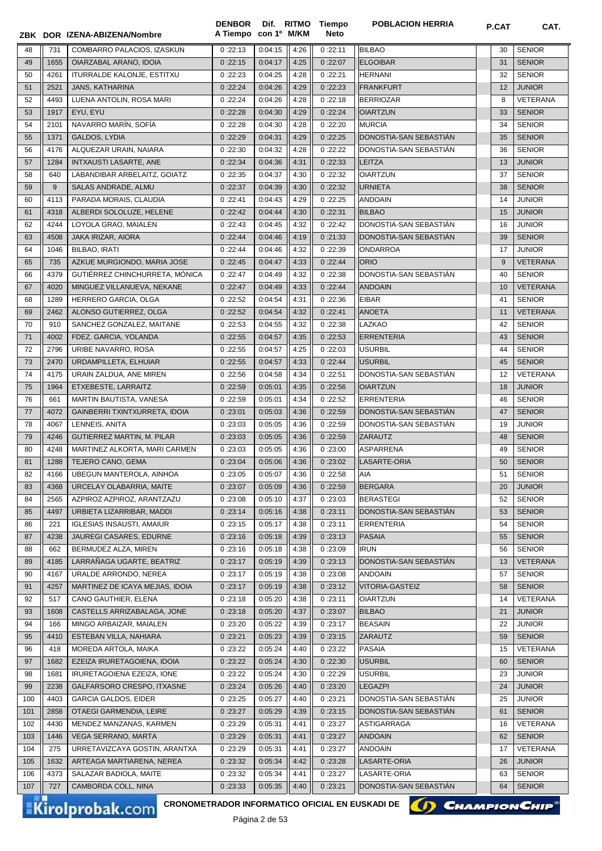|     |      | ZBK DOR IZENA-ABIZENA/Nombre                                              | A Tiempo con 1º M/KM |                         |      | Neto    |                        | <b>P.VAI</b> | UAI.            |
|-----|------|---------------------------------------------------------------------------|----------------------|-------------------------|------|---------|------------------------|--------------|-----------------|
| 48  | 731  | COMBARRO PALACIOS, IZASKUN                                                | 0:22:13              | 0:04:15                 | 4:26 | 0:22:11 | <b>BILBAO</b>          | 30           | <b>SENIOR</b>   |
| 49  | 1655 | OIARZABAL ARANO, IDOIA                                                    | 0:22:15              | 0:04:17                 | 4:25 | 0:22:07 | <b>ELGOIBAR</b>        | 31           | <b>SENIOR</b>   |
| 50  | 4261 | <b>ITURRALDE KALONJE, ESTITXU</b>                                         | 0:22:23              | 0:04:25                 | 4:28 | 0:22:21 | <b>HERNANI</b>         | 32           | <b>SENIOR</b>   |
| 51  | 2521 | JANS, KATHARINA                                                           | 0:22:24              | 0:04:26                 | 4:29 | 0:22:23 | FRANKFURT              | 12           | <b>JUNIOR</b>   |
| 52  | 4493 | LUENA ANTOLIN, ROSA MARI                                                  | 0:22:24              | 0:04:26                 | 4:28 | 0:22:18 | <b>BERRIOZAR</b>       | 8            | VETERANA        |
| 53  | 1917 | EYU, EYU                                                                  | 0:22:28              | 0:04:30                 | 4:29 | 0:22:24 | <b>OIARTZUN</b>        | 33           | <b>SENIOR</b>   |
| 54  | 2101 | NAVARRO MARÍN, SOFÍA                                                      | 0:22:28              | 0:04:30                 | 4:28 | 0:22:20 | <b>MURCIA</b>          | 34           | <b>SENIOR</b>   |
| 55  | 1371 | GALDOS, LYDIA                                                             | 0:22:29              | 0:04:31                 | 4:29 | 0:22:25 | DONOSTIA-SAN SEBASTIAN | 35           | <b>SENIOR</b>   |
| 56  | 4176 | ALQUEZAR URAIN, NAIARA                                                    | 0:22:30              | 0:04:32                 | 4:28 | 0:22:22 | DONOSTIA-SAN SEBASTIAN | 36           | <b>SENIOR</b>   |
| 57  | 1284 | INTXAUSTI LASARTE, ANE                                                    | 0:22:34              | 0:04:36                 | 4:31 | 0:22:33 | <b>LEITZA</b>          | 13           | <b>JUNIOR</b>   |
| 58  | 640  | LABANDIBAR ARBELAITZ, GOIATZ                                              | 0:22:35              | 0:04:37                 | 4:30 | 0:22:32 | <b>OIARTZUN</b>        | 37           | <b>SENIOR</b>   |
| 59  | 9    | SALAS ANDRADE, ALMU                                                       | 0:22:37              | 0:04:39                 | 4:30 | 0:22:32 | <b>URNIETA</b>         | 38           | <b>SENIOR</b>   |
| 60  | 4113 | PARADA MORAIS, CLAUDIA                                                    | 0:22:41              | 0:04:43                 | 4:29 | 0:22:25 | <b>ANDOAIN</b>         | 14           | <b>JUNIOR</b>   |
| 61  | 4318 | ALBERDI SOLOLUZE, HELENE                                                  | 0:22:42              | 0:04:44                 | 4:30 | 0:22:31 | <b>BILBAO</b>          | 15           | <b>JUNIOR</b>   |
| 62  | 4244 | LOYOLA GRAO, MAIALEN                                                      | 0:22:43              | 0:04:45                 | 4:32 | 0:22:42 | DONOSTIA-SAN SEBASTIÁN | 16           | <b>JUNIOR</b>   |
| 63  | 4508 | JAKA IRIZAR, AIORA                                                        | 0:22:44              | 0:04:46                 | 4:19 | 0:21:33 | DONOSTIA-SAN SEBASTIÁN | 39           | <b>SENIOR</b>   |
| 64  | 1046 | BILBAO, IRATI                                                             | 0:22:44              | 0:04:46                 | 4:32 | 0:22:39 | <b>ONDARROA</b>        | 17           | <b>JUNIOR</b>   |
| 65  | 735  | AZKUE MURGIONDO, MARIA JOSE                                               | 0:22:45              | 0:04:47                 | 4:33 | 0:22:44 | <b>ORIO</b>            | 9            | <b>VETERANA</b> |
| 66  | 4379 | GUTIÉRREZ CHINCHURRETA, MÓNICA                                            | 0:22:47              | 0:04:49                 | 4:32 | 0:22:38 | DONOSTIA-SAN SEBASTIAN | 40           | <b>SENIOR</b>   |
| 67  | 4020 | MINGUEZ VILLANUEVA, NEKANE                                                | 0:22:47              | 0:04:49                 | 4:33 | 0:22:44 | <b>ANDOAIN</b>         | 10           | <b>VETERANA</b> |
| 68  | 1289 | HERRERO GARCIA, OLGA                                                      | 0:22:52              | 0:04:54                 | 4:31 | 0:22:36 | <b>EIBAR</b>           | 41           | <b>SENIOR</b>   |
| 69  | 2462 | ALONSO GUTIERREZ, OLGA                                                    | 0:22:52              | 0:04:54                 | 4:32 | 0:22:41 | <b>ANOETA</b>          | 11           | <b>VETERANA</b> |
| 70  | 910  | SANCHEZ GONZALEZ, MAITANE                                                 | 0:22:53              | 0:04:55                 | 4:32 | 0:22:38 | <b>LAZKAO</b>          | 42           | <b>SENIOR</b>   |
| 71  | 4002 | FDEZ. GARCIA, YOLANDA                                                     | 0:22:55              | 0:04:57                 | 4:35 | 0:22:53 | <b>ERRENTERIA</b>      | 43           | <b>SENIOR</b>   |
| 72  | 2796 | URIBE NAVARRO, ROSA                                                       | 0:22:55              | 0:04:57                 | 4:25 | 0:22:03 | <b>USURBIL</b>         | 44           | <b>SENIOR</b>   |
| 73  | 2470 | URDAMPILLETA, ELHUIAR                                                     | 0:22:55              | 0:04:57                 | 4:33 | 0:22:44 | <b>USURBIL</b>         | 45           | <b>SENIOR</b>   |
| 74  | 4175 | URAIN ZALDUA, ANE MIREN                                                   | 0:22:56              | 0:04:58                 | 4:34 | 0:22:51 | DONOSTIA-SAN SEBASTIAN | 12           | <b>VETERANA</b> |
| 75  | 1964 | ETXEBESTE, LARRAITZ                                                       | 0:22:59              | 0:05:01                 | 4:35 | 0:22:56 | <b>OIARTZUN</b>        | 18           | <b>JUNIOR</b>   |
| 76  | 661  | MARTIN BAUTISTA, VANESA                                                   | 0:22:59              | 0:05:01                 | 4:34 | 0:22:52 | <b>ERRENTERIA</b>      | 46           | <b>SENIOR</b>   |
| 77  | 4072 | GAINBERRI TXINTXURRETA, IDOIA                                             | 0:23:01              | 0:05:03                 | 4:36 | 0:22:59 | DONOSTIA-SAN SEBASTIAN | 47           | <b>SENIOR</b>   |
| 78  | 4067 | LENNEIS, ANITA                                                            | 0:23:03              | 0:05:05                 | 4:36 | 0:22:59 | DONOSTIA-SAN SEBASTIAN | 19           | <b>JUNIOR</b>   |
| 79  | 4246 | GUTIERREZ MARTIN, M. PILAR                                                | 0:23:03              | 0:05:05                 | 4:36 | 0:22:59 | <b>ZARAUTZ</b>         | 48           | <b>SENIOR</b>   |
| 80  | 4248 | MARTINEZ ALKORTA, MARI CARMEN                                             | 0:23:03              | 0:05:05                 | 4:36 | 0:23:00 | <b>ASPARRENA</b>       | 49           | <b>SENIOR</b>   |
| 81  | 1288 | TEJERO CANO, GEMA                                                         | 0:23:04              | 0:05:06                 | 4:36 | 0:23:02 | LASARTE-ORIA           | 50           | <b>SENIOR</b>   |
| 82  | 4166 | UBEGUN MANTEROLA, AINHOA                                                  | 0:23:05              | 0:05:07                 | 4:36 | 0:22:58 | AIA                    | 51           | <b>SENIOR</b>   |
| 83  | 4368 | URCELAY OLABARRIA, MAITE                                                  | 0:23:07              | 0:05:09                 | 4:36 | 0:22:59 | BERGARA                | 20           | <b>JUNIOR</b>   |
| 84  | 2565 | AZPIROZ AZPIROZ, ARANTZAZU                                                | 0:23:08              | 0:05:10                 | 4:37 | 0:23:03 | BERASTEGI              | 52           | <b>SENIOR</b>   |
| 85  | 4497 | URBIETA LIZARRIBAR, MADDI                                                 | 0:23:14              | 0:05:16                 | 4:38 | 0:23:11 | DONOSTIA-SAN SEBASTIAN | 53           | <b>SENIOR</b>   |
| 86  | 221  | <b>IGLESIAS INSAUSTI, AMAIUR</b>                                          | 0:23:15              | 0:05:17                 | 4:38 | 0:23:11 | ERRENTERIA             | 54           | <b>SENIOR</b>   |
| 87  | 4238 | JAUREGI CASARES, EDURNE                                                   | 0:23:16              | 0:05:18                 | 4:39 | 0:23:13 | <b>PASAIA</b>          | 55           | <b>SENIOR</b>   |
| 88  | 662  | BERMUDEZ ALZA, MIREN                                                      | 0:23:16              | 0:05:18                 | 4:38 | 0:23:09 | <b>IRUN</b>            | 56           | <b>SENIOR</b>   |
| 89  | 4185 | LARRAÑAGA UGARTE, BEATRIZ                                                 | 0:23:17              | 0:05:19                 | 4:39 | 0:23:13 | DONOSTIA-SAN SEBASTIÁN | 13           | <b>VETERANA</b> |
| 90  | 4167 | URALDE ARRONDO, NEREA                                                     | 0:23:17              | 0:05:19                 | 4:38 | 0:23:08 | <b>ANDOAIN</b>         | 57           | <b>SENIOR</b>   |
| 91  | 4257 | MARTINEZ DE ICAYA MEJIAS, IDOIA                                           | 0:23:17              | 0:05:19                 | 4:38 | 0:23:12 | <b>VITORIA-GASTEIZ</b> | 58           | <b>SENIOR</b>   |
| 92  | 517  | CANO GAUTHIER, ELENA                                                      | 0:23:18              | 0:05:20                 | 4:38 | 0:23:11 | <b>OIARTZUN</b>        | 14           | <b>VETERANA</b> |
| 93  | 1608 | CASTELLS ARRIZABALAGA, JONE                                               | 0:23:18              | 0:05:20                 | 4:37 | 0:23:07 | <b>BILBAO</b>          | 21           | <b>JUNIOR</b>   |
| 94  | 166  | MINGO ARBAIZAR, MAIALEN                                                   | 0:23:20              | 0:05:22                 | 4:39 | 0:23:17 | <b>BEASAIN</b>         | 22           | <b>JUNIOR</b>   |
| 95  | 4410 | ESTEBAN VILLA, NAHIARA                                                    | 0:23:21              | 0:05:23                 | 4:39 | 0:23:15 | ZARAUTZ                | 59           | <b>SENIOR</b>   |
| 96  | 418  | MOREDA ARTOLA, MAIKA                                                      | 0:23:22              | 0:05:24                 | 4:40 | 0:23:22 | <b>PASAIA</b>          | 15           | VETERANA        |
| 97  | 1682 | EZEIZA IRURETAGOIENA, IDOIA                                               | 0:23:22              | 0:05:24                 | 4:30 | 0:22:30 | <b>USURBIL</b>         | 60           | <b>SENIOR</b>   |
| 98  | 1681 | IRURETAGOIENA EZEIZA, IONE                                                | 0:23:22              | 0:05:24                 | 4:30 | 0:22:29 | <b>USURBIL</b>         | 23           | <b>JUNIOR</b>   |
| 99  | 2238 | GALFARSORO CRESPO, ITXASNE                                                | 0:23:24              | 0:05:26                 | 4:40 | 0:23:20 | <b>LEGAZPI</b>         | 24           | <b>JUNIOR</b>   |
| 100 | 4403 | <b>GARCIA GALDOS, EIDER</b>                                               | 0:23:25              | 0:05:27                 | 4:40 | 0:23:21 | DONOSTIA-SAN SEBASTIAN | 25           | <b>JUNIOR</b>   |
| 101 | 2858 | OTAEGI GARMENDIA, LEIRE                                                   | 0:23:27              | 0:05:29                 | 4:39 | 0:23:15 | DONOSTIA-SAN SEBASTIAN | 61           | <b>SENIOR</b>   |
| 102 | 4430 | MENDEZ MANZANAS, KARMEN                                                   | 0:23:29              | 0:05:31                 | 4:41 | 0:23:27 | ASTIGARRAGA            | 16           | VETERANA        |
| 103 | 1446 | <b>VEGA SERRANO, MARTA</b>                                                | 0:23:29              | 0:05:31                 | 4:41 | 0:23:27 | <b>ANDOAIN</b>         | 62           | <b>SENIOR</b>   |
| 104 | 275  | URRETAVIZCAYA GOSTIN, ARANTXA                                             | 0:23:29              | 0:05:31                 | 4:41 | 0:23:27 | ANDOAIN                | 17           | VETERANA        |
| 105 | 1632 | ARTEAGA MARTIARENA, NEREA                                                 | 0:23:32              | 0:05:34                 | 4:42 | 0:23:28 | LASARTE-ORIA           | 26           | <b>JUNIOR</b>   |
| 106 | 4373 | SALAZAR BADIOLA, MAITE                                                    | 0:23:32              | 0:05:34                 | 4:41 | 0:23:27 | LASARTE-ORIA           | 63           | <b>SENIOR</b>   |
| 107 | 727  | CAMBORDA COLL, NINA                                                       | 0:23:33              | 0:05:35                 | 4:40 | 0:23:21 | DONOSTIA-SAN SEBASTIAN | 64           | <b>SENIOR</b>   |
|     |      |                                                                           |                      |                         |      |         |                        |              |                 |
|     |      | CRONOMETRADOR INFORMATICO OFICIAL EN EUSKADI DE<br><b>Kirolprobak.com</b> |                      | $D2$ $\cdots$ $Dn$ $Dn$ |      |         | () CHAMPION CHIP       |              |                 |

**Tiempo** 

**DENBOR**

**POBLACION HERRIA P.CAT CAT.**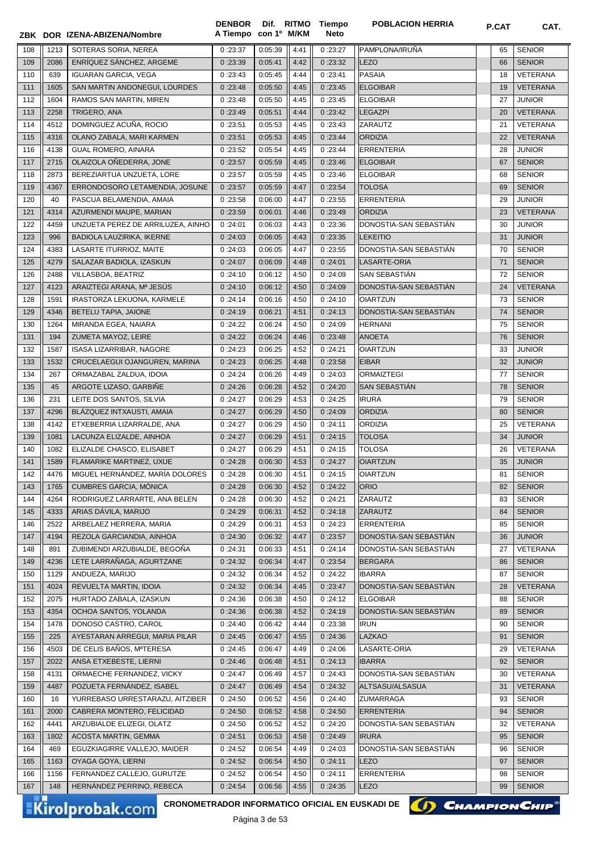| <b>SENIOR</b><br>SOTERAS SORIA, NEREA<br>0:23:37<br>0:05:39<br>0:23:27<br>PAMPLONA/IRUÑA<br>108<br>1213<br>4:41<br>65<br>2086<br>ENRÍQUEZ SÁNCHEZ, ARGEME<br>0:23:39<br>0:05:41<br>4:42<br>0:23:32<br><b>LEZO</b><br><b>SENIOR</b><br>109<br>66<br><b>IGUARAN GARCIA, VEGA</b><br>0:05:45<br>0:23:41<br>PASAIA<br>VETERANA<br>110<br>639<br>0:23:43<br>4:44<br>18<br>SAN MARTIN ANDONEGUI, LOURDES<br>0:23:45<br><b>ELGOIBAR</b><br><b>VETERANA</b><br>111<br>1605<br>0:23:48<br>0:05:50<br>4:45<br>19<br><b>JUNIOR</b><br>112<br>1604<br>RAMOS SAN MARTIN, MIREN<br>0:23:48<br>0:05:50<br>0:23:45<br><b>ELGOIBAR</b><br>27<br>4:45<br><b>VETERANA</b><br>113<br>2258<br>TRIGERO, ANA<br>0:23:42<br><b>LEGAZPI</b><br>0:23:49<br>0:05:51<br>4:44<br>20<br>DOMINGUEZ ACUÑA, ROCIO<br>114<br>4512<br>0:05:53<br>0:23:43<br>ZARAUTZ<br><b>VETERANA</b><br>0:23:51<br>4:45<br>21<br>115<br>OLANO ZABALA, MARI KARMEN<br>0:05:53<br>0:23:44<br><b>ORDIZIA</b><br><b>VETERANA</b><br>4316<br>0:23:51<br>4:45<br>22<br><b>JUNIOR</b><br>116<br>4138<br><b>GUAL ROMERO, AINARA</b><br>0:23:52<br>0:05:54<br>4:45<br>0:23:44<br><b>ERRENTERIA</b><br>28<br>OLAIZOLA OÑEDERRA, JONE<br><b>SENIOR</b><br>117<br>2715<br>0:23:57<br>0:05:59<br>0:23:46<br><b>ELGOIBAR</b><br>67<br>4:45<br>BEREZIARTUA UNZUETA, LORE<br>0:05:59<br><b>SENIOR</b><br>118<br>2873<br>0:23:57<br>4:45<br>0:23:46<br><b>ELGOIBAR</b><br>68<br>119<br>4367<br>ERRONDOSORO LETAMENDIA, JOSUNE<br>0:05:59<br>4:47<br>0:23:54<br><b>TOLOSA</b><br>69<br><b>SENIOR</b><br>0:23:57<br>120<br>PASCUA BELAMENDIA, AMAIA<br>0:06:00<br>4:47<br><b>ERRENTERIA</b><br>29<br><b>JUNIOR</b><br>40<br>0:23:58<br>0:23:55<br>23<br><b>VETERANA</b><br>121<br>4314<br>AZURMENDI MAUPE, MARIAN<br>0:23:59<br>0:06:01<br>4:46<br>0:23:49<br><b>ORDIZIA</b><br>122<br>4459<br>UNZUETA PEREZ DE ARRILUZEA, AINHO<br>0:06:03<br>4:43<br>0:23:36<br>DONOSTIA-SAN SEBASTIÁN<br>30<br><b>JUNIOR</b><br>0:24:01<br>123<br>BADIOLA LAUZIRIKA, IKERNE<br>0:23:35<br><b>JUNIOR</b><br>996<br>0:24:03<br>0:06:05<br>4:43<br><b>LEKEITIO</b><br>31<br>124<br>LASARTE ITURRIOZ, MAITE<br>4:47<br>DONOSTIA-SAN SEBASTIAN<br>70<br><b>SENIOR</b><br>4383<br>0:24:03<br>0:06:05<br>0:23:55<br>125<br>4279<br>SALAZAR BADIOLA, IZASKUN<br>0:24:07<br>0:06:09<br>4:48<br>0:24:01<br>LASARTE-ORIA<br>71<br><b>SENIOR</b><br>VILLASBOA, BEATRIZ<br>SAN SEBASTIÁN<br>72<br><b>SENIOR</b><br>126<br>2488<br>0:24:10<br>0:06:12<br>4:50<br>0:24:09<br>ARAIZTEGI ARANA, Mª JESÚS<br>DONOSTIA-SAN SEBASTIAN<br><b>VETERANA</b><br>127<br>4123<br>0:24:10<br>0:06:12<br>4:50<br>0:24:09<br>24<br>128<br>IRASTORZA LEKUONA, KARMELE<br>0:06:16<br>4:50<br>0:24:10<br><b>OIARTZUN</b><br>73<br><b>SENIOR</b><br>1591<br>0:24:14<br>129<br>4346<br>BETELU TAPIA, JAIONE<br>0:06:21<br>4:51<br>0:24:13<br>DONOSTIA-SAN SEBASTIÁN<br>74<br><b>SENIOR</b><br>0:24:19<br>MIRANDA EGEA, NAIARA<br>4:50<br>0:24:09<br><b>HERNANI</b><br>75<br><b>SENIOR</b><br>130<br>1264<br>0:24:22<br>0:06:24<br>ZUMETA MAYOZ, LEIRE<br>0:06:24<br>0:23:48<br><b>ANOETA</b><br><b>SENIOR</b><br>131<br>194<br>0:24:22<br>4:46<br>76<br><b>ISASA LIZARRIBAR, NAGORE</b><br>0:24:23<br>0:06:25<br>0:24:21<br><b>OIARTZUN</b><br><b>JUNIOR</b><br>132<br>1587<br>4:52<br>33<br><b>JUNIOR</b><br>133<br>1532<br>CRUCELAEGUI OJANGUREN, MARINA<br>0:24:23<br>0:06:25<br>4:48<br>0:23:58<br><b>EIBAR</b><br>32<br>ORMAZABAL ZALDUA, IDOIA<br>0:06:26<br><b>ORMAIZTEGI</b><br>77<br><b>SENIOR</b><br>134<br>267<br>0:24:24<br>4:49<br>0:24:03<br>ARGOTE LIZASO, GARBIÑE<br>0:06:28<br><b>SAN SEBASTIAN</b><br><b>SENIOR</b><br>135<br>45<br>0:24:26<br>4:52<br>0:24:20<br>78<br>LEITE DOS SANTOS, SILVIA<br>0:06:29<br><b>IRURA</b><br><b>SENIOR</b><br>136<br>231<br>0:24:27<br>4:53<br>0:24:25<br>79<br>137<br>BLÁZQUEZ INTXAUSTI, AMAIA<br><b>ORDIZIA</b><br><b>SENIOR</b><br>4296<br>0:24:27<br>0:06:29<br>4:50<br>0:24:09<br>80<br>138<br>ETXEBERRIA LIZARRALDE, ANA<br>4:50<br>0:24:11<br><b>ORDIZIA</b><br>25<br>VETERANA<br>4142<br>0:24:27<br>0:06:29<br>LACUNZA ELIZALDE, AINHOA<br>4:51<br>34<br><b>JUNIOR</b><br>139<br>1081<br>0:24:27<br>0:06:29<br>0:24:15<br><b>TOLOSA</b><br>ELIZALDE CHASCO, ELISABET<br>0:24:27<br>0:06:29<br>0:24:15<br>26<br>VETERANA<br>140<br>1082<br>4:51<br>TOLOSA<br>FLAMARIKE MARTINEZ, UXUE<br>0:24:28<br>0:06:30<br>4:53<br>0:24:27<br>35<br><b>JUNIOR</b><br>141<br>1589<br><b>OIARTZUN</b><br>MIGUEL HERNÁNDEZ, MARÍA DOLORES<br>4:51<br>OIARTZUN<br><b>SENIOR</b><br>4476<br>142<br>0:24:28<br>0:06:30<br>0:24:15<br>81<br><b>CUMBRES GARCIA, MÓNICA</b><br>4:52<br>0:24:22<br><b>ORIO</b><br><b>SENIOR</b><br>1765<br>0:24:28<br>0:06:30<br>82<br>143<br>RODRIGUEZ LARRARTE, ANA BELEN<br>4:52<br>0:24:21<br>ZARAUTZ<br><b>SENIOR</b><br>144<br>4264<br>0:24:28<br>0:06:30<br>83<br>ARIAS DÁVILA, MARIJO<br>0:24:18<br>ZARAUTZ<br><b>SENIOR</b><br>145<br>4333<br>0:24:29<br>0:06:31<br>4:52<br>84<br>ARBELAEZ HERRERA, MARIA<br><b>SENIOR</b><br>2522<br>0:24:29<br>4:53<br>0:24:23<br>ERRENTERIA<br>146<br>0:06:31<br>85<br>147<br>REZOLA GARCIANDIA, AINHOA<br>0:24:30<br>4:47<br>0:23:57<br>DONOSTIA-SAN SEBASTIÁN<br><b>JUNIOR</b><br>4194<br>0:06:32<br>36<br>ZUBIMENDI ARZUBIALDE, BEGOÑA<br>0:24:31<br>0:06:33<br>4:51<br>0:24:14<br>DONOSTIA-SAN SEBASTIAN<br>VETERANA<br>148<br>891<br>27<br>LETE LARRAÑAGA, AGURTZANE<br>0:24:32<br>0:06:34<br>0:23:54<br><b>BERGARA</b><br><b>SENIOR</b><br>149<br>4236<br>4:47<br>86<br><b>SENIOR</b><br>1129<br>ANDUEZA, MARIJO<br>0:24:32<br>0:06:34<br>4:52<br>0:24:22<br><b>IBARRA</b><br>87<br>150<br>REVUELTA MARTIN, IDOIA<br>0:23:47<br>DONOSTIA-SAN SEBASTIÁN<br><b>VETERANA</b><br>4024<br>0:24:32<br>0:06:34<br>4:45<br>151<br>28<br>HURTADO ZABALA, IZASKUN<br>0:06:38<br>4:50<br>0:24:12<br><b>ELGOIBAR</b><br><b>SENIOR</b><br>152<br>2075<br>0:24:36<br>88<br>OCHOA SANTOS, YOLANDA<br>0:24:19<br>DONOSTIA-SAN SEBASTIAN<br><b>SENIOR</b><br>153<br>4354<br>0:24:36<br>0:06:38<br>4:52<br>89<br>154<br>1478<br>DONOSO CASTRO, CAROL<br>0:24:40<br>0:06:42<br>4:44<br>0:23:38<br><b>IRUN</b><br>90<br><b>SENIOR</b><br>LAZKAO<br>AYESTARAN ARREGUI, MARIA PILAR<br><b>SENIOR</b><br>155<br>225<br>0:24:45<br>0:06:47<br>4:55<br>0:24:36<br>91<br>DE CELIS BAÑOS, M <sup>a</sup> TERESA<br>0:24:45<br>0:24:06<br>LASARTE-ORIA<br>VETERANA<br>156<br>4503<br>0:06:47<br>4:49<br>29<br>ANSA ETXEBESTE, LIERNI<br>0:24:46<br>0:06:48<br>4:51<br>0:24:13<br><b>IBARRA</b><br><b>SENIOR</b><br>157<br>2022<br>92<br>DONOSTIA-SAN SEBASTIÁN<br>ORMAECHE FERNANDEZ, VICKY<br>0:24:47<br>0:24:43<br>VETERANA<br>158<br>4131<br>0:06:49<br>4:57<br>30<br>POZUETA FERNÁNDEZ, ISABEL<br>0:24:32<br><b>VETERANA</b><br>4487<br>0:24:47<br>0:06:49<br>4:54<br>ALTSASU/ALSASUA<br>31<br>159<br><b>SENIOR</b><br>YURREBASO URRESTARAZU, AITZIBER<br>0:24:50<br>0:06:52<br>0:24:40<br>ZUMARRAGA<br>160<br>16<br>4:56<br>93<br><b>SENIOR</b><br>CABRERA MONTERO, FELICIDAD<br>0:24:50<br>0:24:50<br><b>ERRENTERIA</b><br>161<br>2000<br>0:06:52<br>4:58<br>94<br>VETERANA<br>162<br>4441<br>ARZUBIALDE ELIZEGI, OLATZ<br>0:24:50<br>0:06:52<br>4:52<br>0:24:20<br>DONOSTIA-SAN SEBASTIAN<br>32<br><b>SENIOR</b><br>163<br>1802<br>ACOSTA MARTIN, GEMMA<br>0:24:51<br>0:06:53<br>4:58<br>0:24:49<br><b>IRURA</b><br>95<br><b>SENIOR</b><br>EGUZKIAGIRRE VALLEJO, MAIDER<br>0:06:54<br>0:24:03<br>DONOSTIA-SAN SEBASTIAN<br>164<br>469<br>0:24:52<br>4:49<br>96<br>OYAGA GOYA, LIERNI<br>0:24:52<br>0:06:54<br>0:24:11<br>LEZO<br><b>SENIOR</b><br>165<br>1163<br>4:50<br>97<br>FERNANDEZ CALLEJO, GURUTZE<br>0:24:52<br>0:06:54<br>0:24:11<br>ERRENTERIA<br><b>SENIOR</b><br>1156<br>4:50<br>98<br>166<br>167<br>148<br>HERNÁNDEZ PERRINO, REBECA<br>0:24:54<br>0:06:56<br>4:55<br>0:24:35<br>LEZO<br>99<br><b>SENIOR</b> |  | ZBK DOR IZENA-ABIZENA/Nombre | <b>DENBOR</b><br>A Tiempo | con 1º M/KM | Dif. RITMO Tiempo<br>Neto | <b>POBLACION HERRIA</b> | P.CAT | CAT. |
|-----------------------------------------------------------------------------------------------------------------------------------------------------------------------------------------------------------------------------------------------------------------------------------------------------------------------------------------------------------------------------------------------------------------------------------------------------------------------------------------------------------------------------------------------------------------------------------------------------------------------------------------------------------------------------------------------------------------------------------------------------------------------------------------------------------------------------------------------------------------------------------------------------------------------------------------------------------------------------------------------------------------------------------------------------------------------------------------------------------------------------------------------------------------------------------------------------------------------------------------------------------------------------------------------------------------------------------------------------------------------------------------------------------------------------------------------------------------------------------------------------------------------------------------------------------------------------------------------------------------------------------------------------------------------------------------------------------------------------------------------------------------------------------------------------------------------------------------------------------------------------------------------------------------------------------------------------------------------------------------------------------------------------------------------------------------------------------------------------------------------------------------------------------------------------------------------------------------------------------------------------------------------------------------------------------------------------------------------------------------------------------------------------------------------------------------------------------------------------------------------------------------------------------------------------------------------------------------------------------------------------------------------------------------------------------------------------------------------------------------------------------------------------------------------------------------------------------------------------------------------------------------------------------------------------------------------------------------------------------------------------------------------------------------------------------------------------------------------------------------------------------------------------------------------------------------------------------------------------------------------------------------------------------------------------------------------------------------------------------------------------------------------------------------------------------------------------------------------------------------------------------------------------------------------------------------------------------------------------------------------------------------------------------------------------------------------------------------------------------------------------------------------------------------------------------------------------------------------------------------------------------------------------------------------------------------------------------------------------------------------------------------------------------------------------------------------------------------------------------------------------------------------------------------------------------------------------------------------------------------------------------------------------------------------------------------------------------------------------------------------------------------------------------------------------------------------------------------------------------------------------------------------------------------------------------------------------------------------------------------------------------------------------------------------------------------------------------------------------------------------------------------------------------------------------------------------------------------------------------------------------------------------------------------------------------------------------------------------------------------------------------------------------------------------------------------------------------------------------------------------------------------------------------------------------------------------------------------------------------------------------------------------------------------------------------------------------------------------------------------------------------------------------------------------------------------------------------------------------------------------------------------------------------------------------------------------------------------------------------------------------------------------------------------------------------------------------------------------------------------------------------------------------------------------------------------------------------------------------------------------------------------------------------------------------------------------------------------------------------------------------------------------------------------------------------------------------------------------------------------------------------------------------------------------------------------------------------------------------------------------------------------------------------------------------------------------------------------------------------------------------------------------------------------------------------------------------------------------------------------------------------------------------------------------------------------------------------------------------------------------------------------------------------------------------------------------------------------------------------------------------------------------------------------------------------------------------------------------------------------------------------------------------------------------------------------------------------------------------------------------------------------------------------------------------------------------------------------------------------------------------------------------------------------------------------------------------------------------------------------------------------------------------------------------------------------------------------------------------------------------------------------------------------------------------------------------------------------------------------------------------------------------------------------------------------------------------------------------------------------------------------------------------------------------------------------------------------------------------------------------------------------------------------------------------------|--|------------------------------|---------------------------|-------------|---------------------------|-------------------------|-------|------|
|                                                                                                                                                                                                                                                                                                                                                                                                                                                                                                                                                                                                                                                                                                                                                                                                                                                                                                                                                                                                                                                                                                                                                                                                                                                                                                                                                                                                                                                                                                                                                                                                                                                                                                                                                                                                                                                                                                                                                                                                                                                                                                                                                                                                                                                                                                                                                                                                                                                                                                                                                                                                                                                                                                                                                                                                                                                                                                                                                                                                                                                                                                                                                                                                                                                                                                                                                                                                                                                                                                                                                                                                                                                                                                                                                                                                                                                                                                                                                                                                                                                                                                                                                                                                                                                                                                                                                                                                                                                                                                                                                                                                                                                                                                                                                                                                                                                                                                                                                                                                                                                                                                                                                                                                                                                                                                                                                                                                                                                                                                                                                                                                                                                                                                                                                                                                                                                                                                                                                                                                                                                                                                                                                                                                                                                                                                                                                                                                                                                                                                                                                                                                                                                                                                                                                                                                                                                                                                                                                                                                                                                                                                                                                                                                                                                                                                                                                                                                                                                                                                                                                                                                                                                                                                                                                                                                           |  |                              |                           |             |                           |                         |       |      |
|                                                                                                                                                                                                                                                                                                                                                                                                                                                                                                                                                                                                                                                                                                                                                                                                                                                                                                                                                                                                                                                                                                                                                                                                                                                                                                                                                                                                                                                                                                                                                                                                                                                                                                                                                                                                                                                                                                                                                                                                                                                                                                                                                                                                                                                                                                                                                                                                                                                                                                                                                                                                                                                                                                                                                                                                                                                                                                                                                                                                                                                                                                                                                                                                                                                                                                                                                                                                                                                                                                                                                                                                                                                                                                                                                                                                                                                                                                                                                                                                                                                                                                                                                                                                                                                                                                                                                                                                                                                                                                                                                                                                                                                                                                                                                                                                                                                                                                                                                                                                                                                                                                                                                                                                                                                                                                                                                                                                                                                                                                                                                                                                                                                                                                                                                                                                                                                                                                                                                                                                                                                                                                                                                                                                                                                                                                                                                                                                                                                                                                                                                                                                                                                                                                                                                                                                                                                                                                                                                                                                                                                                                                                                                                                                                                                                                                                                                                                                                                                                                                                                                                                                                                                                                                                                                                                                           |  |                              |                           |             |                           |                         |       |      |
|                                                                                                                                                                                                                                                                                                                                                                                                                                                                                                                                                                                                                                                                                                                                                                                                                                                                                                                                                                                                                                                                                                                                                                                                                                                                                                                                                                                                                                                                                                                                                                                                                                                                                                                                                                                                                                                                                                                                                                                                                                                                                                                                                                                                                                                                                                                                                                                                                                                                                                                                                                                                                                                                                                                                                                                                                                                                                                                                                                                                                                                                                                                                                                                                                                                                                                                                                                                                                                                                                                                                                                                                                                                                                                                                                                                                                                                                                                                                                                                                                                                                                                                                                                                                                                                                                                                                                                                                                                                                                                                                                                                                                                                                                                                                                                                                                                                                                                                                                                                                                                                                                                                                                                                                                                                                                                                                                                                                                                                                                                                                                                                                                                                                                                                                                                                                                                                                                                                                                                                                                                                                                                                                                                                                                                                                                                                                                                                                                                                                                                                                                                                                                                                                                                                                                                                                                                                                                                                                                                                                                                                                                                                                                                                                                                                                                                                                                                                                                                                                                                                                                                                                                                                                                                                                                                                                           |  |                              |                           |             |                           |                         |       |      |
|                                                                                                                                                                                                                                                                                                                                                                                                                                                                                                                                                                                                                                                                                                                                                                                                                                                                                                                                                                                                                                                                                                                                                                                                                                                                                                                                                                                                                                                                                                                                                                                                                                                                                                                                                                                                                                                                                                                                                                                                                                                                                                                                                                                                                                                                                                                                                                                                                                                                                                                                                                                                                                                                                                                                                                                                                                                                                                                                                                                                                                                                                                                                                                                                                                                                                                                                                                                                                                                                                                                                                                                                                                                                                                                                                                                                                                                                                                                                                                                                                                                                                                                                                                                                                                                                                                                                                                                                                                                                                                                                                                                                                                                                                                                                                                                                                                                                                                                                                                                                                                                                                                                                                                                                                                                                                                                                                                                                                                                                                                                                                                                                                                                                                                                                                                                                                                                                                                                                                                                                                                                                                                                                                                                                                                                                                                                                                                                                                                                                                                                                                                                                                                                                                                                                                                                                                                                                                                                                                                                                                                                                                                                                                                                                                                                                                                                                                                                                                                                                                                                                                                                                                                                                                                                                                                                                           |  |                              |                           |             |                           |                         |       |      |
|                                                                                                                                                                                                                                                                                                                                                                                                                                                                                                                                                                                                                                                                                                                                                                                                                                                                                                                                                                                                                                                                                                                                                                                                                                                                                                                                                                                                                                                                                                                                                                                                                                                                                                                                                                                                                                                                                                                                                                                                                                                                                                                                                                                                                                                                                                                                                                                                                                                                                                                                                                                                                                                                                                                                                                                                                                                                                                                                                                                                                                                                                                                                                                                                                                                                                                                                                                                                                                                                                                                                                                                                                                                                                                                                                                                                                                                                                                                                                                                                                                                                                                                                                                                                                                                                                                                                                                                                                                                                                                                                                                                                                                                                                                                                                                                                                                                                                                                                                                                                                                                                                                                                                                                                                                                                                                                                                                                                                                                                                                                                                                                                                                                                                                                                                                                                                                                                                                                                                                                                                                                                                                                                                                                                                                                                                                                                                                                                                                                                                                                                                                                                                                                                                                                                                                                                                                                                                                                                                                                                                                                                                                                                                                                                                                                                                                                                                                                                                                                                                                                                                                                                                                                                                                                                                                                                           |  |                              |                           |             |                           |                         |       |      |
|                                                                                                                                                                                                                                                                                                                                                                                                                                                                                                                                                                                                                                                                                                                                                                                                                                                                                                                                                                                                                                                                                                                                                                                                                                                                                                                                                                                                                                                                                                                                                                                                                                                                                                                                                                                                                                                                                                                                                                                                                                                                                                                                                                                                                                                                                                                                                                                                                                                                                                                                                                                                                                                                                                                                                                                                                                                                                                                                                                                                                                                                                                                                                                                                                                                                                                                                                                                                                                                                                                                                                                                                                                                                                                                                                                                                                                                                                                                                                                                                                                                                                                                                                                                                                                                                                                                                                                                                                                                                                                                                                                                                                                                                                                                                                                                                                                                                                                                                                                                                                                                                                                                                                                                                                                                                                                                                                                                                                                                                                                                                                                                                                                                                                                                                                                                                                                                                                                                                                                                                                                                                                                                                                                                                                                                                                                                                                                                                                                                                                                                                                                                                                                                                                                                                                                                                                                                                                                                                                                                                                                                                                                                                                                                                                                                                                                                                                                                                                                                                                                                                                                                                                                                                                                                                                                                                           |  |                              |                           |             |                           |                         |       |      |
|                                                                                                                                                                                                                                                                                                                                                                                                                                                                                                                                                                                                                                                                                                                                                                                                                                                                                                                                                                                                                                                                                                                                                                                                                                                                                                                                                                                                                                                                                                                                                                                                                                                                                                                                                                                                                                                                                                                                                                                                                                                                                                                                                                                                                                                                                                                                                                                                                                                                                                                                                                                                                                                                                                                                                                                                                                                                                                                                                                                                                                                                                                                                                                                                                                                                                                                                                                                                                                                                                                                                                                                                                                                                                                                                                                                                                                                                                                                                                                                                                                                                                                                                                                                                                                                                                                                                                                                                                                                                                                                                                                                                                                                                                                                                                                                                                                                                                                                                                                                                                                                                                                                                                                                                                                                                                                                                                                                                                                                                                                                                                                                                                                                                                                                                                                                                                                                                                                                                                                                                                                                                                                                                                                                                                                                                                                                                                                                                                                                                                                                                                                                                                                                                                                                                                                                                                                                                                                                                                                                                                                                                                                                                                                                                                                                                                                                                                                                                                                                                                                                                                                                                                                                                                                                                                                                                           |  |                              |                           |             |                           |                         |       |      |
|                                                                                                                                                                                                                                                                                                                                                                                                                                                                                                                                                                                                                                                                                                                                                                                                                                                                                                                                                                                                                                                                                                                                                                                                                                                                                                                                                                                                                                                                                                                                                                                                                                                                                                                                                                                                                                                                                                                                                                                                                                                                                                                                                                                                                                                                                                                                                                                                                                                                                                                                                                                                                                                                                                                                                                                                                                                                                                                                                                                                                                                                                                                                                                                                                                                                                                                                                                                                                                                                                                                                                                                                                                                                                                                                                                                                                                                                                                                                                                                                                                                                                                                                                                                                                                                                                                                                                                                                                                                                                                                                                                                                                                                                                                                                                                                                                                                                                                                                                                                                                                                                                                                                                                                                                                                                                                                                                                                                                                                                                                                                                                                                                                                                                                                                                                                                                                                                                                                                                                                                                                                                                                                                                                                                                                                                                                                                                                                                                                                                                                                                                                                                                                                                                                                                                                                                                                                                                                                                                                                                                                                                                                                                                                                                                                                                                                                                                                                                                                                                                                                                                                                                                                                                                                                                                                                                           |  |                              |                           |             |                           |                         |       |      |
|                                                                                                                                                                                                                                                                                                                                                                                                                                                                                                                                                                                                                                                                                                                                                                                                                                                                                                                                                                                                                                                                                                                                                                                                                                                                                                                                                                                                                                                                                                                                                                                                                                                                                                                                                                                                                                                                                                                                                                                                                                                                                                                                                                                                                                                                                                                                                                                                                                                                                                                                                                                                                                                                                                                                                                                                                                                                                                                                                                                                                                                                                                                                                                                                                                                                                                                                                                                                                                                                                                                                                                                                                                                                                                                                                                                                                                                                                                                                                                                                                                                                                                                                                                                                                                                                                                                                                                                                                                                                                                                                                                                                                                                                                                                                                                                                                                                                                                                                                                                                                                                                                                                                                                                                                                                                                                                                                                                                                                                                                                                                                                                                                                                                                                                                                                                                                                                                                                                                                                                                                                                                                                                                                                                                                                                                                                                                                                                                                                                                                                                                                                                                                                                                                                                                                                                                                                                                                                                                                                                                                                                                                                                                                                                                                                                                                                                                                                                                                                                                                                                                                                                                                                                                                                                                                                                                           |  |                              |                           |             |                           |                         |       |      |
|                                                                                                                                                                                                                                                                                                                                                                                                                                                                                                                                                                                                                                                                                                                                                                                                                                                                                                                                                                                                                                                                                                                                                                                                                                                                                                                                                                                                                                                                                                                                                                                                                                                                                                                                                                                                                                                                                                                                                                                                                                                                                                                                                                                                                                                                                                                                                                                                                                                                                                                                                                                                                                                                                                                                                                                                                                                                                                                                                                                                                                                                                                                                                                                                                                                                                                                                                                                                                                                                                                                                                                                                                                                                                                                                                                                                                                                                                                                                                                                                                                                                                                                                                                                                                                                                                                                                                                                                                                                                                                                                                                                                                                                                                                                                                                                                                                                                                                                                                                                                                                                                                                                                                                                                                                                                                                                                                                                                                                                                                                                                                                                                                                                                                                                                                                                                                                                                                                                                                                                                                                                                                                                                                                                                                                                                                                                                                                                                                                                                                                                                                                                                                                                                                                                                                                                                                                                                                                                                                                                                                                                                                                                                                                                                                                                                                                                                                                                                                                                                                                                                                                                                                                                                                                                                                                                                           |  |                              |                           |             |                           |                         |       |      |
|                                                                                                                                                                                                                                                                                                                                                                                                                                                                                                                                                                                                                                                                                                                                                                                                                                                                                                                                                                                                                                                                                                                                                                                                                                                                                                                                                                                                                                                                                                                                                                                                                                                                                                                                                                                                                                                                                                                                                                                                                                                                                                                                                                                                                                                                                                                                                                                                                                                                                                                                                                                                                                                                                                                                                                                                                                                                                                                                                                                                                                                                                                                                                                                                                                                                                                                                                                                                                                                                                                                                                                                                                                                                                                                                                                                                                                                                                                                                                                                                                                                                                                                                                                                                                                                                                                                                                                                                                                                                                                                                                                                                                                                                                                                                                                                                                                                                                                                                                                                                                                                                                                                                                                                                                                                                                                                                                                                                                                                                                                                                                                                                                                                                                                                                                                                                                                                                                                                                                                                                                                                                                                                                                                                                                                                                                                                                                                                                                                                                                                                                                                                                                                                                                                                                                                                                                                                                                                                                                                                                                                                                                                                                                                                                                                                                                                                                                                                                                                                                                                                                                                                                                                                                                                                                                                                                           |  |                              |                           |             |                           |                         |       |      |
|                                                                                                                                                                                                                                                                                                                                                                                                                                                                                                                                                                                                                                                                                                                                                                                                                                                                                                                                                                                                                                                                                                                                                                                                                                                                                                                                                                                                                                                                                                                                                                                                                                                                                                                                                                                                                                                                                                                                                                                                                                                                                                                                                                                                                                                                                                                                                                                                                                                                                                                                                                                                                                                                                                                                                                                                                                                                                                                                                                                                                                                                                                                                                                                                                                                                                                                                                                                                                                                                                                                                                                                                                                                                                                                                                                                                                                                                                                                                                                                                                                                                                                                                                                                                                                                                                                                                                                                                                                                                                                                                                                                                                                                                                                                                                                                                                                                                                                                                                                                                                                                                                                                                                                                                                                                                                                                                                                                                                                                                                                                                                                                                                                                                                                                                                                                                                                                                                                                                                                                                                                                                                                                                                                                                                                                                                                                                                                                                                                                                                                                                                                                                                                                                                                                                                                                                                                                                                                                                                                                                                                                                                                                                                                                                                                                                                                                                                                                                                                                                                                                                                                                                                                                                                                                                                                                                           |  |                              |                           |             |                           |                         |       |      |
|                                                                                                                                                                                                                                                                                                                                                                                                                                                                                                                                                                                                                                                                                                                                                                                                                                                                                                                                                                                                                                                                                                                                                                                                                                                                                                                                                                                                                                                                                                                                                                                                                                                                                                                                                                                                                                                                                                                                                                                                                                                                                                                                                                                                                                                                                                                                                                                                                                                                                                                                                                                                                                                                                                                                                                                                                                                                                                                                                                                                                                                                                                                                                                                                                                                                                                                                                                                                                                                                                                                                                                                                                                                                                                                                                                                                                                                                                                                                                                                                                                                                                                                                                                                                                                                                                                                                                                                                                                                                                                                                                                                                                                                                                                                                                                                                                                                                                                                                                                                                                                                                                                                                                                                                                                                                                                                                                                                                                                                                                                                                                                                                                                                                                                                                                                                                                                                                                                                                                                                                                                                                                                                                                                                                                                                                                                                                                                                                                                                                                                                                                                                                                                                                                                                                                                                                                                                                                                                                                                                                                                                                                                                                                                                                                                                                                                                                                                                                                                                                                                                                                                                                                                                                                                                                                                                                           |  |                              |                           |             |                           |                         |       |      |
|                                                                                                                                                                                                                                                                                                                                                                                                                                                                                                                                                                                                                                                                                                                                                                                                                                                                                                                                                                                                                                                                                                                                                                                                                                                                                                                                                                                                                                                                                                                                                                                                                                                                                                                                                                                                                                                                                                                                                                                                                                                                                                                                                                                                                                                                                                                                                                                                                                                                                                                                                                                                                                                                                                                                                                                                                                                                                                                                                                                                                                                                                                                                                                                                                                                                                                                                                                                                                                                                                                                                                                                                                                                                                                                                                                                                                                                                                                                                                                                                                                                                                                                                                                                                                                                                                                                                                                                                                                                                                                                                                                                                                                                                                                                                                                                                                                                                                                                                                                                                                                                                                                                                                                                                                                                                                                                                                                                                                                                                                                                                                                                                                                                                                                                                                                                                                                                                                                                                                                                                                                                                                                                                                                                                                                                                                                                                                                                                                                                                                                                                                                                                                                                                                                                                                                                                                                                                                                                                                                                                                                                                                                                                                                                                                                                                                                                                                                                                                                                                                                                                                                                                                                                                                                                                                                                                           |  |                              |                           |             |                           |                         |       |      |
|                                                                                                                                                                                                                                                                                                                                                                                                                                                                                                                                                                                                                                                                                                                                                                                                                                                                                                                                                                                                                                                                                                                                                                                                                                                                                                                                                                                                                                                                                                                                                                                                                                                                                                                                                                                                                                                                                                                                                                                                                                                                                                                                                                                                                                                                                                                                                                                                                                                                                                                                                                                                                                                                                                                                                                                                                                                                                                                                                                                                                                                                                                                                                                                                                                                                                                                                                                                                                                                                                                                                                                                                                                                                                                                                                                                                                                                                                                                                                                                                                                                                                                                                                                                                                                                                                                                                                                                                                                                                                                                                                                                                                                                                                                                                                                                                                                                                                                                                                                                                                                                                                                                                                                                                                                                                                                                                                                                                                                                                                                                                                                                                                                                                                                                                                                                                                                                                                                                                                                                                                                                                                                                                                                                                                                                                                                                                                                                                                                                                                                                                                                                                                                                                                                                                                                                                                                                                                                                                                                                                                                                                                                                                                                                                                                                                                                                                                                                                                                                                                                                                                                                                                                                                                                                                                                                                           |  |                              |                           |             |                           |                         |       |      |
|                                                                                                                                                                                                                                                                                                                                                                                                                                                                                                                                                                                                                                                                                                                                                                                                                                                                                                                                                                                                                                                                                                                                                                                                                                                                                                                                                                                                                                                                                                                                                                                                                                                                                                                                                                                                                                                                                                                                                                                                                                                                                                                                                                                                                                                                                                                                                                                                                                                                                                                                                                                                                                                                                                                                                                                                                                                                                                                                                                                                                                                                                                                                                                                                                                                                                                                                                                                                                                                                                                                                                                                                                                                                                                                                                                                                                                                                                                                                                                                                                                                                                                                                                                                                                                                                                                                                                                                                                                                                                                                                                                                                                                                                                                                                                                                                                                                                                                                                                                                                                                                                                                                                                                                                                                                                                                                                                                                                                                                                                                                                                                                                                                                                                                                                                                                                                                                                                                                                                                                                                                                                                                                                                                                                                                                                                                                                                                                                                                                                                                                                                                                                                                                                                                                                                                                                                                                                                                                                                                                                                                                                                                                                                                                                                                                                                                                                                                                                                                                                                                                                                                                                                                                                                                                                                                                                           |  |                              |                           |             |                           |                         |       |      |
|                                                                                                                                                                                                                                                                                                                                                                                                                                                                                                                                                                                                                                                                                                                                                                                                                                                                                                                                                                                                                                                                                                                                                                                                                                                                                                                                                                                                                                                                                                                                                                                                                                                                                                                                                                                                                                                                                                                                                                                                                                                                                                                                                                                                                                                                                                                                                                                                                                                                                                                                                                                                                                                                                                                                                                                                                                                                                                                                                                                                                                                                                                                                                                                                                                                                                                                                                                                                                                                                                                                                                                                                                                                                                                                                                                                                                                                                                                                                                                                                                                                                                                                                                                                                                                                                                                                                                                                                                                                                                                                                                                                                                                                                                                                                                                                                                                                                                                                                                                                                                                                                                                                                                                                                                                                                                                                                                                                                                                                                                                                                                                                                                                                                                                                                                                                                                                                                                                                                                                                                                                                                                                                                                                                                                                                                                                                                                                                                                                                                                                                                                                                                                                                                                                                                                                                                                                                                                                                                                                                                                                                                                                                                                                                                                                                                                                                                                                                                                                                                                                                                                                                                                                                                                                                                                                                                           |  |                              |                           |             |                           |                         |       |      |
|                                                                                                                                                                                                                                                                                                                                                                                                                                                                                                                                                                                                                                                                                                                                                                                                                                                                                                                                                                                                                                                                                                                                                                                                                                                                                                                                                                                                                                                                                                                                                                                                                                                                                                                                                                                                                                                                                                                                                                                                                                                                                                                                                                                                                                                                                                                                                                                                                                                                                                                                                                                                                                                                                                                                                                                                                                                                                                                                                                                                                                                                                                                                                                                                                                                                                                                                                                                                                                                                                                                                                                                                                                                                                                                                                                                                                                                                                                                                                                                                                                                                                                                                                                                                                                                                                                                                                                                                                                                                                                                                                                                                                                                                                                                                                                                                                                                                                                                                                                                                                                                                                                                                                                                                                                                                                                                                                                                                                                                                                                                                                                                                                                                                                                                                                                                                                                                                                                                                                                                                                                                                                                                                                                                                                                                                                                                                                                                                                                                                                                                                                                                                                                                                                                                                                                                                                                                                                                                                                                                                                                                                                                                                                                                                                                                                                                                                                                                                                                                                                                                                                                                                                                                                                                                                                                                                           |  |                              |                           |             |                           |                         |       |      |
|                                                                                                                                                                                                                                                                                                                                                                                                                                                                                                                                                                                                                                                                                                                                                                                                                                                                                                                                                                                                                                                                                                                                                                                                                                                                                                                                                                                                                                                                                                                                                                                                                                                                                                                                                                                                                                                                                                                                                                                                                                                                                                                                                                                                                                                                                                                                                                                                                                                                                                                                                                                                                                                                                                                                                                                                                                                                                                                                                                                                                                                                                                                                                                                                                                                                                                                                                                                                                                                                                                                                                                                                                                                                                                                                                                                                                                                                                                                                                                                                                                                                                                                                                                                                                                                                                                                                                                                                                                                                                                                                                                                                                                                                                                                                                                                                                                                                                                                                                                                                                                                                                                                                                                                                                                                                                                                                                                                                                                                                                                                                                                                                                                                                                                                                                                                                                                                                                                                                                                                                                                                                                                                                                                                                                                                                                                                                                                                                                                                                                                                                                                                                                                                                                                                                                                                                                                                                                                                                                                                                                                                                                                                                                                                                                                                                                                                                                                                                                                                                                                                                                                                                                                                                                                                                                                                                           |  |                              |                           |             |                           |                         |       |      |
|                                                                                                                                                                                                                                                                                                                                                                                                                                                                                                                                                                                                                                                                                                                                                                                                                                                                                                                                                                                                                                                                                                                                                                                                                                                                                                                                                                                                                                                                                                                                                                                                                                                                                                                                                                                                                                                                                                                                                                                                                                                                                                                                                                                                                                                                                                                                                                                                                                                                                                                                                                                                                                                                                                                                                                                                                                                                                                                                                                                                                                                                                                                                                                                                                                                                                                                                                                                                                                                                                                                                                                                                                                                                                                                                                                                                                                                                                                                                                                                                                                                                                                                                                                                                                                                                                                                                                                                                                                                                                                                                                                                                                                                                                                                                                                                                                                                                                                                                                                                                                                                                                                                                                                                                                                                                                                                                                                                                                                                                                                                                                                                                                                                                                                                                                                                                                                                                                                                                                                                                                                                                                                                                                                                                                                                                                                                                                                                                                                                                                                                                                                                                                                                                                                                                                                                                                                                                                                                                                                                                                                                                                                                                                                                                                                                                                                                                                                                                                                                                                                                                                                                                                                                                                                                                                                                                           |  |                              |                           |             |                           |                         |       |      |
|                                                                                                                                                                                                                                                                                                                                                                                                                                                                                                                                                                                                                                                                                                                                                                                                                                                                                                                                                                                                                                                                                                                                                                                                                                                                                                                                                                                                                                                                                                                                                                                                                                                                                                                                                                                                                                                                                                                                                                                                                                                                                                                                                                                                                                                                                                                                                                                                                                                                                                                                                                                                                                                                                                                                                                                                                                                                                                                                                                                                                                                                                                                                                                                                                                                                                                                                                                                                                                                                                                                                                                                                                                                                                                                                                                                                                                                                                                                                                                                                                                                                                                                                                                                                                                                                                                                                                                                                                                                                                                                                                                                                                                                                                                                                                                                                                                                                                                                                                                                                                                                                                                                                                                                                                                                                                                                                                                                                                                                                                                                                                                                                                                                                                                                                                                                                                                                                                                                                                                                                                                                                                                                                                                                                                                                                                                                                                                                                                                                                                                                                                                                                                                                                                                                                                                                                                                                                                                                                                                                                                                                                                                                                                                                                                                                                                                                                                                                                                                                                                                                                                                                                                                                                                                                                                                                                           |  |                              |                           |             |                           |                         |       |      |
|                                                                                                                                                                                                                                                                                                                                                                                                                                                                                                                                                                                                                                                                                                                                                                                                                                                                                                                                                                                                                                                                                                                                                                                                                                                                                                                                                                                                                                                                                                                                                                                                                                                                                                                                                                                                                                                                                                                                                                                                                                                                                                                                                                                                                                                                                                                                                                                                                                                                                                                                                                                                                                                                                                                                                                                                                                                                                                                                                                                                                                                                                                                                                                                                                                                                                                                                                                                                                                                                                                                                                                                                                                                                                                                                                                                                                                                                                                                                                                                                                                                                                                                                                                                                                                                                                                                                                                                                                                                                                                                                                                                                                                                                                                                                                                                                                                                                                                                                                                                                                                                                                                                                                                                                                                                                                                                                                                                                                                                                                                                                                                                                                                                                                                                                                                                                                                                                                                                                                                                                                                                                                                                                                                                                                                                                                                                                                                                                                                                                                                                                                                                                                                                                                                                                                                                                                                                                                                                                                                                                                                                                                                                                                                                                                                                                                                                                                                                                                                                                                                                                                                                                                                                                                                                                                                                                           |  |                              |                           |             |                           |                         |       |      |
|                                                                                                                                                                                                                                                                                                                                                                                                                                                                                                                                                                                                                                                                                                                                                                                                                                                                                                                                                                                                                                                                                                                                                                                                                                                                                                                                                                                                                                                                                                                                                                                                                                                                                                                                                                                                                                                                                                                                                                                                                                                                                                                                                                                                                                                                                                                                                                                                                                                                                                                                                                                                                                                                                                                                                                                                                                                                                                                                                                                                                                                                                                                                                                                                                                                                                                                                                                                                                                                                                                                                                                                                                                                                                                                                                                                                                                                                                                                                                                                                                                                                                                                                                                                                                                                                                                                                                                                                                                                                                                                                                                                                                                                                                                                                                                                                                                                                                                                                                                                                                                                                                                                                                                                                                                                                                                                                                                                                                                                                                                                                                                                                                                                                                                                                                                                                                                                                                                                                                                                                                                                                                                                                                                                                                                                                                                                                                                                                                                                                                                                                                                                                                                                                                                                                                                                                                                                                                                                                                                                                                                                                                                                                                                                                                                                                                                                                                                                                                                                                                                                                                                                                                                                                                                                                                                                                           |  |                              |                           |             |                           |                         |       |      |
|                                                                                                                                                                                                                                                                                                                                                                                                                                                                                                                                                                                                                                                                                                                                                                                                                                                                                                                                                                                                                                                                                                                                                                                                                                                                                                                                                                                                                                                                                                                                                                                                                                                                                                                                                                                                                                                                                                                                                                                                                                                                                                                                                                                                                                                                                                                                                                                                                                                                                                                                                                                                                                                                                                                                                                                                                                                                                                                                                                                                                                                                                                                                                                                                                                                                                                                                                                                                                                                                                                                                                                                                                                                                                                                                                                                                                                                                                                                                                                                                                                                                                                                                                                                                                                                                                                                                                                                                                                                                                                                                                                                                                                                                                                                                                                                                                                                                                                                                                                                                                                                                                                                                                                                                                                                                                                                                                                                                                                                                                                                                                                                                                                                                                                                                                                                                                                                                                                                                                                                                                                                                                                                                                                                                                                                                                                                                                                                                                                                                                                                                                                                                                                                                                                                                                                                                                                                                                                                                                                                                                                                                                                                                                                                                                                                                                                                                                                                                                                                                                                                                                                                                                                                                                                                                                                                                           |  |                              |                           |             |                           |                         |       |      |
|                                                                                                                                                                                                                                                                                                                                                                                                                                                                                                                                                                                                                                                                                                                                                                                                                                                                                                                                                                                                                                                                                                                                                                                                                                                                                                                                                                                                                                                                                                                                                                                                                                                                                                                                                                                                                                                                                                                                                                                                                                                                                                                                                                                                                                                                                                                                                                                                                                                                                                                                                                                                                                                                                                                                                                                                                                                                                                                                                                                                                                                                                                                                                                                                                                                                                                                                                                                                                                                                                                                                                                                                                                                                                                                                                                                                                                                                                                                                                                                                                                                                                                                                                                                                                                                                                                                                                                                                                                                                                                                                                                                                                                                                                                                                                                                                                                                                                                                                                                                                                                                                                                                                                                                                                                                                                                                                                                                                                                                                                                                                                                                                                                                                                                                                                                                                                                                                                                                                                                                                                                                                                                                                                                                                                                                                                                                                                                                                                                                                                                                                                                                                                                                                                                                                                                                                                                                                                                                                                                                                                                                                                                                                                                                                                                                                                                                                                                                                                                                                                                                                                                                                                                                                                                                                                                                                           |  |                              |                           |             |                           |                         |       |      |
|                                                                                                                                                                                                                                                                                                                                                                                                                                                                                                                                                                                                                                                                                                                                                                                                                                                                                                                                                                                                                                                                                                                                                                                                                                                                                                                                                                                                                                                                                                                                                                                                                                                                                                                                                                                                                                                                                                                                                                                                                                                                                                                                                                                                                                                                                                                                                                                                                                                                                                                                                                                                                                                                                                                                                                                                                                                                                                                                                                                                                                                                                                                                                                                                                                                                                                                                                                                                                                                                                                                                                                                                                                                                                                                                                                                                                                                                                                                                                                                                                                                                                                                                                                                                                                                                                                                                                                                                                                                                                                                                                                                                                                                                                                                                                                                                                                                                                                                                                                                                                                                                                                                                                                                                                                                                                                                                                                                                                                                                                                                                                                                                                                                                                                                                                                                                                                                                                                                                                                                                                                                                                                                                                                                                                                                                                                                                                                                                                                                                                                                                                                                                                                                                                                                                                                                                                                                                                                                                                                                                                                                                                                                                                                                                                                                                                                                                                                                                                                                                                                                                                                                                                                                                                                                                                                                                           |  |                              |                           |             |                           |                         |       |      |
|                                                                                                                                                                                                                                                                                                                                                                                                                                                                                                                                                                                                                                                                                                                                                                                                                                                                                                                                                                                                                                                                                                                                                                                                                                                                                                                                                                                                                                                                                                                                                                                                                                                                                                                                                                                                                                                                                                                                                                                                                                                                                                                                                                                                                                                                                                                                                                                                                                                                                                                                                                                                                                                                                                                                                                                                                                                                                                                                                                                                                                                                                                                                                                                                                                                                                                                                                                                                                                                                                                                                                                                                                                                                                                                                                                                                                                                                                                                                                                                                                                                                                                                                                                                                                                                                                                                                                                                                                                                                                                                                                                                                                                                                                                                                                                                                                                                                                                                                                                                                                                                                                                                                                                                                                                                                                                                                                                                                                                                                                                                                                                                                                                                                                                                                                                                                                                                                                                                                                                                                                                                                                                                                                                                                                                                                                                                                                                                                                                                                                                                                                                                                                                                                                                                                                                                                                                                                                                                                                                                                                                                                                                                                                                                                                                                                                                                                                                                                                                                                                                                                                                                                                                                                                                                                                                                                           |  |                              |                           |             |                           |                         |       |      |
|                                                                                                                                                                                                                                                                                                                                                                                                                                                                                                                                                                                                                                                                                                                                                                                                                                                                                                                                                                                                                                                                                                                                                                                                                                                                                                                                                                                                                                                                                                                                                                                                                                                                                                                                                                                                                                                                                                                                                                                                                                                                                                                                                                                                                                                                                                                                                                                                                                                                                                                                                                                                                                                                                                                                                                                                                                                                                                                                                                                                                                                                                                                                                                                                                                                                                                                                                                                                                                                                                                                                                                                                                                                                                                                                                                                                                                                                                                                                                                                                                                                                                                                                                                                                                                                                                                                                                                                                                                                                                                                                                                                                                                                                                                                                                                                                                                                                                                                                                                                                                                                                                                                                                                                                                                                                                                                                                                                                                                                                                                                                                                                                                                                                                                                                                                                                                                                                                                                                                                                                                                                                                                                                                                                                                                                                                                                                                                                                                                                                                                                                                                                                                                                                                                                                                                                                                                                                                                                                                                                                                                                                                                                                                                                                                                                                                                                                                                                                                                                                                                                                                                                                                                                                                                                                                                                                           |  |                              |                           |             |                           |                         |       |      |
|                                                                                                                                                                                                                                                                                                                                                                                                                                                                                                                                                                                                                                                                                                                                                                                                                                                                                                                                                                                                                                                                                                                                                                                                                                                                                                                                                                                                                                                                                                                                                                                                                                                                                                                                                                                                                                                                                                                                                                                                                                                                                                                                                                                                                                                                                                                                                                                                                                                                                                                                                                                                                                                                                                                                                                                                                                                                                                                                                                                                                                                                                                                                                                                                                                                                                                                                                                                                                                                                                                                                                                                                                                                                                                                                                                                                                                                                                                                                                                                                                                                                                                                                                                                                                                                                                                                                                                                                                                                                                                                                                                                                                                                                                                                                                                                                                                                                                                                                                                                                                                                                                                                                                                                                                                                                                                                                                                                                                                                                                                                                                                                                                                                                                                                                                                                                                                                                                                                                                                                                                                                                                                                                                                                                                                                                                                                                                                                                                                                                                                                                                                                                                                                                                                                                                                                                                                                                                                                                                                                                                                                                                                                                                                                                                                                                                                                                                                                                                                                                                                                                                                                                                                                                                                                                                                                                           |  |                              |                           |             |                           |                         |       |      |
|                                                                                                                                                                                                                                                                                                                                                                                                                                                                                                                                                                                                                                                                                                                                                                                                                                                                                                                                                                                                                                                                                                                                                                                                                                                                                                                                                                                                                                                                                                                                                                                                                                                                                                                                                                                                                                                                                                                                                                                                                                                                                                                                                                                                                                                                                                                                                                                                                                                                                                                                                                                                                                                                                                                                                                                                                                                                                                                                                                                                                                                                                                                                                                                                                                                                                                                                                                                                                                                                                                                                                                                                                                                                                                                                                                                                                                                                                                                                                                                                                                                                                                                                                                                                                                                                                                                                                                                                                                                                                                                                                                                                                                                                                                                                                                                                                                                                                                                                                                                                                                                                                                                                                                                                                                                                                                                                                                                                                                                                                                                                                                                                                                                                                                                                                                                                                                                                                                                                                                                                                                                                                                                                                                                                                                                                                                                                                                                                                                                                                                                                                                                                                                                                                                                                                                                                                                                                                                                                                                                                                                                                                                                                                                                                                                                                                                                                                                                                                                                                                                                                                                                                                                                                                                                                                                                                           |  |                              |                           |             |                           |                         |       |      |
|                                                                                                                                                                                                                                                                                                                                                                                                                                                                                                                                                                                                                                                                                                                                                                                                                                                                                                                                                                                                                                                                                                                                                                                                                                                                                                                                                                                                                                                                                                                                                                                                                                                                                                                                                                                                                                                                                                                                                                                                                                                                                                                                                                                                                                                                                                                                                                                                                                                                                                                                                                                                                                                                                                                                                                                                                                                                                                                                                                                                                                                                                                                                                                                                                                                                                                                                                                                                                                                                                                                                                                                                                                                                                                                                                                                                                                                                                                                                                                                                                                                                                                                                                                                                                                                                                                                                                                                                                                                                                                                                                                                                                                                                                                                                                                                                                                                                                                                                                                                                                                                                                                                                                                                                                                                                                                                                                                                                                                                                                                                                                                                                                                                                                                                                                                                                                                                                                                                                                                                                                                                                                                                                                                                                                                                                                                                                                                                                                                                                                                                                                                                                                                                                                                                                                                                                                                                                                                                                                                                                                                                                                                                                                                                                                                                                                                                                                                                                                                                                                                                                                                                                                                                                                                                                                                                                           |  |                              |                           |             |                           |                         |       |      |
|                                                                                                                                                                                                                                                                                                                                                                                                                                                                                                                                                                                                                                                                                                                                                                                                                                                                                                                                                                                                                                                                                                                                                                                                                                                                                                                                                                                                                                                                                                                                                                                                                                                                                                                                                                                                                                                                                                                                                                                                                                                                                                                                                                                                                                                                                                                                                                                                                                                                                                                                                                                                                                                                                                                                                                                                                                                                                                                                                                                                                                                                                                                                                                                                                                                                                                                                                                                                                                                                                                                                                                                                                                                                                                                                                                                                                                                                                                                                                                                                                                                                                                                                                                                                                                                                                                                                                                                                                                                                                                                                                                                                                                                                                                                                                                                                                                                                                                                                                                                                                                                                                                                                                                                                                                                                                                                                                                                                                                                                                                                                                                                                                                                                                                                                                                                                                                                                                                                                                                                                                                                                                                                                                                                                                                                                                                                                                                                                                                                                                                                                                                                                                                                                                                                                                                                                                                                                                                                                                                                                                                                                                                                                                                                                                                                                                                                                                                                                                                                                                                                                                                                                                                                                                                                                                                                                           |  |                              |                           |             |                           |                         |       |      |
|                                                                                                                                                                                                                                                                                                                                                                                                                                                                                                                                                                                                                                                                                                                                                                                                                                                                                                                                                                                                                                                                                                                                                                                                                                                                                                                                                                                                                                                                                                                                                                                                                                                                                                                                                                                                                                                                                                                                                                                                                                                                                                                                                                                                                                                                                                                                                                                                                                                                                                                                                                                                                                                                                                                                                                                                                                                                                                                                                                                                                                                                                                                                                                                                                                                                                                                                                                                                                                                                                                                                                                                                                                                                                                                                                                                                                                                                                                                                                                                                                                                                                                                                                                                                                                                                                                                                                                                                                                                                                                                                                                                                                                                                                                                                                                                                                                                                                                                                                                                                                                                                                                                                                                                                                                                                                                                                                                                                                                                                                                                                                                                                                                                                                                                                                                                                                                                                                                                                                                                                                                                                                                                                                                                                                                                                                                                                                                                                                                                                                                                                                                                                                                                                                                                                                                                                                                                                                                                                                                                                                                                                                                                                                                                                                                                                                                                                                                                                                                                                                                                                                                                                                                                                                                                                                                                                           |  |                              |                           |             |                           |                         |       |      |
|                                                                                                                                                                                                                                                                                                                                                                                                                                                                                                                                                                                                                                                                                                                                                                                                                                                                                                                                                                                                                                                                                                                                                                                                                                                                                                                                                                                                                                                                                                                                                                                                                                                                                                                                                                                                                                                                                                                                                                                                                                                                                                                                                                                                                                                                                                                                                                                                                                                                                                                                                                                                                                                                                                                                                                                                                                                                                                                                                                                                                                                                                                                                                                                                                                                                                                                                                                                                                                                                                                                                                                                                                                                                                                                                                                                                                                                                                                                                                                                                                                                                                                                                                                                                                                                                                                                                                                                                                                                                                                                                                                                                                                                                                                                                                                                                                                                                                                                                                                                                                                                                                                                                                                                                                                                                                                                                                                                                                                                                                                                                                                                                                                                                                                                                                                                                                                                                                                                                                                                                                                                                                                                                                                                                                                                                                                                                                                                                                                                                                                                                                                                                                                                                                                                                                                                                                                                                                                                                                                                                                                                                                                                                                                                                                                                                                                                                                                                                                                                                                                                                                                                                                                                                                                                                                                                                           |  |                              |                           |             |                           |                         |       |      |
|                                                                                                                                                                                                                                                                                                                                                                                                                                                                                                                                                                                                                                                                                                                                                                                                                                                                                                                                                                                                                                                                                                                                                                                                                                                                                                                                                                                                                                                                                                                                                                                                                                                                                                                                                                                                                                                                                                                                                                                                                                                                                                                                                                                                                                                                                                                                                                                                                                                                                                                                                                                                                                                                                                                                                                                                                                                                                                                                                                                                                                                                                                                                                                                                                                                                                                                                                                                                                                                                                                                                                                                                                                                                                                                                                                                                                                                                                                                                                                                                                                                                                                                                                                                                                                                                                                                                                                                                                                                                                                                                                                                                                                                                                                                                                                                                                                                                                                                                                                                                                                                                                                                                                                                                                                                                                                                                                                                                                                                                                                                                                                                                                                                                                                                                                                                                                                                                                                                                                                                                                                                                                                                                                                                                                                                                                                                                                                                                                                                                                                                                                                                                                                                                                                                                                                                                                                                                                                                                                                                                                                                                                                                                                                                                                                                                                                                                                                                                                                                                                                                                                                                                                                                                                                                                                                                                           |  |                              |                           |             |                           |                         |       |      |
|                                                                                                                                                                                                                                                                                                                                                                                                                                                                                                                                                                                                                                                                                                                                                                                                                                                                                                                                                                                                                                                                                                                                                                                                                                                                                                                                                                                                                                                                                                                                                                                                                                                                                                                                                                                                                                                                                                                                                                                                                                                                                                                                                                                                                                                                                                                                                                                                                                                                                                                                                                                                                                                                                                                                                                                                                                                                                                                                                                                                                                                                                                                                                                                                                                                                                                                                                                                                                                                                                                                                                                                                                                                                                                                                                                                                                                                                                                                                                                                                                                                                                                                                                                                                                                                                                                                                                                                                                                                                                                                                                                                                                                                                                                                                                                                                                                                                                                                                                                                                                                                                                                                                                                                                                                                                                                                                                                                                                                                                                                                                                                                                                                                                                                                                                                                                                                                                                                                                                                                                                                                                                                                                                                                                                                                                                                                                                                                                                                                                                                                                                                                                                                                                                                                                                                                                                                                                                                                                                                                                                                                                                                                                                                                                                                                                                                                                                                                                                                                                                                                                                                                                                                                                                                                                                                                                           |  |                              |                           |             |                           |                         |       |      |
|                                                                                                                                                                                                                                                                                                                                                                                                                                                                                                                                                                                                                                                                                                                                                                                                                                                                                                                                                                                                                                                                                                                                                                                                                                                                                                                                                                                                                                                                                                                                                                                                                                                                                                                                                                                                                                                                                                                                                                                                                                                                                                                                                                                                                                                                                                                                                                                                                                                                                                                                                                                                                                                                                                                                                                                                                                                                                                                                                                                                                                                                                                                                                                                                                                                                                                                                                                                                                                                                                                                                                                                                                                                                                                                                                                                                                                                                                                                                                                                                                                                                                                                                                                                                                                                                                                                                                                                                                                                                                                                                                                                                                                                                                                                                                                                                                                                                                                                                                                                                                                                                                                                                                                                                                                                                                                                                                                                                                                                                                                                                                                                                                                                                                                                                                                                                                                                                                                                                                                                                                                                                                                                                                                                                                                                                                                                                                                                                                                                                                                                                                                                                                                                                                                                                                                                                                                                                                                                                                                                                                                                                                                                                                                                                                                                                                                                                                                                                                                                                                                                                                                                                                                                                                                                                                                                                           |  |                              |                           |             |                           |                         |       |      |
|                                                                                                                                                                                                                                                                                                                                                                                                                                                                                                                                                                                                                                                                                                                                                                                                                                                                                                                                                                                                                                                                                                                                                                                                                                                                                                                                                                                                                                                                                                                                                                                                                                                                                                                                                                                                                                                                                                                                                                                                                                                                                                                                                                                                                                                                                                                                                                                                                                                                                                                                                                                                                                                                                                                                                                                                                                                                                                                                                                                                                                                                                                                                                                                                                                                                                                                                                                                                                                                                                                                                                                                                                                                                                                                                                                                                                                                                                                                                                                                                                                                                                                                                                                                                                                                                                                                                                                                                                                                                                                                                                                                                                                                                                                                                                                                                                                                                                                                                                                                                                                                                                                                                                                                                                                                                                                                                                                                                                                                                                                                                                                                                                                                                                                                                                                                                                                                                                                                                                                                                                                                                                                                                                                                                                                                                                                                                                                                                                                                                                                                                                                                                                                                                                                                                                                                                                                                                                                                                                                                                                                                                                                                                                                                                                                                                                                                                                                                                                                                                                                                                                                                                                                                                                                                                                                                                           |  |                              |                           |             |                           |                         |       |      |
|                                                                                                                                                                                                                                                                                                                                                                                                                                                                                                                                                                                                                                                                                                                                                                                                                                                                                                                                                                                                                                                                                                                                                                                                                                                                                                                                                                                                                                                                                                                                                                                                                                                                                                                                                                                                                                                                                                                                                                                                                                                                                                                                                                                                                                                                                                                                                                                                                                                                                                                                                                                                                                                                                                                                                                                                                                                                                                                                                                                                                                                                                                                                                                                                                                                                                                                                                                                                                                                                                                                                                                                                                                                                                                                                                                                                                                                                                                                                                                                                                                                                                                                                                                                                                                                                                                                                                                                                                                                                                                                                                                                                                                                                                                                                                                                                                                                                                                                                                                                                                                                                                                                                                                                                                                                                                                                                                                                                                                                                                                                                                                                                                                                                                                                                                                                                                                                                                                                                                                                                                                                                                                                                                                                                                                                                                                                                                                                                                                                                                                                                                                                                                                                                                                                                                                                                                                                                                                                                                                                                                                                                                                                                                                                                                                                                                                                                                                                                                                                                                                                                                                                                                                                                                                                                                                                                           |  |                              |                           |             |                           |                         |       |      |
|                                                                                                                                                                                                                                                                                                                                                                                                                                                                                                                                                                                                                                                                                                                                                                                                                                                                                                                                                                                                                                                                                                                                                                                                                                                                                                                                                                                                                                                                                                                                                                                                                                                                                                                                                                                                                                                                                                                                                                                                                                                                                                                                                                                                                                                                                                                                                                                                                                                                                                                                                                                                                                                                                                                                                                                                                                                                                                                                                                                                                                                                                                                                                                                                                                                                                                                                                                                                                                                                                                                                                                                                                                                                                                                                                                                                                                                                                                                                                                                                                                                                                                                                                                                                                                                                                                                                                                                                                                                                                                                                                                                                                                                                                                                                                                                                                                                                                                                                                                                                                                                                                                                                                                                                                                                                                                                                                                                                                                                                                                                                                                                                                                                                                                                                                                                                                                                                                                                                                                                                                                                                                                                                                                                                                                                                                                                                                                                                                                                                                                                                                                                                                                                                                                                                                                                                                                                                                                                                                                                                                                                                                                                                                                                                                                                                                                                                                                                                                                                                                                                                                                                                                                                                                                                                                                                                           |  |                              |                           |             |                           |                         |       |      |
|                                                                                                                                                                                                                                                                                                                                                                                                                                                                                                                                                                                                                                                                                                                                                                                                                                                                                                                                                                                                                                                                                                                                                                                                                                                                                                                                                                                                                                                                                                                                                                                                                                                                                                                                                                                                                                                                                                                                                                                                                                                                                                                                                                                                                                                                                                                                                                                                                                                                                                                                                                                                                                                                                                                                                                                                                                                                                                                                                                                                                                                                                                                                                                                                                                                                                                                                                                                                                                                                                                                                                                                                                                                                                                                                                                                                                                                                                                                                                                                                                                                                                                                                                                                                                                                                                                                                                                                                                                                                                                                                                                                                                                                                                                                                                                                                                                                                                                                                                                                                                                                                                                                                                                                                                                                                                                                                                                                                                                                                                                                                                                                                                                                                                                                                                                                                                                                                                                                                                                                                                                                                                                                                                                                                                                                                                                                                                                                                                                                                                                                                                                                                                                                                                                                                                                                                                                                                                                                                                                                                                                                                                                                                                                                                                                                                                                                                                                                                                                                                                                                                                                                                                                                                                                                                                                                                           |  |                              |                           |             |                           |                         |       |      |
|                                                                                                                                                                                                                                                                                                                                                                                                                                                                                                                                                                                                                                                                                                                                                                                                                                                                                                                                                                                                                                                                                                                                                                                                                                                                                                                                                                                                                                                                                                                                                                                                                                                                                                                                                                                                                                                                                                                                                                                                                                                                                                                                                                                                                                                                                                                                                                                                                                                                                                                                                                                                                                                                                                                                                                                                                                                                                                                                                                                                                                                                                                                                                                                                                                                                                                                                                                                                                                                                                                                                                                                                                                                                                                                                                                                                                                                                                                                                                                                                                                                                                                                                                                                                                                                                                                                                                                                                                                                                                                                                                                                                                                                                                                                                                                                                                                                                                                                                                                                                                                                                                                                                                                                                                                                                                                                                                                                                                                                                                                                                                                                                                                                                                                                                                                                                                                                                                                                                                                                                                                                                                                                                                                                                                                                                                                                                                                                                                                                                                                                                                                                                                                                                                                                                                                                                                                                                                                                                                                                                                                                                                                                                                                                                                                                                                                                                                                                                                                                                                                                                                                                                                                                                                                                                                                                                           |  |                              |                           |             |                           |                         |       |      |
|                                                                                                                                                                                                                                                                                                                                                                                                                                                                                                                                                                                                                                                                                                                                                                                                                                                                                                                                                                                                                                                                                                                                                                                                                                                                                                                                                                                                                                                                                                                                                                                                                                                                                                                                                                                                                                                                                                                                                                                                                                                                                                                                                                                                                                                                                                                                                                                                                                                                                                                                                                                                                                                                                                                                                                                                                                                                                                                                                                                                                                                                                                                                                                                                                                                                                                                                                                                                                                                                                                                                                                                                                                                                                                                                                                                                                                                                                                                                                                                                                                                                                                                                                                                                                                                                                                                                                                                                                                                                                                                                                                                                                                                                                                                                                                                                                                                                                                                                                                                                                                                                                                                                                                                                                                                                                                                                                                                                                                                                                                                                                                                                                                                                                                                                                                                                                                                                                                                                                                                                                                                                                                                                                                                                                                                                                                                                                                                                                                                                                                                                                                                                                                                                                                                                                                                                                                                                                                                                                                                                                                                                                                                                                                                                                                                                                                                                                                                                                                                                                                                                                                                                                                                                                                                                                                                                           |  |                              |                           |             |                           |                         |       |      |
|                                                                                                                                                                                                                                                                                                                                                                                                                                                                                                                                                                                                                                                                                                                                                                                                                                                                                                                                                                                                                                                                                                                                                                                                                                                                                                                                                                                                                                                                                                                                                                                                                                                                                                                                                                                                                                                                                                                                                                                                                                                                                                                                                                                                                                                                                                                                                                                                                                                                                                                                                                                                                                                                                                                                                                                                                                                                                                                                                                                                                                                                                                                                                                                                                                                                                                                                                                                                                                                                                                                                                                                                                                                                                                                                                                                                                                                                                                                                                                                                                                                                                                                                                                                                                                                                                                                                                                                                                                                                                                                                                                                                                                                                                                                                                                                                                                                                                                                                                                                                                                                                                                                                                                                                                                                                                                                                                                                                                                                                                                                                                                                                                                                                                                                                                                                                                                                                                                                                                                                                                                                                                                                                                                                                                                                                                                                                                                                                                                                                                                                                                                                                                                                                                                                                                                                                                                                                                                                                                                                                                                                                                                                                                                                                                                                                                                                                                                                                                                                                                                                                                                                                                                                                                                                                                                                                           |  |                              |                           |             |                           |                         |       |      |
|                                                                                                                                                                                                                                                                                                                                                                                                                                                                                                                                                                                                                                                                                                                                                                                                                                                                                                                                                                                                                                                                                                                                                                                                                                                                                                                                                                                                                                                                                                                                                                                                                                                                                                                                                                                                                                                                                                                                                                                                                                                                                                                                                                                                                                                                                                                                                                                                                                                                                                                                                                                                                                                                                                                                                                                                                                                                                                                                                                                                                                                                                                                                                                                                                                                                                                                                                                                                                                                                                                                                                                                                                                                                                                                                                                                                                                                                                                                                                                                                                                                                                                                                                                                                                                                                                                                                                                                                                                                                                                                                                                                                                                                                                                                                                                                                                                                                                                                                                                                                                                                                                                                                                                                                                                                                                                                                                                                                                                                                                                                                                                                                                                                                                                                                                                                                                                                                                                                                                                                                                                                                                                                                                                                                                                                                                                                                                                                                                                                                                                                                                                                                                                                                                                                                                                                                                                                                                                                                                                                                                                                                                                                                                                                                                                                                                                                                                                                                                                                                                                                                                                                                                                                                                                                                                                                                           |  |                              |                           |             |                           |                         |       |      |
|                                                                                                                                                                                                                                                                                                                                                                                                                                                                                                                                                                                                                                                                                                                                                                                                                                                                                                                                                                                                                                                                                                                                                                                                                                                                                                                                                                                                                                                                                                                                                                                                                                                                                                                                                                                                                                                                                                                                                                                                                                                                                                                                                                                                                                                                                                                                                                                                                                                                                                                                                                                                                                                                                                                                                                                                                                                                                                                                                                                                                                                                                                                                                                                                                                                                                                                                                                                                                                                                                                                                                                                                                                                                                                                                                                                                                                                                                                                                                                                                                                                                                                                                                                                                                                                                                                                                                                                                                                                                                                                                                                                                                                                                                                                                                                                                                                                                                                                                                                                                                                                                                                                                                                                                                                                                                                                                                                                                                                                                                                                                                                                                                                                                                                                                                                                                                                                                                                                                                                                                                                                                                                                                                                                                                                                                                                                                                                                                                                                                                                                                                                                                                                                                                                                                                                                                                                                                                                                                                                                                                                                                                                                                                                                                                                                                                                                                                                                                                                                                                                                                                                                                                                                                                                                                                                                                           |  |                              |                           |             |                           |                         |       |      |
|                                                                                                                                                                                                                                                                                                                                                                                                                                                                                                                                                                                                                                                                                                                                                                                                                                                                                                                                                                                                                                                                                                                                                                                                                                                                                                                                                                                                                                                                                                                                                                                                                                                                                                                                                                                                                                                                                                                                                                                                                                                                                                                                                                                                                                                                                                                                                                                                                                                                                                                                                                                                                                                                                                                                                                                                                                                                                                                                                                                                                                                                                                                                                                                                                                                                                                                                                                                                                                                                                                                                                                                                                                                                                                                                                                                                                                                                                                                                                                                                                                                                                                                                                                                                                                                                                                                                                                                                                                                                                                                                                                                                                                                                                                                                                                                                                                                                                                                                                                                                                                                                                                                                                                                                                                                                                                                                                                                                                                                                                                                                                                                                                                                                                                                                                                                                                                                                                                                                                                                                                                                                                                                                                                                                                                                                                                                                                                                                                                                                                                                                                                                                                                                                                                                                                                                                                                                                                                                                                                                                                                                                                                                                                                                                                                                                                                                                                                                                                                                                                                                                                                                                                                                                                                                                                                                                           |  |                              |                           |             |                           |                         |       |      |
|                                                                                                                                                                                                                                                                                                                                                                                                                                                                                                                                                                                                                                                                                                                                                                                                                                                                                                                                                                                                                                                                                                                                                                                                                                                                                                                                                                                                                                                                                                                                                                                                                                                                                                                                                                                                                                                                                                                                                                                                                                                                                                                                                                                                                                                                                                                                                                                                                                                                                                                                                                                                                                                                                                                                                                                                                                                                                                                                                                                                                                                                                                                                                                                                                                                                                                                                                                                                                                                                                                                                                                                                                                                                                                                                                                                                                                                                                                                                                                                                                                                                                                                                                                                                                                                                                                                                                                                                                                                                                                                                                                                                                                                                                                                                                                                                                                                                                                                                                                                                                                                                                                                                                                                                                                                                                                                                                                                                                                                                                                                                                                                                                                                                                                                                                                                                                                                                                                                                                                                                                                                                                                                                                                                                                                                                                                                                                                                                                                                                                                                                                                                                                                                                                                                                                                                                                                                                                                                                                                                                                                                                                                                                                                                                                                                                                                                                                                                                                                                                                                                                                                                                                                                                                                                                                                                                           |  |                              |                           |             |                           |                         |       |      |
|                                                                                                                                                                                                                                                                                                                                                                                                                                                                                                                                                                                                                                                                                                                                                                                                                                                                                                                                                                                                                                                                                                                                                                                                                                                                                                                                                                                                                                                                                                                                                                                                                                                                                                                                                                                                                                                                                                                                                                                                                                                                                                                                                                                                                                                                                                                                                                                                                                                                                                                                                                                                                                                                                                                                                                                                                                                                                                                                                                                                                                                                                                                                                                                                                                                                                                                                                                                                                                                                                                                                                                                                                                                                                                                                                                                                                                                                                                                                                                                                                                                                                                                                                                                                                                                                                                                                                                                                                                                                                                                                                                                                                                                                                                                                                                                                                                                                                                                                                                                                                                                                                                                                                                                                                                                                                                                                                                                                                                                                                                                                                                                                                                                                                                                                                                                                                                                                                                                                                                                                                                                                                                                                                                                                                                                                                                                                                                                                                                                                                                                                                                                                                                                                                                                                                                                                                                                                                                                                                                                                                                                                                                                                                                                                                                                                                                                                                                                                                                                                                                                                                                                                                                                                                                                                                                                                           |  |                              |                           |             |                           |                         |       |      |
|                                                                                                                                                                                                                                                                                                                                                                                                                                                                                                                                                                                                                                                                                                                                                                                                                                                                                                                                                                                                                                                                                                                                                                                                                                                                                                                                                                                                                                                                                                                                                                                                                                                                                                                                                                                                                                                                                                                                                                                                                                                                                                                                                                                                                                                                                                                                                                                                                                                                                                                                                                                                                                                                                                                                                                                                                                                                                                                                                                                                                                                                                                                                                                                                                                                                                                                                                                                                                                                                                                                                                                                                                                                                                                                                                                                                                                                                                                                                                                                                                                                                                                                                                                                                                                                                                                                                                                                                                                                                                                                                                                                                                                                                                                                                                                                                                                                                                                                                                                                                                                                                                                                                                                                                                                                                                                                                                                                                                                                                                                                                                                                                                                                                                                                                                                                                                                                                                                                                                                                                                                                                                                                                                                                                                                                                                                                                                                                                                                                                                                                                                                                                                                                                                                                                                                                                                                                                                                                                                                                                                                                                                                                                                                                                                                                                                                                                                                                                                                                                                                                                                                                                                                                                                                                                                                                                           |  |                              |                           |             |                           |                         |       |      |
|                                                                                                                                                                                                                                                                                                                                                                                                                                                                                                                                                                                                                                                                                                                                                                                                                                                                                                                                                                                                                                                                                                                                                                                                                                                                                                                                                                                                                                                                                                                                                                                                                                                                                                                                                                                                                                                                                                                                                                                                                                                                                                                                                                                                                                                                                                                                                                                                                                                                                                                                                                                                                                                                                                                                                                                                                                                                                                                                                                                                                                                                                                                                                                                                                                                                                                                                                                                                                                                                                                                                                                                                                                                                                                                                                                                                                                                                                                                                                                                                                                                                                                                                                                                                                                                                                                                                                                                                                                                                                                                                                                                                                                                                                                                                                                                                                                                                                                                                                                                                                                                                                                                                                                                                                                                                                                                                                                                                                                                                                                                                                                                                                                                                                                                                                                                                                                                                                                                                                                                                                                                                                                                                                                                                                                                                                                                                                                                                                                                                                                                                                                                                                                                                                                                                                                                                                                                                                                                                                                                                                                                                                                                                                                                                                                                                                                                                                                                                                                                                                                                                                                                                                                                                                                                                                                                                           |  |                              |                           |             |                           |                         |       |      |
|                                                                                                                                                                                                                                                                                                                                                                                                                                                                                                                                                                                                                                                                                                                                                                                                                                                                                                                                                                                                                                                                                                                                                                                                                                                                                                                                                                                                                                                                                                                                                                                                                                                                                                                                                                                                                                                                                                                                                                                                                                                                                                                                                                                                                                                                                                                                                                                                                                                                                                                                                                                                                                                                                                                                                                                                                                                                                                                                                                                                                                                                                                                                                                                                                                                                                                                                                                                                                                                                                                                                                                                                                                                                                                                                                                                                                                                                                                                                                                                                                                                                                                                                                                                                                                                                                                                                                                                                                                                                                                                                                                                                                                                                                                                                                                                                                                                                                                                                                                                                                                                                                                                                                                                                                                                                                                                                                                                                                                                                                                                                                                                                                                                                                                                                                                                                                                                                                                                                                                                                                                                                                                                                                                                                                                                                                                                                                                                                                                                                                                                                                                                                                                                                                                                                                                                                                                                                                                                                                                                                                                                                                                                                                                                                                                                                                                                                                                                                                                                                                                                                                                                                                                                                                                                                                                                                           |  |                              |                           |             |                           |                         |       |      |
|                                                                                                                                                                                                                                                                                                                                                                                                                                                                                                                                                                                                                                                                                                                                                                                                                                                                                                                                                                                                                                                                                                                                                                                                                                                                                                                                                                                                                                                                                                                                                                                                                                                                                                                                                                                                                                                                                                                                                                                                                                                                                                                                                                                                                                                                                                                                                                                                                                                                                                                                                                                                                                                                                                                                                                                                                                                                                                                                                                                                                                                                                                                                                                                                                                                                                                                                                                                                                                                                                                                                                                                                                                                                                                                                                                                                                                                                                                                                                                                                                                                                                                                                                                                                                                                                                                                                                                                                                                                                                                                                                                                                                                                                                                                                                                                                                                                                                                                                                                                                                                                                                                                                                                                                                                                                                                                                                                                                                                                                                                                                                                                                                                                                                                                                                                                                                                                                                                                                                                                                                                                                                                                                                                                                                                                                                                                                                                                                                                                                                                                                                                                                                                                                                                                                                                                                                                                                                                                                                                                                                                                                                                                                                                                                                                                                                                                                                                                                                                                                                                                                                                                                                                                                                                                                                                                                           |  |                              |                           |             |                           |                         |       |      |
|                                                                                                                                                                                                                                                                                                                                                                                                                                                                                                                                                                                                                                                                                                                                                                                                                                                                                                                                                                                                                                                                                                                                                                                                                                                                                                                                                                                                                                                                                                                                                                                                                                                                                                                                                                                                                                                                                                                                                                                                                                                                                                                                                                                                                                                                                                                                                                                                                                                                                                                                                                                                                                                                                                                                                                                                                                                                                                                                                                                                                                                                                                                                                                                                                                                                                                                                                                                                                                                                                                                                                                                                                                                                                                                                                                                                                                                                                                                                                                                                                                                                                                                                                                                                                                                                                                                                                                                                                                                                                                                                                                                                                                                                                                                                                                                                                                                                                                                                                                                                                                                                                                                                                                                                                                                                                                                                                                                                                                                                                                                                                                                                                                                                                                                                                                                                                                                                                                                                                                                                                                                                                                                                                                                                                                                                                                                                                                                                                                                                                                                                                                                                                                                                                                                                                                                                                                                                                                                                                                                                                                                                                                                                                                                                                                                                                                                                                                                                                                                                                                                                                                                                                                                                                                                                                                                                           |  |                              |                           |             |                           |                         |       |      |
|                                                                                                                                                                                                                                                                                                                                                                                                                                                                                                                                                                                                                                                                                                                                                                                                                                                                                                                                                                                                                                                                                                                                                                                                                                                                                                                                                                                                                                                                                                                                                                                                                                                                                                                                                                                                                                                                                                                                                                                                                                                                                                                                                                                                                                                                                                                                                                                                                                                                                                                                                                                                                                                                                                                                                                                                                                                                                                                                                                                                                                                                                                                                                                                                                                                                                                                                                                                                                                                                                                                                                                                                                                                                                                                                                                                                                                                                                                                                                                                                                                                                                                                                                                                                                                                                                                                                                                                                                                                                                                                                                                                                                                                                                                                                                                                                                                                                                                                                                                                                                                                                                                                                                                                                                                                                                                                                                                                                                                                                                                                                                                                                                                                                                                                                                                                                                                                                                                                                                                                                                                                                                                                                                                                                                                                                                                                                                                                                                                                                                                                                                                                                                                                                                                                                                                                                                                                                                                                                                                                                                                                                                                                                                                                                                                                                                                                                                                                                                                                                                                                                                                                                                                                                                                                                                                                                           |  |                              |                           |             |                           |                         |       |      |
|                                                                                                                                                                                                                                                                                                                                                                                                                                                                                                                                                                                                                                                                                                                                                                                                                                                                                                                                                                                                                                                                                                                                                                                                                                                                                                                                                                                                                                                                                                                                                                                                                                                                                                                                                                                                                                                                                                                                                                                                                                                                                                                                                                                                                                                                                                                                                                                                                                                                                                                                                                                                                                                                                                                                                                                                                                                                                                                                                                                                                                                                                                                                                                                                                                                                                                                                                                                                                                                                                                                                                                                                                                                                                                                                                                                                                                                                                                                                                                                                                                                                                                                                                                                                                                                                                                                                                                                                                                                                                                                                                                                                                                                                                                                                                                                                                                                                                                                                                                                                                                                                                                                                                                                                                                                                                                                                                                                                                                                                                                                                                                                                                                                                                                                                                                                                                                                                                                                                                                                                                                                                                                                                                                                                                                                                                                                                                                                                                                                                                                                                                                                                                                                                                                                                                                                                                                                                                                                                                                                                                                                                                                                                                                                                                                                                                                                                                                                                                                                                                                                                                                                                                                                                                                                                                                                                           |  |                              |                           |             |                           |                         |       |      |
|                                                                                                                                                                                                                                                                                                                                                                                                                                                                                                                                                                                                                                                                                                                                                                                                                                                                                                                                                                                                                                                                                                                                                                                                                                                                                                                                                                                                                                                                                                                                                                                                                                                                                                                                                                                                                                                                                                                                                                                                                                                                                                                                                                                                                                                                                                                                                                                                                                                                                                                                                                                                                                                                                                                                                                                                                                                                                                                                                                                                                                                                                                                                                                                                                                                                                                                                                                                                                                                                                                                                                                                                                                                                                                                                                                                                                                                                                                                                                                                                                                                                                                                                                                                                                                                                                                                                                                                                                                                                                                                                                                                                                                                                                                                                                                                                                                                                                                                                                                                                                                                                                                                                                                                                                                                                                                                                                                                                                                                                                                                                                                                                                                                                                                                                                                                                                                                                                                                                                                                                                                                                                                                                                                                                                                                                                                                                                                                                                                                                                                                                                                                                                                                                                                                                                                                                                                                                                                                                                                                                                                                                                                                                                                                                                                                                                                                                                                                                                                                                                                                                                                                                                                                                                                                                                                                                           |  |                              |                           |             |                           |                         |       |      |
|                                                                                                                                                                                                                                                                                                                                                                                                                                                                                                                                                                                                                                                                                                                                                                                                                                                                                                                                                                                                                                                                                                                                                                                                                                                                                                                                                                                                                                                                                                                                                                                                                                                                                                                                                                                                                                                                                                                                                                                                                                                                                                                                                                                                                                                                                                                                                                                                                                                                                                                                                                                                                                                                                                                                                                                                                                                                                                                                                                                                                                                                                                                                                                                                                                                                                                                                                                                                                                                                                                                                                                                                                                                                                                                                                                                                                                                                                                                                                                                                                                                                                                                                                                                                                                                                                                                                                                                                                                                                                                                                                                                                                                                                                                                                                                                                                                                                                                                                                                                                                                                                                                                                                                                                                                                                                                                                                                                                                                                                                                                                                                                                                                                                                                                                                                                                                                                                                                                                                                                                                                                                                                                                                                                                                                                                                                                                                                                                                                                                                                                                                                                                                                                                                                                                                                                                                                                                                                                                                                                                                                                                                                                                                                                                                                                                                                                                                                                                                                                                                                                                                                                                                                                                                                                                                                                                           |  |                              |                           |             |                           |                         |       |      |

**CRONOMETRADOR INFORMATICO OFICIAL EN EUSKADI DE CHAMPION CHIP<sup>®</sup>** 



Página 3 de 53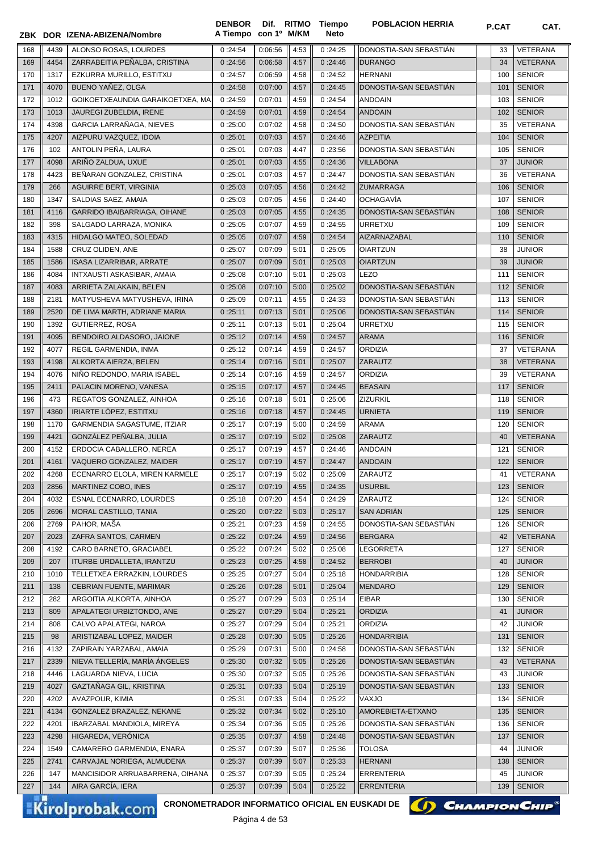|     |      | ZBK DOR IZENA-ABIZENA/Nombre                                              | A Tiempo con 1º M/KM |         |      | Neto    |                        |     |                 |
|-----|------|---------------------------------------------------------------------------|----------------------|---------|------|---------|------------------------|-----|-----------------|
| 168 | 4439 | ALONSO ROSAS, LOURDES                                                     | 0:24:54              | 0:06:56 | 4:53 | 0:24:25 | DONOSTIA-SAN SEBASTIAN | 33  | <b>VETERANA</b> |
| 169 | 4454 | ZARRABEITIA PEÑALBA, CRISTINA                                             | 0:24:56              | 0:06:58 | 4:57 | 0:24:46 | <b>DURANGO</b>         | 34  | <b>VETERANA</b> |
| 170 | 1317 | EZKURRA MURILLO, ESTITXU                                                  | 0:24:57              | 0:06:59 | 4:58 | 0:24:52 | <b>HERNANI</b>         | 100 | <b>SENIOR</b>   |
| 171 | 4070 | BUENO YAÑEZ, OLGA                                                         | 0:24:58              | 0:07:00 | 4:57 | 0:24:45 | DONOSTIA-SAN SEBASTIÁN | 101 | <b>SENIOR</b>   |
| 172 | 1012 | GOIKOETXEAUNDIA GARAIKOETXEA, MA                                          | 0:24:59              | 0:07:01 | 4:59 | 0:24:54 | <b>ANDOAIN</b>         | 103 | <b>SENIOR</b>   |
| 173 | 1013 | JAUREGI ZUBELDIA, IRENE                                                   | 0:24:59              | 0:07:01 | 4:59 | 0:24:54 | <b>ANDOAIN</b>         | 102 | <b>SENIOR</b>   |
| 174 | 4398 | GARCIA LARRAÑAGA, NIEVES                                                  | 0:25:00              | 0:07:02 | 4:58 | 0:24:50 | DONOSTIA-SAN SEBASTIAN | 35  | <b>VETERANA</b> |
| 175 | 4207 | AIZPURU VAZQUEZ, IDOIA                                                    | 0:25:01              | 0:07:03 | 4:57 | 0:24:46 | <b>AZPEITIA</b>        | 104 | <b>SENIOR</b>   |
| 176 | 102  | ANTOLIN PEÑA, LAURA                                                       | 0:25:01              | 0:07:03 | 4:47 | 0:23:56 | DONOSTIA-SAN SEBASTIAN | 105 | <b>SENIOR</b>   |
| 177 | 4098 | ARIÑO ZALDUA, UXUE                                                        | 0:25:01              | 0:07:03 | 4:55 | 0:24:36 | <b>VILLABONA</b>       | 37  | <b>JUNIOR</b>   |
| 178 | 4423 | BEÑARAN GONZALEZ, CRISTINA                                                | 0:25:01              | 0:07:03 | 4:57 | 0:24:47 | DONOSTIA-SAN SEBASTIAN | 36  | VETERANA        |
| 179 | 266  | AGUIRRE BERT, VIRGINIA                                                    | 0:25:03              | 0:07:05 | 4:56 | 0:24:42 | <b>ZUMARRAGA</b>       | 106 | <b>SENIOR</b>   |
| 180 | 1347 | SALDIAS SAEZ, AMAIA                                                       | 0:25:03              | 0:07:05 | 4:56 | 0:24:40 | <b>OCHAGAVÍA</b>       | 107 | <b>SENIOR</b>   |
| 181 | 4116 | GARRIDO IBAIBARRIAGA, OIHANE                                              | 0:25:03              | 0:07:05 | 4:55 | 0:24:35 | DONOSTIA-SAN SEBASTIAN | 108 | <b>SENIOR</b>   |
| 182 | 398  | SALGADO LARRAZA, MONIKA                                                   | 0:25:05              | 0:07:07 | 4:59 | 0:24:55 | URRETXU                | 109 | <b>SENIOR</b>   |
| 183 | 4315 | HIDALGO MATEO, SOLEDAD                                                    | 0:25:05              | 0:07:07 | 4:59 | 0:24:54 | AIZARNAZABAL           | 110 | <b>SENIOR</b>   |
| 184 | 1588 | CRUZ OLIDEN, ANE                                                          | 0:25:07              | 0:07:09 | 5:01 | 0:25:05 | <b>OIARTZUN</b>        | 38  | <b>JUNIOR</b>   |
| 185 | 1586 | ISASA LIZARRIBAR, ARRATE                                                  | 0:25:07              | 0:07:09 | 5:01 | 0:25:03 | <b>OIARTZUN</b>        | 39  | <b>JUNIOR</b>   |
| 186 | 4084 | INTXAUSTI ASKASIBAR, AMAIA                                                | 0:25:08              | 0:07:10 | 5:01 | 0:25:03 | <b>LEZO</b>            | 111 | <b>SENIOR</b>   |
| 187 | 4083 | ARRIETA ZALAKAIN, BELEN                                                   | 0:25:08              | 0:07:10 | 5:00 | 0:25:02 | DONOSTIA-SAN SEBASTIÁN | 112 | <b>SENIOR</b>   |
| 188 | 2181 | MATYUSHEVA MATYUSHEVA, IRINA                                              | 0:25:09              | 0:07:11 | 4:55 | 0:24:33 | DONOSTIA-SAN SEBASTIAN | 113 | <b>SENIOR</b>   |
| 189 | 2520 | DE LIMA MARTH, ADRIANE MARIA                                              | 0:25:11              | 0:07:13 | 5:01 | 0:25:06 | DONOSTIA-SAN SEBASTIÁN | 114 | <b>SENIOR</b>   |
| 190 | 1392 | <b>GUTIERREZ, ROSA</b>                                                    | 0:25:11              | 0:07:13 | 5:01 | 0:25:04 | URRETXU                | 115 | <b>SENIOR</b>   |
| 191 | 4095 | BENDOIRO ALDASORO, JAIONE                                                 | 0:25:12              | 0:07:14 | 4:59 | 0:24:57 | <b>ARAMA</b>           | 116 | <b>SENIOR</b>   |
| 192 | 4077 | REGIL GARMENDIA, INMA                                                     | 0:25:12              | 0:07:14 | 4:59 | 0:24:57 | <b>ORDIZIA</b>         | 37  | <b>VETERANA</b> |
| 193 | 4198 | ALKORTA AIERZA, BELEN                                                     | 0:25:14              | 0:07:16 | 5:01 | 0:25:07 | ZARAUTZ                | 38  | <b>VETERANA</b> |
| 194 | 4076 | NIÑO REDONDO, MARIA ISABEL                                                | 0:25:14              | 0:07:16 | 4:59 | 0:24:57 | <b>ORDIZIA</b>         | 39  | <b>VETERANA</b> |
| 195 | 2411 | PALACIN MORENO, VANESA                                                    | 0:25:15              | 0:07:17 | 4:57 | 0:24:45 | <b>BEASAIN</b>         | 117 | <b>SENIOR</b>   |
| 196 | 473  | REGATOS GONZALEZ, AINHOA                                                  | 0:25:16              | 0:07:18 | 5:01 | 0:25:06 | ZIZURKIL               | 118 | <b>SENIOR</b>   |
| 197 | 4360 | IRIARTE LÓPEZ, ESTITXU                                                    | 0:25:16              | 0:07:18 | 4:57 | 0:24:45 | <b>URNIETA</b>         | 119 | <b>SENIOR</b>   |
| 198 | 1170 | GARMENDIA SAGASTUME, ITZIAR                                               | 0:25:17              | 0:07:19 | 5:00 | 0:24:59 | <b>ARAMA</b>           | 120 | <b>SENIOR</b>   |
| 199 | 4421 | GONZÁLEZ PEÑALBA, JULIA                                                   | 0:25:17              | 0:07:19 | 5:02 | 0:25:08 | <b>ZARAUTZ</b>         | 40  | VETERANA        |
| 200 | 4152 | ERDOCIA CABALLERO, NEREA                                                  | 0:25:17              | 0:07:19 | 4:57 | 0:24:46 | <b>ANDOAIN</b>         | 121 | <b>SENIOR</b>   |
| 201 | 4161 | VAQUERO GONZALEZ, MAIDER                                                  | 0:25:17              | 0:07:19 | 4:57 | 0:24:47 | <b>ANDOAIN</b>         | 122 | <b>SENIOR</b>   |
| 202 | 4268 | ECENARRO ELOLA, MIREN KARMELE                                             | 0:25:17              | 0:07:19 | 5:02 | 0:25:09 | ZARAUTZ                | 41  | VETERANA        |
|     |      | MARTINEZ COBO, INES                                                       |                      |         |      |         |                        |     |                 |
| 203 | 2856 |                                                                           | 0:25:17              | 0:07:19 | 4:55 | 0:24:35 | <b>USURBIL</b>         | 123 | <b>SENIOR</b>   |
| 204 | 4032 | <b>ESNAL ECENARRO, LOURDES</b>                                            | 0:25:18              | 0:07:20 | 4:54 | 0:24:29 | ZARAUTZ                | 124 | <b>SENIOR</b>   |
| 205 | 2696 | MORAL CASTILLO, TANIA                                                     | 0:25:20              | 0:07:22 | 5:03 | 0:25:17 | <b>SAN ADRIAN</b>      | 125 | <b>SENIOR</b>   |
| 206 | 2769 | PAHOR, MAŠA                                                               | 0:25:21              | 0:07:23 | 4:59 | 0:24:55 | DONOSTIA-SAN SEBASTIAN | 126 | <b>SENIOR</b>   |
| 207 | 2023 | ZAFRA SANTOS, CARMEN                                                      | 0:25:22              | 0:07:24 | 4:59 | 0:24:56 | <b>BERGARA</b>         | 42  | VETERANA        |
| 208 | 4192 | CARO BARNETO, GRACIABEL                                                   | 0:25:22              | 0:07:24 | 5:02 | 0:25:08 | LEGORRETA              | 127 | <b>SENIOR</b>   |
| 209 | 207  | ITURBE URDALLETA, IRANTZU                                                 | 0:25:23              | 0:07:25 | 4:58 | 0:24:52 | <b>BERROBI</b>         | 40  | <b>JUNIOR</b>   |
| 210 | 1010 | TELLETXEA ERRAZKIN, LOURDES                                               | 0:25:25              | 0:07:27 | 5:04 | 0:25:18 | <b>HONDARRIBIA</b>     | 128 | <b>SENIOR</b>   |
| 211 | 138  | CEBRIAN FUENTE, MARIMAR                                                   | 0:25:26              | 0:07:28 | 5:01 | 0:25:04 | <b>MENDARO</b>         | 129 | <b>SENIOR</b>   |
| 212 | 282  | ARGOITIA ALKORTA, AINHOA                                                  | 0:25:27              | 0:07:29 | 5:03 | 0:25:14 | <b>EIBAR</b>           | 130 | <b>SENIOR</b>   |
| 213 | 809  | APALATEGI URBIZTONDO, ANE                                                 | 0:25:27              | 0:07:29 | 5:04 | 0:25:21 | ORDIZIA                | 41  | <b>JUNIOR</b>   |
| 214 | 808  | CALVO APALATEGI, NAROA                                                    | 0:25:27              | 0:07:29 | 5:04 | 0:25:21 | <b>ORDIZIA</b>         | 42  | JUNIOR          |
| 215 | 98   | ARISTIZABAL LOPEZ, MAIDER                                                 | 0:25:28              | 0:07:30 | 5:05 | 0:25:26 | <b>HONDARRIBIA</b>     | 131 | <b>SENIOR</b>   |
| 216 | 4132 | ZAPIRAIN YARZABAL, AMAIA                                                  | 0:25:29              | 0:07:31 | 5:00 | 0:24:58 | DONOSTIA-SAN SEBASTIAN | 132 | <b>SENIOR</b>   |
| 217 | 2339 | NIEVA TELLERÍA, MARÍA ÁNGELES                                             | 0:25:30              | 0:07:32 | 5:05 | 0:25:26 | DONOSTIA-SAN SEBASTIAN | 43  | <b>VETERANA</b> |
| 218 | 4446 | LAGUARDA NIEVA, LUCIA                                                     | 0:25:30              | 0:07:32 | 5:05 | 0:25:26 | DONOSTIA-SAN SEBASTIAN | 43  | <b>JUNIOR</b>   |
| 219 | 4027 | GAZTAÑAGA GIL, KRISTINA                                                   | 0:25:31              | 0:07:33 | 5:04 | 0:25:19 | DONOSTIA-SAN SEBASTIAN | 133 | <b>SENIOR</b>   |
| 220 | 4202 | AVAZPOUR, KIMIA                                                           | 0:25:31              | 0:07:33 | 5:04 | 0:25:22 | VAXJO                  | 134 | <b>SENIOR</b>   |
| 221 | 4134 | GONZALEZ BRAZALEZ, NEKANE                                                 | 0:25:32              | 0:07:34 | 5:02 | 0:25:10 | AMOREBIETA-ETXANO      | 135 | <b>SENIOR</b>   |
| 222 | 4201 | IBARZABAL MANDIOLA, MIREYA                                                | 0:25:34              | 0:07:36 | 5:05 | 0:25:26 | DONOSTIA-SAN SEBASTIÁN | 136 | <b>SENIOR</b>   |
| 223 | 4298 | HIGAREDA, VERONICA                                                        | 0:25:35              | 0:07:37 | 4:58 | 0:24:48 | DONOSTIA-SAN SEBASTIAN | 137 | <b>SENIOR</b>   |
| 224 | 1549 | CAMARERO GARMENDIA, ENARA                                                 | 0:25:37              | 0:07:39 | 5:07 | 0:25:36 | TOLOSA                 | 44  | JUNIOR          |
| 225 | 2741 | CARVAJAL NORIEGA, ALMUDENA                                                | 0:25:37              | 0:07:39 | 5:07 | 0:25:33 | <b>HERNANI</b>         | 138 | <b>SENIOR</b>   |
| 226 | 147  | MANCISIDOR ARRUABARRENA, OIHANA                                           | 0:25:37              | 0:07:39 | 5:05 | 0:25:24 | <b>ERRENTERIA</b>      | 45  | JUNIOR          |
| 227 | 144  | AIRA GARCÍA, IERA                                                         | 0:25:37              | 0:07:39 | 5:04 | 0:25:22 | <b>ERRENTERIA</b>      | 139 | <b>SENIOR</b>   |
|     |      | CRONOMETRADOR INFORMATICO OFICIAL EN EUSKADI DE<br><b>Kirolprobak.com</b> |                      |         |      |         | () CHAMPION CHIP       |     |                 |



**Dif. DENBOR POBLACION HERRIA P.CAT CAT. RITMO Tiempo**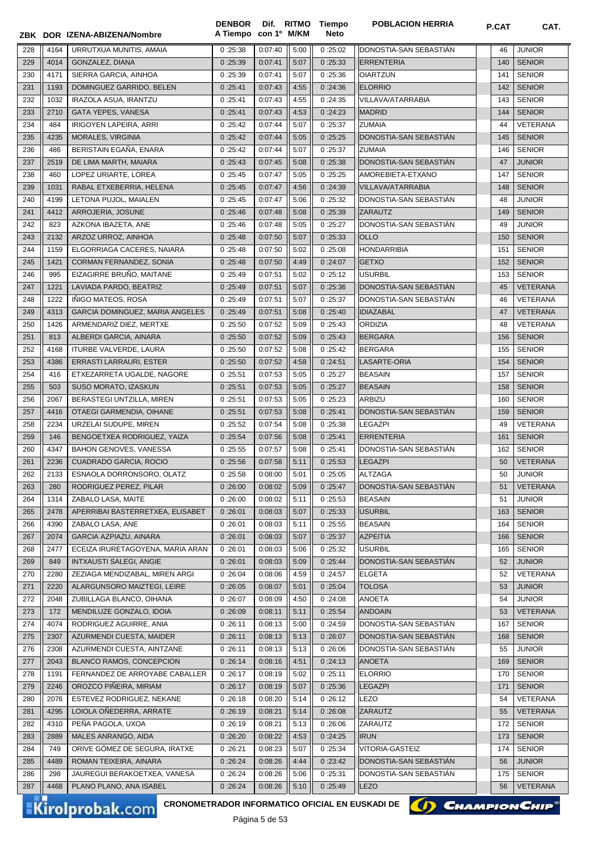|     |      | ZBK DOR IZENA-ABIZENA/Nombre     | <b>DENBOR</b><br>A Tiempo con 1º M/KM |         |      | Dif. RITMO Tiempo<br>Neto | <b>POBLACION HERRIA</b> | P.CAT | CAT.            |
|-----|------|----------------------------------|---------------------------------------|---------|------|---------------------------|-------------------------|-------|-----------------|
| 228 | 4164 | URRUTXUA MUNITIS, AMAIA          | 0:25:38                               | 0:07:40 | 5:00 | 0:25:02                   | DONOSTIA-SAN SEBASTIAN  | 46    | <b>JUNIOR</b>   |
| 229 | 4014 | GONZALEZ, DIANA                  | 0:25:39                               | 0:07:41 | 5:07 | 0:25:33                   | <b>ERRENTERIA</b>       | 140   | <b>SENIOR</b>   |
| 230 | 4171 | SIERRA GARCIA, AINHOA            | 0:25:39                               | 0:07:41 | 5:07 | 0:25:36                   | <b>OIARTZUN</b>         | 141   | <b>SENIOR</b>   |
| 231 | 1193 | DOMINGUEZ GARRIDO, BELEN         | 0:25:41                               | 0:07:43 | 4:55 | 0:24:36                   | <b>ELORRIO</b>          | 142   | <b>SENIOR</b>   |
| 232 | 1032 | IRAZOLA ASUA, IRANTZU            | 0:25:41                               | 0:07:43 | 4:55 | 0:24:35                   | VILLAVA/ATARRABIA       | 143   | <b>SENIOR</b>   |
| 233 | 2710 | GATA YEPES, VANESA               | 0:25:41                               | 0:07:43 | 4:53 | 0:24:23                   | <b>MADRID</b>           | 144   | <b>SENIOR</b>   |
| 234 | 484  | IRIGOYEN LAPEIRA, ARRI           | 0:25:42                               | 0:07:44 | 5:07 | 0:25:37                   | <b>ZUMAIA</b>           | 44    | VETERANA        |
| 235 | 4235 | MORALES, VIRGINIA                | 0:25:42                               | 0:07:44 | 5:05 | 0:25:25                   | DONOSTIA-SAN SEBASTIAN  | 145   | <b>SENIOR</b>   |
| 236 | 486  | BERISTAIN EGAÑA, ENARA           | 0:25:42                               | 0:07:44 | 5:07 | 0:25:37                   | <b>ZUMAIA</b>           | 146   | <b>SENIOR</b>   |
| 237 | 2519 | DE LIMA MARTH, MAIARA            | 0:25:43                               | 0:07:45 | 5:08 | 0:25:38                   | DONOSTIA-SAN SEBASTIÁN  | 47    | <b>JUNIOR</b>   |
| 238 | 460  | LOPEZ URIARTE, LOREA             | 0:25:45                               | 0:07:47 | 5:05 | 0:25:25                   | AMOREBIETA-ETXANO       | 147   | <b>SENIOR</b>   |
| 239 | 1031 | RABAL ETXEBERRIA, HELENA         | 0:25:45                               | 0:07:47 | 4:56 | 0:24:39                   | VILLAVA/ATARRABIA       | 148   | <b>SENIOR</b>   |
| 240 | 4199 | LETONA PUJOL, MAIALEN            | 0:25:45                               | 0:07:47 | 5:06 | 0:25:32                   | DONOSTIA-SAN SEBASTIAN  | 48    | <b>JUNIOR</b>   |
| 241 | 4412 | ARROJERIA, JOSUNE                | 0:25:46                               | 0:07:48 | 5:08 | 0:25:39                   | ZARAUTZ                 | 149   | <b>SENIOR</b>   |
| 242 | 823  | AZKONA IBAZETA, ANE              | 0:25:46                               | 0:07:48 | 5:05 | 0:25:27                   | DONOSTIA-SAN SEBASTIAN  | 49    | JUNIOR          |
| 243 | 2132 | ARZOZ URROZ, AINHOA              | 0:25:48                               | 0:07:50 | 5:07 | 0:25:33                   | <b>OLLO</b>             | 150   | <b>SENIOR</b>   |
| 244 | 1159 | ELGORRIAGA CACERES, NAIARA       | 0:25:48                               | 0:07:50 | 5:02 | 0:25:08                   | <b>HONDARRIBIA</b>      | 151   | <b>SENIOR</b>   |
| 245 | 1421 | CORMAN FERNANDEZ, SONIA          | 0:25:48                               | 0:07:50 | 4:49 | 0:24:07                   | <b>GETXO</b>            | 152   | <b>SENIOR</b>   |
| 246 | 995  | EIZAGIRRE BRUÑO, MAITANE         | 0:25:49                               | 0:07:51 | 5:02 | 0:25:12                   | <b>USURBIL</b>          | 153   | <b>SENIOR</b>   |
| 247 | 1221 | LAVIADA PARDO, BEATRIZ           | 0:25:49                               | 0:07:51 | 5:07 | 0:25:36                   | DONOSTIA-SAN SEBASTIAN  | 45    | <b>VETERANA</b> |
| 248 | 1222 | INIGO MATEOS, ROSA               | 0:25:49                               | 0:07:51 | 5:07 | 0:25:37                   | DONOSTIA-SAN SEBASTIAN  | 46    | <b>VETERANA</b> |
| 249 | 4313 | GARCIA DOMINGUEZ, MARIA ANGELES  | 0:25:49                               | 0:07:51 | 5:08 | 0:25:40                   | <b>IDIAZABAL</b>        | 47    | <b>VETERANA</b> |
| 250 | 1426 | ARMENDARIZ DIEZ, MERTXE          | 0:25:50                               | 0:07:52 | 5:09 | 0:25:43                   | <b>ORDIZIA</b>          | 48    | VETERANA        |
| 251 | 813  | ALBERDI GARCIA, AINARA           | 0:25:50                               | 0:07:52 | 5:09 | 0:25:43                   | <b>BERGARA</b>          | 156   | <b>SENIOR</b>   |
| 252 | 4168 | ITURBE VALVERDE, LAURA           | 0:25:50                               | 0:07:52 | 5:08 | 0:25:42                   | <b>BERGARA</b>          | 155   | <b>SENIOR</b>   |
| 253 | 4386 | <b>ERRASTI LARRAURI, ESTER</b>   | 0:25:50                               | 0:07:52 | 4:58 | 0:24:51                   | LASARTE-ORIA            | 154   | <b>SENIOR</b>   |
| 254 | 416  | ETXEZARRETA UGALDE, NAGORE       | 0:25:51                               | 0:07:53 | 5:05 | 0:25:27                   | <b>BEASAIN</b>          | 157   | <b>SENIOR</b>   |
| 255 | 503  | SUSO MORATO, IZASKUN             | 0:25:51                               | 0:07:53 | 5:05 | 0:25:27                   | <b>BEASAIN</b>          | 158   | <b>SENIOR</b>   |
| 256 | 2067 | BERASTEGI UNTZILLA, MIREN        | 0:25:51                               | 0:07:53 | 5:05 | 0:25:23                   | ARBIZU                  | 160   | <b>SENIOR</b>   |
| 257 | 4416 | OTAEGI GARMENDIA, OIHANE         | 0:25:51                               | 0:07:53 | 5:08 | 0:25:41                   | DONOSTIA-SAN SEBASTIAN  | 159   | <b>SENIOR</b>   |
| 258 | 2234 | URZELAI SUDUPE, MIREN            | 0:25:52                               | 0:07:54 | 5:08 | 0:25:38                   | <b>LEGAZPI</b>          | 49    | <b>VETERANA</b> |
| 259 | 146  | BENGOETXEA RODRIGUEZ, YAIZA      | 0:25:54                               | 0:07:56 | 5:08 | 0:25:41                   | <b>ERRENTERIA</b>       | 161   | <b>SENIOR</b>   |
| 260 | 4347 | BAHON GENOVES, VANESSA           | 0:25:55                               | 0:07:57 | 5:08 | 0:25:41                   | DONOSTIA-SAN SEBASTIAN  | 162   | <b>SENIOR</b>   |
| 261 | 2236 | CUADRADO GARCIA, ROCIO           | 0:25:56                               | 0:07:58 | 5:11 | 0:25:53                   | <b>LEGAZPI</b>          | 50    | <b>VETERANA</b> |
| 262 | 2133 | ESNAOLA DORRONSORO, OLATZ        | 0 :25:58                              | 0:08:00 | 5:01 | 0:25:05                   | ALTZAGA                 | 50    | <b>JUNIOR</b>   |
| 263 | 280  | RODRIGUEZ PEREZ, PILAR           | 0:26:00                               | 0:08:02 | 5:09 | 0:25:47                   | DONOSTIA-SAN SEBASTIAN  | 51    | <b>VETERANA</b> |
| 264 | 1314 | ZABALO LASA, MAITE               | 0:26:00                               | 0:08:02 | 5:11 | 0:25:53                   | <b>BEASAIN</b>          | 51    | <b>JUNIOR</b>   |
| 265 | 2478 | APERRIBAI BASTERRETXEA, ELISABET | 0:26:01                               | 0:08:03 | 5:07 | 0:25:33                   | <b>USURBIL</b>          | 163   | <b>SENIOR</b>   |
| 266 | 4390 | ZABALO LASA, ANE                 | 0:26:01                               | 0:08:03 | 5:11 | 0:25:55                   | <b>BEASAIN</b>          | 164   | <b>SENIOR</b>   |
| 267 | 2074 | GARCIA AZPIAZU, AINARA           | 0:26:01                               | 0:08:03 | 5:07 | 0:25:37                   | <b>AZPEITIA</b>         | 166   | <b>SENIOR</b>   |
| 268 | 2477 | ECEIZA IRURETAGOYENA, MARIA ARAN | 0:26:01                               | 0:08:03 | 5:06 | 0:25:32                   | <b>USURBIL</b>          | 165   | <b>SENIOR</b>   |
| 269 | 849  | <b>INTXAUSTI SALEGI, ANGIE</b>   | 0:26:01                               | 0:08:03 | 5:09 | 0:25:44                   | DONOSTIA-SAN SEBASTIAN  | 52    | <b>JUNIOR</b>   |
| 270 | 2280 | ZEZIAGA MENDIZABAL, MIREN ARGI   | 0:26:04                               | 0:08:06 | 4:59 | 0:24:57                   | <b>ELGETA</b>           | 52    | VETERANA        |
| 271 | 2220 | ALARGUNSORO MAIZTEGI, LEIRE      | 0:26:05                               | 0:08:07 | 5:01 | 0:25:04                   | <b>TOLOSA</b>           | 53    | <b>JUNIOR</b>   |
| 272 | 2048 | ZUBILLAGA BLANCO, OIHANA         | 0:26:07                               | 0:08:09 | 4:50 | 0:24:08                   | <b>ANOETA</b>           | 54    | <b>JUNIOR</b>   |
| 273 | 172  | MENDILUZE GONZALO, IDOIA         | 0:26:09                               | 0:08:11 | 5:11 | 0:25:54                   | <b>ANDOAIN</b>          | 53    | <b>VETERANA</b> |
| 274 | 4074 | RODRIGUEZ AGUIRRE, ANIA          | 0:26:11                               | 0:08:13 | 5:00 | 0:24:59                   | DONOSTIA-SAN SEBASTIÁN  | 167   | <b>SENIOR</b>   |
| 275 | 2307 | AZURMENDI CUESTA, MAIDER         | 0:26:11                               | 0:08:13 | 5:13 | 0:26:07                   | DONOSTIA-SAN SEBASTIAN  | 168   | <b>SENIOR</b>   |
| 276 | 2308 | AZURMENDI CUESTA, AINTZANE       | 0:26:11                               | 0:08:13 | 5:13 | 0:26:06                   | DONOSTIA-SAN SEBASTIAN  | 55    | <b>JUNIOR</b>   |
| 277 | 2043 | BLANCO RAMOS, CONCEPCION         | 0:26:14                               | 0:08:16 | 4:51 | 0:24:13                   | <b>ANOETA</b>           | 169   | <b>SENIOR</b>   |
| 278 | 1191 | FERNANDEZ DE ARROYABE CABALLER   | 0:26:17                               | 0:08:19 | 5:02 | 0:25:11                   | <b>ELORRIO</b>          | 170   | <b>SENIOR</b>   |
| 279 | 2246 | OROZCO PIÑEIRA, MIRIAM           | 0:26:17                               | 0:08:19 | 5:07 | 0:25:36                   | <b>LEGAZPI</b>          | 171   | <b>SENIOR</b>   |
| 280 | 2076 | ESTEVEZ RODRIGUEZ, NEKANE        | 0:26:18                               | 0:08:20 | 5:14 | 0:26:12                   | LEZO                    | 54    | VETERANA        |
| 281 | 4295 | LOIOLA ONEDERRA, ARRATE          | 0:26:19                               | 0:08:21 | 5:14 | 0:26:08                   | ZARAUTZ                 | 55    | <b>VETERANA</b> |
| 282 | 4310 | PEÑA PAGOLA, UXOA                | 0:26:19                               | 0:08:21 | 5:13 | 0:26:06                   | ZARAUTZ                 | 172   | <b>SENIOR</b>   |
| 283 | 2889 | MALES ANRANGO, AIDA              | 0:26:20                               | 0:08:22 | 4:53 | 0:24:25                   | <b>IRUN</b>             | 173   | <b>SENIOR</b>   |
| 284 | 749  | ORIVE GOMEZ DE SEGURA, IRATXE    | 0:26:21                               | 0:08:23 | 5:07 | 0:25:34                   | VITORIA-GASTEIZ         | 174   | <b>SENIOR</b>   |
| 285 | 4489 | ROMAN TEIXEIRA, AINARA           | 0:26:24                               | 0:08:26 | 4:44 | 0:23:42                   | DONOSTIA-SAN SEBASTIAN  | 56    | <b>JUNIOR</b>   |
| 286 | 298  | JAUREGUI BERAKOETXEA, VANESA     | 0:26:24                               | 0:08:26 | 5:06 | 0:25:31                   | DONOSTIA-SAN SEBASTIAN  | 175   | <b>SENIOR</b>   |
| 287 | 4468 | PLANO PLANO, ANA ISABEL          | 0:26:24                               | 0:08:26 | 5:10 | 0:25:49                   | <b>LEZO</b>             | 56    | <b>VETERANA</b> |
|     |      |                                  |                                       |         |      |                           |                         |       |                 |

Kirolprobak.com

CRONOMETRADOR INFORMATICO OFICIAL EN EUSKADI DE **(A) CHAMPION CHIP**<sup>®</sup>

Página 5 de 53

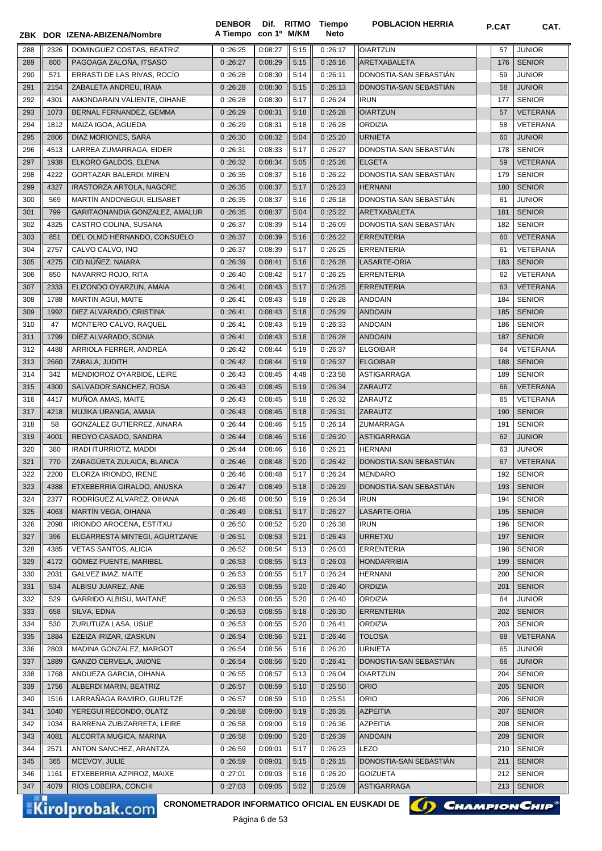|            |              | ZBK DOR IZENA-ABIZENA/Nombre                                              | <b>DENBOR</b><br>A Tiempo | con 1º M/KM        |              | Dif. RITMO Tiempo<br>Neto | <b>POBLACION HERRIA</b>            | <b>P.CAT</b> | CAT.                             |
|------------|--------------|---------------------------------------------------------------------------|---------------------------|--------------------|--------------|---------------------------|------------------------------------|--------------|----------------------------------|
| 288        | 2326         | DOMINGUEZ COSTAS, BEATRIZ                                                 | 0:26:25                   | 0:08:27            | 5:15         | 0:26:17                   | <b>OIARTZUN</b>                    | 57           | <b>JUNIOR</b>                    |
| 289        | 800          | PAGOAGA ZALOÑA, ITSASO                                                    | 0:26:27                   | 0:08:29            | 5:15         | 0:26:16                   | ARETXABALETA                       | 176          | <b>SENIOR</b>                    |
| 290        | 571          | ERRASTI DE LAS RIVAS, ROCIO                                               | 0:26:28                   | 0:08:30            | 5:14         | 0:26:11                   | DONOSTIA-SAN SEBASTIAN             | 59           | <b>JUNIOR</b>                    |
| 291        | 2154         | ZABALETA ANDREU, IRAIA                                                    | 0:26:28                   | 0:08:30            | 5:15         | 0:26:13                   | DONOSTIA-SAN SEBASTIÁN             | 58           | <b>JUNIOR</b>                    |
| 292        | 4301         | AMONDARAIN VALIENTE, OIHANE                                               | 0:26:28                   | 0:08:30            | 5:17         | 0:26:24                   | <b>IRUN</b>                        | 177          | <b>SENIOR</b>                    |
| 293        | 1073         | BERNAL FERNANDEZ, GEMMA                                                   | 0:26:29                   | 0:08:31            | 5:18         | 0:26:28                   | <b>OIARTZUN</b>                    | 57           | <b>VETERANA</b>                  |
| 294        | 1812         | MAIZA IGOA, AGUEDA                                                        | 0:26:29                   | 0:08:31            | 5:18         | 0:26:28                   | <b>ORDIZIA</b>                     | 58           | <b>VETERANA</b>                  |
| 295        | 2806         | DIAZ MORIONES, SARA                                                       | 0:26:30                   | 0:08:32            | 5:04         | 0:25:20                   | <b>URNIETA</b>                     | 60           | <b>JUNIOR</b>                    |
| 296        | 4513         | LARREA ZUMARRAGA, EIDER                                                   | 0:26:31                   | 0:08:33            | 5:17         | 0:26:27                   | DONOSTIA-SAN SEBASTIÁN             | 178          | <b>SENIOR</b>                    |
| 297        | 1938         | ELKORO GALDOS, ELENA                                                      | 0:26:32                   | 0:08:34            | 5:05         | 0:25:26                   | <b>ELGETA</b>                      | 59           | <b>VETERANA</b>                  |
| 298        | 4222         | <b>GORTAZAR BALERDI, MIREN</b>                                            | 0:26:35                   | 0:08:37            | 5:16         | 0:26:22                   | DONOSTIA-SAN SEBASTIAN             | 179          | <b>SENIOR</b>                    |
| 299        | 4327         | IRASTORZA ARTOLA, NAGORE                                                  | 0:26:35                   | 0:08:37            | 5:17         | 0:26:23                   | <b>HERNANI</b>                     | 180          | <b>SENIOR</b>                    |
| 300        | 569          | MARTIN ANDONEGUI, ELISABET                                                | 0:26:35                   | 0:08:37            | 5:16         | 0:26:18                   | DONOSTIA-SAN SEBASTIAN             | 61           | <b>JUNIOR</b>                    |
| 301        | 799          | GARITAONANDIA GONZALEZ, AMALUR                                            | 0:26:35                   | 0:08:37            | 5:04         | 0:25:22                   | ARETXABALETA                       | 181          | <b>SENIOR</b>                    |
| 302        | 4325         | CASTRO COLINA, SUSANA                                                     | 0:26:37                   | 0:08:39            | 5:14         | 0:26:09                   | DONOSTIA-SAN SEBASTIAN             | 182          | <b>SENIOR</b>                    |
| 303        | 851          | DEL OLMO HERNANDO, CONSUELO                                               | 0:26:37                   | 0:08:39            | 5:16         | 0:26:22                   | <b>ERRENTERIA</b>                  | 60           | <b>VETERANA</b>                  |
| 304        | 2757         | CALVO CALVO, INO                                                          | 0:26:37                   | 0:08:39            | 5:17         | 0:26:25                   | ERRENTERIA                         | 61           | VETERANA                         |
| 305        | 4275         | CID NÚÑEZ, NAIARA                                                         | 0:26:39                   | 0:08:41            | 5:18         | 0:26:28                   | LASARTE-ORIA                       | 183          | <b>SENIOR</b>                    |
| 306        | 850          | NAVARRO ROJO, RITA                                                        | 0:26:40                   | 0:08:42            | 5:17         | 0:26:25                   | <b>ERRENTERIA</b>                  | 62           | VETERANA                         |
| 307        | 2333         | ELIZONDO OYARZUN, AMAIA                                                   | 0:26:41                   | 0:08:43            | 5:17         | 0:26:25                   | <b>ERRENTERIA</b>                  | 63           | <b>VETERANA</b>                  |
| 308        | 1788         | <b>MARTIN AGUI, MAITE</b>                                                 | 0:26:41                   | 0:08:43            | 5:18         | 0:26:28                   | <b>ANDOAIN</b>                     | 184          | <b>SENIOR</b>                    |
| 309        | 1992         | DIEZ ALVARADO, CRISTINA                                                   | 0:26:41                   | 0:08:43            | 5:18         | 0:26:29                   | <b>ANDOAIN</b>                     | 185          | <b>SENIOR</b>                    |
| 310        | 47           | MONTERO CALVO, RAQUEL                                                     | 0:26:41                   | 0:08:43            | 5:19         | 0:26:33                   | <b>ANDOAIN</b>                     | 186          | <b>SENIOR</b>                    |
| 311        | 1799<br>4488 | DIEZ ALVARADO, SONIA                                                      | 0:26:41                   | 0:08:43            | 5:18         | 0:26:28                   | <b>ANDOAIN</b>                     | 187          | <b>SENIOR</b>                    |
| 312<br>313 | 2660         | ARRIOLA FERRER, ANDREA<br>ZABALA, JUDITH                                  | 0:26:42<br>0:26:42        | 0:08:44<br>0:08:44 | 5:19<br>5:19 | 0:26:37<br>0:26:37        | <b>ELGOIBAR</b><br><b>ELGOIBAR</b> | 64<br>188    | VETERANA<br><b>SENIOR</b>        |
| 314        | 342          | MENDIOROZ OYARBIDE, LEIRE                                                 | 0:26:43                   | 0:08:45            | 4:48         | 0:23:58                   | <b>ASTIGARRAGA</b>                 | 189          | <b>SENIOR</b>                    |
| 315        | 4300         | SALVADOR SANCHEZ, ROSA                                                    | 0:26:43                   | 0:08:45            | 5:19         | 0:26:34                   | ZARAUTZ                            | 66           | <b>VETERANA</b>                  |
| 316        | 4417         | MUÑOA AMAS, MAITE                                                         | 0:26:43                   | 0:08:45            | 5:18         | 0:26:32                   | ZARAUTZ                            | 65           | VETERANA                         |
| 317        | 4218         | MUJIKA URANGA, AMAIA                                                      | 0:26:43                   | 0:08:45            | 5:18         | 0:26:31                   | ZARAUTZ                            | 190          | <b>SENIOR</b>                    |
| 318        | 58           | GONZALEZ GUTIERREZ, AINARA                                                | 0:26:44                   | 0:08:46            | 5:15         | 0:26:14                   | ZUMARRAGA                          | 191          | <b>SENIOR</b>                    |
| 319        | 4001         | REOYO CASADO, SANDRA                                                      | 0:26:44                   | 0:08:46            | 5:16         | 0:26:20                   | <b>ASTIGARRAGA</b>                 | 62           | <b>JUNIOR</b>                    |
| 320        | 380          | <b>IRADI ITURRIOTZ, MADDI</b>                                             | 0:26:44                   | 0:08:46            | 5:16         | 0:26:21                   | HERNANI                            | 63           | <b>JUNIOR</b>                    |
| 321        | 770          | ZARAGÜETA ZULAICA, BLANCA                                                 | 0:26:46                   | 0:08:48            | 5:20         | 0:26:42                   | DONOSTIA-SAN SEBASTIÁN             | 67           | VETERANA                         |
| 322        | 2200         | ELORZA IRIONDO, IRENE                                                     | 0:26:46                   | 0:08:48            | 5:17         | 0:26:24                   | MENDARO                            | 192          | <b>SENIOR</b>                    |
| 323        | 4388         | ETXEBERRIA GIRALDO, ANUSKA                                                | 0:26:47                   | 0:08:49            | 5:18         | 0:26:29                   | DONOSTIA-SAN SEBASTIAN             | 193          | <b>SENIOR</b>                    |
| 324        | 2377         | RODRÍGUEZ ALVAREZ, OIHANA                                                 | 0:26:48                   | 0:08:50            | 5:19         | 0:26:34                   | <b>IRUN</b>                        | 194          | <b>SENIOR</b>                    |
| 325        | 4063         | MARTÍN VEGA, OIHANA                                                       | 0:26:49                   | 0:08:51            | 5:17         | 0:26:27                   | LASARTE-ORIA                       | 195          | <b>SENIOR</b>                    |
| 326        | 2098         | IRIONDO AROCENA, ESTITXU                                                  | 0:26:50                   | 0:08:52            | 5:20         | 0:26:38                   | <b>IRUN</b>                        | 196          | <b>SENIOR</b>                    |
| 327        | 396          | ELGARRESTA MINTEGI, AGURTZANE                                             | 0:26:51                   | 0:08:53            | 5:21         | 0:26:43                   | <b>URRETXU</b>                     | 197          | <b>SENIOR</b>                    |
| 328        | 4385         | <b>VETAS SANTOS, ALICIA</b>                                               | 0:26:52                   | 0:08:54            | 5:13         | 0:26:03                   | <b>ERRENTERIA</b>                  | 198          | <b>SENIOR</b>                    |
| 329        | 4172         | GÓMEZ PUENTE, MARIBEL                                                     | 0:26:53                   | 0:08:55            | 5:13         | 0:26:03                   | <b>HONDARRIBIA</b>                 | 199          | <b>SENIOR</b>                    |
| 330        | 2031         | GALVEZ IMAZ, MAITE                                                        | 0:26:53                   | 0:08:55            | 5:17         | 0:26:24                   | HERNANI                            | 200          | <b>SENIOR</b>                    |
| 331        | 534          | ALBISU JUAREZ, ANE                                                        | 0:26:53                   | 0:08:55            | 5:20         | 0:26:40                   | ORDIZIA                            | 201          | <b>SENIOR</b>                    |
| 332        | 529          | <b>GARRIDO ALBISU, MAITANE</b>                                            | 0:26:53                   | 0:08:55            | 5:20         | 0:26:40                   | <b>ORDIZIA</b>                     | 64           | <b>JUNIOR</b>                    |
| 333        | 658          | SILVA, EDNA                                                               | 0:26:53                   | 0:08:55            | 5:18         | 0:26:30                   | <b>ERRENTERIA</b>                  | 202          | <b>SENIOR</b>                    |
| 334        | 530          | ZURUTUZA LASA, USUE                                                       | 0:26:53                   | 0:08:55            | 5:20         | 0:26:41                   | ORDIZIA                            | 203          | <b>SENIOR</b>                    |
| 335<br>336 | 1884<br>2803 | EZEIZA IRIZAR, IZASKUN<br>MADINA GONZALEZ, MARGOT                         | 0:26:54<br>0:26:54        | 0:08:56<br>0:08:56 | 5:21<br>5:16 | 0:26:46<br>0:26:20        | TOLOSA<br>URNIETA                  | 68<br>65     | <b>VETERANA</b><br><b>JUNIOR</b> |
|            |              |                                                                           |                           |                    |              |                           | DONOSTIA-SAN SEBASTIÁN             |              |                                  |
| 337<br>338 | 1889<br>1768 | <b>GANZO CERVELA, JAIONE</b><br>ANDUEZA GARCIA, OIHANA                    | 0:26:54<br>0:26:55        | 0:08:56<br>0:08:57 | 5:20<br>5:13 | 0:26:41<br>0:26:04        | OIARTZUN                           | 66<br>204    | <b>JUNIOR</b><br><b>SENIOR</b>   |
| 339        | 1756         | ALBERDI MARIN, BEATRIZ                                                    | 0:26:57                   | 0:08:59            | 5:10         | 0:25:50                   | ORIO                               | 205          | <b>SENIOR</b>                    |
| 340        | 1516         | LARRAÑAGA RAMIRO, GURUTZE                                                 | 0:26:57                   | 0:08:59            | 5:10         | 0:25:51                   | ORIO                               | 206          | <b>SENIOR</b>                    |
| 341        | 1040         | YEREGUI RECONDO, OLATZ                                                    | 0:26:58                   | 0:09:00            | 5:19         | 0:26:35                   | <b>AZPEITIA</b>                    | 207          | <b>SENIOR</b>                    |
| 342        | 1034         | BARRENA ZUBIZARRETA, LEIRE                                                | 0:26:58                   | 0:09:00            | 5:19         | 0:26:36                   | <b>AZPEITIA</b>                    | 208          | <b>SENIOR</b>                    |
| 343        | 4081         | ALCORTA MUGICA, MARINA                                                    | 0:26:58                   | 0:09:00            | 5:20         | 0:26:39                   | <b>ANDOAIN</b>                     | 209          | <b>SENIOR</b>                    |
| 344        | 2571         | ANTON SANCHEZ, ARANTZA                                                    | 0:26:59                   | 0:09:01            | 5:17         | 0:26:23                   | LEZO                               | 210          | <b>SENIOR</b>                    |
| 345        | 365          | MCEVOY, JULIE                                                             | 0:26:59                   | 0:09:01            | 5:15         | 0:26:15                   | DONOSTIA-SAN SEBASTIAN             | 211          | <b>SENIOR</b>                    |
| 346        | 1161         | ETXEBERRIA AZPIROZ, MAIXE                                                 | 0:27:01                   | 0:09:03            | 5:16         | 0:26:20                   | <b>GOIZUETA</b>                    | 212          | <b>SENIOR</b>                    |
| 347        | 4079         | RÍOS LOBEIRA, CONCHI                                                      | 0:27:03                   | 0:09:05            | 5:02         | 0:25:09                   | ASTIGARRAGA                        | 213          | <b>SENIOR</b>                    |
|            |              | CRONOMETRADOR INFORMATICO OFICIAL EN EUSKADI DE<br><b>Kirolprobak.com</b> |                           |                    |              |                           | (I) CHAMPION CHIP®                 |              |                                  |
|            |              |                                                                           |                           |                    |              |                           |                                    |              |                                  |

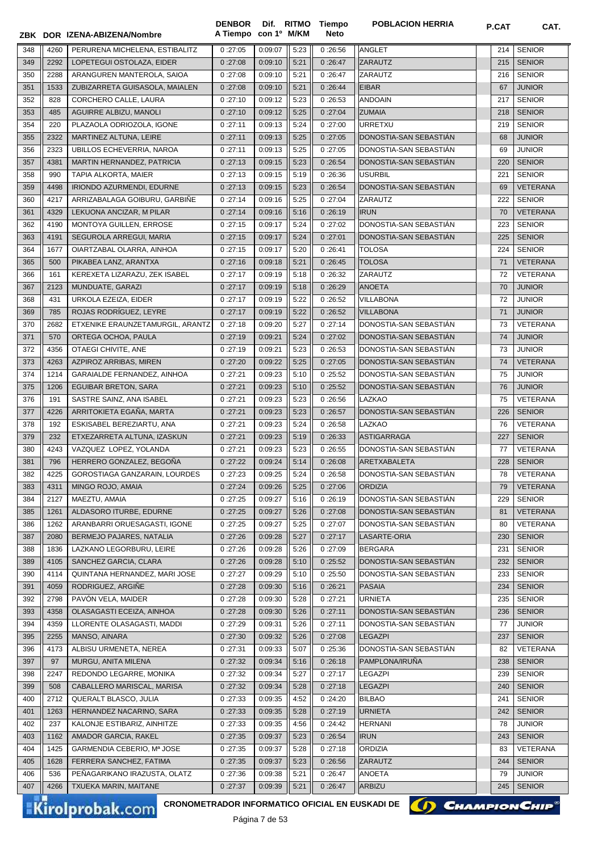|     |              | ZBK DOR IZENA-ABIZENA/Nombre       | A Tiempo con 1º M/KM |         |      | Neto               |                        |     |                                  |
|-----|--------------|------------------------------------|----------------------|---------|------|--------------------|------------------------|-----|----------------------------------|
| 348 | 4260         | PERURENA MICHELENA, ESTIBALITZ     | 0:27:05              | 0:09:07 | 5:23 | 0:26:56            | <b>ANGLET</b>          | 214 | <b>SENIOR</b>                    |
| 349 | 2292         | LOPETEGUI OSTOLAZA, EIDER          | 0:27:08              | 0:09:10 | 5:21 | 0:26:47            | ZARAUTZ                | 215 | <b>SENIOR</b>                    |
| 350 | 2288         | ARANGUREN MANTEROLA, SAIOA         | 0:27:08              | 0:09:10 | 5:21 | 0:26:47            | ZARAUTZ                | 216 | <b>SENIOR</b>                    |
| 351 | 1533         | ZUBIZARRETA GUISASOLA, MAIALEN     | 0:27:08              | 0:09:10 | 5:21 | 0:26:44            | <b>EIBAR</b>           | 67  | <b>JUNIOR</b>                    |
| 352 | 828          | CORCHERO CALLE, LAURA              | 0:27:10              | 0:09:12 | 5:23 | 0:26:53            | <b>ANDOAIN</b>         | 217 | <b>SENIOR</b>                    |
| 353 | 485          | AGUIRRE ALBIZU, MANOLI             | 0:27:10              | 0:09:12 | 5:25 | 0:27:04            | <b>ZUMAIA</b>          | 218 | <b>SENIOR</b>                    |
| 354 | 220          | PLAZAOLA ODRIOZOLA, IGONE          | 0:27:11              | 0:09:13 | 5:24 | 0:27:00            | <b>URRETXU</b>         | 219 | <b>SENIOR</b>                    |
| 355 | 2322         | MARTINEZ ALTUNA, LEIRE             | 0:27:11              | 0:09:13 | 5:25 | 0:27:05            | DONOSTIA-SAN SEBASTIÁN | 68  | <b>JUNIOR</b>                    |
| 356 | 2323         | UBILLOS ECHEVERRIA, NAROA          | 0:27:11              | 0:09:13 | 5:25 | 0:27:05            | DONOSTIA-SAN SEBASTIAN | 69  | <b>JUNIOR</b>                    |
| 357 | 4381         | MARTIN HERNANDEZ, PATRICIA         | 0:27:13              | 0:09:15 | 5:23 | 0:26:54            | DONOSTIA-SAN SEBASTIAN | 220 | <b>SENIOR</b>                    |
| 358 | 990          | TAPIA ALKORTA, MAIER               | 0:27:13              | 0:09:15 | 5:19 | 0:26:36            | <b>USURBIL</b>         | 221 | <b>SENIOR</b>                    |
| 359 | 4498         | <b>IRIONDO AZURMENDI, EDURNE</b>   | 0:27:13              | 0:09:15 | 5:23 | 0:26:54            | DONOSTIA-SAN SEBASTIAN | 69  | <b>VETERANA</b>                  |
| 360 | 4217         | ARRIZABALAGA GOIBURU, GARBIÑE      | 0:27:14              | 0:09:16 | 5:25 | 0:27:04            | ZARAUTZ                | 222 | <b>SENIOR</b>                    |
| 361 | 4329         | LEKUONA ANCIZAR, M PILAR           | 0:27:14              | 0:09:16 | 5:16 | 0:26:19            | <b>IRUN</b>            | 70  | <b>VETERANA</b>                  |
| 362 | 4190         | MONTOYA GUILLEN, ERROSE            | 0:27:15              | 0:09:17 | 5:24 | 0:27:02            | DONOSTIA-SAN SEBASTIAN | 223 | <b>SENIOR</b>                    |
| 363 | 4191         | SEGUROLA ARREGUI, MARIA            | 0:27:15              | 0:09:17 | 5:24 | 0:27:01            | DONOSTIA-SAN SEBASTIÁN | 225 | <b>SENIOR</b>                    |
| 364 | 1677         | OIARTZABAL OLARRA, AINHOA          | 0:27:15              | 0:09:17 | 5:20 | 0:26:41            | <b>TOLOSA</b>          | 224 | <b>SENIOR</b>                    |
| 365 | 500          | PIKABEA LANZ, ARANTXA              | 0:27:16              | 0:09:18 | 5:21 | 0:26:45            | <b>TOLOSA</b>          | 71  | <b>VETERANA</b>                  |
| 366 | 161          | KEREXETA LIZARAZU, ZEK ISABEL      | 0:27:17              | 0:09:19 | 5:18 | 0:26:32            | ZARAUTZ                | 72  | VETERANA                         |
| 367 | 2123         | MUNDUATE, GARAZI                   | 0:27:17              | 0:09:19 | 5:18 | 0:26:29            | <b>ANOETA</b>          | 70  | <b>JUNIOR</b>                    |
| 368 | 431          | URKOLA EZEIZA, EIDER               | 0:27:17              | 0:09:19 | 5:22 | 0:26:52            | <b>VILLABONA</b>       | 72  | <b>JUNIOR</b>                    |
| 369 | 785          | ROJAS RODRÍGUEZ, LEYRE             | 0:27:17              | 0:09:19 | 5:22 | 0:26:52            | <b>VILLABONA</b>       | 71  | <b>JUNIOR</b>                    |
| 370 | 2682         | ETXENIKE ERAUNZETAMURGIL, ARANTZ   | 0:27:18              | 0:09:20 | 5:27 | 0:27:14            | DONOSTIA-SAN SEBASTIAN | 73  | <b>VETERANA</b>                  |
| 371 | 570          | ORTEGA OCHOA, PAULA                | 0:27:19              | 0:09:21 | 5:24 | 0:27:02            | DONOSTIA-SAN SEBASTIAN | 74  | <b>JUNIOR</b>                    |
| 372 | 4356         | OTAEGI CHIVITE, ANE                | 0:27:19              | 0:09:21 | 5:23 | 0:26:53            | DONOSTIA-SAN SEBASTIÁN | 73  | <b>JUNIOR</b>                    |
| 373 | 4263         | AZPIROZ ARRIBAS, MIREN             | 0:27:20              | 0:09:22 | 5:25 | 0:27:05            | DONOSTIA-SAN SEBASTIÁN | 74  | <b>VETERANA</b>                  |
| 374 | 1214         | GARAIALDE FERNANDEZ, AINHOA        | 0:27:21              | 0:09:23 | 5:10 | 0:25:52            | DONOSTIA-SAN SEBASTIAN | 75  | <b>JUNIOR</b>                    |
| 375 | 1206         | <b>EGUIBAR BRETON, SARA</b>        | 0:27:21              | 0:09:23 | 5:10 | 0:25:52            | DONOSTIA-SAN SEBASTIAN | 76  | <b>JUNIOR</b>                    |
| 376 | 191          | SASTRE SAINZ, ANA ISABEL           | 0:27:21              | 0:09:23 | 5:23 | 0:26:56            | <b>LAZKAO</b>          | 75  | VETERANA                         |
| 377 | 4226         | ARRITOKIETA EGAÑA, MARTA           | 0:27:21              | 0:09:23 | 5:23 | 0:26:57            | DONOSTIA-SAN SEBASTIÁN | 226 | <b>SENIOR</b>                    |
| 378 | 192          | ESKISABEL BEREZIARTU, ANA          | 0:27:21              | 0:09:23 | 5:24 | 0:26:58            | LAZKAO                 | 76  | VETERANA                         |
| 379 | 232          | ETXEZARRETA ALTUNA, IZASKUN        | 0:27:21              | 0:09:23 | 5:19 | 0:26:33            | ASTIGARRAGA            | 227 | <b>SENIOR</b>                    |
| 380 | 4243         | VAZQUEZ LOPEZ, YOLANDA             | 0:27:21              | 0:09:23 | 5:23 | 0:26:55            | DONOSTIA-SAN SEBASTIAN | 77  | VETERANA                         |
| 381 | 796          | HERRERO GONZALEZ, BEGOÑA           | 0:27:22              | 0:09:24 | 5:14 | 0:26:08            | <b>ARETXABALETA</b>    | 228 | <b>SENIOR</b>                    |
| 382 | 4225         | GOROSTIAGA GANZARAIN, LOURDES      | 0:27:23              | 0:09:25 | 5:24 | 0:26:58            | DONOSTIA-SAN SEBASTIAN | 78  | VETERANA                         |
|     |              |                                    |                      |         |      |                    |                        |     |                                  |
| 383 | 4311         | MINGO ROJO, AMAIA<br>MAEZTU, AMAIA | 0:27:24              | 0:09:26 | 5:25 | 0:27:06            | <b>ORDIZIA</b>         | 79  | VETERANA                         |
| 384 | 2127<br>1261 |                                    | 0:27:25              | 0:09:27 | 5:16 | 0:26:19<br>0:27:08 | DONOSTIA-SAN SEBASTIAN | 229 | <b>SENIOR</b><br><b>VETERANA</b> |
| 385 |              | ALDASORO ITURBE, EDURNE            | 0:27:25              | 0:09:27 | 5:26 |                    | DONOSTIA-SAN SEBASTIAN | 81  | <b>VETERANA</b>                  |
| 386 | 1262         | ARANBARRI ORUESAGASTI, IGONE       | 0:27:25              | 0:09:27 | 5:25 | 0:27:07            | DONOSTIA-SAN SEBASTIAN | 80  |                                  |
| 387 | 2080         | BERMEJO PAJARES, NATALIA           | 0:27:26              | 0:09:28 | 5:27 | 0:27:17            | LASARTE-ORIA           | 230 | <b>SENIOR</b>                    |
| 388 | 1836         | LAZKANO LEGORBURU, LEIRE           | 0:27:26              | 0:09:28 | 5:26 | 0:27:09            | <b>BERGARA</b>         | 231 | <b>SENIOR</b>                    |
| 389 | 4105         | SANCHEZ GARCIA, CLARA              | 0:27:26              | 0:09:28 | 5:10 | 0:25:52            | DONOSTIA-SAN SEBASTIAN | 232 | <b>SENIOR</b>                    |
| 390 | 4114         | QUINTANA HERNANDEZ, MARI JOSE      | 0:27:27              | 0:09:29 | 5:10 | 0:25:50            | DONOSTIA-SAN SEBASTIAN | 233 | <b>SENIOR</b>                    |
| 391 | 4059         | RODRIGUEZ, ARGIÑE                  | 0:27:28              | 0:09:30 | 5:16 | 0:26:21            | <b>PASAIA</b>          | 234 | <b>SENIOR</b>                    |
| 392 | 2798         | PAVÓN VELA, MAIDER                 | 0:27:28              | 0:09:30 | 5:28 | 0:27:21            | <b>URNIETA</b>         | 235 | <b>SENIOR</b>                    |
| 393 | 4358         | OLASAGASTI ECEIZA, AINHOA          | 0:27:28              | 0:09:30 | 5:26 | 0:27:11            | DONOSTIA-SAN SEBASTIÁN | 236 | <b>SENIOR</b>                    |
| 394 | 4359         | LLORENTE OLASAGASTI, MADDI         | 0:27:29              | 0:09:31 | 5:26 | 0:27:11            | DONOSTIA-SAN SEBASTIÁN | 77  | <b>JUNIOR</b>                    |
| 395 | 2255         | MANSO, AINARA                      | 0:27:30              | 0:09:32 | 5:26 | 0:27:08            | <b>LEGAZPI</b>         | 237 | <b>SENIOR</b>                    |
| 396 | 4173         | ALBISU URMENETA, NEREA             | 0:27:31              | 0:09:33 | 5:07 | 0:25:36            | DONOSTIA-SAN SEBASTIÁN | 82  | VETERANA                         |
| 397 | 97           | MURGU, ANITA MILENA                | 0:27:32              | 0:09:34 | 5:16 | 0:26:18            | PAMPLONA/IRUÑA         | 238 | <b>SENIOR</b>                    |
| 398 | 2247         | REDONDO LEGARRE, MONIKA            | 0:27:32              | 0:09:34 | 5:27 | 0:27:17            | <b>LEGAZPI</b>         | 239 | <b>SENIOR</b>                    |
| 399 | 508          | CABALLERO MARISCAL, MARISA         | 0:27:32              | 0:09:34 | 5:28 | 0:27:18            | <b>LEGAZPI</b>         | 240 | <b>SENIOR</b>                    |
| 400 | 2712         | QUERALT BLASCO, JULIA              | 0:27:33              | 0:09:35 | 4:52 | 0:24:20            | <b>BILBAO</b>          | 241 | <b>SENIOR</b>                    |
| 401 | 1263         | HERNANDEZ NACARINO, SARA           | 0:27:33              | 0:09:35 | 5:28 | 0:27:19            | <b>URNIETA</b>         | 242 | <b>SENIOR</b>                    |
| 402 | 237          | KALONJE ESTIBARIZ, AINHITZE        | 0:27:33              | 0:09:35 | 4:56 | 0:24:42            | <b>HERNANI</b>         | 78  | <b>JUNIOR</b>                    |
| 403 | 1162         | AMADOR GARCIA, RAKEL               | 0:27:35              | 0:09:37 | 5:23 | 0:26:54            | <b>IRUN</b>            | 243 | <b>SENIOR</b>                    |
| 404 | 1425         | GARMENDIA CEBERIO, Mª JOSE         | 0:27:35              | 0:09:37 | 5:28 | 0:27:18            | <b>ORDIZIA</b>         | 83  | VETERANA                         |
| 405 | 1628         | FERRERA SANCHEZ, FATIMA            | 0:27:35              | 0:09:37 | 5:23 | 0:26:56            | ZARAUTZ                | 244 | <b>SENIOR</b>                    |
| 406 | 536          | PEÑAGARIKANO IRAZUSTA, OLATZ       | 0:27:36              | 0:09:38 | 5:21 | 0:26:47            | ANOETA                 | 79  | <b>JUNIOR</b>                    |
| 407 | 4266         | TXUEKA MARIN, MAITANE              | 0:27:37              | 0:09:39 | 5:21 | 0:26:47            | ARBIZU                 | 245 | <b>SENIOR</b>                    |

**Dif. con 1º** **Tiempo Neto**

**DENBOR**

Kirolprobak.com

**CRONOMETRADOR INFORMATICO OFICIAL EN EUSKADI DE**

Página 7 de 53



**CHAMPION CHIP** 

**POBLACION HERRIA P.CAT CAT.**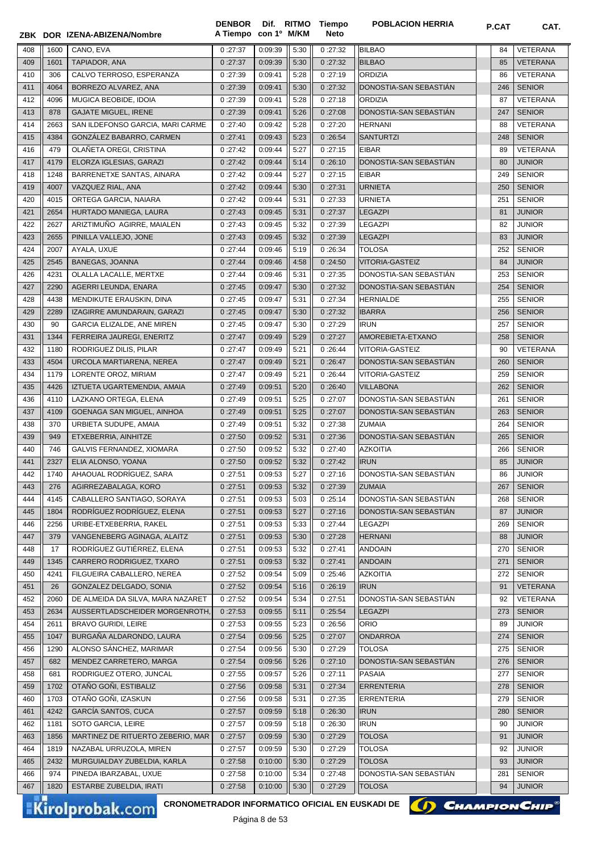|            |              | ZBK DOR IZENA-ABIZENA/Nombre                                              | <b>DENBOR</b><br>A Tiempo con 1º M/KM |                    |              | Dif. RITMO Tiempo<br><b>Neto</b> | <b>POBLACION HERRIA</b>                  | P.CAT     | CAT.                           |
|------------|--------------|---------------------------------------------------------------------------|---------------------------------------|--------------------|--------------|----------------------------------|------------------------------------------|-----------|--------------------------------|
|            |              |                                                                           |                                       |                    |              |                                  |                                          |           |                                |
| 408        | 1600         | CANO, EVA                                                                 | 0:27:37                               | 0:09:39            | 5:30         | 0:27:32                          | <b>BILBAO</b>                            | 84        | VETERANA                       |
| 409        | 1601         | TAPIADOR, ANA                                                             | 0:27:37                               | 0:09:39            | 5:30         | 0:27:32                          | <b>BILBAO</b>                            | 85        | <b>VETERANA</b>                |
| 410        | 306          | CALVO TERROSO, ESPERANZA                                                  | 0:27:39                               | 0:09:41            | 5:28         | 0:27:19                          | <b>ORDIZIA</b><br>DONOSTIA-SAN SEBASTIÁN | 86        | VETERANA                       |
| 411<br>412 | 4064<br>4096 | BORREZO ALVAREZ, ANA<br>MUGICA BEOBIDE, IDOIA                             | 0:27:39<br>0:27:39                    | 0:09:41<br>0:09:41 | 5:30<br>5:28 | 0:27:32<br>0:27:18               | ORDIZIA                                  | 246<br>87 | <b>SENIOR</b><br>VETERANA      |
| 413        | 878          | <b>GAJATE MIGUEL, IRENE</b>                                               | 0:27:39                               | 0:09:41            | 5:26         | 0:27:08                          | DONOSTIA-SAN SEBASTIAN                   | 247       | <b>SENIOR</b>                  |
| 414        | 2663         | SAN ILDEFONSO GARCIA, MARI CARME                                          | 0:27:40                               | 0:09:42            | 5:28         | 0:27:20                          | <b>HERNANI</b>                           | 88        | <b>VETERANA</b>                |
| 415        | 4384         | GONZÁLEZ BABARRO, CARMEN                                                  | 0:27:41                               | 0:09:43            | 5:23         | 0:26:54                          | <b>SANTURTZI</b>                         | 248       | <b>SENIOR</b>                  |
| 416        | 479          | OLAÑETA OREGI, CRISTINA                                                   | 0:27:42                               | 0:09:44            | 5:27         | 0:27:15                          | <b>EIBAR</b>                             | 89        | <b>VETERANA</b>                |
| 417        | 4179         | ELORZA IGLESIAS, GARAZI                                                   | 0:27:42                               | 0:09:44            | 5:14         | 0:26:10                          | DONOSTIA-SAN SEBASTIAN                   | 80        | <b>JUNIOR</b>                  |
| 418        | 1248         | BARRENETXE SANTAS, AINARA                                                 | 0:27:42                               | 0:09:44            | 5:27         | 0:27:15                          | <b>EIBAR</b>                             | 249       | <b>SENIOR</b>                  |
| 419        | 4007         | VAZQUEZ RIAL, ANA                                                         | 0:27:42                               | 0:09:44            | 5:30         | 0:27:31                          | <b>URNIETA</b>                           | 250       | <b>SENIOR</b>                  |
| 420        | 4015         | ORTEGA GARCIA, NAIARA                                                     | 0:27:42                               | 0:09:44            | 5:31         | 0:27:33                          | <b>URNIETA</b>                           | 251       | <b>SENIOR</b>                  |
| 421        | 2654         | HURTADO MANIEGA, LAURA                                                    | 0:27:43                               | 0:09:45            | 5:31         | 0:27:37                          | <b>LEGAZPI</b>                           | 81        | <b>JUNIOR</b>                  |
| 422        | 2627         | ARIZTIMUÑO AGIRRE, MAIALEN                                                | 0:27:43                               | 0:09:45            | 5:32         | 0:27:39                          | <b>LEGAZPI</b>                           | 82        | <b>JUNIOR</b>                  |
| 423        | 2655         | PINILLA VALLEJO, JONE                                                     | 0:27:43                               | 0:09:45            | 5:32         | 0:27:39                          | <b>LEGAZPI</b>                           | 83        | <b>JUNIOR</b>                  |
| 424        | 2007         | AYALA, UXUE                                                               | 0:27:44                               | 0:09:46            | 5:19         | 0:26:34                          | <b>TOLOSA</b>                            | 252       | <b>SENIOR</b>                  |
| 425        | 2545         | <b>BANEGAS, JOANNA</b>                                                    | 0:27:44                               | 0:09:46            | 4:58         | 0:24:50                          | VITORIA-GASTEIZ                          | 84        | <b>JUNIOR</b>                  |
| 426        | 4231         | OLALLA LACALLE, MERTXE                                                    | 0:27:44                               | 0:09:46            | 5:31         | 0:27:35                          | DONOSTIA-SAN SEBASTIÁN                   | 253       | <b>SENIOR</b>                  |
| 427        | 2290         | AGERRI LEUNDA, ENARA                                                      | 0:27:45                               | 0:09:47            | 5:30         | 0:27:32                          | DONOSTIA-SAN SEBASTIÁN                   | 254       | <b>SENIOR</b>                  |
| 428        | 4438         | MENDIKUTE ERAUSKIN, DINA                                                  | 0:27:45                               | 0:09:47            | 5:31         | 0:27:34                          | <b>HERNIALDE</b>                         | 255       | <b>SENIOR</b>                  |
| 429        | 2289         | IZAGIRRE AMUNDARAIN, GARAZI                                               | 0:27:45                               | 0:09:47            | 5:30         | 0:27:32                          | <b>IBARRA</b>                            | 256       | <b>SENIOR</b>                  |
| 430        | 90           | GARCIA ELIZALDE, ANE MIREN                                                | 0:27:45                               | 0:09:47            | 5:30         | 0:27:29                          | <b>IRUN</b>                              | 257       | <b>SENIOR</b>                  |
| 431        | 1344         | FERREIRA JAUREGI, ENERITZ                                                 | 0:27:47                               | 0:09:49            | 5:29         | 0:27:27                          | AMOREBIETA-ETXANO                        | 258       | <b>SENIOR</b>                  |
| 432        | 1180         | RODRIGUEZ DILIS, PILAR                                                    | 0:27:47                               | 0:09:49            | 5:21         | 0:26:44                          | VITORIA-GASTEIZ                          | 90        | <b>VETERANA</b>                |
| 433        | 4504         | URCOLA MARTIARENA, NEREA                                                  | 0:27:47                               | 0:09:49            | 5:21         | 0:26:47                          | DONOSTIA-SAN SEBASTIAN                   | 260       | <b>SENIOR</b>                  |
| 434        | 1179         | LORENTE OROZ, MIRIAM                                                      | 0:27:47                               | 0:09:49            | 5:21         | 0:26:44                          | <b>VITORIA-GASTEIZ</b>                   | 259       | <b>SENIOR</b>                  |
| 435        | 4426         | IZTUETA UGARTEMENDIA, AMAIA                                               | 0:27:49                               | 0:09:51            | 5:20         | 0:26:40                          | <b>VILLABONA</b>                         | 262       | <b>SENIOR</b>                  |
| 436        | 4110         | LAZKANO ORTEGA, ELENA                                                     | 0:27:49                               | 0:09:51            | 5:25         | 0:27:07                          | DONOSTIA-SAN SEBASTIAN                   | 261       | <b>SENIOR</b>                  |
| 437        | 4109         | GOENAGA SAN MIGUEL, AINHOA                                                | 0:27:49                               | 0:09:51            | 5:25         | 0:27:07                          | DONOSTIA-SAN SEBASTIAN                   | 263       | <b>SENIOR</b>                  |
| 438        | 370          | URBIETA SUDUPE, AMAIA                                                     | 0:27:49                               | 0:09:51            | 5:32         | 0:27:38                          | <b>ZUMAIA</b>                            | 264       | <b>SENIOR</b>                  |
| 439        | 949          | ETXEBERRIA, AINHITZE                                                      | 0:27:50                               | 0:09:52            | 5:31         | 0:27:36                          | DONOSTIA-SAN SEBASTIÁN                   | 265       | <b>SENIOR</b>                  |
| 440        | 746          | <b>GALVIS FERNANDEZ, XIOMARA</b>                                          | 0:27:50                               | 0:09:52            | 5:32         | 0:27:40                          | <b>AZKOITIA</b>                          | 266       | <b>SENIOR</b>                  |
| 441        | 2327         | ELIA ALONSO, YOANA                                                        | 0:27:50                               | 0:09:52            | 5:32         | 0:27:42                          | <b>IRUN</b>                              | 85        | <b>JUNIOR</b>                  |
| 442        | 1740         | AHAOUAL RODRÍGUEZ, SARA                                                   | 0:27:51                               | 0:09:53            | 5:27         | 0:27:16                          | DONOSTIA-SAN SEBASTIÁN                   | 86        | <b>JUNIOR</b>                  |
| 443        | 276          | AGIRREZABALAGA, KORO                                                      | 0:27:51                               | 0:09:53            | 5:32         | 0:27:39                          | <b>ZUMAIA</b>                            | 267       | <b>SENIOR</b>                  |
| 444        | 4145         | CABALLERO SANTIAGO, SORAYA                                                | 0:27:51                               | 0:09:53            | 5:03         | 0:25:14                          | DONOSTIA-SAN SEBASTIAN                   | 268       | <b>SENIOR</b>                  |
| 445        | 1804         | RODRÍGUEZ RODRÍGUEZ, ELENA                                                | 0:27:51                               | 0:09:53            | 5:27         | 0:27:16                          | DONOSTIA-SAN SEBASTIAN                   | 87        | <b>JUNIOR</b>                  |
| 446        | 2256         | URIBE-ETXEBERRIA, RAKEL                                                   | 0:27:51                               | 0:09:53            | 5:33         | 0:27:44                          | LEGAZPI                                  | 269       | <b>SENIOR</b>                  |
| 447<br>448 | 379<br>17    | VANGENEBERG AGINAGA, ALAITZ<br>RODRÍGUEZ GUTIÉRREZ, ELENA                 | 0:27:51                               | 0:09:53            | 5:30<br>5:32 | 0:27:28                          | <b>HERNANI</b>                           | 88<br>270 | <b>JUNIOR</b>                  |
| 449        | 1345         | CARRERO RODRIGUEZ, TXARO                                                  | 0:27:51<br>0:27:51                    | 0:09:53<br>0:09:53 | 5:32         | 0:27:41<br>0:27:41               | <b>ANDOAIN</b><br><b>ANDOAIN</b>         | 271       | <b>SENIOR</b><br><b>SENIOR</b> |
| 450        | 4241         | FILGUEIRA CABALLERO, NEREA                                                | 0:27:52                               | 0:09:54            | 5:09         | 0:25:46                          | <b>AZKOITIA</b>                          | 272       | <b>SENIOR</b>                  |
| 451        | 26           | GONZALEZ DELGADO, SONIA                                                   | 0:27:52                               | 0:09:54            | 5:16         | 0:26:19                          | <b>IRUN</b>                              | 91        | <b>VETERANA</b>                |
| 452        | 2060         | DE ALMEIDA DA SILVA, MARA NAZARET                                         | 0:27:52                               | 0:09:54            | 5:34         | 0:27:51                          | DONOSTIA-SAN SEBASTIAN                   | 92        | <b>VETERANA</b>                |
| 453        | 2634         | AUSSERTLADSCHEIDER MORGENROTH,                                            | 0:27:53                               | 0:09:55            | 5:11         | 0:25:54                          | <b>LEGAZPI</b>                           | 273       | <b>SENIOR</b>                  |
| 454        | 2611         | <b>BRAVO GURIDI, LEIRE</b>                                                | 0:27:53                               | 0:09:55            | 5:23         | 0:26:56                          | <b>ORIO</b>                              | 89        | <b>JUNIOR</b>                  |
| 455        | 1047         | BURGAÑA ALDARONDO, LAURA                                                  | 0:27:54                               | 0:09:56            | 5:25         | 0:27:07                          | <b>ONDARROA</b>                          | 274       | <b>SENIOR</b>                  |
| 456        | 1290         | ALONSO SÁNCHEZ, MARIMAR                                                   | 0:27:54                               | 0:09:56            | 5:30         | 0:27:29                          | <b>TOLOSA</b>                            | 275       | <b>SENIOR</b>                  |
| 457        | 682          | MENDEZ CARRETERO, MARGA                                                   | 0:27:54                               | 0:09:56            | 5:26         | 0:27:10                          | DONOSTIA-SAN SEBASTIÁN                   | 276       | <b>SENIOR</b>                  |
| 458        | 681          | RODRIGUEZ OTERO, JUNCAL                                                   | 0:27:55                               | 0:09:57            | 5:26         | 0:27:11                          | PASAIA                                   | 277       | <b>SENIOR</b>                  |
| 459        | 1702         | OTAÑO GOÑI, ESTIBALIZ                                                     | 0:27:56                               | 0:09:58            | 5:31         | 0:27:34                          | <b>ERRENTERIA</b>                        | 278       | <b>SENIOR</b>                  |
| 460        | 1703         | OTAÑO GOÑI, IZASKUN                                                       | 0:27:56                               | 0:09:58            | 5:31         | 0:27:35                          | <b>ERRENTERIA</b>                        | 279       | <b>SENIOR</b>                  |
| 461        | 4242         | GARCÍA SANTOS, CUCA                                                       | 0:27:57                               | 0:09:59            | 5:18         | 0:26:30                          | <b>IRUN</b>                              | 280       | <b>SENIOR</b>                  |
| 462        | 1181         | SOTO GARCIA, LEIRE                                                        | 0:27:57                               | 0:09:59            | 5:18         | 0:26:30                          | <b>IRUN</b>                              | 90        | <b>JUNIOR</b>                  |
| 463        | 1856         | MARTINEZ DE RITUERTO ZEBERIO, MAR                                         | 0:27:57                               | 0:09:59            | 5:30         | 0:27:29                          | <b>TOLOSA</b>                            | 91        | <b>JUNIOR</b>                  |
| 464        | 1819         | NAZABAL URRUZOLA, MIREN                                                   | 0:27:57                               | 0:09:59            | 5:30         | 0:27:29                          | <b>TOLOSA</b>                            | 92        | <b>JUNIOR</b>                  |
| 465        | 2432         | MURGUIALDAY ZUBELDIA, KARLA                                               | 0:27:58                               | 0:10:00            | 5:30         | 0:27:29                          | <b>TOLOSA</b>                            | 93        | <b>JUNIOR</b>                  |
| 466        | 974          | PINEDA IBARZABAL, UXUE                                                    | 0:27:58                               | 0:10:00            | 5:34         | 0:27:48                          | DONOSTIA-SAN SEBASTIAN                   | 281       | <b>SENIOR</b>                  |
| 467        | 1820         | ESTARBE ZUBELDIA, IRATI                                                   | 0:27:58                               | 0:10:00            | 5:30         | 0:27:29                          | <b>TOLOSA</b>                            | 94        | <b>JUNIOR</b>                  |
|            |              | CRONOMETRADOR INFORMATICO OFICIAL EN EUSKADI DE<br><b>Kirolprobak.com</b> |                                       | Dáana O do EQ      |              |                                  | () CHAMPION CHIP                         |           |                                |



Página 8 de 53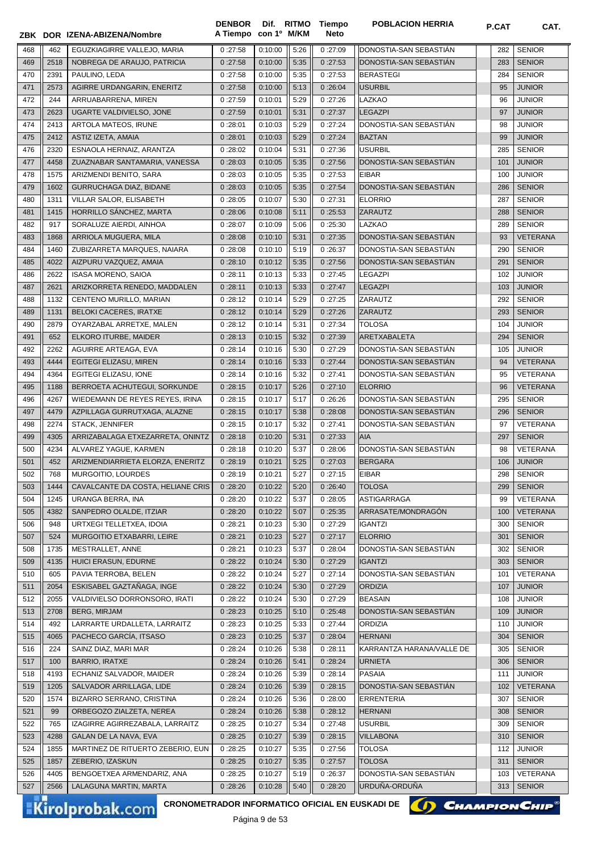|            |              | ZBK DOR IZENA-ABIZENA/Nombre                                              | <b>DENBOR</b><br>A Tiempo | con 1º M/KM        |              | Dif. RITMO Tiempo<br><b>Neto</b> | <b>POBLACION HERRIA</b>          | P.CAT      | CAT.                           |
|------------|--------------|---------------------------------------------------------------------------|---------------------------|--------------------|--------------|----------------------------------|----------------------------------|------------|--------------------------------|
| 468        | 462          | EGUZKIAGIRRE VALLEJO, MARIA                                               | 0:27:58                   | 0:10:00            | 5:26         | 0:27:09                          | DONOSTIA-SAN SEBASTIAN           | 282        | <b>SENIOR</b>                  |
| 469        | 2518         | NOBREGA DE ARAUJO, PATRICIA                                               | 0:27:58                   | 0:10:00            | 5:35         | 0:27:53                          | DONOSTIA-SAN SEBASTIAN           | 283        | <b>SENIOR</b>                  |
| 470        | 2391         | PAULINO. LEDA                                                             | 0:27:58                   | 0:10:00            | 5:35         | 0:27:53                          | <b>BERASTEGI</b>                 | 284        | <b>SENIOR</b>                  |
| 471        | 2573         | AGIRRE URDANGARIN, ENERITZ                                                | 0:27:58                   | 0:10:00            | 5:13         | 0:26:04                          | <b>USURBIL</b>                   | 95         | <b>JUNIOR</b>                  |
| 472        | 244          | ARRUABARRENA, MIREN                                                       | 0:27:59                   | 0:10:01            | 5:29         | 0:27:26                          | LAZKAO                           | 96         | <b>JUNIOR</b>                  |
| 473        | 2623         | UGARTE VALDIVIELSO, JONE                                                  | 0:27:59                   | 0:10:01            | 5:31         | 0:27:37                          | <b>LEGAZPI</b>                   | 97         | <b>JUNIOR</b>                  |
| 474        | 2413         | ARTOLA MATEOS, IRUNE                                                      | 0:28:01                   | 0:10:03            | 5:29         | 0:27:24                          | DONOSTIA-SAN SEBASTIÁN           | 98         | <b>JUNIOR</b>                  |
| 475        | 2412         | ASTIZ IZETA, AMAIA                                                        | 0:28:01                   | 0:10:03            | 5:29         | 0:27:24                          | <b>BAZTAN</b>                    | 99         | <b>JUNIOR</b>                  |
| 476        | 2320         | ESNAOLA HERNAIZ, ARANTZA                                                  | 0:28:02                   | 0:10:04            | 5:31         | 0:27:36                          | <b>USURBIL</b>                   | 285        | <b>SENIOR</b>                  |
| 477        | 4458         | ZUAZNABAR SANTAMARIA, VANESSA                                             | 0:28:03                   | 0:10:05            | 5:35         | 0:27:56                          | DONOSTIA-SAN SEBASTIAN           | 101        | <b>JUNIOR</b>                  |
| 478        | 1575         | ARIZMENDI BENITO, SARA                                                    | 0:28:03                   | 0:10:05            | 5:35         | 0:27:53                          | <b>EIBAR</b>                     | 100        | <b>JUNIOR</b>                  |
| 479        | 1602         | <b>GURRUCHAGA DIAZ, BIDANE</b>                                            | 0:28:03                   | 0:10:05            | 5:35         | 0:27:54                          | DONOSTIA-SAN SEBASTIAN           | 286        | <b>SENIOR</b>                  |
| 480        | 1311         | VILLAR SALOR, ELISABETH                                                   | 0:28:05                   | 0:10:07            | 5:30         | 0:27:31                          | <b>ELORRIO</b>                   | 287        | <b>SENIOR</b>                  |
| 481        | 1415         | HORRILLO SÁNCHEZ, MARTA                                                   | 0:28:06                   | 0:10:08            | 5:11         | 0:25:53                          | ZARAUTZ                          | 288        | <b>SENIOR</b>                  |
| 482        | 917          | SORALUZE AIERDI, AINHOA                                                   | 0:28:07                   | 0:10:09            | 5:06         | 0:25:30                          | LAZKAO                           | 289        | <b>SENIOR</b>                  |
| 483        | 1868         | ARRIOLA MUGUERA, MILA                                                     | 0:28:08                   | 0:10:10            | 5:31         | 0:27:35                          | DONOSTIA-SAN SEBASTIAN           | 93         | <b>VETERANA</b>                |
| 484        | 1460         | ZUBIZARRETA MARQUES, NAIARA                                               | 0:28:08                   | 0:10:10            | 5:19         | 0:26:37                          | DONOSTIA-SAN SEBASTIAN           | 290        | <b>SENIOR</b>                  |
| 485        | 4022         | AIZPURU VAZQUEZ, AMAIA                                                    | 0:28:10                   | 0:10:12            | 5:35         | 0:27:56                          | DONOSTIA-SAN SEBASTIÁN           | 291        | <b>SENIOR</b>                  |
| 486<br>487 | 2622<br>2621 | ISASA MORENO, SAIOA<br>ARIZKORRETA RENEDO, MADDALEN                       | 0:28:11<br>0:28:11        | 0:10:13<br>0:10:13 | 5:33<br>5:33 | 0:27:45<br>0:27:47               | <b>LEGAZPI</b><br><b>LEGAZPI</b> | 102<br>103 | <b>JUNIOR</b><br><b>JUNIOR</b> |
| 488        | 1132         | CENTENO MURILLO, MARIAN                                                   | 0:28:12                   | 0:10:14            | 5:29         | 0:27:25                          | ZARAUTZ                          | 292        | <b>SENIOR</b>                  |
| 489        | 1131         | <b>BELOKI CACERES, IRATXE</b>                                             | 0:28:12                   | 0:10:14            | 5:29         | 0:27:26                          | ZARAUTZ                          | 293        | <b>SENIOR</b>                  |
| 490        | 2879         | OYARZABAL ARRETXE, MALEN                                                  | 0:28:12                   | 0:10:14            | 5:31         | 0:27:34                          | <b>TOLOSA</b>                    | 104        | <b>JUNIOR</b>                  |
| 491        | 652          | ELKORO ITURBE, MAIDER                                                     | 0:28:13                   | 0:10:15            | 5:32         | 0:27:39                          | ARETXABALETA                     | 294        | <b>SENIOR</b>                  |
| 492        | 2262         | AGUIRRE ARTEAGA, EVA                                                      | 0:28:14                   | 0:10:16            | 5:30         | 0:27:29                          | DONOSTIA-SAN SEBASTIAN           | 105        | <b>JUNIOR</b>                  |
| 493        | 4444         | EGITEGI ELIZASU, MIREN                                                    | 0:28:14                   | 0:10:16            | 5:33         | 0:27:44                          | DONOSTIA-SAN SEBASTIAN           | 94         | <b>VETERANA</b>                |
| 494        | 4364         | EGITEGI ELIZASU, IONE                                                     | 0:28:14                   | 0:10:16            | 5:32         | 0:27:41                          | DONOSTIA-SAN SEBASTIAN           | 95         | VETERANA                       |
| 495        | 1188         | BERROETA ACHUTEGUI, SORKUNDE                                              | 0:28:15                   | 0:10:17            | 5:26         | 0:27:10                          | <b>ELORRIO</b>                   | 96         | <b>VETERANA</b>                |
| 496        | 4267         | WIEDEMANN DE REYES REYES, IRINA                                           | 0:28:15                   | 0:10:17            | 5:17         | 0:26:26                          | DONOSTIA-SAN SEBASTIAN           | 295        | <b>SENIOR</b>                  |
| 497        | 4479         | AZPILLAGA GURRUTXAGA, ALAZNE                                              | 0:28:15                   | 0:10:17            | 5:38         | 0:28:08                          | DONOSTIA-SAN SEBASTIAN           | 296        | <b>SENIOR</b>                  |
| 498        | 2274         | <b>STACK, JENNIFER</b>                                                    | 0:28:15                   | 0:10:17            | 5:32         | 0:27:41                          | DONOSTIA-SAN SEBASTIAN           | 97         | VETERANA                       |
| 499        | 4305         | ARRIZABALAGA ETXEZARRETA, ONINTZ                                          | 0:28:18                   | 0:10:20            | 5:31         | 0:27:33                          | <b>AIA</b>                       | 297        | <b>SENIOR</b>                  |
| 500        | 4234         | ALVAREZ YAGUE, KARMEN                                                     | 0:28:18                   | 0:10:20            | 5:37         | 0:28:06                          | DONOSTIA-SAN SEBASTIAN           | 98         | <b>VETERANA</b>                |
| 501        | 452          | ARIZMENDIARRIETA ELORZA, ENERITZ                                          | 0:28:19                   | 0:10:21            | 5:25         | 0:27:03                          | <b>BERGARA</b>                   | 106        | <b>JUNIOR</b>                  |
| 502        | 768          | MURGOITIO, LOURDES                                                        | 0:28:19                   | 0:10:21            | 5:27         | 0:27:15                          | <b>EIBAR</b>                     | 298        | <b>SENIOR</b>                  |
| 503        | 1444         | CAVALCANTE DA COSTA, HELIANE CRIS                                         | 0:28:20                   | 0:10:22            | 5:20         | 0:26:40                          | <b>TOLOSA</b>                    | 299        | <b>SENIOR</b>                  |
| 504        | 1245         | URANGA BERRA, INA                                                         | 0:28:20                   | 0:10:22            | 5:37         | 0:28:05                          | <b>ASTIGARRAGA</b>               | 99         | <b>VETERANA</b>                |
| 505        | 4382         | SANPEDRO OLALDE, ITZIAR                                                   | 0:28:20                   | 0:10:22            | 5:07         | 0:25:35                          | ARRASATE/MONDRAGÓN               | 100        | <b>VETERANA</b>                |
| 506        | 948          | URTXEGI TELLETXEA, IDOIA                                                  | 0:28:21                   | 0:10:23            | 5:30         | 0:27:29                          | <b>IGANTZI</b>                   | 300        | <b>SENIOR</b>                  |
| 507        | 524          | MURGOITIO ETXABARRI, LEIRE                                                | 0:28:21                   | 0:10:23            | 5:27         | 0:27:17                          | <b>ELORRIO</b>                   | 301        | <b>SENIOR</b>                  |
| 508        | 1735         | MESTRALLET, ANNE                                                          | 0:28:21                   | 0:10:23            | 5:37         | 0:28:04                          | DONOSTIA-SAN SEBASTIAN           | 302        | <b>SENIOR</b>                  |
| 509        | 4135         | HUICI ERASUN, EDURNE                                                      | 0:28:22                   | 0:10:24            | 5:30         | 0:27:29                          | <b>IGANTZI</b>                   | 303        | <b>SENIOR</b>                  |
| 510        | 605          | PAVIA TERROBA, BELEN                                                      | 0:28:22                   | 0:10:24            | 5:27         | 0:27:14                          | DONOSTIA-SAN SEBASTIAN           | 101        | VETERANA                       |
| 511        | 2054         | ESKISABEL GAZTAÑAGA, INGE                                                 | 0:28:22                   | 0:10:24            | 5:30         | 0:27:29                          | <b>ORDIZIA</b>                   | 107        | <b>JUNIOR</b>                  |
| 512        | 2055         | VALDIVIELSO DORRONSORO, IRATI                                             | 0:28:22                   | 0:10:24            | 5:30         | 0:27:29                          | <b>BEASAIN</b>                   | 108        | <b>JUNIOR</b>                  |
| 513        | 2708         | <b>BERG, MIRJAM</b>                                                       | 0:28:23                   | 0:10:25            | 5:10         | 0:25:48                          | DONOSTIA-SAN SEBASTIAN           | 109        | <b>JUNIOR</b>                  |
| 514        | 492          | LARRARTE URDALLETA, LARRAITZ                                              | 0:28:23                   | 0:10:25            | 5:33         | 0:27:44                          | ORDIZIA                          | 110        | <b>JUNIOR</b>                  |
| 515        | 4065         | PACHECO GARCÍA, ITSASO                                                    | 0:28:23                   | 0:10:25            | 5:37         | 0:28:04                          | HERNANI                          | 304        | <b>SENIOR</b>                  |
| 516        | 224          | SAINZ DIAZ, MARI MAR                                                      | 0:28:24                   | 0:10:26            | 5:38         | 0:28:11                          | KARRANTZA HARANA/VALLE DE        | 305        | <b>SENIOR</b>                  |
| 517        | 100          | <b>BARRIO, IRATXE</b>                                                     | 0:28:24                   | 0:10:26            | 5:41         | 0:28:24                          | <b>URNIETA</b>                   | 306        | <b>SENIOR</b>                  |
| 518        | 4193         | ECHANIZ SALVADOR, MAIDER                                                  | 0:28:24                   | 0:10:26            | 5:39         | 0:28:14                          | PASAIA                           | 111        | <b>JUNIOR</b>                  |
| 519        | 1205         | SALVADOR ARRILLAGA, LIDE                                                  | 0:28:24                   | 0:10:26            | 5:39         | 0:28:15                          | DONOSTIA-SAN SEBASTIAN           | 102        | VETERANA                       |
| 520        | 1574         | BIZARRO SERRANO, CRISTINA                                                 | 0:28:24                   | 0:10:26            | 5:36         | 0:28:00                          | <b>ERRENTERIA</b>                | 307        | <b>SENIOR</b>                  |
| 521        | 99           | ORBEGOZO ZIALZETA, NEREA                                                  | 0:28:24                   | 0:10:26            | 5:38         | 0:28:12                          | <b>HERNANI</b>                   | 308        | <b>SENIOR</b>                  |
| 522        | 765          | IZAGIRRE AGIRREZABALA, LARRAITZ                                           | 0:28:25                   | 0:10:27            | 5:34         | 0:27:48                          | USURBIL                          | 309        | <b>SENIOR</b>                  |
| 523<br>524 | 4288<br>1855 | GALAN DE LA NAVA, EVA                                                     | 0:28:25<br>0:28:25        | 0:10:27<br>0:10:27 | 5:39<br>5:35 | 0:28:15<br>0:27:56               | <b>VILLABONA</b><br>TOLOSA       | 310<br>112 | <b>SENIOR</b><br><b>JUNIOR</b> |
| 525        | 1857         | MARTINEZ DE RITUERTO ZEBERIO, EUN<br>ZEBERIO, IZASKUN                     | 0:28:25                   | 0:10:27            | 5:35         | 0:27:57                          | <b>TOLOSA</b>                    | 311        | <b>SENIOR</b>                  |
| 526        | 4405         | BENGOETXEA ARMENDARIZ, ANA                                                | 0:28:25                   | 0:10:27            | 5:19         | 0:26:37                          | DONOSTIA-SAN SEBASTIAN           | 103        | VETERANA                       |
| 527        | 2566         | LALAGUNA MARTIN, MARTA                                                    | 0:28:26                   | 0:10:28            | 5:40         | 0:28:20                          | URDUÑA-ORDUÑA                    | 313        | <b>SENIOR</b>                  |
|            |              |                                                                           |                           |                    |              |                                  |                                  |            |                                |
|            |              | CRONOMETRADOR INFORMATICO OFICIAL EN EUSKADI DE<br><b>Kirolprobak.com</b> |                           |                    |              |                                  | () CHAMPION CHIP                 |            |                                |

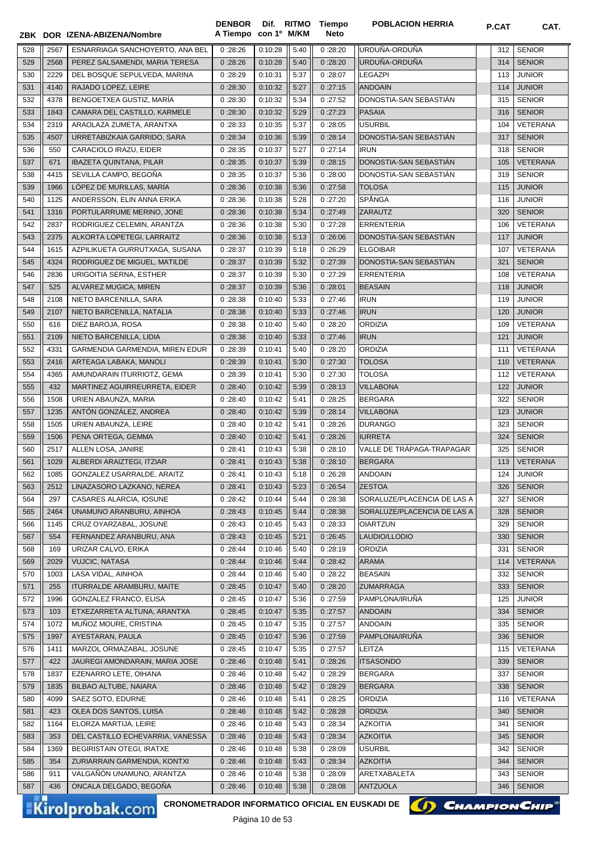|     |      | ZBK DOR IZENA-ABIZENA/Nombre     | A Tiempo con 1º M/KM |         |      | Neto    |                             |     |                 |
|-----|------|----------------------------------|----------------------|---------|------|---------|-----------------------------|-----|-----------------|
| 528 | 2567 | ESNARRIAGA SANCHOYERTO, ANA BEL  | 0:28:26              | 0:10:28 | 5:40 | 0:28:20 | URDUÑA-ORDUÑA               | 312 | <b>SENIOR</b>   |
| 529 | 2568 | PEREZ SALSAMENDI, MARIA TERESA   | 0:28:26              | 0:10:28 | 5:40 | 0:28:20 | URDUÑA-ORDUÑA               | 314 | <b>SENIOR</b>   |
| 530 | 2229 | DEL BOSQUE SEPULVEDA, MARINA     | 0:28:29              | 0:10:31 | 5:37 | 0:28:07 | <b>LEGAZPI</b>              | 113 | <b>JUNIOR</b>   |
| 531 | 4140 | RAJADO LOPEZ, LEIRE              | 0:28:30              | 0:10:32 | 5:27 | 0:27:15 | <b>ANDOAIN</b>              | 114 | <b>JUNIOR</b>   |
| 532 | 4378 | BENGOETXEA GUSTIZ, MARÍA         | 0:28:30              | 0:10:32 | 5:34 | 0:27:52 | DONOSTIA-SAN SEBASTIÁN      | 315 | <b>SENIOR</b>   |
| 533 | 1843 | CAMARA DEL CASTILLO, KARMELE     | 0:28:30              | 0:10:32 | 5:29 | 0:27:23 | <b>PASAIA</b>               | 316 | <b>SENIOR</b>   |
| 534 | 2319 | ARAOLAZA ZUMETA, ARANTXA         | 0:28:33              | 0:10:35 | 5:37 | 0:28:05 | <b>USURBIL</b>              | 104 | VETERANA        |
| 535 | 4507 | URRETABIZKAIA GARRIDO, SARA      | 0:28:34              | 0:10:36 | 5:39 | 0:28:14 | DONOSTIA-SAN SEBASTIÁN      | 317 | <b>SENIOR</b>   |
| 536 | 550  | CARACIOLO IRAZU, EIDER           | 0:28:35              | 0:10:37 | 5:27 | 0:27:14 | <b>IRUN</b>                 | 318 | <b>SENIOR</b>   |
| 537 | 671  | <b>IBAZETA QUINTANA, PILAR</b>   | 0:28:35              | 0:10:37 | 5:39 | 0:28:15 | DONOSTIA-SAN SEBASTIAN      | 105 | VETERANA        |
| 538 | 4415 | SEVILLA CAMPO, BEGOÑA            | 0:28:35              | 0:10:37 | 5:36 | 0:28:00 | DONOSTIA-SAN SEBASTIÁN      | 319 | <b>SENIOR</b>   |
| 539 | 1966 | LÓPEZ DE MURILLAS, MARÍA         | 0:28:36              | 0:10:38 | 5:36 | 0:27:58 | <b>TOLOSA</b>               | 115 | <b>JUNIOR</b>   |
| 540 | 1125 | ANDERSSON, ELIN ANNA ERIKA       | 0:28:36              | 0:10:38 | 5:28 | 0:27:20 | SPÅNGA                      | 116 | <b>JUNIOR</b>   |
| 541 | 1316 | PORTULARRUME MERINO, JONE        | 0:28:36              | 0:10:38 | 5:34 | 0:27:49 | ZARAUTZ                     | 320 | <b>SENIOR</b>   |
| 542 | 2837 | RODRIGUEZ CELEMIN, ARANTZA       | 0:28:36              | 0:10:38 | 5:30 | 0:27:28 | <b>ERRENTERIA</b>           | 106 | VETERANA        |
| 543 | 2375 | ALKORTA LOPETEGI, LARRAITZ       | 0:28:36              | 0:10:38 | 5:13 | 0:26:06 | DONOSTIA-SAN SEBASTIAN      | 117 | <b>JUNIOR</b>   |
| 544 | 1615 | AZPILIKUETA GURRUTXAGA, SUSANA   | 0:28:37              | 0:10:39 | 5:18 | 0:26:29 | <b>ELGOIBAR</b>             | 107 | VETERANA        |
| 545 | 4324 | RODRIGUEZ DE MIGUEL, MATILDE     | 0:28:37              | 0:10:39 | 5:32 | 0:27:39 | DONOSTIA-SAN SEBASTIAN      | 321 | <b>SENIOR</b>   |
| 546 | 2836 | URIGOITIA SERNA, ESTHER          | 0:28:37              | 0:10:39 | 5:30 | 0:27:29 | <b>ERRENTERIA</b>           | 108 | VETERANA        |
| 547 | 525  | ALVAREZ MUGICA, MIREN            | 0:28:37              | 0:10:39 | 5:36 | 0:28:01 | <b>BEASAIN</b>              | 118 | <b>JUNIOR</b>   |
|     |      |                                  |                      |         |      |         |                             |     | <b>JUNIOR</b>   |
| 548 | 2108 | NIETO BARCENILLA, SARA           | 0:28:38              | 0:10:40 | 5:33 | 0:27:46 | <b>IRUN</b>                 | 119 |                 |
| 549 | 2107 | NIETO BARCENILLA, NATALIA        | 0:28:38              | 0:10:40 | 5:33 | 0:27:46 | <b>IRUN</b>                 | 120 | <b>JUNIOR</b>   |
| 550 | 616  | DIEZ BAROJA, ROSA                | 0:28:38              | 0:10:40 | 5:40 | 0:28:20 | ORDIZIA                     | 109 | VETERANA        |
| 551 | 2109 | NIETO BARCENILLA, LIDIA          | 0:28:38              | 0:10:40 | 5:33 | 0:27:46 | <b>IRUN</b>                 | 121 | <b>JUNIOR</b>   |
| 552 | 4331 | GARMENDIA GARMENDIA, MIREN EDUR  | 0:28:39              | 0:10:41 | 5:40 | 0:28:20 | <b>ORDIZIA</b>              | 111 | VETERANA        |
| 553 | 2416 | ARTEAGA LABAKA, MANOLI           | 0:28:39              | 0:10:41 | 5:30 | 0:27:30 | <b>TOLOSA</b>               | 110 | <b>VETERANA</b> |
| 554 | 4365 | AMUNDARAIN ITURRIOTZ, GEMA       | 0:28:39              | 0:10:41 | 5:30 | 0:27:30 | <b>TOLOSA</b>               | 112 | VETERANA        |
| 555 | 432  | MARTINEZ AGUIRREURRETA, EIDER    | 0:28:40              | 0:10:42 | 5:39 | 0:28:13 | <b>VILLABONA</b>            | 122 | <b>JUNIOR</b>   |
| 556 | 1508 | URIEN ABAUNZA, MARIA             | 0:28:40              | 0:10:42 | 5:41 | 0:28:25 | <b>BERGARA</b>              | 322 | <b>SENIOR</b>   |
| 557 | 1235 | ANTÓN GONZÁLEZ, ANDREA           | 0:28:40              | 0:10:42 | 5:39 | 0:28:14 | <b>VILLABONA</b>            | 123 | <b>JUNIOR</b>   |
| 558 | 1505 | URIEN ABAUNZA, LEIRE             | 0:28:40              | 0:10:42 | 5:41 | 0:28:26 | <b>DURANGO</b>              | 323 | <b>SENIOR</b>   |
| 559 | 1506 | PENA ORTEGA, GEMMA               | 0:28:40              | 0:10:42 | 5:41 | 0:28:26 | <b>IURRETA</b>              | 324 | <b>SENIOR</b>   |
| 560 | 2517 | ALLEN LOSA, JANIRE               | 0:28:41              | 0:10:43 | 5:38 | 0:28:10 | VALLE DE TRÁPAGA-TRAPAGAR   | 325 | <b>SENIOR</b>   |
| 561 | 1029 | ALBERDI ARAIZTEGI, ITZIAR        | 0:28:41              | 0:10:43 | 5:38 | 0:28:10 | <b>BERGARA</b>              | 113 | VETERANA        |
| 562 | 1085 | GONZALEZ USARRALDE, ARAITZ       | 0:28:41              | 0:10:43 | 5:18 | 0:26:28 | ANDOAIN                     | 124 | <b>JUNIOR</b>   |
| 563 | 2512 | LINAZASORO LAZKANO, NEREA        | 0:28:41              | 0:10:43 | 5:23 | 0:26:54 | <b>ZESTOA</b>               | 326 | <b>SENIOR</b>   |
| 564 | 297  | CASARES ALARCIA, IOSUNE          | 0:28:42              | 0:10:44 | 5:44 | 0:28:38 | SORALUZE/PLACENCIA DE LAS A | 327 | <b>SENIOR</b>   |
| 565 | 2464 | UNAMUNO ARANBURU, AINHOA         | 0:28:43              | 0:10:45 | 5:44 | 0:28:38 | SORALUZE/PLACENCIA DE LAS A | 328 | <b>SENIOR</b>   |
| 566 | 1145 | CRUZ OYARZABAL, JOSUNE           | 0:28:43              | 0:10:45 | 5:43 | 0:28:33 | <b>OIARTZUN</b>             | 329 | <b>SENIOR</b>   |
| 567 | 554  | FERNANDEZ ARANBURU, ANA          | 0:28:43              | 0:10:45 | 5:21 | 0:26:45 | LAUDIO/LLODIO               | 330 | <b>SENIOR</b>   |
| 568 | 169  | URIZAR CALVO, ERIKA              | 0:28:44              | 0:10:46 | 5:40 | 0:28:19 | ORDIZIA                     | 331 | <b>SENIOR</b>   |
| 569 | 2029 | <b>VUJCIC, NATASA</b>            | 0:28:44              | 0:10:46 | 5:44 | 0:28:42 | <b>ARAMA</b>                | 114 | <b>VETERANA</b> |
| 570 | 1003 | LASA VIDAL, AINHOA               | 0:28:44              | 0:10:46 | 5:40 | 0:28:22 | <b>BEASAIN</b>              | 332 | <b>SENIOR</b>   |
| 571 | 255  | <b>ITURRALDE ARAMBURU, MAITE</b> | 0:28:45              | 0:10:47 | 5:40 | 0:28:20 | <b>ZUMARRAGA</b>            | 333 | <b>SENIOR</b>   |
| 572 | 1996 | GONZALEZ FRANCO, ELISA           | 0:28:45              | 0:10:47 | 5:36 | 0:27:59 | PAMPLONA/IRUÑA              | 125 | <b>JUNIOR</b>   |
| 573 | 103  | ETXEZARRETA ALTUNA, ARANTXA      | 0:28:45              | 0:10:47 | 5:35 | 0:27:57 | <b>ANDOAIN</b>              | 334 | <b>SENIOR</b>   |
| 574 | 1072 | MUÑOZ MOURE, CRISTINA            | 0:28:45              | 0:10:47 | 5:35 | 0:27:57 | ANDOAIN                     | 335 | <b>SENIOR</b>   |
| 575 | 1997 | AYESTARAN, PAULA                 | 0:28:45              | 0:10:47 | 5:36 | 0:27:59 | PAMPLONA/IRUÑA              | 336 | <b>SENIOR</b>   |
| 576 | 1411 | MARZOL ORMAZABAL, JOSUNE         | 0:28:45              | 0:10:47 | 5:35 | 0:27:57 | LEITZA                      | 115 | VETERANA        |
| 577 | 422  | JAUREGI AMONDARAIN, MARIA JOSE   | 0:28:46              | 0:10:48 | 5:41 | 0:28:26 | <b>ITSASONDO</b>            | 339 | <b>SENIOR</b>   |
| 578 | 1837 | EZENARRO LETE, OIHANA            | 0:28:46              | 0:10:48 | 5:42 | 0:28:29 | <b>BERGARA</b>              | 337 | <b>SENIOR</b>   |
| 579 | 1835 | BILBAO ALTUBE, NAIARA            | 0:28:46              | 0:10:48 | 5:42 | 0:28:29 | <b>BERGARA</b>              | 338 | <b>SENIOR</b>   |
| 580 | 4099 | SAEZ SOTO, EDURNE                | 0:28:46              | 0:10:48 | 5:41 | 0:28:25 | ORDIZIA                     | 116 | VETERANA        |
| 581 | 423  | OLEA DOS SANTOS, LUISA           | 0:28:46              | 0:10:48 | 5:42 | 0:28:28 | <b>ORDIZIA</b>              | 340 | <b>SENIOR</b>   |
| 582 | 1164 | ELORZA MARTIJA, LEIRE            | 0:28:46              | 0:10:48 | 5:43 | 0:28:34 | <b>AZKOITIA</b>             | 341 | <b>SENIOR</b>   |
| 583 | 353  | DEL CASTILLO ECHEVARRIA, VANESSA | 0:28:46              | 0:10:48 | 5:43 | 0:28:34 | <b>AZKOITIA</b>             | 345 | <b>SENIOR</b>   |
| 584 | 1369 | BEGIRISTAIN OTEGI, IRATXE        | 0:28:46              | 0:10:48 | 5:38 | 0:28:09 | <b>USURBIL</b>              | 342 | <b>SENIOR</b>   |
| 585 | 354  | ZURIARRAIN GARMENDIA, KONTXI     | 0:28:46              | 0:10:48 | 5:43 | 0:28:34 | <b>AZKOITIA</b>             | 344 | <b>SENIOR</b>   |
| 586 | 911  | VALGAÑÓN UNAMUNO, ARANTZA        | 0:28:46              | 0:10:48 | 5:38 | 0:28:09 | ARETXABALETA                | 343 | <b>SENIOR</b>   |
|     | 436  | ONCALA DELGADO, BEGOÑA           |                      | 0:10:48 |      | 0:28:08 | <b>ANTZUOLA</b>             |     | <b>SENIOR</b>   |
| 587 |      |                                  | 0:28:46              |         | 5:38 |         |                             | 346 |                 |

**Tiempo** 

**DENBOR**

**CRONOMETRADOR INFORMATICO OFICIAL EN EUSKADI DE CHAMPION CHIP<sup>®</sup>** 



**POBLACION HERRIA P.CAT CAT.** 

Página 10 de 53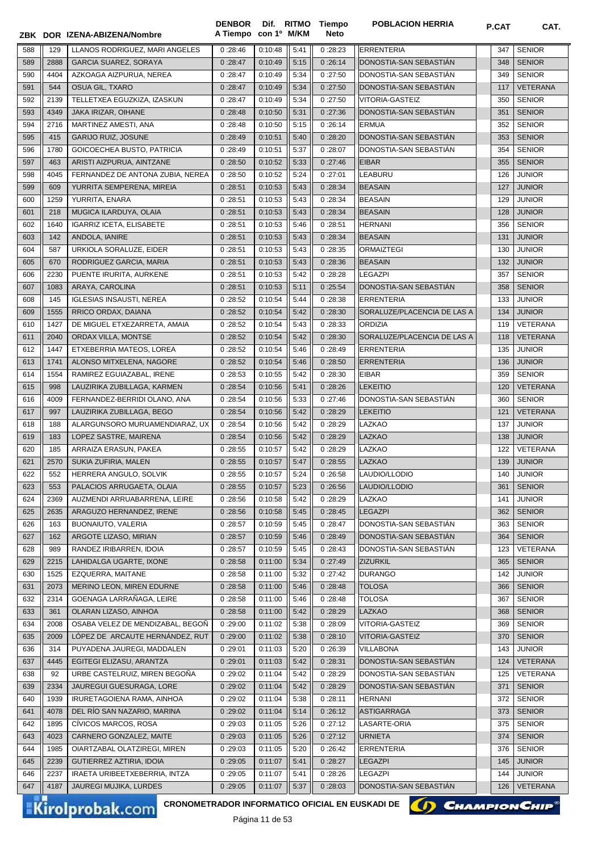|     |      | ZBK DOR IZENA-ABIZENA/Nombre     | A Tiempo con 1º M/KM |         |      | Neto    |                             | <b>P.UAI</b> | UAI.            |
|-----|------|----------------------------------|----------------------|---------|------|---------|-----------------------------|--------------|-----------------|
| 588 | 129  | LLANOS RODRIGUEZ, MARI ANGELES   | 0:28:46              | 0:10:48 | 5:41 | 0:28:23 | ERRENTERIA                  | 347          | <b>SENIOR</b>   |
| 589 | 2888 | <b>GARCIA SUAREZ, SORAYA</b>     | 0:28:47              | 0:10:49 | 5:15 | 0:26:14 | DONOSTIA-SAN SEBASTIAN      | 348          | <b>SENIOR</b>   |
| 590 | 4404 | AZKOAGA AIZPURUA, NEREA          | 0:28:47              | 0:10:49 | 5:34 | 0:27:50 | DONOSTIA-SAN SEBASTIAN      | 349          | <b>SENIOR</b>   |
| 591 | 544  | OSUA GIL, TXARO                  | 0:28:47              | 0:10:49 | 5:34 | 0:27:50 | DONOSTIA-SAN SEBASTIAN      | 117          | <b>VETERANA</b> |
| 592 | 2139 | TELLETXEA EGUZKIZA, IZASKUN      | 0:28:47              | 0:10:49 | 5:34 | 0:27:50 | <b>VITORIA-GASTEIZ</b>      | 350          | <b>SENIOR</b>   |
| 593 | 4349 | <b>JAKA IRIZAR, OIHANE</b>       | 0:28:48              | 0:10:50 | 5:31 | 0:27:36 | DONOSTIA-SAN SEBASTIAN      | 351          | <b>SENIOR</b>   |
| 594 | 2716 | MARTINEZ AMESTI, ANA             | 0:28:48              | 0:10:50 | 5:15 | 0:26:14 | <b>ERMUA</b>                | 352          | <b>SENIOR</b>   |
| 595 | 415  | <b>GARIJO RUIZ, JOSUNE</b>       | 0:28:49              | 0:10:51 | 5:40 | 0:28:20 | DONOSTIA-SAN SEBASTIAN      | 353          | <b>SENIOR</b>   |
| 596 | 1780 | GOICOECHEA BUSTO, PATRICIA       | 0:28:49              | 0:10:51 | 5:37 | 0:28:07 | DONOSTIA-SAN SEBASTIAN      | 354          | <b>SENIOR</b>   |
| 597 | 463  | ARISTI AIZPURUA, AINTZANE        | 0:28:50              | 0:10:52 | 5:33 | 0:27:46 | <b>EIBAR</b>                | 355          | <b>SENIOR</b>   |
| 598 | 4045 | FERNANDEZ DE ANTONA ZUBIA, NEREA | 0:28:50              | 0:10:52 | 5:24 | 0:27:01 | LEABURU                     | 126          | <b>JUNIOR</b>   |
| 599 | 609  | YURRITA SEMPERENA, MIREIA        | 0:28:51              | 0:10:53 | 5:43 | 0:28:34 | <b>BEASAIN</b>              | 127          | <b>JUNIOR</b>   |
| 600 | 1259 | YURRITA, ENARA                   | 0:28:51              | 0:10:53 | 5:43 | 0:28:34 | <b>BEASAIN</b>              | 129          | <b>JUNIOR</b>   |
| 601 | 218  | MUGICA ILARDUYA, OLAIA           | 0:28:51              | 0:10:53 | 5:43 | 0:28:34 | <b>BEASAIN</b>              | 128          | <b>JUNIOR</b>   |
| 602 | 1640 | <b>IGARRIZ ICETA, ELISABETE</b>  | 0:28:51              | 0:10:53 | 5:46 | 0:28:51 | <b>HERNANI</b>              | 356          | <b>SENIOR</b>   |
| 603 | 142  | ANDOLA, IANIRE                   | 0:28:51              | 0:10:53 | 5:43 | 0:28:34 | <b>BEASAIN</b>              | 131          | <b>JUNIOR</b>   |
| 604 | 587  | URKIOLA SORALUZE, EIDER          | 0:28:51              | 0:10:53 | 5:43 | 0:28:35 | <b>ORMAIZTEGI</b>           | 130          | <b>JUNIOR</b>   |
| 605 | 670  | RODRIGUEZ GARCIA, MARIA          | 0:28:51              | 0:10:53 | 5:43 | 0:28:36 | <b>BEASAIN</b>              | 132          | <b>JUNIOR</b>   |
| 606 | 2230 | PUENTE IRURITA, AURKENE          | 0:28:51              | 0:10:53 | 5:42 | 0:28:28 | <b>LEGAZPI</b>              | 357          | <b>SENIOR</b>   |
| 607 | 1083 | ARAYA, CAROLINA                  | 0:28:51              | 0:10:53 | 5:11 | 0:25:54 | DONOSTIA-SAN SEBASTIAN      | 358          | <b>SENIOR</b>   |
| 608 | 145  | <b>IGLESIAS INSAUSTI, NEREA</b>  | 0:28:52              | 0:10:54 | 5:44 | 0:28:38 | <b>ERRENTERIA</b>           | 133          | <b>JUNIOR</b>   |
| 609 | 1555 | RRICO ORDAX, DAIANA              | 0:28:52              | 0:10:54 | 5:42 | 0:28:30 | SORALUZE/PLACENCIA DE LAS A | 134          | <b>JUNIOR</b>   |
| 610 | 1427 | DE MIGUEL ETXEZARRETA, AMAIA     | 0:28:52              | 0:10:54 | 5:43 | 0:28:33 | <b>ORDIZIA</b>              | 119          | VETERANA        |
| 611 | 2040 | ORDAX VILLA, MONTSE              | 0:28:52              | 0:10:54 | 5:42 | 0:28:30 | SORALUZE/PLACENCIA DE LAS A | 118          | VETERANA        |
| 612 | 1447 | ETXEBERRIA MATEOS, LOREA         | 0:28:52              | 0:10:54 | 5:46 | 0:28:49 | <b>ERRENTERIA</b>           | 135          | <b>JUNIOR</b>   |
| 613 | 1741 | ALONSO MITXELENA, NAGORE         | 0:28:52              | 0:10:54 | 5:46 | 0:28:50 | <b>ERRENTERIA</b>           | 136          | <b>JUNIOR</b>   |
| 614 | 1554 | RAMIREZ EGUIAZABAL, IRENE        | 0:28:53              | 0:10:55 | 5:42 | 0:28:30 | <b>EIBAR</b>                | 359          | <b>SENIOR</b>   |
| 615 | 998  | LAUZIRIKA ZUBILLAGA, KARMEN      | 0:28:54              | 0:10:56 | 5:41 | 0:28:26 | <b>LEKEITIO</b>             | 120          | VETERANA        |
| 616 | 4009 | FERNANDEZ-BERRIDI OLANO, ANA     | 0:28:54              | 0:10:56 | 5:33 | 0:27:46 | DONOSTIA-SAN SEBASTIAN      | 360          | <b>SENIOR</b>   |
| 617 | 997  | LAUZIRIKA ZUBILLAGA, BEGO        | 0:28:54              | 0:10:56 | 5:42 | 0:28:29 | <b>LEKEITIO</b>             | 121          | VETERANA        |
| 618 | 188  | ALARGUNSORO MURUAMENDIARAZ, UX   | 0:28:54              | 0:10:56 | 5:42 | 0:28:29 | <b>LAZKAO</b>               | 137          | <b>JUNIOR</b>   |
| 619 | 183  | LOPEZ SASTRE, MAIRENA            | 0:28:54              | 0:10:56 | 5:42 | 0:28:29 | <b>LAZKAO</b>               | 138          | <b>JUNIOR</b>   |
| 620 | 185  | ARRAIZA ERASUN, PAKEA            | 0:28:55              | 0:10:57 | 5:42 | 0:28:29 | <b>LAZKAO</b>               | 122          | VETERANA        |
| 621 | 2570 | SUKIA ZUFIRIA, MALEN             | 0:28:55              | 0:10:57 | 5:47 | 0:28:55 | <b>LAZKAO</b>               | 139          | <b>JUNIOR</b>   |
| 622 | 552  | HERRERA ANGULO, SOLVIK           | 0:28:55              | 0:10:57 | 5:24 | 0:26:58 | LAUDIO/LLODIO               | 140          | <b>JUNIOR</b>   |
| 623 | 553  | PALACIOS ARRUGAETA, OLAIA        | 0:28:55              | 0:10:57 | 5:23 | 0:26:56 | LAUDIO/LLODIO               | 361          | <b>SENIOR</b>   |
| 624 | 2369 | AUZMENDI ARRUABARRENA, LEIRE     | 0:28:56              | 0:10:58 | 5:42 | 0:28:29 | <b>LAZKAO</b>               | 141          | <b>JUNIOR</b>   |
| 625 | 2635 | ARAGUZO HERNANDEZ, IRENE         | 0:28:56              | 0:10:58 | 5:45 | 0:28:45 | LEGAZPI                     | 362          | <b>SENIOR</b>   |
| 626 | 163  | BUONAIUTO, VALERIA               | 0:28:57              | 0:10:59 | 5:45 | 0:28:47 | DONOSTIA-SAN SEBASTIÁN      | 363          | <b>SENIOR</b>   |
| 627 | 162  | ARGOTE LIZASO, MIRIAN            | 0:28:57              | 0:10:59 | 5:46 | 0:28:49 | DONOSTIA-SAN SEBASTIAN      | 364          | <b>SENIOR</b>   |
| 628 | 989  | RANDEZ IRIBARREN, IDOIA          | 0:28:57              | 0:10:59 | 5:45 | 0:28:43 | DONOSTIA-SAN SEBASTIÁN      | 123          | <b>VETERANA</b> |
| 629 | 2215 | LAHIDALGA UGARTE, IXONE          | 0:28:58              | 0:11:00 | 5:34 | 0:27:49 | <b>ZIZURKIL</b>             | 365          | <b>SENIOR</b>   |
| 630 | 1525 | EZQUERRA, MAITANE                | 0:28:58              | 0:11:00 | 5:32 | 0:27:42 | <b>DURANGO</b>              | 142          | <b>JUNIOR</b>   |
| 631 | 2073 | MERINO LEON, MIREN EDURNE        | 0:28:58              | 0:11:00 | 5:46 | 0:28:48 | <b>TOLOSA</b>               | 366          | <b>SENIOR</b>   |
| 632 | 2314 | GOENAGA LARRAÑAGA, LEIRE         | 0:28:58              | 0:11:00 | 5:46 | 0:28:48 | <b>TOLOSA</b>               | 367          | <b>SENIOR</b>   |
| 633 | 361  | OLARAN LIZASO, AINHOA            | 0:28:58              | 0:11:00 | 5:42 | 0:28:29 | <b>LAZKAO</b>               | 368          | <b>SENIOR</b>   |
| 634 | 2008 | OSABA VELEZ DE MENDIZABAL, BEGOÑ | 0:29:00              | 0:11:02 | 5:38 | 0:28:09 | VITORIA-GASTEIZ             | 369          | <b>SENIOR</b>   |
| 635 | 2009 | LÓPEZ DE ARCAUTE HERNÁNDEZ, RUT  | 0:29:00              | 0:11:02 | 5:38 | 0:28:10 | VITORIA-GASTEIZ             | 370          | <b>SENIOR</b>   |
| 636 | 314  | PUYADENA JAUREGI, MADDALEN       | 0:29:01              | 0:11:03 | 5:20 | 0:26:39 | <b>VILLABONA</b>            | 143          | <b>JUNIOR</b>   |
| 637 | 4445 | EGITEGI ELIZASU, ARANTZA         | 0:29:01              | 0:11:03 | 5:42 | 0:28:31 | DONOSTIA-SAN SEBASTIÁN      | 124          | <b>VETERANA</b> |
| 638 | 92   | URBE CASTELRUIZ, MIREN BEGOÑA    | 0:29:02              | 0:11:04 | 5:42 | 0:28:29 | DONOSTIA-SAN SEBASTIAN      | 125          | VETERANA        |
| 639 | 2334 | JAUREGUI GUESURAGA, LORE         | 0:29:02              | 0:11:04 | 5:42 | 0:28:29 | DONOSTIA-SAN SEBASTIAN      | 371          | <b>SENIOR</b>   |
| 640 | 1939 | IRURETAGOIENA RAMA, AINHOA       | 0:29:02              | 0:11:04 | 5:38 | 0:28:11 | <b>HERNANI</b>              | 372          | <b>SENIOR</b>   |
| 641 | 4078 | DEL RÍO SAN NAZARIO, MARINA      | 0:29:02              | 0:11:04 | 5:14 | 0:26:12 | <b>ASTIGARRAGA</b>          | 373          | <b>SENIOR</b>   |
| 642 | 1895 | CÍVICOS MARCOS, ROSA             | 0:29:03              | 0:11:05 | 5:26 | 0:27:12 | LASARTE-ORIA                | 375          | <b>SENIOR</b>   |
| 643 | 4023 | CARNERO GONZALEZ, MAITE          | 0:29:03              | 0:11:05 | 5:26 | 0:27:12 | <b>URNIETA</b>              | 374          | <b>SENIOR</b>   |
| 644 | 1985 | OIARTZABAL OLATZIREGI, MIREN     | 0:29:03              | 0:11:05 | 5:20 | 0:26:42 | <b>ERRENTERIA</b>           | 376          | <b>SENIOR</b>   |
| 645 | 2239 | GUTIERREZ AZTIRIA, IDOIA         | 0:29:05              | 0:11:07 | 5:41 | 0:28:27 | <b>LEGAZPI</b>              | 145          | <b>JUNIOR</b>   |
| 646 | 2237 | IRAETA URIBEETXEBERRIA, INTZA    | 0:29:05              | 0:11:07 | 5:41 | 0:28:26 | <b>LEGAZPI</b>              | 144          | JUNIOR          |
| 647 | 4187 | JAUREGI MUJIKA, LURDES           | 0:29:05              | 0:11:07 | 5:37 | 0:28:03 | DONOSTIA-SAN SEBASTIAN      | 126          | <b>VETERANA</b> |

**Tiempo** 

**DENBOR**

Kirolprobak.com

CRONOMETRADOR INFORMATICO OFICIAL EN EUSKADI DE **(A) CHAMPION CHIP<sup>®</sup>** 



**POBLACION HERRIA P.CAT CAT.**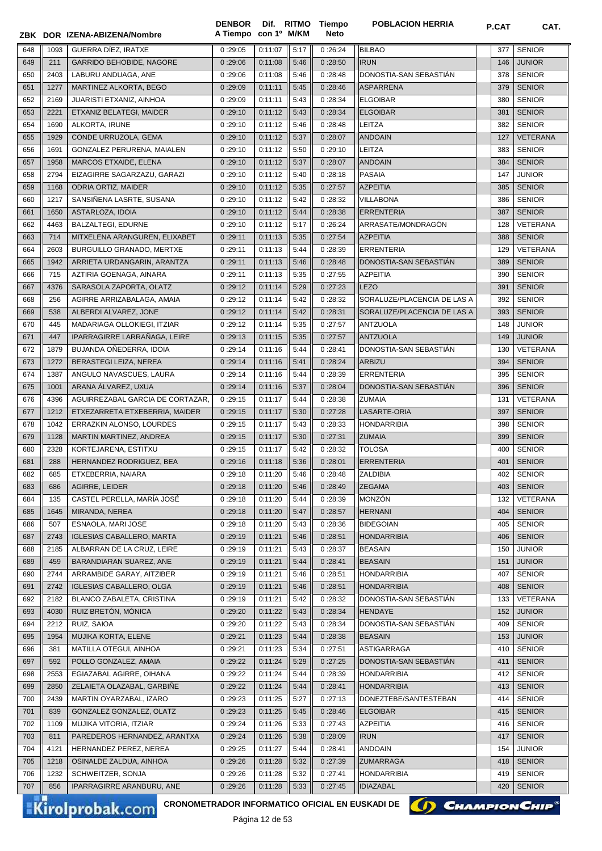|     |      | ZBK DOR IZENA-ABIZENA/Nombre     | A Tiempo con 1º M/KM |         |      | Neto    |                             | <b>P.UAI</b> | <b>UAI.</b>   |
|-----|------|----------------------------------|----------------------|---------|------|---------|-----------------------------|--------------|---------------|
| 648 | 1093 | GUERRA DIEZ, IRATXE              | 0:29:05              | 0:11:07 | 5:17 | 0:26:24 | <b>BILBAO</b>               | 377          | <b>SENIOR</b> |
| 649 | 211  | <b>GARRIDO BEHOBIDE, NAGORE</b>  | 0:29:06              | 0:11:08 | 5:46 | 0:28:50 | <b>IRUN</b>                 | 146          | <b>JUNIOR</b> |
| 650 | 2403 | LABURU ANDUAGA, ANE              | 0:29:06              | 0:11:08 | 5:46 | 0:28:48 | DONOSTIA-SAN SEBASTIAN      | 378          | <b>SENIOR</b> |
| 651 | 1277 | MARTINEZ ALKORTA, BEGO           | 0:29:09              | 0:11:11 | 5:45 | 0:28:46 | <b>ASPARRENA</b>            | 379          | <b>SENIOR</b> |
| 652 | 2169 | JUARISTI ETXANIZ, AINHOA         | 0:29:09              | 0:11:11 | 5:43 | 0:28:34 | <b>ELGOIBAR</b>             | 380          | <b>SENIOR</b> |
| 653 | 2221 | ETXANIZ BELATEGI, MAIDER         | 0:29:10              | 0:11:12 | 5:43 | 0:28:34 | <b>ELGOIBAR</b>             | 381          | <b>SENIOR</b> |
| 654 | 1690 | ALKORTA, IRUNE                   | 0:29:10              | 0:11:12 | 5:46 | 0:28:48 | <b>LEITZA</b>               | 382          | <b>SENIOR</b> |
| 655 | 1929 | CONDE URRUZOLA, GEMA             | 0:29:10              | 0:11:12 | 5:37 | 0:28:07 | <b>ANDOAIN</b>              | 127          | VETERANA      |
| 656 | 1691 | GONZALEZ PERURENA, MAIALEN       | 0:29:10              | 0:11:12 | 5:50 | 0:29:10 | <b>LEITZA</b>               | 383          | <b>SENIOR</b> |
| 657 | 1958 | MARCOS ETXAIDE, ELENA            | 0:29:10              | 0:11:12 | 5:37 | 0:28:07 | <b>ANDOAIN</b>              | 384          | <b>SENIOR</b> |
| 658 | 2794 | EIZAGIRRE SAGARZAZU, GARAZI      | 0:29:10              | 0:11:12 | 5:40 | 0:28:18 | <b>PASAIA</b>               | 147          | <b>JUNIOR</b> |
| 659 | 1168 | <b>ODRIA ORTIZ, MAIDER</b>       | 0:29:10              | 0:11:12 | 5:35 | 0:27:57 | <b>AZPEITIA</b>             | 385          | <b>SENIOR</b> |
| 660 | 1217 | SANSIÑENA LASRTE, SUSANA         | 0:29:10              | 0:11:12 | 5:42 | 0:28:32 | <b>VILLABONA</b>            | 386          | <b>SENIOR</b> |
| 661 | 1650 | ASTARLOZA, IDOIA                 | 0:29:10              | 0:11:12 | 5:44 | 0:28:38 | <b>ERRENTERIA</b>           | 387          | <b>SENIOR</b> |
| 662 | 4463 | <b>BALZALTEGI, EDURNE</b>        | 0:29:10              | 0:11:12 | 5:17 | 0:26:24 | ARRASATE/MONDRAGÓN          | 128          | VETERANA      |
| 663 | 714  | MITXELENA ARANGUREN, ELIXABET    | 0:29:11              | 0:11:13 | 5:35 | 0:27:54 | <b>AZPEITIA</b>             | 388          | <b>SENIOR</b> |
| 664 | 2603 | BURGUILLO GRANADO, MERTXE        | 0:29:11              | 0:11:13 | 5:44 | 0:28:39 | <b>ERRENTERIA</b>           | 129          | VETERANA      |
| 665 | 1942 | ARRIETA URDANGARIN, ARANTZA      | 0:29:11              | 0:11:13 | 5:46 | 0:28:48 | DONOSTIA-SAN SEBASTIAN      | 389          | <b>SENIOR</b> |
| 666 | 715  | AZTIRIA GOENAGA, AINARA          | 0:29:11              | 0:11:13 | 5:35 | 0:27:55 | <b>AZPEITIA</b>             | 390          | <b>SENIOR</b> |
| 667 | 4376 | SARASOLA ZAPORTA, OLATZ          | 0:29:12              | 0:11:14 | 5:29 | 0:27:23 | <b>LEZO</b>                 | 391          | <b>SENIOR</b> |
| 668 | 256  | AGIRRE ARRIZABALAGA, AMAIA       | 0:29:12              | 0:11:14 | 5:42 | 0:28:32 | SORALUZE/PLACENCIA DE LAS A | 392          | <b>SENIOR</b> |
| 669 | 538  | ALBERDI ALVAREZ, JONE            | 0:29:12              | 0:11:14 | 5:42 | 0:28:31 | SORALUZE/PLACENCIA DE LAS A | 393          | <b>SENIOR</b> |
| 670 | 445  | MADARIAGA OLLOKIEGI, ITZIAR      | 0:29:12              | 0:11:14 | 5:35 | 0:27:57 | ANTZUOLA                    | 148          | <b>JUNIOR</b> |
| 671 | 447  | IPARRAGIRRE LARRAÑAGA, LEIRE     | 0:29:13              | 0:11:15 | 5:35 | 0:27:57 | <b>ANTZUOLA</b>             | 149          | <b>JUNIOR</b> |
| 672 | 1879 | BUJANDA ONEDERRA, IDOIA          | 0:29:14              | 0:11:16 | 5:44 | 0:28:41 | DONOSTIA-SAN SEBASTIAN      | 130          | VETERANA      |
| 673 | 1272 | <b>BERASTEGI LEIZA, NEREA</b>    | 0:29:14              | 0:11:16 | 5:41 | 0:28:24 | <b>ARBIZU</b>               | 394          | <b>SENIOR</b> |
| 674 | 1387 | ANGULO NAVASCUES, LAURA          | 0:29:14              | 0:11:16 | 5:44 | 0:28:39 | <b>ERRENTERIA</b>           | 395          | <b>SENIOR</b> |
| 675 | 1001 | ARANA ALVAREZ, UXUA              | 0:29:14              | 0:11:16 | 5:37 | 0:28:04 | DONOSTIA-SAN SEBASTIAN      | 396          | <b>SENIOR</b> |
| 676 | 4396 | AGUIRREZABAL GARCIA DE CORTAZAR, | 0:29:15              | 0:11:17 | 5:44 | 0:28:38 | <b>ZUMAIA</b>               | 131          | VETERANA      |
| 677 | 1212 | ETXEZARRETA ETXEBERRIA, MAIDER   | 0:29:15              | 0:11:17 | 5:30 | 0:27:28 | LASARTE-ORIA                | 397          | <b>SENIOR</b> |
| 678 | 1042 | ERRAZKIN ALONSO, LOURDES         | 0:29:15              | 0:11:17 | 5:43 | 0:28:33 | <b>HONDARRIBIA</b>          | 398          | <b>SENIOR</b> |
| 679 | 1128 | MARTIN MARTINEZ, ANDREA          | 0:29:15              | 0:11:17 | 5:30 | 0:27:31 | <b>ZUMAIA</b>               | 399          | <b>SENIOR</b> |
| 680 | 2328 | KORTEJARENA, ESTITXU             | 0:29:15              | 0:11:17 | 5:42 | 0:28:32 | <b>TOLOSA</b>               | 400          | <b>SENIOR</b> |
| 681 | 288  | HERNANDEZ RODRIGUEZ, BEA         | 0:29:16              | 0:11:18 | 5:36 | 0:28:01 | <b>ERRENTERIA</b>           | 401          | <b>SENIOR</b> |
| 682 | 685  | ETXEBERRIA, NAIARA               | 0:29:18              | 0:11:20 | 5:46 | 0:28:48 | <b>ZALDIBIA</b>             | 402          | <b>SENIOR</b> |
| 683 | 686  | AGIRRE, LEIDER                   | 0:29:18              | 0:11:20 | 5:46 | 0:28:49 | <b>ZEGAMA</b>               | 403          | <b>SENIOR</b> |
| 684 | 135  | CASTEL PERELLA, MARÍA JOSÉ       | 0:29:18              | 0:11:20 | 5:44 | 0:28:39 | MONZÓN                      | 132          | VETERANA      |
| 685 | 1645 | MIRANDA, NEREA                   | 0:29:18              | 0:11:20 | 5:47 | 0:28:57 | <b>HERNANI</b>              | 404          | <b>SENIOR</b> |
| 686 | 507  | ESNAOLA, MARI JOSE               | 0:29:18              | 0:11:20 | 5:43 | 0:28:36 | <b>BIDEGOIAN</b>            | 405          | <b>SENIOR</b> |
| 687 | 2743 | <b>IGLESIAS CABALLERO, MARTA</b> | 0:29:19              | 0:11:21 | 5:46 | 0:28:51 | <b>HONDARRIBIA</b>          | 406          | <b>SENIOR</b> |
| 688 | 2185 | ALBARRAN DE LA CRUZ, LEIRE       | 0:29:19              | 0:11:21 | 5:43 | 0:28:37 | <b>BEASAIN</b>              | 150          | <b>JUNIOR</b> |
| 689 | 459  | BARANDIARAN SUAREZ, ANE          | 0:29:19              | 0:11:21 | 5:44 | 0:28:41 | <b>BEASAIN</b>              | 151          | <b>JUNIOR</b> |
| 690 | 2744 | ARRAMBIDE GARAY, AITZIBER        | 0:29:19              | 0:11:21 | 5:46 | 0:28:51 | HONDARRIBIA                 | 407          | <b>SENIOR</b> |
| 691 | 2742 | <b>IGLESIAS CABALLERO, OLGA</b>  | 0:29:19              | 0:11:21 | 5:46 | 0:28:51 | <b>HONDARRIBIA</b>          | 408          | <b>SENIOR</b> |
| 692 | 2182 | BLANCO ZABALETA, CRISTINA        | 0:29:19              | 0:11:21 | 5:42 | 0:28:32 | DONOSTIA-SAN SEBASTIAN      | 133          | VETERANA      |
| 693 | 4030 | RUIZ BRETÓN, MÓNICA              | 0:29:20              | 0:11:22 | 5:43 | 0:28:34 | <b>HENDAYE</b>              | 152          | <b>JUNIOR</b> |
| 694 | 2212 | RUIZ, SAIOA                      | 0:29:20              | 0:11:22 | 5:43 | 0:28:34 | DONOSTIA-SAN SEBASTIAN      | 409          | <b>SENIOR</b> |
| 695 | 1954 | MUJIKA KORTA, ELENE              | 0:29:21              | 0:11:23 | 5:44 | 0:28:38 | <b>BEASAIN</b>              | 153          | <b>JUNIOR</b> |
| 696 | 381  | MATILLA OTEGUI, AINHOA           | 0:29:21              | 0:11:23 | 5:34 | 0:27:51 | <b>ASTIGARRAGA</b>          | 410          | <b>SENIOR</b> |
| 697 | 592  | POLLO GONZALEZ, AMAIA            | 0:29:22              | 0:11:24 | 5:29 | 0:27:25 | DONOSTIA-SAN SEBASTIÁN      | 411          | <b>SENIOR</b> |
| 698 | 2553 | EGIAZABAL AGIRRE, OIHANA         | 0:29:22              | 0:11:24 | 5:44 | 0:28:39 | <b>HONDARRIBIA</b>          | 412          | <b>SENIOR</b> |
| 699 | 2850 | ZELAIETA OLAZABAL, GARBIÑE       | 0:29:22              | 0:11:24 | 5:44 | 0:28:41 | <b>HONDARRIBIA</b>          | 413          | <b>SENIOR</b> |
| 700 | 2439 | MARTIN OYARZABAL, IZARO          | 0:29:23              | 0:11:25 | 5:27 | 0:27:13 | DONEZTEBE/SANTESTEBAN       | 414          | <b>SENIOR</b> |
| 701 | 839  | GONZALEZ GONZALEZ, OLATZ         | 0:29:23              | 0:11:25 | 5:45 | 0:28:46 | <b>ELGOIBAR</b>             | 415          | <b>SENIOR</b> |
| 702 | 1109 | MUJIKA VITORIA, ITZIAR           | 0:29:24              | 0:11:26 | 5:33 | 0:27:43 | <b>AZPEITIA</b>             | 416          | <b>SENIOR</b> |
| 703 | 811  | PAREDEROS HERNANDEZ, ARANTXA     | 0:29:24              | 0:11:26 | 5:38 | 0:28:09 | <b>IRUN</b>                 | 417          | <b>SENIOR</b> |
| 704 | 4121 | HERNANDEZ PEREZ, NEREA           | 0:29:25              | 0:11:27 | 5:44 | 0:28:41 | ANDOAIN                     | 154          | <b>JUNIOR</b> |
| 705 | 1218 | OSINALDE ZALDUA, AINHOA          | 0:29:26              | 0:11:28 | 5:32 | 0:27:39 | <b>ZUMARRAGA</b>            | 418          | <b>SENIOR</b> |
| 706 | 1232 | SCHWEITZER, SONJA                | 0:29:26              | 0:11:28 | 5:32 | 0:27:41 | HONDARRIBIA                 | 419          | <b>SENIOR</b> |
| 707 | 856  | <b>IPARRAGIRRE ARANBURU, ANE</b> | 0:29:26              | 0:11:28 | 5:33 | 0:27:45 | <b>IDIAZABAL</b>            | 420          | <b>SENIOR</b> |
|     |      |                                  |                      |         |      |         |                             |              |               |

**Tiempo** 

**DENBOR**

**CRONOMETRADOR INFORMATICO OFICIAL EN EUSKADI DE COMMETRADOR CHIP<sup>®</sup>** 



**POBLACION HERRIA P.CAT CAT.**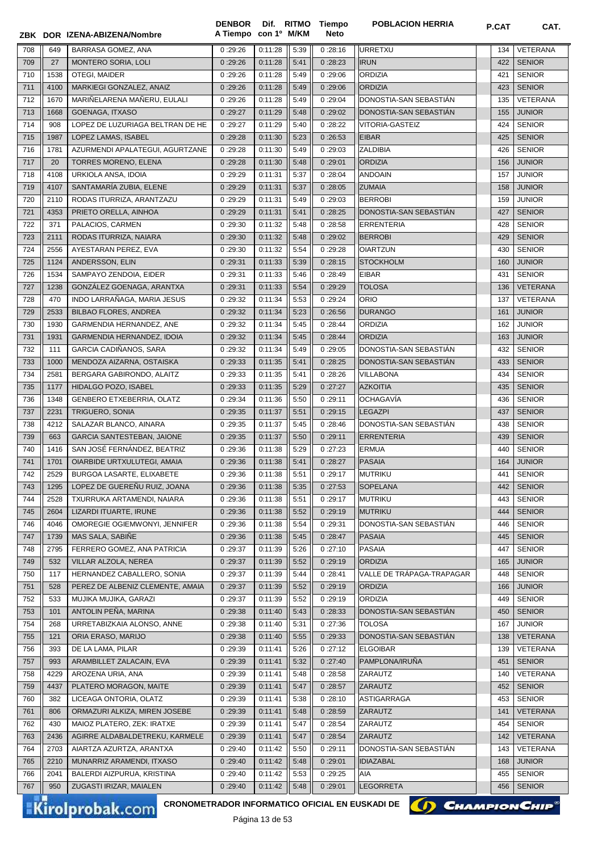|            |            | ZBK DOR IZENA-ABIZENA/Nombre                                              | A Tiempo con 1º M/KM |                    |              | Neto               |                           |            |                                |
|------------|------------|---------------------------------------------------------------------------|----------------------|--------------------|--------------|--------------------|---------------------------|------------|--------------------------------|
| 708        | 649        | BARRASA GOMEZ, ANA                                                        | 0:29:26              | 0:11:28            | 5:39         | 0:28:16            | URRETXU                   | 134        | VETERANA                       |
| 709        | 27         | <b>MONTERO SORIA, LOLI</b>                                                | 0:29:26              | 0:11:28            | 5:41         | 0:28:23            | <b>IRUN</b>               | 422        | <b>SENIOR</b>                  |
| 710        | 1538       | OTEGI, MAIDER                                                             | 0:29:26              | 0:11:28            | 5:49         | 0:29:06            | <b>ORDIZIA</b>            | 421        | <b>SENIOR</b>                  |
| 711        | 4100       | MARKIEGI GONZALEZ, ANAIZ                                                  | 0:29:26              | 0:11:28            | 5:49         | 0:29:06            | <b>ORDIZIA</b>            | 423        | <b>SENIOR</b>                  |
| 712        | 1670       | MARIÑELARENA MAÑERU, EULALI                                               | 0:29:26              | 0:11:28            | 5:49         | 0:29:04            | DONOSTIA-SAN SEBASTIÁN    | 135        | VETERANA                       |
| 713        | 1668       | GOENAGA, ITXASO                                                           | 0:29:27              | 0:11:29            | 5:48         | 0:29:02            | DONOSTIA-SAN SEBASTIAN    | 155        | <b>JUNIOR</b>                  |
| 714        | 908        | LOPEZ DE LUZURIAGA BELTRAN DE HE                                          | 0:29:27              | 0:11:29            | 5:40         | 0:28:22            | <b>VITORIA-GASTEIZ</b>    | 424        | <b>SENIOR</b>                  |
| 715        | 1987       | LOPEZ LAMAS, ISABEL                                                       | 0:29:28              | 0:11:30            | 5:23         | 0:26:53            | <b>EIBAR</b>              | 425        | <b>SENIOR</b>                  |
| 716        | 1781       | AZURMENDI APALATEGUI, AGURTZANE                                           | 0:29:28              | 0:11:30            | 5:49         | 0:29:03            | ZALDIBIA                  | 426        | <b>SENIOR</b>                  |
| 717        | 20         | TORRES MORENO, ELENA                                                      | 0:29:28              | 0:11:30            | 5:48         | 0:29:01            | <b>ORDIZIA</b>            | 156        | <b>JUNIOR</b>                  |
| 718        | 4108       | URKIOLA ANSA, IDOIA                                                       | 0:29:29              | 0:11:31            | 5:37         | 0:28:04            | <b>ANDOAIN</b>            | 157        | <b>JUNIOR</b>                  |
| 719        | 4107       | SANTAMARÍA ZUBIA, ELENE                                                   | 0:29:29              | 0:11:31            | 5:37         | 0:28:05            | <b>ZUMAIA</b>             | 158        | <b>JUNIOR</b>                  |
| 720        | 2110       | RODAS ITURRIZA, ARANTZAZU                                                 | 0:29:29              | 0:11:31            | 5:49         | 0:29:03            | <b>BERROBI</b>            | 159        | <b>JUNIOR</b>                  |
| 721        | 4353       | PRIETO ORELLA, AINHOA                                                     | 0:29:29              | 0:11:31            | 5:41         | 0:28:25            | DONOSTIA-SAN SEBASTIAN    | 427        | <b>SENIOR</b>                  |
| 722        | 371        | PALACIOS, CARMEN                                                          | 0:29:30              | 0:11:32            | 5:48         | 0:28:58            | ERRENTERIA                | 428        | <b>SENIOR</b>                  |
| 723        | 2111       | RODAS ITURRIZA, NAIARA                                                    | 0:29:30              | 0:11:32            | 5:48         | 0:29:02            | <b>BERROBI</b>            | 429        | <b>SENIOR</b>                  |
| 724        | 2556       | AYESTARAN PEREZ, EVA                                                      | 0:29:30              | 0:11:32            | 5:54         | 0:29:28            | <b>OIARTZUN</b>           | 430        | <b>SENIOR</b>                  |
| 725        | 1124       | ANDERSSON, ELIN                                                           | 0:29:31              | 0:11:33            | 5:39         | 0:28:15            | <b>STOCKHOLM</b>          | 160        | <b>JUNIOR</b>                  |
| 726        | 1534       | SAMPAYO ZENDOIA, EIDER                                                    | 0:29:31              | 0:11:33            | 5:46         | 0:28:49            | <b>EIBAR</b>              | 431        | <b>SENIOR</b>                  |
| 727        | 1238       | GONZÁLEZ GOENAGA, ARANTXA                                                 | 0:29:31              | 0:11:33            | 5:54         | 0:29:29            | <b>TOLOSA</b>             | 136        | <b>VETERANA</b>                |
| 728        | 470        | INDO LARRAÑAGA, MARIA JESUS                                               | 0:29:32              | 0:11:34            | 5:53         | 0:29:24            | <b>ORIO</b>               | 137        | <b>VETERANA</b>                |
| 729        | 2533       | <b>BILBAO FLORES, ANDREA</b>                                              | 0:29:32              | 0:11:34            | 5:23         | 0:26:56            | <b>DURANGO</b>            | 161        | <b>JUNIOR</b>                  |
| 730        | 1930       | GARMENDIA HERNANDEZ, ANE                                                  | 0:29:32              | 0:11:34            | 5:45         | 0:28:44            | <b>ORDIZIA</b>            | 162        | <b>JUNIOR</b>                  |
| 731        | 1931       | GARMENDIA HERNANDEZ, IDOIA                                                | 0:29:32              | 0:11:34            | 5:45         | 0:28:44            | <b>ORDIZIA</b>            | 163        | <b>JUNIOR</b>                  |
| 732        | 111        | GARCIA CADIÑANOS, SARA                                                    | 0:29:32              | 0:11:34            | 5:49         | 0:29:05            | DONOSTIA-SAN SEBASTIÁN    | 432        | <b>SENIOR</b>                  |
| 733        | 1000       | MENDOZA AIZARNA, OSTAISKA                                                 | 0:29:33              | 0:11:35            | 5:41         | 0:28:25            | DONOSTIA-SAN SEBASTIÁN    | 433        | <b>SENIOR</b>                  |
| 734        | 2581       | BERGARA GABIRONDO, ALAITZ                                                 | 0:29:33              | 0:11:35            | 5:41         | 0:28:26            | <b>VILLABONA</b>          | 434        | <b>SENIOR</b>                  |
| 735        | 1177       | HIDALGO POZO, ISABEL                                                      | 0:29:33              | 0:11:35            | 5:29         | 0:27:27            | <b>AZKOITIA</b>           | 435        | <b>SENIOR</b>                  |
| 736        | 1348       | GENBERO ETXEBERRIA, OLATZ                                                 | 0:29:34              | 0:11:36            | 5:50         | 0:29:11            | <b>OCHAGAVÍA</b>          | 436        | <b>SENIOR</b>                  |
| 737        | 2231       | <b>TRIGUERO, SONIA</b>                                                    | 0:29:35              | 0:11:37            | 5:51         | 0:29:15            | <b>LEGAZPI</b>            | 437        | <b>SENIOR</b>                  |
| 738        | 4212       | SALAZAR BLANCO, AINARA                                                    | 0:29:35              | 0:11:37            | 5:45         | 0:28:46            | DONOSTIA-SAN SEBASTIAN    | 438        | <b>SENIOR</b>                  |
| 739        | 663        | <b>GARCIA SANTESTEBAN, JAIONE</b>                                         | 0:29:35              | 0:11:37            | 5:50         | 0:29:11            | <b>ERRENTERIA</b>         | 439        | <b>SENIOR</b>                  |
| 740        | 1416       | SAN JOSÉ FERNÁNDEZ, BEATRIZ                                               | 0:29:36              | 0:11:38            | 5:29         | 0:27:23            | <b>ERMUA</b>              | 440        | <b>SENIOR</b>                  |
| 741        | 1701       | OIARBIDE URTXULUTEGI, AMAIA                                               | 0:29:36              | 0:11:38            | 5:41         | 0:28:27            | <b>PASAIA</b>             | 164        | <b>JUNIOR</b>                  |
| 742        | 2529       | BURGOA LASARTE, ELIXABETE                                                 | 0:29:36              | 0:11:38            | 5:51         | 0:29:17            | MUTRIKU                   | 441        | <b>SENIOR</b>                  |
| 743        | 1295       | LOPEZ DE GUEREÑU RUIZ, JOANA                                              | 0:29:36              | 0:11:38            | 5:35         | 0:27:53            | <b>SOPELANA</b>           | 442        | <b>SENIOR</b>                  |
| 744        | 2528       | TXURRUKA ARTAMENDI, NAIARA                                                | 0:29:36              | 0:11:38            | 5:51         | 0:29:17            | <b>MUTRIKU</b>            | 443        | <b>SENIOR</b>                  |
| 745        | 2604       | LIZARDI ITUARTE, IRUNE                                                    | 0:29:36              | 0:11:38            | 5:52         | 0:29:19            | <b>MUTRIKU</b>            | 444        | <b>SENIOR</b>                  |
| 746        | 4046       | OMOREGIE OGIEMWONYI, JENNIFER                                             | 0:29:36              | 0:11:38            | 5:54         | 0:29:31            | DONOSTIA-SAN SEBASTIAN    | 446        | <b>SENIOR</b>                  |
| 747        | 1739       | MAS SALA, SABIÑE                                                          | 0:29:36              | 0:11:38            | 5:45         | 0:28:47            | <b>PASAIA</b>             | 445        | <b>SENIOR</b>                  |
| 748        | 2795       | FERRERO GOMEZ, ANA PATRICIA                                               | 0:29:37              | 0:11:39            | 5:26         | 0:27:10            | PASAIA                    | 447        | <b>SENIOR</b>                  |
| 749        | 532        | VILLAR ALZOLA, NEREA                                                      | 0:29:37              | 0:11:39            | 5:52         | 0:29:19            | <b>ORDIZIA</b>            | 165        | <b>JUNIOR</b>                  |
|            |            |                                                                           |                      |                    |              |                    | VALLE DE TRÁPAGA-TRAPAGAR |            |                                |
| 750        | 117<br>528 | HERNANDEZ CABALLERO, SONIA                                                | 0:29:37              | 0:11:39            | 5:44         | 0:28:41            | ORDIZIA                   | 448        | <b>SENIOR</b>                  |
| 751        |            | PEREZ DE ALBENIZ CLEMENTE, AMAIA                                          | 0:29:37              | 0:11:39<br>0:11:39 | 5:52         | 0:29:19            | <b>ORDIZIA</b>            | 166        | <b>JUNIOR</b><br><b>SENIOR</b> |
| 752<br>753 | 533<br>101 | MUJIKA MUJIKA, GARAZI<br>ANTOLIN PEÑA, MARINA                             | 0:29:37<br>0:29:38   | 0:11:40            | 5:52<br>5:43 | 0:29:19<br>0:28:33 | DONOSTIA-SAN SEBASTIAN    | 449<br>450 | <b>SENIOR</b>                  |
|            |            |                                                                           |                      |                    |              |                    | <b>TOLOSA</b>             |            |                                |
| 754        | 268        | URRETABIZKAIA ALONSO, ANNE                                                | 0:29:38              | 0:11:40            | 5:31         | 0:27:36            |                           | 167        | <b>JUNIOR</b>                  |
| 755        | 121        | ORIA ERASO, MARIJO                                                        | 0:29:38              | 0:11:40            | 5:55         | 0:29:33            | DONOSTIA-SAN SEBASTIAN    | 138        | VETERANA                       |
| 756        | 393        | DE LA LAMA, PILAR                                                         | 0:29:39              | 0:11:41            | 5:26         | 0:27:12            | <b>ELGOIBAR</b>           | 139        | VETERANA                       |
| 757        | 993        | ARAMBILLET ZALACAIN, EVA                                                  | 0:29:39              | 0:11:41            | 5:32         | 0:27:40            | PAMPLONA/IRUÑA            | 451        | <b>SENIOR</b>                  |
| 758        | 4229       | AROZENA URIA, ANA                                                         | 0:29:39              | 0:11:41            | 5:48         | 0:28:58            | ZARAUTZ                   | 140        | VETERANA                       |
| 759        | 4437       | PLATERO MORAGON, MAITE                                                    | 0:29:39              | 0:11:41            | 5:47         | 0:28:57            | ZARAUTZ                   | 452        | <b>SENIOR</b>                  |
| 760        | 382        | LICEAGA ONTORIA, OLATZ                                                    | 0:29:39              | 0:11:41            | 5:38         | 0:28:10            | ASTIGARRAGA               | 453        | <b>SENIOR</b>                  |
| 761        | 806        | ORMAZURI ALKIZA, MIREN JOSEBE                                             | 0:29:39              | 0:11:41            | 5:48         | 0:28:59            | ZARAUTZ                   | 141        | <b>VETERANA</b>                |
| 762        | 430        | MAIOZ PLATERO, ZEK: IRATXE                                                | 0:29:39              | 0:11:41            | 5:47         | 0:28:54            | ZARAUTZ                   | 454        | <b>SENIOR</b>                  |
| 763        | 2436       | AGIRRE ALDABALDETREKU, KARMELE                                            | 0:29:39              | 0:11:41            | 5:47         | 0:28:54            | ZARAUTZ                   | 142        | <b>VETERANA</b>                |
| 764        | 2703       | AIARTZA AZURTZA, ARANTXA                                                  | 0:29:40              | 0:11:42            | 5:50         | 0:29:11            | DONOSTIA-SAN SEBASTIAN    | 143        | VETERANA                       |
| 765        | 2210       | MUNARRIZ ARAMENDI, ITXASO                                                 | 0:29:40              | 0:11:42            | 5:48         | 0:29:01            | <b>IDIAZABAL</b>          | 168        | <b>JUNIOR</b>                  |
| 766        | 2041       | BALERDI AIZPURUA, KRISTINA                                                | 0:29:40              | 0:11:42            | 5:53         | 0:29:25            | AIA                       | 455        | <b>SENIOR</b>                  |
| 767        | 950        | ZUGASTI IRIZAR, MAIALEN                                                   | 0:29:40              | 0:11:42            | 5:48         | 0:29:01            | <b>LEGORRETA</b>          | 456        | <b>SENIOR</b>                  |
|            |            | CRONOMETRADOR INFORMATICO OFICIAL EN EUSKADI DE<br><b>Kirolprobak.com</b> |                      |                    |              |                    |                           |            | <b>CHAMPION CHIP®</b>          |



**Dif. DENBOR POBLACION HERRIA P.CAT CAT. RITMO Tiempo**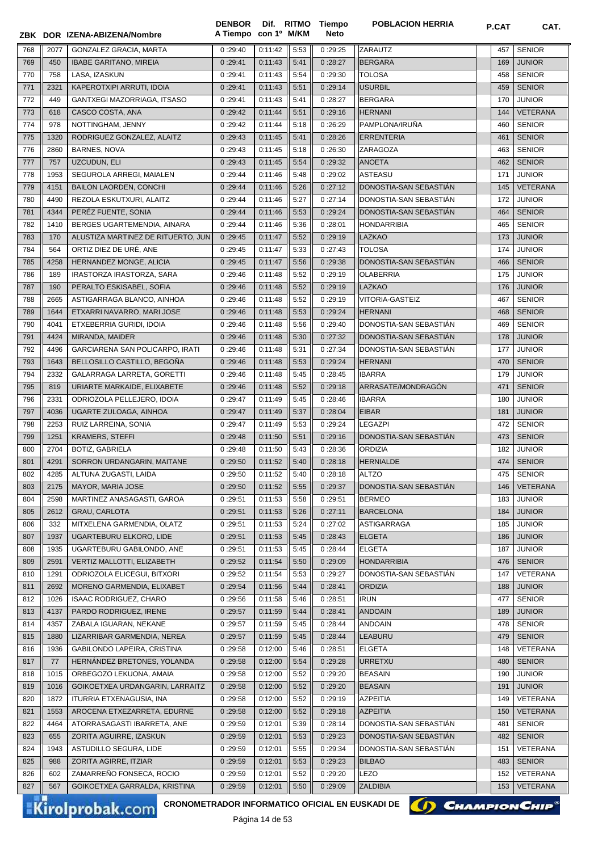|     |      | ZBK DOR IZENA-ABIZENA/Nombre                                                     | <b>DENBOR</b><br>A Tiempo con 1º M/KM |                             |      | Dif. RITMO Tiempo<br><b>Neto</b> | <b>POBLACION HERRIA</b> | P.CAT | CAT.            |
|-----|------|----------------------------------------------------------------------------------|---------------------------------------|-----------------------------|------|----------------------------------|-------------------------|-------|-----------------|
| 768 | 2077 | GONZALEZ GRACIA, MARTA                                                           | 0:29:40                               | 0:11:42                     | 5:53 | 0:29:25                          | ZARAUTZ                 | 457   | <b>SENIOR</b>   |
| 769 | 450  | <b>IBABE GARITANO, MIREIA</b>                                                    | 0:29:41                               | 0:11:43                     | 5:41 | 0:28:27                          | <b>BERGARA</b>          | 169   | <b>JUNIOR</b>   |
| 770 | 758  | LASA, IZASKUN                                                                    | 0:29:41                               | 0:11:43                     | 5:54 | 0:29:30                          | <b>TOLOSA</b>           | 458   | <b>SENIOR</b>   |
| 771 | 2321 | KAPEROTXIPI ARRUTI, IDOIA                                                        | 0:29:41                               | 0:11:43                     | 5:51 | 0:29:14                          | <b>USURBIL</b>          | 459   | <b>SENIOR</b>   |
| 772 | 449  | GANTXEGI MAZORRIAGA, ITSASO                                                      | 0:29:41                               | 0:11:43                     | 5:41 | 0:28:27                          | <b>BERGARA</b>          | 170   | <b>JUNIOR</b>   |
| 773 | 618  | CASCO COSTA, ANA                                                                 | 0:29:42                               | 0:11:44                     | 5:51 | 0:29:16                          | <b>HERNANI</b>          | 144   | VETERANA        |
| 774 | 978  | NOTTINGHAM, JENNY                                                                | 0:29:42                               | 0:11:44                     | 5:18 | 0:26:29                          | PAMPLONA/IRUÑA          | 460   | <b>SENIOR</b>   |
| 775 | 1320 | RODRIGUEZ GONZALEZ, ALAITZ                                                       | 0:29:43                               | 0:11:45                     | 5:41 | 0:28:26                          | <b>ERRENTERIA</b>       | 461   | <b>SENIOR</b>   |
| 776 | 2860 | <b>BARNES, NOVA</b>                                                              | 0:29:43                               | 0:11:45                     | 5:18 | 0:26:30                          | ZARAGOZA                | 463   | <b>SENIOR</b>   |
| 777 | 757  | UZCUDUN, ELI                                                                     | 0:29:43                               | 0:11:45                     | 5:54 | 0:29:32                          | <b>ANOETA</b>           | 462   | <b>SENIOR</b>   |
| 778 | 1953 | SEGUROLA ARREGI, MAIALEN                                                         | 0:29:44                               | 0:11:46                     | 5:48 | 0:29:02                          | <b>ASTEASU</b>          | 171   | <b>JUNIOR</b>   |
| 779 | 4151 | <b>BAILON LAORDEN, CONCHI</b>                                                    | 0:29:44                               | 0:11:46                     | 5:26 | 0:27:12                          | DONOSTIA-SAN SEBASTIÁN  | 145   | <b>VETERANA</b> |
| 780 | 4490 | REZOLA ESKUTXURI, ALAITZ                                                         | 0:29:44                               | 0:11:46                     | 5:27 | 0:27:14                          | DONOSTIA-SAN SEBASTIÁN  | 172   | <b>JUNIOR</b>   |
| 781 | 4344 | PERÉZ FUENTE, SONIA                                                              | 0:29:44                               | 0:11:46                     | 5:53 | 0:29:24                          | DONOSTIA-SAN SEBASTIAN  | 464   | <b>SENIOR</b>   |
| 782 | 1410 | BERGES UGARTEMENDIA, AINARA                                                      | 0:29:44                               | 0:11:46                     | 5:36 | 0:28:01                          | <b>HONDARRIBIA</b>      | 465   | <b>SENIOR</b>   |
| 783 | 170  | ALUSTIZA MARTINEZ DE RITUERTO, JUN                                               | 0:29:45                               | 0:11:47                     | 5:52 | 0:29:19                          | <b>LAZKAO</b>           | 173   | <b>JUNIOR</b>   |
| 784 | 564  | ORTIZ DIEZ DE URÉ. ANE                                                           | 0:29:45                               | 0:11:47                     | 5:33 | 0:27:43                          | <b>TOLOSA</b>           | 174   | <b>JUNIOR</b>   |
| 785 | 4258 | HERNANDEZ MONGE, ALICIA                                                          | 0:29:45                               | 0:11:47                     | 5:56 | 0:29:38                          | DONOSTIA-SAN SEBASTIAN  | 466   | <b>SENIOR</b>   |
| 786 | 189  | IRASTORZA IRASTORZA, SARA                                                        | 0:29:46                               | 0:11:48                     | 5:52 | 0:29:19                          | <b>OLABERRIA</b>        | 175   | <b>JUNIOR</b>   |
| 787 | 190  | PERALTO ESKISABEL, SOFIA                                                         | 0:29:46                               | 0:11:48                     | 5:52 | 0:29:19                          | <b>LAZKAO</b>           | 176   | <b>JUNIOR</b>   |
| 788 | 2665 | ASTIGARRAGA BLANCO, AINHOA                                                       | 0:29:46                               | 0:11:48                     | 5:52 | 0:29:19                          | VITORIA-GASTEIZ         | 467   | <b>SENIOR</b>   |
| 789 | 1644 | ETXARRI NAVARRO, MARI JOSE                                                       | 0:29:46                               | 0:11:48                     | 5:53 | 0:29:24                          | <b>HERNANI</b>          | 468   | <b>SENIOR</b>   |
| 790 | 4041 | ETXEBERRIA GURIDI, IDOIA                                                         | 0:29:46                               | 0:11:48                     | 5:56 | 0:29:40                          | DONOSTIA-SAN SEBASTIAN  | 469   | <b>SENIOR</b>   |
| 791 | 4424 | MIRANDA, MAIDER                                                                  | 0:29:46                               | 0:11:48                     | 5:30 | 0:27:32                          | DONOSTIA-SAN SEBASTIAN  | 178   | <b>JUNIOR</b>   |
| 792 | 4496 | GARCIARENA SAN POLICARPO, IRATI                                                  | 0:29:46                               | 0:11:48                     | 5:31 | 0:27:34                          | DONOSTIA-SAN SEBASTIAN  | 177   | <b>JUNIOR</b>   |
| 793 | 1643 | BELLOSILLO CASTILLO, BEGOÑA                                                      | 0:29:46                               | 0:11:48                     | 5:53 | 0:29:24                          | <b>HERNANI</b>          | 470   | <b>SENIOR</b>   |
| 794 | 2332 | GALARRAGA LARRETA, GORETTI                                                       | 0:29:46                               | 0:11:48                     | 5:45 | 0:28:45                          | <b>IBARRA</b>           | 179   | <b>JUNIOR</b>   |
| 795 | 819  | URIARTE MARKAIDE, ELIXABETE                                                      | 0:29:46                               | 0:11:48                     | 5:52 | 0:29:18                          | ARRASATE/MONDRAGÓN      | 471   | <b>SENIOR</b>   |
| 796 | 2331 | ODRIOZOLA PELLEJERO, IDOIA                                                       | 0:29:47                               | 0:11:49                     | 5:45 | 0:28:46                          | <b>IBARRA</b>           | 180   | <b>JUNIOR</b>   |
| 797 | 4036 | UGARTE ZULOAGA, AINHOA                                                           | 0:29:47                               | 0:11:49                     | 5:37 | 0:28:04                          | <b>EIBAR</b>            | 181   | <b>JUNIOR</b>   |
| 798 | 2253 | RUIZ LARREINA, SONIA                                                             | 0:29:47                               | 0:11:49                     | 5:53 | 0:29:24                          | <b>LEGAZPI</b>          | 472   | <b>SENIOR</b>   |
| 799 | 1251 | <b>KRAMERS, STEFFI</b>                                                           | 0:29:48                               | 0:11:50                     | 5:51 | 0:29:16                          | DONOSTIA-SAN SEBASTIÁN  | 473   | <b>SENIOR</b>   |
| 800 | 2704 | <b>BOTIZ, GABRIELA</b>                                                           | 0:29:48                               | 0:11:50                     | 5:43 | 0:28:36                          | <b>ORDIZIA</b>          | 182   | <b>JUNIOR</b>   |
| 801 | 4291 | SORRON URDANGARIN, MAITANE                                                       | 0:29:50                               | 0:11:52                     | 5:40 | 0:28:18                          | <b>HERNIALDE</b>        | 474   | <b>SENIOR</b>   |
| 802 | 4285 | ALTUNA ZUGASTI, LAIDA                                                            | $0:29:50$ $0:11:52$                   |                             | 5:40 | 0:28:18                          | ALTZO                   |       | 475 SENIOR      |
| 803 | 2175 | <b>MAYOR, MARIA JOSE</b>                                                         | 0:29:50                               | 0:11:52                     | 5:55 | 0:29:37                          | DONOSTIA-SAN SEBASTIAN  | 146   | VETERANA        |
| 804 | 2598 | MARTINEZ ANASAGASTI, GAROA                                                       | 0:29:51                               | 0:11:53                     | 5:58 | 0:29:51                          | <b>BERMEO</b>           | 183   | <b>JUNIOR</b>   |
| 805 | 2612 | <b>GRAU, CARLOTA</b>                                                             | 0:29:51                               | 0:11:53                     | 5:26 | 0:27:11                          | <b>BARCELONA</b>        | 184   | <b>JUNIOR</b>   |
| 806 | 332  | MITXELENA GARMENDIA, OLATZ                                                       | 0:29:51                               | 0:11:53                     | 5:24 | 0:27:02                          | ASTIGARRAGA             | 185   | <b>JUNIOR</b>   |
| 807 | 1937 | UGARTEBURU ELKORO, LIDE                                                          | 0:29:51                               | 0:11:53                     | 5:45 | 0:28:43                          | <b>ELGETA</b>           | 186   | <b>JUNIOR</b>   |
| 808 | 1935 | UGARTEBURU GABILONDO, ANE                                                        | 0:29:51                               | 0:11:53                     | 5:45 | 0:28:44                          | <b>ELGETA</b>           | 187   | <b>JUNIOR</b>   |
| 809 | 2591 | <b>VERTIZ MALLOTTI, ELIZABETH</b>                                                | 0:29:52                               | 0:11:54                     | 5:50 | 0:29:09                          | <b>HONDARRIBIA</b>      | 476   | <b>SENIOR</b>   |
| 810 | 1291 | ODRIOZOLA ELICEGUI, BITXORI                                                      | 0:29:52                               | 0:11:54                     | 5:53 | 0:29:27                          | DONOSTIA-SAN SEBASTIÁN  | 147   | VETERANA        |
| 811 | 2692 | MORENO GARMENDIA, ELIXABET                                                       | 0:29:54                               | 0:11:56                     | 5:44 | 0:28:41                          | <b>ORDIZIA</b>          | 188   | JUNIOR          |
| 812 | 1026 | <b>ISAAC RODRIGUEZ, CHARO</b>                                                    | 0:29:56                               | 0:11:58                     | 5:46 | 0:28:51                          | <b>IRUN</b>             | 477   | <b>SENIOR</b>   |
| 813 | 4137 | PARDO RODRIGUEZ, IRENE                                                           | 0:29:57                               | 0:11:59                     | 5:44 | 0:28:41                          | <b>ANDOAIN</b>          | 189   | JUNIOR          |
| 814 | 4357 | ZABALA IGUARAN, NEKANE                                                           | 0:29:57                               | 0:11:59                     | 5:45 | 0:28:44                          | <b>ANDOAIN</b>          | 478   | <b>SENIOR</b>   |
| 815 | 1880 | LIZARRIBAR GARMENDIA, NEREA                                                      | 0:29:57                               | 0:11:59                     | 5:45 | 0:28:44                          | <b>LEABURU</b>          | 479   | <b>SENIOR</b>   |
| 816 | 1936 | GABILONDO LAPEIRA, CRISTINA                                                      | 0:29:58                               | 0:12:00                     | 5:46 | 0:28:51                          | <b>ELGETA</b>           | 148   | VETERANA        |
| 817 | 77   | HERNÁNDEZ BRETONES, YOLANDA                                                      | 0:29:58                               | 0:12:00                     | 5:54 | 0:29:28                          | <b>URRETXU</b>          | 480   | <b>SENIOR</b>   |
| 818 | 1015 | ORBEGOZO LEKUONA, AMAIA                                                          | 0:29:58                               | 0:12:00                     | 5:52 | 0:29:20                          | <b>BEASAIN</b>          | 190   | <b>JUNIOR</b>   |
| 819 | 1016 | GOIKOETXEA URDANGARIN, LARRAITZ                                                  | 0:29:58                               | 0:12:00                     | 5:52 | 0:29:20                          | <b>BEASAIN</b>          | 191   | <b>JUNIOR</b>   |
| 820 | 1872 | ITURRIA ETXENAGUSIA, INA                                                         | 0:29:58                               | 0:12:00                     | 5:52 | 0:29:19                          | <b>AZPEITIA</b>         | 149   | VETERANA        |
| 821 | 1553 | AROCENA ETXEZARRETA, EDURNE                                                      | 0:29:58                               | 0:12:00                     | 5:52 | 0:29:18                          | <b>AZPEITIA</b>         | 150   | <b>VETERANA</b> |
| 822 | 4464 | ATORRASAGASTI IBARRETA, ANE                                                      | 0:29:59                               | 0:12:01                     | 5:39 | 0:28:14                          | DONOSTIA-SAN SEBASTIAN  | 481   | <b>SENIOR</b>   |
| 823 | 655  | ZORITA AGUIRRE, IZASKUN                                                          | 0:29:59                               | 0:12:01                     | 5:53 | 0:29:23                          | DONOSTIA-SAN SEBASTIAN  | 482   | <b>SENIOR</b>   |
| 824 | 1943 | ASTUDILLO SEGURA, LIDE                                                           | 0:29:59                               | 0:12:01                     | 5:55 | 0:29:34                          | DONOSTIA-SAN SEBASTIAN  | 151   | VETERANA        |
| 825 | 988  | ZORITA AGIRRE, ITZIAR                                                            | 0:29:59                               | 0:12:01                     | 5:53 | 0:29:23                          | <b>BILBAO</b>           | 483   | <b>SENIOR</b>   |
| 826 | 602  | ZAMARRENO FONSECA, ROCIO                                                         | 0:29:59                               | 0:12:01                     | 5:52 | 0:29:20                          | LEZO                    | 152   | VETERANA        |
| 827 | 567  | GOIKOETXEA GARRALDA, KRISTINA                                                    | 0:29:59                               | 0:12:01                     | 5:50 | 0:29:09                          | <b>ZALDIBIA</b>         | 153   | <b>VETERANA</b> |
|     |      |                                                                                  |                                       |                             |      |                                  |                         |       |                 |
|     |      | <b>CRONOMETRADOR INFORMATICO OFICIAL EN EUSKADI DE</b><br><b>Kirolprobak.com</b> |                                       | $D2^{\prime}$ and $A4$ $E3$ |      |                                  | (I) CHAMPION CHIP       |       |                 |



Página 14 de 53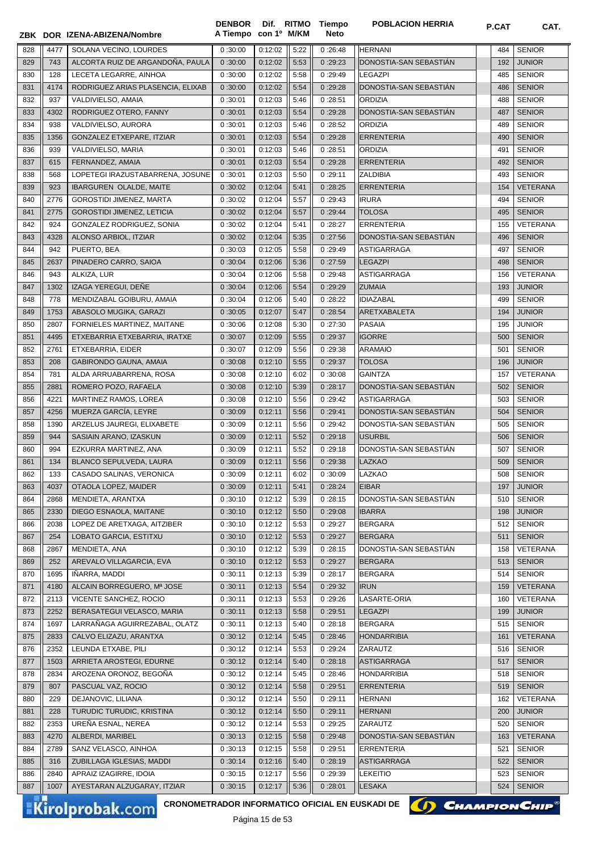|  |  | ZBK DOR IZENA-ABIZENA/Nombre | A Tiempo con 1º M/KM |  |  |
|--|--|------------------------------|----------------------|--|--|
|--|--|------------------------------|----------------------|--|--|

**Dif. con 1º DENBOR**

**Tiempo Neto**

**POBLACION HERRIA P.CAT CAT.** 

| 828 | 4477 | SOLANA VECINO, LOURDES                                                    | 0:30:00 | 0:12:02 | 5:22 | 0:26:48 | <b>HERNANI</b>         | 484 | <b>SENIOR</b>   |
|-----|------|---------------------------------------------------------------------------|---------|---------|------|---------|------------------------|-----|-----------------|
| 829 | 743  | ALCORTA RUIZ DE ARGANDOÑA. PAULA                                          | 0:30:00 | 0:12:02 | 5:53 | 0:29:23 | DONOSTIA-SAN SEBASTIAN | 192 | <b>JUNIOR</b>   |
| 830 | 128  | LECETA LEGARRE, AINHOA                                                    | 0:30:00 | 0:12:02 | 5:58 | 0:29:49 | <b>LEGAZPI</b>         | 485 | <b>SENIOR</b>   |
| 831 | 4174 | RODRIGUEZ ARIAS PLASENCIA, ELIXAB                                         | 0:30:00 | 0:12:02 | 5:54 | 0:29:28 | DONOSTIA-SAN SEBASTIAN | 486 | <b>SENIOR</b>   |
| 832 | 937  | VALDIVIELSO, AMAIA                                                        | 0:30:01 | 0:12:03 | 5:46 | 0:28:51 | <b>ORDIZIA</b>         | 488 | <b>SENIOR</b>   |
| 833 | 4302 | RODRIGUEZ OTERO, FANNY                                                    | 0:30:01 | 0:12:03 | 5:54 | 0:29:28 | DONOSTIA-SAN SEBASTIAN | 487 | <b>SENIOR</b>   |
| 834 | 938  | VALDIVIELSO, AURORA                                                       | 0:30:01 | 0:12:03 | 5:46 | 0:28:52 | <b>ORDIZIA</b>         | 489 | <b>SENIOR</b>   |
| 835 | 1356 | GONZALEZ ETXEPARE, ITZIAR                                                 | 0:30:01 | 0:12:03 | 5:54 | 0:29:28 | <b>ERRENTERIA</b>      | 490 | <b>SENIOR</b>   |
| 836 | 939  | VALDIVIELSO, MARIA                                                        | 0:30:01 | 0:12:03 | 5:46 | 0:28:51 | ORDIZIA                | 491 | <b>SENIOR</b>   |
| 837 | 615  | FERNANDEZ, AMAIA                                                          | 0:30:01 | 0:12:03 | 5:54 | 0:29:28 | <b>ERRENTERIA</b>      | 492 | <b>SENIOR</b>   |
| 838 | 568  | LOPETEGI IRAZUSTABARRENA, JOSUNE                                          | 0:30:01 | 0:12:03 | 5:50 | 0:29:11 | <b>ZALDIBIA</b>        | 493 | <b>SENIOR</b>   |
| 839 | 923  | <b>IBARGUREN OLALDE, MAITE</b>                                            | 0:30:02 | 0:12:04 | 5:41 | 0:28:25 | <b>ERRENTERIA</b>      | 154 | <b>VETERANA</b> |
| 840 | 2776 | GOROSTIDI JIMENEZ, MARTA                                                  | 0:30:02 | 0:12:04 | 5:57 | 0:29:43 | <b>IRURA</b>           | 494 | <b>SENIOR</b>   |
| 841 | 2775 | <b>GOROSTIDI JIMENEZ, LETICIA</b>                                         | 0:30:02 | 0:12:04 | 5:57 | 0:29:44 | <b>TOLOSA</b>          | 495 | <b>SENIOR</b>   |
| 842 | 924  | GONZALEZ RODRIGUEZ, SONIA                                                 | 0:30:02 | 0:12:04 | 5:41 | 0:28:27 | <b>ERRENTERIA</b>      | 155 | VETERANA        |
| 843 | 4328 | ALONSO ARBIOL, ITZIAR                                                     | 0:30:02 | 0:12:04 | 5:35 | 0:27:56 | DONOSTIA-SAN SEBASTIAN | 496 | <b>SENIOR</b>   |
| 844 | 942  | PUERTO, BEA                                                               | 0:30:03 | 0:12:05 | 5:58 | 0:29:49 | ASTIGARRAGA            | 497 | <b>SENIOR</b>   |
| 845 | 2637 | PINADERO CARRO, SAIOA                                                     | 0:30:04 | 0:12:06 | 5:36 | 0:27:59 | <b>LEGAZPI</b>         | 498 | <b>SENIOR</b>   |
| 846 | 943  | ALKIZA, LUR                                                               | 0:30:04 | 0:12:06 | 5:58 | 0:29:48 | <b>ASTIGARRAGA</b>     | 156 | VETERANA        |
| 847 | 1302 | IZAGA YEREGUI, DEÑE                                                       | 0:30:04 | 0:12:06 | 5:54 | 0:29:29 | <b>ZUMAIA</b>          | 193 | <b>JUNIOR</b>   |
| 848 | 778  | MENDIZABAL GOIBURU, AMAIA                                                 | 0:30:04 | 0:12:06 | 5:40 | 0:28:22 | <b>IDIAZABAL</b>       | 499 | <b>SENIOR</b>   |
| 849 | 1753 | ABASOLO MUGIKA, GARAZI                                                    | 0:30:05 | 0:12:07 | 5:47 | 0:28:54 | ARETXABALETA           | 194 | <b>JUNIOR</b>   |
| 850 | 2807 | FORNIELES MARTINEZ, MAITANE                                               | 0:30:06 | 0:12:08 | 5:30 | 0:27:30 | <b>PASAIA</b>          | 195 | <b>JUNIOR</b>   |
| 851 | 4495 | ETXEBARRIA ETXEBARRIA, IRATXE                                             | 0:30:07 | 0:12:09 | 5:55 | 0:29:37 | <b>IGORRE</b>          | 500 | <b>SENIOR</b>   |
|     |      |                                                                           |         |         |      |         |                        | 501 |                 |
| 852 | 2761 | ETXEBARRIA, EIDER                                                         | 0:30:07 | 0:12:09 | 5:56 | 0:29:38 | <b>ARAMAIO</b>         |     | <b>SENIOR</b>   |
| 853 | 208  | GABIRONDO GAUNA, AMAIA                                                    | 0:30:08 | 0:12:10 | 5:55 | 0:29:37 | <b>TOLOSA</b>          | 196 | <b>JUNIOR</b>   |
| 854 | 781  | ALDA ARRUABARRENA, ROSA                                                   | 0:30:08 | 0:12:10 | 6:02 | 0:30:08 | <b>GAINTZA</b>         | 157 | VETERANA        |
| 855 | 2881 | ROMERO POZO, RAFAELA                                                      | 0:30:08 | 0:12:10 | 5:39 | 0:28:17 | DONOSTIA-SAN SEBASTIÁN | 502 | <b>SENIOR</b>   |
| 856 | 4221 | MARTINEZ RAMOS, LOREA                                                     | 0:30:08 | 0:12:10 | 5:56 | 0:29:42 | <b>ASTIGARRAGA</b>     | 503 | <b>SENIOR</b>   |
| 857 | 4256 | MUERZA GARCÍA, LEYRE                                                      | 0:30:09 | 0:12:11 | 5:56 | 0:29:41 | DONOSTIA-SAN SEBASTIÁN | 504 | <b>SENIOR</b>   |
| 858 | 1390 | ARZELUS JAUREGI, ELIXABETE                                                | 0:30:09 | 0:12:11 | 5:56 | 0:29:42 | DONOSTIA-SAN SEBASTIAN | 505 | <b>SENIOR</b>   |
| 859 | 944  | SASIAIN ARANO, IZASKUN                                                    | 0:30:09 | 0:12:11 | 5:52 | 0:29:18 | <b>USURBIL</b>         | 506 | <b>SENIOR</b>   |
| 860 | 994  | EZKURRA MARTINEZ, ANA                                                     | 0:30:09 | 0:12:11 | 5:52 | 0:29:18 | DONOSTIA-SAN SEBASTIÁN | 507 | <b>SENIOR</b>   |
| 861 | 134  | BLANCO SEPULVEDA, LAURA                                                   | 0:30:09 | 0:12:11 | 5:56 | 0:29:38 | <b>LAZKAO</b>          | 509 | <b>SENIOR</b>   |
| 862 | 133  | CASADO SALINAS, VERONICA                                                  | 0:30:09 | 0:12:11 | 6:02 | 0:30:09 | LAZKAO                 | 508 | <b>SENIOR</b>   |
| 863 | 4037 | OTAOLA LOPEZ, MAIDER                                                      | 0:30:09 | 0:12:11 | 5:41 | 0:28:24 | <b>EIBAR</b>           | 197 | <b>JUNIOR</b>   |
| 864 | 2868 | MENDIETA, ARANTXA                                                         | 0:30:10 | 0:12:12 | 5:39 | 0:28:15 | DONOSTIA-SAN SEBASTIAN | 510 | <b>SENIOR</b>   |
| 865 | 2330 | DIEGO ESNAOLA, MAITANE                                                    | 0:30:10 | 0:12:12 | 5:50 | 0:29:08 | <b>IBARRA</b>          | 198 | <b>JUNIOR</b>   |
| 866 | 2038 | LOPEZ DE ARETXAGA, AITZIBER                                               | 0:30:10 | 0:12:12 | 5:53 | 0:29:27 | <b>BERGARA</b>         | 512 | <b>SENIOR</b>   |
| 867 | 254  | <b>LOBATO GARCIA, ESTITXU</b>                                             | 0:30:10 | 0:12:12 | 5:53 | 0:29:27 | <b>BERGARA</b>         | 511 | <b>SENIOR</b>   |
| 868 | 2867 | MENDIETA, ANA                                                             | 0:30:10 | 0:12:12 | 5:39 | 0:28:15 | DONOSTIA-SAN SEBASTIAN | 158 | VETERANA        |
| 869 | 252  | AREVALO VILLAGARCIA, EVA                                                  | 0:30:10 | 0:12:12 | 5:53 | 0:29:27 | <b>BERGARA</b>         | 513 | <b>SENIOR</b>   |
| 870 | 1695 | IÑARRA, MADDI                                                             | 0:30:11 | 0:12:13 | 5:39 | 0:28:17 | <b>BERGARA</b>         | 514 | <b>SENIOR</b>   |
| 871 | 4180 | ALCAIN BORREGUERO, Mª JOSE                                                | 0:30:11 | 0:12:13 | 5:54 | 0:29:32 | <b>IRUN</b>            | 159 | <b>VETERANA</b> |
| 872 | 2113 | VICENTE SANCHEZ, ROCIO                                                    | 0:30:11 | 0:12:13 | 5:53 | 0:29:26 | LASARTE-ORIA           | 160 | VETERANA        |
| 873 | 2252 | BERASATEGUI VELASCO, MARIA                                                | 0:30:11 | 0:12:13 | 5:58 | 0:29:51 | <b>LEGAZPI</b>         | 199 | <b>JUNIOR</b>   |
| 874 | 1697 | LARRAÑAGA AGUIRREZABAL, OLATZ                                             | 0:30:11 | 0:12:13 | 5:40 | 0:28:18 | <b>BERGARA</b>         | 515 | <b>SENIOR</b>   |
| 875 | 2833 | CALVO ELIZAZU, ARANTXA                                                    | 0:30:12 | 0:12:14 | 5:45 | 0:28:46 | <b>HONDARRIBIA</b>     | 161 | <b>VETERANA</b> |
| 876 | 2352 | LEUNDA ETXABE, PILI                                                       | 0:30:12 | 0:12:14 | 5:53 | 0:29:24 | ZARAUTZ                | 516 | <b>SENIOR</b>   |
| 877 | 1503 | ARRIETA AROSTEGI, EDURNE                                                  | 0:30:12 | 0:12:14 | 5:40 | 0:28:18 | ASTIGARRAGA            | 517 | <b>SENIOR</b>   |
| 878 | 2834 | AROZENA ORONOZ, BEGOÑA                                                    | 0:30:12 | 0:12:14 | 5:45 | 0:28:46 | <b>HONDARRIBIA</b>     | 518 | <b>SENIOR</b>   |
| 879 | 807  | PASCUAL VAZ, ROCIO                                                        | 0:30:12 | 0:12:14 | 5:58 | 0:29:51 | <b>ERRENTERIA</b>      | 519 | <b>SENIOR</b>   |
| 880 | 229  | DEJANOVIC, LILIANA                                                        | 0:30:12 | 0:12:14 | 5:50 | 0:29:11 | <b>HERNANI</b>         | 162 | VETERANA        |
| 881 | 228  | TURUDIC TURUDIC, KRISTINA                                                 | 0:30:12 | 0:12:14 | 5:50 | 0:29:11 | <b>HERNANI</b>         | 200 | <b>JUNIOR</b>   |
| 882 | 2353 | UREÑA ESNAL, NEREA                                                        | 0:30:12 | 0:12:14 | 5:53 | 0:29:25 | ZARAUTZ                | 520 | <b>SENIOR</b>   |
| 883 | 4270 | ALBERDI, MARIBEL                                                          | 0:30:13 | 0:12:15 | 5:58 | 0:29:48 | DONOSTIA-SAN SEBASTIAN | 163 | <b>VETERANA</b> |
| 884 | 2789 | SANZ VELASCO, AINHOA                                                      | 0:30:13 | 0:12:15 | 5:58 | 0:29:51 | <b>ERRENTERIA</b>      | 521 | <b>SENIOR</b>   |
| 885 | 316  | ZUBILLAGA IGLESIAS, MADDI                                                 | 0:30:14 | 0:12:16 | 5:40 | 0:28:19 | ASTIGARRAGA            | 522 | <b>SENIOR</b>   |
| 886 | 2840 | APRAIZ IZAGIRRE, IDOIA                                                    | 0:30:15 | 0:12:17 | 5:56 | 0:29:39 | LEKEITIO               | 523 | <b>SENIOR</b>   |
| 887 | 1007 | AYESTARAN ALZUGARAY, ITZIAR                                               | 0:30:15 | 0:12:17 | 5:36 | 0:28:01 | <b>LESAKA</b>          | 524 | <b>SENIOR</b>   |
|     |      |                                                                           |         |         |      |         |                        |     |                 |
|     |      | CRONOMETRADOR INFORMATICO OFICIAL EN EUSKADI DE<br><b>Kirolprobak.com</b> |         |         |      |         | (I) CHAMPION CHIP®     |     |                 |

Página 15 de 53

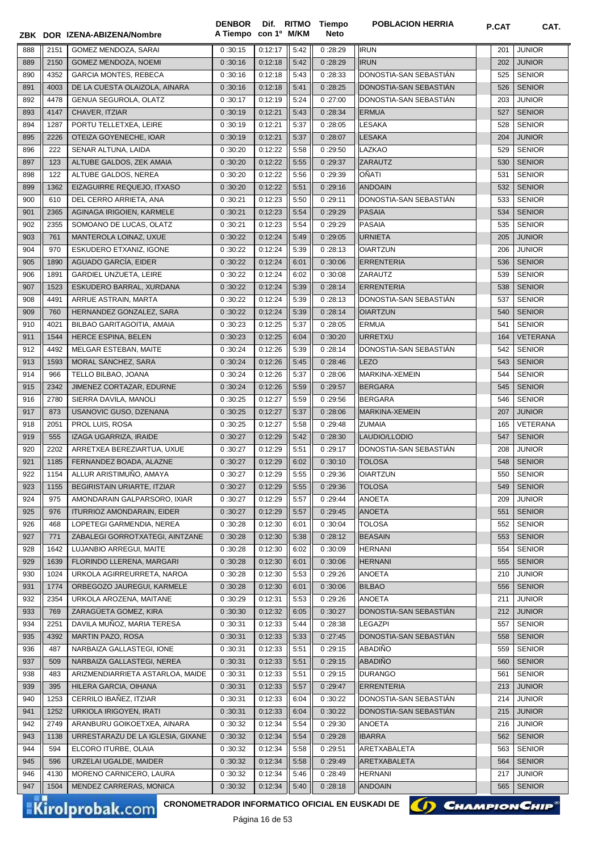|            |              | ZBK DOR IZENA-ABIZENA/Nombre                         | <b>DENBOR</b><br>A Tiempo | con 1º M/KM        |              | Dif. RITMO Tiempo<br>Neto | <b>POBLACION HERRIA</b>         | <b>P.CAT</b> | CAT.                           |
|------------|--------------|------------------------------------------------------|---------------------------|--------------------|--------------|---------------------------|---------------------------------|--------------|--------------------------------|
| 888        | 2151         | GOMEZ MENDOZA, SARAI                                 | 0:30:15                   | 0:12:17            | 5:42         | 0:28:29                   | <b>IRUN</b>                     | 201          | <b>JUNIOR</b>                  |
| 889        | 2150         | GOMEZ MENDOZA, NOEMI                                 | 0:30:16                   | 0:12:18            | 5:42         | 0:28:29                   | <b>IRUN</b>                     | 202          | <b>JUNIOR</b>                  |
| 890        | 4352         | <b>GARCIA MONTES, REBECA</b>                         | 0:30:16                   | 0:12:18            | 5:43         | 0:28:33                   | DONOSTIA-SAN SEBASTIAN          | 525          | <b>SENIOR</b>                  |
| 891        | 4003         | DE LA CUESTA OLAIZOLA, AINARA                        | 0:30:16                   | 0:12:18            | 5:41         | 0:28:25                   | DONOSTIA-SAN SEBASTIÁN          | 526          | <b>SENIOR</b>                  |
| 892        | 4478         | GENUA SEGUROLA, OLATZ                                | 0:30:17                   | 0:12:19            | 5:24         | 0:27:00                   | DONOSTIA-SAN SEBASTIAN          | 203          | <b>JUNIOR</b>                  |
| 893        | 4147         | CHAVER, ITZIAR                                       | 0:30:19                   | 0:12:21            | 5:43         | 0:28:34                   | <b>ERMUA</b>                    | 527          | <b>SENIOR</b>                  |
| 894        | 1287         | PORTU TELLETXEA, LEIRE                               | 0:30:19                   | 0:12:21            | 5:37         | 0:28:05                   | LESAKA                          | 528          | <b>SENIOR</b>                  |
| 895        | 2226         | OTEIZA GOYENECHE, IOAR                               | 0:30:19                   | 0:12:21            | 5:37         | 0:28:07                   | <b>LESAKA</b>                   | 204          | <b>JUNIOR</b>                  |
| 896        | 222          | SENAR ALTUNA, LAIDA                                  | 0:30:20                   | 0:12:22            | 5:58         | 0:29:50                   | LAZKAO                          | 529          | <b>SENIOR</b>                  |
| 897        | 123          | ALTUBE GALDOS, ZEK AMAIA                             | 0:30:20                   | 0:12:22            | 5:55         | 0:29:37                   | ZARAUTZ                         | 530          | <b>SENIOR</b>                  |
| 898        | 122          | ALTUBE GALDOS, NEREA                                 | 0:30:20                   | 0:12:22            | 5:56         | 0:29:39                   | OÑATI                           | 531          | <b>SENIOR</b>                  |
| 899        | 1362         | EIZAGUIRRE REQUEJO, ITXASO                           | 0:30:20                   | 0:12:22            | 5:51         | 0:29:16                   | <b>ANDOAIN</b>                  | 532          | <b>SENIOR</b>                  |
| 900        | 610          | DEL CERRO ARRIETA, ANA                               | 0:30:21                   | 0:12:23            | 5:50         | 0:29:11                   | DONOSTIA-SAN SEBASTIAN          | 533          | <b>SENIOR</b>                  |
| 901        | 2365         | AGINAGA IRIGOIEN, KARMELE                            | 0:30:21                   | 0:12:23            | 5:54         | 0:29:29                   | <b>PASAIA</b>                   | 534          | <b>SENIOR</b>                  |
| 902        | 2355         | SOMOANO DE LUCAS, OLATZ                              | 0:30:21                   | 0:12:23            | 5:54         | 0:29:29                   | PASAIA                          | 535          | <b>SENIOR</b>                  |
| 903        | 761          | MANTEROLA LOINAZ, UXUE                               | 0:30:22                   | 0:12:24            | 5:49         | 0:29:05                   | <b>URNIETA</b>                  | 205          | <b>JUNIOR</b>                  |
| 904        | 970          | ESKUDERO ETXANIZ, IGONE                              | 0:30:22                   | 0:12:24            | 5:39         | 0:28:13                   | <b>OIARTZUN</b>                 | 206          | JUNIOR                         |
| 905        | 1890         | AGUADO GARCÍA, EIDER                                 | 0:30:22                   | 0:12:24            | 6:01         | 0:30:06                   | <b>ERRENTERIA</b>               | 536          | <b>SENIOR</b>                  |
| 906        | 1891         | <b>GARDIEL UNZUETA, LEIRE</b>                        | 0:30:22                   | 0:12:24            | 6:02         | 0:30:08                   | ZARAUTZ                         | 539          | <b>SENIOR</b>                  |
| 907        | 1523         | ESKUDERO BARRAL, XURDANA                             | 0:30:22                   | 0:12:24            | 5:39         | 0:28:14                   | <b>ERRENTERIA</b>               | 538          | <b>SENIOR</b>                  |
| 908        | 4491         | ARRUE ASTRAIN, MARTA                                 | 0:30:22                   | 0:12:24            | 5:39         | 0:28:13                   | DONOSTIA-SAN SEBASTIAN          | 537          | <b>SENIOR</b>                  |
| 909        | 760          | HERNANDEZ GONZALEZ, SARA                             | 0:30:22                   | 0:12:24            | 5:39         | 0:28:14                   | <b>OIARTZUN</b>                 | 540          | <b>SENIOR</b>                  |
| 910        | 4021         | BILBAO GARITAGOITIA, AMAIA                           | 0:30:23                   | 0:12:25            | 5:37         | 0:28:05                   | <b>ERMUA</b>                    | 541          | <b>SENIOR</b>                  |
| 911        | 1544         | HERCE ESPINA, BELEN                                  | 0:30:23                   | 0:12:25            | 6:04         | 0:30:20                   | <b>URRETXU</b>                  | 164          | <b>VETERANA</b>                |
| 912        | 4492         | MELGAR ESTEBAN, MAITE                                | 0:30:24                   | 0:12:26            | 5:39         | 0:28:14                   | DONOSTIA-SAN SEBASTIÁN          | 542          | <b>SENIOR</b>                  |
| 913        | 1593         | MORAL SANCHEZ, SARA                                  | 0:30:24                   | 0:12:26            | 5:45         | 0:28:46                   | <b>LEZO</b>                     | 543          | <b>SENIOR</b>                  |
| 914        | 966          | TELLO BILBAO, JOANA                                  | 0:30:24                   | 0:12:26            | 5:37         | 0:28:06                   | MARKINA-XEMEIN                  | 544          | <b>SENIOR</b>                  |
| 915        | 2342         | JIMENEZ CORTAZAR, EDURNE                             | 0:30:24                   | 0:12:26            | 5:59         | 0:29:57                   | <b>BERGARA</b>                  | 545          | <b>SENIOR</b>                  |
| 916        | 2780         | SIERRA DAVILA, MANOLI                                | 0:30:25                   | 0:12:27            | 5:59         | 0:29:56                   | <b>BERGARA</b>                  | 546          | <b>SENIOR</b>                  |
| 917        | 873          | USANOVIC GUSO, DZENANA                               | 0:30:25                   | 0:12:27            | 5:37         | 0:28:06                   | MARKINA-XEMEIN                  | 207          | <b>JUNIOR</b>                  |
| 918        | 2051         | PROL LUIS, ROSA                                      | 0:30:25                   | 0:12:27            | 5:58         | 0:29:48                   | ZUMAIA                          | 165          | VETERANA                       |
| 919        | 555          | IZAGA UGARRIZA, IRAIDE                               | 0:30:27                   | 0:12:29            | 5:42         | 0:28:30                   | LAUDIO/LLODIO                   | 547          | <b>SENIOR</b>                  |
| 920        | 2202         | ARRETXEA BEREZIARTUA, UXUE                           | 0:30:27                   | 0:12:29            | 5:51         | 0:29:17                   | DONOSTIA-SAN SEBASTIÁN          | 208          | <b>JUNIOR</b>                  |
| 921        | 1185         | FERNANDEZ BOADA, ALAZNE                              | 0:30:27                   | 0:12:29            | 6:02         | 0:30:10                   | <b>TOLOSA</b>                   | 548          | <b>SENIOR</b>                  |
| 922        | 1154         | ALLUR ARISTIMUNO, AMAYA                              | 0:30:27                   | 0:12:29            | 5:55         | 0:29:36                   | OIARTZUN                        | 550          | <b>SENIOR</b>                  |
| 923        | 1155         | <b>BEGIRISTAIN URIARTE, ITZIAR</b>                   | 0:30:27                   | 0:12:29            | 5:55         | 0:29:36                   | <b>TOLOSA</b>                   | 549          | <b>SENIOR</b>                  |
| 924        | 975          | AMONDARAIN GALPARSORO, IXIAR                         | 0:30:27                   | 0:12:29            | 5:57         | 0:29:44                   | ANOETA                          | 209          | <b>JUNIOR</b>                  |
| 925        | 976          | <b>ITURRIOZ AMONDARAIN, EIDER</b>                    | 0:30:27                   | 0:12:29            | 5:57         | 0:29:45                   | <b>ANOETA</b>                   | 551          | <b>SENIOR</b>                  |
| 926        | 468          | LOPETEGI GARMENDIA, NEREA                            | 0:30:28                   | 0:12:30            | 6:01         | 0:30:04                   | <b>TOLOSA</b>                   | 552          | <b>SENIOR</b>                  |
| 927        | 771          | ZABALEGI GORROTXATEGI, AINTZANE                      | 0:30:28                   | 0:12:30            | 5:38         | 0:28:12                   | <b>BEASAIN</b>                  | 553          | <b>SENIOR</b>                  |
| 928<br>929 | 1642<br>1639 | LUJANBIO ARREGUI, MAITE<br>FLORINDO LLERENA, MARGARI | 0:30:28                   | 0:12:30            | 6:02         | 0:30:09                   | <b>HERNANI</b>                  | 554          | <b>SENIOR</b><br><b>SENIOR</b> |
| 930        | 1024         | URKOLA AGIRREURRETA, NAROA                           | 0:30:28<br>0:30:28        | 0:12:30<br>0:12:30 | 6:01<br>5:53 | 0:30:06<br>0:29:26        | <b>HERNANI</b><br><b>ANOETA</b> | 555<br>210   | <b>JUNIOR</b>                  |
| 931        | 1774         | ORBEGOZO JAUREGUI, KARMELE                           | 0:30:28                   | 0:12:30            | 6:01         | 0:30:06                   | <b>BILBAO</b>                   | 556          | <b>SENIOR</b>                  |
| 932        | 2354         | URKOLA AROZENA, MAITANE                              | 0:30:29                   | 0:12:31            | 5:53         | 0:29:26                   | <b>ANOETA</b>                   | 211          | <b>JUNIOR</b>                  |
| 933        | 769          | ZARAGÜETA GOMEZ, KIRA                                | 0:30:30                   | 0:12:32            | 6:05         | 0:30:27                   | DONOSTIA-SAN SEBASTIAN          | 212          | <b>JUNIOR</b>                  |
| 934        | 2251         | DAVILA MUÑOZ, MARIA TERESA                           | 0:30:31                   | 0:12:33            | 5:44         | 0:28:38                   | <b>LEGAZPI</b>                  | 557          | <b>SENIOR</b>                  |
| 935        | 4392         | MARTIN PAZO, ROSA                                    | 0:30:31                   | 0:12:33            | 5:33         | 0:27:45                   | DONOSTIA-SAN SEBASTIAN          | 558          | <b>SENIOR</b>                  |
| 936        | 487          | NARBAIZA GALLASTEGI, IONE                            | 0:30:31                   | 0:12:33            | 5:51         | 0:29:15                   | ABADIÑO                         | 559          | <b>SENIOR</b>                  |
| 937        | 509          | NARBAIZA GALLASTEGI, NEREA                           | 0:30:31                   | 0:12:33            | 5:51         | 0:29:15                   | ABADIÑO                         | 560          | <b>SENIOR</b>                  |
| 938        | 483          | ARIZMENDIARRIETA ASTARLOA, MAIDE                     | 0:30:31                   | 0:12:33            | 5:51         | 0:29:15                   | <b>DURANGO</b>                  | 561          | <b>SENIOR</b>                  |
| 939        | 395          | HILERA GARCIA, OIHANA                                | 0:30:31                   | 0:12:33            | 5:57         | 0:29:47                   | ERRENTERIA                      | 213          | <b>JUNIOR</b>                  |
| 940        | 1253         | CERRILO IBAÑEZ, ITZIAR                               | 0:30:31                   | 0:12:33            | 6:04         | 0:30:22                   | DONOSTIA-SAN SEBASTIAN          | 214          | <b>JUNIOR</b>                  |
| 941        | 1252         | URKIOLA IRIGOYEN, IRATI                              | 0:30:31                   | 0:12:33            | 6:04         | 0:30:22                   | DONOSTIA-SAN SEBASTIAN          | 215          | <b>JUNIOR</b>                  |
| 942        | 2749         | ARANBURU GOIKOETXEA, AINARA                          | 0:30:32                   | 0:12:34            | 5:54         | 0:29:30                   | ANOETA                          | 216          | <b>JUNIOR</b>                  |
| 943        | 1138         | URRESTARAZU DE LA IGLESIA, GIXANE                    | 0:30:32                   | 0:12:34            | 5:54         | 0:29:28                   | <b>IBARRA</b>                   | 562          | <b>SENIOR</b>                  |
| 944        | 594          | ELCORO ITURBE, OLAIA                                 | 0:30:32                   | 0:12:34            | 5:58         | 0:29:51                   | ARETXABALETA                    | 563          | <b>SENIOR</b>                  |
| 945        | 596          | URZELAI UGALDE, MAIDER                               | 0:30:32                   | 0:12:34            | 5:58         | 0:29:49                   | ARETXABALETA                    | 564          | <b>SENIOR</b>                  |
| 946        | 4130         | MORENO CARNICERO, LAURA                              | 0:30:32                   | 0:12:34            | 5:46         | 0:28:49                   | HERNANI                         | 217          | <b>JUNIOR</b>                  |
| 947        | 1504         | MENDEZ CARRERAS, MONICA                              | 0:30:32                   | 0:12:34            | 5:40         | 0:28:18                   | <b>ANDOAIN</b>                  | 565          | <b>SENIOR</b>                  |
|            |              |                                                      |                           |                    |              |                           |                                 |              |                                |

CRONOMETRADOR INFORMATICO OFICIAL EN EUSKADI DE **(A) CHAMPION CHIP**<sup>®</sup>

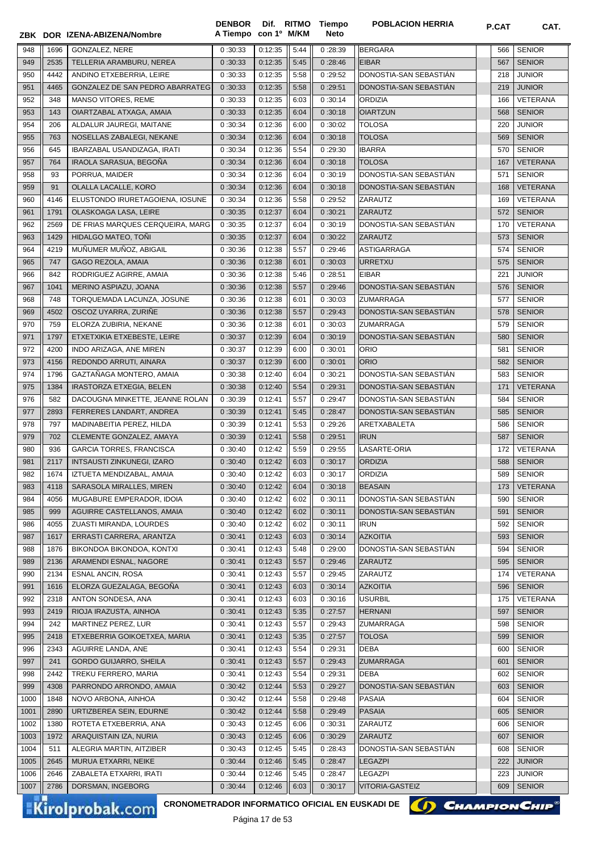|            |            | ZBK DOR IZENA-ABIZENA/Nombre                                              | <b>DENBOR</b><br>A Tiempo con 1º M/KM |                    |              | Dif. RITMO Tiempo<br><b>Neto</b> | <b>POBLACION HERRIA</b>           | P.CAT      | CAT.                        |
|------------|------------|---------------------------------------------------------------------------|---------------------------------------|--------------------|--------------|----------------------------------|-----------------------------------|------------|-----------------------------|
|            |            |                                                                           |                                       |                    |              |                                  |                                   |            |                             |
| 948        | 1696       | <b>GONZALEZ, NERE</b>                                                     | 0:30:33                               | 0:12:35            | 5:44         | 0:28:39                          | <b>BERGARA</b>                    | 566        | <b>SENIOR</b>               |
| 949        | 2535       | TELLERIA ARAMBURU, NEREA                                                  | 0:30:33                               | 0:12:35            | 5:45         | 0:28:46                          | <b>EIBAR</b>                      | 567        | <b>SENIOR</b>               |
| 950        | 4442       | ANDINO ETXEBERRIA, LEIRE                                                  | 0:30:33                               | 0:12:35            | 5:58         | 0:29:52                          | DONOSTIA-SAN SEBASTIAN            | 218        | <b>JUNIOR</b>               |
| 951        | 4465       | GONZALEZ DE SAN PEDRO ABARRATEG                                           | 0:30:33                               | 0:12:35            | 5:58         | 0:29:51                          | DONOSTIA-SAN SEBASTIÁN            | 219        | <b>JUNIOR</b>               |
| 952        | 348        | MANSO VITORES, REME                                                       | 0:30:33                               | 0:12:35            | 6:03         | 0:30:14                          | <b>ORDIZIA</b>                    | 166        | VETERANA                    |
| 953        | 143        | OIARTZABAL ATXAGA, AMAIA                                                  | 0:30:33                               | 0:12:35            | 6:04         | 0:30:18                          | <b>OIARTZUN</b>                   | 568        | <b>SENIOR</b>               |
| 954        | 206        | ALDALUR JAUREGI. MAITANE                                                  | 0:30:34                               | 0:12:36            | 6:00         | 0:30:02                          | <b>TOLOSA</b>                     | 220        | <b>JUNIOR</b>               |
| 955        | 763        | NOSELLAS ZABALEGI, NEKANE                                                 | 0:30:34                               | 0:12:36            | 6:04         | 0:30:18                          | <b>TOLOSA</b>                     | 569        | <b>SENIOR</b>               |
| 956        | 645        | IBARZABAL USANDIZAGA, IRATI<br>IRAOLA SARASUA, BEGOÑA                     | 0:30:34                               | 0:12:36            | 5:54         | 0:29:30                          | <b>IBARRA</b>                     | 570        | <b>SENIOR</b>               |
| 957        | 764        |                                                                           | 0:30:34                               | 0:12:36            | 6:04         | 0:30:18                          | <b>TOLOSA</b>                     | 167        | <b>VETERANA</b>             |
| 958        | 93         | PORRUA, MAIDER                                                            | 0:30:34                               | 0:12:36            | 6:04         | 0:30:19                          | DONOSTIA-SAN SEBASTIAN            | 571        | <b>SENIOR</b>               |
| 959<br>960 | 91<br>4146 | OLALLA LACALLE, KORO                                                      | 0:30:34                               | 0:12:36<br>0:12:36 | 6:04         | 0:30:18                          | DONOSTIA-SAN SEBASTIAN<br>ZARAUTZ | 168        | <b>VETERANA</b><br>VETERANA |
| 961        | 1791       | ELUSTONDO IRURETAGOIENA, IOSUNE                                           | 0:30:34                               | 0:12:37            | 5:58<br>6:04 | 0:29:52                          | <b>ZARAUTZ</b>                    | 169<br>572 | <b>SENIOR</b>               |
| 962        | 2569       | OLASKOAGA LASA, LEIRE<br>DE FRIAS MARQUES CERQUEIRA, MARG                 | 0:30:35<br>0:30:35                    | 0:12:37            | 6:04         | 0:30:21<br>0:30:19               | DONOSTIA-SAN SEBASTIÁN            | 170        | VETERANA                    |
| 963        | 1429       | HIDALGO MATEO, TONI                                                       | 0:30:35                               | 0:12:37            | 6:04         | 0:30:22                          | <b>ZARAUTZ</b>                    | 573        | <b>SENIOR</b>               |
| 964        | 4219       | MUÑUMER MUÑOZ. ABIGAIL                                                    | 0:30:36                               | 0:12:38            | 5:57         | 0:29:46                          | <b>ASTIGARRAGA</b>                | 574        | <b>SENIOR</b>               |
| 965        | 747        | GAGO REZOLA, AMAIA                                                        | 0:30:36                               | 0:12:38            | 6:01         | 0:30:03                          | <b>URRETXU</b>                    | 575        | <b>SENIOR</b>               |
| 966        | 842        | RODRIGUEZ AGIRRE, AMAIA                                                   | 0:30:36                               | 0:12:38            | 5:46         | 0:28:51                          | <b>EIBAR</b>                      | 221        | <b>JUNIOR</b>               |
| 967        | 1041       | MERINO ASPIAZU, JOANA                                                     | 0:30:36                               | 0:12:38            | 5:57         | 0:29:46                          | DONOSTIA-SAN SEBASTIAN            | 576        | <b>SENIOR</b>               |
| 968        | 748        | TORQUEMADA LACUNZA, JOSUNE                                                | 0:30:36                               | 0:12:38            | 6:01         | 0:30:03                          | <b>ZUMARRAGA</b>                  | 577        | <b>SENIOR</b>               |
| 969        | 4502       | OSCOZ UYARRA, ZURIÑE                                                      | 0:30:36                               | 0:12:38            | 5:57         | 0:29:43                          | DONOSTIA-SAN SEBASTIÁN            | 578        | <b>SENIOR</b>               |
| 970        | 759        | ELORZA ZUBIRIA, NEKANE                                                    | 0:30:36                               | 0:12:38            | 6:01         | 0:30:03                          | <b>ZUMARRAGA</b>                  | 579        | <b>SENIOR</b>               |
| 971        | 1797       | ETXETXIKIA ETXEBESTE, LEIRE                                               | 0:30:37                               | 0:12:39            | 6:04         | 0:30:19                          | DONOSTIA-SAN SEBASTIAN            | 580        | <b>SENIOR</b>               |
| 972        | 4200       | INDO ARIZAGA, ANE MIREN                                                   | 0:30:37                               | 0:12:39            | 6:00         | 0:30:01                          | <b>ORIO</b>                       | 581        | <b>SENIOR</b>               |
| 973        | 4156       | REDONDO ARRUTI, AINARA                                                    | 0:30:37                               | 0:12:39            | 6:00         | 0:30:01                          | <b>ORIO</b>                       | 582        | <b>SENIOR</b>               |
| 974        | 1796       | GAZTAÑAGA MONTERO, AMAIA                                                  | 0:30:38                               | 0:12:40            | 6:04         | 0:30:21                          | DONOSTIA-SAN SEBASTIAN            | 583        | <b>SENIOR</b>               |
| 975        | 1384       | <b>IRASTORZA ETXEGIA, BELEN</b>                                           | 0:30:38                               | 0:12:40            | 5:54         | 0:29:31                          | DONOSTIA-SAN SEBASTIAN            | 171        | <b>VETERANA</b>             |
| 976        | 582        | DACOUGNA MINKETTE, JEANNE ROLAN                                           | 0:30:39                               | 0:12:41            | 5:57         | 0:29:47                          | DONOSTIA-SAN SEBASTIAN            | 584        | <b>SENIOR</b>               |
| 977        | 2893       | FERRERES LANDART, ANDREA                                                  | 0:30:39                               | 0:12:41            | 5:45         | 0:28:47                          | DONOSTIA-SAN SEBASTIAN            | 585        | <b>SENIOR</b>               |
| 978        | 797        | MADINABEITIA PEREZ, HILDA                                                 | 0:30:39                               | 0:12:41            | 5:53         | 0:29:26                          | ARETXABALETA                      | 586        | <b>SENIOR</b>               |
| 979        | 702        | CLEMENTE GONZALEZ, AMAYA                                                  | 0:30:39                               | 0:12:41            | 5:58         | 0:29:51                          | <b>IRUN</b>                       | 587        | <b>SENIOR</b>               |
| 980        | 936        | <b>GARCIA TORRES, FRANCISCA</b>                                           | 0:30:40                               | 0:12:42            | 5:59         | 0:29:55                          | LASARTE-ORIA                      | 172        | VETERANA                    |
| 981        | 2117       | <b>INTSAUSTI ZINKUNEGI, IZARO</b>                                         | 0:30:40                               | 0:12:42            | 6:03         | 0:30:17                          | <b>ORDIZIA</b>                    | 588        | <b>SENIOR</b>               |
| 982        | 1674       | IZTUETA MENDIZABAL, AMAIA                                                 | 0:30:40                               | 0:12:42            | 6:03         | 0:30:17                          | ORDIZIA                           | 589        | <b>SENIOR</b>               |
| 983        | 4118       | SARASOLA MIRALLES, MIREN                                                  | 0:30:40                               | 0:12:42            | 6:04         | 0:30:18                          | <b>BEASAIN</b>                    | 173        | <b>VETERANA</b>             |
| 984        | 4056       | MUGABURE EMPERADOR, IDOIA                                                 | 0:30:40                               | 0:12:42            | 6:02         | 0:30:11                          | DONOSTIA-SAN SEBASTIAN            | 590        | <b>SENIOR</b>               |
| 985        | 999        | AGUIRRE CASTELLANOS, AMAIA                                                | 0:30:40                               | 0:12:42            | 6:02         | 0:30:11                          | DONOSTIA-SAN SEBASTIÁN            | 591        | <b>SENIOR</b>               |
| 986        | 4055       | ZUASTI MIRANDA, LOURDES                                                   | 0:30:40                               | 0:12:42            | 6:02         | 0:30:11                          | <b>IRUN</b>                       | 592        | <b>SENIOR</b>               |
| 987        | 1617       | ERRASTI CARRERA, ARANTZA                                                  | 0:30:41                               | 0:12:43            | 6:03         | 0:30:14                          | <b>AZKOITIA</b>                   | 593        | <b>SENIOR</b>               |
| 988        | 1876       | BIKONDOA BIKONDOA, KONTXI                                                 | 0:30:41                               | 0:12:43            | 5:48         | 0:29:00                          | DONOSTIA-SAN SEBASTIAN            | 594        | <b>SENIOR</b>               |
| 989        | 2136       | ARAMENDI ESNAL, NAGORE                                                    | 0:30:41                               | 0:12:43            | 5:57         | 0:29:46                          | ZARAUTZ                           | 595        | <b>SENIOR</b>               |
| 990        | 2134       | <b>ESNAL ANCIN, ROSA</b>                                                  | 0:30:41                               | 0:12:43            | 5:57         | 0:29:45                          | ZARAUTZ                           | 174        | VETERANA                    |
| 991        | 1616       | ELORZA GUEZALAGA, BEGOÑA                                                  | 0:30:41                               | 0:12:43            | 6:03         | 0:30:14                          | <b>AZKOITIA</b>                   | 596        | <b>SENIOR</b>               |
| 992        | 2318       | ANTON SONDESA, ANA                                                        | 0:30:41                               | 0:12:43            | 6:03         | 0:30:16                          | <b>USURBIL</b>                    | 175        | VETERANA                    |
| 993        | 2419       | RIOJA IRAZUSTA, AINHOA                                                    | 0:30:41                               | 0:12:43            | 5:35         | 0:27:57                          | <b>HERNANI</b>                    | 597        | <b>SENIOR</b>               |
| 994        | 242        | MARTINEZ PEREZ, LUR                                                       | 0:30:41                               | 0:12:43            | 5:57         | 0:29:43                          | <b>ZUMARRAGA</b>                  | 598        | <b>SENIOR</b>               |
| 995        | 2418       | ETXEBERRIA GOIKOETXEA, MARIA                                              | 0:30:41                               | 0:12:43            | 5:35         | 0:27:57                          | <b>TOLOSA</b>                     | 599        | <b>SENIOR</b>               |
| 996        | 2343       | AGUIRRE LANDA, ANE                                                        | 0:30:41                               | 0:12:43            | 5:54         | 0:29:31                          | <b>DEBA</b>                       | 600        | <b>SENIOR</b>               |
| 997        | 241        | <b>GORDO GUIJARRO, SHEILA</b>                                             | 0:30:41                               | 0:12:43            | 5:57         | 0:29:43                          | <b>ZUMARRAGA</b>                  | 601        | <b>SENIOR</b>               |
| 998        | 2442       | TREKU FERRERO, MARIA                                                      | 0:30:41                               | 0:12:43            | 5:54         | 0:29:31                          | <b>DEBA</b>                       | 602        | <b>SENIOR</b>               |
| 999        | 4308       | PARRONDO ARRONDO, AMAIA                                                   | 0:30:42                               | 0:12:44            | 5:53         | 0:29:27                          | DONOSTIA-SAN SEBASTIAN            | 603        | <b>SENIOR</b>               |
| 1000       | 1848       | NOVO ARBONA, AINHOA                                                       | 0:30:42                               | 0:12:44            | 5:58         | 0:29:48                          | <b>PASAIA</b>                     | 604        | <b>SENIOR</b>               |
| 1001       | 2890       | URTIZBEREA SEIN, EDURNE                                                   | 0:30:42                               | 0:12:44            | 5:58         | 0:29:49                          | <b>PASAIA</b>                     | 605        | <b>SENIOR</b>               |
| 1002       | 1380       | ROTETA ETXEBERRIA, ANA                                                    | 0:30:43                               | 0:12:45            | 6:06         | 0:30:31                          | ZARAUTZ                           | 606        | <b>SENIOR</b>               |
| 1003       | 1972       | ARAQUISTAIN IZA, NURIA                                                    | 0:30:43                               | 0:12:45            | 6:06         | 0:30:29                          | <b>ZARAUTZ</b>                    | 607        | <b>SENIOR</b>               |
| 1004       | 511        | ALEGRIA MARTIN, AITZIBER                                                  | 0:30:43                               | 0:12:45            | 5:45         | 0:28:43                          | DONOSTIA-SAN SEBASTIAN            | 608        | <b>SENIOR</b>               |
| 1005       | 2645       | MURUA ETXARRI, NEIKE                                                      | 0:30:44                               | 0:12:46            | 5:45         | 0:28:47                          | <b>LEGAZPI</b>                    | 222        | JUNIOR                      |
| 1006       | 2646       | ZABALETA ETXARRI, IRATI                                                   | 0:30:44                               | 0:12:46            | 5:45         | 0:28:47                          | LEGAZPI                           | 223        | JUNIOR                      |
| 1007       | 2786       | DORSMAN, INGEBORG                                                         | 0:30:44                               | 0:12:46            | 6:03         | 0:30:17                          | <b>VITORIA-GASTEIZ</b>            | 609        | <b>SENIOR</b>               |
|            |            | CRONOMETRADOR INFORMATICO OFICIAL EN EUSKADI DE<br><b>Kirolprobak.com</b> |                                       |                    |              |                                  |                                   |            | <b>CHAMPION CHIP®</b>       |

Kirolprobak.com

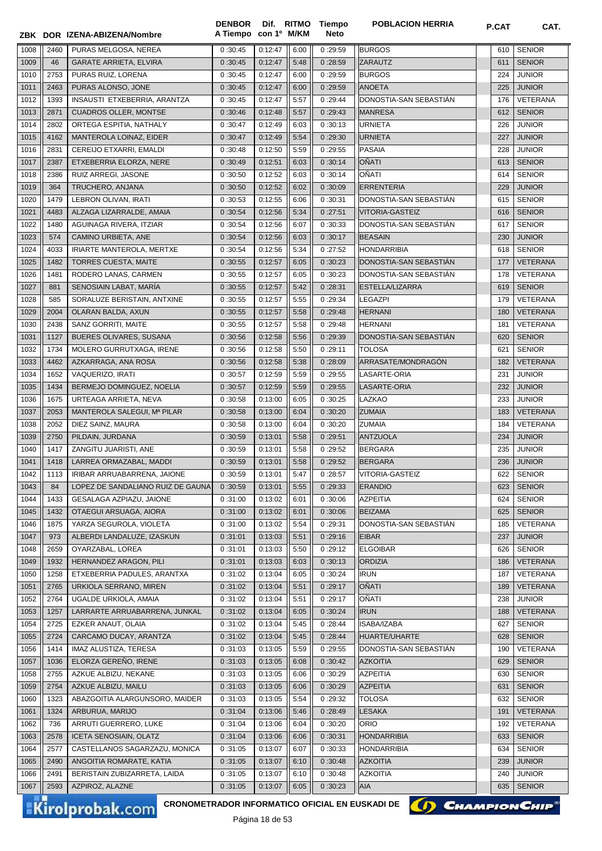| 1008 | 2460 | PURAS MELGOSA, NEREA                     | 0:30:45            | 0:12:47 | 6:00 | 0:29:59            | <b>BURGOS</b>                               | 610 | <b>SENIOR</b>                  |
|------|------|------------------------------------------|--------------------|---------|------|--------------------|---------------------------------------------|-----|--------------------------------|
| 1009 | 46   | <b>GARATE ARRIETA, ELVIRA</b>            | 0:30:45            | 0:12:47 | 5:48 | 0:28:59            | ZARAUTZ                                     | 611 | <b>SENIOR</b>                  |
| 1010 | 2753 | PURAS RUIZ, LORENA                       | 0:30:45            | 0:12:47 | 6:00 | 0:29:59            | <b>BURGOS</b>                               | 224 | <b>JUNIOR</b>                  |
| 1011 | 2463 | PURAS ALONSO, JONE                       | 0:30:45            | 0:12:47 | 6:00 | 0:29:59            | <b>ANOETA</b>                               | 225 | <b>JUNIOR</b>                  |
| 1012 | 1393 | INSAUSTI ETXEBERRIA, ARANTZA             | 0:30:45            | 0:12:47 | 5:57 | 0:29:44            | DONOSTIA-SAN SEBASTIAN                      | 176 | VETERANA                       |
| 1013 | 2871 | <b>CUADROS OLLER, MONTSE</b>             | 0:30:46            | 0:12:48 | 5:57 | 0:29:43            | <b>MANRESA</b>                              | 612 | <b>SENIOR</b>                  |
| 1014 | 2802 | ORTEGA ESPITIA, NATHALY                  | 0:30:47            | 0:12:49 | 6:03 | 0:30:13            | <b>URNIETA</b>                              | 226 | <b>JUNIOR</b>                  |
| 1015 | 4162 | MANTEROLA LOINAZ, EIDER                  | 0:30:47            | 0:12:49 | 5:54 | 0:29:30            | <b>URNIETA</b>                              | 227 | <b>JUNIOR</b>                  |
| 1016 | 2831 | CEREIJO ETXARRI, EMALDI                  | 0:30:48            | 0:12:50 | 5:59 | 0:29:55            | <b>PASAIA</b>                               | 228 | <b>JUNIOR</b>                  |
| 1017 | 2387 | ETXEBERRIA ELORZA, NERE                  | 0:30:49            | 0:12:51 | 6:03 | 0:30:14            | <b>OÑATI</b>                                | 613 | <b>SENIOR</b>                  |
| 1018 | 2386 | RUIZ ARREGI, JASONE                      | 0:30:50            | 0:12:52 | 6:03 | 0:30:14            | OÑATI                                       | 614 | <b>SENIOR</b>                  |
| 1019 | 364  |                                          |                    | 0:12:52 | 6:02 |                    |                                             | 229 |                                |
| 1020 | 1479 | TRUCHERO, ANJANA<br>LEBRON OLIVAN, IRATI | 0:30:50<br>0:30:53 | 0:12:55 | 6:06 | 0:30:09<br>0:30:31 | <b>ERRENTERIA</b><br>DONOSTIA-SAN SEBASTIAN | 615 | <b>JUNIOR</b><br><b>SENIOR</b> |
|      |      |                                          |                    |         |      |                    |                                             |     | <b>SENIOR</b>                  |
| 1021 | 4483 | ALZAGA LIZARRALDE, AMAIA                 | 0:30:54            | 0:12:56 | 5:34 | 0:27:51            | <b>VITORIA-GASTEIZ</b>                      | 616 |                                |
| 1022 | 1480 | AGUINAGA RIVERA, ITZIAR                  | 0:30:54            | 0:12:56 | 6:07 | 0:30:33            | DONOSTIA-SAN SEBASTIAN                      | 617 | <b>SENIOR</b>                  |
| 1023 | 574  | CAMINO URBIETA, ANE                      | 0:30:54            | 0:12:56 | 6:03 | 0:30:17            | <b>BEASAIN</b>                              | 230 | <b>JUNIOR</b>                  |
| 1024 | 4033 | IRIARTE MANTEROLA, MERTXE                | 0:30:54            | 0:12:56 | 5:34 | 0:27:52            | <b>HONDARRIBIA</b>                          | 618 | <b>SENIOR</b>                  |
| 1025 | 1482 | <b>TORRES CUESTA, MAITE</b>              | 0:30:55            | 0:12:57 | 6:05 | 0:30:23            | DONOSTIA-SAN SEBASTIÁN                      | 177 | <b>VETERANA</b>                |
| 1026 | 1481 | RODERO LANAS, CARMEN                     | 0:30:55            | 0:12:57 | 6:05 | 0:30:23            | DONOSTIA-SAN SEBASTIÁN                      | 178 | VETERANA                       |
| 1027 | 881  | SENOSIAIN LABAT, MARÍA                   | 0:30:55            | 0:12:57 | 5:42 | 0:28:31            | ESTELLA/LIZARRA                             | 619 | <b>SENIOR</b>                  |
| 1028 | 585  | SORALUZE BERISTAIN, ANTXINE              | 0:30:55            | 0:12:57 | 5:55 | 0:29:34            | <b>LEGAZPI</b>                              | 179 | <b>VETERANA</b>                |
| 1029 | 2004 | OLARAN BALDA, AXUN                       | 0:30:55            | 0:12:57 | 5:58 | 0:29:48            | <b>HERNANI</b>                              | 180 | <b>VETERANA</b>                |
| 1030 | 2438 | SANZ GORRITI, MAITE                      | 0:30:55            | 0:12:57 | 5:58 | 0:29:48            | <b>HERNANI</b>                              | 181 | VETERANA                       |
| 1031 | 1127 | <b>BUERES OLIVARES, SUSANA</b>           | 0:30:56            | 0:12:58 | 5:56 | 0:29:39            | DONOSTIA-SAN SEBASTIAN                      | 620 | <b>SENIOR</b>                  |
| 1032 | 1734 | MOLERO GURRUTXAGA, IRENE                 | 0:30:56            | 0:12:58 | 5:50 | 0:29:11            | <b>TOLOSA</b>                               | 621 | <b>SENIOR</b>                  |
| 1033 | 4462 | AZKARRAGA, ANA ROSA                      | 0:30:56            | 0:12:58 | 5:38 | 0:28:09            | ARRASATE/MONDRAGÓN                          | 182 | <b>VETERANA</b>                |
| 1034 | 1652 | VAQUERIZO, IRATI                         | 0:30:57            | 0:12:59 | 5:59 | 0:29:55            | LASARTE-ORIA                                | 231 | <b>JUNIOR</b>                  |
| 1035 | 1434 | BERMEJO DOMINGUEZ, NOELIA                | 0:30:57            | 0:12:59 | 5:59 | 0:29:55            | LASARTE-ORIA                                | 232 | <b>JUNIOR</b>                  |
| 1036 | 1675 | URTEAGA ARRIETA, NEVA                    | 0:30:58            | 0:13:00 | 6:05 | 0:30:25            | LAZKAO                                      | 233 | <b>JUNIOR</b>                  |
| 1037 | 2053 | MANTEROLA SALEGUI, Mª PILAR              | 0:30:58            | 0:13:00 | 6:04 | 0:30:20            | <b>ZUMAIA</b>                               | 183 | <b>VETERANA</b>                |
| 1038 | 2052 | DIEZ SAINZ, MAURA                        | 0:30:58            | 0:13:00 | 6:04 | 0:30:20            | <b>ZUMAIA</b>                               | 184 | VETERANA                       |
| 1039 | 2750 | PILDAIN, JURDANA                         | 0:30:59            | 0:13:01 | 5:58 | 0:29:51            | <b>ANTZUOLA</b>                             | 234 | <b>JUNIOR</b>                  |
| 1040 | 1417 | ZANGITU JUARISTI, ANE                    | 0:30:59            | 0:13:01 | 5:58 | 0:29:52            | <b>BERGARA</b>                              | 235 | <b>JUNIOR</b>                  |
| 1041 | 1418 | LARREA ORMAZABAL, MADDI                  | 0:30:59            | 0:13:01 | 5:58 | 0:29:52            | <b>BERGARA</b>                              | 236 | <b>JUNIOR</b>                  |
| 1042 | 1113 | IRIBAR ARRUABARRENA, JAIONE              | 0:30:59            | 0:13:01 | 5:47 | 0:28:57            | VITORIA-GASTEIZ                             | 622 | <b>SENIOR</b>                  |
| 1043 | 84   | LOPEZ DE SANDALIANO RUIZ DE GAUNA        | 0:30:59            | 0:13:01 | 5:55 | 0:29:33            | <b>ERANDIO</b>                              | 623 | <b>SENIOR</b>                  |
| 1044 | 1433 | GESALAGA AZPIAZU, JAIONE                 | 0:31:00            | 0:13:02 | 6:01 | 0:30:06            | <b>AZPEITIA</b>                             | 624 | <b>SENIOR</b>                  |
| 1045 | 1432 | OTAEGUI ARSUAGA, AIORA                   | 0:31:00            | 0:13:02 | 6:01 | 0:30:06            | <b>BEIZAMA</b>                              | 625 | <b>SENIOR</b>                  |
| 1046 | 1875 | YARZA SEGUROLA, VIOLETA                  | 0:31:00            | 0:13:02 | 5:54 | 0:29:31            | DONOSTIA-SAN SEBASTIAN                      | 185 | VETERANA                       |
| 1047 | 973  | ALBERDI LANDALUZE, IZASKUN               | 0:31:01            | 0:13:03 | 5:51 | 0:29:16            | <b>EIBAR</b>                                | 237 | <b>JUNIOR</b>                  |
| 1048 | 2659 | OYARZABAL, LOREA                         | 0:31:01            | 0:13:03 | 5:50 | 0:29:12            | <b>ELGOIBAR</b>                             | 626 | <b>SENIOR</b>                  |
| 1049 | 1932 | HERNANDEZ ARAGON, PILI                   | 0:31:01            | 0:13:03 | 6:03 | 0:30:13            | <b>ORDIZIA</b>                              | 186 | <b>VETERANA</b>                |
| 1050 | 1258 | ETXEBERRIA PADULES, ARANTXA              | 0:31:02            | 0:13:04 | 6:05 | 0:30:24            | <b>IRUN</b>                                 | 187 | VETERANA                       |
| 1051 | 2765 | URKIOLA SERRANO, MIREN                   | 0:31:02            | 0:13:04 | 5:51 | 0:29:17            | OÑATI                                       | 189 | <b>VETERANA</b>                |
| 1052 | 2764 | UGALDE URKIOLA, AMAIA                    | 0:31:02            | 0:13:04 | 5:51 | 0:29:17            | OÑATI                                       | 238 | <b>JUNIOR</b>                  |
| 1053 | 1257 | LARRARTE ARRUABARRENA, JUNKAL            | 0:31:02            | 0:13:04 | 6:05 | 0:30:24            | <b>IRUN</b>                                 | 188 | <b>VETERANA</b>                |
| 1054 | 2725 | EZKER ANAUT, OLAIA                       | 0:31:02            | 0:13:04 | 5:45 | 0:28:44            | ISABA/IZABA                                 | 627 | <b>SENIOR</b>                  |
| 1055 | 2724 | CARCAMO DUCAY, ARANTZA                   | 0:31:02            | 0:13:04 | 5:45 | 0:28:44            | HUARTE/UHARTE                               | 628 | <b>SENIOR</b>                  |
| 1056 | 1414 | IMAZ ALUSTIZA, TERESA                    | 0:31:03            | 0:13:05 | 5:59 | 0:29:55            | DONOSTIA-SAN SEBASTIAN                      | 190 | VETERANA                       |
| 1057 | 1036 | ELORZA GEREÑO, IRENE                     | 0:31:03            | 0:13:05 | 6:08 | 0:30:42            | <b>AZKOITIA</b>                             | 629 | <b>SENIOR</b>                  |
| 1058 | 2755 | AZKUE ALBIZU, NEKANE                     | 0:31:03            | 0:13:05 | 6:06 | 0:30:29            | <b>AZPEITIA</b>                             | 630 | <b>SENIOR</b>                  |
| 1059 | 2754 | AZKUE ALBIZU, MAILU                      | 0:31:03            | 0:13:05 | 6:06 | 0:30:29            | <b>AZPEITIA</b>                             | 631 | <b>SENIOR</b>                  |
| 1060 | 1323 | ABAZGOITIA ALARGUNSORO, MAIDER           | 0:31:03            | 0:13:05 | 5:54 | 0:29:32            | <b>TOLOSA</b>                               | 632 | SENIOR                         |
| 1061 | 1324 | ARBURUA, MARIJO                          | 0:31:04            | 0:13:06 | 5:46 | 0:28:49            | <b>LESAKA</b>                               | 191 | VETERANA                       |
| 1062 | 736  | ARRUTI GUERRERO, LUKE                    | 0:31:04            | 0:13:06 | 6:04 | 0:30:20            | <b>ORIO</b>                                 | 192 | VETERANA                       |
| 1063 | 2578 | <b>ICETA SENOSIAIN, OLATZ</b>            | 0:31:04            | 0:13:06 | 6:06 | 0:30:31            | <b>HONDARRIBIA</b>                          | 633 | <b>SENIOR</b>                  |
| 1064 | 2577 | CASTELLANOS SAGARZAZU, MONICA            | 0:31:05            | 0:13:07 | 6:07 | 0:30:33            | <b>HONDARRIBIA</b>                          | 634 | <b>SENIOR</b>                  |
|      | 2490 | ANGOITIA ROMARATE, KATIA                 |                    |         |      |                    | <b>AZKOITIA</b>                             | 239 | <b>JUNIOR</b>                  |
| 1065 |      |                                          | 0:31:05            | 0:13:07 | 6:10 | 0:30:48            |                                             |     |                                |
| 1066 | 2491 | BERISTAIN ZUBIZARRETA, LAIDA             | 0:31:05            | 0:13:07 | 6:10 | 0:30:48            | <b>AZKOITIA</b>                             | 240 | <b>JUNIOR</b>                  |
| 1067 | 2593 | AZPIROZ, ALAZNE                          | 0:31:05            | 0:13:07 | 6:05 | 0:30:23            | AIA                                         | 635 | <b>SENIOR</b>                  |

**Dif. con 1º**

**M/KM**

**Tiempo Neto**

**DENBOR**

Kirolprobak.com

**ZBK DOR IZENA-ABIZENA/Nombre A Tiempo**

**CRONOMETRADOR INFORMATICO OFICIAL EN EUSKADI DE**

Página 18 de 53



**POBLACION HERRIA P.CAT CAT.**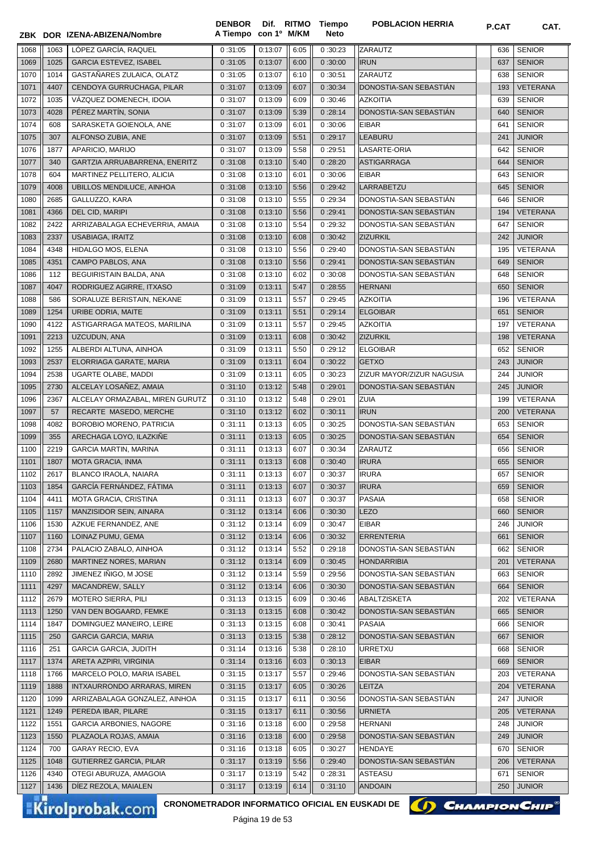|      |      | ZBK DOR IZENA-ABIZENA/Nombre                    | <b>DENBOR</b><br>A Tiempo con 1º M/KM | Dif. RITMO                               |      | Tiempo<br><b>Neto</b> | <b>POBLACION HERRIA</b>   | P.CAT | CAT.            |
|------|------|-------------------------------------------------|---------------------------------------|------------------------------------------|------|-----------------------|---------------------------|-------|-----------------|
| 1068 | 1063 | LÓPEZ GARCÍA, RAQUEL                            | 0:31:05                               | 0:13:07                                  | 6:05 | 0:30:23               | <b>ZARAUTZ</b>            | 636   | <b>SENIOR</b>   |
| 1069 | 1025 | <b>GARCIA ESTEVEZ, ISABEL</b>                   | 0:31:05                               | 0:13:07                                  | 6:00 | 0:30:00               | <b>IRUN</b>               | 637   | <b>SENIOR</b>   |
| 1070 | 1014 | GASTAÑARES ZULAICA, OLATZ                       | 0:31:05                               | 0:13:07                                  | 6:10 | 0:30:51               | <b>ZARAUTZ</b>            | 638   | <b>SENIOR</b>   |
| 1071 | 4407 | CENDOYA GURRUCHAGA, PILAR                       | 0:31:07                               | 0:13:09                                  | 6:07 | 0:30:34               | DONOSTIA-SAN SEBASTIÁN    | 193   | <b>VETERANA</b> |
| 1072 | 1035 | VÁZQUEZ DOMENECH, IDOIA                         | 0:31:07                               | 0:13:09                                  | 6:09 | 0:30:46               | <b>AZKOITIA</b>           | 639   | <b>SENIOR</b>   |
| 1073 | 4028 | PÉREZ MARTÍN, SONIA                             | 0:31:07                               | 0:13:09                                  | 5:39 | 0:28:14               | DONOSTIA-SAN SEBASTIAN    | 640   | <b>SENIOR</b>   |
| 1074 | 608  | SARASKETA GOIENOLA, ANE                         | 0:31:07                               | 0:13:09                                  | 6:01 | 0:30:06               | <b>EIBAR</b>              | 641   | <b>SENIOR</b>   |
| 1075 | 307  | ALFONSO ZUBIA, ANE                              | 0:31:07                               | 0:13:09                                  | 5:51 | 0:29:17               | <b>LEABURU</b>            | 241   | <b>JUNIOR</b>   |
| 1076 | 1877 | APARICIO, MARIJO                                | 0:31:07                               | 0:13:09                                  | 5:58 | 0:29:51               | LASARTE-ORIA              | 642   | <b>SENIOR</b>   |
| 1077 | 340  | GARTZIA ARRUABARRENA, ENERITZ                   | 0:31:08                               | 0:13:10                                  | 5:40 | 0:28:20               | <b>ASTIGARRAGA</b>        | 644   | <b>SENIOR</b>   |
| 1078 | 604  | MARTINEZ PELLITERO, ALICIA                      | 0:31:08                               | 0:13:10                                  | 6:01 | 0:30:06               | <b>EIBAR</b>              | 643   | <b>SENIOR</b>   |
| 1079 | 4008 | UBILLOS MENDILUCE, AINHOA                       | 0:31:08                               | 0:13:10                                  | 5:56 | 0:29:42               | LARRABETZU                | 645   | <b>SENIOR</b>   |
| 1080 | 2685 | GALLUZZO, KARA                                  | 0:31:08                               | 0:13:10                                  | 5:55 | 0:29:34               | DONOSTIA-SAN SEBASTIAN    | 646   | <b>SENIOR</b>   |
| 1081 | 4366 | DEL CID, MARIPI                                 | 0:31:08                               | 0:13:10                                  | 5:56 | 0:29:41               | DONOSTIA-SAN SEBASTIÁN    | 194   | <b>VETERANA</b> |
| 1082 | 2422 | ARRIZABALAGA ECHEVERRIA, AMAIA                  | 0:31:08                               | 0:13:10                                  | 5:54 | 0:29:32               | DONOSTIA-SAN SEBASTIAN    | 647   | <b>SENIOR</b>   |
| 1083 | 2337 | <b>USABIAGA, IRAITZ</b>                         | 0:31:08                               | 0:13:10                                  | 6:08 | 0:30:42               | <b>ZIZURKIL</b>           | 242   | <b>JUNIOR</b>   |
| 1084 | 4348 | HIDALGO MOS, ELENA                              | 0:31:08                               | 0:13:10                                  | 5:56 | 0:29:40               | DONOSTIA-SAN SEBASTIÁN    | 195   | VETERANA        |
| 1085 | 4351 | CAMPO PABLOS, ANA                               | 0:31:08                               | 0:13:10                                  | 5:56 | 0:29:41               | DONOSTIA-SAN SEBASTIÁN    | 649   | <b>SENIOR</b>   |
| 1086 | 112  | BEGUIRISTAIN BALDA, ANA                         | 0:31:08                               | 0:13:10                                  | 6:02 | 0:30:08               | DONOSTIA-SAN SEBASTIÁN    | 648   | <b>SENIOR</b>   |
| 1087 | 4047 | RODRIGUEZ AGIRRE, ITXASO                        | 0:31:09                               | 0:13:11                                  | 5:47 | 0:28:55               | <b>HERNANI</b>            | 650   | <b>SENIOR</b>   |
| 1088 | 586  | SORALUZE BERISTAIN, NEKANE                      | 0:31:09                               | 0:13:11                                  | 5:57 | 0:29:45               | <b>AZKOITIA</b>           | 196   | VETERANA        |
| 1089 | 1254 | URIBE ODRIA, MAITE                              | 0:31:09                               | 0:13:11                                  | 5:51 | 0:29:14               | <b>ELGOIBAR</b>           | 651   | <b>SENIOR</b>   |
| 1090 | 4122 | ASTIGARRAGA MATEOS, MARILINA                    | 0:31:09                               | 0:13:11                                  | 5:57 | 0:29:45               | <b>AZKOITIA</b>           | 197   | VETERANA        |
| 1091 | 2213 | UZCUDUN, ANA                                    | 0:31:09                               | 0:13:11                                  | 6:08 | 0:30:42               | <b>ZIZURKIL</b>           | 198   | <b>VETERANA</b> |
| 1092 | 1255 | ALBERDI ALTUNA, AINHOA                          | 0:31:09                               | 0:13:11                                  | 5:50 | 0:29:12               | <b>ELGOIBAR</b>           | 652   | <b>SENIOR</b>   |
| 1093 | 2537 | ELORRIAGA GARATE, MARIA                         | 0:31:09                               | 0:13:11                                  | 6:04 | 0:30:22               | <b>GETXO</b>              | 243   | <b>JUNIOR</b>   |
| 1094 | 2538 | UGARTE OLABE, MADDI                             | 0:31:09                               | 0:13:11                                  | 6:05 | 0:30:23               | ZIZUR MAYOR/ZIZUR NAGUSIA | 244   | <b>JUNIOR</b>   |
| 1095 | 2730 | ALCELAY LOSAÑEZ, AMAIA                          | 0:31:10                               | 0:13:12                                  | 5:48 | 0:29:01               | DONOSTIA-SAN SEBASTIAN    | 245   | <b>JUNIOR</b>   |
| 1096 | 2367 | ALCELAY ORMAZABAL, MIREN GURUTZ                 | 0:31:10                               | 0:13:12                                  | 5:48 | 0:29:01               | <b>ZUIA</b>               | 199   | VETERANA        |
| 1097 | 57   | RECARTE MASEDO, MERCHE                          | 0:31:10                               | 0:13:12                                  | 6:02 | 0:30:11               | <b>IRUN</b>               | 200   | <b>VETERANA</b> |
| 1098 | 4082 | BOROBIO MORENO, PATRICIA                        | 0:31:11                               | 0:13:13                                  | 6:05 | 0:30:25               | DONOSTIA-SAN SEBASTIAN    | 653   | <b>SENIOR</b>   |
| 1099 | 355  | ARECHAGA LOYO, ILAZKIÑE                         | 0:31:11                               | 0:13:13                                  | 6:05 | 0:30:25               | DONOSTIA-SAN SEBASTIÁN    | 654   | <b>SENIOR</b>   |
| 1100 | 2219 | <b>GARCIA MARTIN, MARINA</b>                    | 0:31:11                               | 0:13:13                                  | 6:07 | 0:30:34               | <b>ZARAUTZ</b>            | 656   | <b>SENIOR</b>   |
| 1101 | 1807 | MOTA GRACIA, INMA                               | 0:31:11                               | 0:13:13                                  | 6:08 | 0:30:40               | <b>IRURA</b>              | 655   | <b>SENIOR</b>   |
| 1102 | 2617 | BLANCO IRAOLA, NAIARA                           | 0:31:11                               | 0:13:13                                  | 6:07 | 0:30:37               | <b>IRURA</b>              |       | 657 SENIOR      |
| 1103 | 1854 | GARCÍA FERNÁNDEZ, FÁTIMA                        | 0:31:11                               | 0:13:13                                  | 6:07 | 0:30:37               | <b>IRURA</b>              | 659   | <b>SENIOR</b>   |
| 1104 | 4411 | MOTA GRACIA, CRISTINA                           | 0:31:11                               | 0:13:13                                  | 6:07 | 0:30:37               | PASAIA                    | 658   | <b>SENIOR</b>   |
| 1105 | 1157 | MANZISIDOR SEIN, AINARA                         | 0:31:12                               | 0:13:14                                  | 6:06 | 0:30:30               | <b>LEZO</b>               | 660   | <b>SENIOR</b>   |
| 1106 | 1530 | AZKUE FERNANDEZ, ANE                            | 0:31:12                               | 0:13:14                                  | 6:09 | 0:30:47               | <b>EIBAR</b>              | 246   | <b>JUNIOR</b>   |
| 1107 | 1160 | LOINAZ PUMU, GEMA                               | 0:31:12                               | 0:13:14                                  | 6:06 | 0:30:32               | <b>ERRENTERIA</b>         | 661   | <b>SENIOR</b>   |
| 1108 | 2734 | PALACIO ZABALO, AINHOA                          | 0:31:12                               | 0:13:14                                  | 5:52 | 0:29:18               | DONOSTIA-SAN SEBASTIAN    | 662   | <b>SENIOR</b>   |
| 1109 | 2680 | MARTINEZ NORES, MARIAN                          | 0:31:12                               | 0:13:14                                  | 6:09 | 0:30:45               | <b>HONDARRIBIA</b>        | 201   | <b>VETERANA</b> |
| 1110 | 2892 | JIMENEZ IÑIGO, M JOSE                           | 0:31:12                               | 0:13:14                                  | 5:59 | 0:29:56               | DONOSTIA-SAN SEBASTIAN    | 663   | <b>SENIOR</b>   |
| 1111 | 4297 | MACANDREW, SALLY                                | 0:31:12                               | 0:13:14                                  | 6:06 | 0:30:30               | DONOSTIA-SAN SEBASTIAN    | 664   | <b>SENIOR</b>   |
| 1112 | 2679 | MOTERO SIERRA, PILI                             | 0:31:13                               | 0:13:15                                  | 6:09 | 0:30:46               | ABALTZISKETA              | 202   | VETERANA        |
| 1113 | 1250 | VAN DEN BOGAARD, FEMKE                          | 0:31:13                               | 0:13:15                                  | 6:08 | 0:30:42               | DONOSTIA-SAN SEBASTIAN    | 665   | <b>SENIOR</b>   |
| 1114 | 1847 | DOMINGUEZ MANEIRO, LEIRE                        | 0:31:13                               | 0:13:15                                  | 6:08 | 0:30:41               | PASAIA                    | 666   | <b>SENIOR</b>   |
| 1115 | 250  | <b>GARCIA GARCIA, MARIA</b>                     | 0:31:13                               | 0:13:15                                  | 5:38 | 0:28:12               | DONOSTIA-SAN SEBASTIAN    | 667   | <b>SENIOR</b>   |
| 1116 | 251  | <b>GARCIA GARCIA, JUDITH</b>                    | 0:31:14                               | 0:13:16                                  | 5:38 | 0:28:10               | <b>URRETXU</b>            | 668   | <b>SENIOR</b>   |
| 1117 | 1374 | ARETA AZPIRI, VIRGINIA                          | 0:31:14                               | 0:13:16                                  | 6:03 | 0:30:13               | <b>EIBAR</b>              | 669   | <b>SENIOR</b>   |
| 1118 | 1766 | MARCELO POLO, MARIA ISABEL                      | 0:31:15                               | 0:13:17                                  | 5:57 | 0:29:46               | DONOSTIA-SAN SEBASTIAN    | 203   | VETERANA        |
| 1119 | 1888 | INTXAURRONDO ARRARAS, MIREN                     | 0:31:15                               | 0:13:17                                  | 6:05 | 0:30:26               | <b>LEITZA</b>             | 204   | VETERANA        |
| 1120 | 1099 | ARRIZABALAGA GONZALEZ, AINHOA                   | 0:31:15                               | 0:13:17                                  | 6:11 | 0:30:56               | DONOSTIA-SAN SEBASTIAN    | 247   | <b>JUNIOR</b>   |
| 1121 | 1249 | PEREDA IBAR, PILARE                             | 0:31:15                               | 0:13:17                                  | 6:11 | 0:30:56               | <b>URNIETA</b>            | 205   | <b>VETERANA</b> |
| 1122 | 1551 | <b>GARCIA ARBONIES, NAGORE</b>                  | 0:31:16                               | 0:13:18                                  | 6:00 | 0:29:58               | <b>HERNANI</b>            | 248   | JUNIOR          |
| 1123 | 1550 | PLAZAOLA ROJAS, AMAIA                           | 0:31:16                               | 0:13:18                                  | 6:00 | 0:29:58               | DONOSTIA-SAN SEBASTIAN    | 249   | <b>JUNIOR</b>   |
| 1124 | 700  | GARAY RECIO, EVA                                | 0:31:16                               | 0:13:18                                  | 6:05 | 0:30:27               | HENDAYE                   | 670   | <b>SENIOR</b>   |
| 1125 | 1048 | GUTIERREZ GARCIA, PILAR                         | 0:31:17                               | 0:13:19                                  | 5:56 | 0:29:40               | DONOSTIA-SAN SEBASTIAN    | 206   | <b>VETERANA</b> |
| 1126 | 4340 | OTEGI ABURUZA, AMAGOIA                          | 0:31:17                               | 0:13:19                                  | 5:42 | 0:28:31               | ASTEASU                   | 671   | <b>SENIOR</b>   |
| 1127 | 1436 | DIEZ REZOLA, MAIALEN                            | 0:31:17                               | 0:13:19                                  | 6:14 | 0:31:10               | <b>ANDOAIN</b>            | 250   | <b>JUNIOR</b>   |
|      |      | CRONOMETRADOR INFORMATICO OFICIAL EN EUSKADI DE |                                       |                                          |      |                       |                           |       |                 |
|      |      | Kirolprobak.com                                 |                                       | D <sub>2</sub> qino 10 do E <sub>2</sub> |      |                       | () CHAMPION CHIP          |       |                 |

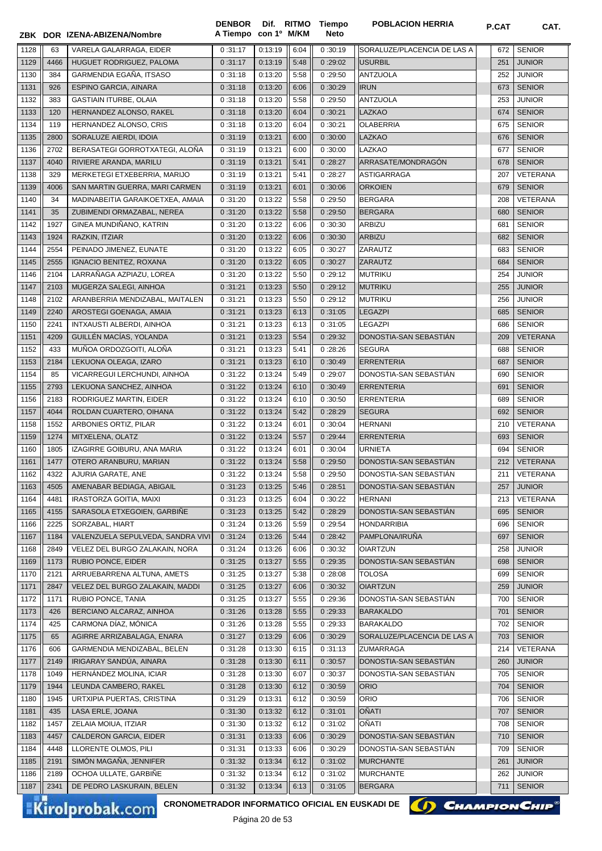|              |              |                                                                    | <b>DENBOR</b><br>A Tiempo | con 1º M/KM        |              | Dif. RITMO Tiempo<br>Neto | <b>POBLACION HERRIA</b>                    | P.CAT      | CAT.                           |
|--------------|--------------|--------------------------------------------------------------------|---------------------------|--------------------|--------------|---------------------------|--------------------------------------------|------------|--------------------------------|
|              |              | ZBK DOR IZENA-ABIZENA/Nombre                                       |                           |                    |              |                           |                                            |            |                                |
| 1128         | 63           | VARELA GALARRAGA, EIDER                                            | 0:31:17                   | 0:13:19            | 6:04         | 0:30:19                   | SORALUZE/PLACENCIA DE LAS A                | 672        | <b>SENIOR</b>                  |
| 1129         | 4466         | HUGUET RODRIGUEZ, PALOMA                                           | 0:31:17                   | 0:13:19            | 5:48         | 0:29:02                   | <b>USURBIL</b>                             | 251        | <b>JUNIOR</b>                  |
| 1130         | 384          | GARMENDIA EGAÑA, ITSASO                                            | 0:31:18                   | 0:13:20            | 5:58         | 0:29:50                   | <b>ANTZUOLA</b>                            | 252        | <b>JUNIOR</b>                  |
| 1131         | 926          | ESPINO GARCIA, AINARA                                              | 0:31:18                   | 0:13:20            | 6:06         | 0:30:29                   | <b>IRUN</b>                                | 673        | <b>SENIOR</b>                  |
| 1132         | 383          | <b>GASTIAIN ITURBE, OLAIA</b>                                      | 0:31:18                   | 0:13:20            | 5:58         | 0:29:50                   | <b>ANTZUOLA</b>                            | 253        | <b>JUNIOR</b>                  |
| 1133         | 120          | HERNANDEZ ALONSO, RAKEL                                            | 0:31:18                   | 0:13:20            | 6:04         | 0:30:21                   | <b>LAZKAO</b>                              | 674        | <b>SENIOR</b>                  |
| 1134         | 119          | HERNANDEZ ALONSO, CRIS                                             | 0:31:18                   | 0:13:20            | 6:04         | 0:30:21                   | <b>OLABERRIA</b>                           | 675        | <b>SENIOR</b>                  |
| 1135         | 2800         | SORALUZE AIERDI, IDOIA                                             | 0:31:19                   | 0:13:21            | 6:00         | 0:30:00                   | LAZKAO                                     | 676        | <b>SENIOR</b>                  |
| 1136         | 2702         | BERASATEGI GORROTXATEGI, ALOÑA                                     | 0:31:19                   | 0:13:21            | 6:00         | 0:30:00                   | LAZKAO                                     | 677        | <b>SENIOR</b>                  |
| 1137         | 4040         | RIVIERE ARANDA, MARILU                                             | 0:31:19                   | 0:13:21            | 5:41         | 0:28:27                   | ARRASATE/MONDRAGON                         | 678        | <b>SENIOR</b>                  |
| 1138         | 329          | MERKETEGI ETXEBERRIA, MARIJO                                       | 0:31:19                   | 0:13:21            | 5:41         | 0:28:27                   | <b>ASTIGARRAGA</b>                         | 207        | VETERANA                       |
| 1139<br>1140 | 4006<br>34   | SAN MARTIN GUERRA, MARI CARMEN<br>MADINABEITIA GARAIKOETXEA, AMAIA | 0:31:19<br>0:31:20        | 0:13:21<br>0:13:22 | 6:01<br>5:58 | 0:30:06                   | <b>ORKOIEN</b><br><b>BERGARA</b>           | 679<br>208 | <b>SENIOR</b><br>VETERANA      |
| 1141         | 35           | ZUBIMENDI ORMAZABAL, NEREA                                         | 0:31:20                   | 0:13:22            | 5:58         | 0:29:50<br>0:29:50        | <b>BERGARA</b>                             | 680        | <b>SENIOR</b>                  |
| 1142         | 1927         | GINEA MUNDIÑANO, KATRIN                                            | 0:31:20                   | 0:13:22            | 6:06         | 0:30:30                   | <b>ARBIZU</b>                              | 681        | <b>SENIOR</b>                  |
| 1143         | 1924         | RAZKIN, ITZIAR                                                     | 0:31:20                   | 0:13:22            | 6:06         | 0:30:30                   | <b>ARBIZU</b>                              | 682        | <b>SENIOR</b>                  |
| 1144         | 2554         | PEINADO JIMENEZ, EUNATE                                            | 0:31:20                   | 0:13:22            | 6:05         | 0:30:27                   | ZARAUTZ                                    | 683        | <b>SENIOR</b>                  |
| 1145         | 2555         | <b>IGNACIO BENITEZ, ROXANA</b>                                     | 0:31:20                   | 0:13:22            | 6:05         | 0:30:27                   | <b>ZARAUTZ</b>                             | 684        | <b>SENIOR</b>                  |
| 1146         | 2104         | LARRAÑAGA AZPIAZU, LOREA                                           | 0:31:20                   | 0:13:22            | 5:50         | 0:29:12                   | <b>MUTRIKU</b>                             | 254        | <b>JUNIOR</b>                  |
| 1147         | 2103         | MUGERZA SALEGI, AINHOA                                             | 0:31:21                   | 0:13:23            | 5:50         | 0:29:12                   | <b>MUTRIKU</b>                             | 255        | <b>JUNIOR</b>                  |
| 1148         | 2102         | ARANBERRIA MENDIZABAL, MAITALEN                                    | 0:31:21                   | 0:13:23            | 5:50         | 0:29:12                   | <b>MUTRIKU</b>                             | 256        | <b>JUNIOR</b>                  |
| 1149         | 2240         | AROSTEGI GOENAGA, AMAIA                                            | 0:31:21                   | 0:13:23            | 6:13         | 0:31:05                   | <b>LEGAZPI</b>                             | 685        | <b>SENIOR</b>                  |
| 1150         | 2241         | INTXAUSTI ALBERDI, AINHOA                                          | 0:31:21                   | 0:13:23            | 6:13         | 0:31:05                   | <b>LEGAZPI</b>                             | 686        | <b>SENIOR</b>                  |
| 1151         | 4209         | GUILLÉN MACÍAS, YOLANDA                                            | 0:31:21                   | 0:13:23            | 5:54         | 0:29:32                   | DONOSTIA-SAN SEBASTIÁN                     | 209        | <b>VETERANA</b>                |
| 1152         | 433          | MUÑOA ORDOZGOITI, ALOÑA                                            | 0:31:21                   | 0:13:23            | 5:41         | 0:28:26                   | <b>SEGURA</b>                              | 688        | <b>SENIOR</b>                  |
| 1153         | 2184         | LEKUONA OLEAGA, IZARO                                              | 0:31:21                   | 0:13:23            | 6:10         | 0:30:49                   | <b>ERRENTERIA</b>                          | 687        | <b>SENIOR</b>                  |
| 1154         | 85           | VICARREGUI LERCHUNDI, AINHOA                                       | 0:31:22                   | 0:13:24            | 5:49         | 0:29:07                   | DONOSTIA-SAN SEBASTIAN                     | 690        | <b>SENIOR</b>                  |
| 1155         | 2793         | LEKUONA SANCHEZ, AINHOA                                            | 0:31:22                   | 0:13:24            | 6:10         | 0:30:49                   | <b>ERRENTERIA</b>                          | 691        | <b>SENIOR</b>                  |
| 1156         | 2183         | RODRIGUEZ MARTIN, EIDER                                            | 0:31:22                   | 0:13:24            | 6:10         | 0:30:50                   | <b>ERRENTERIA</b>                          | 689        | <b>SENIOR</b>                  |
| 1157         | 4044         | ROLDAN CUARTERO, OIHANA                                            | 0:31:22                   | 0:13:24            | 5:42         | 0:28:29                   | <b>SEGURA</b>                              | 692        | <b>SENIOR</b>                  |
| 1158         | 1552         | ARBONIES ORTIZ, PILAR                                              | 0:31:22                   | 0:13:24            | 6:01         | 0:30:04                   | <b>HERNANI</b>                             | 210        | VETERANA                       |
| 1159         | 1274         | MITXELENA, OLATZ                                                   | 0:31:22                   | 0:13:24            | 5:57         | 0:29:44                   | <b>ERRENTERIA</b>                          | 693        | <b>SENIOR</b>                  |
| 1160         | 1805         | IZAGIRRE GOIBURU, ANA MARIA                                        | 0:31:22                   | 0:13:24            | 6:01         | 0:30:04                   | <b>URNIETA</b>                             | 694        | <b>SENIOR</b>                  |
| 1161         | 1477         | OTERO ARANBURU, MARIAN                                             | 0:31:22                   | 0:13:24            | 5:58         | 0:29:50                   | DONOSTIA-SAN SEBASTIÁN                     | 212        | <b>VETERANA</b>                |
| 1162         | 4322         | AJURIA GARATE, ANE                                                 | 0:31:22                   | 0:13:24            | 5:58         | 0:29:50                   | DONOSTIA-SAN SEBASTIAN                     | 211        | VETERANA                       |
| 1163         | 4505         | AMENABAR BEDIAGA, ABIGAIL                                          | 0:31:23                   | 0:13:25            | 5:46         | 0:28:51                   | DONOSTIA-SAN SEBASTIAN                     | 257        | <b>JUNIOR</b>                  |
| 1164         | 4481         | IRASTORZA GOITIA, MAIXI                                            | 0:31:23                   | 0:13:25            | 6:04         | 0:30:22                   | <b>HERNANI</b>                             | 213        | VETERANA                       |
| 1165         | 4155         | SARASOLA ETXEGOIEN, GARBIÑE                                        | 0:31:23                   | 0:13:25            | 5:42         | 0:28:29                   | DONOSTIA-SAN SEBASTIÁN                     | 695        | <b>SENIOR</b>                  |
| 1166         | 2225         | SORZABAL, HIART                                                    | 0:31:24                   | 0:13:26            | 5:59         | 0:29:54                   | <b>HONDARRIBIA</b>                         | 696        | <b>SENIOR</b>                  |
| 1167         | 1184         | VALENZUELA SEPULVEDA, SANDRA VIVI                                  | 0:31:24                   | 0:13:26            | 5:44         | 0:28:42                   | PAMPLONA/IRUÑA                             | 697        | <b>SENIOR</b>                  |
| 1168         | 2849         | VELEZ DEL BURGO ZALAKAIN, NORA                                     | 0:31:24                   | 0:13:26            | 6:06         | 0:30:32                   | <b>OIARTZUN</b>                            | 258        | <b>JUNIOR</b>                  |
| 1169         | 1173         | RUBIO PONCE, EIDER                                                 | 0:31:25                   | 0:13:27            | 5:55         | 0:29:35                   | DONOSTIA-SAN SEBASTIÁN                     | 698        | <b>SENIOR</b>                  |
| 1170         | 2121         | ARRUEBARRENA ALTUNA, AMETS                                         | 0:31:25                   | 0:13:27            | 5:38         | 0:28:08                   | <b>TOLOSA</b>                              | 699        | <b>SENIOR</b>                  |
| 1171         | 2847         | VELEZ DEL BURGO ZALAKAIN, MADDI                                    | 0:31:25                   | 0:13:27            | 6:06         | 0:30:32                   | <b>OIARTZUN</b>                            | 259        | <b>JUNIOR</b>                  |
| 1172         | 1171         | RUBIO PONCE, TANIA                                                 | 0:31:25                   | 0:13:27            | 5:55         | 0:29:36                   | DONOSTIA-SAN SEBASTIAN                     | 700        | <b>SENIOR</b>                  |
| 1173         | 426          | BERCIANO ALCARAZ, AINHOA                                           | 0:31:26                   | 0:13:28            | 5:55         | 0:29:33                   | <b>BARAKALDO</b>                           | 701        | <b>SENIOR</b>                  |
| 1174         | 425          | CARMONA DÍAZ, MÓNICA                                               | 0:31:26                   | 0:13:28            | 5:55         | 0:29:33                   | <b>BARAKALDO</b>                           | 702        | <b>SENIOR</b>                  |
| 1175         | 65           | AGIRRE ARRIZABALAGA, ENARA                                         | 0:31:27                   | 0:13:29            | 6:06         | 0:30:29                   | SORALUZE/PLACENCIA DE LAS A                | 703        | <b>SENIOR</b>                  |
| 1176         | 606          | GARMENDIA MENDIZABAL, BELEN                                        | 0:31:28                   | 0:13:30            | 6:15         | 0:31:13                   | ZUMARRAGA                                  | 214        | VETERANA                       |
| 1177         | 2149         | IRIGARAY SANDÚA, AINARA                                            | 0:31:28                   | 0:13:30            | 6:11         | 0:30:57                   | DONOSTIA-SAN SEBASTIÁN                     | 260        | <b>JUNIOR</b>                  |
| 1178         | 1049         | HERNANDEZ MOLINA, ICIAR                                            | 0:31:28                   | 0:13:30            | 6:07         | 0:30:37                   | DONOSTIA-SAN SEBASTIAN                     | 705        | <b>SENIOR</b>                  |
| 1179         | 1944         | LEUNDA CAMBERO, RAKEL                                              | 0:31:28                   | 0:13:30            | 6:12         | 0:30:59                   | <b>ORIO</b>                                | 704        | <b>SENIOR</b>                  |
| 1180         | 1945         | URTXIPIA PUERTAS, CRISTINA                                         | 0:31:29                   | 0:13:31            | 6:12         | 0:30:59                   | <b>ORIO</b>                                | 706        | <b>SENIOR</b>                  |
| 1181         | 435          | LASA ERLE, JOANA                                                   | 0:31:30                   | 0:13:32            | 6:12         | 0:31:01                   | <b>OÑATI</b><br>OÑATI                      | 707        | <b>SENIOR</b><br><b>SENIOR</b> |
| 1182         | 1457<br>4457 | ZELAIA MOIUA, ITZIAR                                               | 0:31:30                   | 0:13:32            | 6:12         | 0:31:02                   |                                            | 708        |                                |
| 1183         |              | CALDERON GARCIA, EIDER                                             | 0:31:31                   | 0:13:33            | 6:06         | 0:30:29                   | DONOSTIA-SAN SEBASTIAN                     | 710        | <b>SENIOR</b>                  |
| 1184<br>1185 | 4448<br>2191 | LLORENTE OLMOS, PILI<br>SIMÓN MAGAÑA, JENNIFER                     | 0:31:31<br>0:31:32        | 0:13:33<br>0:13:34 | 6:06<br>6:12 | 0:30:29<br>0:31:02        | DONOSTIA-SAN SEBASTIAN<br><b>MURCHANTE</b> | 709<br>261 | <b>SENIOR</b><br><b>JUNIOR</b> |
| 1186         | 2189         | OCHOA ULLATE, GARBIÑE                                              | 0:31:32                   | 0:13:34            | 6:12         | 0:31:02                   | <b>MURCHANTE</b>                           | 262        | <b>JUNIOR</b>                  |
| 1187         | 2341         | DE PEDRO LASKURAIN, BELEN                                          | 0:31:32                   | 0:13:34            | 6:13         | 0:31:05                   | <b>BERGARA</b>                             | 711        | <b>SENIOR</b>                  |
|              |              |                                                                    |                           |                    |              |                           |                                            |            |                                |

CRONOMETRADOR INFORMATICO OFICIAL EN EUSKADI DE **(A) CHAMPION CHIP**<sup>®</sup>

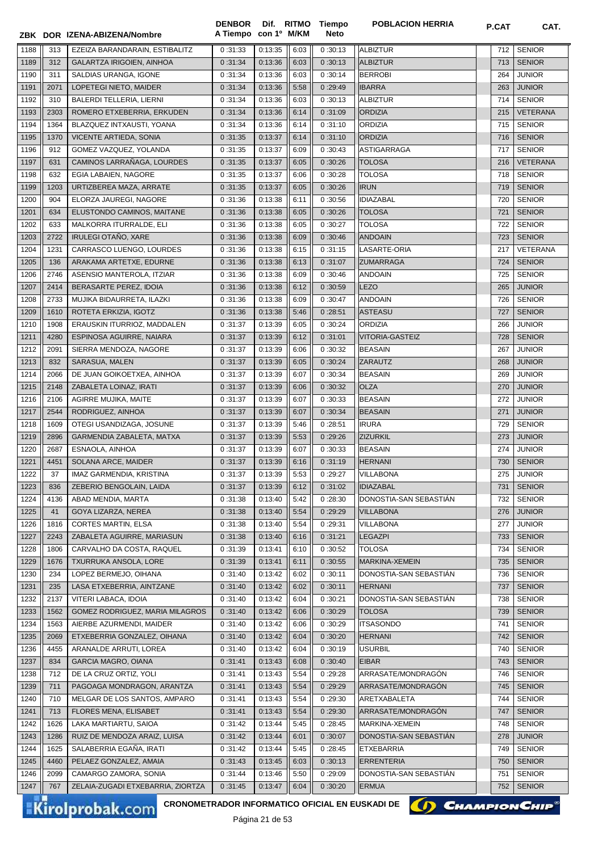|      |      | ZBK DOR IZENA-ABIZENA/Nombre      | A Tiempo con 1º M/KM |         |      | Neto    |                        |     |               |
|------|------|-----------------------------------|----------------------|---------|------|---------|------------------------|-----|---------------|
| 1188 | 313  | EZEIZA BARANDARAIN, ESTIBALITZ    | 0:31:33              | 0:13:35 | 6:03 | 0:30:13 | <b>ALBIZTUR</b>        | 712 | <b>SENIOR</b> |
| 1189 | 312  | GALARTZA IRIGOIEN, AINHOA         | 0:31:34              | 0:13:36 | 6:03 | 0:30:13 | <b>ALBIZTUR</b>        | 713 | <b>SENIOR</b> |
| 1190 | 311  | SALDIAS URANGA, IGONE             | 0:31:34              | 0:13:36 | 6:03 | 0:30:14 | <b>BERROBI</b>         | 264 | <b>JUNIOR</b> |
| 1191 | 2071 | LOPETEGI NIETO, MAIDER            | 0:31:34              | 0:13:36 | 5:58 | 0:29:49 | <b>IBARRA</b>          | 263 | <b>JUNIOR</b> |
| 1192 | 310  | <b>BALERDI TELLERIA, LIERNI</b>   | 0:31:34              | 0:13:36 | 6:03 | 0:30:13 | <b>ALBIZTUR</b>        | 714 | <b>SENIOR</b> |
| 1193 | 2303 | ROMERO ETXEBERRIA, ERKUDEN        | 0:31:34              | 0:13:36 | 6:14 | 0:31:09 | <b>ORDIZIA</b>         | 215 | VETERANA      |
| 1194 | 1364 | BLAZQUEZ INTXAUSTI, YOANA         | 0:31:34              | 0:13:36 | 6:14 | 0:31:10 | ORDIZIA                | 715 | <b>SENIOR</b> |
| 1195 | 1370 | VICENTE ARTIEDA, SONIA            | 0:31:35              | 0:13:37 | 6:14 | 0:31:10 | <b>ORDIZIA</b>         | 716 | <b>SENIOR</b> |
| 1196 | 912  | GOMEZ VAZQUEZ, YOLANDA            | 0:31:35              | 0:13:37 | 6:09 | 0:30:43 | ASTIGARRAGA            | 717 | <b>SENIOR</b> |
| 1197 | 631  | CAMINOS LARRAÑAGA, LOURDES        | 0:31:35              | 0:13:37 | 6:05 | 0:30:26 | <b>TOLOSA</b>          | 216 | VETERANA      |
| 1198 | 632  | EGIA LABAIEN, NAGORE              | 0:31:35              | 0:13:37 | 6:06 | 0:30:28 | TOLOSA                 | 718 | <b>SENIOR</b> |
| 1199 | 1203 | URTIZBEREA MAZA, ARRATE           | 0:31:35              | 0:13:37 | 6:05 | 0:30:26 | <b>IRUN</b>            | 719 | <b>SENIOR</b> |
| 1200 | 904  | ELORZA JAUREGI, NAGORE            | 0:31:36              | 0:13:38 | 6:11 | 0:30:56 | <b>IDIAZABAL</b>       | 720 | <b>SENIOR</b> |
| 1201 | 634  | ELUSTONDO CAMINOS, MAITANE        | 0:31:36              | 0:13:38 | 6:05 | 0:30:26 | <b>TOLOSA</b>          | 721 | <b>SENIOR</b> |
| 1202 | 633  | MALKORRA ITURRALDE, ELI           | 0:31:36              | 0:13:38 | 6:05 | 0:30:27 | TOLOSA                 | 722 | <b>SENIOR</b> |
| 1203 | 2722 | <b>IRULEGI OTAÑO, XARE</b>        | 0:31:36              | 0:13:38 | 6:09 | 0:30:46 | <b>ANDOAIN</b>         | 723 | <b>SENIOR</b> |
| 1204 | 1231 | CARRASCO LUENGO, LOURDES          | 0:31:36              | 0:13:38 | 6:15 | 0:31:15 | LASARTE-ORIA           | 217 | VETERANA      |
| 1205 | 136  | ARAKAMA ARTETXE, EDURNE           | 0:31:36              | 0:13:38 | 6:13 | 0:31:07 | <b>ZUMARRAGA</b>       | 724 | <b>SENIOR</b> |
| 1206 | 2746 | ASENSIO MANTEROLA, ITZIAR         | 0:31:36              | 0:13:38 | 6:09 | 0:30:46 | <b>ANDOAIN</b>         | 725 | <b>SENIOR</b> |
| 1207 | 2414 | BERASARTE PEREZ, IDOIA            | 0:31:36              | 0:13:38 | 6:12 | 0:30:59 | <b>LEZO</b>            | 265 | <b>JUNIOR</b> |
| 1208 | 2733 | MUJIKA BIDAURRETA, ILAZKI         | 0:31:36              | 0:13:38 | 6:09 | 0:30:47 | <b>ANDOAIN</b>         | 726 | <b>SENIOR</b> |
| 1209 | 1610 | ROTETA ERKIZIA, IGOTZ             | 0:31:36              | 0:13:38 | 5:46 | 0:28:51 | <b>ASTEASU</b>         | 727 | <b>SENIOR</b> |
| 1210 | 1908 | ERAUSKIN ITURRIOZ, MADDALEN       | 0:31:37              | 0:13:39 | 6:05 | 0:30:24 | <b>ORDIZIA</b>         | 266 | <b>JUNIOR</b> |
| 1211 | 4280 | ESPINOSA AGUIRRE, NAIARA          | 0:31:37              | 0:13:39 | 6:12 | 0:31:01 | VITORIA-GASTEIZ        | 728 | <b>SENIOR</b> |
| 1212 | 2091 | SIERRA MENDOZA, NAGORE            | 0:31:37              | 0:13:39 | 6:06 | 0:30:32 | <b>BEASAIN</b>         | 267 | <b>JUNIOR</b> |
| 1213 | 832  | SARASUA, MALEN                    | 0:31:37              | 0:13:39 | 6:05 | 0:30:24 | ZARAUTZ                | 268 | <b>JUNIOR</b> |
| 1214 | 2066 | DE JUAN GOIKOETXEA, AINHOA        | 0:31:37              | 0:13:39 | 6:07 | 0:30:34 | <b>BEASAIN</b>         | 269 | <b>JUNIOR</b> |
| 1215 | 2148 | ZABALETA LOINAZ, IRATI            | 0:31:37              | 0:13:39 | 6:06 | 0:30:32 | <b>OLZA</b>            | 270 | <b>JUNIOR</b> |
| 1216 | 2106 | AGIRRE MUJIKA, MAITE              | 0:31:37              | 0:13:39 | 6:07 | 0:30:33 | <b>BEASAIN</b>         | 272 | <b>JUNIOR</b> |
| 1217 | 2544 | RODRIGUEZ, AINHOA                 | 0:31:37              | 0:13:39 | 6:07 | 0:30:34 | <b>BEASAIN</b>         | 271 | <b>JUNIOR</b> |
| 1218 | 1609 | OTEGI USANDIZAGA, JOSUNE          | 0:31:37              | 0:13:39 | 5:46 | 0:28:51 | <b>IRURA</b>           | 729 | <b>SENIOR</b> |
| 1219 | 2896 | GARMENDIA ZABALETA, MATXA         | 0:31:37              | 0:13:39 | 5:53 | 0:29:26 | <b>ZIZURKIL</b>        | 273 | <b>JUNIOR</b> |
| 1220 | 2687 | ESNAOLA, AINHOA                   | 0:31:37              | 0:13:39 | 6:07 | 0:30:33 | <b>BEASAIN</b>         | 274 | <b>JUNIOR</b> |
| 1221 | 4451 | SOLANA ARCE, MAIDER               | 0:31:37              | 0:13:39 | 6:16 | 0:31:19 | <b>HERNANI</b>         | 730 | <b>SENIOR</b> |
| 1222 | 37   | IMAZ GARMENDIA, KRISTINA          | 0:31:37              | 0:13:39 | 5:53 | 0:29:27 | <b>VILLABONA</b>       | 275 | <b>JUNIOR</b> |
| 1223 | 836  | ZEBERIO BENGOLAIN, LAIDA          | 0:31:37              | 0:13:39 | 6:12 | 0:31:02 | <b>IDIAZABAL</b>       | 731 | <b>SENIOR</b> |
| 1224 | 4136 | ABAD MENDIA, MARTA                | 0:31:38              | 0:13:40 | 5:42 | 0:28:30 | DONOSTIA-SAN SEBASTIAN | 732 | <b>SENIOR</b> |
| 1225 | 41   | GOYA LIZARZA, NEREA               | 0:31:38              | 0:13:40 | 5:54 | 0:29:29 | <b>VILLABONA</b>       | 276 | <b>JUNIOR</b> |
| 1226 | 1816 | <b>CORTES MARTIN, ELSA</b>        | 0:31:38              | 0:13:40 | 5:54 | 0:29:31 | <b>VILLABONA</b>       | 277 | <b>JUNIOR</b> |
| 1227 | 2243 | ZABALETA AGUIRRE, MARIASUN        | 0:31:38              | 0:13:40 | 6:16 | 0:31:21 | <b>LEGAZPI</b>         | 733 | <b>SENIOR</b> |
| 1228 | 1806 | CARVALHO DA COSTA, RAQUEL         | 0:31:39              | 0:13:41 | 6:10 | 0:30:52 | <b>TOLOSA</b>          | 734 | <b>SENIOR</b> |
| 1229 | 1676 | TXURRUKA ANSOLA, LORE             | 0:31:39              | 0:13:41 | 6:11 | 0:30:55 | MARKINA-XEMEIN         | 735 | <b>SENIOR</b> |
| 1230 | 234  | LOPEZ BERMEJO, OIHANA             | 0:31:40              | 0:13:42 | 6:02 | 0:30:11 | DONOSTIA-SAN SEBASTIAN | 736 | <b>SENIOR</b> |
| 1231 | 235  | LASA ETXEBERRIA, AINTZANE         | 0:31:40              | 0:13:42 | 6:02 | 0:30:11 | <b>HERNANI</b>         | 737 | <b>SENIOR</b> |
| 1232 | 2137 | VITERI LABACA, IDOIA              | 0:31:40              | 0:13:42 | 6:04 | 0:30:21 | DONOSTIA-SAN SEBASTIAN | 738 | <b>SENIOR</b> |
| 1233 | 1562 | GOMEZ RODRIGUEZ, MARIA MILAGROS   | 0:31:40              | 0:13:42 | 6:06 | 0:30:29 | <b>TOLOSA</b>          | 739 | <b>SENIOR</b> |
| 1234 | 1563 | AIERBE AZURMENDI, MAIDER          | 0:31:40              | 0:13:42 | 6:06 | 0:30:29 | <b>ITSASONDO</b>       | 741 | <b>SENIOR</b> |
| 1235 | 2069 | ETXEBERRIA GONZALEZ, OIHANA       | 0:31:40              | 0:13:42 | 6:04 | 0:30:20 | <b>HERNANI</b>         | 742 | <b>SENIOR</b> |
| 1236 | 4455 | ARANALDE ARRUTI, LOREA            | 0:31:40              | 0:13:42 | 6:04 | 0:30:19 | <b>USURBIL</b>         | 740 | <b>SENIOR</b> |
| 1237 | 834  | <b>GARCIA MAGRO, OIANA</b>        | 0:31:41              | 0:13:43 | 6:08 | 0:30:40 | <b>EIBAR</b>           | 743 | <b>SENIOR</b> |
| 1238 | 712  | DE LA CRUZ ORTIZ, YOLI            | 0:31:41              | 0:13:43 | 5:54 | 0:29:28 | ARRASATE/MONDRAGÓN     | 746 | <b>SENIOR</b> |
| 1239 | 711  | PAGOAGA MONDRAGON, ARANTZA        | 0:31:41              | 0:13:43 | 5:54 | 0:29:29 | ARRASATE/MONDRAGÓN     | 745 | <b>SENIOR</b> |
| 1240 | 710  | MELGAR DE LOS SANTOS, AMPARO      | 0:31:41              | 0:13:43 | 5:54 | 0:29:30 | ARETXABALETA           | 744 | <b>SENIOR</b> |
| 1241 | 713  | FLORES MENA, ELISABET             | 0:31:41              | 0:13:43 | 5:54 | 0:29:30 | ARRASATE/MONDRAGÓN     | 747 | <b>SENIOR</b> |
| 1242 | 1626 | LAKA MARTIARTU, SAIOA             | 0:31:42              | 0:13:44 | 5:45 | 0:28:45 | MARKINA-XEMEIN         | 748 | <b>SENIOR</b> |
| 1243 | 1286 | RUIZ DE MENDOZA ARAIZ, LUISA      | 0:31:42              | 0:13:44 | 6:01 | 0:30:07 | DONOSTIA-SAN SEBASTIAN | 278 | <b>JUNIOR</b> |
| 1244 | 1625 | SALABERRIA EGAÑA, IRATI           | 0:31:42              | 0:13:44 | 5:45 | 0:28:45 | <b>ETXEBARRIA</b>      | 749 | <b>SENIOR</b> |
| 1245 | 4460 | PELAEZ GONZALEZ, AMAIA            | 0:31:43              | 0:13:45 | 6:03 | 0:30:13 | <b>ERRENTERIA</b>      | 750 | <b>SENIOR</b> |
| 1246 | 2099 | CAMARGO ZAMORA, SONIA             | 0:31:44              | 0:13:46 | 5:50 | 0:29:09 | DONOSTIA-SAN SEBASTIÁN | 751 | <b>SENIOR</b> |
| 1247 | 767  | ZELAIA-ZUGADI ETXEBARRIA, ZIORTZA | 0:31:45              | 0:13:47 | 6:04 | 0:30:20 | <b>ERMUA</b>           | 752 | <b>SENIOR</b> |
|      |      |                                   |                      |         |      |         |                        |     |               |

DENBOR Dif. RITMO Tiempo

Kirolprobak.com

CRONOMETRADOR INFORMATICO OFICIAL EN EUSKADI DE **(A) CHAMPION CHIP**<sup>®</sup>



**POBLACION HERRIA P.CAT. CAT.**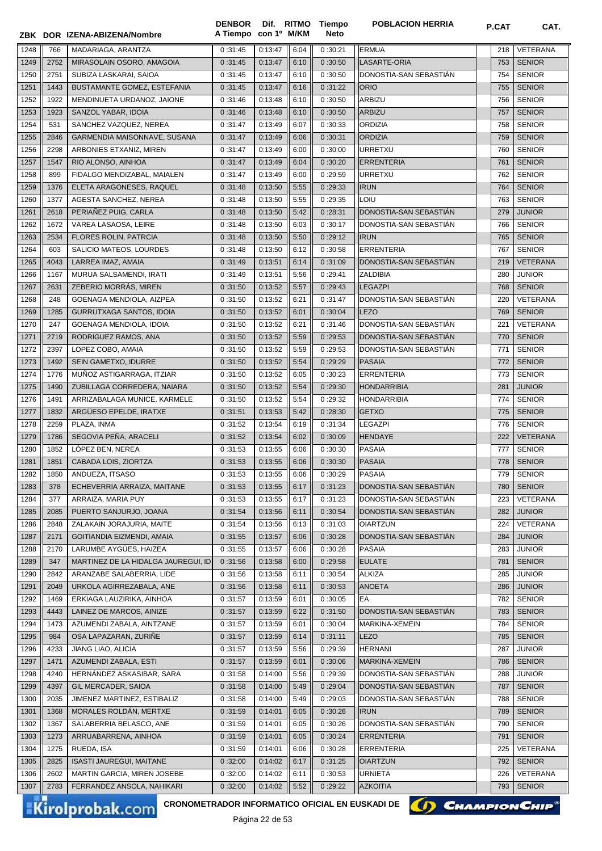|      |      | ZBK DOR IZENA-ABIZENA/Nombre        | <b>DENBOR</b><br>A Tiempo con 1º M/KM |         |      | Dif. RITMO Tiempo<br>Neto | <b>POBLACION HERRIA</b> | P.CAT | CAT.            |
|------|------|-------------------------------------|---------------------------------------|---------|------|---------------------------|-------------------------|-------|-----------------|
| 1248 | 766  | MADARIAGA, ARANTZA                  | 0:31:45                               | 0:13:47 | 6:04 | 0:30:21                   | <b>ERMUA</b>            | 218   | <b>VETERANA</b> |
| 1249 | 2752 | MIRASOLAIN OSORO, AMAGOIA           | 0:31:45                               | 0:13:47 | 6:10 | 0:30:50                   | <b>LASARTE-ORIA</b>     | 753   | <b>SENIOR</b>   |
| 1250 | 2751 | SUBIZA LASKARAI, SAIOA              | 0:31:45                               | 0:13:47 | 6:10 | 0:30:50                   | DONOSTIA-SAN SEBASTIAN  | 754   | <b>SENIOR</b>   |
| 1251 | 1443 | BUSTAMANTE GOMEZ, ESTEFANIA         | 0:31:45                               | 0:13:47 | 6:16 | 0:31:22                   | <b>ORIO</b>             | 755   | <b>SENIOR</b>   |
| 1252 | 1922 | MENDINUETA URDANOZ, JAIONE          | 0:31:46                               | 0:13:48 | 6:10 | 0:30:50                   | <b>ARBIZU</b>           | 756   | <b>SENIOR</b>   |
| 1253 | 1923 | SANZOL YABAR, IDOIA                 | 0:31:46                               | 0:13:48 | 6:10 | 0:30:50                   | <b>ARBIZU</b>           | 757   | <b>SENIOR</b>   |
| 1254 | 531  | SANCHEZ VAZQUEZ, NEREA              | 0:31:47                               | 0:13:49 | 6:07 | 0:30:33                   | <b>ORDIZIA</b>          | 758   | <b>SENIOR</b>   |
| 1255 | 2846 | GARMENDIA MAISONNAVE, SUSANA        | 0:31:47                               | 0:13:49 | 6:06 | 0:30:31                   | <b>ORDIZIA</b>          | 759   | <b>SENIOR</b>   |
| 1256 | 2298 | ARBONIES ETXANIZ, MIREN             | 0:31:47                               | 0:13:49 | 6:00 | 0:30:00                   | <b>URRETXU</b>          | 760   | <b>SENIOR</b>   |
| 1257 | 1547 | RIO ALONSO, AINHOA                  | 0:31:47                               | 0:13:49 | 6:04 | 0:30:20                   | <b>ERRENTERIA</b>       | 761   | <b>SENIOR</b>   |
| 1258 | 899  | FIDALGO MENDIZABAL, MAIALEN         | 0:31:47                               | 0:13:49 | 6:00 | 0:29:59                   | <b>URRETXU</b>          | 762   | <b>SENIOR</b>   |
| 1259 | 1376 | ELETA ARAGONESES, RAQUEL            | 0:31:48                               | 0:13:50 | 5:55 | 0:29:33                   | <b>IRUN</b>             | 764   | <b>SENIOR</b>   |
| 1260 | 1377 | AGESTA SANCHEZ, NEREA               | 0:31:48                               | 0:13:50 | 5:55 | 0:29:35                   | LOIU                    | 763   | <b>SENIOR</b>   |
| 1261 | 2618 | PERIAÑEZ PUIG, CARLA                | 0:31:48                               | 0:13:50 | 5:42 | 0:28:31                   | DONOSTIA-SAN SEBASTIAN  | 279   | <b>JUNIOR</b>   |
| 1262 | 1672 | VAREA LASAOSA, LEIRE                | 0:31:48                               | 0:13:50 | 6:03 | 0:30:17                   | DONOSTIA-SAN SEBASTIAN  | 766   | <b>SENIOR</b>   |
| 1263 | 2534 | FLORES ROLIN, PATRCIA               | 0:31:48                               | 0:13:50 | 5:50 | 0:29:12                   | <b>IRUN</b>             | 765   | <b>SENIOR</b>   |
| 1264 | 603  | SALICIO MATEOS, LOURDES             | 0:31:48                               | 0:13:50 | 6:12 | 0:30:58                   | <b>ERRENTERIA</b>       | 767   | <b>SENIOR</b>   |
| 1265 | 4043 | LARREA IMAZ, AMAIA                  | 0:31:49                               | 0:13:51 | 6:14 | 0:31:09                   | DONOSTIA-SAN SEBASTIÁN  | 219   | <b>VETERANA</b> |
| 1266 | 1167 | MURUA SALSAMENDI, IRATI             | 0:31:49                               | 0:13:51 | 5:56 | 0:29:41                   | <b>ZALDIBIA</b>         | 280   | <b>JUNIOR</b>   |
| 1267 | 2631 | ZEBERIO MORRÁS, MIREN               | 0:31:50                               | 0:13:52 | 5:57 | 0:29:43                   | <b>LEGAZPI</b>          | 768   | <b>SENIOR</b>   |
| 1268 | 248  | GOENAGA MENDIOLA, AIZPEA            | 0:31:50                               | 0:13:52 | 6:21 | 0:31:47                   | DONOSTIA-SAN SEBASTIAN  | 220   | VETERANA        |
| 1269 | 1285 | GURRUTXAGA SANTOS, IDOIA            | 0:31:50                               | 0:13:52 | 6:01 | 0:30:04                   | LEZO                    | 769   | <b>SENIOR</b>   |
| 1270 | 247  | GOENAGA MENDIOLA, IDOIA             | 0:31:50                               | 0:13:52 | 6:21 | 0:31:46                   | DONOSTIA-SAN SEBASTIAN  | 221   | VETERANA        |
| 1271 | 2719 | RODRIGUEZ RAMOS, ANA                | 0:31:50                               | 0:13:52 | 5:59 | 0:29:53                   | DONOSTIA-SAN SEBASTIAN  | 770   | <b>SENIOR</b>   |
| 1272 | 2397 | LOPEZ COBO, AMAIA                   | 0:31:50                               | 0:13:52 | 5:59 | 0:29:53                   | DONOSTIA-SAN SEBASTIAN  | 771   | <b>SENIOR</b>   |
| 1273 | 1492 | SEIN GAMETXO, IDURRE                | 0:31:50                               | 0:13:52 | 5:54 | 0:29:29                   | <b>PASAIA</b>           | 772   | <b>SENIOR</b>   |
| 1274 | 1776 | MUÑOZ ASTIGARRAGA, ITZIAR           | 0:31:50                               | 0:13:52 | 6:05 | 0:30:23                   | <b>ERRENTERIA</b>       | 773   | <b>SENIOR</b>   |
| 1275 | 1490 | ZUBILLAGA CORREDERA, NAIARA         | 0:31:50                               | 0:13:52 | 5:54 | 0:29:30                   | <b>HONDARRIBIA</b>      | 281   | <b>JUNIOR</b>   |
| 1276 | 1491 | ARRIZABALAGA MUNICE, KARMELE        | 0:31:50                               | 0:13:52 | 5:54 | 0:29:32                   | HONDARRIBIA             | 774   | <b>SENIOR</b>   |
| 1277 | 1832 | ARGÜESO EPELDE, IRATXE              | 0:31:51                               | 0:13:53 | 5:42 | 0:28:30                   | <b>GETXO</b>            | 775   | <b>SENIOR</b>   |
| 1278 | 2259 | PLAZA, INMA                         | 0:31:52                               | 0:13:54 | 6:19 | 0:31:34                   | LEGAZPI                 | 776   | <b>SENIOR</b>   |
| 1279 | 1786 | SEGOVIA PEÑA, ARACELI               | 0:31:52                               | 0:13:54 | 6:02 | 0:30:09                   | HENDAYE                 | 222   | <b>VETERANA</b> |
| 1280 | 1852 | LÓPEZ BEN, NEREA                    | 0:31:53                               | 0:13:55 | 6:06 | 0:30:30                   | <b>PASAIA</b>           | 777   | <b>SENIOR</b>   |
| 1281 | 1851 | CABADA LOIS, ZIORTZA                | 0:31:53                               | 0:13:55 | 6:06 | 0:30:30                   | PASAIA                  | 778   | <b>SENIOR</b>   |
| 1282 | 1850 | ANDUEZA, ITSASO                     | 0:31:53                               | 0:13:55 | 6:06 | 0:30:29                   | PASAIA                  | 779   | <b>SENIOR</b>   |
| 1283 | 378  | ECHEVERRIA ARRAIZA, MAITANE         | 0:31:53                               | 0:13:55 | 6:17 | 0:31:23                   | DONOSTIA-SAN SEBASTIAN  | 780   | <b>SENIOR</b>   |
| 1284 | 377  | ARRAIZA, MARIA PUY                  | 0:31:53                               | 0:13:55 | 6:17 | 0:31:23                   | DONOSTIA-SAN SEBASTIAN  | 223   | VETERANA        |
| 1285 | 2085 | PUERTO SANJURJO, JOANA              | 0:31:54                               | 0:13:56 | 6:11 | 0:30:54                   | DONOSTIA-SAN SEBASTIÁN  | 282   | <b>JUNIOR</b>   |
| 1286 | 2848 | ZALAKAIN JORAJURIA, MAITE           | 0:31:54                               | 0:13:56 | 6:13 | 0:31:03                   | <b>OIARTZUN</b>         | 224   | VETERANA        |
| 1287 | 2171 | GOITIANDIA EIZMENDI, AMAIA          | 0:31:55                               | 0:13:57 | 6:06 | 0:30:28                   | DONOSTIA-SAN SEBASTIÁN  | 284   | <b>JUNIOR</b>   |
| 1288 | 2170 | LARUMBE AYGÜES, HAIZEA              | 0:31:55                               | 0:13:57 | 6:06 | 0:30:28                   | <b>PASAIA</b>           | 283   | <b>JUNIOR</b>   |
| 1289 | 347  | MARTINEZ DE LA HIDALGA JAUREGUI, ID | 0:31:56                               | 0:13:58 | 6:00 | 0:29:58                   | <b>EULATE</b>           | 781   | <b>SENIOR</b>   |
| 1290 | 2842 | ARANZABE SALABERRIA, LIDE           | 0:31:56                               | 0:13:58 | 6:11 | 0:30:54                   | <b>ALKIZA</b>           | 285   | <b>JUNIOR</b>   |
| 1291 | 2049 | URKOLA AGIRREZABALA, ANE            | 0:31:56                               | 0:13:58 | 6:11 | 0:30:53                   | <b>ANOETA</b>           | 286   | <b>JUNIOR</b>   |
| 1292 | 1469 | ERKIAGA LAUZIRIKA, AINHOA           | 0:31:57                               | 0:13:59 | 6:01 | 0:30:05                   | EA                      | 782   | <b>SENIOR</b>   |
| 1293 | 4443 | LAINEZ DE MARCOS, AINIZE            | 0:31:57                               | 0:13:59 | 6:22 | 0:31:50                   | DONOSTIA-SAN SEBASTIAN  | 783   | <b>SENIOR</b>   |
| 1294 | 1473 | AZUMENDI ZABALA, AINTZANE           | 0:31:57                               | 0:13:59 | 6:01 | 0:30:04                   | MARKINA-XEMEIN          | 784   | <b>SENIOR</b>   |
| 1295 | 984  | OSA LAPAZARAN, ZURIÑE               | 0:31:57                               | 0:13:59 | 6:14 | 0:31:11                   | <b>LEZO</b>             | 785   | <b>SENIOR</b>   |
| 1296 | 4233 | JIANG LIAO, ALICIA                  | 0:31:57                               | 0:13:59 | 5:56 | 0:29:39                   | <b>HERNANI</b>          | 287   | <b>JUNIOR</b>   |
| 1297 | 1471 | AZUMENDI ZABALA, ESTI               | 0:31:57                               | 0:13:59 | 6:01 | 0:30:06                   | MARKINA-XEMEIN          | 786   | <b>SENIOR</b>   |
| 1298 | 4240 | HERNÁNDEZ ASKASIBAR, SARA           | 0:31:58                               | 0:14:00 | 5:56 | 0:29:39                   | DONOSTIA-SAN SEBASTIAN  | 288   | <b>JUNIOR</b>   |
| 1299 | 4397 | GIL MERCADER, SAIOA                 | 0:31:58                               | 0:14:00 | 5:49 | 0:29:04                   | DONOSTIA-SAN SEBASTIAN  | 787   | <b>SENIOR</b>   |
| 1300 | 2035 | JIMENEZ MARTINEZ, ESTIBALIZ         | 0:31:58                               | 0:14:00 | 5:49 | 0:29:03                   | DONOSTIA-SAN SEBASTIAN  | 788   | <b>SENIOR</b>   |
| 1301 | 1368 | MORALES ROLDÁN, MERTXE              | 0:31:59                               | 0:14:01 | 6:05 | 0:30:26                   | <b>IRUN</b>             | 789   | <b>SENIOR</b>   |
| 1302 | 1367 | SALABERRIA BELASCO, ANE             | 0:31:59                               | 0:14:01 | 6:05 | 0:30:26                   | DONOSTIA-SAN SEBASTIAN  | 790   | <b>SENIOR</b>   |
| 1303 | 1273 | ARRUABARRENA, AINHOA                | 0:31:59                               | 0:14:01 | 6:05 | 0:30:24                   | <b>ERRENTERIA</b>       | 791   | <b>SENIOR</b>   |
| 1304 | 1275 | RUEDA, ISA                          | 0:31:59                               | 0:14:01 | 6:06 | 0:30:28                   | <b>ERRENTERIA</b>       | 225   | VETERANA        |
| 1305 | 2825 | <b>ISASTI JAUREGUI, MAITANE</b>     | 0:32:00                               | 0:14:02 | 6:17 | 0:31:25                   | <b>OIARTZUN</b>         | 792   | <b>SENIOR</b>   |
| 1306 | 2602 | MARTIN GARCIA, MIREN JOSEBE         | 0:32:00                               | 0:14:02 | 6:11 | 0:30:53                   | <b>URNIETA</b>          | 226   | VETERANA        |
| 1307 | 2783 | FERRANDEZ ANSOLA, NAHIKARI          | 0:32:00                               | 0:14:02 | 5:52 | 0:29:22                   | <b>AZKOITIA</b>         | 793   | <b>SENIOR</b>   |

Kirolprobak.com

CRONOMETRADOR INFORMATICO OFICIAL EN EUSKADI DE **(A) CHAMPION CHIP**<sup>®</sup>

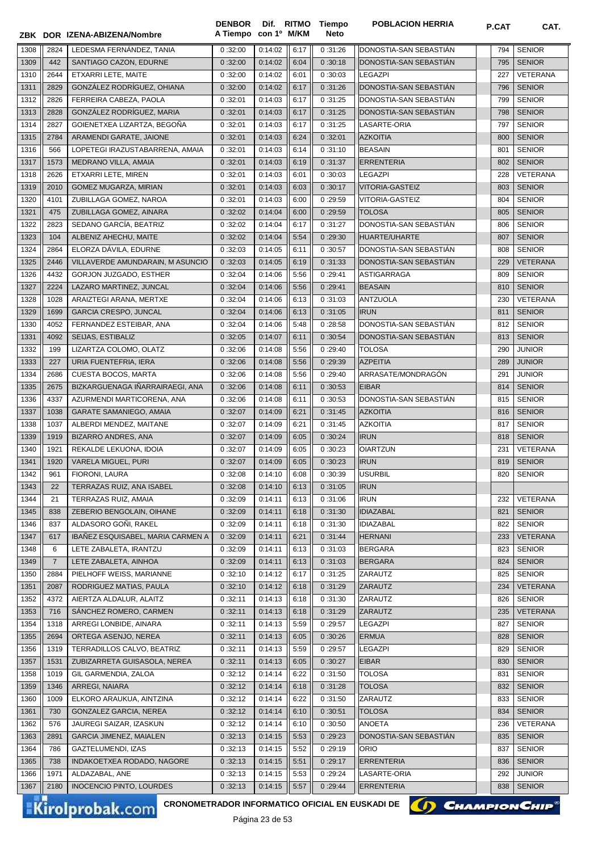|              |                | ZBK DOR IZENA-ABIZENA/Nombre                                                     | <b>DENBOR</b><br>A Tiempo con 1º M/KM |         |      | Dif. RITMO Tiempo<br><b>Neto</b> | <b>POBLACION HERRIA</b> | P.CAT      | CAT.            |
|--------------|----------------|----------------------------------------------------------------------------------|---------------------------------------|---------|------|----------------------------------|-------------------------|------------|-----------------|
| 1308         | 2824           | LEDESMA FERNÁNDEZ, TANIA                                                         | 0:32:00                               | 0:14:02 | 6:17 | 0:31:26                          | DONOSTIA-SAN SEBASTIAN  | 794        | <b>SENIOR</b>   |
| 1309         | 442            | SANTIAGO CAZON, EDURNE                                                           | 0:32:00                               | 0:14:02 | 6:04 | 0:30:18                          | DONOSTIA-SAN SEBASTIAN  | 795        | <b>SENIOR</b>   |
| 1310         | 2644           | ETXARRI LETE, MAITE                                                              | 0:32:00                               | 0:14:02 | 6:01 | 0:30:03                          | <b>LEGAZPI</b>          | 227        | <b>VETERANA</b> |
| 1311         | 2829           | GONZÁLEZ RODRÍGUEZ, OHIANA                                                       | 0:32:00                               | 0:14:02 | 6:17 | 0:31:26                          | DONOSTIA-SAN SEBASTIAN  | 796        | <b>SENIOR</b>   |
| 1312         | 2826           | FERREIRA CABEZA, PAOLA                                                           | 0:32:01                               | 0:14:03 | 6:17 | 0:31:25                          | DONOSTIA-SAN SEBASTIAN  | 799        | <b>SENIOR</b>   |
| 1313         | 2828           | GONZÁLEZ RODRÍGUEZ, MARIA                                                        | 0:32:01                               | 0:14:03 | 6:17 | 0:31:25                          | DONOSTIA-SAN SEBASTIAN  | 798        | <b>SENIOR</b>   |
| 1314         | 2827           | GOIENETXEA LIZARTZA, BEGOÑA                                                      | 0:32:01                               | 0:14:03 | 6:17 | 0:31:25                          | LASARTE-ORIA            | 797        | <b>SENIOR</b>   |
| 1315         | 2784           | ARAMENDI GARATE, JAIONE                                                          | 0:32:01                               | 0:14:03 | 6:24 | 0:32:01                          | <b>AZKOITIA</b>         | 800        | <b>SENIOR</b>   |
| 1316         | 566            | LOPETEGI IRAZUSTABARRENA, AMAIA                                                  | 0:32:01                               | 0:14:03 | 6:14 | 0:31:10                          | <b>BEASAIN</b>          | 801        | <b>SENIOR</b>   |
| 1317         | 1573           | MEDRANO VILLA, AMAIA                                                             | 0:32:01                               | 0:14:03 | 6:19 | 0:31:37                          | <b>ERRENTERIA</b>       | 802        | <b>SENIOR</b>   |
| 1318         | 2626           | ETXARRI LETE, MIREN                                                              | 0:32:01                               | 0:14:03 | 6:01 | 0:30:03                          | <b>LEGAZPI</b>          | 228        | VETERANA        |
| 1319         | 2010           | GOMEZ MUGARZA, MIRIAN                                                            | 0:32:01                               | 0:14:03 | 6:03 | 0:30:17                          | VITORIA-GASTEIZ         | 803        | <b>SENIOR</b>   |
| 1320         | 4101           | ZUBILLAGA GOMEZ, NAROA                                                           | 0:32:01                               | 0:14:03 | 6:00 | 0:29:59                          | VITORIA-GASTEIZ         | 804        | <b>SENIOR</b>   |
| 1321         | 475            | ZUBILLAGA GOMEZ, AINARA                                                          | 0:32:02                               | 0:14:04 | 6:00 | 0:29:59                          | <b>TOLOSA</b>           | 805        | <b>SENIOR</b>   |
| 1322         | 2823           | SEDANO GARCÍA, BEATRIZ                                                           | 0:32:02                               | 0:14:04 | 6:17 | 0:31:27                          | DONOSTIA-SAN SEBASTIAN  | 806        | <b>SENIOR</b>   |
| 1323         | 104            | ALBENIZ AHECHU, MAITE                                                            | 0:32:02                               | 0:14:04 | 5:54 | 0:29:30                          | HUARTE/UHARTE           | 807        | <b>SENIOR</b>   |
| 1324         | 2864           | ELORZA DÁVILA, EDURNE                                                            | 0:32:03                               | 0:14:05 | 6:11 | 0:30:57                          | DONOSTIA-SAN SEBASTIÁN  | 808        | <b>SENIOR</b>   |
| 1325         | 2446           | VILLAVERDE AMUNDARAIN, M ASUNCIO                                                 | 0:32:03                               | 0:14:05 | 6:19 | 0:31:33                          | DONOSTIA-SAN SEBASTIÁN  | 229        | <b>VETERANA</b> |
| 1326         | 4432           | GORJON JUZGADO, ESTHER                                                           | 0:32:04                               | 0:14:06 | 5:56 | 0:29:41                          | <b>ASTIGARRAGA</b>      | 809        | <b>SENIOR</b>   |
| 1327         | 2224           | LAZARO MARTINEZ, JUNCAL                                                          | 0:32:04                               | 0:14:06 | 5:56 | 0:29:41                          | <b>BEASAIN</b>          | 810        | <b>SENIOR</b>   |
| 1328         | 1028           | ARAIZTEGI ARANA, MERTXE                                                          | 0:32:04                               | 0:14:06 | 6:13 | 0:31:03                          | <b>ANTZUOLA</b>         | 230        | VETERANA        |
| 1329         | 1699           | <b>GARCIA CRESPO, JUNCAL</b>                                                     | 0:32:04                               | 0:14:06 | 6:13 | 0:31:05                          | <b>IRUN</b>             | 811        | <b>SENIOR</b>   |
| 1330         | 4052           | FERNANDEZ ESTEIBAR, ANA                                                          | 0:32:04                               | 0:14:06 | 5:48 | 0:28:58                          | DONOSTIA-SAN SEBASTIAN  | 812        | <b>SENIOR</b>   |
| 1331         | 4092           | SEIJAS, ESTIBALIZ                                                                | 0:32:05                               | 0:14:07 | 6:11 | 0:30:54                          | DONOSTIA-SAN SEBASTIAN  | 813        | <b>SENIOR</b>   |
| 1332         | 199            | LIZARTZA COLOMO, OLATZ                                                           | 0:32:06                               | 0:14:08 | 5:56 | 0:29:40                          | <b>TOLOSA</b>           | 290        | JUNIOR          |
| 1333         | 227            | URIA FUENTEFRIA, IERA                                                            | 0:32:06                               | 0:14:08 | 5:56 | 0:29:39                          | <b>AZPEITIA</b>         | 289        | <b>JUNIOR</b>   |
| 1334         | 2686           | <b>CUESTA BOCOS, MARTA</b>                                                       | 0:32:06                               | 0:14:08 | 5:56 | 0:29:40                          | ARRASATE/MONDRAGÓN      | 291        | <b>JUNIOR</b>   |
| 1335         | 2675           | BIZKARGUENAGA IÑARRAIRAEGI, ANA                                                  | 0:32:06                               | 0:14:08 | 6:11 | 0:30:53                          | <b>EIBAR</b>            | 814        | <b>SENIOR</b>   |
| 1336         | 4337           | AZURMENDI MARTICORENA, ANA                                                       | 0:32:06                               | 0:14:08 | 6:11 | 0:30:53                          | DONOSTIA-SAN SEBASTIAN  | 815        | <b>SENIOR</b>   |
| 1337         | 1038           | <b>GARATE SAMANIEGO, AMAIA</b>                                                   | 0:32:07                               | 0:14:09 | 6:21 | 0:31:45                          | <b>AZKOITIA</b>         | 816        | <b>SENIOR</b>   |
| 1338         | 1037           | ALBERDI MENDEZ, MAITANE                                                          | 0:32:07                               | 0:14:09 | 6:21 | 0:31:45                          | <b>AZKOITIA</b>         | 817        | <b>SENIOR</b>   |
| 1339         | 1919           | <b>BIZARRO ANDRES, ANA</b>                                                       | 0:32:07                               | 0:14:09 | 6:05 | 0:30:24                          | <b>IRUN</b>             | 818        | <b>SENIOR</b>   |
| 1340         | 1921           | REKALDE LEKUONA, IDOIA                                                           | 0:32:07                               | 0:14:09 | 6:05 | 0:30:23                          | <b>OIARTZUN</b>         | 231        | <b>VETERANA</b> |
| 1341         | 1920           | <b>VARELA MIGUEL, PURI</b>                                                       | 0:32:07                               | 0:14:09 | 6:05 | 0:30:23                          | <b>IRUN</b>             | 819        | <b>SENIOR</b>   |
| 1342         | 961            | FIORONI, LAURA                                                                   | 0:32:08                               | 0:14:10 | 6:08 | 0:30:39                          | <b>USURBIL</b>          |            | 820 SENIOR      |
| 1343         | 22             | TERRAZAS RUIZ, ANA ISABEL                                                        | 0:32:08                               | 0:14:10 | 6:13 | 0:31:05                          | <b>IRUN</b>             |            |                 |
| 1344         | 21             | TERRAZAS RUIZ, AMAIA                                                             | 0:32:09                               | 0:14:11 | 6:13 | 0:31:06                          | <b>IRUN</b>             | 232        | VETERANA        |
| 1345         | 838            | ZEBERIO BENGOLAIN, OIHANE                                                        | 0:32:09                               | 0:14:11 | 6:18 | 0:31:30                          | <b>IDIAZABAL</b>        | 821        | <b>SENIOR</b>   |
| 1346         | 837            | ALDASORO GOÑI, RAKEL                                                             | 0:32:09                               | 0:14:11 | 6:18 | 0:31:30                          | <b>IDIAZABAL</b>        | 822        | <b>SENIOR</b>   |
| 1347         | 617            | IBAÑEZ ESQUISABEL, MARIA CARMEN A                                                | 0:32:09                               | 0:14:11 | 6:21 | 0:31:44                          | <b>HERNANI</b>          | 233        | <b>VETERANA</b> |
| 1348         | 6              | LETE ZABALETA, IRANTZU                                                           | 0:32:09                               | 0:14:11 | 6:13 | 0:31:03                          | <b>BERGARA</b>          | 823        | <b>SENIOR</b>   |
| 1349         | $\overline{7}$ | LETE ZABALETA, AINHOA                                                            | 0:32:09                               | 0:14:11 | 6:13 | 0:31:03                          | <b>BERGARA</b>          | 824        | <b>SENIOR</b>   |
| 1350         | 2884           | PIELHOFF WEISS, MARIANNE                                                         | 0:32:10                               | 0:14:12 | 6:17 | 0:31:25                          | ZARAUTZ                 | 825        | <b>SENIOR</b>   |
| 1351         | 2087           | RODRIGUEZ MATIAS, PAULA                                                          | 0:32:10                               | 0:14:12 | 6:18 | 0:31:29                          | ZARAUTZ                 | 234        | VETERANA        |
| 1352         | 4372           | AIERTZA ALDALUR, ALAITZ                                                          | 0:32:11                               | 0:14:13 | 6:18 | 0:31:30                          | ZARAUTZ                 | 826        | <b>SENIOR</b>   |
| 1353         | 716            | SANCHEZ ROMERO, CARMEN                                                           | 0:32:11                               | 0:14:13 | 6:18 | 0:31:29                          | ZARAUTZ                 | 235        | <b>VETERANA</b> |
| 1354         | 1318           | ARREGI LONBIDE, AINARA                                                           | 0:32:11                               | 0:14:13 | 5:59 | 0:29:57                          | <b>LEGAZPI</b>          | 827        | <b>SENIOR</b>   |
|              | 2694           | ORTEGA ASENJO, NEREA                                                             | 0:32:11                               | 0:14:13 | 6:05 | 0:30:26                          | <b>ERMUA</b>            | 828        | <b>SENIOR</b>   |
| 1355<br>1356 | 1319           | TERRADILLOS CALVO, BEATRIZ                                                       | 0:32:11                               | 0:14:13 | 5:59 | 0:29:57                          | <b>LEGAZPI</b>          | 829        | <b>SENIOR</b>   |
| 1357         | 1531           | ZUBIZARRETA GUISASOLA, NEREA                                                     | 0:32:11                               | 0:14:13 | 6:05 | 0:30:27                          | <b>EIBAR</b>            |            | <b>SENIOR</b>   |
| 1358         | 1019           | GIL GARMENDIA, ZALOA                                                             | 0:32:12                               | 0:14:14 | 6:22 | 0:31:50                          | <b>TOLOSA</b>           | 830<br>831 | <b>SENIOR</b>   |
| 1359         | 1346           | ARREGI, NAIARA                                                                   | 0:32:12                               | 0:14:14 | 6:18 | 0:31:28                          | <b>TOLOSA</b>           | 832        | <b>SENIOR</b>   |
| 1360         | 1009           | ELKORO ARAUKUA, AINTZINA                                                         | 0:32:12                               | 0:14:14 | 6:22 | 0:31:50                          | ZARAUTZ                 | 833        | <b>SENIOR</b>   |
| 1361         | 730            | GONZALEZ GARCIA, NEREA                                                           | 0:32:12                               | 0:14:14 | 6:10 | 0:30:51                          | <b>TOLOSA</b>           | 834        | <b>SENIOR</b>   |
|              |                |                                                                                  |                                       |         |      |                                  |                         |            |                 |
| 1362         | 576            | JAUREGI SAIZAR, IZASKUN                                                          | 0:32:12                               | 0:14:14 | 6:10 | 0:30:50                          | ANOETA                  | 236        | VETERANA        |
| 1363         | 2891           | <b>GARCIA JIMENEZ, MAIALEN</b>                                                   | 0:32:13                               | 0:14:15 | 5:53 | 0:29:23                          | DONOSTIA-SAN SEBASTIAN  | 835        | <b>SENIOR</b>   |
| 1364         | 786            | GAZTELUMENDI, IZAS                                                               | 0:32:13                               | 0:14:15 | 5:52 | 0:29:19                          | ORIO                    | 837        | <b>SENIOR</b>   |
| 1365         | 738            | INDAKOETXEA RODADO, NAGORE                                                       | 0:32:13                               | 0:14:15 | 5:51 | 0:29:17                          | <b>ERRENTERIA</b>       | 836        | <b>SENIOR</b>   |
| 1366         | 1971           | ALDAZABAL, ANE                                                                   | 0:32:13                               | 0:14:15 | 5:53 | 0:29:24                          | LASARTE-ORIA            | 292        | JUNIOR          |
| 1367         | 2180           | <b>INOCENCIO PINTO, LOURDES</b>                                                  | 0:32:13                               | 0:14:15 | 5:57 | 0:29:44                          | <b>ERRENTERIA</b>       | 838        | <b>SENIOR</b>   |
|              |                | <b>CRONOMETRADOR INFORMATICO OFICIAL EN EUSKADI DE</b><br><b>Kirolprobak.com</b> |                                       |         |      |                                  | () CHAMPION CHIP        |            |                 |

Página 23 de 53

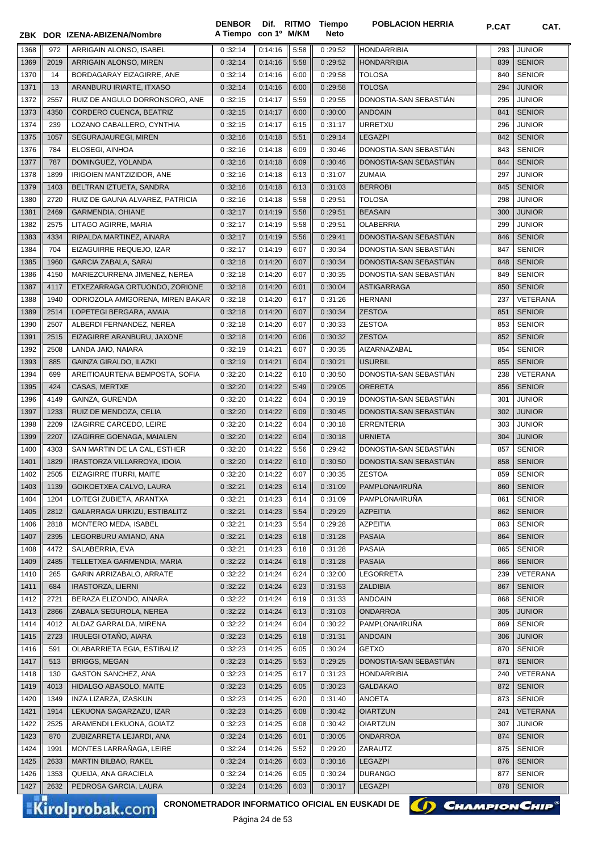|              |            | ZBK DOR IZENA-ABIZENA/Nombre                                              | <b>DENBOR</b><br>A Tiempo con 1º M/KM |                    |              | Dif. RITMO Tiempo<br><b>Neto</b> | <b>POBLACION HERRIA</b>                | P.CAT      | CAT.                           |
|--------------|------------|---------------------------------------------------------------------------|---------------------------------------|--------------------|--------------|----------------------------------|----------------------------------------|------------|--------------------------------|
|              |            |                                                                           |                                       |                    |              |                                  |                                        |            |                                |
| 1368         | 972        | ARRIGAIN ALONSO, ISABEL                                                   | 0:32:14                               | 0:14:16            | 5:58         | 0:29:52                          | <b>HONDARRIBIA</b>                     | 293        | <b>JUNIOR</b>                  |
| 1369         | 2019<br>14 | ARRIGAIN ALONSO, MIREN<br>BORDAGARAY EIZAGIRRE. ANE                       | 0:32:14<br>0:32:14                    | 0:14:16<br>0:14:16 | 5:58         | 0:29:52<br>0:29:58               | <b>HONDARRIBIA</b><br><b>TOLOSA</b>    | 839        | <b>SENIOR</b><br><b>SENIOR</b> |
| 1370<br>1371 | 13         | ARANBURU IRIARTE, ITXASO                                                  | 0:32:14                               | 0:14:16            | 6:00<br>6:00 | 0:29:58                          | <b>TOLOSA</b>                          | 840<br>294 | <b>JUNIOR</b>                  |
| 1372         | 2557       | RUIZ DE ANGULO DORRONSORO, ANE                                            | 0:32:15                               | 0:14:17            | 5:59         | 0:29:55                          | DONOSTIA-SAN SEBASTIAN                 | 295        | <b>JUNIOR</b>                  |
| 1373         | 4350       | CORDERO CUENCA, BEATRIZ                                                   | 0:32:15                               | 0:14:17            | 6:00         | 0:30:00                          | <b>ANDOAIN</b>                         | 841        | <b>SENIOR</b>                  |
| 1374         | 239        | LOZANO CABALLERO, CYNTHIA                                                 | 0:32:15                               | 0:14:17            | 6:15         | 0:31:17                          | <b>URRETXU</b>                         | 296        | <b>JUNIOR</b>                  |
| 1375         | 1057       | SEGURAJAUREGI, MIREN                                                      | 0:32:16                               | 0:14:18            | 5:51         | 0:29:14                          | <b>LEGAZPI</b>                         | 842        | <b>SENIOR</b>                  |
| 1376         | 784        | ELOSEGI, AINHOA                                                           | 0:32:16                               | 0:14:18            | 6:09         | 0:30:46                          | DONOSTIA-SAN SEBASTIAN                 | 843        | <b>SENIOR</b>                  |
| 1377         | 787        | DOMINGUEZ, YOLANDA                                                        | 0:32:16                               | 0:14:18            | 6:09         | 0:30:46                          | DONOSTIA-SAN SEBASTIAN                 | 844        | <b>SENIOR</b>                  |
| 1378         | 1899       | IRIGOIEN MANTZIZIDOR, ANE                                                 | 0:32:16                               | 0:14:18            | 6:13         | 0:31:07                          | <b>ZUMAIA</b>                          | 297        | <b>JUNIOR</b>                  |
| 1379         | 1403       | BELTRAN IZTUETA, SANDRA                                                   | 0:32:16                               | 0:14:18            | 6:13         | 0:31:03                          | <b>BERROBI</b>                         | 845        | <b>SENIOR</b>                  |
| 1380         | 2720       | RUIZ DE GAUNA ALVAREZ, PATRICIA                                           | 0:32:16                               | 0:14:18            | 5:58         | 0:29:51                          | <b>TOLOSA</b>                          | 298        | <b>JUNIOR</b>                  |
| 1381         | 2469       | <b>GARMENDIA, OHIANE</b>                                                  | 0:32:17                               | 0:14:19            | 5:58         | 0:29:51                          | <b>BEASAIN</b>                         | 300        | <b>JUNIOR</b>                  |
| 1382         | 2575       | LITAGO AGIRRE, MARIA                                                      | 0:32:17                               | 0:14:19            | 5:58         | 0:29:51                          | <b>OLABERRIA</b>                       | 299        | <b>JUNIOR</b>                  |
| 1383         | 4334       | RIPALDA MARTINEZ, AINARA                                                  | 0:32:17                               | 0:14:19            | 5:56         | 0:29:41                          | DONOSTIA-SAN SEBASTIÁN                 | 846        | <b>SENIOR</b>                  |
| 1384         | 704        | EIZAGUIRRE REQUEJO, IZAR                                                  | 0:32:17                               | 0:14:19            | 6:07         | 0:30:34                          | DONOSTIA-SAN SEBASTIAN                 | 847        | <b>SENIOR</b>                  |
| 1385         | 1960       | <b>GARCIA ZABALA, SARAI</b>                                               | 0:32:18                               | 0:14:20            | 6:07         | 0:30:34                          | DONOSTIA-SAN SEBASTIAN                 | 848        | <b>SENIOR</b>                  |
| 1386         | 4150       | MARIEZCURRENA JIMENEZ, NEREA                                              | 0:32:18                               | 0:14:20            | 6:07         | 0:30:35                          | DONOSTIA-SAN SEBASTIÁN                 | 849        | <b>SENIOR</b>                  |
| 1387         | 4117       | ETXEZARRAGA ORTUONDO, ZORIONE                                             | 0:32:18                               | 0:14:20            | 6:01         | 0:30:04                          | <b>ASTIGARRAGA</b>                     | 850        | <b>SENIOR</b>                  |
| 1388         | 1940       | ODRIOZOLA AMIGORENA, MIREN BAKAR                                          | 0:32:18                               | 0:14:20            | 6:17         | 0:31:26                          | <b>HERNANI</b>                         | 237        | <b>VETERANA</b>                |
| 1389         | 2514       | LOPETEGI BERGARA, AMAIA                                                   | 0:32:18                               | 0:14:20            | 6:07         | 0:30:34                          | <b>ZESTOA</b>                          | 851        | <b>SENIOR</b>                  |
| 1390         | 2507       | ALBERDI FERNANDEZ, NEREA                                                  | 0:32:18                               | 0:14:20            | 6:07         | 0:30:33                          | <b>ZESTOA</b>                          | 853        | <b>SENIOR</b>                  |
| 1391         | 2515       | EIZAGIRRE ARANBURU, JAXONE                                                | 0:32:18                               | 0:14:20            | 6:06         | 0:30:32                          | <b>ZESTOA</b>                          | 852        | <b>SENIOR</b>                  |
| 1392         | 2508       | LANDA JAIO, NAIARA                                                        | 0:32:19                               | 0:14:21            | 6:07         | 0:30:35                          | AIZARNAZABAL                           | 854        | <b>SENIOR</b>                  |
| 1393         | 885        | <b>GAINZA GIRALDO, ILAZKI</b>                                             | 0:32:19                               | 0:14:21            | 6:04         | 0:30:21                          | <b>USURBIL</b>                         | 855        | <b>SENIOR</b>                  |
| 1394         | 699        | AREITIOAURTENA BEMPOSTA, SOFIA                                            | 0:32:20                               | 0:14:22            | 6:10         | 0:30:50                          | DONOSTIA-SAN SEBASTIAN                 | 238        | <b>VETERANA</b>                |
| 1395         | 424        | CASAS, MERTXE                                                             | 0:32:20                               | 0:14:22            | 5:49         | 0:29:05                          | <b>ORERETA</b>                         | 856        | <b>SENIOR</b>                  |
| 1396         | 4149       | GAINZA, GURENDA                                                           | 0:32:20                               | 0:14:22            | 6:04         | 0:30:19                          | DONOSTIA-SAN SEBASTIAN                 | 301        | <b>JUNIOR</b>                  |
| 1397         | 1233       | RUIZ DE MENDOZA, CELIA                                                    | 0:32:20                               | 0:14:22            | 6:09         | 0:30:45                          | DONOSTIA-SAN SEBASTIAN                 | 302        | <b>JUNIOR</b>                  |
| 1398         | 2209       | IZAGIRRE CARCEDO, LEIRE                                                   | 0:32:20                               | 0:14:22            | 6:04         | 0:30:18                          | <b>ERRENTERIA</b>                      | 303        | <b>JUNIOR</b>                  |
| 1399         | 2207       | IZAGIRRE GOENAGA, MAIALEN                                                 | 0:32:20                               | 0:14:22            | 6:04         | 0:30:18                          | <b>URNIETA</b>                         | 304        | <b>JUNIOR</b>                  |
| 1400         | 4303       | SAN MARTIN DE LA CAL, ESTHER                                              | 0:32:20                               | 0:14:22            | 5:56         | 0:29:42                          | DONOSTIA-SAN SEBASTIAN                 | 857        | <b>SENIOR</b>                  |
| 1401         | 1829       | IRASTORZA VILLARROYA, IDOIA                                               | 0:32:20                               | 0:14:22            | 6:10         | 0:30:50                          | DONOSTIA-SAN SEBASTIÁN                 | 858        | <b>SENIOR</b>                  |
| 1402         | 2505       | EIZAGIRRE ITURRI, MAITE                                                   | 0:32:20 0:14:22                       |                    | 6:07         | 0:30:35                          | <b>ZESTOA</b>                          |            | 859 SENIOR                     |
| 1403         | 1139       | GOIKOETXEA CALVO, LAURA                                                   | 0:32:21                               | 0:14:23            | 6:14         | 0:31:09                          | PAMPLONA/IRUÑA                         | 860        | <b>SENIOR</b>                  |
| 1404         | 1204       | LOITEGI ZUBIETA, ARANTXA                                                  | 0:32:21                               | 0:14:23            | 6:14         | 0:31:09                          | PAMPLONA/IRUÑA                         | 861        | <b>SENIOR</b>                  |
| 1405         | 2812       | GALARRAGA URKIZU, ESTIBALITZ                                              | 0:32:21                               | 0:14:23            | 5:54         | 0:29:29                          | <b>AZPEITIA</b>                        | 862        | <b>SENIOR</b>                  |
| 1406         | 2818       | MONTERO MEDA, ISABEL                                                      | 0:32:21                               | 0:14:23            | 5:54         | 0:29:28                          | <b>AZPEITIA</b>                        | 863        | <b>SENIOR</b>                  |
| 1407         | 2395       | LEGORBURU AMIANO, ANA                                                     | 0:32:21                               | 0:14:23            | 6:18         | 0:31:28                          | <b>PASAIA</b>                          | 864        | <b>SENIOR</b>                  |
| 1408         | 4472       | SALABERRIA, EVA                                                           | 0:32:21                               | 0:14:23            | 6:18         | 0:31:28                          | PASAIA                                 | 865        | <b>SENIOR</b>                  |
| 1409         | 2485       | TELLETXEA GARMENDIA, MARIA                                                | 0:32:22                               | 0:14:24            | 6:18         | 0:31:28                          | <b>PASAIA</b>                          | 866        | <b>SENIOR</b>                  |
| 1410         | 265        | GARIN ARRIZABALO, ARRATE                                                  | 0:32:22                               | 0:14:24            | 6:24         | 0:32:00                          | LEGORRETA                              | 239        | VETERANA                       |
| 1411         | 684        | <b>IRASTORZA, LIERNI</b>                                                  | 0:32:22                               | 0:14:24            | 6:23         | 0:31:53                          | ZALDIBIA                               | 867        | <b>SENIOR</b>                  |
| 1412         | 2721       | BERAZA ELIZONDO, AINARA                                                   | 0:32:22                               | 0:14:24            | 6:19         | 0:31:33                          | <b>ANDOAIN</b>                         | 868        | <b>SENIOR</b>                  |
| 1413         | 2866       | ZABALA SEGUROLA, NEREA                                                    | 0:32:22                               | 0:14:24            | 6:13         | 0:31:03                          | <b>ONDARROA</b>                        | 305        | <b>JUNIOR</b>                  |
| 1414         | 4012       | ALDAZ GARRALDA, MIRENA                                                    | 0:32:22                               | 0:14:24            | 6:04         | 0:30:22                          | PAMPLONA/IRUÑA                         | 869        | <b>SENIOR</b>                  |
| 1415         | 2723       | <b>IRULEGI OTAÑO, AIARA</b>                                               | 0:32:23                               | 0:14:25            | 6:18         | 0:31:31                          | <b>ANDOAIN</b>                         | 306        | <b>JUNIOR</b>                  |
| 1416         | 591        | OLABARRIETA EGIA, ESTIBALIZ                                               | 0:32:23                               | 0:14:25            | 6:05         | 0:30:24                          | <b>GETXO</b><br>DONOSTIA-SAN SEBASTIÁN | 870        | <b>SENIOR</b>                  |
| 1417         | 513<br>130 | <b>BRIGGS, MEGAN</b><br><b>GASTON SANCHEZ, ANA</b>                        | 0:32:23<br>0:32:23                    | 0:14:25<br>0:14:25 | 5:53         | 0:29:25<br>0:31:23               | <b>HONDARRIBIA</b>                     | 871<br>240 | <b>SENIOR</b><br>VETERANA      |
| 1418<br>1419 | 4013       | HIDALGO ABASOLO, MAITE                                                    | 0:32:23                               | 0:14:25            | 6:17<br>6:05 | 0:30:23                          | <b>GALDAKAO</b>                        | 872        | <b>SENIOR</b>                  |
| 1420         | 1349       | INZA LIZARZA, IZASKUN                                                     | 0:32:23                               | 0:14:25            | 6:20         | 0:31:40                          | <b>ANOETA</b>                          | 873        | <b>SENIOR</b>                  |
| 1421         | 1914       | LEKUONA SAGARZAZU, IZAR                                                   | 0:32:23                               | 0:14:25            | 6:08         | 0:30:42                          | <b>OIARTZUN</b>                        | 241        | <b>VETERANA</b>                |
| 1422         | 2525       | ARAMENDI LEKUONA, GOIATZ                                                  | 0:32:23                               | 0:14:25            | 6:08         | 0:30:42                          | <b>OIARTZUN</b>                        | 307        | <b>JUNIOR</b>                  |
| 1423         | 870        | ZUBIZARRETA LEJARDI, ANA                                                  | 0:32:24                               | 0:14:26            | 6:01         | 0:30:05                          | <b>ONDARROA</b>                        | 874        | <b>SENIOR</b>                  |
| 1424         | 1991       | MONTES LARRANAGA, LEIRE                                                   | 0:32:24                               | 0:14:26            | 5:52         | 0:29:20                          | ZARAUTZ                                | 875        | <b>SENIOR</b>                  |
| 1425         | 2633       | MARTIN BILBAO, RAKEL                                                      | 0:32:24                               | 0:14:26            | 6:03         | 0:30:16                          | <b>LEGAZPI</b>                         | 876        | <b>SENIOR</b>                  |
| 1426         | 1353       | QUEIJA, ANA GRACIELA                                                      | 0:32:24                               | 0:14:26            | 6:05         | 0:30:24                          | <b>DURANGO</b>                         | 877        | <b>SENIOR</b>                  |
| 1427         | 2632       | PEDROSA GARCIA, LAURA                                                     | 0:32:24                               | 0:14:26            | 6:03         | 0:30:17                          | <b>LEGAZPI</b>                         | 878        | <b>SENIOR</b>                  |
|              |            |                                                                           |                                       |                    |              |                                  |                                        |            |                                |
|              |            | CRONOMETRADOR INFORMATICO OFICIAL EN EUSKADI DE<br><b>Kirolprobak.com</b> |                                       |                    |              |                                  | () CHAMPION CHIP                       |            |                                |

Página 24 de 53

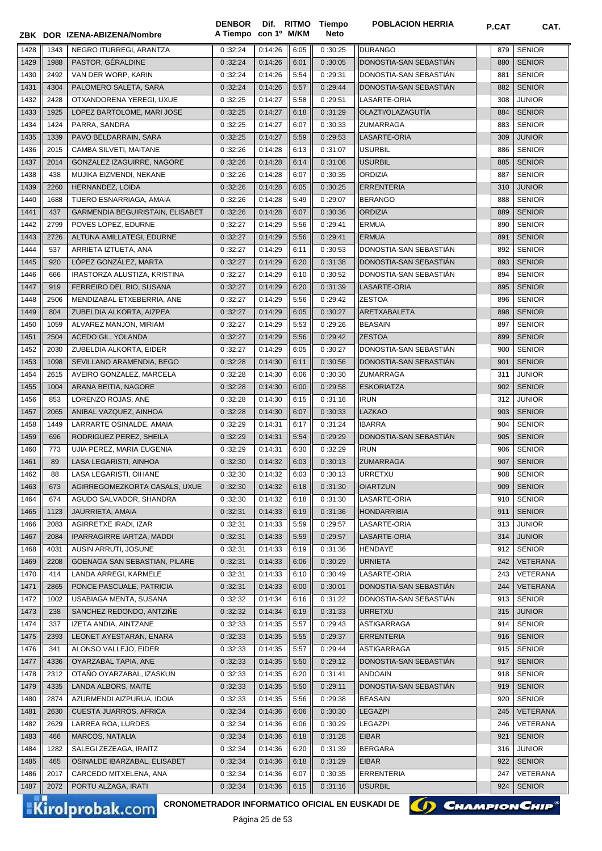|              |              | ZBK DOR IZENA-ABIZENA/Nombre                                              | <b>DENBOR</b><br>A Tiempo | con 1º M/KM        |              | Dif. RITMO Tiempo<br>Neto | <b>POBLACION HERRIA</b>                  | P.CAT      | CAT.                           |
|--------------|--------------|---------------------------------------------------------------------------|---------------------------|--------------------|--------------|---------------------------|------------------------------------------|------------|--------------------------------|
| 1428         | 1343         | NEGRO ITURREGI, ARANTZA                                                   | 0:32:24                   | 0:14:26            | 6:05         | 0:30:25                   | <b>DURANGO</b>                           | 879        | <b>SENIOR</b>                  |
| 1429         | 1988         | PASTOR, GÉRALDINE                                                         | 0:32:24                   | 0:14:26            | 6:01         | 0:30:05                   | DONOSTIA-SAN SEBASTIAN                   | 880        | <b>SENIOR</b>                  |
| 1430         | 2492         | VAN DER WORP, KARIN                                                       | 0:32:24                   | 0:14:26            | 5:54         | 0:29:31                   | DONOSTIA-SAN SEBASTIAN                   | 881        | <b>SENIOR</b>                  |
| 1431         | 4304         | PALOMERO SALETA, SARA                                                     | 0:32:24                   | 0:14:26            | 5:57         | 0:29:44                   | DONOSTIA-SAN SEBASTIÁN                   | 882        | <b>SENIOR</b>                  |
| 1432         | 2428         | OTXANDORENA YEREGI, UXUE                                                  | 0:32:25                   | 0:14:27            | 5:58         | 0:29:51                   | LASARTE-ORIA                             | 308        | <b>JUNIOR</b>                  |
| 1433         | 1925         | LOPEZ BARTOLOME, MARI JOSE                                                | 0:32:25                   | 0:14:27            | 6:18         | 0:31:29                   | OLAZTI/OLAZAGUTÍA                        | 884        | <b>SENIOR</b>                  |
| 1434         | 1424         | PARRA, SANDRA                                                             | 0:32:25                   | 0:14:27            | 6:07         | 0:30:33                   | <b>ZUMARRAGA</b>                         | 883        | <b>SENIOR</b>                  |
| 1435         | 1339         | PAVO BELDARRAIN, SARA                                                     | 0:32:25                   | 0:14:27            | 5:59         | 0:29:53                   | LASARTE-ORIA                             | 309        | <b>JUNIOR</b>                  |
| 1436         | 2015         | CAMBA SILVETI, MAITANE                                                    | 0:32:26                   | 0:14:28            | 6:13         | 0:31:07                   | <b>USURBIL</b>                           | 886        | <b>SENIOR</b>                  |
| 1437         | 2014         | GONZALEZ IZAGUIRRE, NAGORE                                                | 0:32:26                   | 0:14:28            | 6:14         | 0:31:08                   | <b>USURBIL</b>                           | 885        | <b>SENIOR</b>                  |
| 1438         | 438          | MUJIKA EIZMENDI, NEKANE                                                   | 0:32:26                   | 0:14:28            | 6:07         | 0:30:35                   | <b>ORDIZIA</b>                           | 887        | <b>SENIOR</b>                  |
| 1439         | 2260         | HERNANDEZ, LOIDA                                                          | 0:32:26                   | 0:14:28            | 6:05         | 0:30:25                   | <b>ERRENTERIA</b>                        | 310        | <b>JUNIOR</b>                  |
| 1440         | 1688         | TIJERO ESNARRIAGA, AMAIA                                                  | 0:32:26                   | 0:14:28            | 5:49         | 0:29:07                   | <b>BERANGO</b>                           | 888        | <b>SENIOR</b>                  |
| 1441         | 437          | GARMENDIA BEGUIRISTAIN, ELISABET                                          | 0:32:26                   | 0:14:28            | 6:07         | 0:30:36                   | <b>ORDIZIA</b>                           | 889        | <b>SENIOR</b>                  |
| 1442         | 2799         | POVES LOPEZ, EDURNE                                                       | 0:32:27                   | 0:14:29            | 5:56         | 0:29:41                   | <b>ERMUA</b>                             | 890        | <b>SENIOR</b>                  |
| 1443         | 2726         | ALTUNA AMILLATEGI, EDURNE                                                 | 0:32:27                   | 0:14:29            | 5:56         | 0:29:41                   | <b>ERMUA</b>                             | 891        | <b>SENIOR</b>                  |
| 1444         | 537          | ARRIETA IZTUETA, ANA                                                      | 0:32:27                   | 0:14:29            | 6:11         | 0:30:53                   | DONOSTIA-SAN SEBASTIÁN                   | 892        | <b>SENIOR</b>                  |
| 1445         | 920          | LÓPEZ GONZÁLEZ, MARTA                                                     | 0:32:27                   | 0:14:29            | 6:20         | 0:31:38                   | DONOSTIA-SAN SEBASTIÁN                   | 893        | <b>SENIOR</b>                  |
| 1446         | 666          | IRASTORZA ALUSTIZA, KRISTINA                                              | 0:32:27                   | 0:14:29            | 6:10         | 0:30:52                   | DONOSTIA-SAN SEBASTIAN                   | 894        | <b>SENIOR</b>                  |
| 1447         | 919          | FERREIRO DEL RIO, SUSANA                                                  | 0:32:27                   | 0:14:29            | 6:20         | 0:31:39                   | <b>LASARTE-ORIA</b>                      | 895        | <b>SENIOR</b>                  |
| 1448         | 2506         | MENDIZABAL ETXEBERRIA, ANE                                                | 0:32:27                   | 0:14:29            | 5:56         | 0:29:42                   | <b>ZESTOA</b>                            | 896        | <b>SENIOR</b>                  |
| 1449         | 804          | ZUBELDIA ALKORTA, AIZPEA                                                  | 0:32:27                   | 0:14:29            | 6:05         | 0:30:27                   | ARETXABALETA                             | 898        | <b>SENIOR</b>                  |
| 1450         | 1059         | ALVAREZ MANJON, MIRIAM                                                    | 0:32:27                   | 0:14:29            | 5:53         | 0:29:26                   | <b>BEASAIN</b>                           | 897        | <b>SENIOR</b>                  |
| 1451         | 2504         | ACEDO GIL, YOLANDA                                                        | 0:32:27                   | 0:14:29            | 5:56         | 0:29:42                   | <b>ZESTOA</b>                            | 899        | <b>SENIOR</b>                  |
| 1452         | 2030         | ZUBELDIA ALKORTA, EIDER                                                   | 0:32:27                   | 0:14:29            | 6:05         | 0:30:27                   | DONOSTIA-SAN SEBASTIAN                   | 900        | <b>SENIOR</b>                  |
| 1453         | 1098         | SEVILLANO ARAMENDIA, BEGO                                                 | 0:32:28                   | 0:14:30            | 6:11         | 0:30:56                   | DONOSTIA-SAN SEBASTIAN                   | 901        | <b>SENIOR</b>                  |
| 1454<br>1455 | 2615<br>1004 | AVEIRO GONZALEZ, MARCELA<br>ARANA BEITIA, NAGORE                          | 0:32:28<br>0:32:28        | 0:14:30<br>0:14:30 | 6:06<br>6:00 | 0:30:30<br>0:29:58        | <b>ZUMARRAGA</b><br><b>ESKORIATZA</b>    | 311<br>902 | <b>JUNIOR</b><br><b>SENIOR</b> |
| 1456         | 853          | LORENZO ROJAS, ANE                                                        | 0:32:28                   | 0:14:30            | 6:15         | 0:31:16                   | <b>IRUN</b>                              | 312        | <b>JUNIOR</b>                  |
| 1457         | 2065         | ANIBAL VAZQUEZ, AINHOA                                                    | 0:32:28                   | 0:14:30            | 6:07         | 0:30:33                   | <b>LAZKAO</b>                            | 903        | <b>SENIOR</b>                  |
| 1458         | 1449         | LARRARTE OSINALDE, AMAIA                                                  | 0:32:29                   | 0:14:31            | 6:17         | 0:31:24                   | <b>IBARRA</b>                            | 904        | <b>SENIOR</b>                  |
| 1459         | 696          | RODRIGUEZ PEREZ, SHEILA                                                   | 0:32:29                   | 0:14:31            | 5:54         | 0:29:29                   | DONOSTIA-SAN SEBASTIAN                   | 905        | <b>SENIOR</b>                  |
| 1460         | 773          | UJIA PEREZ, MARIA EUGENIA                                                 | 0:32:29                   | 0:14:31            | 6:30         | 0:32:29                   | <b>IRUN</b>                              | 906        | <b>SENIOR</b>                  |
| 1461         | 89           | LASA LEGARISTI, AINHOA                                                    | 0:32:30                   | 0:14:32            | 6:03         | 0:30:13                   | <b>ZUMARRAGA</b>                         | 907        | <b>SENIOR</b>                  |
| 1462         | 88           | LASA LEGARISTI, OIHANE                                                    | 0:32:30                   | 0:14:32            | 6:03         | 0:30:13                   | URRETXU                                  | 908        | <b>SENIOR</b>                  |
| 1463         | 673          | AGIRREGOMEZKORTA CASALS, UXUE                                             | 0:32:30                   | 0:14:32            | 6:18         | 0:31:30                   | <b>OIARTZUN</b>                          | 909        | <b>SENIOR</b>                  |
| 1464         | 674          | AGUDO SALVADOR, SHANDRA                                                   | 0:32:30                   | 0:14:32            | 6:18         | 0:31:30                   | LASARTE-ORIA                             | 910        | <b>SENIOR</b>                  |
| 1465         | 1123         | JAURRIETA, AMAIA                                                          | 0:32:31                   | 0:14:33            | 6:19         | 0:31:36                   | <b>HONDARRIBIA</b>                       | 911        | <b>SENIOR</b>                  |
| 1466         | 2083         | AGIRRETXE IRADI, IZAR                                                     | 0:32:31                   | 0:14:33            | 5:59         | 0:29:57                   | LASARTE-ORIA                             | 313        | <b>JUNIOR</b>                  |
| 1467         | 2084         | IPARRAGIRRE IARTZA, MADDI                                                 | 0:32:31                   | 0:14:33            | 5:59         | 0:29:57                   | LASARTE-ORIA                             | 314        | <b>JUNIOR</b>                  |
| 1468         | 4031         | AUSIN ARRUTI, JOSUNE                                                      | 0:32:31                   | 0:14:33            | 6:19         | 0:31:36                   | HENDAYE                                  | 912        | <b>SENIOR</b>                  |
| 1469         | 2208         | GOENAGA SAN SEBASTIAN, PILARE                                             | 0:32:31                   | 0:14:33            | 6:06         | 0:30:29                   | <b>URNIETA</b>                           | 242        | <b>VETERANA</b>                |
| 1470         | 414          | LANDA ARREGI, KARMELE                                                     | 0:32:31                   | 0:14:33            | 6:10         | 0:30:49                   | LASARTE-ORIA                             | 243        | VETERANA                       |
| 1471         | 2865         | PONCE PASCUALE, PATRICIA                                                  | 0:32:31                   | 0:14:33            | 6:00         | 0:30:01                   | DONOSTIA-SAN SEBASTIÁN                   | 244        | <b>VETERANA</b>                |
| 1472         | 1002         | USABIAGA MENTA, SUSANA                                                    | 0:32:32                   | 0:14:34            | 6:16         | 0:31:22                   | DONOSTIA-SAN SEBASTIAN                   | 913        | <b>SENIOR</b>                  |
| 1473         | 238          | SANCHEZ REDONDO, ANTZINE                                                  | 0:32:32                   | 0:14:34            | 6:19         | 0:31:33                   | <b>URRETXU</b>                           | 315        | <b>JUNIOR</b>                  |
| 1474         | 337          | IZETA ANDIA, AINTZANE                                                     | 0:32:33                   | 0:14:35            | 5:57         | 0:29:43                   | ASTIGARRAGA                              | 914        | <b>SENIOR</b>                  |
| 1475         | 2393         | LEONET AYESTARAN, ENARA                                                   | 0:32:33                   | 0:14:35            | 5:55         | 0:29:37                   | <b>ERRENTERIA</b>                        | 916        | <b>SENIOR</b>                  |
| 1476         | 341          | ALONSO VALLEJO, EIDER                                                     | 0:32:33                   | 0:14:35            | 5:57         | 0:29:44                   | <b>ASTIGARRAGA</b>                       | 915        | <b>SENIOR</b>                  |
| 1477         | 4336         | OYARZABAL TAPIA, ANE                                                      | 0:32:33                   | 0:14:35            | 5:50         | 0:29:12                   | DONOSTIA-SAN SEBASTIAN                   | 917        | <b>SENIOR</b>                  |
| 1478         | 2312         | OTANO OYARZABAL, IZASKUN                                                  | 0:32:33                   | 0:14:35            | 6:20         | 0:31:41                   | <b>ANDOAIN</b>                           | 918        | <b>SENIOR</b>                  |
| 1479<br>1480 | 4335<br>2874 | LANDA ALBORS, MAITE<br>AZURMENDI AIZPURUA, IDOIA                          | 0:32:33<br>0:32:33        | 0:14:35<br>0:14:35 | 5:50<br>5:56 | 0:29:11<br>0:29:38        | DONOSTIA-SAN SEBASTIAN<br><b>BEASAIN</b> | 919<br>920 | <b>SENIOR</b><br><b>SENIOR</b> |
| 1481         | 2630         | CUESTA JUARROS, AFRICA                                                    | 0:32:34                   | 0:14:36            | 6:06         | 0:30:30                   | <b>LEGAZPI</b>                           | 245        | <b>VETERANA</b>                |
| 1482         | 2629         | LARREA ROA, LURDES                                                        | 0:32:34                   | 0:14:36            | 6:06         | 0:30:29                   | LEGAZPI                                  | 246        | VETERANA                       |
| 1483         | 466          | MARCOS, NATALIA                                                           | 0:32:34                   | 0:14:36            | 6:18         | 0:31:28                   | <b>EIBAR</b>                             | 921        | <b>SENIOR</b>                  |
| 1484         | 1282         | SALEGI ZEZEAGA, IRAITZ                                                    | 0:32:34                   | 0:14:36            | 6:20         | 0:31:39                   | <b>BERGARA</b>                           | 316        | <b>JUNIOR</b>                  |
| 1485         | 465          | OSINALDE IBARZABAL, ELISABET                                              | 0:32:34                   | 0:14:36            | 6:18         | 0:31:29                   | <b>EIBAR</b>                             | 922        | <b>SENIOR</b>                  |
| 1486         | 2017         | CARCEDO MITXELENA, ANA                                                    | 0:32:34                   | 0:14:36            | 6:07         | 0:30:35                   | <b>ERRENTERIA</b>                        | 247        | VETERANA                       |
| 1487         | 2072         | PORTU ALZAGA, IRATI                                                       | 0:32:34                   | 0:14:36            | 6:15         | 0:31:16                   | <b>USURBIL</b>                           | 924        | <b>SENIOR</b>                  |
|              |              |                                                                           |                           |                    |              |                           |                                          |            |                                |
|              |              | CRONOMETRADOR INFORMATICO OFICIAL EN EUSKADI DE<br><b>Kirolprobak.com</b> |                           |                    |              |                           | (I) CHAMPION CHIP®                       |            |                                |

Página 25 de 53

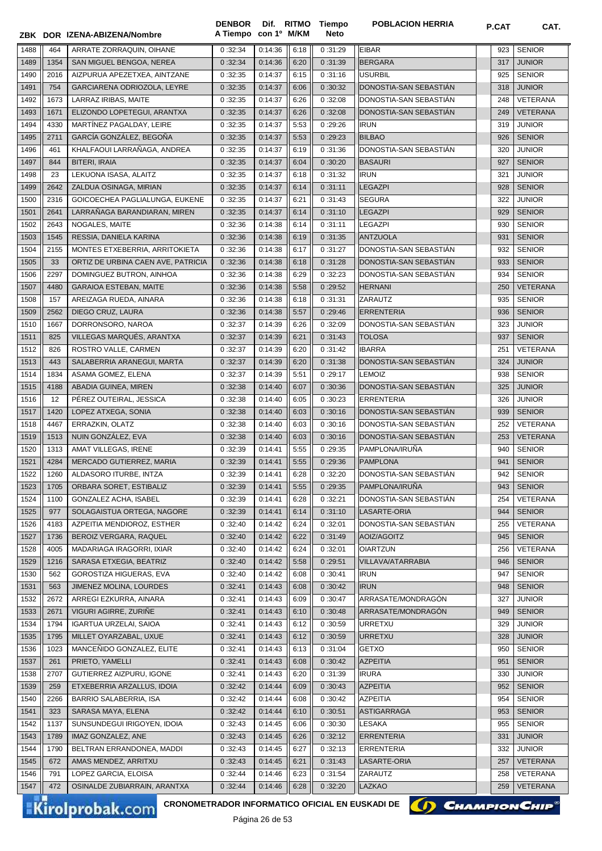|              |             | ZBK DOR IZENA-ABIZENA/Nombre                           | <b>DENBOR</b><br>A Tiempo con 1º M/KM |                    |              | Dif. RITMO Tiempo<br>Neto | <b>POBLACION HERRIA</b>            | P.CAT      | CAT.                           |
|--------------|-------------|--------------------------------------------------------|---------------------------------------|--------------------|--------------|---------------------------|------------------------------------|------------|--------------------------------|
| 1488         | 464         | ARRATE ZORRAQUIN, OIHANE                               | 0:32:34                               | 0:14:36            | 6:18         | 0:31:29                   | <b>EIBAR</b>                       | 923        | <b>SENIOR</b>                  |
| 1489         | 1354        | SAN MIGUEL BENGOA, NEREA                               | 0:32:34                               | 0:14:36            | 6:20         | 0:31:39                   | <b>BERGARA</b>                     | 317        | <b>JUNIOR</b>                  |
| 1490         | 2016        | AIZPURUA APEZETXEA, AINTZANE                           | 0:32:35                               | 0:14:37            | 6:15         | 0:31:16                   | <b>USURBIL</b>                     | 925        | <b>SENIOR</b>                  |
| 1491         | 754         | GARCIARENA ODRIOZOLA, LEYRE                            | 0:32:35                               | 0:14:37            | 6:06         | 0:30:32                   | DONOSTIA-SAN SEBASTIAN             | 318        | <b>JUNIOR</b>                  |
| 1492         | 1673        | LARRAZ IRIBAS, MAITE                                   | 0:32:35                               | 0:14:37            | 6:26         | 0:32:08                   | DONOSTIA-SAN SEBASTIÁN             | 248        | VETERANA                       |
| 1493         | 1671        | ELIZONDO LOPETEGUI, ARANTXA                            | 0:32:35                               | 0:14:37            | 6:26         | 0:32:08                   | DONOSTIA-SAN SEBASTIÁN             | 249        | <b>VETERANA</b>                |
| 1494         | 4330        | MARTÍNEZ PAGALDAY, LEIRE                               | 0:32:35                               | 0:14:37            | 5:53         | 0:29:26                   | <b>IRUN</b>                        | 319        | <b>JUNIOR</b>                  |
| 1495         | 2711        | GARCÍA GONZÁLEZ, BEGOÑA                                | 0:32:35                               | 0:14:37            | 5:53         | 0:29:23                   | <b>BILBAO</b>                      | 926        | <b>SENIOR</b>                  |
| 1496         | 461         | KHALFAOUI LARRAÑAGA, ANDREA                            | 0:32:35                               | 0:14:37            | 6:19         | 0:31:36                   | DONOSTIA-SAN SEBASTIÁN             | 320        | <b>JUNIOR</b>                  |
| 1497         | 844         | <b>BITERI, IRAIA</b>                                   | 0:32:35                               | 0:14:37            | 6:04         | 0:30:20                   | <b>BASAURI</b>                     | 927        | <b>SENIOR</b>                  |
| 1498         | 23          | LEKUONA ISASA, ALAITZ                                  | 0:32:35                               | 0:14:37            | 6:18         | 0:31:32                   | <b>IRUN</b>                        | 321        | <b>JUNIOR</b>                  |
| 1499         | 2642        | ZALDUA OSINAGA, MIRIAN                                 | 0:32:35                               | 0:14:37            | 6:14         | 0:31:11                   | <b>LEGAZPI</b>                     | 928        | <b>SENIOR</b>                  |
| 1500         | 2316        | GOICOECHEA PAGLIALUNGA, EUKENE                         | 0:32:35                               | 0:14:37            | 6:21         | 0:31:43                   | <b>SEGURA</b>                      | 322        | <b>JUNIOR</b>                  |
| 1501         | 2641        | LARRAÑAGA BARANDIARAN, MIREN                           | 0:32:35                               | 0:14:37            | 6:14         | 0:31:10                   | <b>LEGAZPI</b>                     | 929        | <b>SENIOR</b>                  |
| 1502         | 2643        | NOGALES, MAITE                                         | 0:32:36                               | 0:14:38            | 6:14         | 0:31:11                   | <b>LEGAZPI</b>                     | 930        | <b>SENIOR</b>                  |
| 1503         | 1545        | RESSIA, DANIELA KARINA                                 | 0:32:36                               | 0:14:38            | 6:19         | 0:31:35                   | <b>ANTZUOLA</b>                    | 931        | <b>SENIOR</b>                  |
| 1504         | 2155        | MONTES ETXEBERRIA, ARRITOKIETA                         | 0:32:36                               | 0:14:38            | 6:17         | 0:31:27                   | DONOSTIA-SAN SEBASTIAN             | 932        | <b>SENIOR</b>                  |
| 1505         | 33          | ORTIZ DE URBINA CAEN AVE, PATRICIA                     | 0:32:36                               | 0:14:38            | 6:18         | 0:31:28                   | DONOSTIA-SAN SEBASTIÁN             | 933        | <b>SENIOR</b>                  |
| 1506         | 2297        | DOMINGUEZ BUTRON, AINHOA                               | 0:32:36                               | 0:14:38            | 6:29         | 0:32:23                   | DONOSTIA-SAN SEBASTIÁN             | 934        | <b>SENIOR</b>                  |
| 1507         | 4480        | <b>GARAIOA ESTEBAN, MAITE</b>                          | 0:32:36                               | 0:14:38            | 5:58         | 0:29:52                   | <b>HERNANI</b>                     | 250        | <b>VETERANA</b>                |
| 1508         | 157         | AREIZAGA RUEDA, AINARA                                 | 0:32:36                               | 0:14:38            | 6:18         | 0:31:31                   | ZARAUTZ                            | 935        | <b>SENIOR</b>                  |
| 1509         | 2562        | DIEGO CRUZ, LAURA                                      | 0:32:36                               | 0:14:38            | 5:57         | 0:29:46                   | <b>ERRENTERIA</b>                  | 936        | <b>SENIOR</b>                  |
| 1510         | 1667        | DORRONSORO, NAROA                                      | 0:32:37                               | 0:14:39            | 6:26         | 0:32:09                   | DONOSTIA-SAN SEBASTIAN             | 323        | <b>JUNIOR</b>                  |
| 1511         | 825         | VILLEGAS MARQUÉS, ARANTXA                              | 0:32:37                               | 0:14:39            | 6:21         | 0:31:43                   | <b>TOLOSA</b>                      | 937        | <b>SENIOR</b>                  |
| 1512         | 826         | ROSTRO VALLE, CARMEN                                   | 0:32:37                               | 0:14:39            | 6:20         | 0:31:42                   | <b>IBARRA</b>                      | 251        | VETERANA                       |
| 1513         | 443         | SALABERRIA ARANEGUI, MARTA                             | 0:32:37                               | 0:14:39            | 6:20         | 0:31:38                   | DONOSTIA-SAN SEBASTIAN             | 324        | <b>JUNIOR</b>                  |
| 1514         | 1834        | ASAMA GOMEZ, ELENA                                     | 0:32:37                               | 0:14:39            | 5:51         | 0:29:17                   | <b>LEMOIZ</b>                      | 938        | <b>SENIOR</b>                  |
| 1515         | 4188        | ABADIA GUINEA, MIREN                                   | 0:32:38                               | 0:14:40            | 6:07         | 0:30:36                   | DONOSTIA-SAN SEBASTIAN             | 325        | <b>JUNIOR</b>                  |
| 1516         | 12          | PEREZ OUTEIRAL, JESSICA                                | 0:32:38                               | 0:14:40            | 6:05         | 0:30:23                   | <b>ERRENTERIA</b>                  | 326        | <b>JUNIOR</b>                  |
| 1517         | 1420        | LOPEZ ATXEGA, SONIA                                    | 0:32:38                               | 0:14:40            | 6:03         | 0:30:16                   | DONOSTIA-SAN SEBASTIAN             | 939        | <b>SENIOR</b>                  |
| 1518         | 4467        | ERRAZKIN, OLATZ                                        | 0:32:38                               | 0:14:40            | 6:03         | 0:30:16                   | DONOSTIA-SAN SEBASTIAN             | 252        | VETERANA                       |
| 1519         | 1513        | NUIN GONZÁLEZ, EVA                                     | 0:32:38                               | 0:14:40            | 6:03         | 0:30:16                   | DONOSTIA-SAN SEBASTIAN             | 253        | <b>VETERANA</b>                |
| 1520         | 1313        | AMAT VILLEGAS, IRENE                                   | 0:32:39                               | 0:14:41            | 5:55         | 0:29:35                   | PAMPLONA/IRUÑA                     | 940        | <b>SENIOR</b>                  |
| 1521         | 4284        | MERCADO GUTIERREZ, MARIA                               | 0:32:39                               | 0:14:41            | 5:55         | 0:29:36                   | <b>PAMPLONA</b>                    | 941        | <b>SENIOR</b>                  |
| 1522         | 1260        | ALDASORO ITURBE, INTZA                                 | 0:32:39                               | 0:14:41            | 6:28         | 0:32:20                   | DONOSTIA-SAN SEBASTIÁN             | 942        | <b>SENIOR</b>                  |
| 1523         | 1705        | ORBARA SORET, ESTIBALIZ                                | 0:32:39                               | 0:14:41            | 5:55         | 0:29:35                   | PAMPLONA/IRUÑA                     | 943        | <b>SENIOR</b>                  |
| 1524         | 1100        | GONZALEZ ACHA, ISABEL                                  | 0:32:39                               | 0:14:41            | 6:28         | 0:32:21                   | DONOSTIA-SAN SEBASTIÁN             | 254        | VETERANA                       |
| 1525         | 977         | SOLAGAISTUA ORTEGA, NAGORE                             | 0:32:39                               | 0:14:41            | 6:14         | 0:31:10                   | LASARTE-ORIA                       | 944        | <b>SENIOR</b>                  |
| 1526         | 4183        | AZPEITIA MENDIOROZ, ESTHER                             | 0:32:40                               | 0:14:42            | 6:24         | 0:32:01                   | DONOSTIA-SAN SEBASTIÁN             | 255        | VETERANA                       |
| 1527         | 1736        | BEROIZ VERGARA, RAQUEL                                 | 0:32:40                               | 0:14:42            | 6:22         | 0:31:49                   | AOIZ/AGOITZ                        | 945        | <b>SENIOR</b>                  |
| 1528         | 4005        | MADARIAGA IRAGORRI, IXIAR                              | 0:32:40                               | 0:14:42            | 6:24         | 0:32:01                   | <b>OIARTZUN</b>                    | 256        | VETERANA                       |
| 1529         | 1216        | SARASA ETXEGIA, BEATRIZ                                | 0:32:40                               | 0:14:42            | 5:58         | 0:29:51                   | VILLAVA/ATARRABIA                  | 946        | <b>SENIOR</b>                  |
| 1530         | 562         | GOROSTIZA HIGUERAS, EVA                                | 0:32:40                               | 0:14:42            | 6:08         | 0:30:41                   | <b>IRUN</b>                        | 947        | <b>SENIOR</b>                  |
| 1531         | 563         | JIMENEZ MOLINA, LOURDES                                | 0:32:41                               | 0:14:43            | 6:08         | 0:30:42                   | <b>IRUN</b>                        | 948        | <b>SENIOR</b>                  |
| 1532         | 2672        | ARREGI EZKURRA, AINARA                                 | 0:32:41                               | 0:14:43            | 6:09         | 0:30:47                   | ARRASATE/MONDRAGÓN                 | 327        | <b>JUNIOR</b>                  |
| 1533         | 2671        | VIGURI AGIRRE, ZURIÑE                                  | 0:32:41                               | 0:14:43            | 6:10         | 0:30:48                   | ARRASATE/MONDRAGÓN                 | 949        | <b>SENIOR</b>                  |
| 1534         | 1794        | <b>IGARTUA URZELAI, SAIOA</b>                          | 0:32:41                               | 0:14:43            | 6:12         | 0:30:59                   | <b>URRETXU</b>                     | 329        | <b>JUNIOR</b>                  |
| 1535         | 1795        | MILLET OYARZABAL, UXUE                                 | 0:32:41                               | 0:14:43            | 6:12         | 0:30:59                   | <b>URRETXU</b>                     | 328        | <b>JUNIOR</b>                  |
| 1536         | 1023        | MANCEÑIDO GONZALEZ, ELITE                              | 0:32:41                               | 0:14:43            | 6:13         | 0:31:04                   | <b>GETXO</b>                       | 950        | <b>SENIOR</b>                  |
| 1537         | 261         | PRIETO, YAMELLI                                        | 0:32:41                               | 0:14:43            | 6:08         | 0:30:42                   | <b>AZPEITIA</b><br><b>IRURA</b>    | 951        | <b>SENIOR</b>                  |
| 1538         | 2707<br>259 | GUTIERREZ AIZPURU, IGONE<br>ETXEBERRIA ARZALLUS, IDOIA | 0:32:41                               | 0:14:43            | 6:20         | 0:31:39                   |                                    | 330        | <b>JUNIOR</b><br><b>SENIOR</b> |
| 1539<br>1540 | 2266        | BARRIO SALABERRIA, ISA                                 | 0:32:42<br>0:32:42                    | 0:14:44<br>0:14:44 | 6:09         | 0:30:43<br>0:30:42        | <b>AZPEITIA</b><br><b>AZPEITIA</b> | 952<br>954 | <b>SENIOR</b>                  |
| 1541         | 323         | SARASA MAYA, ELENA                                     | 0:32:42                               | 0:14:44            | 6:08<br>6:10 | 0:30:51                   | <b>ASTIGARRAGA</b>                 | 953        | SENIOR                         |
| 1542         | 1137        | SUNSUNDEGUI IRIGOYEN, IDOIA                            | 0:32:43                               | 0:14:45            | 6:06         | 0:30:30                   | <b>LESAKA</b>                      | 955        | <b>SENIOR</b>                  |
| 1543         | 1789        | IMAZ GONZALEZ, ANE                                     | 0:32:43                               | 0:14:45            | 6:26         | 0:32:12                   | <b>ERRENTERIA</b>                  | 331        | <b>JUNIOR</b>                  |
| 1544         | 1790        | BELTRAN ERRANDONEA, MADDI                              | 0:32:43                               | 0:14:45            | 6:27         | 0:32:13                   | <b>ERRENTERIA</b>                  | 332        | <b>JUNIOR</b>                  |
| 1545         | 672         | AMAS MENDEZ, ARRITXU                                   | 0:32:43                               | 0:14:45            | 6:21         | 0:31:43                   | LASARTE-ORIA                       | 257        | VETERANA                       |
| 1546         | 791         | LOPEZ GARCIA, ELOISA                                   | 0:32:44                               | 0:14:46            | 6:23         | 0:31:54                   | ZARAUTZ                            | 258        | VETERANA                       |
| 1547         | 472         | OSINALDE ZUBIARRAIN, ARANTXA                           | 0:32:44                               | 0:14:46            | 6:28         | 0:32:20                   | LAZKAO                             | 259        | <b>VETERANA</b>                |
|              |             |                                                        |                                       |                    |              |                           |                                    |            |                                |

CRONOMETRADOR INFORMATICO OFICIAL EN EUSKADI DE **(A) CHAMPION CHIP<sup>®</sup>** 

Página 26 de 53

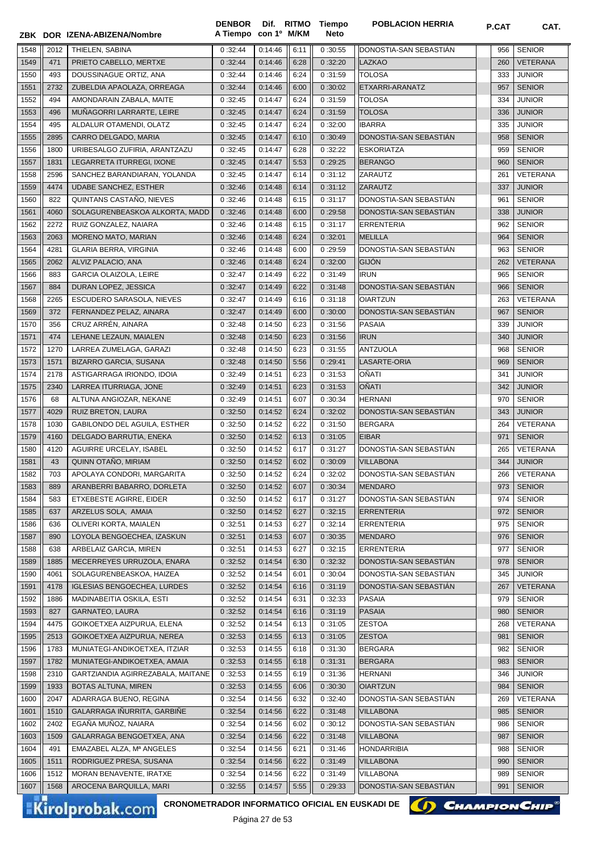|              |             | ZBK DOR IZENA-ABIZENA/Nombre                           | <b>DENBOR</b><br>A Tiempo con 1º M/KM |                    |              | Dif. RITMO Tiempo<br><b>Neto</b> | <b>POBLACION HERRIA</b>                  | P.CAT      | CAT.                             |
|--------------|-------------|--------------------------------------------------------|---------------------------------------|--------------------|--------------|----------------------------------|------------------------------------------|------------|----------------------------------|
|              |             |                                                        |                                       |                    |              |                                  |                                          |            |                                  |
| 1548<br>1549 | 2012<br>471 | THIELEN, SABINA<br>PRIETO CABELLO, MERTXE              | 0:32:44<br>0:32:44                    | 0:14:46<br>0:14:46 | 6:11<br>6:28 | 0:30:55<br>0:32:20               | DONOSTIA-SAN SEBASTIAN<br><b>LAZKAO</b>  | 956<br>260 | <b>SENIOR</b><br><b>VETERANA</b> |
| 1550         | 493         | DOUSSINAGUE ORTIZ, ANA                                 | 0:32:44                               | 0:14:46            | 6:24         | 0:31:59                          | <b>TOLOSA</b>                            | 333        | <b>JUNIOR</b>                    |
| 1551         | 2732        | ZUBELDIA APAOLAZA, ORREAGA                             | 0:32:44                               | 0:14:46            | 6:00         | 0:30:02                          | ETXARRI-ARANATZ                          | 957        | <b>SENIOR</b>                    |
| 1552         | 494         | AMONDARAIN ZABALA, MAITE                               | 0:32:45                               | 0:14:47            | 6:24         | 0:31:59                          | <b>TOLOSA</b>                            | 334        | <b>JUNIOR</b>                    |
| 1553         | 496         | MUÑAGORRI LARRARTE, LEIRE                              | 0:32:45                               | 0:14:47            | 6:24         | 0:31:59                          | <b>TOLOSA</b>                            | 336        | <b>JUNIOR</b>                    |
| 1554         | 495         | ALDALUR OTAMENDI, OLATZ                                | 0:32:45                               | 0:14:47            | 6:24         | 0:32:00                          | <b>IBARRA</b>                            | 335        | <b>JUNIOR</b>                    |
| 1555         | 2895        | CARRO DELGADO, MARIA                                   | 0:32:45                               | 0:14:47            | 6:10         | 0:30:49                          | DONOSTIA-SAN SEBASTIÁN                   | 958        | <b>SENIOR</b>                    |
| 1556         | 1800        | URIBESALGO ZUFIRIA, ARANTZAZU                          | 0:32:45                               | 0:14:47            | 6:28         | 0:32:22                          | <b>ESKORIATZA</b>                        | 959        | <b>SENIOR</b>                    |
| 1557         | 1831        | LEGARRETA ITURREGI, IXONE                              | 0:32:45                               | 0:14:47            | 5:53         | 0:29:25                          | <b>BERANGO</b>                           | 960        | <b>SENIOR</b>                    |
| 1558         | 2596        | SANCHEZ BARANDIARAN, YOLANDA                           | 0:32:45                               | 0:14:47            | 6:14         | 0:31:12                          | ZARAUTZ                                  | 261        | VETERANA                         |
| 1559         | 4474        | <b>UDABE SANCHEZ, ESTHER</b>                           | 0:32:46                               | 0:14:48            | 6:14         | 0:31:12                          | <b>ZARAUTZ</b>                           | 337        | <b>JUNIOR</b>                    |
| 1560         | 822         | QUINTANS CASTAÑO, NIEVES                               | 0:32:46                               | 0:14:48            | 6:15         | 0:31:17                          | DONOSTIA-SAN SEBASTIAN                   | 961        | <b>SENIOR</b>                    |
| 1561         | 4060        | SOLAGURENBEASKOA ALKORTA, MADD                         | 0:32:46                               | 0:14:48            | 6:00         | 0:29:58                          | DONOSTIA-SAN SEBASTIAN                   | 338        | <b>JUNIOR</b>                    |
| 1562         | 2272        | RUIZ GONZALEZ, NAIARA                                  | 0:32:46                               | 0:14:48            | 6:15         | 0:31:17                          | <b>ERRENTERIA</b>                        | 962        | <b>SENIOR</b>                    |
| 1563         | 2063        | MORENO MATO, MARIAN                                    | 0:32:46                               | 0:14:48            | 6:24         | 0:32:01                          | <b>MELILLA</b>                           | 964        | <b>SENIOR</b>                    |
| 1564         | 4281        | <b>GLARIA BERRA, VIRGINIA</b>                          | 0:32:46                               | 0:14:48            | 6:00         | 0:29:59                          | DONOSTIA-SAN SEBASTIAN                   | 963        | <b>SENIOR</b>                    |
| 1565         | 2062        | ALVIZ PALACIO, ANA                                     | 0:32:46                               | 0:14:48            | 6:24         | 0:32:00                          | <b>GIJÓN</b>                             | 262        | <b>VETERANA</b>                  |
| 1566         | 883         | GARCIA OLAIZOLA, LEIRE                                 | 0:32:47                               | 0:14:49            | 6:22         | 0:31:49                          | <b>IRUN</b>                              | 965        | <b>SENIOR</b>                    |
| 1567         | 884         | DURAN LOPEZ, JESSICA                                   | 0:32:47                               | 0:14:49            | 6:22         | 0:31:48                          | DONOSTIA-SAN SEBASTIAN                   | 966        | <b>SENIOR</b>                    |
| 1568         | 2265        | ESCUDERO SARASOLA, NIEVES                              | 0:32:47                               | 0:14:49            | 6:16         | 0:31:18                          | <b>OIARTZUN</b>                          | 263        | <b>VETERANA</b>                  |
| 1569         | 372         | FERNANDEZ PELAZ, AINARA                                | 0:32:47                               | 0:14:49            | 6:00         | 0:30:00                          | DONOSTIA-SAN SEBASTIAN                   | 967        | <b>SENIOR</b>                    |
| 1570         | 356         | CRUZ ARRÉN, AINARA                                     | 0:32:48                               | 0:14:50            | 6:23         | 0:31:56                          | <b>PASAIA</b>                            | 339        | <b>JUNIOR</b>                    |
| 1571         | 474         | LEHANE LEZAUN, MAIALEN                                 | 0:32:48                               | 0:14:50            | 6:23         | 0:31:56                          | <b>IRUN</b>                              | 340        | <b>JUNIOR</b>                    |
| 1572         | 1270        | LARREA ZUMELAGA, GARAZI                                | 0:32:48                               | 0:14:50            | 6:23         | 0:31:55                          | <b>ANTZUOLA</b>                          | 968        | <b>SENIOR</b>                    |
| 1573         | 1571        | BIZARRO GARCIA, SUSANA                                 | 0:32:48                               | 0:14:50            | 5:56         | 0:29:41                          | LASARTE-ORIA                             | 969        | <b>SENIOR</b>                    |
| 1574         | 2178        | ASTIGARRAGA IRIONDO, IDOIA                             | 0:32:49                               | 0:14:51            | 6:23         | 0:31:53                          | OÑATI                                    | 341        | <b>JUNIOR</b>                    |
| 1575         | 2340        | LARREA ITURRIAGA, JONE                                 | 0:32:49                               | 0:14:51            | 6:23         | 0:31:53                          | OÑATI                                    | 342        | <b>JUNIOR</b>                    |
| 1576         | 68          | ALTUNA ANGIOZAR, NEKANE                                | 0:32:49                               | 0:14:51            | 6:07         | 0:30:34                          | <b>HERNANI</b>                           | 970        | <b>SENIOR</b>                    |
| 1577         | 4029        | RUIZ BRETON, LAURA                                     | 0:32:50                               | 0:14:52            | 6:24         | 0:32:02                          | DONOSTIA-SAN SEBASTIAN                   | 343        | <b>JUNIOR</b>                    |
| 1578         | 1030        | GABILONDO DEL AGUILA, ESTHER                           | 0:32:50                               | 0:14:52            | 6:22         | 0:31:50                          | <b>BERGARA</b>                           | 264        | VETERANA                         |
| 1579         | 4160        | DELGADO BARRUTIA, ENEKA                                | 0:32:50                               | 0:14:52            | 6:13         | 0:31:05                          | <b>EIBAR</b>                             | 971        | <b>SENIOR</b>                    |
| 1580         | 4120        | AGUIRRE URCELAY, ISABEL                                | 0:32:50                               | 0:14:52            | 6:17         | 0:31:27                          | DONOSTIA-SAN SEBASTIÁN                   | 265        | VETERANA                         |
| 1581         | 43          | QUINN OTAÑO, MIRIAM                                    | 0:32:50                               | 0:14:52            | 6:02         | 0:30:09                          | <b>VILLABONA</b>                         | 344        | <b>JUNIOR</b>                    |
| 1582         | 703         | APOLAYA CONDORI, MARGARITA                             | $0:32:50$ $0:14:52$                   |                    | 6:24         | 0:32:02                          | DONOSTIA-SAN SEBASTIÁN                   |            | 266 VETERANA                     |
| 1583         | 889<br>583  | ARANBERRI BABARRO, DORLETA<br>ETXEBESTE AGIRRE, EIDER  | 0:32:50                               | 0:14:52            | 6:07         | 0:30:34                          | <b>MENDARO</b><br>DONOSTIA-SAN SEBASTIAN | 973        | <b>SENIOR</b>                    |
| 1584<br>1585 | 637         | ARZELUS SOLA, AMAIA                                    | 0:32:50                               | 0:14:52            | 6:17<br>6:27 | 0:31:27                          | <b>ERRENTERIA</b>                        | 974<br>972 | <b>SENIOR</b><br><b>SENIOR</b>   |
| 1586         | 636         | OLIVERI KORTA, MAIALEN                                 | 0:32:50<br>0:32:51                    | 0:14:52<br>0:14:53 | 6:27         | 0:32:15<br>0:32:14               | <b>ERRENTERIA</b>                        | 975        | <b>SENIOR</b>                    |
| 1587         | 890         | LOYOLA BENGOECHEA, IZASKUN                             | 0:32:51                               | 0:14:53            | 6:07         | 0:30:35                          | <b>MENDARO</b>                           | 976        | <b>SENIOR</b>                    |
| 1588         | 638         | ARBELAIZ GARCIA, MIREN                                 | 0:32:51                               | 0:14:53            | 6:27         | 0:32:15                          | <b>ERRENTERIA</b>                        | 977        | <b>SENIOR</b>                    |
| 1589         | 1885        | MECERREYES URRUZOLA, ENARA                             | 0:32:52                               | 0:14:54            | 6:30         | 0:32:32                          | DONOSTIA-SAN SEBASTIAN                   | 978        | <b>SENIOR</b>                    |
| 1590         | 4061        | SOLAGURENBEASKOA, HAIZEA                               | 0:32:52                               | 0:14:54            | 6:01         | 0:30:04                          | DONOSTIA-SAN SEBASTIAN                   | 345        | <b>JUNIOR</b>                    |
| 1591         | 4178        | <b>IGLESIAS BENGOECHEA, LURDES</b>                     | 0:32:52                               | 0:14:54            | 6:16         | 0:31:19                          | DONOSTIA-SAN SEBASTIAN                   | 267        | VETERANA                         |
| 1592         | 1886        | MADINABEITIA OSKILA, ESTI                              | 0:32:52                               | 0:14:54            | 6:31         | 0:32:33                          | <b>PASAIA</b>                            | 979        | <b>SENIOR</b>                    |
| 1593         | 827         | <b>GARNATEO, LAURA</b>                                 | 0:32:52                               | 0:14:54            | 6:16         | 0:31:19                          | <b>PASAIA</b>                            | 980        | <b>SENIOR</b>                    |
| 1594         | 4475        | GOIKOETXEA AIZPURUA, ELENA                             | 0:32:52                               | 0:14:54            | 6:13         | 0:31:05                          | <b>ZESTOA</b>                            | 268        | VETERANA                         |
| 1595         | 2513        | GOIKOETXEA AIZPURUA, NEREA                             | 0:32:53                               | 0:14:55            | 6:13         | 0:31:05                          | <b>ZESTOA</b>                            | 981        | <b>SENIOR</b>                    |
| 1596         | 1783        | MUNIATEGI-ANDIKOETXEA, ITZIAR                          | 0:32:53                               | 0:14:55            | 6:18         | 0:31:30                          | <b>BERGARA</b>                           | 982        | <b>SENIOR</b>                    |
| 1597         | 1782        | MUNIATEGI-ANDIKOETXEA, AMAIA                           | 0:32:53                               | 0:14:55            | 6:18         | 0:31:31                          | <b>BERGARA</b>                           | 983        | <b>SENIOR</b>                    |
| 1598         | 2310        | GARTZIANDIA AGIRREZABALA, MAITANE                      | 0:32:53                               | 0:14:55            | 6:19         | 0:31:36                          | <b>HERNANI</b>                           | 346        | JUNIOR                           |
| 1599         | 1933        | <b>BOTAS ALTUNA, MIREN</b>                             | 0:32:53                               | 0:14:55            | 6:06         | 0:30:30                          | <b>OIARTZUN</b>                          | 984        | <b>SENIOR</b>                    |
| 1600         | 2047        | ADARRAGA BUENO, REGINA                                 | 0:32:54                               | 0:14:56            | 6:32         | 0:32:40                          | DONOSTIA-SAN SEBASTIAN                   | 269        | VETERANA                         |
| 1601         | 1510        | GALARRAGA IÑURRITA, GARBIÑE                            | 0:32:54                               | 0:14:56            | 6:22         | 0:31:48                          | <b>VILLABONA</b>                         | 985        | <b>SENIOR</b>                    |
| 1602         | 2402        | EGAÑA MUÑOZ, NAIARA                                    | 0:32:54                               | 0:14:56            | 6:02         | 0:30:12                          | DONOSTIA-SAN SEBASTIAN                   | 986        | <b>SENIOR</b>                    |
| 1603         | 1509        | GALARRAGA BENGOETXEA, ANA                              | 0:32:54                               | 0:14:56            | 6:22         | 0:31:48                          | <b>VILLABONA</b>                         | 987        | <b>SENIOR</b>                    |
| 1604         | 491         | EMAZABEL ALZA, Mª ANGELES                              | 0:32:54                               | 0:14:56            | 6:21         | 0:31:46                          | <b>HONDARRIBIA</b>                       | 988        | <b>SENIOR</b>                    |
| 1605         | 1511        | RODRIGUEZ PRESA, SUSANA                                | 0:32:54                               | 0:14:56            | 6:22         | 0:31:49                          | <b>VILLABONA</b>                         | 990        | <b>SENIOR</b>                    |
| 1606         | 1512        | MORAN BENAVENTE, IRATXE                                | 0:32:54                               | 0:14:56            | 6:22         | 0:31:49                          | <b>VILLABONA</b>                         | 989        | <b>SENIOR</b>                    |
| 1607         | 1568        | AROCENA BARQUILLA, MARI                                | 0:32:55                               | 0:14:57            | 5:55         | 0:29:33                          | DONOSTIA-SAN SEBASTIAN                   | 991        | <b>SENIOR</b>                    |
|              |             | <b>CRONOMETRADOR INFORMATICO OFICIAL EN EUSKADI DE</b> |                                       |                    |              |                                  |                                          |            | <b>CHAMPION CHIP®</b>            |
|              |             | <b>Kirolprobak.com</b>                                 |                                       | Dáana 27 de E2     |              |                                  |                                          |            |                                  |



**POBLACION HERRIA POBLACION**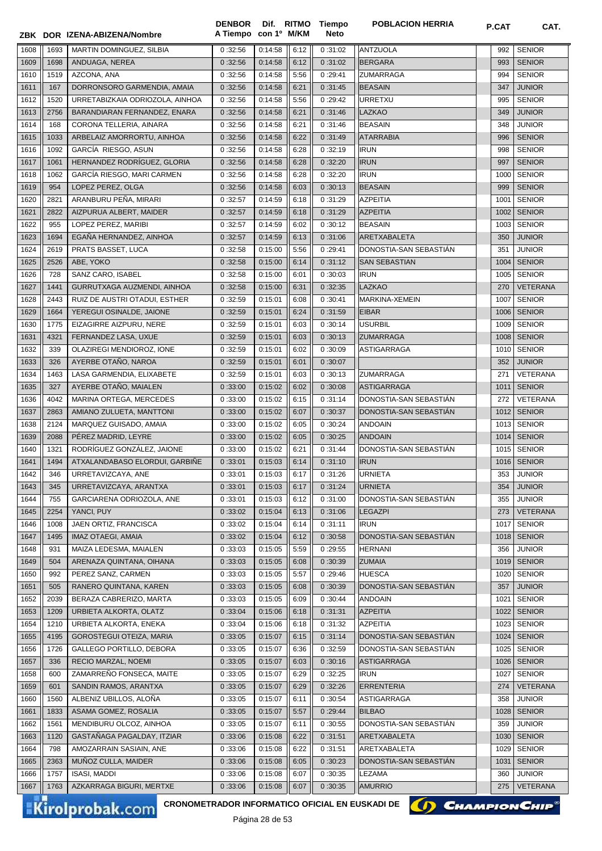|      |      | ZBK DOR IZENA-ABIZENA/Nombre    | A Tiempo con 1º M/KM |         |              | Neto    |                        |      |                 |
|------|------|---------------------------------|----------------------|---------|--------------|---------|------------------------|------|-----------------|
| 1608 | 1693 | MARTIN DOMINGUEZ, SILBIA        | 0:32:56              | 0:14:58 | 6:12         | 0:31:02 | <b>ANTZUOLA</b>        | 992  | <b>SENIOR</b>   |
| 1609 | 1698 | ANDUAGA, NEREA                  | 0:32:56              | 0:14:58 | 6:12         | 0:31:02 | <b>BERGARA</b>         | 993  | <b>SENIOR</b>   |
| 1610 | 1519 | AZCONA, ANA                     | 0:32:56              | 0:14:58 | 5:56         | 0:29:41 | <b>ZUMARRAGA</b>       | 994  | <b>SENIOR</b>   |
| 1611 | 167  | DORRONSORO GARMENDIA, AMAIA     | 0:32:56              | 0:14:58 | 6:21         | 0:31:45 | <b>BEASAIN</b>         | 347  | <b>JUNIOR</b>   |
| 1612 | 1520 | URRETABIZKAIA ODRIOZOLA, AINHOA | 0:32:56              | 0:14:58 | 5:56         | 0:29:42 | <b>URRETXU</b>         | 995  | <b>SENIOR</b>   |
| 1613 | 2756 | BARANDIARAN FERNANDEZ, ENARA    | 0:32:56              | 0:14:58 | 6:21         | 0:31:46 | LAZKAO                 | 349  | <b>JUNIOR</b>   |
| 1614 | 168  | CORONA TELLERIA, AINARA         | 0:32:56              | 0:14:58 | 6:21         | 0:31:46 | <b>BEASAIN</b>         | 348  | <b>JUNIOR</b>   |
| 1615 | 1033 | ARBELAIZ AMORRORTU, AINHOA      | 0:32:56              | 0:14:58 | 6:22         | 0:31:49 | <b>ATARRABIA</b>       | 996  | <b>SENIOR</b>   |
| 1616 | 1092 | GARCÍA RIESGO, ASUN             | 0:32:56              | 0:14:58 | 6:28         | 0:32:19 | <b>IRUN</b>            | 998  | <b>SENIOR</b>   |
| 1617 | 1061 | HERNANDEZ RODRÍGUEZ, GLORIA     | 0:32:56              | 0:14:58 | 6:28         | 0:32:20 | <b>IRUN</b>            | 997  | <b>SENIOR</b>   |
| 1618 | 1062 | GARCÍA RIESGO, MARI CARMEN      | 0:32:56              | 0:14:58 | 6:28         | 0:32:20 | <b>IRUN</b>            | 1000 | <b>SENIOR</b>   |
| 1619 | 954  | LOPEZ PEREZ, OLGA               | 0:32:56              | 0:14:58 | 6:03         | 0:30:13 | <b>BEASAIN</b>         | 999  | <b>SENIOR</b>   |
| 1620 | 2821 | ARANBURU PEÑA, MIRARI           | 0:32:57              | 0:14:59 | 6:18         | 0:31:29 | <b>AZPEITIA</b>        | 1001 | <b>SENIOR</b>   |
| 1621 | 2822 | AIZPURUA ALBERT, MAIDER         | 0:32:57              | 0:14:59 | 6:18         | 0:31:29 | <b>AZPEITIA</b>        | 1002 | <b>SENIOR</b>   |
| 1622 | 955  | LOPEZ PEREZ, MARIBI             | 0:32:57              | 0:14:59 | 6:02         | 0:30:12 | <b>BEASAIN</b>         | 1003 | <b>SENIOR</b>   |
| 1623 | 1694 | EGAÑA HERNANDEZ, AINHOA         | 0:32:57              | 0:14:59 | 6:13         | 0:31:06 | ARETXABALETA           | 350  | <b>JUNIOR</b>   |
| 1624 | 2619 | PRATS BASSET, LUCA              | 0:32:58              | 0:15:00 | 5:56         | 0:29:41 | DONOSTIA-SAN SEBASTIAN | 351  | <b>JUNIOR</b>   |
| 1625 | 2526 | ABE, YOKO                       | 0:32:58              | 0:15:00 | 6:14         | 0:31:12 | <b>SAN SEBASTIAN</b>   | 1004 | <b>SENIOR</b>   |
| 1626 | 728  | SANZ CARO, ISABEL               | 0:32:58              | 0:15:00 | 6:01         | 0:30:03 | <b>IRUN</b>            | 1005 | <b>SENIOR</b>   |
| 1627 | 1441 | GURRUTXAGA AUZMENDI, AINHOA     | 0:32:58              | 0:15:00 | 6:31         | 0:32:35 | <b>LAZKAO</b>          | 270  | <b>VETERANA</b> |
| 1628 | 2443 | RUIZ DE AUSTRI OTADUI, ESTHER   | 0:32:59              | 0:15:01 | 6:08         | 0:30:41 | MARKINA-XEMEIN         | 1007 | <b>SENIOR</b>   |
| 1629 | 1664 | YEREGUI OSINALDE, JAIONE        | 0:32:59              | 0:15:01 | 6:24         | 0:31:59 | <b>EIBAR</b>           | 1006 | <b>SENIOR</b>   |
| 1630 | 1775 | EIZAGIRRE AIZPURU, NERE         | 0:32:59              | 0:15:01 | 6:03         | 0:30:14 | <b>USURBIL</b>         | 1009 | <b>SENIOR</b>   |
| 1631 | 4321 | FERNANDEZ LASA, UXUE            | 0:32:59              | 0:15:01 | 6:03         | 0:30:13 | <b>ZUMARRAGA</b>       | 1008 | <b>SENIOR</b>   |
| 1632 | 339  | OLAZIREGI MENDIOROZ, IONE       | 0:32:59              | 0:15:01 | 6:02         | 0:30:09 | <b>ASTIGARRAGA</b>     | 1010 | <b>SENIOR</b>   |
| 1633 | 326  | AYERBE OTAÑO, NAROA             | 0:32:59              | 0:15:01 | 6:01         | 0:30:07 |                        | 352  | <b>JUNIOR</b>   |
| 1634 | 1463 | LASA GARMENDIA, ELIXABETE       | 0:32:59              | 0:15:01 | 6:03         | 0:30:13 | <b>ZUMARRAGA</b>       | 271  | VETERANA        |
| 1635 | 327  | AYERBE OTAÑO, MAIALEN           | 0:33:00              | 0:15:02 | 6:02         | 0:30:08 | <b>ASTIGARRAGA</b>     | 1011 | <b>SENIOR</b>   |
| 1636 | 4042 | MARINA ORTEGA, MERCEDES         | 0:33:00              | 0:15:02 | 6:15         | 0:31:14 | DONOSTIA-SAN SEBASTIÁN | 272  | VETERANA        |
| 1637 | 2863 | AMIANO ZULUETA, MANTTONI        | 0:33:00              | 0:15:02 | 6:07         | 0:30:37 | DONOSTIA-SAN SEBASTIÁN | 1012 | <b>SENIOR</b>   |
| 1638 | 2124 | MARQUEZ GUISADO, AMAIA          | 0:33:00              | 0:15:02 | 6:05         | 0:30:24 | <b>ANDOAIN</b>         | 1013 | <b>SENIOR</b>   |
| 1639 | 2088 | PÉREZ MADRID, LEYRE             | 0:33:00              | 0:15:02 | 6:05         | 0:30:25 | <b>ANDOAIN</b>         | 1014 | <b>SENIOR</b>   |
| 1640 | 1321 | RODRÍGUEZ GONZÁLEZ, JAIONE      | 0:33:00              | 0:15:02 | 6:21         | 0:31:44 | DONOSTIA-SAN SEBASTIAN | 1015 | <b>SENIOR</b>   |
| 1641 | 1494 | ATXALANDABASO ELORDUI, GARBIÑE  | 0:33:01              | 0:15:03 | 6:14         | 0:31:10 | <b>IRUN</b>            | 1016 | <b>SENIOR</b>   |
| 1642 | 346  | URRETAVIZCAYA, ANE              | 0:33:01              | 0:15:03 | 6:17         | 0:31:26 | <b>URNIETA</b>         | 353  | <b>JUNIOR</b>   |
| 1643 | 345  | URRETAVIZCAYA, ARANTXA          | 0:33:01              | 0:15:03 | 6:17         | 0:31:24 | <b>URNIETA</b>         | 354  | <b>JUNIOR</b>   |
| 1644 | 755  | GARCIARENA ODRIOZOLA, ANE       | 0:33:01              | 0:15:03 | 6:12         | 0:31:00 | DONOSTIA-SAN SEBASTIAN | 355  | <b>JUNIOR</b>   |
| 1645 | 2254 | YANCI, PUY                      | 0:33:02              | 0:15:04 | 6:13         | 0:31:06 | <b>LEGAZPI</b>         | 273  | <b>VETERANA</b> |
| 1646 | 1008 | JAEN ORTIZ, FRANCISCA           | 0:33:02              | 0:15:04 | 6:14         | 0:31:11 | <b>IRUN</b>            | 1017 | <b>SENIOR</b>   |
| 1647 | 1495 | <b>IMAZ OTAEGI, AMAIA</b>       | 0:33:02              | 0:15:04 | 6:12         | 0:30:58 | DONOSTIA-SAN SEBASTIAN | 1018 | <b>SENIOR</b>   |
|      | 931  | MAIZA LEDESMA, MAIALEN          | 0:33:03              | 0:15:05 |              | 0:29:55 | <b>HERNANI</b>         | 356  | <b>JUNIOR</b>   |
| 1648 | 504  | ARENAZA QUINTANA, OIHANA        | 0:33:03              | 0:15:05 | 5:59<br>6:08 | 0:30:39 | <b>ZUMAIA</b>          | 1019 | <b>SENIOR</b>   |
| 1649 | 992  | PEREZ SANZ, CARMEN              |                      | 0:15:05 |              | 0:29:46 | <b>HUESCA</b>          | 1020 | <b>SENIOR</b>   |
| 1650 |      |                                 | 0:33:03              |         | 5:57         |         | DONOSTIA-SAN SEBASTIÁN |      |                 |
| 1651 | 505  | RANERO QUINTANA, KAREN          | 0:33:03              | 0:15:05 | 6:08         | 0:30:39 |                        | 357  | <b>JUNIOR</b>   |
| 1652 | 2039 | BERAZA CABRERIZO, MARTA         | 0:33:03              | 0:15:05 | 6:09         | 0:30:44 | <b>ANDOAIN</b>         | 1021 | <b>SENIOR</b>   |
| 1653 | 1209 | URBIETA ALKORTA, OLATZ          | 0:33:04              | 0:15:06 | 6:18         | 0:31:31 | <b>AZPEITIA</b>        | 1022 | <b>SENIOR</b>   |
| 1654 | 1210 | URBIETA ALKORTA, ENEKA          | 0:33:04              | 0:15:06 | 6:18         | 0:31:32 | <b>AZPEITIA</b>        | 1023 | <b>SENIOR</b>   |
| 1655 | 4195 | <b>GOROSTEGUI OTEIZA, MARIA</b> | 0:33:05              | 0:15:07 | 6:15         | 0:31:14 | DONOSTIA-SAN SEBASTIAN | 1024 | <b>SENIOR</b>   |
| 1656 | 1726 | GALLEGO PORTILLO, DEBORA        | 0:33:05              | 0:15:07 | 6:36         | 0:32:59 | DONOSTIA-SAN SEBASTIAN | 1025 | <b>SENIOR</b>   |
| 1657 | 336  | RECIO MARZAL, NOEMI             | 0:33:05              | 0:15:07 | 6:03         | 0:30:16 | <b>ASTIGARRAGA</b>     | 1026 | <b>SENIOR</b>   |
| 1658 | 600  | ZAMARREÑO FONSECA, MAITE        | 0:33:05              | 0:15:07 | 6:29         | 0:32:25 | <b>IRUN</b>            | 1027 | <b>SENIOR</b>   |
| 1659 | 601  | SANDIN RAMOS, ARANTXA           | 0:33:05              | 0:15:07 | 6:29         | 0:32:26 | <b>ERRENTERIA</b>      | 274  | <b>VETERANA</b> |
| 1660 | 1560 | ALBENIZ UBILLOS, ALOÑA          | 0:33:05              | 0:15:07 | 6:11         | 0:30:54 | ASTIGARRAGA            | 358  | <b>JUNIOR</b>   |
| 1661 | 1833 | ASAMA GOMEZ, ROSALIA            | 0:33:05              | 0:15:07 | 5:57         | 0:29:44 | <b>BILBAO</b>          | 1028 | <b>SENIOR</b>   |
| 1662 | 1561 | MENDIBURU OLCOZ, AINHOA         | 0:33:05              | 0:15:07 | 6:11         | 0:30:55 | DONOSTIA-SAN SEBASTIAN | 359  | <b>JUNIOR</b>   |
| 1663 | 1120 | GASTAÑAGA PAGALDAY, ITZIAR      | 0:33:06              | 0:15:08 | 6:22         | 0:31:51 | ARETXABALETA           | 1030 | <b>SENIOR</b>   |
| 1664 | 798  | AMOZARRAIN SASIAIN, ANE         | 0:33:06              | 0:15:08 | 6:22         | 0:31:51 | ARETXABALETA           | 1029 | <b>SENIOR</b>   |
| 1665 | 2363 | MUÑOZ CULLA, MAIDER             | 0:33:06              | 0:15:08 | 6:05         | 0:30:23 | DONOSTIA-SAN SEBASTIAN | 1031 | <b>SENIOR</b>   |
| 1666 | 1757 | <b>ISASI, MADDI</b>             | 0:33:06              | 0:15:08 | 6:07         | 0:30:35 | LEZAMA                 | 360  | <b>JUNIOR</b>   |
| 1667 | 1763 | AZKARRAGA BIGURI, MERTXE        | 0:33:06              | 0:15:08 | 6:07         | 0:30:35 | <b>AMURRIO</b>         | 275  | <b>VETERANA</b> |

**Tiempo** 

**DENBOR**

Kirolprobak.com

CRONOMETRADOR INFORMATICO OFICIAL EN EUSKADI DE **(A) CHAMPION CHIP**<sup>®</sup>

Página 28 de 53



**POBLACION HERRIA P.CAT CAT.**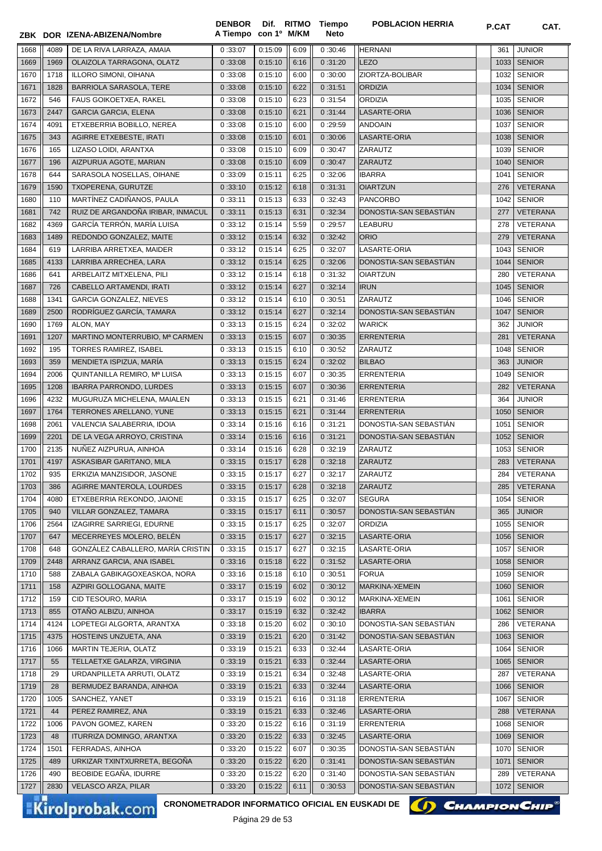|      |      | ZBK DOR IZENA-ABIZENA/Nombre      | A Tiempo con 1º M/KM |         |      | <b>Neto</b> |                        |      |                 |
|------|------|-----------------------------------|----------------------|---------|------|-------------|------------------------|------|-----------------|
| 1668 | 4089 | DE LA RIVA LARRAZA, AMAIA         | 0:33:07              | 0:15:09 | 6:09 | 0:30:46     | <b>HERNANI</b>         | 361  | <b>JUNIOR</b>   |
| 1669 | 1969 | OLAIZOLA TARRAGONA, OLATZ         | 0:33:08              | 0:15:10 | 6:16 | 0:31:20     | <b>LEZO</b>            | 1033 | <b>SENIOR</b>   |
| 1670 | 1718 | ILLORO SIMONI, OIHANA             | 0:33:08              | 0:15:10 | 6:00 | 0:30:00     | ZIORTZA-BOLIBAR        | 1032 | <b>SENIOR</b>   |
| 1671 | 1828 | BARRIOLA SARASOLA, TERE           | 0:33:08              | 0:15:10 | 6:22 | 0:31:51     | <b>ORDIZIA</b>         | 1034 | <b>SENIOR</b>   |
| 1672 | 546  | FAUS GOIKOETXEA, RAKEL            | 0:33:08              | 0:15:10 | 6:23 | 0:31:54     | <b>ORDIZIA</b>         | 1035 | <b>SENIOR</b>   |
| 1673 | 2447 | <b>GARCIA GARCIA, ELENA</b>       | 0:33:08              | 0:15:10 | 6:21 | 0:31:44     | LASARTE-ORIA           | 1036 | <b>SENIOR</b>   |
| 1674 | 4091 | ETXEBERRIA BOBILLO, NEREA         | 0:33:08              | 0:15:10 | 6:00 | 0:29:59     | <b>ANDOAIN</b>         | 1037 | <b>SENIOR</b>   |
| 1675 | 343  | AGIRRE ETXEBESTE, IRATI           | 0:33:08              | 0:15:10 | 6:01 | 0:30:06     | LASARTE-ORIA           | 1038 | <b>SENIOR</b>   |
| 1676 | 165  | LIZASO LOIDI, ARANTXA             | 0:33:08              | 0:15:10 | 6:09 | 0:30:47     | ZARAUTZ                | 1039 | <b>SENIOR</b>   |
| 1677 | 196  | AIZPURUA AGOTE, MARIAN            | 0:33:08              | 0:15:10 | 6:09 | 0:30:47     | <b>ZARAUTZ</b>         | 1040 | <b>SENIOR</b>   |
| 1678 | 644  | SARASOLA NOSELLAS, OIHANE         | 0:33:09              | 0:15:11 | 6:25 | 0:32:06     | <b>IBARRA</b>          | 1041 | <b>SENIOR</b>   |
| 1679 | 1590 | TXOPERENA, GURUTZE                | 0:33:10              | 0:15:12 | 6:18 | 0:31:31     | <b>OIARTZUN</b>        | 276  | <b>VETERANA</b> |
| 1680 | 110  | MARTÍNEZ CADIÑANOS, PAULA         | 0:33:11              | 0:15:13 | 6:33 | 0:32:43     | <b>PANCORBO</b>        | 1042 | <b>SENIOR</b>   |
| 1681 | 742  | RUIZ DE ARGANDOÑA IRIBAR, INMACUL | 0:33:11              | 0:15:13 | 6:31 | 0:32:34     | DONOSTIA-SAN SEBASTIÁN | 277  | <b>VETERANA</b> |
| 1682 | 4369 | GARCÍA TERRÓN, MARÍA LUISA        | 0:33:12              | 0:15:14 | 5:59 | 0:29:57     | LEABURU                | 278  | VETERANA        |
| 1683 | 1489 | REDONDO GONZALEZ, MAITE           | 0:33:12              | 0:15:14 | 6:32 | 0:32:42     | <b>ORIO</b>            | 279  | <b>VETERANA</b> |
| 1684 | 619  | LARRIBA ARRETXEA, MAIDER          | 0:33:12              | 0:15:14 | 6:25 | 0:32:07     | LASARTE-ORIA           | 1043 | <b>SENIOR</b>   |
| 1685 | 4133 | LARRIBA ARRECHEA, LARA            | 0:33:12              | 0:15:14 | 6:25 | 0:32:06     | DONOSTIA-SAN SEBASTIÁN | 1044 | <b>SENIOR</b>   |
| 1686 | 641  | ARBELAITZ MITXELENA, PILI         | 0:33:12              | 0:15:14 | 6:18 | 0:31:32     | <b>OIARTZUN</b>        | 280  | VETERANA        |
| 1687 | 726  | CABELLO ARTAMENDI, IRATI          | 0:33:12              | 0:15:14 | 6:27 | 0:32:14     | <b>IRUN</b>            | 1045 | <b>SENIOR</b>   |
| 1688 | 1341 | GARCIA GONZALEZ, NIEVES           | 0:33:12              | 0:15:14 | 6:10 | 0:30:51     | <b>ZARAUTZ</b>         | 1046 | <b>SENIOR</b>   |
| 1689 | 2500 | RODRÍGUEZ GARCÍA, TAMARA          | 0:33:12              | 0:15:14 | 6:27 | 0:32:14     | DONOSTIA-SAN SEBASTIÁN | 1047 | <b>SENIOR</b>   |
| 1690 | 1769 | ALON, MAY                         | 0:33:13              | 0:15:15 | 6:24 | 0:32:02     | <b>WARICK</b>          | 362  | <b>JUNIOR</b>   |
| 1691 | 1207 | MARTINO MONTERRUBIO, Mª CARMEN    | 0:33:13              | 0:15:15 | 6:07 | 0:30:35     | <b>ERRENTERIA</b>      | 281  | VETERANA        |
| 1692 | 195  | TORRES RAMIREZ, ISABEL            | 0:33:13              | 0:15:15 | 6:10 | 0:30:52     | ZARAUTZ                | 1048 | <b>SENIOR</b>   |
| 1693 | 359  | MENDIETA ISPIZUA, MARÍA           | 0:33:13              | 0:15:15 | 6:24 | 0:32:02     | <b>BILBAO</b>          | 363  | <b>JUNIOR</b>   |
| 1694 | 2006 | QUINTANILLA REMIRO, Mª LUISA      | 0:33:13              | 0:15:15 | 6:07 | 0:30:35     | <b>ERRENTERIA</b>      | 1049 | <b>SENIOR</b>   |
| 1695 | 1208 | <b>IBARRA PARRONDO, LURDES</b>    | 0:33:13              | 0:15:15 | 6:07 | 0:30:36     | <b>ERRENTERIA</b>      | 282  | VETERANA        |
| 1696 | 4232 | MUGURUZA MICHELENA, MAIALEN       | 0:33:13              | 0:15:15 | 6:21 | 0:31:46     | <b>ERRENTERIA</b>      | 364  | <b>JUNIOR</b>   |
| 1697 | 1764 | TERRONES ARELLANO, YUNE           | 0:33:13              | 0:15:15 | 6:21 | 0:31:44     | <b>ERRENTERIA</b>      | 1050 | <b>SENIOR</b>   |
| 1698 | 2061 | VALENCIA SALABERRIA, IDOIA        | 0:33:14              | 0:15:16 | 6:16 | 0:31:21     | DONOSTIA-SAN SEBASTIAN | 1051 | <b>SENIOR</b>   |
| 1699 | 2201 | DE LA VEGA ARROYO, CRISTINA       | 0:33:14              | 0:15:16 | 6:16 | 0:31:21     | DONOSTIA-SAN SEBASTIAN | 1052 | <b>SENIOR</b>   |
| 1700 | 2135 | NUNEZ AIZPURUA, AINHOA            | 0:33:14              | 0:15:16 | 6:28 | 0:32:19     | ZARAUTZ                | 1053 | <b>SENIOR</b>   |
| 1701 | 4197 | ASKASIBAR GARITANO, MILA          | 0:33:15              | 0:15:17 | 6:28 | 0:32:18     | ZARAUTZ                | 283  | <b>VETERANA</b> |
| 1702 | 935  | ERKIZIA MANZISIDOR, JASONE        | 0:33:15              | 0:15:17 | 6:27 | 0:32:17     | ZARAUTZ                | 284  | VETERANA        |
| 1703 | 386  | AGIRRE MANTEROLA, LOURDES         | 0:33:15              | 0:15:17 | 6:28 | 0:32:18     | <b>ZARAUTZ</b>         | 285  | VETERANA        |
| 1704 | 4080 | ETXEBERRIA REKONDO, JAIONE        | 0:33:15              | 0:15:17 | 6:25 | 0:32:07     | <b>SEGURA</b>          | 1054 | <b>SENIOR</b>   |
| 1705 | 940  | VILLAR GONZALEZ, TAMARA           | 0:33:15              | 0:15:17 | 6:11 | 0:30:57     | DONOSTIA-SAN SEBASTIAN | 365  | <b>JUNIOR</b>   |
| 1706 | 2564 | IZAGIRRE SARRIEGI, EDURNE         | 0:33:15              | 0:15:17 | 6:25 | 0:32:07     | <b>ORDIZIA</b>         | 1055 | <b>SENIOR</b>   |
| 1707 | 647  | MECERREYES MOLERO, BELÉN          | 0:33:15              | 0:15:17 | 6:27 | 0:32:15     | LASARTE-ORIA           | 1056 | <b>SENIOR</b>   |
| 1708 | 648  | GONZÁLEZ CABALLERO, MARÍA CRISTIN | 0:33:15              | 0:15:17 | 6:27 | 0:32:15     | LASARTE-ORIA           | 1057 | <b>SENIOR</b>   |
| 1709 | 2448 | ARRANZ GARCIA, ANA ISABEL         | 0:33:16              | 0:15:18 | 6:22 | 0:31:52     | LASARTE-ORIA           | 1058 | <b>SENIOR</b>   |
| 1710 | 588  | ZABALA GABIKAGOXEASKOA, NORA      | 0:33:16              | 0:15:18 | 6:10 | 0:30:51     | <b>FORUA</b>           | 1059 | <b>SENIOR</b>   |
| 1711 | 158  | AZPIRI GOLLOGANA, MAITE           | 0:33:17              | 0:15:19 | 6:02 | 0:30:12     | MARKINA-XEMEIN         | 1060 | <b>SENIOR</b>   |
| 1712 | 159  | CID TESOURO, MARIA                | 0:33:17              | 0:15:19 | 6:02 | 0:30:12     | MARKINA-XEMEIN         | 1061 | <b>SENIOR</b>   |
| 1713 | 855  | OTAÑO ALBIZU, AINHOA              | 0:33:17              | 0:15:19 | 6:32 | 0:32:42     | <b>IBARRA</b>          | 1062 | <b>SENIOR</b>   |
| 1714 | 4124 | LOPETEGI ALGORTA, ARANTXA         | 0:33:18              | 0:15:20 | 6:02 | 0:30:10     | DONOSTIA-SAN SEBASTIÁN | 286  | VETERANA        |
| 1715 | 4375 | HOSTEINS UNZUETA, ANA             | 0:33:19              | 0:15:21 | 6:20 | 0:31:42     | DONOSTIA-SAN SEBASTIÁN | 1063 | <b>SENIOR</b>   |
| 1716 | 1066 | MARTIN TEJERIA, OLATZ             | 0:33:19              | 0:15:21 | 6:33 | 0:32:44     | LASARTE-ORIA           | 1064 | <b>SENIOR</b>   |
| 1717 | 55   | TELLAETXE GALARZA, VIRGINIA       | 0:33:19              | 0:15:21 | 6:33 | 0:32:44     | LASARTE-ORIA           | 1065 | <b>SENIOR</b>   |
| 1718 | 29   | URDANPILLETA ARRUTI, OLATZ        | 0:33:19              | 0:15:21 | 6:34 | 0:32:48     | LASARTE-ORIA           | 287  | VETERANA        |
| 1719 | 28   | BERMUDEZ BARANDA, AINHOA          | 0:33:19              | 0:15:21 | 6:33 | 0:32:44     | LASARTE-ORIA           | 1066 | <b>SENIOR</b>   |
| 1720 | 1005 | SANCHEZ, YANET                    | 0:33:19              | 0:15:21 | 6:16 | 0:31:18     | <b>ERRENTERIA</b>      | 1067 | <b>SENIOR</b>   |
| 1721 | 44   | PEREZ RAMIREZ, ANA                | 0:33:19              | 0:15:21 | 6:33 | 0:32:46     | LASARTE-ORIA           | 288  | <b>VETERANA</b> |
| 1722 | 1006 | PAVON GOMEZ, KAREN                | 0:33:20              | 0:15:22 | 6:16 | 0:31:19     | <b>ERRENTERIA</b>      | 1068 | <b>SENIOR</b>   |
| 1723 | 48   | ITURRIZA DOMINGO, ARANTXA         | 0:33:20              | 0:15:22 | 6:33 | 0:32:45     | LASARTE-ORIA           | 1069 | <b>SENIOR</b>   |
| 1724 | 1501 | FERRADAS, AINHOA                  | 0:33:20              | 0:15:22 | 6:07 | 0:30:35     | DONOSTIA-SAN SEBASTIÁN | 1070 | <b>SENIOR</b>   |
| 1725 | 489  | URKIZAR TXINTXURRETA, BEGOÑA      | 0:33:20              | 0:15:22 | 6:20 | 0:31:41     | DONOSTIA-SAN SEBASTIAN | 1071 | <b>SENIOR</b>   |
| 1726 | 490  | BEOBIDE EGAÑA, IDURRE             | 0:33:20              | 0:15:22 | 6:20 | 0:31:40     | DONOSTIA-SAN SEBASTIAN | 289  | <b>VETERANA</b> |
| 1727 | 2830 | <b>VELASCO ARZA, PILAR</b>        | 0:33:20              | 0:15:22 | 6:11 | 0:30:53     | DONOSTIA-SAN SEBASTIAN | 1072 | <b>SENIOR</b>   |
|      |      |                                   |                      |         |      |             |                        |      |                 |

DENBOR Dif. RITMO Tiempo

Kirolprobak.com

CRONOMETRADOR INFORMATICO OFICIAL EN EUSKADI DE **(A) CHAMPION CHIP**<sup>®</sup>

**POBLACION HERRIA P.CAT CAT**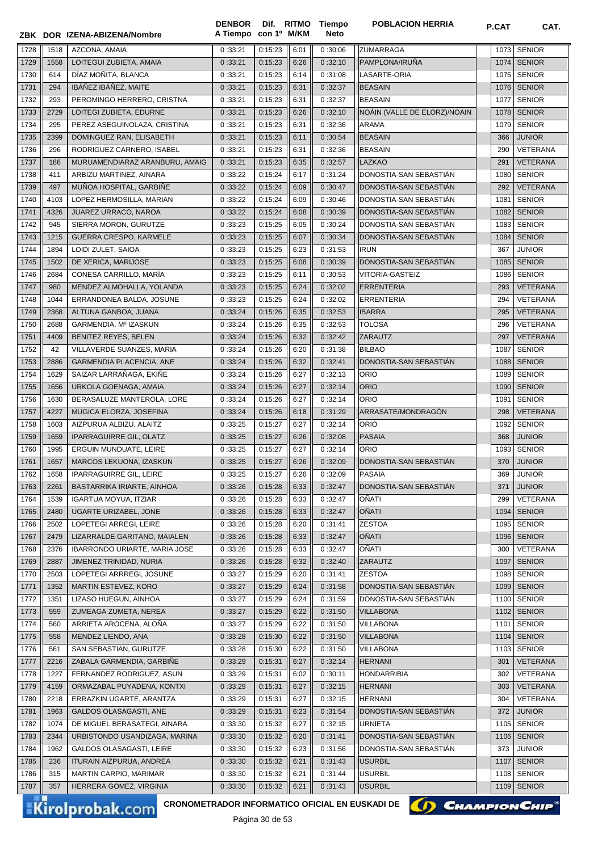|      |      | ZBK DOR IZENA-ABIZENA/Nombre                                                     | <b>DENBOR</b><br>A Tiempo con 1º M/KM | Dif. RITMO              |      | Tiempo<br>Neto | <b>POBLACION HERRIA</b>      | <b>P.CAT</b> | CAT.            |
|------|------|----------------------------------------------------------------------------------|---------------------------------------|-------------------------|------|----------------|------------------------------|--------------|-----------------|
|      |      |                                                                                  |                                       |                         |      |                |                              |              |                 |
| 1728 | 1518 | AZCONA, AMAIA                                                                    | 0:33:21                               | 0:15:23                 | 6:01 | 0:30:06        | <b>ZUMARRAGA</b>             |              | 1073 SENIOR     |
| 1729 | 1558 | LOITEGUI ZUBIETA, AMAIA                                                          | 0:33:21                               | 0:15:23                 | 6:26 | 0:32:10        | PAMPLONA/IRUÑA               |              | 1074 SENIOR     |
| 1730 | 614  | DÍAZ MOÑITA, BLANCA                                                              | 0:33:21                               | 0:15:23                 | 6:14 | 0:31:08        | LASARTE-ORIA                 |              | 1075 SENIOR     |
| 1731 | 294  | IBÁÑEZ IBÁÑEZ, MAITE                                                             | 0:33:21                               | 0:15:23                 | 6:31 | 0:32:37        | <b>BEASAIN</b>               |              | 1076 SENIOR     |
| 1732 | 293  | PEROMINGO HERRERO, CRISTNA                                                       | 0:33:21                               | 0:15:23                 | 6:31 | 0:32:37        | <b>BEASAIN</b>               | 1077         | <b>SENIOR</b>   |
| 1733 | 2729 | LOITEGI ZUBIETA, EDURNE                                                          | 0:33:21                               | 0:15:23                 | 6:26 | 0:32:10        | NOAIN (VALLE DE ELORZ)/NOAIN | 1078         | <b>SENIOR</b>   |
| 1734 | 295  | PEREZ ASEGUINOLAZA, CRISTINA                                                     | 0:33:21                               | 0:15:23                 | 6:31 | 0:32:36        | <b>ARAMA</b>                 | 1079         | <b>SENIOR</b>   |
| 1735 | 2399 | DOMINGUEZ RAN, ELISABETH                                                         | 0:33:21                               | 0:15:23                 | 6:11 | 0:30:54        | <b>BEASAIN</b>               | 366          | <b>JUNIOR</b>   |
| 1736 | 296  | RODRIGUEZ CARNERO, ISABEL                                                        | 0:33:21                               | 0:15:23                 | 6:31 | 0:32:36        | <b>BEASAIN</b>               | 290          | VETERANA        |
| 1737 | 186  | MURUAMENDIARAZ ARANBURU, AMAIG                                                   | 0:33:21                               | 0:15:23                 | 6:35 | 0:32:57        | <b>LAZKAO</b>                | 291          | <b>VETERANA</b> |
| 1738 | 411  | ARBIZU MARTINEZ, AINARA                                                          | 0:33:22                               | 0:15:24                 | 6:17 | 0:31:24        | DONOSTIA-SAN SEBASTIAN       | 1080         | <b>SENIOR</b>   |
| 1739 | 497  | MUÑOA HOSPITAL, GARBIÑE                                                          | 0:33:22                               | 0:15:24                 | 6:09 | 0:30:47        | DONOSTIA-SAN SEBASTIAN       | 292          | <b>VETERANA</b> |
| 1740 | 4103 | LÓPEZ HERMOSILLA, MARIAN                                                         | 0:33:22                               | 0:15:24                 | 6:09 | 0:30:46        | DONOSTIA-SAN SEBASTIAN       | 1081         | <b>SENIOR</b>   |
| 1741 | 4326 | JUAREZ URRACO, NAROA                                                             | 0:33:22                               | 0:15:24                 | 6:08 | 0:30:39        | DONOSTIA-SAN SEBASTIAN       | 1082         | <b>SENIOR</b>   |
| 1742 | 945  | SIERRA MORON. GURUTZE                                                            | 0:33:23                               | 0:15:25                 | 6:05 | 0:30:24        | DONOSTIA-SAN SEBASTIÁN       | 1083         | <b>SENIOR</b>   |
| 1743 | 1215 | <b>GUERRA CRESPO, KARMELE</b>                                                    | 0:33:23                               | 0:15:25                 | 6:07 | 0:30:34        | DONOSTIA-SAN SEBASTIÁN       | 1084         | <b>SENIOR</b>   |
| 1744 | 1894 | LOIDI ZULET, SAIOA                                                               | 0:33:23                               | 0:15:25                 | 6:23 | 0:31:53        | <b>IRUN</b>                  | 367          | <b>JUNIOR</b>   |
| 1745 | 1502 | DE XERICA, MARIJOSE                                                              | 0:33:23                               | 0:15:25                 | 6:08 | 0:30:39        | DONOSTIA-SAN SEBASTIAN       | 1085         | <b>SENIOR</b>   |
| 1746 | 2684 | CONESA CARRILLO, MARÍA                                                           | 0:33:23                               | 0:15:25                 | 6:11 | 0:30:53        | <b>VITORIA-GASTEIZ</b>       | 1086         | <b>SENIOR</b>   |
| 1747 | 980  | MENDEZ ALMOHALLA, YOLANDA                                                        | 0:33:23                               | 0:15:25                 | 6:24 | 0:32:02        | <b>ERRENTERIA</b>            | 293          | <b>VETERANA</b> |
| 1748 | 1044 | ERRANDONEA BALDA, JOSUNE                                                         | 0:33:23                               | 0:15:25                 | 6:24 | 0:32:02        | <b>ERRENTERIA</b>            | 294          | VETERANA        |
| 1749 | 2368 | ALTUNA GANBOA, JUANA                                                             | 0:33:24                               | 0:15:26                 | 6:35 | 0:32:53        | <b>IBARRA</b>                | 295          | VETERANA        |
| 1750 | 2688 | GARMENDIA, Mº IZASKUN                                                            | 0:33:24                               | 0:15:26                 | 6:35 | 0:32:53        | <b>TOLOSA</b>                | 296          | VETERANA        |
| 1751 | 4409 | BENITEZ REYES, BELEN                                                             | 0:33:24                               | 0:15:26                 | 6:32 | 0:32:42        | <b>ZARAUTZ</b>               | 297          | <b>VETERANA</b> |
| 1752 | 42   | VILLAVERDE SUANZES, MARIA                                                        | 0:33:24                               | 0:15:26                 | 6:20 | 0:31:38        | <b>BILBAO</b>                | 1087         | <b>SENIOR</b>   |
| 1753 | 2886 | <b>GARMENDIA PLACENCIA, ANE</b>                                                  | 0:33:24                               | 0:15:26                 | 6:32 | 0:32:41        | DONOSTIA-SAN SEBASTIAN       | 1088         | <b>SENIOR</b>   |
| 1754 | 1629 | SAIZAR LARRAÑAGA, EKIÑE                                                          | 0:33:24                               | 0:15:26                 | 6:27 | 0:32:13        | <b>ORIO</b>                  | 1089         | <b>SENIOR</b>   |
| 1755 | 1656 | URKOLA GOENAGA, AMAIA                                                            | 0:33:24                               | 0:15:26                 | 6:27 | 0:32:14        | <b>ORIO</b>                  | 1090         | <b>SENIOR</b>   |
| 1756 | 1630 | BERASALUZE MANTEROLA, LORE                                                       | 0:33:24                               | 0:15:26                 | 6:27 | 0:32:14        | <b>ORIO</b>                  | 1091         | <b>SENIOR</b>   |
| 1757 | 4227 | MUGICA ELORZA, JOSEFINA                                                          | 0:33:24                               | 0:15:26                 | 6:18 | 0:31:29        | ARRASATE/MONDRAGÓN           | 298          | <b>VETERANA</b> |
| 1758 | 1603 | AIZPURUA ALBIZU, ALAITZ                                                          | 0:33:25                               | 0:15:27                 | 6:27 | 0:32:14        | <b>ORIO</b>                  | 1092         | <b>SENIOR</b>   |
| 1759 | 1659 | IPARRAGUIRRE GIL, OLATZ                                                          | 0:33:25                               | 0:15:27                 | 6:26 | 0:32:08        | <b>PASAIA</b>                | 368          | <b>JUNIOR</b>   |
| 1760 | 1995 | ERGUIN MUNDUATE, LEIRE                                                           | 0:33:25                               | 0:15:27                 | 6:27 | 0:32:14        | <b>ORIO</b>                  | 1093         | <b>SENIOR</b>   |
| 1761 | 1657 | MARCOS LEKUONA, IZASKUN                                                          | 0:33:25                               | 0:15:27                 | 6:26 | 0:32:09        | DONOSTIA-SAN SEBASTIÁN       | 370          | <b>JUNIOR</b>   |
| 1762 | 1658 | IPARRAGUIRRE GIL, LEIRE                                                          | 0:33:25                               | 0:15:27                 | 6:26 | 0:32:09        | <b>PASAIA</b>                | 369          | <b>JUNIOR</b>   |
| 1763 | 2261 | BASTARRIKA IRIARTE, AINHOA                                                       | 0:33:26                               | 0:15:28                 | 6:33 | 0:32:47        | DONOSTIA-SAN SEBASTIAN       | 371          | <b>JUNIOR</b>   |
| 1764 | 1539 | IGARTUA MOYUA, ITZIAR                                                            | 0:33:26                               | 0:15:28                 | 6:33 | 0:32:47        | OÑATI                        | 299          | VETERANA        |
| 1765 | 2480 | UGARTE URIZABEL, JONE                                                            | 0:33:26                               | 0:15:28                 | 6:33 | 0:32:47        | <b>OÑATI</b>                 |              | 1094   SENIOR   |
| 1766 | 2502 | LOPETEGI ARREGI, LEIRE                                                           | 0:33:26                               | 0:15:28                 | 6:20 | 0:31:41        | <b>ZESTOA</b>                | 1095         | <b>SENIOR</b>   |
| 1767 | 2479 | LIZARRALDE GARITANO, MAIALEN                                                     | 0:33:26                               | 0:15:28                 | 6:33 | 0:32:47        | <b>OÑATI</b>                 | 1096         | <b>SENIOR</b>   |
| 1768 | 2376 | IBARRONDO URIARTE, MARIA JOSE                                                    | 0:33:26                               | 0:15:28                 | 6:33 | 0:32:47        | OÑATI                        | 300          | VETERANA        |
| 1769 | 2887 | JIMENEZ TRINIDAD, NURIA                                                          | 0:33:26                               | 0:15:28                 | 6:32 | 0:32:40        | ZARAUTZ                      | 1097         | <b>SENIOR</b>   |
| 1770 | 2503 | LOPETEGI ARRREGI, JOSUNE                                                         | 0:33:27                               | 0:15:29                 | 6:20 | 0:31:41        | <b>ZESTOA</b>                | 1098         | <b>SENIOR</b>   |
| 1771 | 1352 | <b>MARTIN ESTEVEZ, KORO</b>                                                      | 0:33:27                               | 0:15:29                 | 6:24 | 0:31:58        | DONOSTIA-SAN SEBASTIAN       | 1099         | <b>SENIOR</b>   |
| 1772 | 1351 | LIZASO HUEGUN, AINHOA                                                            | 0:33:27                               | 0:15:29                 | 6:24 | 0:31:59        | DONOSTIA-SAN SEBASTIAN       | 1100         | <b>SENIOR</b>   |
| 1773 | 559  | ZUMEAGA ZUMETA, NEREA                                                            | 0:33:27                               | 0:15:29                 | 6:22 | 0:31:50        | <b>VILLABONA</b>             | 1102         | <b>SENIOR</b>   |
| 1774 | 560  | ARRIETA AROCENA, ALONA                                                           | 0:33:27                               | 0:15:29                 | 6:22 | 0:31:50        | VILLABONA                    | 1101         | <b>SENIOR</b>   |
| 1775 | 558  | MENDEZ LIENDO, ANA                                                               | 0:33:28                               | 0:15:30                 | 6:22 | 0:31:50        | <b>VILLABONA</b>             | 1104         | <b>SENIOR</b>   |
| 1776 | 561  | SAN SEBASTIAN, GURUTZE                                                           | 0:33:28                               | 0:15:30                 | 6:22 | 0:31:50        | VILLABONA                    | 1103         | <b>SENIOR</b>   |
| 1777 | 2216 | ZABALA GARMENDIA, GARBIÑE                                                        | 0:33:29                               | 0:15:31                 | 6:27 | 0:32:14        | <b>HERNANI</b>               | 301          | <b>VETERANA</b> |
| 1778 | 1227 | FERNANDEZ RODRIGUEZ, ASUN                                                        | 0:33:29                               | 0:15:31                 | 6:02 | 0:30:11        | HONDARRIBIA                  | 302          | VETERANA        |
| 1779 | 4159 | ORMAZABAL PUYADENA, KONTXI                                                       | 0:33:29                               | 0:15:31                 | 6:27 | 0:32:15        | <b>HERNANI</b>               | 303          | <b>VETERANA</b> |
| 1780 | 2218 | ERRAZKIN UGARTE, ARANTZA                                                         | 0:33:29                               | 0:15:31                 | 6:27 | 0:32:15        | <b>HERNANI</b>               | 304          | VETERANA        |
| 1781 | 1963 | GALDOS OLASAGASTI, ANE                                                           | 0:33:29                               | 0:15:31                 | 6:23 | 0:31:54        | DONOSTIA-SAN SEBASTIAN       | 372          | <b>JUNIOR</b>   |
| 1782 | 1074 | DE MIGUEL BERASATEGI, AINARA                                                     | 0:33:30                               | 0:15:32                 | 6:27 | 0:32:15        | <b>URNIETA</b>               | 1105         | <b>SENIOR</b>   |
| 1783 | 2344 | URBISTONDO USANDIZAGA, MARINA                                                    | 0:33:30                               | 0:15:32                 | 6:20 | 0:31:41        | DONOSTIA-SAN SEBASTIAN       |              | 1106   SENIOR   |
| 1784 | 1962 | GALDOS OLASAGASTI, LEIRE                                                         | 0:33:30                               | 0:15:32                 | 6:23 | 0:31:56        | DONOSTIA-SAN SEBASTIAN       | 373          | <b>JUNIOR</b>   |
| 1785 | 236  | <b>ITURAIN AIZPURUA, ANDREA</b>                                                  | 0:33:30                               | 0:15:32                 | 6:21 | 0:31:43        | <b>USURBIL</b>               | 1107         | <b>SENIOR</b>   |
| 1786 | 315  | MARTIN CARPIO, MARIMAR                                                           | 0:33:30                               | 0:15:32                 | 6:21 | 0:31:44        | <b>USURBIL</b>               | 1108         | <b>SENIOR</b>   |
| 1787 | 357  | HERRERA GOMEZ, VIRGINIA                                                          | 0:33:30                               | 0:15:32                 | 6:21 | 0:31:43        | <b>USURBIL</b>               |              | 1109   SENIOR   |
|      |      | <b>CRONOMETRADOR INFORMATICO OFICIAL EN EUSKADI DE</b><br><b>Kirolprobak.com</b> |                                       | <b>Dóning 20 do 52.</b> |      |                | () CHAMPION CHIP             |              |                 |



Página 30 de 53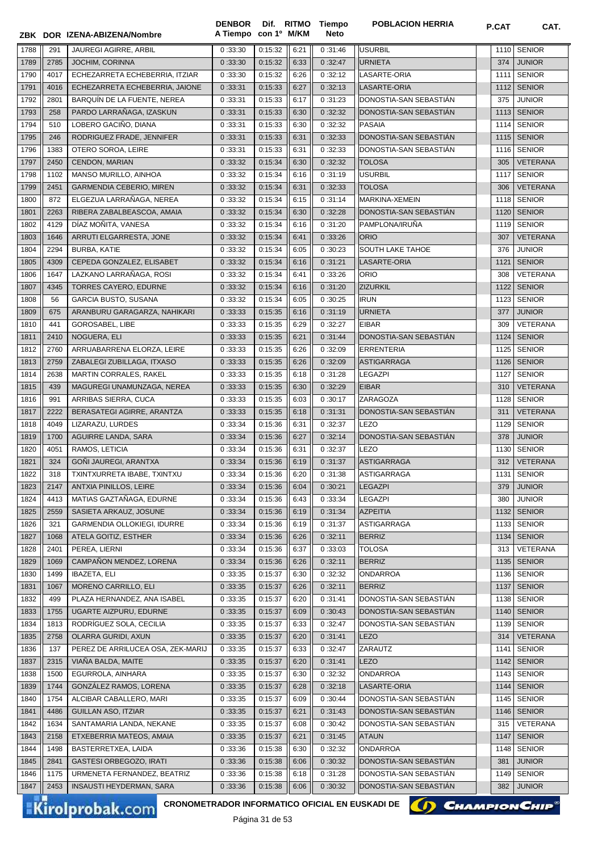|              |              | ZBK DOR IZENA-ABIZENA/Nombre                                              | <b>DENBOR</b><br>A Tiempo con 1º M/KM | Dif. RITMO         |              | Tiempo<br>Neto     | <b>POBLACION HERRIA</b>          | P.CAT        | CAT.                           |
|--------------|--------------|---------------------------------------------------------------------------|---------------------------------------|--------------------|--------------|--------------------|----------------------------------|--------------|--------------------------------|
| 1788         | 291          | JAUREGI AGIRRE, ARBIL                                                     | 0:33:30                               | 0:15:32            | 6:21         | 0:31:46            | <b>USURBIL</b>                   | 1110         | <b>SENIOR</b>                  |
| 1789         | 2785         | JOCHIM, CORINNA                                                           | 0:33:30                               | 0:15:32            | 6:33         | 0:32:47            | <b>URNIETA</b>                   | 374          | <b>JUNIOR</b>                  |
| 1790         | 4017         | ECHEZARRETA ECHEBERRIA, ITZIAR                                            | 0:33:30                               | 0:15:32            | 6:26         | 0:32:12            | <b>LASARTE-ORIA</b>              | 1111         | <b>SENIOR</b>                  |
| 1791         | 4016         | ECHEZARRETA ECHEBERRIA, JAIONE                                            | 0:33:31                               | 0:15:33            | 6:27         | 0:32:13            | LASARTE-ORIA                     | 1112         | <b>SENIOR</b>                  |
| 1792         | 2801         | BARQUÍN DE LA FUENTE, NEREA                                               | 0:33:31                               | 0:15:33            | 6:17         | 0:31:23            | DONOSTIA-SAN SEBASTIAN           | 375          | <b>JUNIOR</b>                  |
| 1793         | 258          | PARDO LARRAÑAGA, IZASKUN                                                  | 0:33:31                               | 0:15:33            | 6:30         | 0:32:32            | DONOSTIA-SAN SEBASTIAN           | 1113         | <b>SENIOR</b>                  |
| 1794         | 510          | LOBERO GACIÑO, DIANA                                                      | 0:33:31                               | 0:15:33            | 6:30         | 0:32:32            | <b>PASAIA</b>                    | 1114         | <b>SENIOR</b>                  |
| 1795         | 246          | RODRIGUEZ FRADE, JENNIFER                                                 | 0:33:31                               | 0:15:33            | 6:31         | 0:32:33            | DONOSTIA-SAN SEBASTIÁN           | 1115         | <b>SENIOR</b>                  |
| 1796         | 1383         | OTERO SOROA, LEIRE                                                        | 0:33:31                               | 0:15:33            | 6:31         | 0:32:33            | DONOSTIA-SAN SEBASTIAN           | 1116         | <b>SENIOR</b>                  |
| 1797         | 2450         | CENDON, MARIAN                                                            | 0:33:32                               | 0:15:34            | 6:30         | 0:32:32            | <b>TOLOSA</b>                    | 305          | <b>VETERANA</b>                |
| 1798         | 1102         | MANSO MURILLO, AINHOA                                                     | 0:33:32                               | 0:15:34            | 6:16         | 0:31:19            | <b>USURBIL</b>                   | 1117         | <b>SENIOR</b>                  |
| 1799         | 2451         | <b>GARMENDIA CEBERIO, MIREN</b>                                           | 0:33:32                               | 0:15:34            | 6:31         | 0:32:33            | <b>TOLOSA</b>                    | 306          | <b>VETERANA</b>                |
| 1800         | 872          | ELGEZUA LARRAÑAGA, NEREA                                                  | 0:33:32                               | 0:15:34            | 6:15         | 0:31:14            | MARKINA-XEMEIN                   | 1118         | <b>SENIOR</b>                  |
| 1801         | 2263         | RIBERA ZABALBEASCOA, AMAIA                                                | 0:33:32                               | 0:15:34            | 6:30         | 0:32:28            | DONOSTIA-SAN SEBASTIAN           | 1120         | <b>SENIOR</b>                  |
| 1802         | 4129         | DÍAZ MOÑITA, VANESA                                                       | 0:33:32                               | 0:15:34            | 6:16         | 0:31:20            | PAMPLONA/IRUÑA                   | 1119         | <b>SENIOR</b>                  |
| 1803         | 1646         | ARRUTI ELGARRESTA, JONE                                                   | 0:33:32                               | 0:15:34            | 6:41         | 0:33:26            | <b>ORIO</b>                      | 307          | <b>VETERANA</b>                |
| 1804         | 2294         | <b>BURBA, KATIE</b>                                                       | 0:33:32                               | 0:15:34            | 6:05         | 0:30:23            | SOUTH LAKE TAHOE                 | 376          | <b>JUNIOR</b>                  |
| 1805         | 4309         | CEPEDA GONZALEZ, ELISABET                                                 | 0:33:32                               | 0:15:34            | 6:16         | 0:31:21            | LASARTE-ORIA                     | 1121         | <b>SENIOR</b>                  |
| 1806         | 1647         | LAZKANO LARRAÑAGA, ROSI                                                   | 0:33:32                               | 0:15:34            | 6:41         | 0:33:26            | <b>ORIO</b>                      | 308          | VETERANA                       |
| 1807         | 4345         | <b>TORRES CAYERO, EDURNE</b>                                              | 0:33:32                               | 0:15:34            | 6:16         | 0:31:20            | <b>ZIZURKIL</b>                  | 1122         | <b>SENIOR</b>                  |
| 1808         | 56           | <b>GARCIA BUSTO, SUSANA</b>                                               | 0:33:32                               | 0:15:34            | 6:05         | 0:30:25            | <b>IRUN</b>                      | 1123         | <b>SENIOR</b>                  |
| 1809         | 675          | ARANBURU GARAGARZA, NAHIKARI                                              | 0:33:33                               | 0:15:35            | 6:16         | 0:31:19            | <b>URNIETA</b>                   | 377          | <b>JUNIOR</b>                  |
| 1810         | 441          | GOROSABEL, LIBE                                                           | 0:33:33                               | 0:15:35            | 6:29         | 0:32:27            | <b>EIBAR</b>                     | 309          | VETERANA                       |
| 1811         | 2410         | NOGUERA, ELI                                                              | 0:33:33                               | 0:15:35            | 6:21         | 0:31:44            | DONOSTIA-SAN SEBASTIAN           | 1124         | <b>SENIOR</b>                  |
| 1812         | 2760         | ARRUABARRENA ELORZA, LEIRE                                                | 0:33:33                               | 0:15:35            | 6:26         | 0:32:09            | <b>ERRENTERIA</b>                | 1125         | <b>SENIOR</b>                  |
| 1813         | 2759         | ZABALEGI ZUBILLAGA, ITXASO                                                | 0:33:33                               | 0:15:35            | 6:26         | 0:32:09            | <b>ASTIGARRAGA</b>               | 1126         | <b>SENIOR</b>                  |
| 1814         | 2638         | MARTIN CORRALES, RAKEL                                                    | 0:33:33                               | 0:15:35            | 6:18         | 0:31:28            | <b>LEGAZPI</b>                   | 1127         | <b>SENIOR</b>                  |
| 1815         | 439          | MAGUREGI UNAMUNZAGA, NEREA                                                | 0:33:33                               | 0:15:35            | 6:30         | 0:32:29            | <b>EIBAR</b>                     | 310          | <b>VETERANA</b>                |
| 1816         | 991          | ARRIBAS SIERRA, CUCA                                                      | 0:33:33                               | 0:15:35            | 6:03         | 0:30:17            | ZARAGOZA                         | 1128         | <b>SENIOR</b>                  |
| 1817         | 2222         | BERASATEGI AGIRRE, ARANTZA                                                | 0:33:33                               | 0:15:35            | 6:18         | 0:31:31            | DONOSTIA-SAN SEBASTIAN           | 311          | <b>VETERANA</b>                |
| 1818         | 4049         | LIZARAZU, LURDES                                                          | 0:33:34                               | 0:15:36            | 6:31         | 0:32:37            | LEZO                             | 1129         | <b>SENIOR</b>                  |
| 1819         | 1700         | AGUIRRE LANDA, SARA                                                       | 0:33:34                               | 0:15:36            | 6:27         | 0:32:14            | DONOSTIA-SAN SEBASTIÁN           | 378          | <b>JUNIOR</b>                  |
| 1820         | 4051         | RAMOS, LETICIA                                                            | 0:33:34                               | 0:15:36            | 6:31         | 0:32:37            | <b>LEZO</b>                      | 1130         | <b>SENIOR</b>                  |
| 1821         | 324          | GOÑI JAUREGI, ARANTXA                                                     | 0:33:34                               | 0:15:36            | 6:19         | 0:31:37            | <b>ASTIGARRAGA</b>               | 312          | <b>VETERANA</b>                |
| 1822         | 318          | TXINTXURRETA IBABE, TXINTXU                                               | 0:33:34                               | 0:15:36            | 6:20         | 0:31:38            | ASTIGARRAGA                      |              | 1131 SENIOR                    |
| 1823         | 2147         | ANTXIA PINILLOS, LEIRE                                                    | 0:33:34                               | 0:15:36            | 6:04         | 0:30:21            | <b>LEGAZPI</b>                   | 379          | <b>JUNIOR</b>                  |
| 1824         | 4413         | MATIAS GAZTAÑAGA, EDURNE                                                  | 0:33:34                               | 0:15:36            | 6:43         | 0:33:34            | <b>LEGAZPI</b>                   | 380          | <b>JUNIOR</b>                  |
| 1825         | 2559         | SASIETA ARKAUZ, JOSUNE                                                    | 0:33:34                               | 0:15:36            | 6:19         | 0:31:34            | <b>AZPEITIA</b>                  | 1132         | <b>SENIOR</b>                  |
| 1826         | 321          | GARMENDIA OLLOKIEGI, IDURRE                                               | 0:33:34                               | 0:15:36            | 6:19         | 0:31:37            | ASTIGARRAGA                      | 1133         | <b>SENIOR</b>                  |
| 1827         | 1068         | ATELA GOITIZ, ESTHER                                                      | 0:33:34                               | 0:15:36            | 6:26         | 0:32:11            | <b>BERRIZ</b>                    | 1134         | <b>SENIOR</b>                  |
| 1828         | 2401         | PEREA, LIERNI                                                             | 0:33:34                               | 0:15:36            | 6:37         | 0:33:03            | <b>TOLOSA</b>                    | 313          | VETERANA                       |
| 1829         | 1069         | CAMPAÑON MENDEZ, LORENA                                                   | 0:33:34                               | 0:15:36            | 6:26         | 0:32:11            | <b>BERRIZ</b>                    | 1135         | <b>SENIOR</b>                  |
| 1830<br>1831 | 1499<br>1067 | <b>IBAZETA, ELI</b><br><b>MORENO CARRILLO, ELI</b>                        | 0:33:35<br>0:33:35                    | 0:15:37<br>0:15:37 | 6:30<br>6:26 | 0:32:32<br>0:32:11 | <b>ONDARROA</b><br><b>BERRIZ</b> | 1136<br>1137 | <b>SENIOR</b><br><b>SENIOR</b> |
| 1832         | 499          | PLAZA HERNANDEZ, ANA ISABEL                                               | 0:33:35                               | 0:15:37            | 6:20         | 0:31:41            | DONOSTIA-SAN SEBASTIÁN           | 1138         | <b>SENIOR</b>                  |
| 1833         | 1755         | UGARTE AIZPURU, EDURNE                                                    | 0:33:35                               | 0:15:37            | 6:09         | 0:30:43            | DONOSTIA-SAN SEBASTIÁN           | 1140         | <b>SENIOR</b>                  |
| 1834         | 1813         | RODRÍGUEZ SOLA, CECILIA                                                   | 0:33:35                               | 0:15:37            | 6:33         | 0:32:47            | DONOSTIA-SAN SEBASTIAN           | 1139         | <b>SENIOR</b>                  |
| 1835         | 2758         | OLARRA GURIDI, AXUN                                                       | 0:33:35                               | 0:15:37            | 6:20         | 0:31:41            | <b>LEZO</b>                      | 314          | VETERANA                       |
| 1836         | 137          | PEREZ DE ARRILUCEA OSA, ZEK-MARIJ                                         | 0:33:35                               | 0:15:37            | 6:33         | 0:32:47            | ZARAUTZ                          | 1141         | <b>SENIOR</b>                  |
| 1837         | 2315         | VIAÑA BALDA, MAITE                                                        | 0:33:35                               | 0:15:37            | 6:20         | 0:31:41            | <b>LEZO</b>                      | 1142         | <b>SENIOR</b>                  |
| 1838         | 1500         | EGURROLA, AINHARA                                                         | 0:33:35                               | 0:15:37            | 6:30         | 0:32:32            | ONDARROA                         | 1143         | <b>SENIOR</b>                  |
| 1839         | 1744         | GONZÁLEZ RAMOS, LORENA                                                    | 0:33:35                               | 0:15:37            | 6:28         | 0:32:18            | LASARTE-ORIA                     | 1144         | <b>SENIOR</b>                  |
| 1840         | 1754         | ALCIBAR CABALLERO, MARI                                                   | 0:33:35                               | 0:15:37            | 6:09         | 0:30:44            | DONOSTIA-SAN SEBASTIAN           | 1145         | <b>SENIOR</b>                  |
| 1841         | 4486         | <b>GUILLAN ASO, ITZIAR</b>                                                | 0:33:35                               | 0:15:37            | 6:21         | 0:31:43            | DONOSTIA-SAN SEBASTIAN           | 1146         | <b>SENIOR</b>                  |
| 1842         | 1634         | SANTAMARIA LANDA, NEKANE                                                  | 0:33:35                               | 0:15:37            | 6:08         | 0:30:42            | DONOSTIA-SAN SEBASTIAN           | 315          | VETERANA                       |
| 1843         | 2158         | ETXEBERRIA MATEOS, AMAIA                                                  | 0:33:35                               | 0:15:37            | 6:21         | 0:31:45            | <b>ATAUN</b>                     | 1147         | <b>SENIOR</b>                  |
| 1844         | 1498         | BASTERRETXEA, LAIDA                                                       | 0:33:36                               | 0:15:38            | 6:30         | 0:32:32            | <b>ONDARROA</b>                  | 1148         | <b>SENIOR</b>                  |
| 1845         | 2841         | <b>GASTESI ORBEGOZO, IRATI</b>                                            | 0:33:36                               | 0:15:38            | 6:06         | 0:30:32            | DONOSTIA-SAN SEBASTIAN           | 381          | <b>JUNIOR</b>                  |
| 1846         | 1175         | URMENETA FERNANDEZ, BEATRIZ                                               | 0:33:36                               | 0:15:38            | 6:18         | 0:31:28            | DONOSTIA-SAN SEBASTIAN           | 1149         | <b>SENIOR</b>                  |
| 1847         | 2453         | INSAUSTI HEYDERMAN, SARA                                                  | 0:33:36                               | 0:15:38            | 6:06         | 0:30:32            | DONOSTIA-SAN SEBASTIAN           | 382          | <b>JUNIOR</b>                  |
|              |              |                                                                           |                                       |                    |              |                    |                                  |              |                                |
|              |              | CRONOMETRADOR INFORMATICO OFICIAL EN EUSKADI DE<br><b>Kirolprobak.com</b> |                                       |                    |              |                    |                                  |              | <b>CHAMPION CHIP®</b>          |



**POBLACION HERRIA POBLACION**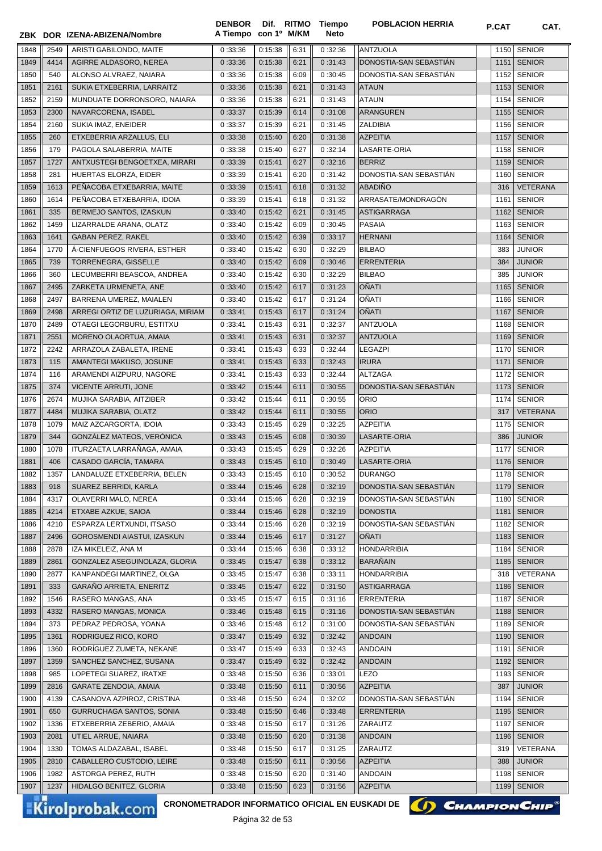|              |              | ZBK DOR IZENA-ABIZENA/Nombre                      | <b>DENBOR</b><br>A Tiempo con 1º M/KM | Dif. RITMO                   |              | Tiempo<br><b>Neto</b> | <b>POBLACION HERRIA</b>                   | P.CAT        | CAT.                           |
|--------------|--------------|---------------------------------------------------|---------------------------------------|------------------------------|--------------|-----------------------|-------------------------------------------|--------------|--------------------------------|
|              |              |                                                   |                                       |                              |              |                       |                                           |              |                                |
| 1848<br>1849 | 2549<br>4414 | ARISTI GABILONDO, MAITE<br>AGIRRE ALDASORO, NEREA | 0:33:36<br>0:33:36                    | 0:15:38<br>0:15:38           | 6:31<br>6:21 | 0:32:36<br>0:31:43    | <b>ANTZUOLA</b><br>DONOSTIA-SAN SEBASTIAN | 1150<br>1151 | <b>SENIOR</b><br><b>SENIOR</b> |
| 1850         | 540          | ALONSO ALVRAEZ, NAIARA                            | 0:33:36                               | 0:15:38                      | 6:09         | 0:30:45               | DONOSTIA-SAN SEBASTIÁN                    | 1152         | <b>SENIOR</b>                  |
| 1851         | 2161         | SUKIA ETXEBERRIA, LARRAITZ                        | 0:33:36                               | 0:15:38                      | 6:21         | 0:31:43               | <b>ATAUN</b>                              | 1153         | <b>SENIOR</b>                  |
| 1852         | 2159         | MUNDUATE DORRONSORO, NAIARA                       | 0:33:36                               | 0:15:38                      | 6:21         | 0:31:43               | ATAUN                                     | 1154         | <b>SENIOR</b>                  |
| 1853         | 2300         | NAVARCORENA, ISABEL                               | 0:33:37                               | 0:15:39                      | 6:14         | 0:31:08               | ARANGUREN                                 | 1155         | <b>SENIOR</b>                  |
| 1854         | 2160         | SUKIA IMAZ, ENEIDER                               | 0:33:37                               | 0:15:39                      | 6:21         | 0:31:45               | ZALDIBIA                                  | 1156         | <b>SENIOR</b>                  |
| 1855         | 260          | ETXEBERRIA ARZALLUS, ELI                          | 0:33:38                               | 0:15:40                      | 6:20         | 0:31:38               | <b>AZPEITIA</b>                           | 1157         | <b>SENIOR</b>                  |
| 1856         | 179          | PAGOLA SALABERRIA, MAITE                          | 0:33:38                               | 0:15:40                      | 6:27         | 0:32:14               | LASARTE-ORIA                              | 1158         | <b>SENIOR</b>                  |
| 1857         | 1727         | ANTXUSTEGI BENGOETXEA, MIRARI                     | 0:33:39                               | 0:15:41                      | 6:27         | 0:32:16               | <b>BERRIZ</b>                             | 1159         | <b>SENIOR</b>                  |
| 1858         | 281          | HUERTAS ELORZA, EIDER                             | 0:33:39                               | 0:15:41                      | 6:20         | 0:31:42               | DONOSTIA-SAN SEBASTIAN                    | 1160         | <b>SENIOR</b>                  |
| 1859         | 1613         | PEÑACOBA ETXEBARRIA, MAITE                        | 0:33:39                               | 0:15:41                      | 6:18         | 0:31:32               | <b>ABADIÑO</b>                            | 316          | <b>VETERANA</b>                |
| 1860         | 1614         | PEÑACOBA ETXEBARRIA, IDOIA                        | 0:33:39                               | 0:15:41                      | 6:18         | 0:31:32               | ARRASATE/MONDRAGÓN                        | 1161         | <b>SENIOR</b>                  |
| 1861         | 335          | BERMEJO SANTOS, IZASKUN                           | 0:33:40                               | 0:15:42                      | 6:21         | 0:31:45               | <b>ASTIGARRAGA</b>                        | 1162         | <b>SENIOR</b>                  |
| 1862         | 1459         | LIZARRALDE ARANA, OLATZ                           | 0:33:40                               | 0:15:42                      | 6:09         | 0:30:45               | <b>PASAIA</b>                             | 1163         | <b>SENIOR</b>                  |
| 1863         | 1641         | <b>GABAN PEREZ, RAKEL</b>                         | 0:33:40                               | 0:15:42                      | 6:39         | 0:33:17               | <b>HERNANI</b>                            | 1164         | <b>SENIOR</b>                  |
| 1864         | 1770         | Á-CIENFUEGOS RIVERA, ESTHER                       | 0:33:40                               | 0:15:42                      | 6:30         | 0:32:29               | <b>BILBAO</b>                             | 383          | <b>JUNIOR</b>                  |
| 1865         | 739          | TORRENEGRA, GISSELLE                              | 0:33:40                               | 0:15:42                      | 6:09         | 0:30:46               | <b>ERRENTERIA</b>                         | 384          | <b>JUNIOR</b>                  |
| 1866         | 360          | LECUMBERRI BEASCOA, ANDREA                        | 0:33:40                               | 0:15:42                      | 6:30         | 0:32:29               | <b>BILBAO</b>                             | 385          | <b>JUNIOR</b>                  |
| 1867         | 2495         | ZARKETA URMENETA, ANE                             | 0:33:40                               | 0:15:42                      | 6:17         | 0:31:23               | OÑATI                                     | 1165         | <b>SENIOR</b>                  |
| 1868         | 2497         | BARRENA UMEREZ, MAIALEN                           | 0:33:40                               | 0:15:42                      | 6:17         | 0:31:24               | OÑATI                                     | 1166         | <b>SENIOR</b>                  |
| 1869         | 2498         | ARREGI ORTIZ DE LUZURIAGA, MIRIAM                 | 0:33:41                               | 0:15:43                      | 6:17         | 0:31:24               | OÑATI                                     | 1167         | <b>SENIOR</b>                  |
| 1870         | 2489         | OTAEGI LEGORBURU, ESTITXU                         | 0:33:41                               | 0:15:43                      | 6:31         | 0:32:37               | ANTZUOLA                                  | 1168         | <b>SENIOR</b>                  |
| 1871         | 2551         | MORENO OLAORTUA, AMAIA                            | 0:33:41                               | 0:15:43                      | 6:31         | 0:32:37               | <b>ANTZUOLA</b>                           | 1169         | <b>SENIOR</b>                  |
| 1872         | 2242         | ARRAZOLA ZABALETA, IRENE                          | 0:33:41                               | 0:15:43                      | 6:33         | 0:32:44               | LEGAZPI                                   | 1170         | <b>SENIOR</b>                  |
| 1873         | 115          | AMANTEGI MAKUSO, JOSUNE                           | 0:33:41                               | 0:15:43                      | 6:33         | 0:32:43               | <b>IRURA</b>                              | 1171         | <b>SENIOR</b>                  |
| 1874         | 116          | ARAMENDI AIZPURU, NAGORE                          | 0:33:41                               | 0:15:43                      | 6:33         | 0:32:44               | ALTZAGA                                   | 1172         | <b>SENIOR</b>                  |
| 1875         | 374          | <b>VICENTE ARRUTI, JONE</b>                       | 0:33:42                               | 0:15:44                      | 6:11         | 0:30:55               | DONOSTIA-SAN SEBASTIAN                    | 1173         | <b>SENIOR</b>                  |
| 1876         | 2674         | MUJIKA SARABIA, AITZIBER                          | 0:33:42                               | 0:15:44                      | 6:11         | 0:30:55               | ORIO                                      | 1174         | <b>SENIOR</b>                  |
| 1877         | 4484         | MUJIKA SARABIA, OLATZ                             | 0:33:42                               | 0:15:44                      | 6:11         | 0:30:55               | <b>ORIO</b>                               | 317          | <b>VETERANA</b>                |
| 1878         | 1079         | MAIZ AZCARGORTA, IDOIA                            | 0:33:43                               | 0:15:45                      | 6:29         | 0:32:25               | <b>AZPEITIA</b>                           | 1175         | <b>SENIOR</b>                  |
| 1879         | 344          | GONZÁLEZ MATEOS, VERÓNICA                         | 0:33:43                               | 0:15:45                      | 6:08         | 0:30:39               | LASARTE-ORIA                              | 386          | <b>JUNIOR</b>                  |
| 1880         | 1078         | ITURZAETA LARRAÑAGA, AMAIA                        | 0:33:43                               | 0:15:45                      | 6:29         | 0:32:26               | <b>AZPEITIA</b>                           | 1177         | <b>SENIOR</b>                  |
| 1881         | 406          | CASADO GARCÍA, TAMARA                             | 0:33:43                               | 0:15:45                      | 6:10         | 0:30:49               | LASARTE-ORIA                              |              | 1176 SENIOR                    |
| 1882         | 1357         | LANDALUZE ETXEBERRIA, BELEN                       | 0:33:43                               | 0:15:45                      | 6:10         | 0:30:52               | <b>DURANGO</b>                            |              | 1178 SENIOR                    |
| 1883         | 918<br>4317  | SUAREZ BERRIDI, KARLA<br>OLAVERRI MALO, NEREA     | 0:33:44                               | 0:15:46                      | 6:28         | 0:32:19               | DONOSTIA-SAN SEBASTIAN                    | 1179         | <b>SENIOR</b><br><b>SENIOR</b> |
| 1884<br>1885 | 4214         | ETXABE AZKUE, SAIOA                               | 0:33:44                               | 0:15:46                      | 6:28<br>6:28 | 0:32:19<br>0:32:19    | DONOSTIA-SAN SEBASTIAN<br>DONOSTIA        | 1180<br>1181 | <b>SENIOR</b>                  |
| 1886         | 4210         | ESPARZA LERTXUNDI, ITSASO                         | 0:33:44<br>0:33:44                    | 0:15:46<br>0:15:46           | 6:28         | 0:32:19               | DONOSTIA-SAN SEBASTIÁN                    | 1182         | <b>SENIOR</b>                  |
| 1887         | 2496         | GOROSMENDI AIASTUI, IZASKUN                       | 0:33:44                               | 0:15:46                      | 6:17         | 0:31:27               | OÑATI                                     | 1183         | <b>SENIOR</b>                  |
| 1888         | 2878         | IZA MIKELEIZ, ANA M                               | 0:33:44                               | 0:15:46                      | 6:38         | 0:33:12               | HONDARRIBIA                               | 1184         | <b>SENIOR</b>                  |
| 1889         | 2861         | GONZALEZ ASEGUINOLAZA, GLORIA                     | 0:33:45                               | 0:15:47                      | 6:38         | 0:33:12               | <b>BARAÑAIN</b>                           | 1185         | <b>SENIOR</b>                  |
| 1890         | 2877         | KANPANDEGI MARTINEZ, OLGA                         | 0:33:45                               | 0:15:47                      | 6:38         | 0:33:11               | HONDARRIBIA                               | 318          | VETERANA                       |
| 1891         | 333          | GARAÑO ARRIETA, ENERITZ                           | 0:33:45                               | 0:15:47                      | 6:22         | 0:31:50               | ASTIGARRAGA                               | 1186         | <b>SENIOR</b>                  |
| 1892         | 1546         | RASERO MANGAS, ANA                                | 0:33:45                               | 0:15:47                      | 6:15         | 0:31:16               | ERRENTERIA                                | 1187         | <b>SENIOR</b>                  |
| 1893         | 4332         | RASERO MANGAS, MONICA                             | 0:33:46                               | 0:15:48                      | 6:15         | 0:31:16               | DONOSTIA-SAN SEBASTIAN                    | 1188         | <b>SENIOR</b>                  |
| 1894         | 373          | PEDRAZ PEDROSA, YOANA                             | 0:33:46                               | 0:15:48                      | 6:12         | 0:31:00               | DONOSTIA-SAN SEBASTIAN                    | 1189         | <b>SENIOR</b>                  |
| 1895         | 1361         | RODRIGUEZ RICO, KORO                              | 0:33:47                               | 0:15:49                      | 6:32         | 0:32:42               | <b>ANDOAIN</b>                            | 1190         | <b>SENIOR</b>                  |
| 1896         | 1360         | RODRÍGUEZ ZUMETA, NEKANE                          | 0:33:47                               | 0:15:49                      | 6:33         | 0:32:43               | <b>ANDOAIN</b>                            | 1191         | <b>SENIOR</b>                  |
| 1897         | 1359         | SANCHEZ SANCHEZ, SUSANA                           | 0:33:47                               | 0:15:49                      | 6:32         | 0:32:42               | <b>ANDOAIN</b>                            | 1192         | <b>SENIOR</b>                  |
| 1898         | 985          | LOPETEGI SUAREZ, IRATXE                           | 0:33:48                               | 0:15:50                      | 6:36         | 0:33:01               | LEZO                                      | 1193         | <b>SENIOR</b>                  |
| 1899         | 2816         | <b>GARATE ZENDOIA, AMAIA</b>                      | 0:33:48                               | 0:15:50                      | 6:11         | 0:30:56               | <b>AZPEITIA</b>                           | 387          | <b>JUNIOR</b>                  |
| 1900         | 4139         | CASANOVA AZPIROZ, CRISTINA                        | 0:33:48                               | 0:15:50                      | 6:24         | 0:32:02               | DONOSTIA-SAN SEBASTIAN                    | 1194         | <b>SENIOR</b>                  |
| 1901         | 650          | GURRUCHAGA SANTOS, SONIA                          | 0:33:48                               | 0:15:50                      | 6:46         | 0:33:48               | <b>ERRENTERIA</b>                         | 1195         | <b>SENIOR</b>                  |
| 1902         | 1336         | ETXEBERRIA ZEBERIO, AMAIA                         | 0:33:48                               | 0:15:50                      | 6:17         | 0:31:26               | ZARAUTZ                                   | 1197         | <b>SENIOR</b>                  |
| 1903         | 2081         | UTIEL ARRUE, NAIARA                               | 0:33:48                               | 0:15:50                      | 6:20         | 0:31:38               | <b>ANDOAIN</b>                            | 1196         | <b>SENIOR</b>                  |
| 1904         | 1330         | TOMAS ALDAZABAL, ISABEL                           | 0:33:48                               | 0:15:50                      | 6:17         | 0:31:25               | ZARAUTZ                                   | 319          | VETERANA                       |
| 1905         | 2810         | CABALLERO CUSTODIO, LEIRE                         | 0:33:48                               | 0:15:50                      | 6:11         | 0:30:56               | <b>AZPEITIA</b>                           | 388          | <b>JUNIOR</b>                  |
| 1906         | 1982         | ASTORGA PEREZ, RUTH                               | 0:33:48                               | 0:15:50                      | 6:20         | 0:31:40               | ANDOAIN                                   | 1198         | <b>SENIOR</b>                  |
| 1907         | 1237         | HIDALGO BENITEZ, GLORIA                           | 0:33:48                               | 0:15:50                      | 6:23         | 0:31:56               | <b>AZPEITIA</b>                           | 1199         | <b>SENIOR</b>                  |
|              |              | CRONOMETRADOR INFORMATICO OFICIAL EN EUSKADI DE   |                                       |                              |              |                       | () CHAMPION CHIP                          |              |                                |
|              |              | <b>Kirolprobak.com</b>                            |                                       | D <sub>2</sub> aina 22 do E2 |              |                       |                                           |              |                                |

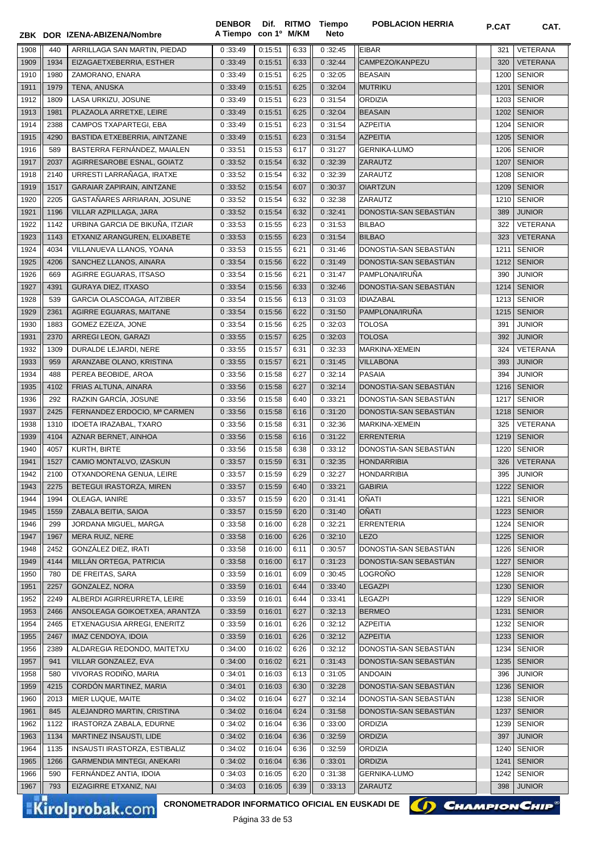|              |            | ZBK DOR IZENA-ABIZENA/Nombre                | A Tiempo con 1º M/KM |                                          |              | Neto               |                                                                     |            |                                |
|--------------|------------|---------------------------------------------|----------------------|------------------------------------------|--------------|--------------------|---------------------------------------------------------------------|------------|--------------------------------|
| 1908         | 440        | ARRILLAGA SAN MARTIN, PIEDAD                | 0:33:49              | 0:15:51                                  | 6:33         | 0:32:45            | <b>EIBAR</b>                                                        | 321        | VETERANA                       |
| 1909         | 1934       | EIZAGAETXEBERRIA, ESTHER                    | 0:33:49              | 0:15:51                                  | 6:33         | 0:32:44            | CAMPEZO/KANPEZU                                                     | 320        | <b>VETERANA</b>                |
| 1910         | 1980       | ZAMORANO, ENARA                             | 0:33:49              | 0:15:51                                  | 6:25         | 0:32:05            | <b>BEASAIN</b>                                                      | 1200       | <b>SENIOR</b>                  |
| 1911         | 1979       | TENA, ANUSKA                                | 0:33:49              | 0:15:51                                  | 6:25         | 0:32:04            | <b>MUTRIKU</b>                                                      | 1201       | <b>SENIOR</b>                  |
| 1912         | 1809       | LASA URKIZU, JOSUNE                         | 0:33:49              | 0:15:51                                  | 6:23         | 0:31:54            | <b>ORDIZIA</b>                                                      | 1203       | <b>SENIOR</b>                  |
| 1913         | 1981       | PLAZAOLA ARRETXE, LEIRE                     | 0:33:49              | 0:15:51                                  | 6:25         | 0:32:04            | <b>BEASAIN</b>                                                      | 1202       | <b>SENIOR</b>                  |
| 1914         | 2388       | CAMPOS TXAPARTEGI, EBA                      | 0:33:49              | 0:15:51                                  | 6:23         | 0:31:54            | <b>AZPEITIA</b>                                                     | 1204       | <b>SENIOR</b>                  |
| 1915         | 4290       | BASTIDA ETXEBERRIA, AINTZANE                | 0:33:49              | 0:15:51                                  | 6:23         | 0:31:54            | <b>AZPEITIA</b>                                                     | 1205       | <b>SENIOR</b>                  |
| 1916         | 589        | BASTERRA FERNÁNDEZ, MAIALEN                 | 0:33:51              | 0:15:53                                  | 6:17         | 0:31:27            | <b>GERNIKA-LUMO</b>                                                 | 1206       | <b>SENIOR</b>                  |
| 1917         | 2037       | AGIRRESAROBE ESNAL, GOIATZ                  | 0:33:52              | 0:15:54                                  | 6:32         | 0:32:39            | ZARAUTZ                                                             | 1207       | <b>SENIOR</b>                  |
| 1918         | 2140       | URRESTI LARRAÑAGA, IRATXE                   | 0:33:52              | 0:15:54                                  | 6:32         | 0:32:39            | ZARAUTZ                                                             | 1208       | <b>SENIOR</b>                  |
| 1919         | 1517       | GARAIAR ZAPIRAIN, AINTZANE                  | 0:33:52              | 0:15:54                                  | 6:07         | 0:30:37            | <b>OIARTZUN</b>                                                     | 1209       | <b>SENIOR</b>                  |
| 1920         | 2205       | GASTAÑARES ARRIARAN, JOSUNE                 | 0:33:52              | 0:15:54                                  | 6:32         | 0:32:38            | ZARAUTZ                                                             | 1210       | <b>SENIOR</b>                  |
| 1921         | 1196       | VILLAR AZPILLAGA, JARA                      | 0:33:52              | 0:15:54                                  | 6:32         | 0:32:41            | DONOSTIA-SAN SEBASTIAN                                              | 389        | <b>JUNIOR</b>                  |
| 1922         | 1142       | URBINA GARCIA DE BIKUÑA, ITZIAR             | 0:33:53              | 0:15:55                                  | 6:23         | 0:31:53            | <b>BILBAO</b>                                                       | 322        | VETERANA                       |
| 1923         | 1143       | ETXANIZ ARANGUREN, ELIXABETE                | 0:33:53              | 0:15:55                                  | 6:23         | 0:31:54            | <b>BILBAO</b>                                                       | 323        | <b>VETERANA</b>                |
| 1924         | 4034       | VILLANUEVA LLANOS, YOANA                    | 0:33:53              | 0:15:55                                  | 6:21         | 0:31:46            | DONOSTIA-SAN SEBASTIAN                                              | 1211       | <b>SENIOR</b>                  |
| 1925         | 4206       | SANCHEZ LLANOS, AINARA                      | 0:33:54              | 0:15:56                                  | 6:22         | 0:31:49            | DONOSTIA-SAN SEBASTIAN                                              | 1212       | <b>SENIOR</b>                  |
| 1926         | 669        | AGIRRE EGUARAS, ITSASO                      | 0:33:54              | 0:15:56                                  | 6:21         | 0:31:47            | PAMPLONA/IRUÑA                                                      | 390        | <b>JUNIOR</b>                  |
| 1927         | 4391       | <b>GURAYA DIEZ, ITXASO</b>                  | 0:33:54              | 0:15:56                                  | 6:33         | 0:32:46            | DONOSTIA-SAN SEBASTIÁN                                              | 1214       | <b>SENIOR</b>                  |
| 1928         | 539        | GARCIA OLASCOAGA, AITZIBER                  | 0:33:54              | 0:15:56                                  | 6:13         | 0:31:03            | <b>IDIAZABAL</b>                                                    | 1213       | <b>SENIOR</b>                  |
| 1929         | 2361       | AGIRRE EGUARAS, MAITANE                     | 0:33:54              | 0:15:56                                  | 6:22         | 0:31:50            | PAMPLONA/IRUÑA                                                      | 1215       | <b>SENIOR</b>                  |
| 1930         | 1883       | GOMEZ EZEIZA, JONE                          | 0:33:54              | 0:15:56                                  | 6:25         | 0:32:03            | <b>TOLOSA</b>                                                       | 391        | <b>JUNIOR</b>                  |
| 1931         | 2370       | ARREGI LEON, GARAZI                         | 0:33:55              | 0:15:57                                  | 6:25         | 0:32:03            | <b>TOLOSA</b>                                                       | 392        | <b>JUNIOR</b>                  |
| 1932         | 1309       | DURALDE LEJARDI, NERE                       | 0:33:55              | 0:15:57                                  | 6:31         | 0:32:33            | MARKINA-XEMEIN                                                      | 324        | VETERANA                       |
| 1933<br>1934 | 959<br>488 | ARANZABE OLANO, KRISTINA                    | 0:33:55              | 0:15:57<br>0:15:58                       | 6:21<br>6:27 | 0:31:45<br>0:32:14 | <b>VILLABONA</b><br>PASAIA                                          | 393<br>394 | <b>JUNIOR</b><br><b>JUNIOR</b> |
| 1935         | 4102       | PEREA BEOBIDE, AROA<br>FRIAS ALTUNA, AINARA | 0:33:56<br>0:33:56   | 0:15:58                                  | 6:27         | 0:32:14            | DONOSTIA-SAN SEBASTIAN                                              | 1216       | <b>SENIOR</b>                  |
| 1936         | 292        | RAZKIN GARCÍA, JOSUNE                       | 0:33:56              | 0:15:58                                  | 6:40         | 0:33:21            | DONOSTIA-SAN SEBASTIAN                                              | 1217       | <b>SENIOR</b>                  |
| 1937         | 2425       | FERNANDEZ ERDOCIO, Mª CARMEN                | 0:33:56              | 0:15:58                                  | 6:16         | 0:31:20            | DONOSTIA-SAN SEBASTIAN                                              | 1218       | <b>SENIOR</b>                  |
| 1938         | 1310       | <b>IDOETA IRAZABAL, TXARO</b>               | 0:33:56              | 0:15:58                                  | 6:31         | 0:32:36            | MARKINA-XEMEIN                                                      | 325        | VETERANA                       |
| 1939         | 4104       | AZNAR BERNET, AINHOA                        | 0:33:56              | 0:15:58                                  | 6:16         | 0:31:22            | <b>ERRENTERIA</b>                                                   | 1219       | <b>SENIOR</b>                  |
| 1940         | 4057       | KURTH, BIRTE                                | 0:33:56              | 0:15:58                                  | 6:38         | 0:33:12            | DONOSTIA-SAN SEBASTIÁN                                              | 1220       | <b>SENIOR</b>                  |
| 1941         | 1527       | CAMIO MONTALVO, IZASKUN                     | 0:33:57              | 0:15:59                                  | 6:31         | 0:32:35            | <b>HONDARRIBIA</b>                                                  | 326        | <b>VETERANA</b>                |
| 1942         | 2100       | OTXANDORENA GENUA, LEIRE                    | 0:33:57              | 0:15:59                                  | 6:29         | 0:32:27            | <b>HONDARRIBIA</b>                                                  | 395        | <b>JUNIOR</b>                  |
| 1943         | 2275       | BETEGUI IRASTORZA, MIREN                    | 0:33:57              | 0:15:59                                  | 6:40         | 0:33:21            | <b>GABIRIA</b>                                                      |            | 1222   SENIOR                  |
| 1944         | 1994       | OLEAGA, IANIRE                              | 0:33:57              | 0:15:59                                  | 6:20         | 0:31:41            | OÑATI                                                               | 1221       | <b>SENIOR</b>                  |
| 1945         | 1559       | ZABALA BEITIA, SAIOA                        | 0:33:57              | 0:15:59                                  | 6:20         | 0:31:40            | <b>OÑATI</b>                                                        | 1223       | <b>SENIOR</b>                  |
| 1946         | 299        | JORDANA MIGUEL, MARGA                       | 0:33:58              | 0:16:00                                  | 6:28         | 0:32:21            | <b>ERRENTERIA</b>                                                   | 1224       | <b>SENIOR</b>                  |
| 1947         | 1967       | MERA RUIZ, NERE                             | 0:33:58              | 0:16:00                                  | 6:26         | 0:32:10            | <b>LEZO</b>                                                         | 1225       | <b>SENIOR</b>                  |
| 1948         | 2452       | GONZÁLEZ DIEZ, IRATI                        | 0:33:58              | 0:16:00                                  | 6:11         | 0:30:57            | DONOSTIA-SAN SEBASTIÁN                                              | 1226       | <b>SENIOR</b>                  |
| 1949         | 4144       | MILLÁN ORTEGA, PATRICIA                     | 0:33:58              | 0:16:00                                  | 6:17         | 0:31:23            | DONOSTIA-SAN SEBASTIÁN                                              | 1227       | <b>SENIOR</b>                  |
| 1950         | 780        | DE FREITAS, SARA                            | 0:33:59              | 0:16:01                                  | 6:09         | 0:30:45            | <b>LOGRONO</b>                                                      | 1228       | <b>SENIOR</b>                  |
| 1951         | 2257       | GONZALEZ, NORA                              | 0:33:59              | 0:16:01                                  | 6:44         | 0:33:40            | <b>LEGAZPI</b>                                                      | 1230       | <b>SENIOR</b>                  |
| 1952         | 2249       | ALBERDI AGIRREURRETA, LEIRE                 | 0:33:59              | 0:16:01                                  | 6:44         | 0:33:41            | <b>LEGAZPI</b>                                                      | 1229       | <b>SENIOR</b>                  |
| 1953         | 2466       | ANSOLEAGA GOIKOETXEA, ARANTZA               | 0:33:59              | 0:16:01                                  | 6:27         | 0:32:13            | <b>BERMEO</b>                                                       | 1231       | <b>SENIOR</b>                  |
| 1954         | 2465       | ETXENAGUSIA ARREGI, ENERITZ                 | 0:33:59              | 0:16:01                                  | 6:26         | 0:32:12            | <b>AZPEITIA</b>                                                     | 1232       | <b>SENIOR</b>                  |
| 1955         | 2467       | IMAZ CENDOYA, IDOIA                         | 0:33:59              | 0:16:01                                  | 6:26         | 0:32:12            | <b>AZPEITIA</b>                                                     | 1233       | <b>SENIOR</b>                  |
| 1956         | 2389       | ALDAREGIA REDONDO, MAITETXU                 | 0:34:00              | 0:16:02                                  | 6:26         | 0:32:12            | DONOSTIA-SAN SEBASTIAN                                              | 1234       | <b>SENIOR</b>                  |
| 1957         | 941        | VILLAR GONZALEZ, EVA                        | 0:34:00              | 0:16:02                                  | 6:21         | 0:31:43            | DONOSTIA-SAN SEBASTIÁN                                              | 1235       | <b>SENIOR</b>                  |
| 1958         | 580        | VIVORAS RODINO, MARIA                       | 0:34:01              | 0:16:03                                  | 6:13         | 0:31:05            | <b>ANDOAIN</b>                                                      | 396        | <b>JUNIOR</b>                  |
| 1959         | 4215       | CORDON MARTINEZ, MARIA                      | 0:34:01              | 0:16:03                                  | 6:30         | 0:32:28            | DONOSTIA-SAN SEBASTIAN                                              | 1236       | <b>SENIOR</b>                  |
| 1960         | 2013       | MIER LUQUE, MAITE                           | 0:34:02              | 0:16:04                                  | 6:27         | 0:32:14            | DONOSTIA-SAN SEBASTIAN                                              | 1238       | <b>SENIOR</b>                  |
| 1961         | 845        | ALEJANDRO MARTIN, CRISTINA                  | 0:34:02              | 0:16:04                                  | 6:24         | 0:31:58            | DONOSTIA-SAN SEBASTIAN                                              | 1237       | <b>SENIOR</b>                  |
| 1962         | 1122       | IRASTORZA ZABALA, EDURNE                    | 0:34:02              | 0:16:04                                  | 6:36         | 0:33:00            | <b>ORDIZIA</b>                                                      | 1239       | <b>SENIOR</b>                  |
| 1963         | 1134       | MARTINEZ INSAUSTI, LIDE                     | 0:34:02              | 0:16:04                                  | 6:36         | 0:32:59            | <b>ORDIZIA</b>                                                      | 397        | <b>JUNIOR</b>                  |
| 1964         | 1135       | INSAUSTI IRASTORZA, ESTIBALIZ               | 0:34:02              | 0:16:04                                  | 6:36         | 0:32:59            | <b>ORDIZIA</b>                                                      | 1240       | <b>SENIOR</b>                  |
| 1965         | 1266       | GARMENDIA MINTEGI, ANEKARI                  | 0:34:02              | 0:16:04                                  | 6:36         | 0:33:01            | <b>ORDIZIA</b>                                                      | 1241       | <b>SENIOR</b>                  |
| 1966         | 590        | FERNANDEZ ANTIA, IDOIA                      | 0:34:03              | 0:16:05                                  | 6:20         | 0:31:38            | <b>GERNIKA-LUMO</b>                                                 | 1242       | <b>SENIOR</b>                  |
| 1967         | 793        | EIZAGIRRE ETXANIZ, NAI                      | 0:34:03              | 0:16:05                                  | 6:39         | 0:33:13            | ZARAUTZ                                                             | 398        | <b>JUNIOR</b>                  |
|              |            | <b>Kirolprobak.com</b>                      |                      | D <sub>4</sub> ain <sub>2</sub> 22 do E2 |              |                    | CRONOMETRADOR INFORMATICO OFICIAL EN EUSKADI DE<br>() CHAMPION CHIP |            |                                |



**Dif. DENBOR POBLACION HERRIA P.CAT CAT. RITMO Tiempo**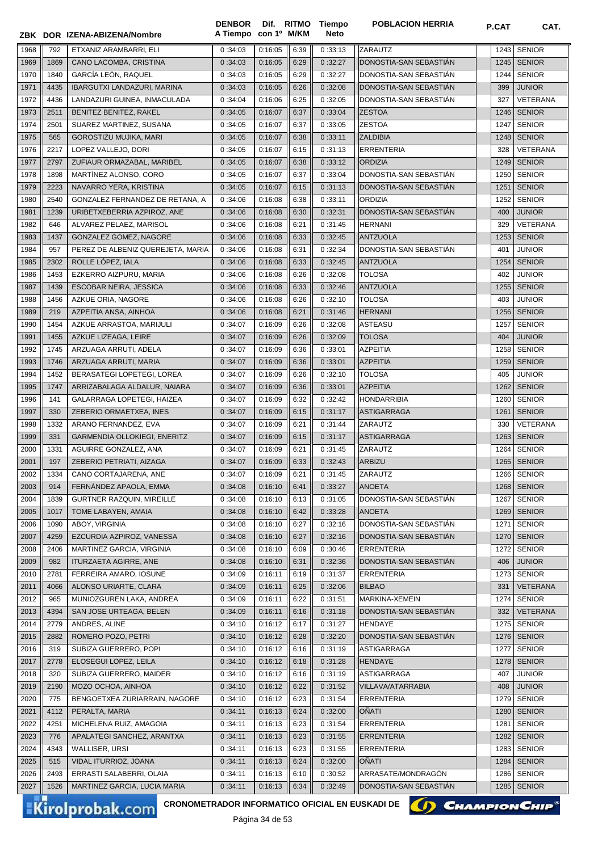|              |              | ZBK DOR IZENA-ABIZENA/Nombre                        | <b>DENBOR</b><br>A Tiempo | con 1º M/KM        |              | Dif. RITMO Tiempo<br>Neto | <b>POBLACION HERRIA</b>          | <b>P.CAT</b> | CAT.                           |
|--------------|--------------|-----------------------------------------------------|---------------------------|--------------------|--------------|---------------------------|----------------------------------|--------------|--------------------------------|
| 1968         | 792          | ETXANIZ ARAMBARRI, ELI                              | 0:34:03                   | 0:16:05            | 6:39         | 0:33:13                   | ZARAUTZ                          | 1243         | <b>SENIOR</b>                  |
| 1969         | 1869         | CANO LACOMBA, CRISTINA                              | 0:34:03                   | 0:16:05            | 6:29         | 0:32:27                   | DONOSTIA-SAN SEBASTIAN           | 1245         | <b>SENIOR</b>                  |
| 1970         | 1840         | <b>GARCÍA LEÓN. RAQUEL</b>                          | 0:34:03                   | 0:16:05            | 6:29         | 0:32:27                   | DONOSTIA-SAN SEBASTIAN           | 1244         | <b>SENIOR</b>                  |
| 1971         | 4435         | IBARGUTXI LANDAZURI, MARINA                         | 0:34:03                   | 0:16:05            | 6:26         | 0:32:08                   | DONOSTIA-SAN SEBASTIAN           | 399          | <b>JUNIOR</b>                  |
| 1972         | 4436         | LANDAZURI GUINEA, INMACULADA                        | 0:34:04                   | 0:16:06            | 6:25         | 0:32:05                   | DONOSTIA-SAN SEBASTIAN           | 327          | <b>VETERANA</b>                |
| 1973         | 2511         | BENITEZ BENITEZ, RAKEL                              | 0:34:05                   | 0:16:07            | 6:37         | 0:33:04                   | <b>ZESTOA</b>                    | 1246         | <b>SENIOR</b>                  |
| 1974         | 2501         | SUAREZ MARTINEZ, SUSANA                             | 0:34:05                   | 0:16:07            | 6:37         | 0:33:05                   | <b>ZESTOA</b>                    | 1247         | <b>SENIOR</b>                  |
| 1975         | 565          | GOROSTIZU MUJIKA, MARI                              | 0:34:05                   | 0:16:07            | 6:38         | 0:33:11                   | <b>ZALDIBIA</b>                  | 1248         | <b>SENIOR</b>                  |
| 1976         | 2217         | LOPEZ VALLEJO, DORI                                 | 0:34:05                   | 0:16:07            | 6:15         | 0:31:13                   | <b>ERRENTERIA</b>                | 328          | <b>VETERANA</b>                |
| 1977         | 2797         | ZUFIAUR ORMAZABAL, MARIBEL                          | 0:34:05                   | 0:16:07            | 6:38         | 0:33:12                   | <b>ORDIZIA</b>                   | 1249         | <b>SENIOR</b>                  |
| 1978         | 1898         | MARTINEZ ALONSO, CORO                               | 0:34:05                   | 0:16:07            | 6:37         | 0:33:04                   | DONOSTIA-SAN SEBASTIÁN           | 1250         | <b>SENIOR</b>                  |
| 1979         | 2223         | NAVARRO YERA, KRISTINA                              | 0:34:05                   | 0:16:07            | 6:15         | 0:31:13                   | DONOSTIA-SAN SEBASTIÁN           | 1251         | <b>SENIOR</b>                  |
| 1980         | 2540         | GONZALEZ FERNANDEZ DE RETANA, A                     | 0:34:06                   | 0:16:08            | 6:38         | 0:33:11                   | ORDIZIA                          | 1252         | <b>SENIOR</b>                  |
| 1981         | 1239         | URIBETXEBERRIA AZPIROZ, ANE                         | 0:34:06                   | 0:16:08            | 6:30         | 0:32:31                   | DONOSTIA-SAN SEBASTIAN           | 400          | <b>JUNIOR</b>                  |
| 1982         | 646          | ALVAREZ PELAEZ, MARISOL                             | 0:34:06                   | 0:16:08            | 6:21         | 0:31:45                   | <b>HERNANI</b>                   | 329          | <b>VETERANA</b>                |
| 1983         | 1437         | GONZALEZ GOMEZ, NAGORE                              | 0:34:06                   | 0:16:08            | 6:33         | 0:32:45                   | <b>ANTZUOLA</b>                  | 1253         | <b>SENIOR</b>                  |
| 1984         | 957          | PEREZ DE ALBENIZ QUEREJETA, MARIA                   | 0:34:06                   | 0:16:08            | 6:31         | 0:32:34                   | DONOSTIA-SAN SEBASTIÁN           | 401          | <b>JUNIOR</b>                  |
| 1985         | 2302         | ROLLE LÓPEZ, IALA                                   | 0:34:06                   | 0:16:08            | 6:33         | 0:32:45                   | <b>ANTZUOLA</b>                  | 1254         | <b>SENIOR</b>                  |
| 1986         | 1453         | EZKERRO AIZPURU, MARIA                              | 0:34:06                   | 0:16:08            | 6:26         | 0:32:08                   | <b>TOLOSA</b>                    | 402          | <b>JUNIOR</b>                  |
| 1987         | 1439         | ESCOBAR NEIRA, JESSICA                              | 0:34:06                   | 0:16:08            | 6:33         | 0:32:46                   | <b>ANTZUOLA</b>                  | 1255         | <b>SENIOR</b>                  |
| 1988         | 1456         | AZKUE ORIA, NAGORE                                  | 0:34:06                   | 0:16:08            | 6:26         | 0:32:10                   | <b>TOLOSA</b>                    | 403          | <b>JUNIOR</b>                  |
| 1989         | 219          | AZPEITIA ANSA, AINHOA                               | 0:34:06                   | 0:16:08            | 6:21         | 0:31:46                   | <b>HERNANI</b>                   | 1256         | <b>SENIOR</b>                  |
| 1990         | 1454         | AZKUE ARRASTOA, MARIJULI                            | 0:34:07                   | 0:16:09            | 6:26         | 0:32:08                   | ASTEASU                          | 1257         | <b>SENIOR</b>                  |
| 1991         | 1455         | AZKUE LIZEAGA, LEIRE                                | 0:34:07                   | 0:16:09            | 6:26         | 0:32:09                   | <b>TOLOSA</b>                    | 404          | <b>JUNIOR</b>                  |
| 1992         | 1745         | ARZUAGA ARRUTI, ADELA                               | 0:34:07                   | 0:16:09            | 6:36         | 0:33:01                   | <b>AZPEITIA</b>                  | 1258         | <b>SENIOR</b>                  |
| 1993<br>1994 | 1746<br>1452 | ARZUAGA ARRUTI, MARIA<br>BERASATEGI LOPETEGI, LOREA | 0:34:07                   | 0:16:09<br>0:16:09 | 6:36<br>6:26 | 0:33:01<br>0:32:10        | <b>AZPEITIA</b><br><b>TOLOSA</b> | 1259<br>405  | <b>SENIOR</b><br><b>JUNIOR</b> |
| 1995         | 1747         | ARRIZABALAGA ALDALUR, NAIARA                        | 0:34:07<br>0:34:07        | 0:16:09            | 6:36         | 0:33:01                   | <b>AZPEITIA</b>                  | 1262         | <b>SENIOR</b>                  |
| 1996         | 141          | GALARRAGA LOPETEGI, HAIZEA                          | 0:34:07                   | 0:16:09            | 6:32         | 0:32:42                   | <b>HONDARRIBIA</b>               | 1260         | <b>SENIOR</b>                  |
| 1997         | 330          | ZEBERIO ORMAETXEA, INES                             | 0:34:07                   | 0:16:09            | 6:15         | 0:31:17                   | <b>ASTIGARRAGA</b>               | 1261         | <b>SENIOR</b>                  |
| 1998         | 1332         | ARANO FERNANDEZ, EVA                                | 0:34:07                   | 0:16:09            | 6:21         | 0:31:44                   | ZARAUTZ                          | 330          | VETERANA                       |
| 1999         | 331          | GARMENDIA OLLOKIEGI, ENERITZ                        | 0:34:07                   | 0:16:09            | 6:15         | 0:31:17                   | <b>ASTIGARRAGA</b>               | 1263         | <b>SENIOR</b>                  |
| 2000         | 1331         | AGUIRRE GONZALEZ, ANA                               | 0:34:07                   | 0:16:09            | 6:21         | 0:31:45                   | ZARAUTZ                          | 1264         | <b>SENIOR</b>                  |
| 2001         | 197          | ZEBERIO PETRIATI, AIZAGA                            | 0:34:07                   | 0:16:09            | 6:33         | 0:32:43                   | <b>ARBIZU</b>                    | 1265         | <b>SENIOR</b>                  |
| 2002         | 1334         | CANO CORTAJARENA, ANE                               | 0:34:07                   | 0:16:09            | 6:21         | 0:31:45                   | ZARAUTZ                          |              | 1266 SENIOR                    |
| 2003         | 914          | FERNÁNDEZ APAOLA, EMMA                              | 0:34:08                   | 0:16:10            | 6:41         | 0:33:27                   | ANOETA                           | 1268         | <b>SENIOR</b>                  |
| 2004         | 1839         | GURTNER RAZQUIN, MIREILLE                           | 0:34:08                   | 0:16:10            | 6:13         | 0:31:05                   | DONOSTIA-SAN SEBASTIAN           | 1267         | <b>SENIOR</b>                  |
| 2005         | 1017         | TOME LABAYEN, AMAIA                                 | 0:34:08                   | 0:16:10            | 6:42         | 0:33:28                   | <b>ANOETA</b>                    | 1269         | <b>SENIOR</b>                  |
| 2006         | 1090         | ABOY, VIRGINIA                                      | 0:34:08                   | 0:16:10            | 6:27         | 0:32:16                   | DONOSTIA-SAN SEBASTIAN           | 1271         | <b>SENIOR</b>                  |
| 2007         | 4259         | EZCURDIA AZPIROZ, VANESSA                           | 0:34:08                   | 0:16:10            | 6:27         | 0:32:16                   | DONOSTIA-SAN SEBASTIAN           | 1270         | <b>SENIOR</b>                  |
| 2008         | 2406         | MARTINEZ GARCIA, VIRGINIA                           | 0:34:08                   | 0:16:10            | 6:09         | 0:30:46                   | <b>ERRENTERIA</b>                | 1272         | <b>SENIOR</b>                  |
| 2009         | 982          | ITURZAETA AGIRRE, ANE                               | 0:34:08                   | 0:16:10            | 6:31         | 0:32:36                   | DONOSTIA-SAN SEBASTIÁN           | 406          | <b>JUNIOR</b>                  |
| 2010         | 2781         | FERREIRA AMARO, IOSUNE                              | 0:34:09                   | 0:16:11            | 6:19         | 0:31:37                   | ERRENTERIA                       | 1273         | <b>SENIOR</b>                  |
| 2011         | 4066         | ALONSO URIARTE, CLARA                               | 0:34:09                   | 0:16:11            | 6:25         | 0:32:06                   | <b>BILBAO</b>                    | 331          | VETERANA                       |
| 2012         | 965          | MUNIOZGUREN LAKA, ANDREA                            | 0:34:09                   | 0:16:11            | 6:22         | 0:31:51                   | MARKINA-XEMEIN                   | 1274         | <b>SENIOR</b>                  |
| 2013         | 4394         | SAN JOSE URTEAGA, BELEN                             | 0:34:09                   | 0:16:11            | 6:16         | 0:31:18                   | DONOSTIA-SAN SEBASTIAN           | 332          | <b>VETERANA</b>                |
| 2014         | 2779         | ANDRES, ALINE                                       | 0:34:10                   | 0:16:12            | 6:17         | 0:31:27                   | HENDAYE                          | 1275         | <b>SENIOR</b>                  |
| 2015         | 2882         | ROMERO POZO, PETRI                                  | 0:34:10                   | 0:16:12            | 6:28         | 0:32:20                   | DONOSTIA-SAN SEBASTIAN           | 1276         | <b>SENIOR</b>                  |
| 2016         | 319          | SUBIZA GUERRERO, POPI                               | 0:34:10                   | 0:16:12            | 6:16         | 0:31:19                   | ASTIGARRAGA                      | 1277         | <b>SENIOR</b>                  |
| 2017<br>2018 | 2778         | ELOSEGUI LOPEZ, LEILA                               | 0:34:10                   | 0:16:12            | 6:18         | 0:31:28                   | <b>HENDAYE</b>                   | 1278<br>407  | <b>SENIOR</b>                  |
| 2019         | 320<br>2190  | SUBIZA GUERRERO, MAIDER<br>MOZO OCHOA, AINHOA       | 0:34:10<br>0:34:10        | 0:16:12<br>0:16:12 | 6:16<br>6:22 | 0:31:19<br>0:31:52        | ASTIGARRAGA<br>VILLAVA/ATARRABIA | 408          | <b>JUNIOR</b><br><b>JUNIOR</b> |
| 2020         | 775          | BENGOETXEA ZURIARRAIN, NAGORE                       | 0:34:10                   | 0:16:12            | 6:23         | 0:31:54                   | ERRENTERIA                       | 1279         | <b>SENIOR</b>                  |
| 2021         | 4112         | PERALTA, MARIA                                      | 0:34:11                   | 0:16:13            | 6:24         | 0:32:00                   | OÑATI                            | 1280         | <b>SENIOR</b>                  |
| 2022         | 4251         | MICHELENA RUIZ, AMAGOIA                             | 0:34:11                   | 0:16:13            | 6:23         | 0:31:54                   | ERRENTERIA                       | 1281         | <b>SENIOR</b>                  |
| 2023         | 776          | APALATEGI SANCHEZ, ARANTXA                          | 0:34:11                   | 0:16:13            | 6:23         | 0:31:55                   | <b>ERRENTERIA</b>                | 1282         | <b>SENIOR</b>                  |
| 2024         | 4343         | WALLISER, URSI                                      | 0:34:11                   | 0:16:13            | 6:23         | 0:31:55                   | ERRENTERIA                       | 1283         | <b>SENIOR</b>                  |
| 2025         | 515          | VIDAL ITURRIOZ, JOANA                               | 0:34:11                   | 0:16:13            | 6:24         | 0:32:00                   | OÑATI                            | 1284         | <b>SENIOR</b>                  |
| 2026         | 2493         | ERRASTI SALABERRI, OLAIA                            | 0:34:11                   | 0:16:13            | 6:10         | 0:30:52                   | ARRASATE/MONDRAGÓN               | 1286         | <b>SENIOR</b>                  |
| 2027         | 1526         | MARTINEZ GARCIA, LUCIA MARIA                        | 0:34:11                   | 0:16:13            | 6:34         | 0:32:49                   | DONOSTIA-SAN SEBASTIAN           | 1285         | <b>SENIOR</b>                  |
|              |              |                                                     |                           |                    |              |                           |                                  |              |                                |

CRONOMETRADOR INFORMATICO OFICIAL EN EUSKADI DE **(A) CHAMPION CHIP**<sup>®</sup>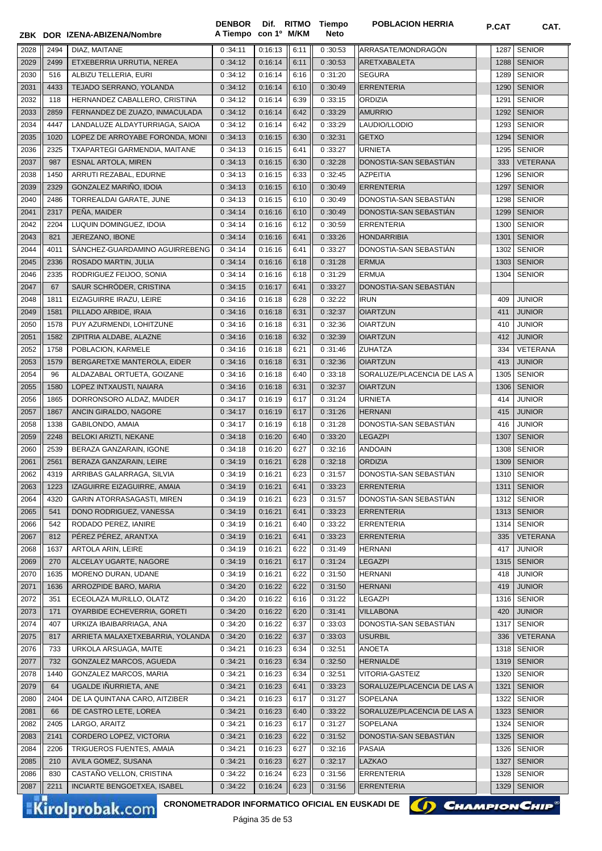|      |      | ZBK DOR IZENA-ABIZENA/Nombre     | <b>DENBOR</b><br>A Tiempo con 1º M/KM |         |      | Dif. RITMO Tiempo<br><b>Neto</b> | <b>POBLACION HERRIA</b>     | <b>P.CAT</b> | CAT.            |
|------|------|----------------------------------|---------------------------------------|---------|------|----------------------------------|-----------------------------|--------------|-----------------|
| 2028 | 2494 | DIAZ, MAITANE                    | 0:34:11                               | 0:16:13 | 6:11 | 0:30:53                          | ARRASATE/MONDRAGÓN          | 1287         | <b>SENIOR</b>   |
| 2029 | 2499 | ETXEBERRIA URRUTIA, NEREA        | 0:34:12                               | 0:16:14 | 6:11 | 0:30:53                          | ARETXABALETA                | 1288         | <b>SENIOR</b>   |
| 2030 | 516  | ALBIZU TELLERIA. EURI            | 0:34:12                               | 0:16:14 | 6:16 | 0:31:20                          | <b>SEGURA</b>               | 1289         | <b>SENIOR</b>   |
| 2031 | 4433 | TEJADO SERRANO, YOLANDA          | 0:34:12                               | 0:16:14 | 6:10 | 0:30:49                          | <b>ERRENTERIA</b>           | 1290         | <b>SENIOR</b>   |
| 2032 | 118  | HERNANDEZ CABALLERO, CRISTINA    | 0:34:12                               | 0:16:14 | 6:39 | 0:33:15                          | <b>ORDIZIA</b>              | 1291         | <b>SENIOR</b>   |
| 2033 | 2859 | FERNANDEZ DE ZUAZO, INMACULADA   | 0:34:12                               | 0:16:14 | 6:42 | 0:33:29                          | <b>AMURRIO</b>              | 1292         | <b>SENIOR</b>   |
| 2034 | 4447 | LANDALUZE ALDAYTURRIAGA, SAIOA   | 0:34:12                               | 0:16:14 | 6:42 | 0:33:29                          | LAUDIO/LLODIO               | 1293         | <b>SENIOR</b>   |
| 2035 | 1020 | LOPEZ DE ARROYABE FORONDA, MONI  | 0:34:13                               | 0:16:15 | 6:30 | 0:32:31                          | <b>GETXO</b>                | 1294         | <b>SENIOR</b>   |
| 2036 | 2325 | TXAPARTEGI GARMENDIA, MAITANE    | 0:34:13                               | 0:16:15 | 6:41 | 0:33:27                          | <b>URNIETA</b>              | 1295         | <b>SENIOR</b>   |
| 2037 | 987  | <b>ESNAL ARTOLA, MIREN</b>       | 0:34:13                               | 0:16:15 | 6:30 | 0:32:28                          | DONOSTIA-SAN SEBASTIAN      | 333          | <b>VETERANA</b> |
| 2038 | 1450 | ARRUTI REZABAL, EDURNE           | 0:34:13                               | 0:16:15 | 6:33 | 0:32:45                          | <b>AZPEITIA</b>             | 1296         | <b>SENIOR</b>   |
| 2039 | 2329 | GONZALEZ MARIÑO, IDOIA           | 0:34:13                               | 0:16:15 | 6:10 | 0:30:49                          | <b>ERRENTERIA</b>           | 1297         | <b>SENIOR</b>   |
| 2040 | 2486 | TORREALDAI GARATE, JUNE          | 0:34:13                               | 0:16:15 | 6:10 | 0:30:49                          | DONOSTIA-SAN SEBASTIAN      | 1298         | <b>SENIOR</b>   |
| 2041 | 2317 | PEÑA, MAIDER                     | 0:34:14                               | 0:16:16 | 6:10 | 0:30:49                          | DONOSTIA-SAN SEBASTIAN      | 1299         | <b>SENIOR</b>   |
| 2042 | 2204 | LUQUIN DOMINGUEZ, IDOIA          | 0:34:14                               | 0:16:16 | 6:12 | 0:30:59                          | <b>ERRENTERIA</b>           | 1300         | <b>SENIOR</b>   |
| 2043 | 821  | JEREZANO, IBONE                  | 0:34:14                               | 0:16:16 | 6:41 | 0:33:26                          | <b>HONDARRIBIA</b>          | 1301         | <b>SENIOR</b>   |
| 2044 | 4011 | SÁNCHEZ-GUARDAMINO AGUIRREBENG   | 0:34:14                               | 0:16:16 | 6:41 | 0:33:27                          | DONOSTIA-SAN SEBASTIÁN      | 1302         | <b>SENIOR</b>   |
| 2045 | 2336 | ROSADO MARTIN, JULIA             | 0:34:14                               | 0:16:16 | 6:18 | 0:31:28                          | <b>ERMUA</b>                | 1303         | <b>SENIOR</b>   |
| 2046 | 2335 | RODRIGUEZ FEIJOO, SONIA          | 0:34:14                               | 0:16:16 | 6:18 | 0:31:29                          | <b>ERMUA</b>                | 1304         | <b>SENIOR</b>   |
| 2047 | 67   | SAUR SCHRÖDER, CRISTINA          | 0:34:15                               | 0:16:17 | 6:41 | 0:33:27                          | DONOSTIA-SAN SEBASTIÁN      |              |                 |
| 2048 | 1811 | EIZAGUIRRE IRAZU, LEIRE          | 0:34:16                               | 0:16:18 | 6:28 | 0:32:22                          | <b>IRUN</b>                 | 409          | <b>JUNIOR</b>   |
| 2049 | 1581 | PILLADO ARBIDE, IRAIA            | 0:34:16                               | 0:16:18 | 6:31 | 0:32:37                          | <b>OIARTZUN</b>             | 411          | <b>JUNIOR</b>   |
| 2050 | 1578 | PUY AZURMENDI, LOHITZUNE         | 0:34:16                               | 0:16:18 | 6:31 | 0:32:36                          | <b>OIARTZUN</b>             | 410          | <b>JUNIOR</b>   |
| 2051 | 1582 | ZIPITRIA ALDABE, ALAZNE          | 0:34:16                               | 0:16:18 | 6:32 | 0:32:39                          | <b>OIARTZUN</b>             | 412          | <b>JUNIOR</b>   |
| 2052 | 1758 | POBLACION, KARMELE               | 0:34:16                               | 0:16:18 | 6:21 | 0:31:46                          | <b>ZUHATZA</b>              | 334          | VETERANA        |
| 2053 | 1579 | BERGARETXE MANTEROLA, EIDER      | 0:34:16                               | 0:16:18 | 6:31 | 0:32:36                          | <b>OIARTZUN</b>             | 413          | <b>JUNIOR</b>   |
| 2054 | 96   | ALDAZABAL ORTUETA, GOIZANE       | 0:34:16                               | 0:16:18 | 6:40 | 0:33:18                          | SORALUZE/PLACENCIA DE LAS A | 1305         | <b>SENIOR</b>   |
| 2055 | 1580 | LOPEZ INTXAUSTI, NAIARA          | 0:34:16                               | 0:16:18 | 6:31 | 0:32:37                          | <b>OIARTZUN</b>             | 1306         | <b>SENIOR</b>   |
| 2056 | 1865 | DORRONSORO ALDAZ, MAIDER         | 0:34:17                               | 0:16:19 | 6:17 | 0:31:24                          | <b>URNIETA</b>              | 414          | <b>JUNIOR</b>   |
| 2057 | 1867 | ANCIN GIRALDO, NAGORE            | 0:34:17                               | 0:16:19 | 6:17 | 0:31:26                          | <b>HERNANI</b>              | 415          | <b>JUNIOR</b>   |
| 2058 | 1338 | GABILONDO, AMAIA                 | 0:34:17                               | 0:16:19 | 6:18 | 0:31:28                          | DONOSTIA-SAN SEBASTIÁN      | 416          | <b>JUNIOR</b>   |
| 2059 | 2248 | BELOKI ARIZTI, NEKANE            | 0:34:18                               | 0:16:20 | 6:40 | 0:33:20                          | <b>LEGAZPI</b>              | 1307         | <b>SENIOR</b>   |
| 2060 | 2539 | BERAZA GANZARAIN, IGONE          | 0:34:18                               | 0:16:20 | 6:27 | 0:32:16                          | <b>ANDOAIN</b>              | 1308         | <b>SENIOR</b>   |
| 2061 | 2561 | BERAZA GANZARAIN, LEIRE          | 0:34:19                               | 0:16:21 | 6:28 | 0:32:18                          | <b>ORDIZIA</b>              |              | 1309 SENIOR     |
| 2062 | 4319 | ARRIBAS GALARRAGA, SILVIA        | 0:34:19                               | 0:16:21 | 6:23 | 0:31:57                          | DONOSTIA-SAN SEBASTIAN      |              | 1310 SENIOR     |
| 2063 | 1223 | IZAGUIRRE EIZAGUIRRE, AMAIA      | 0:34:19                               | 0:16:21 | 6:41 | 0:33:23                          | <b>ERRENTERIA</b>           |              | 1311 SENIOR     |
| 2064 | 4320 | GARIN ATORRASAGASTI, MIREN       | 0:34:19                               | 0:16:21 | 6:23 | 0:31:57                          | DONOSTIA-SAN SEBASTIAN      | 1312         | SENIOR          |
| 2065 | 541  | DONO RODRIGUEZ, VANESSA          | 0:34:19                               | 0:16:21 | 6:41 | 0:33:23                          | <b>ERRENTERIA</b>           | 1313         | <b>SENIOR</b>   |
| 2066 | 542  | RODADO PEREZ, IANIRE             | 0:34:19                               | 0:16:21 | 6:40 | 0:33:22                          | <b>ERRENTERIA</b>           | 1314         | <b>SENIOR</b>   |
| 2067 | 812  | PÉREZ PÉREZ, ARANTXA             | 0:34:19                               | 0:16:21 | 6:41 | 0:33:23                          | <b>ERRENTERIA</b>           | 335          | <b>VETERANA</b> |
| 2068 | 1637 | ARTOLA ARIN. LEIRE               | 0:34:19                               | 0:16:21 | 6:22 | 0:31:49                          | <b>HERNANI</b>              | 417          | <b>JUNIOR</b>   |
| 2069 | 270  | ALCELAY UGARTE, NAGORE           | 0:34:19                               | 0:16:21 | 6:17 | 0:31:24                          | <b>LEGAZPI</b>              | 1315         | <b>SENIOR</b>   |
| 2070 | 1635 | MORENO DURAN, UDANE              | 0:34:19                               | 0:16:21 | 6:22 | 0:31:50                          | <b>HERNANI</b>              | 418          | <b>JUNIOR</b>   |
| 2071 | 1636 | ARROZPIDE BARO, MARIA            | 0:34:20                               | 0:16:22 | 6:22 | 0:31:50                          | <b>HERNANI</b>              | 419          | <b>JUNIOR</b>   |
| 2072 | 351  | ECEOLAZA MURILLO, OLATZ          | 0:34:20                               | 0:16:22 | 6:16 | 0:31:22                          | <b>LEGAZPI</b>              | 1316         | <b>SENIOR</b>   |
| 2073 | 171  | OYARBIDE ECHEVERRIA, GORETI      | 0:34:20                               | 0:16:22 | 6:20 | 0:31:41                          | <b>VILLABONA</b>            | 420          | <b>JUNIOR</b>   |
| 2074 | 407  | URKIZA IBAIBARRIAGA, ANA         | 0:34:20                               | 0:16:22 | 6:37 | 0:33:03                          | DONOSTIA-SAN SEBASTIAN      | 1317         | <b>SENIOR</b>   |
| 2075 | 817  | ARRIETA MALAXETXEBARRIA, YOLANDA | 0:34:20                               | 0:16:22 | 6:37 | 0:33:03                          | <b>USURBIL</b>              | 336          | <b>VETERANA</b> |
| 2076 | 733  | URKOLA ARSUAGA, MAITE            | 0:34:21                               | 0:16:23 | 6:34 | 0:32:51                          | ANOETA                      | 1318         | <b>SENIOR</b>   |
| 2077 | 732  | GONZALEZ MARCOS, AGUEDA          | 0:34:21                               | 0:16:23 | 6:34 | 0:32:50                          | <b>HERNIALDE</b>            |              | 1319 SENIOR     |
| 2078 | 1440 | GONZALEZ MARCOS, MARIA           | 0:34:21                               | 0:16:23 | 6:34 | 0:32:51                          | VITORIA-GASTEIZ             | 1320         | SENIOR          |
| 2079 | 64   | UGALDE IÑURRIETA, ANE            | 0:34:21                               | 0:16:23 | 6:41 | 0:33:23                          | SORALUZE/PLACENCIA DE LAS A | 1321         | <b>SENIOR</b>   |
| 2080 | 2404 | DE LA QUINTANA CARO, AITZIBER    | 0:34:21                               | 0:16:23 | 6:17 | 0:31:27                          | SOPELANA                    | 1322         | <b>SENIOR</b>   |
| 2081 | 66   | DE CASTRO LETE, LOREA            | 0:34:21                               | 0:16:23 | 6:40 | 0:33:22                          | SORALUZE/PLACENCIA DE LAS A | 1323         | <b>SENIOR</b>   |
| 2082 | 2405 | LARGO, ARAITZ                    | 0:34:21                               | 0:16:23 | 6:17 | 0:31:27                          | SOPELANA                    | 1324         | <b>SENIOR</b>   |
| 2083 | 2141 | CORDERO LOPEZ, VICTORIA          | 0:34:21                               | 0:16:23 | 6:22 | 0:31:52                          | DONOSTIA-SAN SEBASTIAN      | 1325         | SENIOR          |
| 2084 | 2206 | TRIGUEROS FUENTES, AMAIA         | 0:34:21                               | 0:16:23 | 6:27 | 0:32:16                          | PASAIA                      | 1326         | <b>SENIOR</b>   |
| 2085 | 210  | AVILA GOMEZ, SUSANA              | 0:34:21                               | 0:16:23 | 6:27 | 0:32:17                          | <b>LAZKAO</b>               | 1327         | <b>SENIOR</b>   |
| 2086 | 830  | CASTAÑO VELLON, CRISTINA         | 0:34:22                               | 0:16:24 | 6:23 | 0:31:56                          | <b>ERRENTERIA</b>           | 1328         | <b>SENIOR</b>   |
| 2087 | 2211 | INCIARTE BENGOETXEA, ISABEL      | 0:34:22                               | 0:16:24 | 6:23 | 0:31:56                          | <b>ERRENTERIA</b>           | 1329         | <b>SENIOR</b>   |

CRONOMETRADOR INFORMATICO OFICIAL EN EUSKADI DE **(1) CHAMPION CHIP**<sup>®</sup>

Página 35 de 53

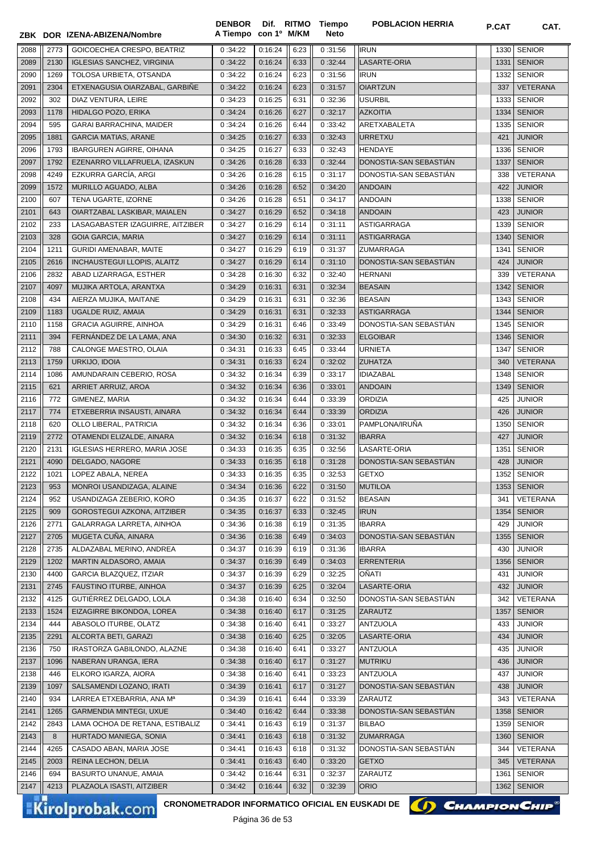|              |             | ZBK DOR IZENA-ABIZENA/Nombre                        | <b>DENBOR</b><br>A Tiempo con 1º M/KM |                    |              | Dif. RITMO Tiempo<br>Neto | <b>POBLACION HERRIA</b>    | <b>P.CAT</b> | CAT.                           |
|--------------|-------------|-----------------------------------------------------|---------------------------------------|--------------------|--------------|---------------------------|----------------------------|--------------|--------------------------------|
| 2088         | 2773        | GOICOECHEA CRESPO. BEATRIZ                          | 0:34:22                               | 0:16:24            | 6:23         | 0:31:56                   | <b>IRUN</b>                | 1330         | <b>SENIOR</b>                  |
| 2089         | 2130        | <b>IGLESIAS SANCHEZ, VIRGINIA</b>                   | 0:34:22                               | 0:16:24            | 6:33         | 0:32:44                   | LASARTE-ORIA               | 1331         | <b>SENIOR</b>                  |
| 2090         | 1269        | TOLOSA URBIETA, OTSANDA                             | 0:34:22                               | 0:16:24            | 6:23         | 0:31:56                   | <b>IRUN</b>                | 1332         | <b>SENIOR</b>                  |
| 2091         | 2304        | ETXENAGUSIA OIARZABAL, GARBIÑE                      | 0:34:22                               | 0:16:24            | 6:23         | 0:31:57                   | <b>OIARTZUN</b>            | 337          | <b>VETERANA</b>                |
| 2092         | 302         | DIAZ VENTURA, LEIRE                                 | 0:34:23                               | 0:16:25            | 6:31         | 0:32:36                   | <b>USURBIL</b>             | 1333         | <b>SENIOR</b>                  |
| 2093         | 1178        | HIDALGO POZO, ERIKA                                 | 0:34:24                               | 0:16:26            | 6:27         | 0:32:17                   | <b>AZKOITIA</b>            | 1334         | <b>SENIOR</b>                  |
| 2094         | 595         | GARAI BARRACHINA, MAIDER                            | 0:34:24                               | 0:16:26            | 6:44         | 0:33:42                   | ARETXABALETA               | 1335         | <b>SENIOR</b>                  |
| 2095         | 1881        | <b>GARCIA MATIAS, ARANE</b>                         | 0:34:25                               | 0:16:27            | 6:33         | 0:32:43                   | URRETXU                    | 421          | <b>JUNIOR</b>                  |
| 2096         | 1793        | <b>IBARGUREN AGIRRE, OIHANA</b>                     | 0:34:25                               | 0:16:27            | 6:33         | 0:32:43                   | <b>HENDAYE</b>             | 1336         | <b>SENIOR</b>                  |
| 2097         | 1792        | EZENARRO VILLAFRUELA, IZASKUN                       | 0:34:26                               | 0:16:28            | 6:33         | 0:32:44                   | DONOSTIA-SAN SEBASTIÁN     | 1337         | <b>SENIOR</b>                  |
| 2098         | 4249        | EZKURRA GARCÍA, ARGI                                | 0:34:26                               | 0:16:28            | 6:15         | 0:31:17                   | DONOSTIA-SAN SEBASTIAN     | 338          | VETERANA                       |
| 2099         | 1572        | MURILLO AGUADO, ALBA                                | 0:34:26                               | 0:16:28            | 6:52         | 0:34:20                   | <b>ANDOAIN</b>             | 422          | <b>JUNIOR</b>                  |
| 2100         | 607         | TENA UGARTE, IZORNE                                 | 0:34:26                               | 0:16:28            | 6:51         | 0:34:17                   | <b>ANDOAIN</b>             | 1338         | <b>SENIOR</b>                  |
| 2101         | 643         | OIARTZABAL LASKIBAR, MAIALEN                        | 0:34:27                               | 0:16:29            | 6:52         | 0:34:18                   | <b>ANDOAIN</b>             | 423          | <b>JUNIOR</b>                  |
| 2102         | 233         | LASAGABASTER IZAGUIRRE, AITZIBER                    | 0:34:27                               | 0:16:29            | 6:14         | 0:31:11                   | ASTIGARRAGA                | 1339         | <b>SENIOR</b>                  |
| 2103         | 328         | <b>GOIA GARCIA, MARIA</b>                           | 0:34:27                               | 0:16:29            | 6:14         | 0:31:11                   | <b>ASTIGARRAGA</b>         | 1340         | <b>SENIOR</b>                  |
| 2104         | 1211        | <b>GURIDI AMENABAR, MAITE</b>                       | 0:34:27                               | 0:16:29            | 6:19         | 0:31:37                   | <b>ZUMARRAGA</b>           | 1341         | <b>SENIOR</b>                  |
| 2105         | 2616        | INCHAUSTEGUI LLOPIS, ALAITZ                         | 0:34:27                               | 0:16:29            | 6:14         | 0:31:10                   | DONOSTIA-SAN SEBASTIÁN     | 424          | <b>JUNIOR</b>                  |
| 2106         | 2832        | ABAD LIZARRAGA, ESTHER                              | 0:34:28                               | 0:16:30            | 6:32         | 0:32:40                   | <b>HERNANI</b>             | 339          | VETERANA                       |
| 2107         | 4097        | MUJIKA ARTOLA, ARANTXA                              | 0:34:29                               | 0:16:31            | 6:31         | 0:32:34                   | <b>BEASAIN</b>             | 1342         | <b>SENIOR</b>                  |
| 2108         | 434         | AIERZA MUJIKA, MAITANE                              | 0:34:29                               | 0:16:31            | 6:31         | 0:32:36                   | <b>BEASAIN</b>             | 1343         | <b>SENIOR</b>                  |
| 2109         | 1183        | UGALDE RUIZ, AMAIA                                  | 0:34:29                               | 0:16:31            | 6:31         | 0:32:33                   | <b>ASTIGARRAGA</b>         | 1344         | <b>SENIOR</b>                  |
| 2110         | 1158        | <b>GRACIA AGUIRRE, AINHOA</b>                       | 0:34:29                               | 0:16:31            | 6:46         | 0:33:49                   | DONOSTIA-SAN SEBASTIAN     | 1345         | <b>SENIOR</b>                  |
| 2111         | 394         | FERNÁNDEZ DE LA LAMA, ANA                           | 0:34:30                               | 0:16:32            | 6:31         | 0:32:33                   | <b>ELGOIBAR</b>            | 1346         | <b>SENIOR</b>                  |
| 2112         | 788         | CALONGE MAESTRO, OLAIA                              | 0:34:31                               | 0:16:33            | 6:45         | 0:33:44                   | <b>URNIETA</b>             | 1347         | <b>SENIOR</b>                  |
| 2113         | 1759        | URKIJO, IDOIA                                       | 0:34:31                               | 0:16:33            | 6:24         | 0:32:02                   | <b>ZUHATZA</b>             | 340          | <b>VETERANA</b>                |
| 2114         | 1086        | AMUNDARAIN CEBERIO, ROSA                            | 0:34:32                               | 0:16:34            | 6:39         | 0:33:17                   | <b>IDIAZABAL</b>           | 1348         | <b>SENIOR</b>                  |
| 2115         | 621         | ARRIET ARRUIZ, AROA                                 | 0:34:32                               | 0:16:34            | 6:36         | 0:33:01                   | <b>ANDOAIN</b>             | 1349         | <b>SENIOR</b>                  |
| 2116         | 772         | GIMENEZ, MARIA                                      | 0:34:32                               | 0:16:34            | 6:44         | 0:33:39                   | <b>ORDIZIA</b>             | 425          | <b>JUNIOR</b>                  |
| 2117         | 774         | ETXEBERRIA INSAUSTI, AINARA                         | 0:34:32                               | 0:16:34            | 6:44         | 0:33:39                   | <b>ORDIZIA</b>             | 426          | <b>JUNIOR</b>                  |
| 2118         | 620         | OLLO LIBERAL, PATRICIA                              | 0:34:32                               | 0:16:34            | 6:36         | 0:33:01                   | PAMPLONA/IRUÑA             | 1350         | <b>SENIOR</b>                  |
| 2119         | 2772        | OTAMENDI ELIZALDE, AINARA                           | 0:34:32                               | 0:16:34            | 6:18         | 0:31:32                   | <b>IBARRA</b>              | 427          | <b>JUNIOR</b>                  |
| 2120         | 2131        | <b>IGLESIAS HERRERO, MARIA JOSE</b>                 | 0:34:33                               | 0:16:35            | 6:35         | 0:32:56                   | LASARTE-ORIA               | 1351         | <b>SENIOR</b>                  |
| 2121         | 4090        | DELGADO, NAGORE                                     | 0:34:33                               | 0:16:35            | 6:18         | 0:31:28                   | DONOSTIA-SAN SEBASTIAN     | 428          | <b>JUNIOR</b>                  |
| 2122         | 1021        | LOPEZ ABALA, NEREA                                  | 0:34:33                               | 0:16:35            | 6:35         | 0:32:53                   | <b>GETXO</b>               |              | 1352 SENIOR                    |
| 2123         | 953         | MONROI USANDIZAGA, ALAINE                           | 0:34:34                               | 0:16:36            | 6:22         | 0:31:50                   | <b>MUTILOA</b>             | 1353         | <b>SENIOR</b>                  |
| 2124         | 952         | USANDIZAGA ZEBERIO, KORO                            | 0:34:35                               | 0:16:37            | 6:22         | 0:31:52                   | <b>BEASAIN</b>             | 341          | VETERANA                       |
| 2125         | 909         | GOROSTEGUI AZKONA, AITZIBER                         | 0:34:35                               | 0:16:37            | 6:33         | 0:32:45                   | <b>IRUN</b>                | 1354         | <b>SENIOR</b>                  |
| 2126         | 2771        | GALARRAGA LARRETA, AINHOA                           | 0:34:36                               | 0:16:38            | 6:19         | 0:31:35                   | <b>IBARRA</b>              | 429          | <b>JUNIOR</b>                  |
| 2127         | 2705        | MUGETA CUÑA, AINARA                                 | 0:34:36                               | 0:16:38            | 6:49         | 0:34:03                   | DONOSTIA-SAN SEBASTIAN     | 1355         | <b>SENIOR</b>                  |
| 2128         | 2735        | ALDAZABAL MERINO, ANDREA                            | 0:34:37                               | 0:16:39            | 6:19         | 0:31:36                   | <b>IBARRA</b>              | 430          | <b>JUNIOR</b>                  |
| 2129         | 1202        | MARTIN ALDASORO, AMAIA                              | 0:34:37                               | 0:16:39            | 6:49         | 0:34:03                   | <b>ERRENTERIA</b>          | 1356         | <b>SENIOR</b>                  |
| 2130         | 4400        | GARCIA BLAZQUEZ, ITZIAR                             | 0:34:37                               | 0:16:39            | 6:29         | 0:32:25                   | OÑATI                      | 431          | <b>JUNIOR</b>                  |
| 2131         | 2745        | FAUSTINO ITURBE, AINHOA                             | 0:34:37                               | 0:16:39            | 6:25         | 0:32:04                   | LASARTE-ORIA               | 432          | <b>JUNIOR</b>                  |
| 2132         | 4125        | GUTIÉRREZ DELGADO, LOLA                             | 0:34:38                               | 0:16:40            | 6:34         | 0:32:50                   | DONOSTIA-SAN SEBASTIAN     | 342          | VETERANA                       |
| 2133         | 1524        | EIZAGIRRE BIKONDOA, LOREA                           | 0:34:38                               | 0:16:40            | 6:17         | 0:31:25                   | ZARAUTZ                    | 1357         | <b>SENIOR</b>                  |
| 2134         | 444         | ABASOLO ITURBE, OLATZ                               | 0:34:38                               | 0:16:40            | 6:41         | 0:33:27                   | <b>ANTZUOLA</b>            | 433          | <b>JUNIOR</b>                  |
| 2135         | 2291        | ALCORTA BETI, GARAZI                                | 0:34:38                               | 0:16:40            | 6:25         | 0:32:05                   | LASARTE-ORIA               | 434          | <b>JUNIOR</b>                  |
| 2136<br>2137 | 750<br>1096 | IRASTORZA GABILONDO, ALAZNE<br>NABERAN URANGA, IERA | 0:34:38                               | 0:16:40            | 6:41<br>6:17 | 0:33:27                   | <b>ANTZUOLA</b><br>MUTRIKU | 435          | <b>JUNIOR</b><br><b>JUNIOR</b> |
| 2138         | 446         | ELKORO IGARZA, AIORA                                | 0:34:38<br>0:34:38                    | 0:16:40<br>0:16:40 | 6:41         | 0:31:27<br>0:33:23        | <b>ANTZUOLA</b>            | 436<br>437   | <b>JUNIOR</b>                  |
| 2139         | 1097        | SALSAMENDI LOZANO, IRATI                            | 0:34:39                               | 0:16:41            | 6:17         | 0:31:27                   | DONOSTIA-SAN SEBASTIAN     | 438          | <b>JUNIOR</b>                  |
| 2140         | 934         | LARREA ETXEBARRIA, ANA Mª                           | 0:34:39                               | 0:16:41            | 6:44         | 0:33:39                   | ZARAUTZ                    | 343          | VETERANA                       |
| 2141         | 1265        | <b>GARMENDIA MINTEGI, UXUE</b>                      | 0:34:40                               | 0:16:42            | 6:44         | 0:33:38                   | DONOSTIA-SAN SEBASTIAN     | 1358         | <b>SENIOR</b>                  |
| 2142         | 2843        | LAMA OCHOA DE RETANA, ESTIBALIZ                     | 0:34:41                               | 0:16:43            | 6:19         | 0:31:37                   | <b>BILBAO</b>              | 1359         | <b>SENIOR</b>                  |
| 2143         | 8           | HURTADO MANIEGA, SONIA                              | 0:34:41                               | 0:16:43            | 6:18         | 0:31:32                   | <b>ZUMARRAGA</b>           | 1360         | <b>SENIOR</b>                  |
| 2144         | 4265        | CASADO ABAN, MARIA JOSE                             | 0:34:41                               | 0:16:43            | 6:18         | 0:31:32                   | DONOSTIA-SAN SEBASTIAN     | 344          | VETERANA                       |
| 2145         | 2003        | REINA LECHON, DELIA                                 | 0:34:41                               | 0:16:43            | 6:40         | 0:33:20                   | <b>GETXO</b>               | 345          | VETERANA                       |
| 2146         | 694         | BASURTO UNANUE, AMAIA                               | 0:34:42                               | 0:16:44            | 6:31         | 0:32:37                   | ZARAUTZ                    | 1361         | <b>SENIOR</b>                  |
| 2147         | 4213        | PLAZAOLA ISASTI, AITZIBER                           | 0:34:42                               | 0:16:44            | 6:32         | 0:32:39                   | <b>ORIO</b>                | 1362         | <b>SENIOR</b>                  |
|              |             |                                                     |                                       |                    |              |                           |                            |              |                                |

**CRONOMETRADOR INFORMATICO OFICIAL EN EUSKADI DE CHAMPION CHIP<sup>®</sup>** 

Página 36 de 53

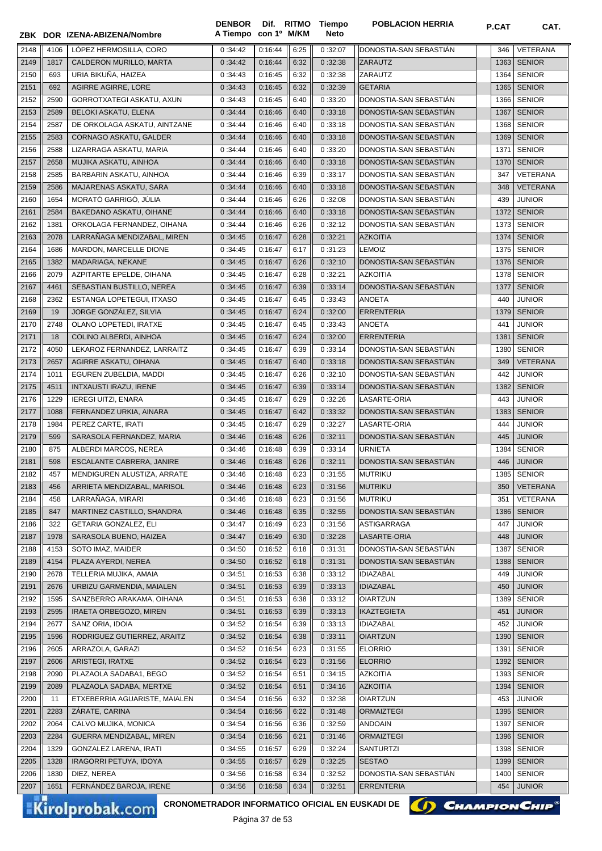|              |             | ZBK DOR IZENA-ABIZENA/Nombre                               | A Tiempo con 1º M/KM |                    |              | Neto               |                                          |             |                         |
|--------------|-------------|------------------------------------------------------------|----------------------|--------------------|--------------|--------------------|------------------------------------------|-------------|-------------------------|
| 2148         | 4106        | LÓPEZ HERMOSILLA, CORO                                     | 0:34:42              | 0:16:44            | 6:25         | 0:32:07            | DONOSTIA-SAN SEBASTIAN                   | 346         | VETERANA                |
| 2149         | 1817        | CALDERON MURILLO, MARTA                                    | 0:34:42              | 0:16:44            | 6:32         | 0:32:38            | <b>ZARAUTZ</b>                           | 1363        | <b>SENIOR</b>           |
| 2150         | 693         | URIA BIKUÑA, HAIZEA                                        | 0:34:43              | 0:16:45            | 6:32         | 0:32:38            | ZARAUTZ                                  | 1364        | <b>SENIOR</b>           |
| 2151         | 692         | AGIRRE AGIRRE, LORE                                        | 0:34:43              | 0:16:45            | 6:32         | 0:32:39            | <b>GETARIA</b>                           | 1365        | <b>SENIOR</b>           |
| 2152         | 2590        | GORROTXATEGI ASKATU, AXUN                                  | 0:34:43              | 0:16:45            | 6:40         | 0:33:20            | DONOSTIA-SAN SEBASTIÁN                   | 1366        | <b>SENIOR</b>           |
| 2153         | 2589        | BELOKI ASKATU, ELENA                                       | 0:34:44              | 0:16:46            | 6:40         | 0:33:18            | DONOSTIA-SAN SEBASTIÁN                   | 1367        | <b>SENIOR</b>           |
| 2154         | 2587        | DE ORKOLAGA ASKATU, AINTZANE                               | 0:34:44              | 0:16:46            | 6:40         | 0:33:18            | DONOSTIA-SAN SEBASTIAN                   | 1368        | <b>SENIOR</b>           |
| 2155         | 2583        | CORNAGO ASKATU, GALDER                                     | 0:34:44              | 0:16:46            | 6:40         | 0:33:18            | DONOSTIA-SAN SEBASTIAN                   | 1369        | <b>SENIOR</b>           |
| 2156         | 2588        | LIZARRAGA ASKATU, MARIA                                    | 0:34:44              | 0:16:46            | 6:40         | 0:33:20            | DONOSTIA-SAN SEBASTIÁN                   | 1371        | <b>SENIOR</b>           |
| 2157         | 2658        | MUJIKA ASKATU, AINHOA                                      | 0:34:44              | 0:16:46            | 6:40         | 0:33:18            | DONOSTIA-SAN SEBASTIAN                   | 1370        | <b>SENIOR</b>           |
| 2158         | 2585        | BARBARIN ASKATU, AINHOA                                    | 0:34:44              | 0:16:46            | 6:39         | 0:33:17            | DONOSTIA-SAN SEBASTIAN                   | 347         | VETERANA                |
| 2159         | 2586        | MAJARENAS ASKATU, SARA                                     | 0:34:44              | 0:16:46            | 6:40         | 0:33:18            | DONOSTIA-SAN SEBASTIAN                   | 348         | <b>VETERANA</b>         |
| 2160         | 1654        | MORATÓ GARRIGÓ, JÚLIA                                      | 0:34:44              | 0:16:46            | 6:26         | 0:32:08            | DONOSTIA-SAN SEBASTIAN                   | 439         | <b>JUNIOR</b>           |
| 2161         | 2584        | BAKEDANO ASKATU, OIHANE                                    | 0:34:44              | 0:16:46            | 6:40         | 0:33:18            | DONOSTIA-SAN SEBASTIAN                   | 1372        | <b>SENIOR</b>           |
| 2162         | 1381        | ORKOLAGA FERNANDEZ, OIHANA                                 | 0:34:44              | 0:16:46            | 6:26         | 0:32:12            | DONOSTIA-SAN SEBASTIAN                   | 1373        | <b>SENIOR</b>           |
| 2163         | 2078        | LARRAÑAGA MENDIZABAL, MIREN                                | 0:34:45              | 0:16:47            | 6:28         | 0:32:21            | <b>AZKOITIA</b>                          | 1374        | <b>SENIOR</b>           |
| 2164         | 1686        | MARDON, MARCELLE DIONE                                     | 0:34:45              | 0:16:47            | 6:17         | 0:31:23            | <b>LEMOIZ</b>                            | 1375        | <b>SENIOR</b>           |
| 2165         | 1382        | MADARIAGA, NEKANE                                          | 0:34:45              | 0:16:47            | 6:26         | 0:32:10            | DONOSTIA-SAN SEBASTIAN                   | 1376        | <b>SENIOR</b>           |
| 2166         | 2079        | AZPITARTE EPELDE, OIHANA                                   | 0:34:45              | 0:16:47            | 6:28         | 0:32:21            | <b>AZKOITIA</b>                          | 1378        | <b>SENIOR</b>           |
| 2167         | 4461        | SEBASTIAN BUSTILLO, NEREA                                  | 0:34:45              | 0:16:47            | 6:39         | 0:33:14            | DONOSTIA-SAN SEBASTIÁN                   | 1377        | <b>SENIOR</b>           |
| 2168         | 2362        | ESTANGA LOPETEGUI, ITXASO                                  | 0:34:45              | 0:16:47            | 6:45         | 0:33:43            | <b>ANOETA</b>                            | 440         | <b>JUNIOR</b>           |
| 2169         | 19          | JORGE GONZÁLEZ, SILVIA                                     | 0:34:45              | 0:16:47            | 6:24         | 0:32:00            | <b>ERRENTERIA</b>                        | 1379        | <b>SENIOR</b>           |
| 2170         | 2748        | OLANO LOPETEDI, IRATXE                                     | 0:34:45              | 0:16:47            | 6:45         | 0:33:43            | <b>ANOETA</b>                            | 441         | <b>JUNIOR</b>           |
| 2171         | 18          | COLINO ALBERDI, AINHOA                                     | 0:34:45              | 0:16:47            | 6:24         | 0:32:00            | <b>ERRENTERIA</b>                        | 1381        | <b>SENIOR</b>           |
| 2172         | 4050        | LEKAROZ FERNANDEZ, LARRAITZ                                | 0:34:45              | 0:16:47            | 6:39         | 0:33:14            | DONOSTIA-SAN SEBASTIAN                   | 1380        | <b>SENIOR</b>           |
| 2173         | 2657        | AGIRRE ASKATU, OIHANA                                      | 0:34:45              | 0:16:47            | 6:40         | 0:33:18            | DONOSTIA-SAN SEBASTIAN                   | 349         | VETERANA                |
| 2174         | 1011        | EGUREN ZUBELDIA, MADDI                                     | 0:34:45              | 0:16:47            | 6:26         | 0:32:10            | DONOSTIA-SAN SEBASTIAN                   | 442         | <b>JUNIOR</b>           |
| 2175         | 4511        | <b>INTXAUSTI IRAZU, IRENE</b>                              | 0:34:45              | 0:16:47            | 6:39         | 0:33:14            | DONOSTIA-SAN SEBASTIAN                   | 1382        | <b>SENIOR</b>           |
| 2176         | 1229        | <b>IEREGI UITZI, ENARA</b>                                 | 0:34:45              | 0:16:47            | 6:29         | 0:32:26            | LASARTE-ORIA                             | 443         | <b>JUNIOR</b>           |
| 2177         | 1088        | FERNANDEZ URKIA, AINARA                                    | 0:34:45              | 0:16:47            | 6:42         | 0:33:32            | DONOSTIA-SAN SEBASTIAN                   | 1383        | <b>SENIOR</b>           |
| 2178         | 1984        | PEREZ CARTE, IRATI                                         | 0:34:45              | 0:16:47            | 6:29         | 0:32:27            | LASARTE-ORIA                             | 444         | <b>JUNIOR</b>           |
| 2179         | 599         | SARASOLA FERNANDEZ, MARIA                                  | 0:34:46              | 0:16:48            | 6:26         | 0:32:11            | DONOSTIA-SAN SEBASTIÁN                   | 445         | <b>JUNIOR</b>           |
| 2180         | 875         | ALBERDI MARCOS, NEREA                                      | 0:34:46              | 0:16:48            | 6:39         | 0:33:14            | <b>URNIETA</b>                           | 1384        | <b>SENIOR</b>           |
| 2181         | 598         | ESCALANTE CABRERA, JANIRE                                  | 0:34:46              | 0:16:48            | 6:26         | 0:32:11            | DONOSTIA-SAN SEBASTIÁN                   | 446         | <b>JUNIOR</b>           |
| 2182         | 457         | MENDIGUREN ALUSTIZA, ARRATE                                | 0:34:46              | 0:16:48            | 6:23         | 0:31:55            | <b>MUTRIKU</b>                           | 1385        | <b>SENIOR</b>           |
| 2183         | 456         | ARRIETA MENDIZABAL, MARISOL                                | 0:34:46              | 0:16:48            | 6:23         | 0:31:56            | <b>MUTRIKU</b>                           | 350         | VETERANA                |
| 2184         | 458         | LARRANAGA, MIRARI                                          | 0:34:46              | 0:16:48            | 6:23         | 0:31:56            | <b>MUTRIKU</b><br>DONOSTIA-SAN SEBASTIÁN | 351         | VETERANA                |
| 2185         | 847         | MARTINEZ CASTILLO, SHANDRA<br><b>GETARIA GONZALEZ, ELI</b> | 0:34:46              | 0:16:48            | 6:35         | 0:32:55<br>0:31:56 | <b>ASTIGARRAGA</b>                       | 1386<br>447 | <b>SENIOR</b><br>JUNIOR |
| 2186<br>2187 | 322<br>1978 | SARASOLA BUENO, HAIZEA                                     | 0:34:47<br>0:34:47   | 0:16:49<br>0:16:49 | 6:23         | 0:32:28            | LASARTE-ORIA                             | 448         | <b>JUNIOR</b>           |
| 2188         | 4153        | SOTO IMAZ, MAIDER                                          | 0:34:50              | 0:16:52            | 6:30<br>6:18 | 0:31:31            | DONOSTIA-SAN SEBASTIÁN                   | 1387        | <b>SENIOR</b>           |
| 2189         | 4154        | PLAZA AYERDI, NEREA                                        | 0:34:50              | 0:16:52            | 6:18         | 0:31:31            | DONOSTIA-SAN SEBASTIAN                   | 1388        | <b>SENIOR</b>           |
| 2190         | 2678        | TELLERIA MUJIKA, AMAIA                                     | 0:34:51              | 0:16:53            | 6:38         | 0:33:12            | <b>IDIAZABAL</b>                         | 449         | <b>JUNIOR</b>           |
| 2191         | 2676        | URBIZU GARMENDIA, MAIALEN                                  | 0:34:51              | 0:16:53            | 6:39         | 0:33:13            | <b>IDIAZABAL</b>                         | 450         | <b>JUNIOR</b>           |
| 2192         | 1595        | SANZBERRO ARAKAMA, OIHANA                                  | 0:34:51              | 0:16:53            | 6:38         | 0:33:12            | <b>OIARTZUN</b>                          | 1389        | <b>SENIOR</b>           |
| 2193         | 2595        | IRAETA ORBEGOZO, MIREN                                     | 0:34:51              | 0:16:53            | 6:39         | 0:33:13            | <b>IKAZTEGIETA</b>                       | 451         | <b>JUNIOR</b>           |
| 2194         | 2677        | SANZ ORIA, IDOIA                                           | 0:34:52              | 0:16:54            | 6:39         | 0:33:13            | <b>IDIAZABAL</b>                         | 452         | <b>JUNIOR</b>           |
| 2195         | 1596        | RODRIGUEZ GUTIERREZ, ARAITZ                                | 0:34:52              | 0:16:54            | 6:38         | 0:33:11            | <b>OIARTZUN</b>                          | 1390        | <b>SENIOR</b>           |
| 2196         | 2605        | ARRAZOLA, GARAZI                                           | 0:34:52              | 0:16:54            | 6:23         | 0:31:55            | <b>ELORRIO</b>                           | 1391        | <b>SENIOR</b>           |
| 2197         | 2606        | ARISTEGI, IRATXE                                           | 0:34:52              | 0:16:54            | 6:23         | 0:31:56            | <b>ELORRIO</b>                           | 1392        | <b>SENIOR</b>           |
| 2198         | 2090        | PLAZAOLA SADABA1, BEGO                                     | 0:34:52              | 0:16:54            | 6:51         | 0:34:15            | <b>AZKOITIA</b>                          | 1393        | <b>SENIOR</b>           |
| 2199         | 2089        | PLAZAOLA SADABA, MERTXE                                    | 0:34:52              | 0:16:54            | 6:51         | 0:34:16            | <b>AZKOITIA</b>                          | 1394        | <b>SENIOR</b>           |
| 2200         | 11          | ETXEBERRIA AGUARISTE, MAIALEN                              | 0:34:54              | 0:16:56            | 6:32         | 0:32:38            | <b>OIARTZUN</b>                          | 453         | <b>JUNIOR</b>           |
| 2201         | 2283        | ZARATE, CARINA                                             | 0:34:54              | 0:16:56            | 6:22         | 0:31:48            | <b>ORMAIZTEGI</b>                        | 1395        | <b>SENIOR</b>           |
| 2202         | 2064        | CALVO MUJIKA, MONICA                                       | 0:34:54              | 0:16:56            | 6:36         | 0:32:59            | <b>ANDOAIN</b>                           | 1397        | <b>SENIOR</b>           |
| 2203         | 2284        | GUERRA MENDIZABAL, MIREN                                   | 0:34:54              | 0:16:56            | 6:21         | 0:31:46            | <b>ORMAIZTEGI</b>                        | 1396        | <b>SENIOR</b>           |
| 2204         | 1329        | GONZALEZ LARENA, IRATI                                     | 0:34:55              | 0:16:57            | 6:29         | 0:32:24            | <b>SANTURTZI</b>                         | 1398        | <b>SENIOR</b>           |
| 2205         | 1328        | IRAGORRI PETUYA, IDOYA                                     | 0:34:55              | 0:16:57            | 6:29         | 0:32:25            | <b>SESTAO</b>                            | 1399        | <b>SENIOR</b>           |
| 2206         | 1830        | DIEZ, NEREA                                                | 0:34:56              | 0:16:58            | 6:34         | 0:32:52            | DONOSTIA-SAN SEBASTIAN                   | 1400        | <b>SENIOR</b>           |
|              |             |                                                            |                      |                    |              |                    |                                          |             |                         |
| 2207         | 1651        | FERNANDEZ BAROJA, IRENE                                    | 0:34:56              | 0:16:58            | 6:34         | 0:32:51            | <b>ERRENTERIA</b>                        | 454         | <b>JUNIOR</b>           |

DENBOR Dif. RITMO Tiempo



**POBLACION HERRIA P.CAT CAT.**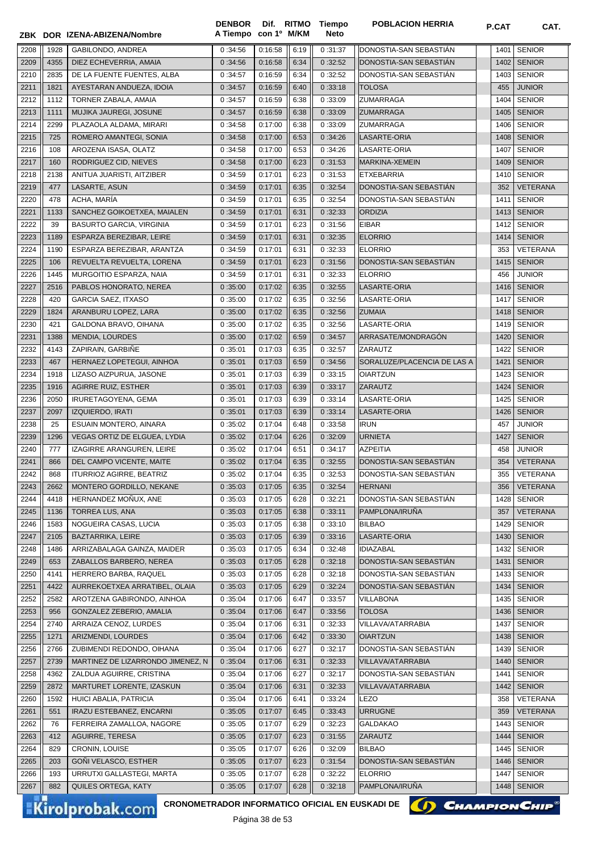|      |      | ZBK DOR IZENA-ABIZENA/Nombre      | <b>DENBOR</b><br>A Tiempo con 1º M/KM |         |      | Dif. RITMO Tiempo<br>Neto | <b>POBLACION HERRIA</b>     | P.CAT | CAT.            |
|------|------|-----------------------------------|---------------------------------------|---------|------|---------------------------|-----------------------------|-------|-----------------|
| 2208 | 1928 | GABILONDO, ANDREA                 | 0:34:56                               | 0:16:58 | 6:19 | 0:31:37                   | DONOSTIA-SAN SEBASTIAN      | 1401  | <b>SENIOR</b>   |
| 2209 | 4355 | DIEZ ECHEVERRIA, AMAIA            | 0:34:56                               | 0:16:58 | 6:34 | 0:32:52                   | DONOSTIA-SAN SEBASTIAN      | 1402  | <b>SENIOR</b>   |
| 2210 | 2835 | DE LA FUENTE FUENTES. ALBA        | 0:34:57                               | 0:16:59 | 6:34 | 0:32:52                   | DONOSTIA-SAN SEBASTIAN      | 1403  | <b>SENIOR</b>   |
| 2211 | 1821 | AYESTARAN ANDUEZA, IDOIA          | 0:34:57                               | 0:16:59 | 6:40 | 0:33:18                   | <b>TOLOSA</b>               | 455   | <b>JUNIOR</b>   |
| 2212 | 1112 | TORNER ZABALA, AMAIA              | 0:34:57                               | 0:16:59 | 6:38 | 0:33:09                   | ZUMARRAGA                   | 1404  | <b>SENIOR</b>   |
| 2213 | 1111 | MUJIKA JAUREGI, JOSUNE            | 0:34:57                               | 0:16:59 | 6:38 | 0:33:09                   | <b>ZUMARRAGA</b>            | 1405  | <b>SENIOR</b>   |
| 2214 | 2299 | PLAZAOLA ALDAMA, MIRARI           | 0:34:58                               | 0:17:00 | 6:38 | 0:33:09                   | <b>ZUMARRAGA</b>            | 1406  | <b>SENIOR</b>   |
| 2215 | 725  | ROMERO AMANTEGI, SONIA            | 0:34:58                               | 0:17:00 | 6:53 | 0:34:26                   | LASARTE-ORIA                | 1408  | <b>SENIOR</b>   |
| 2216 | 108  | AROZENA ISASA, OLATZ              | 0:34:58                               | 0:17:00 | 6:53 | 0:34:26                   | LASARTE-ORIA                | 1407  | <b>SENIOR</b>   |
| 2217 | 160  | RODRIGUEZ CID, NIEVES             | 0:34:58                               | 0:17:00 | 6:23 | 0:31:53                   | MARKINA-XEMEIN              | 1409  | <b>SENIOR</b>   |
| 2218 | 2138 | ANITUA JUARISTI, AITZIBER         | 0:34:59                               | 0:17:01 | 6:23 | 0:31:53                   | ETXEBARRIA                  | 1410  | <b>SENIOR</b>   |
| 2219 | 477  | LASARTE, ASUN                     | 0:34:59                               | 0:17:01 | 6:35 | 0:32:54                   | DONOSTIA-SAN SEBASTIAN      | 352   | <b>VETERANA</b> |
| 2220 | 478  | ACHA, MARÍA                       | 0:34:59                               | 0:17:01 | 6:35 | 0:32:54                   | DONOSTIA-SAN SEBASTIAN      | 1411  | <b>SENIOR</b>   |
| 2221 | 1133 | SANCHEZ GOIKOETXEA, MAIALEN       | 0:34:59                               | 0:17:01 | 6:31 | 0:32:33                   | <b>ORDIZIA</b>              | 1413  | <b>SENIOR</b>   |
| 2222 | 39   | <b>BASURTO GARCIA, VIRGINIA</b>   | 0:34:59                               | 0:17:01 | 6:23 | 0:31:56                   | <b>EIBAR</b>                | 1412  | <b>SENIOR</b>   |
| 2223 | 1189 | ESPARZA BEREZIBAR, LEIRE          | 0:34:59                               | 0:17:01 | 6:31 | 0:32:35                   | <b>ELORRIO</b>              | 1414  | <b>SENIOR</b>   |
| 2224 | 1190 | ESPARZA BEREZIBAR, ARANTZA        | 0:34:59                               | 0:17:01 | 6:31 | 0:32:33                   | <b>ELORRIO</b>              | 353   | VETERANA        |
| 2225 | 106  | REVUELTA REVUELTA, LORENA         | 0:34:59                               | 0:17:01 | 6:23 | 0:31:56                   | DONOSTIA-SAN SEBASTIAN      | 1415  | <b>SENIOR</b>   |
| 2226 | 1445 | MURGOITIO ESPARZA, NAIA           | 0:34:59                               | 0:17:01 | 6:31 | 0:32:33                   | <b>ELORRIO</b>              | 456   | <b>JUNIOR</b>   |
| 2227 | 2516 | PABLOS HONORATO, NEREA            | 0:35:00                               | 0:17:02 | 6:35 | 0:32:55                   | LASARTE-ORIA                | 1416  | <b>SENIOR</b>   |
|      | 420  |                                   |                                       | 0:17:02 |      |                           | LASARTE-ORIA                |       |                 |
| 2228 |      | <b>GARCIA SAEZ, ITXASO</b>        | 0:35:00                               |         | 6:35 | 0:32:56                   |                             | 1417  | <b>SENIOR</b>   |
| 2229 | 1824 | ARANBURU LOPEZ, LARA              | 0:35:00                               | 0:17:02 | 6:35 | 0:32:56                   | <b>ZUMAIA</b>               | 1418  | <b>SENIOR</b>   |
| 2230 | 421  | GALDONA BRAVO, OIHANA             | 0:35:00                               | 0:17:02 | 6:35 | 0:32:56                   | LASARTE-ORIA                | 1419  | <b>SENIOR</b>   |
| 2231 | 1388 | MENDIA, LOURDES                   | 0:35:00                               | 0:17:02 | 6:59 | 0:34:57                   | ARRASATE/MONDRAGÓN          | 1420  | <b>SENIOR</b>   |
| 2232 | 4143 | ZAPIRAIN, GARBIÑE                 | 0:35:01                               | 0:17:03 | 6:35 | 0:32:57                   | ZARAUTZ                     | 1422  | <b>SENIOR</b>   |
| 2233 | 467  | HERNAEZ LOPETEGUI, AINHOA         | 0:35:01                               | 0:17:03 | 6:59 | 0:34:56                   | SORALUZE/PLACENCIA DE LAS A | 1421  | <b>SENIOR</b>   |
| 2234 | 1918 | LIZASO AIZPURUA, JASONE           | 0:35:01                               | 0:17:03 | 6:39 | 0:33:15                   | <b>OIARTZUN</b>             | 1423  | <b>SENIOR</b>   |
| 2235 | 1916 | <b>AGIRRE RUIZ, ESTHER</b>        | 0:35:01                               | 0:17:03 | 6:39 | 0:33:17                   | <b>ZARAUTZ</b>              | 1424  | <b>SENIOR</b>   |
| 2236 | 2050 | IRURETAGOYENA, GEMA               | 0:35:01                               | 0:17:03 | 6:39 | 0:33:14                   | LASARTE-ORIA                | 1425  | <b>SENIOR</b>   |
| 2237 | 2097 | <b>IZQUIERDO, IRATI</b>           | 0:35:01                               | 0:17:03 | 6:39 | 0:33:14                   | LASARTE-ORIA                | 1426  | <b>SENIOR</b>   |
| 2238 | 25   | ESUAIN MONTERO, AINARA            | 0:35:02                               | 0:17:04 | 6:48 | 0:33:58                   | <b>IRUN</b>                 | 457   | <b>JUNIOR</b>   |
| 2239 | 1296 | VEGAS ORTIZ DE ELGUEA, LYDIA      | 0:35:02                               | 0:17:04 | 6:26 | 0:32:09                   | <b>URNIETA</b>              | 1427  | <b>SENIOR</b>   |
| 2240 | 777  | IZAGIRRE ARANGUREN, LEIRE         | 0:35:02                               | 0:17:04 | 6:51 | 0:34:17                   | <b>AZPEITIA</b>             | 458   | <b>JUNIOR</b>   |
| 2241 | 866  | DEL CAMPO VICENTE, MAITE          | 0:35:02                               | 0:17:04 | 6:35 | 0:32:55                   | DONOSTIA-SAN SEBASTIAN      | 354   | <b>VETERANA</b> |
| 2242 | 868  | <b>ITURRIOZ AGIRRE, BEATRIZ</b>   | 0:35:02                               | 0:17:04 | 6:35 | 0:32:53                   | DONOSTIA-SAN SEBASTIAN      | 355   | VETERANA        |
| 2243 | 2662 | MONTERO GORDILLO, NEKANE          | 0:35:03                               | 0:17:05 | 6:35 | 0:32:54                   | HERNANI                     | 356   | <b>VETERANA</b> |
| 2244 | 4418 | HERNANDEZ MOÑUX, ANE              | 0:35:03                               | 0:17:05 | 6:28 | 0:32:21                   | DONOSTIA-SAN SEBASTIAN      | 1428  | <b>SENIOR</b>   |
| 2245 | 1136 | <b>TORREA LUS, ANA</b>            | 0:35:03                               | 0:17:05 | 6:38 | 0:33:11                   | PAMPLONA/IRUÑA              | 357   | <b>VETERANA</b> |
| 2246 | 1583 | NOGUEIRA CASAS, LUCIA             | 0:35:03                               | 0:17:05 | 6:38 | 0:33:10                   | <b>BILBAO</b>               | 1429  | <b>SENIOR</b>   |
| 2247 | 2105 | BAZTARRIKA, LEIRE                 | 0:35:03                               | 0:17:05 | 6:39 | 0:33:16                   | LASARTE-ORIA                | 1430  | <b>SENIOR</b>   |
| 2248 | 1486 | ARRIZABALAGA GAINZA, MAIDER       | 0:35:03                               | 0:17:05 | 6:34 | 0:32:48                   | <b>IDIAZABAL</b>            | 1432  | <b>SENIOR</b>   |
| 2249 | 653  | ZABALLOS BARBERO, NEREA           | 0:35:03                               | 0:17:05 | 6:28 | 0:32:18                   | DONOSTIA-SAN SEBASTIÁN      | 1431  | <b>SENIOR</b>   |
| 2250 | 4141 | HERRERO BARBA, RAQUEL             | 0:35:03                               | 0:17:05 | 6:28 | 0:32:18                   | DONOSTIA-SAN SEBASTIAN      | 1433  | <b>SENIOR</b>   |
| 2251 | 4422 | AURREKOETXEA ARRATIBEL, OLAIA     | 0:35:03                               | 0:17:05 | 6:29 | 0:32:24                   | DONOSTIA-SAN SEBASTIAN      | 1434  | <b>SENIOR</b>   |
| 2252 | 2582 | AROTZENA GABIRONDO, AINHOA        | 0:35:04                               | 0:17:06 | 6:47 | 0:33:57                   | <b>VILLABONA</b>            | 1435  | <b>SENIOR</b>   |
| 2253 | 956  | GONZALEZ ZEBERIO, AMALIA          | 0:35:04                               | 0:17:06 | 6:47 | 0:33:56                   | <b>TOLOSA</b>               | 1436  | <b>SENIOR</b>   |
| 2254 | 2740 | ARRAIZA CENOZ, LURDES             | 0:35:04                               | 0:17:06 | 6:31 | 0:32:33                   | VILLAVA/ATARRABIA           | 1437  | <b>SENIOR</b>   |
| 2255 | 1271 | ARIZMENDI, LOURDES                | 0:35:04                               | 0:17:06 | 6:42 | 0:33:30                   | <b>OIARTZUN</b>             | 1438  | <b>SENIOR</b>   |
| 2256 | 2766 | ZUBIMENDI REDONDO, OIHANA         | 0:35:04                               | 0:17:06 | 6:27 | 0:32:17                   | DONOSTIA-SAN SEBASTIAN      | 1439  | <b>SENIOR</b>   |
| 2257 | 2739 | MARTINEZ DE LIZARRONDO JIMENEZ, N | 0:35:04                               | 0:17:06 | 6:31 | 0:32:33                   | VILLAVA/ATARRABIA           | 1440  | <b>SENIOR</b>   |
| 2258 | 4362 | ZALDUA AGUIRRE, CRISTINA          | 0:35:04                               | 0:17:06 | 6:27 | 0:32:17                   | DONOSTIA-SAN SEBASTIAN      | 1441  | <b>SENIOR</b>   |
| 2259 | 2872 | MARTURET LORENTE, IZASKUN         | 0:35:04                               | 0:17:06 | 6:31 | 0:32:33                   | VILLAVA/ATARRABIA           | 1442  | <b>SENIOR</b>   |
| 2260 | 1592 | HUICI ABALIA, PATRICIA            | 0:35:04                               | 0:17:06 | 6:41 | 0:33:24                   | LEZO                        | 358   | VETERANA        |
| 2261 | 551  | IRAZU ESTEBANEZ, ENCARNI          | 0:35:05                               | 0:17:07 | 6:45 | 0:33:43                   | <b>URRUGNE</b>              | 359   | <b>VETERANA</b> |
| 2262 | 76   | FERREIRA ZAMALLOA, NAGORE         | 0:35:05                               | 0:17:07 | 6:29 | 0:32:23                   | <b>GALDAKAO</b>             | 1443  | <b>SENIOR</b>   |
| 2263 | 412  | AGUIRRE, TERESA                   | 0:35:05                               | 0:17:07 | 6:23 | 0:31:55                   | ZARAUTZ                     | 1444  | <b>SENIOR</b>   |
| 2264 | 829  | CRONIN, LOUISE                    | 0:35:05                               | 0:17:07 | 6:26 | 0:32:09                   | <b>BILBAO</b>               | 1445  | <b>SENIOR</b>   |
| 2265 | 203  | GOÑI VELASCO, ESTHER              | 0:35:05                               | 0:17:07 | 6:23 | 0:31:54                   | DONOSTIA-SAN SEBASTIAN      | 1446  | <b>SENIOR</b>   |
| 2266 | 193  | URRUTXI GALLASTEGI, MARTA         | 0:35:05                               | 0:17:07 | 6:28 | 0:32:22                   | <b>ELORRIO</b>              | 1447  | <b>SENIOR</b>   |
| 2267 | 882  | QUILES ORTEGA, KATY               | 0:35:05                               | 0:17:07 | 6:28 | 0:32:18                   | PAMPLONA/IRUÑA              | 1448  | <b>SENIOR</b>   |
|      |      |                                   |                                       |         |      |                           |                             |       |                 |

CRONOMETRADOR INFORMATICO OFICIAL EN EUSKADI DE **(C) CHAMPION CHIP**<sup>®</sup>

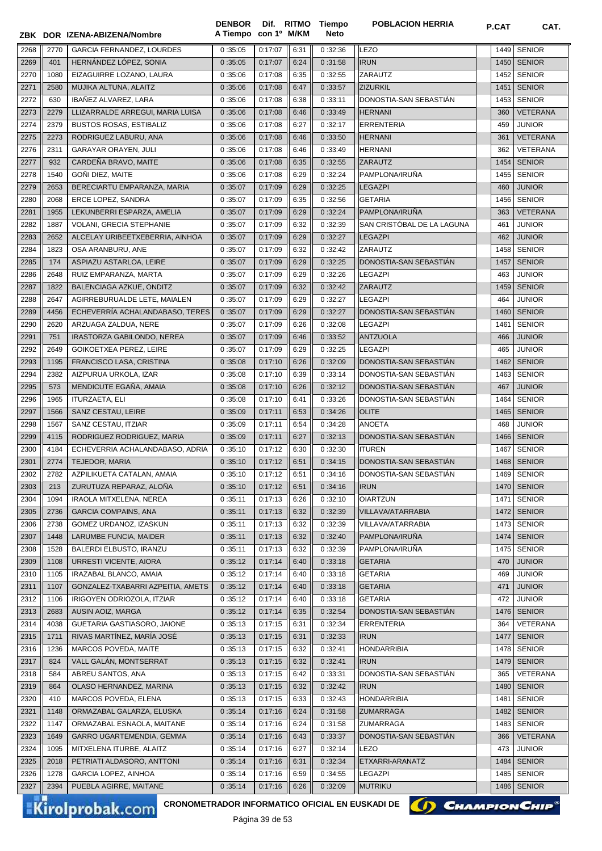|      |      | ZBK DOR IZENA-ABIZENA/Nombre      | A Tiempo con 1º M/KM |         |      | Neto    |                            |      |                 |
|------|------|-----------------------------------|----------------------|---------|------|---------|----------------------------|------|-----------------|
| 2268 | 2770 | <b>GARCIA FERNANDEZ. LOURDES</b>  | 0:35:05              | 0:17:07 | 6:31 | 0:32:36 | <b>LEZO</b>                | 1449 | <b>SENIOR</b>   |
| 2269 | 401  | HERNÁNDEZ LÓPEZ, SONIA            | 0:35:05              | 0:17:07 | 6:24 | 0:31:58 | <b>IRUN</b>                | 1450 | <b>SENIOR</b>   |
| 2270 | 1080 | EIZAGUIRRE LOZANO, LAURA          | 0:35:06              | 0:17:08 | 6:35 | 0:32:55 | ZARAUTZ                    | 1452 | <b>SENIOR</b>   |
| 2271 | 2580 | MUJIKA ALTUNA, ALAITZ             | 0:35:06              | 0:17:08 | 6:47 | 0:33:57 | <b>ZIZURKIL</b>            | 1451 | <b>SENIOR</b>   |
| 2272 | 630  | IBAÑEZ ALVAREZ, LARA              | 0:35:06              | 0:17:08 | 6:38 | 0:33:11 | DONOSTIA-SAN SEBASTIÁN     | 1453 | <b>SENIOR</b>   |
| 2273 | 2279 | LLIZARRALDE ARREGUI, MARIA LUISA  | 0:35:06              | 0:17:08 | 6:46 | 0:33:49 | <b>HERNANI</b>             | 360  | VETERANA        |
| 2274 | 2379 | <b>BUSTOS ROSAS, ESTIBALIZ</b>    | 0:35:06              | 0:17:08 | 6:27 | 0:32:17 | <b>ERRENTERIA</b>          | 459  | <b>JUNIOR</b>   |
| 2275 | 2273 | RODRIGUEZ LABURU, ANA             | 0:35:06              | 0:17:08 | 6:46 | 0:33:50 | <b>HERNANI</b>             | 361  | <b>VETERANA</b> |
| 2276 | 2311 | <b>GARAYAR ORAYEN, JULI</b>       | 0:35:06              | 0:17:08 | 6:46 | 0:33:49 | <b>HERNANI</b>             | 362  | VETERANA        |
| 2277 | 932  | CARDEÑA BRAVO, MAITE              | 0:35:06              | 0:17:08 | 6:35 | 0:32:55 | <b>ZARAUTZ</b>             | 1454 | <b>SENIOR</b>   |
| 2278 | 1540 | GOÑI DIEZ, MAITE                  | 0:35:06              | 0:17:08 | 6:29 | 0:32:24 | PAMPLONA/IRUÑA             | 1455 | <b>SENIOR</b>   |
| 2279 | 2653 | BERECIARTU EMPARANZA, MARIA       | 0:35:07              | 0:17:09 | 6:29 | 0:32:25 | <b>LEGAZPI</b>             | 460  | <b>JUNIOR</b>   |
| 2280 | 2068 | ERCE LOPEZ, SANDRA                | 0:35:07              | 0:17:09 | 6:35 | 0:32:56 | <b>GETARIA</b>             | 1456 | <b>SENIOR</b>   |
| 2281 | 1955 | LEKUNBERRI ESPARZA, AMELIA        | 0:35:07              | 0:17:09 | 6:29 | 0:32:24 | PAMPLONA/IRUÑA             | 363  | <b>VETERANA</b> |
| 2282 | 1887 | VOLANI, GRECIA STEPHANIE          | 0:35:07              | 0:17:09 | 6:32 | 0:32:39 | SAN CRISTÓBAL DE LA LAGUNA | 461  | <b>JUNIOR</b>   |
| 2283 | 2652 | ALCELAY URIBEETXEBERRIA, AINHOA   | 0:35:07              | 0:17:09 | 6:29 | 0:32:27 | <b>LEGAZPI</b>             | 462  | <b>JUNIOR</b>   |
| 2284 | 1823 | OSA ARANBURU, ANE                 | 0:35:07              | 0:17:09 | 6:32 | 0:32:42 | ZARAUTZ                    | 1458 | <b>SENIOR</b>   |
| 2285 | 174  | ASPIAZU ASTARLOA, LEIRE           | 0:35:07              | 0:17:09 | 6:29 | 0:32:25 | DONOSTIA-SAN SEBASTIAN     | 1457 | <b>SENIOR</b>   |
| 2286 | 2648 | RUIZ EMPARANZA, MARTA             | 0:35:07              | 0:17:09 | 6:29 | 0:32:26 | <b>LEGAZPI</b>             | 463  | <b>JUNIOR</b>   |
| 2287 | 1822 | BALENCIAGA AZKUE, ONDITZ          | 0:35:07              | 0:17:09 | 6:32 | 0:32:42 | <b>ZARAUTZ</b>             | 1459 | <b>SENIOR</b>   |
| 2288 | 2647 | AGIRREBURUALDE LETE, MAIALEN      | 0:35:07              | 0:17:09 | 6:29 | 0:32:27 | LEGAZPI                    | 464  | <b>JUNIOR</b>   |
| 2289 | 4456 | ECHEVERRÍA ACHALANDABASO, TERES   | 0:35:07              | 0:17:09 | 6:29 | 0:32:27 | DONOSTIA-SAN SEBASTIÁN     | 1460 | <b>SENIOR</b>   |
| 2290 | 2620 | ARZUAGA ZALDUA, NERE              | 0:35:07              | 0:17:09 | 6:26 | 0:32:08 | <b>LEGAZPI</b>             | 1461 | <b>SENIOR</b>   |
| 2291 | 751  | IRASTORZA GABILONDO, NEREA        | 0:35:07              | 0:17:09 | 6:46 | 0:33:52 | <b>ANTZUOLA</b>            | 466  | <b>JUNIOR</b>   |
| 2292 | 2649 | <b>GOIKOETXEA PEREZ, LEIRE</b>    | 0:35:07              | 0:17:09 | 6:29 | 0:32:25 | <b>LEGAZPI</b>             | 465  | <b>JUNIOR</b>   |
| 2293 | 1195 | FRANCISCO LASA, CRISTINA          | 0:35:08              | 0:17:10 | 6:26 | 0:32:09 | DONOSTIA-SAN SEBASTIÁN     | 1462 | <b>SENIOR</b>   |
| 2294 | 2382 | AIZPURUA URKOLA, IZAR             | 0:35:08              | 0:17:10 | 6:39 | 0:33:14 | DONOSTIA-SAN SEBASTIÁN     | 1463 | <b>SENIOR</b>   |
| 2295 | 573  | MENDICUTE EGAÑA, AMAIA            | 0:35:08              | 0:17:10 | 6:26 | 0:32:12 | DONOSTIA-SAN SEBASTIÁN     | 467  | <b>JUNIOR</b>   |
| 2296 | 1965 | <b>ITURZAETA, ELI</b>             | 0:35:08              | 0:17:10 | 6:41 | 0:33:26 | DONOSTIA-SAN SEBASTIAN     | 1464 | <b>SENIOR</b>   |
| 2297 | 1566 | SANZ CESTAU, LEIRE                | 0:35:09              | 0:17:11 | 6:53 | 0:34:26 | <b>OLITE</b>               | 1465 | <b>SENIOR</b>   |
| 2298 | 1567 | SANZ CESTAU, ITZIAR               | 0:35:09              | 0:17:11 | 6:54 | 0:34:28 | <b>ANOETA</b>              | 468  | <b>JUNIOR</b>   |
| 2299 | 4115 | RODRIGUEZ RODRIGUEZ, MARIA        | 0:35:09              | 0:17:11 | 6:27 | 0:32:13 | DONOSTIA-SAN SEBASTIÁN     | 1466 | <b>SENIOR</b>   |
| 2300 | 4184 | ECHEVERRIA ACHALANDABASO, ADRIA   | 0:35:10              | 0:17:12 | 6:30 | 0:32:30 | <b>ITUREN</b>              | 1467 | <b>SENIOR</b>   |
| 2301 | 2774 | TEJEDOR, MARIA                    | 0:35:10              | 0:17:12 | 6:51 | 0:34:15 | DONOSTIA-SAN SEBASTIÁN     | 1468 | <b>SENIOR</b>   |
| 2302 | 2782 | AZPILIKUETA CATALAN, AMAIA        | 0:35:10              | 0:17:12 | 6:51 | 0:34:16 | DONOSTIA-SAN SEBASTIAN     | 1469 | <b>SENIOR</b>   |
| 2303 | 213  | ZURUTUZA REPARAZ, ALOÑA           | 0:35:10              | 0:17:12 | 6:51 | 0:34:16 | <b>IRUN</b>                |      | 1470   SENIOR   |
| 2304 | 1094 | IRAOLA MITXELENA, NEREA           | 0:35:11              | 0:17:13 | 6:26 | 0:32:10 | <b>OIARTZUN</b>            | 1471 | <b>SENIOR</b>   |
| 2305 | 2736 | <b>GARCIA COMPAINS, ANA</b>       | 0:35:11              | 0:17:13 | 6:32 | 0:32:39 | VILLAVA/ATARRABIA          | 1472 | <b>SENIOR</b>   |
| 2306 | 2738 | GOMEZ URDANOZ, IZASKUN            | 0:35:11              | 0:17:13 | 6:32 | 0:32:39 | VILLAVA/ATARRABIA          | 1473 | <b>SENIOR</b>   |
| 2307 | 1448 | LARUMBE FUNCIA, MAIDER            | 0:35:11              | 0:17:13 | 6:32 | 0:32:40 | PAMPLONA/IRUÑA             | 1474 | <b>SENIOR</b>   |
| 2308 | 1528 | BALERDI ELBUSTO, IRANZU           | 0:35:11              | 0:17:13 | 6:32 | 0:32:39 | PAMPLONA/IRUÑA             | 1475 | <b>SENIOR</b>   |
| 2309 | 1108 | URRESTI VICENTE, AIORA            | 0:35:12              | 0:17:14 | 6:40 | 0:33:18 | <b>GETARIA</b>             | 470  | <b>JUNIOR</b>   |
| 2310 | 1105 | IRAZABAL BLANCO, AMAIA            | 0:35:12              | 0:17:14 | 6:40 | 0:33:18 | <b>GETARIA</b>             | 469  | <b>JUNIOR</b>   |
| 2311 | 1107 | GONZALEZ-TXABARRI AZPEITIA, AMETS | 0:35:12              | 0:17:14 | 6:40 | 0:33:18 | <b>GETARIA</b>             | 471  | <b>JUNIOR</b>   |
| 2312 | 1106 | IRIGOYEN ODRIOZOLA, ITZIAR        | 0:35:12              | 0:17:14 | 6:40 | 0:33:18 | GETARIA                    | 472  | <b>JUNIOR</b>   |
| 2313 | 2683 | AUSIN AOIZ, MARGA                 | 0:35:12              | 0:17:14 | 6:35 | 0:32:54 | DONOSTIA-SAN SEBASTIAN     | 1476 | <b>SENIOR</b>   |
| 2314 | 4038 | GUETARIA GASTIASORO, JAIONE       | 0:35:13              | 0:17:15 | 6:31 | 0:32:34 | ERRENTERIA                 | 364  | VETERANA        |
| 2315 | 1711 | RIVAS MARTÍNEZ, MARÍA JOSÉ        | 0:35:13              | 0:17:15 | 6:31 | 0:32:33 | <b>IRUN</b>                | 1477 | <b>SENIOR</b>   |
| 2316 | 1236 | MARCOS POVEDA, MAITE              | 0:35:13              | 0:17:15 | 6:32 | 0:32:41 | <b>HONDARRIBIA</b>         | 1478 | <b>SENIOR</b>   |
| 2317 | 824  | VALL GALÁN, MONTSERRAT            | 0:35:13              | 0:17:15 | 6:32 | 0:32:41 | <b>IRUN</b>                | 1479 | <b>SENIOR</b>   |
| 2318 | 584  | ABREU SANTOS, ANA                 | 0:35:13              | 0:17:15 | 6:42 | 0:33:31 | DONOSTIA-SAN SEBASTIAN     | 365  | VETERANA        |
| 2319 | 864  | OLASO HERNANDEZ, MARINA           | 0:35:13              | 0:17:15 | 6:32 | 0:32:42 | <b>IRUN</b>                | 1480 | <b>SENIOR</b>   |
| 2320 | 410  | MARCOS POVEDA, ELENA              | 0:35:13              | 0:17:15 | 6:33 | 0:32:43 | HONDARRIBIA                | 1481 | <b>SENIOR</b>   |
| 2321 | 1148 | ORMAZABAL GALARZA, ELUSKA         | 0:35:14              | 0:17:16 | 6:24 | 0:31:58 | <b>ZUMARRAGA</b>           | 1482 | <b>SENIOR</b>   |
| 2322 | 1147 | ORMAZABAL ESNAOLA, MAITANE        | 0:35:14              | 0:17:16 | 6:24 | 0:31:58 | <b>ZUMARRAGA</b>           | 1483 | <b>SENIOR</b>   |
| 2323 | 1649 | GARRO UGARTEMENDIA, GEMMA         | 0:35:14              | 0:17:16 | 6:43 | 0:33:37 | DONOSTIA-SAN SEBASTIAN     | 366  | <b>VETERANA</b> |
| 2324 | 1095 | MITXELENA ITURBE, ALAITZ          | 0:35:14              | 0:17:16 | 6:27 | 0:32:14 | LEZO                       | 473  | <b>JUNIOR</b>   |
| 2325 | 2018 | PETRIATI ALDASORO, ANTTONI        | 0:35:14              | 0:17:16 | 6:31 | 0:32:34 | ETXARRI-ARANATZ            | 1484 | <b>SENIOR</b>   |
| 2326 | 1278 | GARCIA LOPEZ, AINHOA              | 0:35:14              | 0:17:16 | 6:59 | 0:34:55 | LEGAZPI                    | 1485 | <b>SENIOR</b>   |
| 2327 | 2394 | PUEBLA AGIRRE, MAITANE            | 0:35:14              | 0:17:16 | 6:26 | 0:32:09 | MUTRIKU                    | 1486 | <b>SENIOR</b>   |

DENBOR Dif. RITMO Tiempo

Kirolprobak.com

CRONOMETRADOR INFORMATICO OFICIAL EN EUSKADI DE **(A) CHAMPION CHIP<sup>®</sup>** 

Página 39 de 53



**POBLACION HERRIA P.CAT CAT.**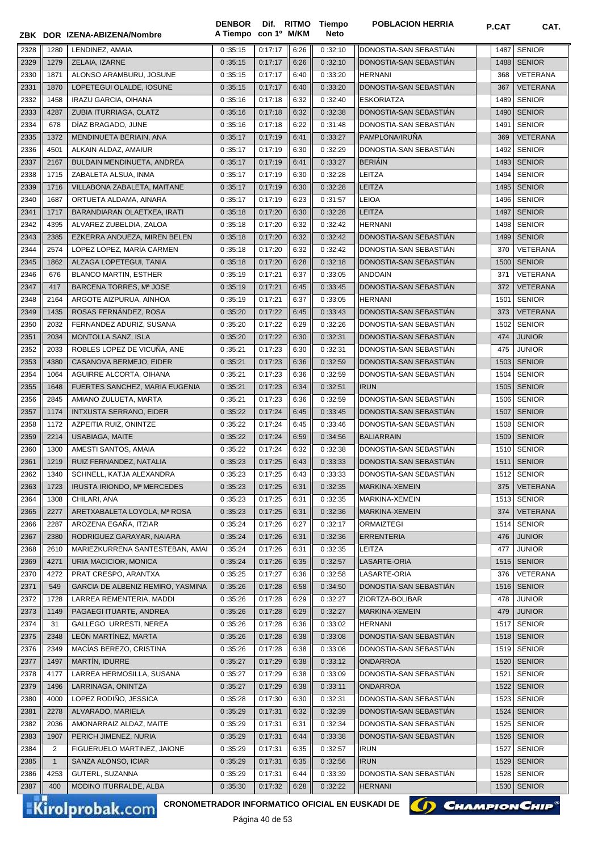|              |              | ZBK DOR IZENA-ABIZENA/Nombre                                              | <b>DENBOR</b><br>A Tiempo con 1º M/KM | Dif. RITMO         |              | <b>Tiempo</b><br>Neto | <b>POBLACION HERRIA</b>                          | P.CAT        | CAT.                           |
|--------------|--------------|---------------------------------------------------------------------------|---------------------------------------|--------------------|--------------|-----------------------|--------------------------------------------------|--------------|--------------------------------|
|              |              |                                                                           |                                       | 0:17:17            |              |                       |                                                  |              | <b>SENIOR</b>                  |
| 2328<br>2329 | 1280<br>1279 | LENDINEZ, AMAIA<br>ZELAIA, IZARNE                                         | 0:35:15<br>0:35:15                    | 0:17:17            | 6:26<br>6:26 | 0:32:10<br>0:32:10    | DONOSTIA-SAN SEBASTIAN<br>DONOSTIA-SAN SEBASTIAN | 1487<br>1488 | <b>SENIOR</b>                  |
| 2330         | 1871         | ALONSO ARAMBURU, JOSUNE                                                   | 0:35:15                               | 0:17:17            | 6:40         | 0:33:20               | <b>HERNANI</b>                                   | 368          | <b>VETERANA</b>                |
| 2331         | 1870         | LOPETEGUI OLALDE, IOSUNE                                                  | 0:35:15                               | 0:17:17            | 6:40         | 0:33:20               | DONOSTIA-SAN SEBASTIÁN                           | 367          | <b>VETERANA</b>                |
| 2332         | 1458         | <b>IRAZU GARCIA, OIHANA</b>                                               | 0:35:16                               | 0:17:18            | 6:32         | 0:32:40               | <b>ESKORIATZA</b>                                | 1489         | <b>SENIOR</b>                  |
| 2333         | 4287         | ZUBIA ITURRIAGA, OLATZ                                                    | 0:35:16                               | 0:17:18            | 6:32         | 0:32:38               | DONOSTIA-SAN SEBASTIAN                           | 1490         | <b>SENIOR</b>                  |
| 2334         | 678          | DÍAZ BRAGADO, JUNE                                                        | 0:35:16                               | 0:17:18            | 6:22         | 0:31:48               | DONOSTIA-SAN SEBASTIAN                           | 1491         | <b>SENIOR</b>                  |
| 2335         | 1372         | MENDINUETA BERIAIN, ANA                                                   | 0:35:17                               | 0:17:19            | 6:41         | 0:33:27               | PAMPLONA/IRUÑA                                   | 369          | <b>VETERANA</b>                |
| 2336         | 4501         | ALKAIN ALDAZ, AMAIUR                                                      | 0:35:17                               | 0:17:19            | 6:30         | 0:32:29               | DONOSTIA-SAN SEBASTIAN                           | 1492         | <b>SENIOR</b>                  |
| 2337         | 2167         | BULDAIN MENDINUETA, ANDREA                                                | 0:35:17                               | 0:17:19            | 6:41         | 0:33:27               | <b>BERIAIN</b>                                   | 1493         | <b>SENIOR</b>                  |
| 2338         | 1715         | ZABALETA ALSUA, INMA                                                      | 0:35:17                               | 0:17:19            | 6:30         | 0:32:28               | LEITZA                                           | 1494         | <b>SENIOR</b>                  |
| 2339         | 1716         | VILLABONA ZABALETA, MAITANE                                               | 0:35:17                               | 0:17:19            | 6:30         | 0:32:28               | <b>LEITZA</b>                                    | 1495         | <b>SENIOR</b>                  |
| 2340         | 1687         | ORTUETA ALDAMA, AINARA                                                    | 0:35:17                               | 0:17:19            | 6:23         | 0:31:57               | <b>LEIOA</b>                                     | 1496         | <b>SENIOR</b>                  |
| 2341         | 1717         | BARANDIARAN OLAETXEA, IRATI                                               | 0:35:18                               | 0:17:20            | 6:30         | 0:32:28               | <b>LEITZA</b>                                    | 1497         | <b>SENIOR</b>                  |
| 2342         | 4395         | ALVAREZ ZUBELDIA, ZALOA                                                   | 0:35:18                               | 0:17:20            | 6:32         | 0:32:42               | <b>HERNANI</b>                                   | 1498         | <b>SENIOR</b>                  |
| 2343         | 2385         | EZKERRA ANDUEZA, MIREN BELEN                                              | 0:35:18                               | 0:17:20            | 6:32         | 0:32:42               | DONOSTIA-SAN SEBASTIÁN                           | 1499         | <b>SENIOR</b>                  |
| 2344         | 2574         | LÓPEZ LÓPEZ, MARÍA CARMEN                                                 | 0:35:18                               | 0:17:20            | 6:32         | 0:32:42               | DONOSTIA-SAN SEBASTIAN                           | 370          | VETERANA                       |
| 2345         | 1862         | ALZAGA LOPETEGUI, TANIA                                                   | 0:35:18                               | 0:17:20            | 6:28         | 0:32:18               | DONOSTIA-SAN SEBASTIAN                           | 1500         | <b>SENIOR</b>                  |
| 2346         | 676          | <b>BLANCO MARTIN, ESTHER</b>                                              | 0:35:19                               | 0:17:21            | 6:37         | 0:33:05               | <b>ANDOAIN</b>                                   | 371          | VETERANA                       |
| 2347         | 417          | BARCENA TORRES, Mª JOSE                                                   | 0:35:19                               | 0:17:21            | 6:45         | 0:33:45               | DONOSTIA-SAN SEBASTIAN                           | 372          | <b>VETERANA</b>                |
| 2348         | 2164         | ARGOTE AIZPURUA, AINHOA                                                   | 0:35:19                               | 0:17:21            | 6:37         | 0:33:05               | <b>HERNANI</b>                                   | 1501         | <b>SENIOR</b>                  |
| 2349         | 1435         | ROSAS FERNÁNDEZ, ROSA                                                     | 0:35:20                               | 0:17:22            | 6:45         | 0:33:43               | DONOSTIA-SAN SEBASTIAN                           | 373          | <b>VETERANA</b>                |
| 2350         | 2032         | FERNANDEZ ADURIZ, SUSANA                                                  | 0:35:20                               | 0:17:22            | 6:29         | 0:32:26               | DONOSTIA-SAN SEBASTIAN                           | 1502         | <b>SENIOR</b>                  |
| 2351         | 2034         | MONTOLLA SANZ, ISLA                                                       | 0:35:20                               | 0:17:22            | 6:30         | 0:32:31               | DONOSTIA-SAN SEBASTIAN                           | 474          | <b>JUNIOR</b>                  |
| 2352         | 2033         | ROBLES LOPEZ DE VICUÑA, ANE                                               | 0:35:21                               | 0:17:23            | 6:30         | 0:32:31               | DONOSTIA-SAN SEBASTIAN                           | 475          | <b>JUNIOR</b>                  |
| 2353         | 4380         | CASANOVA BERMEJO, EIDER                                                   | 0:35:21                               | 0:17:23            | 6:36         | 0:32:59               | DONOSTIA-SAN SEBASTIAN                           | 1503         | <b>SENIOR</b>                  |
| 2354         | 1064         | AGUIRRE ALCORTA, OIHANA                                                   | 0:35:21                               | 0:17:23            | 6:36         | 0:32:59               | DONOSTIA-SAN SEBASTIAN                           | 1504         | <b>SENIOR</b>                  |
| 2355         | 1648         | FUERTES SANCHEZ, MARIA EUGENIA                                            | 0:35:21                               | 0:17:23            | 6:34         | 0:32:51               | <b>IRUN</b>                                      | 1505         | <b>SENIOR</b>                  |
| 2356         | 2845         | AMIANO ZULUETA, MARTA                                                     | 0:35:21                               | 0:17:23            | 6:36         | 0:32:59               | DONOSTIA-SAN SEBASTIAN                           | 1506         | <b>SENIOR</b>                  |
| 2357         | 1174         | <b>INTXUSTA SERRANO, EIDER</b>                                            | 0:35:22                               | 0:17:24            | 6:45         | 0:33:45               | DONOSTIA-SAN SEBASTIÁN                           | 1507         | <b>SENIOR</b>                  |
| 2358         | 1172         | AZPEITIA RUIZ, ONINTZE                                                    | 0:35:22                               | 0:17:24            | 6:45         | 0:33:46               | DONOSTIA-SAN SEBASTIAN                           | 1508         | <b>SENIOR</b>                  |
| 2359         | 2214         | <b>USABIAGA, MAITE</b>                                                    | 0:35:22                               | 0:17:24            | 6:59         | 0:34:56               | <b>BALIARRAIN</b>                                | 1509         | <b>SENIOR</b>                  |
| 2360         | 1300<br>1219 | AMESTI SANTOS, AMAIA<br>RUIZ FERNANDEZ, NATALIA                           | 0:35:22<br>0:35:23                    | 0:17:24<br>0:17:25 | 6:32         | 0:32:38<br>0:33:33    | DONOSTIA-SAN SEBASTIÁN<br>DONOSTIA-SAN SEBASTIÁN | 1510         | <b>SENIOR</b><br><b>SENIOR</b> |
| 2361<br>2362 | 1340         | SCHNELL, KATJA ALEXANDRA                                                  | 0:35:23                               | 0:17:25            | 6:43<br>6:43 | 0:33:33               | DONOSTIA-SAN SEBASTIÁN                           | 1511         | 1512 SENIOR                    |
| 2363         | 1723         | IRUSTA IRIONDO, Mª MERCEDES                                               | 0:35:23                               | 0:17:25            | 6:31         | 0:32:35               | MARKINA-XEMEIN                                   | 375          | VETERANA                       |
| 2364         | 1308         | CHILARI, ANA                                                              | 0:35:23                               | 0:17:25            | 6:31         | 0:32:35               | MARKINA-XEMEIN                                   | 1513         | <b>SENIOR</b>                  |
| 2365         | 2277         | ARETXABALETA LOYOLA, Mª ROSA                                              | 0:35:23                               | 0:17:25            | 6:31         | 0:32:36               | MARKINA-XEMEIN                                   | 374          | VETERANA                       |
| 2366         | 2287         | AROZENA EGAÑA, ITZIAR                                                     | 0:35:24                               | 0:17:26            | 6:27         | 0:32:17               | ORMAIZTEGI                                       | 1514         | <b>SENIOR</b>                  |
| 2367         | 2380         | RODRIGUEZ GARAYAR, NAIARA                                                 | 0:35:24                               | 0:17:26            | 6:31         | 0:32:36               | <b>ERRENTERIA</b>                                | 476          | <b>JUNIOR</b>                  |
| 2368         | 2610         | MARIEZKURRENA SANTESTEBAN, AMAI                                           | 0:35:24                               | 0:17:26            | 6:31         | 0:32:35               | LEITZA                                           | 477          | <b>JUNIOR</b>                  |
| 2369         | 4271         | URIA MACICIOR, MONICA                                                     | 0:35:24                               | 0:17:26            | 6:35         | 0:32:57               | LASARTE-ORIA                                     | 1515         | <b>SENIOR</b>                  |
| 2370         | 4272         | PRAT CRESPO, ARANTXA                                                      | 0:35:25                               | 0:17:27            | 6:36         | 0:32:58               | LASARTE-ORIA                                     | 376          | VETERANA                       |
| 2371         | 549          | GARCIA DE ALBENIZ REMIRO, YASMINA                                         | 0:35:26                               | 0:17:28            | 6:58         | 0:34:50               | DONOSTIA-SAN SEBASTIAN                           | 1516         | <b>SENIOR</b>                  |
| 2372         | 1728         | LARREA REMENTERIA, MADDI                                                  | 0:35:26                               | 0:17:28            | 6:29         | 0:32:27               | ZIORTZA-BOLIBAR                                  | 478          | <b>JUNIOR</b>                  |
| 2373         | 1149         | PAGAEGI ITUARTE, ANDREA                                                   | 0:35:26                               | 0:17:28            | 6:29         | 0:32:27               | MARKINA-XEMEIN                                   | 479          | <b>JUNIOR</b>                  |
| 2374         | 31           | GALLEGO URRESTI, NEREA                                                    | 0:35:26                               | 0:17:28            | 6:36         | 0:33:02               | <b>HERNANI</b>                                   | 1517         | <b>SENIOR</b>                  |
| 2375         | 2348         | LEÓN MARTÍNEZ, MARTA                                                      | 0:35:26                               | 0:17:28            | 6:38         | 0:33:08               | DONOSTIA-SAN SEBASTIAN                           | 1518         | <b>SENIOR</b>                  |
| 2376         | 2349         | MACÍAS BEREZO, CRISTINA                                                   | 0:35:26                               | 0:17:28            | 6:38         | 0:33:08               | DONOSTIA-SAN SEBASTIAN                           | 1519         | <b>SENIOR</b>                  |
| 2377         | 1497         | MARTÍN, IDURRE                                                            | 0:35:27                               | 0:17:29            | 6:38         | 0:33:12               | <b>ONDARROA</b>                                  | 1520         | <b>SENIOR</b>                  |
| 2378         | 4177         | LARREA HERMOSILLA, SUSANA                                                 | 0:35:27                               | 0:17:29            | 6:38         | 0:33:09               | DONOSTIA-SAN SEBASTIAN                           | 1521         | <b>SENIOR</b>                  |
| 2379         | 1496         | LARRINAGA, ONINTZA                                                        | 0:35:27                               | 0:17:29            | 6:38         | 0:33:11               | <b>ONDARROA</b>                                  | 1522         | <b>SENIOR</b>                  |
| 2380         | 4000         | LOPEZ RODIÑO, JESSICA                                                     | 0:35:28                               | 0:17:30            | 6:30         | 0:32:31               | DONOSTIA-SAN SEBASTIÁN                           | 1523         | <b>SENIOR</b>                  |
| 2381         | 2278         | ALVARADO, MARIELA                                                         | 0:35:29                               | 0:17:31            | 6:32         | 0:32:39               | DONOSTIA-SAN SEBASTIAN                           | 1524         | <b>SENIOR</b>                  |
| 2382         | 2036         | AMONARRAIZ ALDAZ, MAITE                                                   | 0:35:29                               | 0:17:31            | 6:31         | 0:32:34               | DONOSTIA-SAN SEBASTIAN                           | 1525         | <b>SENIOR</b>                  |
| 2383         | 1907         | PERICH JIMENEZ, NURIA                                                     | 0:35:29                               | 0:17:31            | 6:44         | 0:33:38               | DONOSTIA-SAN SEBASTIAN                           | 1526         | <b>SENIOR</b>                  |
| 2384         | 2            | FIGUERUELO MARTINEZ, JAIONE                                               | 0:35:29                               | 0:17:31            | 6:35         | 0:32:57               | <b>IRUN</b>                                      | 1527         | <b>SENIOR</b>                  |
| 2385         | $\mathbf{1}$ | SANZA ALONSO, ICIAR                                                       | 0:35:29                               | 0:17:31            | 6:35         | 0:32:56               | <b>IRUN</b>                                      | 1529         | <b>SENIOR</b>                  |
| 2386         | 4253         | GUTERL, SUZANNA                                                           | 0:35:29                               | 0:17:31            | 6:44         | 0:33:39               | DONOSTIA-SAN SEBASTIAN                           | 1528         | <b>SENIOR</b>                  |
| 2387         | 400          | MODINO ITURRALDE, ALBA                                                    | 0:35:30                               | 0:17:32            | 6:28         | 0:32:22               | <b>HERNANI</b>                                   | 1530         | <b>SENIOR</b>                  |
|              |              | CRONOMETRADOR INFORMATICO OFICIAL EN EUSKADI DE<br><b>Kirolprobak.com</b> |                                       | $D2 = 40$ de $E2$  |              |                       | () CHAMPION CHIP                                 |              |                                |



Página 40 de 53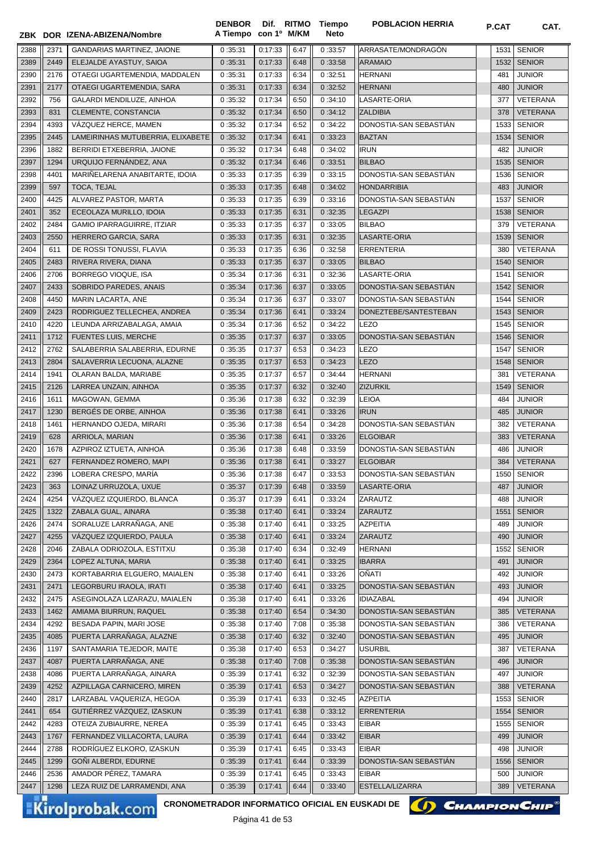|              |             | ZBK DOR IZENA-ABIZENA/Nombre                            | <b>DENBOR</b><br>A Tiempo | con 1º M/KM        |              | Dif. RITMO Tiempo<br>Neto | <b>POBLACION HERRIA</b>                   | <b>P.CAT</b> | CAT.                           |
|--------------|-------------|---------------------------------------------------------|---------------------------|--------------------|--------------|---------------------------|-------------------------------------------|--------------|--------------------------------|
| 2388         | 2371        | <b>GANDARIAS MARTINEZ, JAIONE</b>                       | 0:35:31                   | 0:17:33            | 6:47         | 0:33:57                   | ARRASATE/MONDRAGON                        | 1531         | <b>SENIOR</b>                  |
| 2389         | 2449        | ELEJALDE AYASTUY, SAIOA                                 | 0:35:31                   | 0:17:33            | 6:48         | 0:33:58                   | <b>ARAMAIO</b>                            | 1532         | <b>SENIOR</b>                  |
| 2390         | 2176        | OTAEGI UGARTEMENDIA. MADDALEN                           | 0:35:31                   | 0:17:33            | 6:34         | 0:32:51                   | <b>HERNANI</b>                            | 481          | <b>JUNIOR</b>                  |
| 2391         | 2177        | OTAEGI UGARTEMENDIA, SARA                               | 0:35:31                   | 0:17:33            | 6:34         | 0:32:52                   | <b>HERNANI</b>                            | 480          | <b>JUNIOR</b>                  |
| 2392         | 756         | GALARDI MENDILUZE, AINHOA                               | 0:35:32                   | 0:17:34            | 6:50         | 0:34:10                   | LASARTE-ORIA                              | 377          | VETERANA                       |
| 2393         | 831         | CLEMENTE, CONSTANCIA                                    | 0:35:32                   | 0:17:34            | 6:50         | 0:34:12                   | <b>ZALDIBIA</b>                           | 378          | <b>VETERANA</b>                |
| 2394         | 4393        | VÁZQUEZ HERCE, MAMEN                                    | 0:35:32                   | 0:17:34            | 6:52         | 0:34:22                   | DONOSTIA-SAN SEBASTIAN                    | 1533         | <b>SENIOR</b>                  |
| 2395         | 2445        | LAMEIRINHAS MUTUBERRIA, ELIXABETE                       | 0:35:32                   | 0:17:34            | 6:41         | 0:33:23                   | <b>BAZTAN</b>                             | 1534         | <b>SENIOR</b>                  |
| 2396         | 1882        | BERRIDI ETXEBERRIA, JAIONE                              | 0:35:32                   | 0:17:34            | 6:48         | 0:34:02                   | <b>IRUN</b>                               | 482          | <b>JUNIOR</b>                  |
| 2397         | 1294        | URQUIJO FERNÁNDEZ, ANA                                  | 0:35:32                   | 0:17:34            | 6:46         | 0:33:51                   | <b>BILBAO</b>                             | 1535         | <b>SENIOR</b>                  |
| 2398         | 4401        | MARIÑELARENA ANABITARTE, IDOIA                          | 0:35:33                   | 0:17:35            | 6:39         | 0:33:15                   | DONOSTIA-SAN SEBASTIÁN                    | 1536         | <b>SENIOR</b>                  |
| 2399         | 597         | TOCA, TEJAL                                             | 0:35:33                   | 0:17:35            | 6:48         | 0:34:02                   | <b>HONDARRIBIA</b>                        | 483          | <b>JUNIOR</b>                  |
| 2400         | 4425        | ALVAREZ PASTOR, MARTA                                   | 0:35:33                   | 0:17:35            | 6:39         | 0:33:16                   | DONOSTIA-SAN SEBASTIAN                    | 1537         | <b>SENIOR</b>                  |
| 2401         | 352         | ECEOLAZA MURILLO, IDOIA                                 | 0:35:33                   | 0:17:35            | 6:31         | 0:32:35                   | <b>LEGAZPI</b>                            | 1538         | <b>SENIOR</b>                  |
| 2402         | 2484        | GAMIO IPARRAGUIRRE, ITZIAR                              | 0:35:33                   | 0:17:35            | 6:37         | 0:33:05                   | <b>BILBAO</b>                             | 379          | <b>VETERANA</b>                |
| 2403         | 2550        | HERRERO GARCIA, SARA                                    | 0:35:33                   | 0:17:35            | 6:31         | 0:32:35                   | LASARTE-ORIA                              | 1539         | <b>SENIOR</b>                  |
| 2404         | 611         | DE ROSSI TONUSSI, FLAVIA                                | 0:35:33                   | 0:17:35            | 6:36         | 0:32:58                   | ERRENTERIA                                | 380          | <b>VETERANA</b>                |
| 2405         | 2483        | RIVERA RIVERA, DIANA                                    | 0:35:33                   | 0:17:35            | 6:37         | 0:33:05                   | <b>BILBAO</b>                             | 1540         | <b>SENIOR</b>                  |
| 2406         | 2706        | BORREGO VIOQUE, ISA                                     | 0:35:34                   | 0:17:36            | 6:31         | 0:32:36                   | LASARTE-ORIA                              | 1541         | <b>SENIOR</b>                  |
| 2407         | 2433        | SOBRIDO PAREDES, ANAIS                                  | 0:35:34                   | 0:17:36            | 6:37         | 0:33:05                   | DONOSTIA-SAN SEBASTIÁN                    | 1542         | <b>SENIOR</b>                  |
| 2408         | 4450        | MARIN LACARTA, ANE                                      | 0:35:34                   | 0:17:36            | 6:37         | 0:33:07                   | DONOSTIA-SAN SEBASTIÁN                    | 1544         | <b>SENIOR</b>                  |
| 2409         | 2423        | RODRIGUEZ TELLECHEA, ANDREA                             | 0:35:34                   | 0:17:36            | 6:41         | 0:33:24                   | DONEZTEBE/SANTESTEBAN                     | 1543         | <b>SENIOR</b>                  |
| 2410         | 4220        | LEUNDA ARRIZABALAGA, AMAIA                              | 0:35:34                   | 0:17:36            | 6:52         | 0:34:22                   | <b>LEZO</b>                               | 1545         | <b>SENIOR</b>                  |
| 2411         | 1712        | <b>FUENTES LUIS, MERCHE</b>                             | 0:35:35                   | 0:17:37            | 6:37         | 0:33:05                   | DONOSTIA-SAN SEBASTIÁN                    | 1546         | <b>SENIOR</b>                  |
| 2412         | 2762        | SALABERRIA SALABERRIA, EDURNE                           | 0:35:35                   | 0:17:37            | 6:53         | 0:34:23                   | <b>LEZO</b>                               | 1547         | <b>SENIOR</b>                  |
| 2413         | 2804        | SALAVERRIA LECUONA, ALAZNE                              | 0:35:35                   | 0:17:37            | 6:53         | 0:34:23                   | <b>LEZO</b>                               | 1548         | <b>SENIOR</b>                  |
| 2414         | 1941        | OLARAN BALDA, MARIABE                                   | 0:35:35                   | 0:17:37            | 6:57         | 0:34:44                   | <b>HERNANI</b>                            | 381          | <b>VETERANA</b>                |
| 2415         | 2126        | LARREA UNZAIN, AINHOA                                   | 0:35:35                   | 0:17:37            | 6:32         | 0:32:40                   | <b>ZIZURKIL</b>                           | 1549         | <b>SENIOR</b>                  |
| 2416         | 1611        | MAGOWAN, GEMMA                                          | 0:35:36                   | 0:17:38            | 6:32         | 0:32:39                   | <b>LEIOA</b>                              | 484          | <b>JUNIOR</b>                  |
| 2417         | 1230        | BERGÉS DE ORBE, AINHOA<br>HERNANDO OJEDA, MIRARI        | 0:35:36                   | 0:17:38            | 6:41         | 0:33:26                   | <b>IRUN</b>                               | 485          | <b>JUNIOR</b>                  |
| 2418<br>2419 | 1461<br>628 | ARRIOLA, MARIAN                                         | 0:35:36<br>0:35:36        | 0:17:38<br>0:17:38 | 6:54<br>6:41 | 0:34:28<br>0:33:26        | DONOSTIA-SAN SEBASTIAN<br><b>ELGOIBAR</b> | 382<br>383   | VETERANA<br><b>VETERANA</b>    |
| 2420         | 1678        | AZPIROZ IZTUETA, AINHOA                                 | 0:35:36                   | 0:17:38            | 6:48         | 0:33:59                   | DONOSTIA-SAN SEBASTIAN                    | 486          | <b>JUNIOR</b>                  |
| 2421         | 627         | FERNANDEZ ROMERO, MAPI                                  | 0:35:36                   | 0:17:38            | 6:41         | 0:33:27                   | <b>ELGOIBAR</b>                           | 384          | <b>VETERANA</b>                |
| 2422         | 2396        | LOBERA CRESPO, MARIA                                    | 0 :35:36                  | 0:17:38            | 6:47         | 0:33:53                   | DONOSTIA-SAN SEBASTIAN                    | 1550         | <b>SENIOR</b>                  |
| 2423         | 363         | LOINAZ URRUZOLA, UXUE                                   | 0:35:37                   | 0:17:39            | 6:48         | 0:33:59                   | LASARTE-ORIA                              | 487          | <b>JUNIOR</b>                  |
| 2424         | 4254        | VÁZQUEZ IZQUIERDO, BLANCA                               | 0:35:37                   | 0:17:39            | 6:41         | 0:33:24                   | ZARAUTZ                                   | 488          | <b>JUNIOR</b>                  |
| 2425         | 1322        | ZABALA GUAL, AINARA                                     | 0:35:38                   | 0:17:40            | 6:41         | 0:33:24                   | ZARAUTZ                                   | 1551         | <b>SENIOR</b>                  |
| 2426         | 2474        | SORALUZE LARRAÑAGA, ANE                                 | 0:35:38                   | 0:17:40            | 6:41         | 0:33:25                   | AZPEITIA                                  | 489          | <b>JUNIOR</b>                  |
| 2427         | 4255        | VÁZQUEZ IZQUIERDO, PAULA                                | 0:35:38                   | 0:17:40            | 6:41         | 0:33:24                   | ZARAUTZ                                   | 490          | <b>JUNIOR</b>                  |
| 2428         | 2046        | ZABALA ODRIOZOLA, ESTITXU                               | 0:35:38                   | 0:17:40            | 6:34         | 0:32:49                   | <b>HERNANI</b>                            | 1552         | <b>SENIOR</b>                  |
| 2429         | 2364        | LOPEZ ALTUNA, MARIA                                     | 0:35:38                   | 0:17:40            | 6:41         | 0:33:25                   | <b>IBARRA</b>                             | 491          | <b>JUNIOR</b>                  |
| 2430         | 2473        | KORTABARRIA ELGUERO, MAIALEN                            | 0:35:38                   | 0:17:40            | 6:41         | 0:33:26                   | OÑATI                                     | 492          | <b>JUNIOR</b>                  |
| 2431         | 2471        | LEGORBURU IRAOLA, IRATI                                 | 0:35:38                   | 0:17:40            | 6:41         | 0:33:25                   | DONOSTIA-SAN SEBASTIAN                    | 493          | <b>JUNIOR</b>                  |
| 2432         | 2475        | ASEGINOLAZA LIZARAZU. MAIALEN                           | 0:35:38                   | 0:17:40            | 6:41         | 0:33:26                   | <b>IDIAZABAL</b>                          | 494          | <b>JUNIOR</b>                  |
| 2433         | 1462        | AMIAMA BIURRUN, RAQUEL                                  | 0:35:38                   | 0:17:40            | 6:54         | 0:34:30                   | DONOSTIA-SAN SEBASTIÁN                    | 385          | <b>VETERANA</b>                |
| 2434         | 4292        | BESADA PAPIN, MARI JOSE                                 | 0:35:38                   | 0:17:40            | 7:08         | 0:35:38                   | DONOSTIA-SAN SEBASTIAN                    | 386          | VETERANA                       |
| 2435         | 4085        | PUERTA LARRAÑAGA, ALAZNE                                | 0:35:38                   | 0:17:40            | 6:32         | 0:32:40                   | DONOSTIA-SAN SEBASTIAN                    | 495          | <b>JUNIOR</b>                  |
| 2436         | 1197        | SANTAMARIA TEJEDOR, MAITE                               | 0:35:38                   | 0:17:40            | 6:53         | 0:34:27                   | <b>USURBIL</b>                            | 387          | VETERANA                       |
| 2437         | 4087        | PUERTA LARRAÑAGA, ANE                                   | 0:35:38                   | 0:17:40            | 7:08         | 0:35:38                   | DONOSTIA-SAN SEBASTIÁN                    | 496          | <b>JUNIOR</b>                  |
| 2438         | 4086        | PUERTA LARRAÑAGA, AINARA                                | 0:35:39                   | 0:17:41            | 6:32         | 0:32:39                   | DONOSTIA-SAN SEBASTIAN                    | 497          | <b>JUNIOR</b>                  |
| 2439<br>2440 | 4252        | AZPILLAGA CARNICERO, MIREN                              | 0:35:39                   | 0:17:41<br>0:17:41 | 6:53         | 0:34:27                   | DONOSTIA-SAN SEBASTIAN                    | 388          | <b>VETERANA</b>                |
| 2441         | 2817<br>654 | LARZABAL VAQUERIZA, HEGOA<br>GUTIÉRREZ VÁZQUEZ, IZASKUN | 0:35:39<br>0:35:39        | 0:17:41            | 6:33<br>6:38 | 0:32:45<br>0:33:12        | AZPEITIA<br><b>ERRENTERIA</b>             | 1553<br>1554 | <b>SENIOR</b><br><b>SENIOR</b> |
| 2442         | 4283        | OTEIZA ZUBIAURRE, NEREA                                 | 0:35:39                   | 0:17:41            | 6:45         | 0:33:43                   | <b>EIBAR</b>                              | 1555         | <b>SENIOR</b>                  |
| 2443         | 1767        | FERNANDEZ VILLACORTA, LAURA                             | 0:35:39                   | 0:17:41            | 6:44         | 0:33:42                   | <b>EIBAR</b>                              | 499          | <b>JUNIOR</b>                  |
| 2444         | 2788        | RODRÍGUEZ ELKORO, IZASKUN                               | 0:35:39                   | 0:17:41            | 6:45         | 0:33:43                   | EIBAR                                     | 498          | <b>JUNIOR</b>                  |
| 2445         | 1299        | GOÑI ALBERDI, EDURNE                                    | 0:35:39                   | 0:17:41            | 6:44         | 0:33:39                   | DONOSTIA-SAN SEBASTIAN                    | 1556         | <b>SENIOR</b>                  |
| 2446         | 2536        | AMADOR PÉREZ, TAMARA                                    | 0:35:39                   | 0:17:41            | 6:45         | 0:33:43                   | EIBAR                                     | 500          | <b>JUNIOR</b>                  |
| 2447         | 1298        | LEZA RUIZ DE LARRAMENDI, ANA                            | 0:35:39                   | 0:17:41            | 6:44         | 0:33:40                   | ESTELLA/LIZARRA                           | 389          | <b>VETERANA</b>                |

CRONOMETRADOR INFORMATICO OFICIAL EN EUSKADI DE **(1) CHAMPION CHIP**<sup>®</sup>

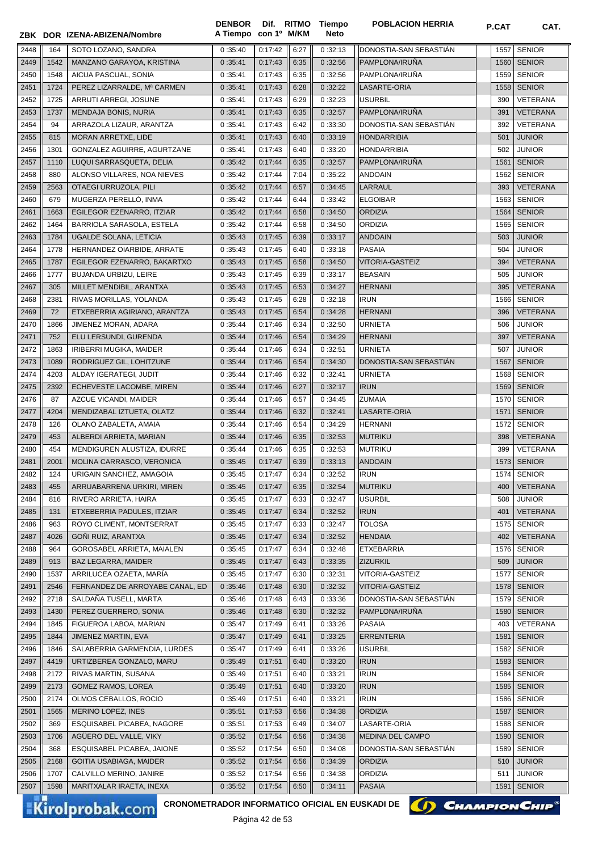|      |      | ZBK DOR IZENA-ABIZENA/Nombre    | <b>DENBOR</b><br>A Tiempo | con 1º M/KM |      | Dif. RITMO Tiempo<br>Neto | <b>POBLACION HERRIA</b> | <b>P.CAT</b> | CAT.            |
|------|------|---------------------------------|---------------------------|-------------|------|---------------------------|-------------------------|--------------|-----------------|
| 2448 | 164  | SOTO LOZANO, SANDRA             | 0:35:40                   | 0:17:42     | 6:27 | 0:32:13                   | DONOSTIA-SAN SEBASTIAN  | 1557         | <b>SENIOR</b>   |
| 2449 | 1542 | MANZANO GARAYOA, KRISTINA       | 0:35:41                   | 0:17:43     | 6:35 | 0:32:56                   | PAMPLONA/IRUÑA          | 1560         | <b>SENIOR</b>   |
| 2450 | 1548 | AICUA PASCUAL, SONIA            | 0:35:41                   | 0:17:43     | 6:35 | 0:32:56                   | PAMPLONA/IRUÑA          | 1559         | <b>SENIOR</b>   |
| 2451 | 1724 | PEREZ LIZARRALDE, Mª CARMEN     | 0:35:41                   | 0:17:43     | 6:28 | 0:32:22                   | LASARTE-ORIA            | 1558         | <b>SENIOR</b>   |
| 2452 | 1725 | ARRUTI ARREGI, JOSUNE           | 0:35:41                   | 0:17:43     | 6:29 | 0:32:23                   | <b>USURBIL</b>          | 390          | VETERANA        |
| 2453 | 1737 | <b>MENDAJA BONIS, NURIA</b>     | 0:35:41                   | 0:17:43     | 6:35 | 0:32:57                   | PAMPLONA/IRUÑA          | 391          | <b>VETERANA</b> |
| 2454 | 94   | ARRAZOLA LIZAUR, ARANTZA        | 0:35:41                   | 0:17:43     | 6:42 | 0:33:30                   | DONOSTIA-SAN SEBASTIÁN  | 392          | VETERANA        |
| 2455 | 815  | MORAN ARRETXE, LIDE             | 0:35:41                   | 0:17:43     | 6:40 | 0:33:19                   | <b>HONDARRIBIA</b>      | 501          | <b>JUNIOR</b>   |
| 2456 | 1301 | GONZALEZ AGUIRRE, AGURTZANE     | 0:35:41                   | 0:17:43     | 6:40 | 0:33:20                   | <b>HONDARRIBIA</b>      | 502          | <b>JUNIOR</b>   |
| 2457 | 1110 | LUQUI SARRASQUETA, DELIA        | 0:35:42                   | 0:17:44     | 6:35 | 0:32:57                   | PAMPLONA/IRUÑA          | 1561         | <b>SENIOR</b>   |
| 2458 | 880  | ALONSO VILLARES, NOA NIEVES     | 0:35:42                   | 0:17:44     | 7:04 | 0:35:22                   | <b>ANDOAIN</b>          | 1562         | <b>SENIOR</b>   |
| 2459 | 2563 | OTAEGI URRUZOLA, PILI           | 0:35:42                   | 0:17:44     | 6:57 | 0:34:45                   | LARRAUL                 | 393          | <b>VETERANA</b> |
| 2460 | 679  | MUGERZA PERELLÓ, INMA           | 0:35:42                   | 0:17:44     | 6:44 | 0:33:42                   | <b>ELGOIBAR</b>         | 1563         | <b>SENIOR</b>   |
| 2461 | 1663 | EGILEGOR EZENARRO, ITZIAR       | 0:35:42                   | 0:17:44     | 6:58 | 0:34:50                   | <b>ORDIZIA</b>          | 1564         | <b>SENIOR</b>   |
| 2462 | 1464 | BARRIOLA SARASOLA, ESTELA       | 0:35:42                   | 0:17:44     | 6:58 | 0:34:50                   | <b>ORDIZIA</b>          | 1565         | <b>SENIOR</b>   |
| 2463 | 1784 | UGALDE SOLANA, LETICIA          | 0:35:43                   | 0:17:45     | 6:39 | 0:33:17                   | <b>ANDOAIN</b>          | 503          | <b>JUNIOR</b>   |
| 2464 | 1778 | HERNANDEZ OIARBIDE, ARRATE      | 0:35:43                   | 0:17:45     | 6:40 | 0:33:18                   | <b>PASAIA</b>           | 504          | JUNIOR          |
| 2465 | 1787 | EGILEGOR EZENARRO, BAKARTXO     | 0:35:43                   | 0:17:45     | 6:58 | 0:34:50                   | VITORIA-GASTEIZ         | 394          | <b>VETERANA</b> |
| 2466 | 1777 | BUJANDA URBIZU, LEIRE           | 0:35:43                   | 0:17:45     | 6:39 | 0:33:17                   | <b>BEASAIN</b>          | 505          | <b>JUNIOR</b>   |
| 2467 | 305  | MILLET MENDIBIL, ARANTXA        | 0:35:43                   | 0:17:45     | 6:53 | 0:34:27                   | <b>HERNANI</b>          | 395          | <b>VETERANA</b> |
| 2468 | 2381 | RIVAS MORILLAS, YOLANDA         | 0:35:43                   | 0:17:45     | 6:28 | 0:32:18                   | <b>IRUN</b>             | 1566         | <b>SENIOR</b>   |
| 2469 | 72   | ETXEBERRIA AGIRIANO, ARANTZA    | 0:35:43                   | 0:17:45     | 6:54 | 0:34:28                   | <b>HERNANI</b>          | 396          | <b>VETERANA</b> |
| 2470 | 1866 | JIMENEZ MORAN, ADARA            | 0:35:44                   | 0:17:46     | 6:34 | 0:32:50                   | <b>URNIETA</b>          | 506          | <b>JUNIOR</b>   |
| 2471 | 752  | ELU LERSUNDI, GURENDA           | 0:35:44                   | 0:17:46     | 6:54 | 0:34:29                   | <b>HERNANI</b>          | 397          | <b>VETERANA</b> |
| 2472 | 1863 | IRIBERRI MUGIKA, MAIDER         | 0:35:44                   | 0:17:46     | 6:34 | 0:32:51                   | URNIETA                 | 507          | <b>JUNIOR</b>   |
| 2473 | 1089 | RODRIGUEZ GIL, LOHITZUNE        | 0:35:44                   | 0:17:46     | 6:54 | 0:34:30                   | DONOSTIA-SAN SEBASTIAN  | 1567         | <b>SENIOR</b>   |
| 2474 | 4203 | ALDAY IGERATEGI, JUDIT          | 0:35:44                   | 0:17:46     | 6:32 | 0:32:41                   | <b>URNIETA</b>          | 1568         | <b>SENIOR</b>   |
| 2475 | 2392 | ECHEVESTE LACOMBE, MIREN        | 0:35:44                   | 0:17:46     | 6:27 | 0:32:17                   | <b>IRUN</b>             | 1569         | <b>SENIOR</b>   |
| 2476 | 87   | AZCUE VICANDI, MAIDER           | 0:35:44                   | 0:17:46     | 6:57 | 0:34:45                   | <b>ZUMAIA</b>           | 1570         | <b>SENIOR</b>   |
| 2477 | 4204 | MENDIZABAL IZTUETA, OLATZ       | 0:35:44                   | 0:17:46     | 6:32 | 0:32:41                   | LASARTE-ORIA            | 1571         | <b>SENIOR</b>   |
| 2478 | 126  | OLANO ZABALETA, AMAIA           | 0:35:44                   | 0:17:46     | 6:54 | 0:34:29                   | HERNANI                 | 1572         | <b>SENIOR</b>   |
| 2479 | 453  | ALBERDI ARRIETA, MARIAN         | 0:35:44                   | 0:17:46     | 6:35 | 0:32:53                   | <b>MUTRIKU</b>          | 398          | <b>VETERANA</b> |
| 2480 | 454  | MENDIGUREN ALUSTIZA, IDURRE     | 0:35:44                   | 0:17:46     | 6:35 | 0:32:53                   | <b>MUTRIKU</b>          | 399          | <b>VETERANA</b> |
| 2481 | 2001 | MOLINA CARRASCO, VERONICA       | 0:35:45                   | 0:17:47     | 6:39 | 0:33:13                   | <b>ANDOAIN</b>          | 1573         | <b>SENIOR</b>   |
| 2482 | 124  | URIGAIN SANCHEZ, AMAGOIA        | 0:35:45                   | 0:17:47     | 6:34 | 0:32:52                   | <b>IRUN</b>             |              | 1574 SENIOR     |
| 2483 | 455  | ARRUABARRENA URKIRI, MIREN      | 0:35:45                   | 0:17:47     | 6:35 | 0:32:54                   | <b>MUTRIKU</b>          | 400          | <b>VETERANA</b> |
| 2484 | 816  | RIVERO ARRIETA, HAIRA           | 0:35:45                   | 0:17:47     | 6:33 | 0:32:47                   | <b>USURBIL</b>          | 508          | <b>JUNIOR</b>   |
| 2485 | 131  | ETXEBERRIA PADULES, ITZIAR      | 0:35:45                   | 0:17:47     | 6:34 | 0:32:52                   | <b>IRUN</b>             | 401          | <b>VETERANA</b> |
| 2486 | 963  | ROYO CLIMENT, MONTSERRAT        | 0:35:45                   | 0:17:47     | 6:33 | 0:32:47                   | TOLOSA                  | 1575         | <b>SENIOR</b>   |
| 2487 | 4026 | GOÑI RUIZ, ARANTXA              | 0:35:45                   | 0:17:47     | 6:34 | 0:32:52                   | <b>HENDAIA</b>          | 402          | <b>VETERANA</b> |
| 2488 | 964  | GOROSABEL ARRIETA, MAIALEN      | 0:35:45                   | 0:17:47     | 6:34 | 0:32:48                   | <b>ETXEBARRIA</b>       | 1576         | <b>SENIOR</b>   |
| 2489 | 913  | <b>BAZ LEGARRA, MAIDER</b>      | 0:35:45                   | 0:17:47     | 6:43 | 0:33:35                   | <b>ZIZURKIL</b>         | 509          | <b>JUNIOR</b>   |
| 2490 | 1537 | ARRILUCEA OZAETA, MARÍA         | 0:35:45                   | 0:17:47     | 6:30 | 0:32:31                   | VITORIA-GASTEIZ         | 1577         | <b>SENIOR</b>   |
| 2491 | 2546 | FERNANDEZ DE ARROYABE CANAL, ED | 0:35:46                   | 0:17:48     | 6:30 | 0:32:32                   | VITORIA-GASTEIZ         | 1578         | <b>SENIOR</b>   |
| 2492 | 2718 | SALDAÑA TUSELL, MARTA           | 0:35:46                   | 0:17:48     | 6:43 | 0:33:36                   | DONOSTIA-SAN SEBASTIAN  | 1579         | <b>SENIOR</b>   |
| 2493 | 1430 | PEREZ GUERRERO, SONIA           | 0:35:46                   | 0:17:48     | 6:30 | 0:32:32                   | PAMPLONA/IRUÑA          | 1580         | <b>SENIOR</b>   |
| 2494 | 1845 | FIGUEROA LABOA, MARIAN          | 0:35:47                   | 0:17:49     | 6:41 | 0:33:26                   | <b>PASAIA</b>           | 403          | VETERANA        |
| 2495 | 1844 | JIMENEZ MARTIN, EVA             | 0:35:47                   | 0:17:49     | 6:41 | 0:33:25                   | <b>ERRENTERIA</b>       | 1581         | <b>SENIOR</b>   |
| 2496 | 1846 | SALABERRIA GARMENDIA, LURDES    | 0:35:47                   | 0:17:49     | 6:41 | 0:33:26                   | <b>USURBIL</b>          | 1582         | <b>SENIOR</b>   |
| 2497 | 4419 | URTIZBEREA GONZALO, MARU        | 0:35:49                   | 0:17:51     | 6:40 | 0:33:20                   | <b>IRUN</b>             | 1583         | <b>SENIOR</b>   |
| 2498 | 2172 | RIVAS MARTIN, SUSANA            | 0:35:49                   | 0:17:51     | 6:40 | 0:33:21                   | <b>IRUN</b>             | 1584         | <b>SENIOR</b>   |
| 2499 | 2173 | GOMEZ RAMOS, LOREA              | 0:35:49                   | 0:17:51     | 6:40 | 0:33:20                   | <b>IRUN</b>             | 1585         | <b>SENIOR</b>   |
| 2500 | 2174 | OLMOS CEBALLOS, ROCIO           | 0:35:49                   | 0:17:51     | 6:40 | 0:33:21                   | <b>IRUN</b>             | 1586         | <b>SENIOR</b>   |
| 2501 | 1565 | MERINO LOPEZ, INES              | 0:35:51                   | 0:17:53     | 6:56 | 0:34:38                   | <b>ORDIZIA</b>          | 1587         | <b>SENIOR</b>   |
| 2502 | 369  | ESQUISABEL PICABEA, NAGORE      | 0:35:51                   | 0:17:53     | 6:49 | 0:34:07                   | LASARTE-ORIA            | 1588         | <b>SENIOR</b>   |
| 2503 | 1706 | AGÜERO DEL VALLE, VIKY          | 0:35:52                   | 0:17:54     | 6:56 | 0:34:38                   | MEDINA DEL CAMPO        | 1590         | <b>SENIOR</b>   |
| 2504 | 368  | ESQUISABEL PICABEA, JAIONE      | 0:35:52                   | 0:17:54     | 6:50 | 0:34:08                   | DONOSTIA-SAN SEBASTIAN  | 1589         | <b>SENIOR</b>   |
| 2505 | 2168 | <b>GOITIA USABIAGA, MAIDER</b>  | 0:35:52                   | 0:17:54     | 6:56 | 0:34:39                   | <b>ORDIZIA</b>          | 510          | <b>JUNIOR</b>   |
| 2506 | 1707 | CALVILLO MERINO, JANIRE         | 0:35:52                   | 0:17:54     | 6:56 | 0:34:38                   | ORDIZIA                 | 511          | <b>JUNIOR</b>   |
| 2507 | 1598 | MARITXALAR IRAETA, INEXA        | 0:35:52                   | 0:17:54     | 6:50 | 0:34:11                   | <b>PASAIA</b>           | 1591         | <b>SENIOR</b>   |
|      |      |                                 |                           |             |      |                           |                         |              |                 |

CRONOMETRADOR INFORMATICO OFICIAL EN EUSKADI DE **(1) CHAMPION CHIP<sup>®</sup>** 

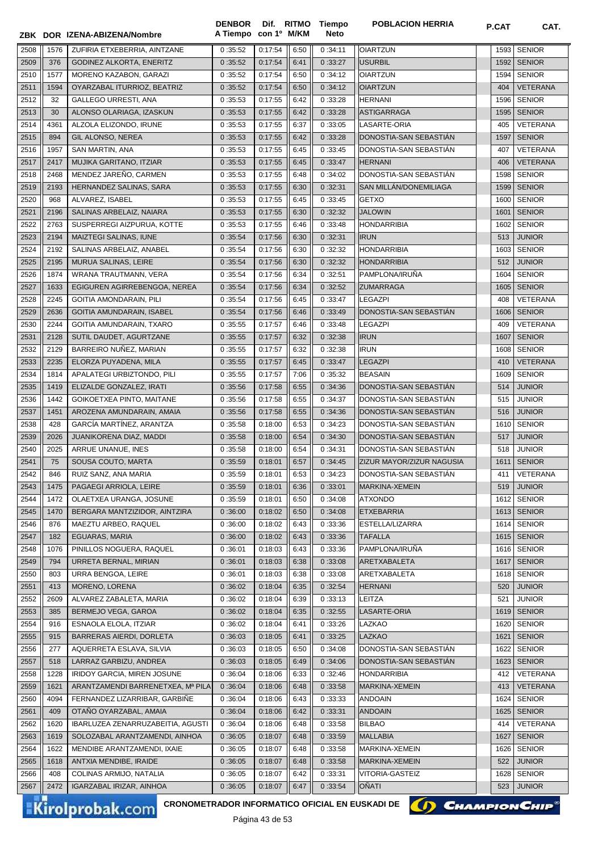|      |            | ZBK DOR IZENA-ABIZENA/Nombre                           | <b>DENBOR</b><br>A Tiempo con 1º M/KM |                 |      | Dif. RITMO Tiempo<br><b>Neto</b> | <b>POBLACION HERRIA</b>          | P.CAT | CAT.            |
|------|------------|--------------------------------------------------------|---------------------------------------|-----------------|------|----------------------------------|----------------------------------|-------|-----------------|
| 2508 | 1576       | ZUFIRIA ETXEBERRIA, AINTZANE                           | 0:35:52                               | 0:17:54         | 6:50 | 0:34:11                          | <b>OIARTZUN</b>                  | 1593  | <b>SENIOR</b>   |
| 2509 | 376        | GODINEZ ALKORTA, ENERITZ                               | 0:35:52                               | 0:17:54         | 6:41 | 0:33:27                          | <b>USURBIL</b>                   | 1592  | <b>SENIOR</b>   |
| 2510 | 1577       | MORENO KAZABON, GARAZI                                 | 0:35:52                               | 0:17:54         | 6:50 | 0:34:12                          | <b>OIARTZUN</b>                  | 1594  | <b>SENIOR</b>   |
| 2511 | 1594       | OYARZABAL ITURRIOZ, BEATRIZ                            | 0:35:52                               | 0:17:54         | 6:50 | 0:34:12                          | <b>OIARTZUN</b>                  | 404   | <b>VETERANA</b> |
| 2512 | 32         | GALLEGO URRESTI, ANA                                   | 0:35:53                               | 0:17:55         | 6:42 | 0:33:28                          | <b>HERNANI</b>                   | 1596  | <b>SENIOR</b>   |
| 2513 | 30         | ALONSO OLARIAGA, IZASKUN                               | 0:35:53                               | 0:17:55         | 6:42 | 0:33:28                          | <b>ASTIGARRAGA</b>               | 1595  | <b>SENIOR</b>   |
| 2514 | 4361       | ALZOLA ELIZONDO, IRUNE                                 | 0:35:53                               | 0:17:55         | 6:37 | 0:33:05                          | LASARTE-ORIA                     | 405   | <b>VETERANA</b> |
| 2515 | 894        | GIL ALONSO, NEREA                                      | 0:35:53                               | 0:17:55         | 6:42 | 0:33:28                          | DONOSTIA-SAN SEBASTIAN           | 1597  | <b>SENIOR</b>   |
| 2516 | 1957       | SAN MARTIN, ANA                                        | 0:35:53                               | 0:17:55         | 6:45 | 0:33:45                          | DONOSTIA-SAN SEBASTIAN           | 407   | VETERANA        |
| 2517 | 2417       |                                                        | 0:35:53                               | 0:17:55         |      | 0:33:47                          | <b>HERNANI</b>                   |       | <b>VETERANA</b> |
|      |            | MUJIKA GARITANO, ITZIAR                                |                                       |                 | 6:45 |                                  |                                  | 406   |                 |
| 2518 | 2468       | MENDEZ JAREÑO, CARMEN                                  | 0:35:53                               | 0:17:55         | 6:48 | 0:34:02                          | DONOSTIA-SAN SEBASTIAN           | 1598  | <b>SENIOR</b>   |
| 2519 | 2193       | HERNANDEZ SALINAS, SARA                                | 0:35:53                               | 0:17:55         | 6:30 | 0:32:31                          | SAN MILLÁN/DONEMILIAGA           | 1599  | <b>SENIOR</b>   |
| 2520 | 968        | ALVAREZ, ISABEL                                        | 0:35:53                               | 0:17:55         | 6:45 | 0:33:45                          | <b>GETXO</b>                     | 1600  | <b>SENIOR</b>   |
| 2521 | 2196       | SALINAS ARBELAIZ, NAIARA                               | 0:35:53                               | 0:17:55         | 6:30 | 0:32:32                          | <b>JALOWIN</b>                   | 1601  | <b>SENIOR</b>   |
| 2522 | 2763       | SUSPERREGI AIZPURUA, KOTTE                             | 0:35:53                               | 0:17:55         | 6:46 | 0:33:48                          | <b>HONDARRIBIA</b>               | 1602  | <b>SENIOR</b>   |
| 2523 | 2194       | MAIZTEGI SALINAS, IUNE                                 | 0:35:54                               | 0:17:56         | 6:30 | 0:32:31                          | <b>IRUN</b>                      | 513   | <b>JUNIOR</b>   |
| 2524 | 2192       | SALINAS ARBELAIZ, ANABEL                               | 0:35:54                               | 0:17:56         | 6:30 | 0:32:32                          | <b>HONDARRIBIA</b>               | 1603  | <b>SENIOR</b>   |
| 2525 | 2195       | MURUA SALINAS, LEIRE                                   | 0:35:54                               | 0:17:56         | 6:30 | 0:32:32                          | <b>HONDARRIBIA</b>               | 512   | <b>JUNIOR</b>   |
| 2526 | 1874       | WRANA TRAUTMANN, VERA                                  | 0:35:54                               | 0:17:56         | 6:34 | 0:32:51                          | PAMPLONA/IRUÑA                   | 1604  | <b>SENIOR</b>   |
| 2527 | 1633       | EGIGUREN AGIRREBENGOA, NEREA                           | 0:35:54                               | 0:17:56         | 6:34 | 0:32:52                          | <b>ZUMARRAGA</b>                 | 1605  | <b>SENIOR</b>   |
| 2528 | 2245       | GOITIA AMONDARAIN, PILI                                | 0:35:54                               | 0:17:56         | 6:45 | 0:33:47                          | <b>LEGAZPI</b>                   | 408   | VETERANA        |
| 2529 | 2636       | GOITIA AMUNDARAIN, ISABEL                              | 0:35:54                               | 0:17:56         | 6:46 | 0:33:49                          | DONOSTIA-SAN SEBASTIAN           | 1606  | <b>SENIOR</b>   |
| 2530 | 2244       | GOITIA AMUNDARAIN, TXARO                               | 0:35:55                               | 0:17:57         | 6:46 | 0:33:48                          | <b>LEGAZPI</b>                   | 409   | VETERANA        |
| 2531 | 2128       | SUTIL DAUDET, AGURTZANE                                | 0:35:55                               | 0:17:57         | 6:32 | 0:32:38                          | <b>IRUN</b>                      | 1607  | <b>SENIOR</b>   |
| 2532 | 2129       | BARREIRO NUNEZ, MARIAN                                 | 0:35:55                               | 0:17:57         | 6:32 | 0:32:38                          | <b>IRUN</b>                      | 1608  | <b>SENIOR</b>   |
| 2533 | 2235       | ELORZA PUYADENA, MILA                                  | 0:35:55                               | 0:17:57         | 6:45 | 0:33:47                          | <b>LEGAZPI</b>                   | 410   | <b>VETERANA</b> |
| 2534 | 1814       | APALATEGI URBIZTONDO, PILI                             | 0:35:55                               | 0:17:57         | 7:06 | 0:35:32                          | <b>BEASAIN</b>                   | 1609  | <b>SENIOR</b>   |
| 2535 | 1419       | ELIZALDE GONZALEZ, IRATI                               | 0:35:56                               | 0:17:58         | 6:55 | 0:34:36                          | DONOSTIA-SAN SEBASTIAN           | 514   | <b>JUNIOR</b>   |
| 2536 | 1442       | GOIKOETXEA PINTO, MAITANE                              | 0:35:56                               | 0:17:58         | 6:55 | 0:34:37                          | DONOSTIA-SAN SEBASTIAN           | 515   | <b>JUNIOR</b>   |
| 2537 | 1451       | AROZENA AMUNDARAIN, AMAIA                              | 0:35:56                               | 0:17:58         | 6:55 | 0:34:36                          | DONOSTIA-SAN SEBASTIAN           | 516   | <b>JUNIOR</b>   |
| 2538 | 428        | GARCÍA MARTÍNEZ, ARANTZA                               | 0:35:58                               | 0:18:00         | 6:53 | 0:34:23                          | DONOSTIA-SAN SEBASTIAN           | 1610  | <b>SENIOR</b>   |
| 2539 | 2026       | JUANIKORENA DIAZ, MADDI                                | 0:35:58                               | 0:18:00         | 6:54 | 0:34:30                          | DONOSTIA-SAN SEBASTIÁN           | 517   | <b>JUNIOR</b>   |
| 2540 | 2025       | ARRUE UNANUE, INES                                     | 0:35:58                               | 0:18:00         | 6:54 | 0:34:31                          | DONOSTIA-SAN SEBASTIAN           | 518   | <b>JUNIOR</b>   |
| 2541 | 75         | SOUSA COUTO, MARTA                                     | 0:35:59                               | 0:18:01         | 6:57 | 0:34:45                          | <b>ZIZUR MAYOR/ZIZUR NAGUSIA</b> |       | 1611 SENIOR     |
| 2542 | 846        | RUIZ SANZ, ANA MARIA                                   | 0:35:59                               | 0:18:01         | 6:53 | 0:34:23                          | DONOSTIA-SAN SEBASTIÁN           |       | 411 VETERANA    |
| 2543 | 1475       | PAGAEGI ARRIOLA, LEIRE                                 | 0:35:59                               | 0:18:01         | 6:36 | 0:33:01                          | MARKINA-XEMEIN                   | 519   | <b>JUNIOR</b>   |
| 2544 | 1472       | OLAETXEA URANGA, JOSUNE                                | 0:35:59                               | 0:18:01         | 6:50 | 0:34:08                          | <b>ATXONDO</b>                   | 1612  | SENIOR          |
| 2545 | 1470       | BERGARA MANTZIZIDOR, AINTZIRA                          | 0:36:00                               | 0:18:02         | 6:50 | 0:34:08                          | <b>ETXEBARRIA</b>                | 1613  | <b>SENIOR</b>   |
| 2546 | 876        | MAEZTU ARBEO, RAQUEL                                   | 0:36:00                               | 0:18:02         | 6:43 | 0:33:36                          | ESTELLA/LIZARRA                  | 1614  | <b>SENIOR</b>   |
| 2547 | 182        | EGUARAS, MARIA                                         | 0:36:00                               | 0:18:02         | 6:43 | 0:33:36                          | <b>TAFALLA</b>                   | 1615  | <b>SENIOR</b>   |
| 2548 | 1076       | PINILLOS NOGUERA, RAQUEL                               | 0:36:01                               | 0:18:03         | 6:43 | 0:33:36                          | PAMPLONA/IRUNA                   | 1616  | <b>SENIOR</b>   |
| 2549 | 794        | URRETA BERNAL, MIRIAN                                  | 0:36:01                               | 0:18:03         | 6:38 | 0:33:08                          | ARETXABALETA                     | 1617  | <b>SENIOR</b>   |
| 2550 | 803        | URRA BENGOA, LEIRE                                     | 0:36:01                               | 0:18:03         | 6:38 | 0:33:08                          | ARETXABALETA                     | 1618  | <b>SENIOR</b>   |
| 2551 | 413        | MORENO, LORENA                                         | 0:36:02                               | 0:18:04         | 6:35 | 0:32:54                          | <b>HERNANI</b>                   | 520   | <b>JUNIOR</b>   |
| 2552 | 2609       | ALVAREZ ZABALETA, MARIA                                | 0:36:02                               | 0:18:04         | 6:39 | 0:33:13                          | LEITZA                           | 521   | <b>JUNIOR</b>   |
| 2553 | 385        | BERMEJO VEGA, GAROA                                    | 0:36:02                               | 0:18:04         | 6:35 | 0:32:55                          | LASARTE-ORIA                     | 1619  | <b>SENIOR</b>   |
|      |            |                                                        |                                       |                 |      |                                  |                                  |       |                 |
| 2554 | 916<br>915 | ESNAOLA ELOLA, ITZIAR<br>BARRERAS AIERDI, DORLETA      | 0:36:02                               | 0:18:04         | 6:41 | 0:33:26                          | LAZKAO<br><b>LAZKAO</b>          | 1620  | <b>SENIOR</b>   |
| 2555 |            |                                                        | 0:36:03                               | 0:18:05         | 6:41 | 0:33:25                          | DONOSTIA-SAN SEBASTIÁN           | 1621  | <b>SENIOR</b>   |
| 2556 | 277        | AQUERRETA ESLAVA, SILVIA<br>LARRAZ GARBIZU, ANDREA     | 0:36:03                               | 0:18:05         | 6:50 | 0:34:08                          | DONOSTIA-SAN SEBASTIÁN           | 1622  | <b>SENIOR</b>   |
| 2557 | 518        |                                                        | 0:36:03                               | 0:18:05         | 6:49 | 0:34:06                          |                                  | 1623  | <b>SENIOR</b>   |
| 2558 | 1228       | IRIDOY GARCIA, MIREN JOSUNE                            | 0:36:04                               | 0:18:06         | 6:33 | 0:32:46                          | <b>HONDARRIBIA</b>               | 412   | VETERANA        |
| 2559 | 1621       | ARANTZAMENDI BARRENETXEA, Mª PILA                      | 0:36:04                               | 0:18:06         | 6:48 | 0:33:58                          | MARKINA-XEMEIN                   | 413   | VETERANA        |
| 2560 | 4094       | FERNANDEZ LIZARRIBAR, GARBIÑE                          | 0:36:04                               | 0:18:06         | 6:43 | 0:33:33                          | <b>ANDOAIN</b>                   | 1624  | <b>SENIOR</b>   |
| 2561 | 409        | OTAÑO OYARZABAL, AMAIA                                 | 0:36:04                               | 0:18:06         | 6:42 | 0:33:31                          | <b>ANDOAIN</b>                   | 1625  | <b>SENIOR</b>   |
| 2562 | 1620       | IBARLUZEA ZENARRUZABEITIA, AGUSTI                      | 0:36:04                               | 0:18:06         | 6:48 | 0:33:58                          | <b>BILBAO</b>                    | 414   | VETERANA        |
| 2563 | 1619       | SOLOZABAL ARANTZAMENDI, AINHOA                         | 0:36:05                               | 0:18:07         | 6:48 | 0:33:59                          | <b>MALLABIA</b>                  | 1627  | <b>SENIOR</b>   |
| 2564 | 1622       | MENDIBE ARANTZAMENDI, IXAIE                            | 0:36:05                               | 0:18:07         | 6:48 | 0:33:58                          | MARKINA-XEMEIN                   | 1626  | <b>SENIOR</b>   |
| 2565 | 1618       | ANTXIA MENDIBE, IRAIDE                                 | 0:36:05                               | 0:18:07         | 6:48 | 0:33:58                          | MARKINA-XEMEIN                   | 522   | <b>JUNIOR</b>   |
| 2566 | 408        | COLINAS ARMIJO, NATALIA                                | 0:36:05                               | 0:18:07         | 6:42 | 0:33:31                          | VITORIA-GASTEIZ                  | 1628  | <b>SENIOR</b>   |
| 2567 | 2472       | IGARZABAL IRIZAR, AINHOA                               | 0:36:05                               | 0:18:07         | 6:47 | 0:33:54                          | OÑATI                            | 523   | <b>JUNIOR</b>   |
|      |            | <b>CRONOMETRADOR INFORMATICO OFICIAL EN EUSKADI DE</b> |                                       |                 |      |                                  | (D) CHAMPION CHIP®               |       |                 |
|      |            | <b>Kirolprobak.com</b>                                 |                                       | $D2oino43 doE3$ |      |                                  |                                  |       |                 |

Página 43 de 53

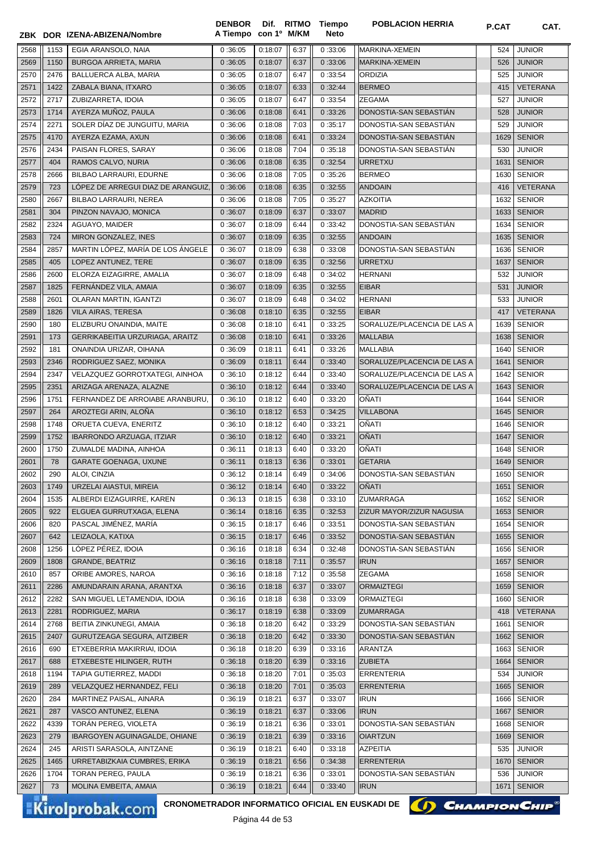|      |      |                                                 | <b>DENBOR</b>        |         |      | Dif. RITMO Tiempo | <b>POBLACION HERRIA</b>     | P.CAT | CAT.            |
|------|------|-------------------------------------------------|----------------------|---------|------|-------------------|-----------------------------|-------|-----------------|
|      |      | ZBK DOR IZENA-ABIZENA/Nombre                    | A Tiempo con 1º M/KM |         |      | <b>Neto</b>       |                             |       |                 |
| 2568 | 1153 | EGIA ARANSOLO, NAIA                             | 0:36:05              | 0:18:07 | 6:37 | 0:33:06           | MARKINA-XEMEIN              | 524   | <b>JUNIOR</b>   |
| 2569 | 1150 | BURGOA ARRIETA, MARIA                           | 0:36:05              | 0:18:07 | 6:37 | 0:33:06           | MARKINA-XEMEIN              | 526   | <b>JUNIOR</b>   |
| 2570 | 2476 | BALLUERCA ALBA, MARIA                           | 0:36:05              | 0:18:07 | 6:47 | 0:33:54           | <b>ORDIZIA</b>              | 525   | <b>JUNIOR</b>   |
| 2571 | 1422 | ZABALA BIANA, ITXARO                            | 0:36:05              | 0:18:07 | 6:33 | 0:32:44           | <b>BERMEO</b>               | 415   | <b>VETERANA</b> |
| 2572 | 2717 | ZUBIZARRETA, IDOIA                              | 0:36:05              | 0:18:07 | 6:47 | 0:33:54           | <b>ZEGAMA</b>               | 527   | <b>JUNIOR</b>   |
| 2573 | 1714 | AYERZA MUÑOZ, PAULA                             | 0:36:06              | 0:18:08 | 6:41 | 0:33:26           | DONOSTIA-SAN SEBASTIAN      | 528   | <b>JUNIOR</b>   |
| 2574 | 2271 | SOLER DÍAZ DE JUNGUITU, MARIA                   | 0:36:06              | 0:18:08 | 7:03 | 0:35:17           | DONOSTIA-SAN SEBASTIAN      | 529   | <b>JUNIOR</b>   |
| 2575 | 4170 | AYERZA EZAMA, AXUN                              | 0:36:06              | 0:18:08 | 6:41 | 0:33:24           | DONOSTIA-SAN SEBASTIÁN      | 1629  | <b>SENIOR</b>   |
| 2576 | 2434 | PAISAN FLORES, SARAY                            | 0:36:06              | 0:18:08 | 7:04 | 0:35:18           | DONOSTIA-SAN SEBASTIAN      | 530   | JUNIOR          |
| 2577 | 404  | RAMOS CALVO, NURIA                              | 0:36:06              | 0:18:08 | 6:35 | 0:32:54           | <b>URRETXU</b>              | 1631  | <b>SENIOR</b>   |
| 2578 | 2666 | BILBAO LARRAURI, EDURNE                         | 0:36:06              | 0:18:08 | 7:05 | 0:35:26           | <b>BERMEO</b>               | 1630  | <b>SENIOR</b>   |
| 2579 | 723  | LÓPEZ DE ARREGUI DIAZ DE ARANGUIZ,              | 0:36:06              | 0:18:08 | 6:35 | 0:32:55           | <b>ANDOAIN</b>              | 416   | <b>VETERANA</b> |
| 2580 | 2667 | BILBAO LARRAURI, NEREA                          | 0:36:06              | 0:18:08 | 7:05 | 0:35:27           | <b>AZKOITIA</b>             | 1632  | <b>SENIOR</b>   |
| 2581 | 304  | PINZON NAVAJO, MONICA                           | 0:36:07              | 0:18:09 | 6:37 | 0:33:07           | <b>MADRID</b>               | 1633  | <b>SENIOR</b>   |
| 2582 | 2324 | AGUAYO, MAIDER                                  | 0:36:07              | 0:18:09 | 6:44 | 0:33:42           | DONOSTIA-SAN SEBASTIÁN      | 1634  | <b>SENIOR</b>   |
| 2583 | 724  | MIRON GONZALEZ, INES                            | 0:36:07              | 0:18:09 | 6:35 | 0:32:55           | <b>ANDOAIN</b>              | 1635  | <b>SENIOR</b>   |
| 2584 | 2857 | MARTIN LÓPEZ, MARÍA DE LOS ÁNGELE               | 0:36:07              | 0:18:09 | 6:38 | 0:33:08           | DONOSTIA-SAN SEBASTIÁN      | 1636  | <b>SENIOR</b>   |
| 2585 | 405  | LOPEZ ANTUNEZ, TERE                             | 0:36:07              | 0:18:09 | 6:35 | 0:32:56           | <b>URRETXU</b>              | 1637  | <b>SENIOR</b>   |
| 2586 | 2600 | ELORZA EIZAGIRRE, AMALIA                        | 0:36:07              | 0:18:09 | 6:48 | 0:34:02           | <b>HERNANI</b>              | 532   | <b>JUNIOR</b>   |
| 2587 | 1825 | FERNÁNDEZ VILA, AMAIA                           | 0:36:07              | 0:18:09 | 6:35 | 0:32:55           | <b>EIBAR</b>                | 531   | <b>JUNIOR</b>   |
| 2588 | 2601 | OLARAN MARTIN, IGANTZI                          | 0:36:07              | 0:18:09 | 6:48 | 0:34:02           | <b>HERNANI</b>              | 533   | <b>JUNIOR</b>   |
| 2589 | 1826 | <b>VILA AIRAS, TERESA</b>                       | 0:36:08              | 0:18:10 | 6:35 | 0:32:55           | <b>EIBAR</b>                | 417   | <b>VETERANA</b> |
| 2590 | 180  | ELIZBURU ONAINDIA, MAITE                        | 0:36:08              | 0:18:10 | 6:41 | 0:33:25           | SORALUZE/PLACENCIA DE LAS A | 1639  | <b>SENIOR</b>   |
| 2591 | 173  | GERRIKABEITIA URZURIAGA, ARAITZ                 | 0:36:08              | 0:18:10 | 6:41 | 0:33:26           | <b>MALLABIA</b>             | 1638  | <b>SENIOR</b>   |
| 2592 | 181  | ONAINDIA URIZAR, OIHANA                         | 0:36:09              | 0:18:11 | 6:41 | 0:33:26           | MALLABIA                    | 1640  | <b>SENIOR</b>   |
| 2593 | 2346 | RODRIGUEZ SAEZ, MONIKA                          | 0:36:09              | 0:18:11 | 6:44 | 0:33:40           | SORALUZE/PLACENCIA DE LAS A | 1641  | <b>SENIOR</b>   |
| 2594 | 2347 | VELAZQUEZ GORROTXATEGI, AINHOA                  | 0:36:10              | 0:18:12 | 6:44 | 0:33:40           | SORALUZE/PLACENCIA DE LAS A | 1642  | <b>SENIOR</b>   |
| 2595 | 2351 | ARIZAGA ARENAZA, ALAZNE                         | 0:36:10              | 0:18:12 | 6:44 | 0:33:40           | SORALUZE/PLACENCIA DE LAS A | 1643  | <b>SENIOR</b>   |
| 2596 | 1751 | FERNANDEZ DE ARROIABE ARANBURU,                 | 0:36:10              | 0:18:12 | 6:40 | 0:33:20           | OÑATI                       | 1644  | <b>SENIOR</b>   |
| 2597 | 264  | AROZTEGI ARIN, ALOÑA                            | 0:36:10              | 0:18:12 | 6:53 | 0:34:25           | <b>VILLABONA</b>            | 1645  | <b>SENIOR</b>   |
| 2598 | 1748 | ORUETA CUEVA, ENERITZ                           | 0:36:10              | 0:18:12 | 6:40 | 0:33:21           | OÑATI                       | 1646  | <b>SENIOR</b>   |
| 2599 | 1752 | IBARRONDO ARZUAGA, ITZIAR                       | 0:36:10              | 0:18:12 | 6:40 | 0:33:21           | <b>OÑATI</b>                | 1647  | <b>SENIOR</b>   |
| 2600 | 1750 | ZUMALDE MADINA, AINHOA                          | 0:36:11              | 0:18:13 | 6:40 | 0:33:20           | <b>OÑATI</b>                | 1648  | <b>SENIOR</b>   |
| 2601 | 78   | <b>GARATE GOENAGA, UXUNE</b>                    | 0:36:11              | 0:18:13 | 6:36 | 0:33:01           | <b>GETARIA</b>              | 1649  | <b>SENIOR</b>   |
| 2602 | 290  | ALOI, CINZIA                                    | 0:36:12              | 0:18:14 | 6:49 | 0:34:06           | DONOSTIA-SAN SEBASTIÁN      |       | 1650 SENIOR     |
| 2603 | 1749 | URZELAI AIASTUI, MIREIA                         | 0:36:12              | 0:18:14 | 6:40 | 0:33:22           | <b>ONATI</b>                |       | 1651   SENIOR   |
| 2604 | 1535 | ALBERDI EIZAGUIRRE, KAREN                       | 0:36:13              | 0:18:15 | 6:38 | 0:33:10           | <b>ZUMARRAGA</b>            |       | 1652 SENIOR     |
| 2605 | 922  | ELGUEA GURRUTXAGA, ELENA                        | 0:36:14              | 0:18:16 | 6:35 | 0:32:53           | ZIZUR MAYOR/ZIZUR NAGUSIA   | 1653  | <b>SENIOR</b>   |
| 2606 | 820  | PASCAL JIMÉNEZ, MARÍA                           | 0:36:15              | 0:18:17 | 6:46 | 0:33:51           | DONOSTIA-SAN SEBASTIÁN      | 1654  | <b>SENIOR</b>   |
| 2607 | 642  | LEIZAOLA, KATIXA                                | 0:36:15              | 0:18:17 | 6:46 | 0:33:52           | DONOSTIA-SAN SEBASTIAN      | 1655  | <b>SENIOR</b>   |
| 2608 | 1256 | LOPEZ PÉREZ, IDOIA                              | 0:36:16              | 0:18:18 | 6:34 | 0:32:48           | DONOSTIA-SAN SEBASTIAN      | 1656  | <b>SENIOR</b>   |
| 2609 | 1808 | GRANDE, BEATRIZ                                 | 0:36:16              | 0:18:18 | 7:11 | 0:35:57           | <b>IRUN</b>                 | 1657  | <b>SENIOR</b>   |
| 2610 | 857  | ORIBE AMORES, NAROA                             | 0:36:16              | 0:18:18 | 7:12 | 0:35:58           | <b>ZEGAMA</b>               | 1658  | <b>SENIOR</b>   |
| 2611 | 2286 | AMUNDARAIN ARANA, ARANTXA                       | 0:36:16              | 0:18:18 | 6:37 | 0:33:07           | <b>ORMAIZTEGI</b>           | 1659  | <b>SENIOR</b>   |
| 2612 | 2282 | SAN MIGUEL LETAMENDIA, IDOIA                    | 0:36:16              | 0:18:18 | 6:38 | 0:33:09           | <b>ORMAIZTEGI</b>           | 1660  | <b>SENIOR</b>   |
| 2613 | 2281 | RODRIGUEZ, MARIA                                | 0:36:17              | 0:18:19 | 6:38 | 0:33:09           | ZUMARRAGA                   | 418   | VETERANA        |
| 2614 | 2768 | BEITIA ZINKUNEGI, AMAIA                         | 0:36:18              | 0:18:20 | 6:42 | 0:33:29           | DONOSTIA-SAN SEBASTIAN      | 1661  | <b>SENIOR</b>   |
| 2615 | 2407 | GURUTZEAGA SEGURA, AITZIBER                     | 0:36:18              | 0:18:20 | 6:42 | 0:33:30           | DONOSTIA-SAN SEBASTIAN      | 1662  | <b>SENIOR</b>   |
| 2616 | 690  | ETXEBERRIA MAKIRRIAI, IDOIA                     | 0:36:18              | 0:18:20 | 6:39 | 0:33:16           | ARANTZA                     | 1663  | <b>SENIOR</b>   |
| 2617 | 688  | ETXEBESTE HILINGER, RUTH                        | 0:36:18              | 0:18:20 | 6:39 | 0:33:16           | <b>ZUBIETA</b>              | 1664  | <b>SENIOR</b>   |
| 2618 | 1194 | TAPIA GUTIERREZ, MADDI                          | 0:36:18              | 0:18:20 | 7:01 | 0:35:03           | <b>ERRENTERIA</b>           | 534   | JUNIOR          |
| 2619 | 289  | VELAZQUEZ HERNANDEZ, FELI                       | 0:36:18              | 0:18:20 | 7:01 | 0:35:03           | <b>ERRENTERIA</b>           | 1665  | <b>SENIOR</b>   |
| 2620 | 284  | MARTINEZ PAISAL, AINARA                         | 0:36:19              | 0:18:21 | 6:37 | 0:33:07           | <b>IRUN</b>                 | 1666  | <b>SENIOR</b>   |
| 2621 | 287  | VASCO ANTUNEZ, ELENA                            | 0:36:19              | 0:18:21 | 6:37 | 0:33:06           | <b>IRUN</b>                 | 1667  | <b>SENIOR</b>   |
| 2622 | 4339 | TORAN PEREG, VIOLETA                            | 0:36:19              | 0:18:21 | 6:36 | 0:33:01           | DONOSTIA-SAN SEBASTIAN      | 1668  | <b>SENIOR</b>   |
| 2623 | 279  | IBARGOYEN AGUINAGALDE, OHIANE                   | 0:36:19              | 0:18:21 | 6:39 | 0:33:16           | <b>OIARTZUN</b>             | 1669  | <b>SENIOR</b>   |
| 2624 | 245  | ARISTI SARASOLA, AINTZANE                       | 0:36:19              | 0:18:21 | 6:40 | 0:33:18           | <b>AZPEITIA</b>             | 535   | <b>JUNIOR</b>   |
| 2625 | 1465 | URRETABIZKAIA CUMBRES, ERIKA                    | 0:36:19              | 0:18:21 | 6:56 | 0:34:38           | <b>ERRENTERIA</b>           | 1670  | <b>SENIOR</b>   |
| 2626 | 1704 | TORAN PEREG, PAULA                              | 0:36:19              | 0:18:21 | 6:36 | 0:33:01           | DONOSTIA-SAN SEBASTIAN      | 536   | <b>JUNIOR</b>   |
| 2627 | 73   | MOLINA EMBEITA, AMAIA                           | 0:36:19              | 0:18:21 | 6:44 | 0:33:40           | <b>IRUN</b>                 | 1671  | <b>SENIOR</b>   |
|      |      | CRONOMETRADOR INFORMATICO OFICIAL EN EUSKADI DE |                      |         |      |                   | (I) CHAMPION CHIP®          |       |                 |
|      |      | Kirolprobak.com                                 |                      |         |      |                   |                             |       |                 |

Página 44 de 53

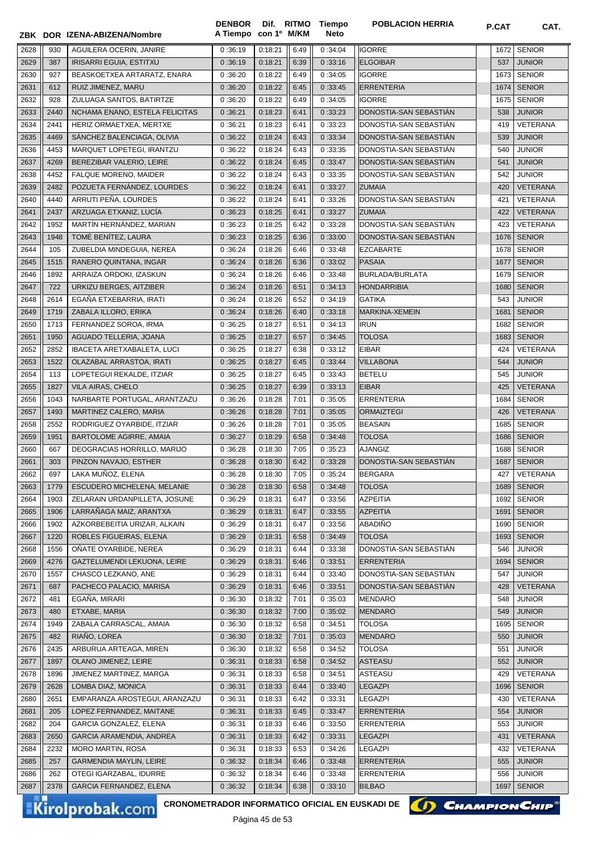|      |      | ZBK DOR IZENA-ABIZENA/Nombre   | A Tiempo con 1º M/KM |         |      | Neto    |                        |      |                 |
|------|------|--------------------------------|----------------------|---------|------|---------|------------------------|------|-----------------|
| 2628 | 930  | AGUILERA OCERIN. JANIRE        | 0:36:19              | 0:18:21 | 6:49 | 0:34:04 | <b>IGORRE</b>          | 1672 | <b>SENIOR</b>   |
| 2629 | 387  | IRISARRI EGUIA, ESTITXU        | 0:36:19              | 0:18:21 | 6:39 | 0:33:16 | <b>ELGOIBAR</b>        | 537  | <b>JUNIOR</b>   |
| 2630 | 927  | BEASKOETXEA ARTARATZ, ENARA    | 0:36:20              | 0:18:22 | 6:49 | 0:34:05 | <b>IGORRE</b>          | 1673 | <b>SENIOR</b>   |
| 2631 | 612  | RUIZ JIMENEZ, MARU             | 0:36:20              | 0:18:22 | 6:45 | 0:33:45 | <b>ERRENTERIA</b>      | 1674 | <b>SENIOR</b>   |
| 2632 | 928  | ZULUAGA SANTOS, BATIRTZE       | 0:36:20              | 0:18:22 | 6:49 | 0:34:05 | <b>IGORRE</b>          | 1675 | <b>SENIOR</b>   |
| 2633 | 2440 | NCHAMA ENANO, ESTELA FELICITAS | 0:36:21              | 0:18:23 | 6:41 | 0:33:23 | DONOSTIA-SAN SEBASTIAN | 538  | <b>JUNIOR</b>   |
| 2634 | 2441 | HERIZ ORMAETXEA, MERTXE        | 0:36:21              | 0:18:23 | 6:41 | 0:33:23 | DONOSTIA-SAN SEBASTIAN | 419  | VETERANA        |
| 2635 | 4469 | SÁNCHEZ BALENCIAGA, OLIVIA     | 0:36:22              | 0:18:24 | 6:43 | 0:33:34 | DONOSTIA-SAN SEBASTIÁN | 539  | <b>JUNIOR</b>   |
| 2636 | 4453 | MARQUET LOPETEGI, IRANTZU      | 0:36:22              | 0:18:24 | 6:43 | 0:33:35 | DONOSTIA-SAN SEBASTIÁN | 540  | <b>JUNIOR</b>   |
| 2637 | 4269 | BEREZIBAR VALERIO, LEIRE       | 0:36:22              | 0:18:24 | 6:45 | 0:33:47 | DONOSTIA-SAN SEBASTIAN | 541  | <b>JUNIOR</b>   |
| 2638 | 4452 | FALQUE MORENO, MAIDER          | 0:36:22              | 0:18:24 | 6:43 | 0:33:35 | DONOSTIA-SAN SEBASTIAN | 542  | <b>JUNIOR</b>   |
| 2639 | 2482 | POZUETA FERNÁNDEZ, LOURDES     | 0:36:22              | 0:18:24 | 6:41 | 0:33:27 | <b>ZUMAIA</b>          | 420  | <b>VETERANA</b> |
| 2640 | 4440 | ARRUTI PEÑA, LOURDES           | 0:36:22              | 0:18:24 | 6:41 | 0:33:26 | DONOSTIA-SAN SEBASTIAN | 421  | VETERANA        |
| 2641 | 2437 | ARZUAGA ETXANIZ, LUCÍA         | 0:36:23              | 0:18:25 | 6:41 | 0:33:27 | <b>ZUMAIA</b>          | 422  | <b>VETERANA</b> |
| 2642 | 1952 | MARTÍN HERNÁNDEZ, MARIAN       | 0:36:23              | 0:18:25 | 6:42 | 0:33:28 | DONOSTIA-SAN SEBASTIAN | 423  | VETERANA        |
| 2643 | 1948 | TOMÉ BENÍTEZ, LAURA            | 0:36:23              | 0:18:25 | 6:36 | 0:33:00 | DONOSTIA-SAN SEBASTIAN | 1676 | <b>SENIOR</b>   |
| 2644 | 105  | ZUBELDIA MINDEGUIA, NEREA      | 0:36:24              | 0:18:26 | 6:46 | 0:33:48 | <b>EZCABARTE</b>       | 1678 | <b>SENIOR</b>   |
| 2645 | 1515 | RANERO QUINTANA, INGAR         | 0:36:24              | 0:18:26 | 6:36 | 0:33:02 | <b>PASAIA</b>          | 1677 | <b>SENIOR</b>   |
| 2646 | 1892 | ARRAIZA ORDOKI, IZASKUN        | 0:36:24              | 0:18:26 | 6:46 | 0:33:48 | <b>BURLADA/BURLATA</b> | 1679 | <b>SENIOR</b>   |
| 2647 | 722  | URKIZU BERGES, AITZIBER        | 0:36:24              | 0:18:26 | 6:51 | 0:34:13 | <b>HONDARRIBIA</b>     | 1680 | <b>SENIOR</b>   |
| 2648 | 2614 | EGAÑA ETXEBARRIA, IRATI        | 0:36:24              | 0:18:26 | 6:52 | 0:34:19 | <b>GATIKA</b>          | 543  | <b>JUNIOR</b>   |
| 2649 | 1719 | ZABALA ILLORO, ERIKA           | 0:36:24              | 0:18:26 | 6:40 | 0:33:18 | MARKINA-XEMEIN         | 1681 | <b>SENIOR</b>   |
| 2650 | 1713 | FERNANDEZ SOROA, IRMA          | 0:36:25              | 0:18:27 | 6:51 | 0:34:13 | <b>IRUN</b>            | 1682 | <b>SENIOR</b>   |
| 2651 | 1950 | AGUADO TELLERIA, JOANA         | 0:36:25              | 0:18:27 | 6:57 | 0:34:45 | <b>TOLOSA</b>          | 1683 | <b>SENIOR</b>   |
| 2652 | 2852 | IBACETA ARETXABALETA, LUCI     | 0:36:25              | 0:18:27 | 6:38 | 0:33:12 | <b>EIBAR</b>           | 424  | VETERANA        |
| 2653 | 1522 | OLAZABAL ARRASTOA, IRATI       | 0:36:25              | 0:18:27 | 6:45 | 0:33:44 | <b>VILLABONA</b>       | 544  | <b>JUNIOR</b>   |
| 2654 | 113  | LOPETEGUI REKALDE, ITZIAR      | 0:36:25              | 0:18:27 | 6:45 | 0:33:43 | <b>BETELU</b>          | 545  | <b>JUNIOR</b>   |
| 2655 | 1827 | VILA AIRAS, CHELO              | 0:36:25              | 0:18:27 | 6:39 | 0:33:13 | <b>EIBAR</b>           | 425  | VETERANA        |
| 2656 | 1043 | NARBARTE PORTUGAL, ARANTZAZU   | 0:36:26              | 0:18:28 | 7:01 | 0:35:05 | <b>ERRENTERIA</b>      | 1684 | <b>SENIOR</b>   |
| 2657 | 1493 | MARTINEZ CALERO, MARIA         | 0:36:26              | 0:18:28 | 7:01 | 0:35:05 | <b>ORMAIZTEGI</b>      | 426  | <b>VETERANA</b> |
| 2658 | 2552 | RODRIGUEZ OYARBIDE, ITZIAR     | 0:36:26              | 0:18:28 | 7:01 | 0:35:05 | <b>BEASAIN</b>         | 1685 | <b>SENIOR</b>   |
| 2659 | 1951 | BARTOLOME AGIRRE, AMAIA        | 0:36:27              | 0:18:29 | 6:58 | 0:34:48 | <b>TOLOSA</b>          | 1686 | <b>SENIOR</b>   |
| 2660 | 667  | DEOGRACIAS HORRILLO, MARIJO    | 0:36:28              | 0:18:30 | 7:05 | 0:35:23 | <b>AJANGIZ</b>         | 1688 | <b>SENIOR</b>   |
| 2661 | 303  | PINZON NAVAJO, ESTHER          | 0:36:28              | 0:18:30 | 6:42 | 0:33:28 | DONOSTIA-SAN SEBASTIÁN | 1687 | <b>SENIOR</b>   |
| 2662 | 697  | LAKA MUÑOZ, ELENA              | 0:36:28              | 0:18:30 | 7:05 | 0:35:24 | <b>BERGARA</b>         | 427  | VETERANA        |
| 2663 | 1779 | ESCUDERO MICHELENA, MELANIE    | 0:36:28              | 0:18:30 | 6:58 | 0:34:48 | <b>TOLOSA</b>          | 1689 | <b>SENIOR</b>   |
| 2664 | 1903 | ZELARAIN URDANPILLETA, JOSUNE  | 0:36:29              | 0:18:31 | 6:47 | 0:33:56 | <b>AZPEITIA</b>        | 1692 | <b>SENIOR</b>   |
| 2665 | 1906 | LARRAÑAGA MAIZ, ARANTXA        | 0:36:29              | 0:18:31 | 6:47 | 0:33:55 | <b>AZPEITIA</b>        | 1691 | <b>SENIOR</b>   |
| 2666 | 1902 | AZKORBEBEITIA URIZAR, ALKAIN   | 0:36:29              | 0:18:31 | 6:47 | 0:33:56 | ABADIÑO                | 1690 | <b>SENIOR</b>   |
| 2667 | 1220 | ROBLES FIGUEIRAS, ELENA        | 0:36:29              | 0:18:31 | 6:58 | 0:34:49 | <b>TOLOSA</b>          | 1693 | <b>SENIOR</b>   |
| 2668 | 1556 | OÑATE OYARBIDE, NEREA          | 0:36:29              | 0:18:31 | 6:44 | 0:33:38 | DONOSTIA-SAN SEBASTIAN | 546  | <b>JUNIOR</b>   |
| 2669 | 4276 | GAZTELUMENDI LEKUONA, LEIRE    | 0:36:29              | 0:18:31 | 6:46 | 0:33:51 | <b>ERRENTERIA</b>      | 1694 | <b>SENIOR</b>   |
| 2670 | 1557 | CHASCO LEZKANO, ANE            | 0:36:29              | 0:18:31 | 6:44 | 0:33:40 | DONOSTIA-SAN SEBASTIÁN | 547  | <b>JUNIOR</b>   |
| 2671 | 687  | PACHECO PALACIO, MARISA        | 0:36:29              | 0:18:31 | 6:46 | 0:33:51 | DONOSTIA-SAN SEBASTIAN | 428  | <b>VETERANA</b> |
| 2672 | 481  | EGAÑA, MIRARI                  | 0:36:30              | 0:18:32 | 7:01 | 0:35:03 | MENDARO                | 548  | <b>JUNIOR</b>   |
| 2673 | 480  | ETXABE, MARIA                  | 0:36:30              | 0:18:32 | 7:00 | 0:35:02 | MENDARO                | 549  | <b>JUNIOR</b>   |
| 2674 | 1949 | ZABALA CARRASCAL, AMAIA        | 0:36:30              | 0:18:32 | 6:58 | 0:34:51 | <b>TOLOSA</b>          | 1695 | <b>SENIOR</b>   |
| 2675 | 482  | RIAÑO, LOREA                   | 0:36:30              | 0:18:32 | 7:01 | 0:35:03 | MENDARO                | 550  | <b>JUNIOR</b>   |
| 2676 | 2435 | ARBURUA ARTEAGA, MIREN         | 0:36:30              | 0:18:32 | 6:58 | 0:34:52 | <b>TOLOSA</b>          | 551  | JUNIOR          |
| 2677 | 1897 | OLANO JIMENEZ, LEIRE           | 0:36:31              | 0:18:33 | 6:58 | 0:34:52 | ASTEASU                | 552  | <b>JUNIOR</b>   |
| 2678 | 1896 | JIMENEZ MARTINEZ, MARGA        | 0:36:31              | 0:18:33 | 6:58 | 0:34:51 | ASTEASU                | 429  | VETERANA        |
| 2679 | 2628 | LOMBA DIAZ, MONICA             | 0:36:31              | 0:18:33 | 6:44 | 0:33:40 | <b>LEGAZPI</b>         | 1696 | <b>SENIOR</b>   |
| 2680 | 2651 | EMPARANZA AROSTEGUI, ARANZAZU  | 0:36:31              | 0:18:33 | 6:42 | 0:33:31 | LEGAZPI                | 430  | VETERANA        |
| 2681 | 205  | LOPEZ FERNANDEZ, MAITANE       | 0:36:31              | 0:18:33 | 6:45 | 0:33:47 | <b>ERRENTERIA</b>      | 554  | <b>JUNIOR</b>   |
| 2682 | 204  | GARCIA GONZALEZ, ELENA         | 0:36:31              | 0:18:33 | 6:46 | 0:33:50 | <b>ERRENTERIA</b>      | 553  | <b>JUNIOR</b>   |
| 2683 | 2650 | GARCIA ARAMENDIA, ANDREA       | 0:36:31              | 0:18:33 | 6:42 | 0:33:31 | <b>LEGAZPI</b>         | 431  | <b>VETERANA</b> |
| 2684 | 2232 | <b>MORO MARTIN, ROSA</b>       | 0:36:31              | 0:18:33 | 6:53 | 0:34:26 | <b>LEGAZPI</b>         | 432  | VETERANA        |
| 2685 | 257  | <b>GARMENDIA MAYLIN, LEIRE</b> | 0:36:32              | 0:18:34 | 6:46 | 0:33:48 | <b>ERRENTERIA</b>      | 555  | <b>JUNIOR</b>   |
| 2686 | 262  | OTEGI IGARZABAL, IDURRE        | 0:36:32              | 0:18:34 | 6:46 | 0:33:48 | <b>ERRENTERIA</b>      | 556  | <b>JUNIOR</b>   |
| 2687 | 2378 | GARCIA FERNANDEZ, ELENA        | 0:36:32              | 0:18:34 | 6:38 | 0:33:10 | <b>BILBAO</b>          | 1697 | <b>SENIOR</b>   |

**Tiempo** 

**DENBOR**

Kirolprobak.com

CRONOMETRADOR INFORMATICO OFICIAL EN EUSKADI DE **(A) CHAMPION CHIP**<sup>®</sup>

Página 45 de 53



**POBLACION HERRIA P.CAT CAT.**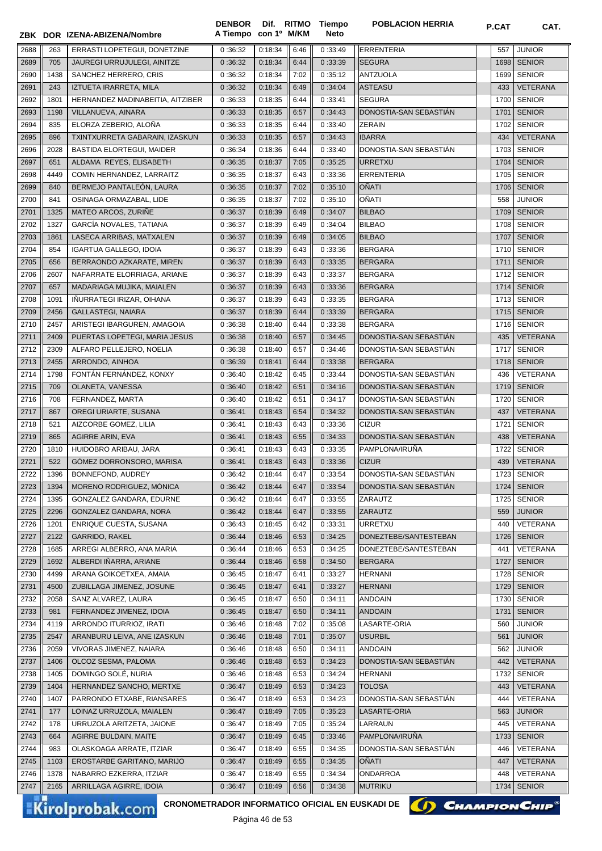|      |      | ZBK DOR IZENA-ABIZENA/Nombre     | <b>DENBOR</b><br>A Tiempo con 1º M/KM |         |      | Dif. RITMO Tiempo<br>Neto | <b>POBLACION HERRIA</b> | P.CAT | CAT.            |
|------|------|----------------------------------|---------------------------------------|---------|------|---------------------------|-------------------------|-------|-----------------|
| 2688 | 263  | ERRASTI LOPETEGUI, DONETZINE     | 0:36:32                               | 0:18:34 | 6:46 | 0:33:49                   | <b>ERRENTERIA</b>       | 557   | <b>JUNIOR</b>   |
| 2689 | 705  | JAUREGI URRUJULEGI, AINITZE      | 0:36:32                               | 0:18:34 | 6:44 | 0:33:39                   | <b>SEGURA</b>           | 1698  | <b>SENIOR</b>   |
| 2690 | 1438 | SANCHEZ HERRERO, CRIS            | 0:36:32                               | 0:18:34 | 7:02 | 0:35:12                   | <b>ANTZUOLA</b>         | 1699  | <b>SENIOR</b>   |
| 2691 | 243  | IZTUETA IRARRETA, MILA           | 0:36:32                               | 0:18:34 | 6:49 | 0:34:04                   | <b>ASTEASU</b>          | 433   | <b>VETERANA</b> |
| 2692 | 1801 | HERNANDEZ MADINABEITIA, AITZIBER | 0:36:33                               | 0:18:35 | 6:44 | 0:33:41                   | <b>SEGURA</b>           | 1700  | <b>SENIOR</b>   |
| 2693 | 1198 | VILLANUEVA, AINARA               | 0:36:33                               | 0:18:35 | 6:57 | 0:34:43                   | DONOSTIA-SAN SEBASTIÁN  | 1701  | <b>SENIOR</b>   |
| 2694 | 835  | ELORZA ZEBERIO, ALONA            | 0:36:33                               | 0:18:35 | 6:44 | 0:33:40                   | <b>ZERAIN</b>           | 1702  | <b>SENIOR</b>   |
| 2695 | 896  | TXINTXURRETA GABARAIN, IZASKUN   | 0:36:33                               | 0:18:35 | 6:57 | 0:34:43                   | <b>IBARRA</b>           | 434   | <b>VETERANA</b> |
| 2696 | 2028 | BASTIDA ELORTEGUI, MAIDER        | 0:36:34                               | 0:18:36 | 6:44 | 0:33:40                   | DONOSTIA-SAN SEBASTIAN  | 1703  | <b>SENIOR</b>   |
| 2697 | 651  | ALDAMA REYES, ELISABETH          | 0:36:35                               | 0:18:37 | 7:05 | 0:35:25                   | <b>URRETXU</b>          | 1704  | <b>SENIOR</b>   |
| 2698 | 4449 | COMIN HERNANDEZ, LARRAITZ        | 0:36:35                               | 0:18:37 | 6:43 | 0:33:36                   | <b>ERRENTERIA</b>       | 1705  | <b>SENIOR</b>   |
| 2699 | 840  | BERMEJO PANTALEÓN, LAURA         | 0:36:35                               | 0:18:37 | 7:02 | 0:35:10                   | <b>OÑATI</b>            | 1706  | <b>SENIOR</b>   |
| 2700 | 841  | OSINAGA ORMAZABAL, LIDE          | 0:36:35                               | 0:18:37 | 7:02 | 0:35:10                   | <b>OÑATI</b>            | 558   | <b>JUNIOR</b>   |
| 2701 | 1325 | MATEO ARCOS, ZURIÑE              | 0:36:37                               | 0:18:39 | 6:49 | 0:34:07                   | <b>BILBAO</b>           | 1709  | <b>SENIOR</b>   |
| 2702 | 1327 | GARCÍA NOVALES, TATIANA          | 0:36:37                               | 0:18:39 | 6:49 | 0:34:04                   | <b>BILBAO</b>           | 1708  | <b>SENIOR</b>   |
| 2703 | 1861 | LASECA ARRIBAS, MATXALEN         | 0:36:37                               | 0:18:39 | 6:49 | 0:34:05                   | <b>BILBAO</b>           | 1707  | <b>SENIOR</b>   |
| 2704 | 854  | <b>IGARTUA GALLEGO, IDOIA</b>    | 0:36:37                               | 0:18:39 | 6:43 | 0:33:36                   | <b>BERGARA</b>          | 1710  | <b>SENIOR</b>   |
| 2705 | 656  | BERRAONDO AZKARATE, MIREN        | 0:36:37                               | 0:18:39 | 6:43 | 0:33:35                   | <b>BERGARA</b>          | 1711  | <b>SENIOR</b>   |
| 2706 | 2607 | NAFARRATE ELORRIAGA, ARIANE      | 0:36:37                               | 0:18:39 | 6:43 | 0:33:37                   | <b>BERGARA</b>          | 1712  | <b>SENIOR</b>   |
| 2707 | 657  | MADARIAGA MUJIKA, MAIALEN        | 0:36:37                               | 0:18:39 | 6:43 | 0:33:36                   | <b>BERGARA</b>          | 1714  | <b>SENIOR</b>   |
| 2708 | 1091 | IÑURRATEGI IRIZAR, OIHANA        | 0:36:37                               | 0:18:39 | 6:43 | 0:33:35                   | <b>BERGARA</b>          | 1713  | <b>SENIOR</b>   |
| 2709 | 2456 | <b>GALLASTEGI, NAIARA</b>        | 0:36:37                               | 0:18:39 | 6:44 | 0:33:39                   | <b>BERGARA</b>          | 1715  | <b>SENIOR</b>   |
| 2710 | 2457 | ARISTEGI IBARGUREN, AMAGOIA      | 0:36:38                               | 0:18:40 | 6:44 | 0:33:38                   | <b>BERGARA</b>          | 1716  | <b>SENIOR</b>   |
| 2711 | 2409 | PUERTAS LOPETEGI, MARIA JESUS    | 0:36:38                               | 0:18:40 | 6:57 | 0:34:45                   | DONOSTIA-SAN SEBASTIAN  | 435   | VETERANA        |
| 2712 | 2309 | ALFARO PELLEJERO, NOELIA         | 0:36:38                               | 0:18:40 | 6:57 | 0:34:46                   | DONOSTIA-SAN SEBASTIAN  | 1717  | <b>SENIOR</b>   |
| 2713 | 2455 | ARRONDO, AINHOA                  | 0:36:39                               | 0:18:41 | 6:44 | 0:33:38                   | <b>BERGARA</b>          | 1718  | <b>SENIOR</b>   |
| 2714 | 1798 | FONTÁN FERNÁNDEZ, KONXY          | 0:36:40                               | 0:18:42 | 6:45 | 0:33:44                   | DONOSTIA-SAN SEBASTIAN  | 436   | VETERANA        |
| 2715 | 709  | OLANETA, VANESSA                 | 0:36:40                               | 0:18:42 | 6:51 | 0:34:16                   | DONOSTIA-SAN SEBASTIAN  | 1719  | <b>SENIOR</b>   |
| 2716 | 708  | FERNANDEZ, MARTA                 | 0:36:40                               | 0:18:42 | 6:51 | 0:34:17                   | DONOSTIA-SAN SEBASTIAN  | 1720  | <b>SENIOR</b>   |
| 2717 | 867  | OREGI URIARTE, SUSANA            | 0:36:41                               | 0:18:43 | 6:54 | 0:34:32                   | DONOSTIA-SAN SEBASTIAN  | 437   | <b>VETERANA</b> |
| 2718 | 521  | AIZCORBE GOMEZ, LILIA            | 0:36:41                               | 0:18:43 | 6:43 | 0:33:36                   | <b>CIZUR</b>            | 1721  | <b>SENIOR</b>   |
| 2719 | 865  | <b>AGIRRE ARIN, EVA</b>          | 0:36:41                               | 0:18:43 | 6:55 | 0:34:33                   | DONOSTIA-SAN SEBASTIAN  | 438   | <b>VETERANA</b> |
| 2720 | 1810 | HUIDOBRO ARIBAU, JARA            | 0:36:41                               | 0:18:43 | 6:43 | 0:33:35                   | PAMPLONA/IRUÑA          | 1722  | <b>SENIOR</b>   |
| 2721 | 522  | GÓMEZ DORRONSORO, MARISA         | 0:36:41                               | 0:18:43 | 6:43 | 0:33:36                   | <b>CIZUR</b>            | 439   | <b>VETERANA</b> |
| 2722 | 1396 | BONNEFOND, AUDREY                | 0:36:42                               | 0:18:44 | 6:47 | 0:33:54                   | DONOSTIA-SAN SEBASTIÁN  |       | 1723 SENIOR     |
| 2723 | 1394 | MORENO RODRIGUEZ, MÓNICA         | 0:36:42                               | 0:18:44 | 6:47 | 0:33:54                   | DONOSTIA-SAN SEBASTIAN  | 1724  | <b>SENIOR</b>   |
| 2724 | 1395 | GONZALEZ GANDARA, EDURNE         | 0:36:42                               | 0:18:44 | 6:47 | 0:33:55                   | ZARAUTZ                 | 1725  | <b>SENIOR</b>   |
| 2725 | 2296 | GONZALEZ GANDARA, NORA           | 0:36:42                               | 0:18:44 | 6:47 | 0:33:55                   | ZARAUTZ                 | 559   | <b>JUNIOR</b>   |
| 2726 | 1201 | ENRIQUE CUESTA, SUSANA           | 0:36:43                               | 0:18:45 | 6:42 | 0:33:31                   | <b>URRETXU</b>          | 440   | VETERANA        |
| 2727 | 2122 | <b>GARRIDO, RAKEL</b>            | 0:36:44                               | 0:18:46 | 6:53 | 0:34:25                   | DONEZTEBE/SANTESTEBAN   | 1726  | <b>SENIOR</b>   |
| 2728 | 1685 | ARREGI ALBERRO, ANA MARIA        | 0:36:44                               | 0:18:46 | 6:53 | 0:34:25                   | DONEZTEBE/SANTESTEBAN   | 441   | VETERANA        |
| 2729 | 1692 | ALBERDI IÑARRA, ARIANE           | 0:36:44                               | 0:18:46 | 6:58 | 0:34:50                   | <b>BERGARA</b>          | 1727  | <b>SENIOR</b>   |
| 2730 | 4499 | ARANA GOIKOETXEA, AMAIA          | 0:36:45                               | 0:18:47 | 6:41 | 0:33:27                   | <b>HERNANI</b>          | 1728  | <b>SENIOR</b>   |
| 2731 | 4500 | ZUBILLAGA JIMENEZ, JOSUNE        | 0:36:45                               | 0:18:47 | 6:41 | 0:33:27                   | <b>HERNANI</b>          | 1729  | <b>SENIOR</b>   |
| 2732 | 2058 | SANZ ALVAREZ, LAURA              | 0:36:45                               | 0:18:47 | 6:50 | 0:34:11                   | <b>ANDOAIN</b>          | 1730  | <b>SENIOR</b>   |
| 2733 | 981  | FERNANDEZ JIMENEZ, IDOIA         | 0:36:45                               | 0:18:47 | 6:50 | 0:34:11                   | <b>ANDOAIN</b>          | 1731  | <b>SENIOR</b>   |
| 2734 | 4119 | ARRONDO ITURRIOZ, IRATI          | 0:36:46                               | 0:18:48 | 7:02 | 0:35:08                   | LASARTE-ORIA            | 560   | <b>JUNIOR</b>   |
| 2735 | 2547 | ARANBURU LEIVA, ANE IZASKUN      | 0:36:46                               | 0:18:48 | 7:01 | 0:35:07                   | <b>USURBIL</b>          | 561   | <b>JUNIOR</b>   |
| 2736 | 2059 | VIVORAS JIMENEZ, NAIARA          | 0:36:46                               | 0:18:48 | 6:50 | 0:34:11                   | <b>ANDOAIN</b>          | 562   | <b>JUNIOR</b>   |
| 2737 | 1406 | OLCOZ SESMA, PALOMA              | 0:36:46                               | 0:18:48 | 6:53 | 0:34:23                   | DONOSTIA-SAN SEBASTIAN  | 442   | VETERANA        |
| 2738 | 1405 | DOMINGO SOLÉ, NURIA              | 0:36:46                               | 0:18:48 | 6:53 | 0:34:24                   | <b>HERNANI</b>          | 1732  | <b>SENIOR</b>   |
| 2739 | 1404 | HERNANDEZ SANCHO, MERTXE         | 0:36:47                               | 0:18:49 | 6:53 | 0:34:23                   | <b>TOLOSA</b>           | 443   | VETERANA        |
| 2740 | 1407 | PARRONDO ETXABE, RIANSARES       | 0:36:47                               | 0:18:49 | 6:53 | 0:34:23                   | DONOSTIA-SAN SEBASTIAN  | 444   | VETERANA        |
| 2741 | 177  | LOINAZ URRUZOLA, MAIALEN         | 0:36:47                               | 0:18:49 | 7:05 | 0:35:23                   | LASARTE-ORIA            | 563   | <b>JUNIOR</b>   |
| 2742 | 178  | URRUZOLA ARITZETA, JAIONE        | 0:36:47                               | 0:18:49 | 7:05 | 0:35:24                   | LARRAUN                 | 445   | VETERANA        |
| 2743 | 664  | AGIRRE BULDAIN, MAITE            | 0:36:47                               | 0:18:49 | 6:45 | 0:33:46                   | PAMPLONA/IRUÑA          | 1733  | <b>SENIOR</b>   |
| 2744 | 983  | OLASKOAGA ARRATE, ITZIAR         | 0:36:47                               | 0:18:49 | 6:55 | 0:34:35                   | DONOSTIA-SAN SEBASTIAN  | 446   | VETERANA        |
| 2745 | 1103 | EROSTARBE GARITANO, MARIJO       | 0:36:47                               | 0:18:49 | 6:55 | 0:34:35                   | <b>OÑATI</b>            | 447   | VETERANA        |
| 2746 | 1378 | NABARRO EZKERRA, ITZIAR          | 0:36:47                               | 0:18:49 | 6:55 | 0:34:34                   | ONDARROA                | 448   | VETERANA        |
| 2747 | 2165 | ARRILLAGA AGIRRE, IDOIA          | 0:36:47                               | 0:18:49 | 6:56 | 0:34:38                   | <b>MUTRIKU</b>          | 1734  | <b>SENIOR</b>   |

Kirolprobak.com

CRONOMETRADOR INFORMATICO OFICIAL EN EUSKADI DE **(A) CHAMPION CHIP**<sup>®</sup>

Página 46 de 53

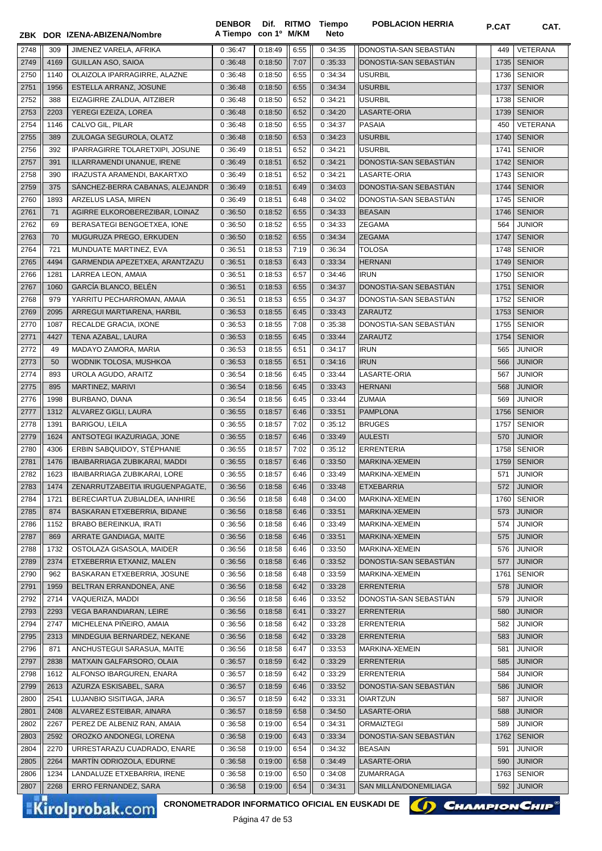|              |             | ZBK DOR IZENA-ABIZENA/Nombre                                              | <b>DENBOR</b><br>A Tiempo con 1º M/KM |                        |              | Dif. RITMO Tiempo<br><b>Neto</b> | <b>POBLACION HERRIA</b>             | P.CAT      | CAT.                           |
|--------------|-------------|---------------------------------------------------------------------------|---------------------------------------|------------------------|--------------|----------------------------------|-------------------------------------|------------|--------------------------------|
| 2748         | 309         | JIMENEZ VARELA, AFRIKA                                                    | 0:36:47                               | 0:18:49                | 6:55         | 0:34:35                          | DONOSTIA-SAN SEBASTIAN              | 449        | VETERANA                       |
| 2749         | 4169        | <b>GUILLAN ASO, SAIOA</b>                                                 | 0:36:48                               | 0:18:50                | 7:07         | 0:35:33                          | DONOSTIA-SAN SEBASTIAN              | 1735       | <b>SENIOR</b>                  |
| 2750         | 1140        | OLAIZOLA IPARRAGIRRE, ALAZNE                                              | 0:36:48                               | 0:18:50                | 6:55         | 0:34:34                          | <b>USURBIL</b>                      | 1736       | <b>SENIOR</b>                  |
| 2751         | 1956        | ESTELLA ARRANZ, JOSUNE                                                    | 0:36:48                               | 0:18:50                | 6:55         | 0:34:34                          | <b>USURBIL</b>                      | 1737       | <b>SENIOR</b>                  |
| 2752         | 388         | EIZAGIRRE ZALDUA, AITZIBER                                                | 0:36:48                               | 0:18:50                | 6:52         | 0:34:21                          | <b>USURBIL</b>                      | 1738       | <b>SENIOR</b>                  |
| 2753         | 2203        | YEREGI EZEIZA, LOREA                                                      | 0:36:48                               | 0:18:50                | 6:52         | 0:34:20                          | LASARTE-ORIA                        | 1739       | <b>SENIOR</b>                  |
| 2754         | 1146        | CALVO GIL, PILAR                                                          | 0:36:48                               | 0:18:50                | 6:55         | 0:34:37                          | <b>PASAIA</b>                       | 450        | <b>VETERANA</b>                |
| 2755         | 389         | ZULOAGA SEGUROLA, OLATZ                                                   | 0:36:48                               | 0:18:50                | 6:53         | 0:34:23                          | <b>USURBIL</b>                      | 1740       | <b>SENIOR</b>                  |
| 2756         | 392         | IPARRAGIRRE TOLARETXIPI, JOSUNE                                           | 0:36:49                               | 0:18:51                | 6:52         | 0:34:21                          | <b>USURBIL</b>                      | 1741       | <b>SENIOR</b>                  |
| 2757         | 391         | ILLARRAMENDI UNANUE, IRENE                                                | 0:36:49                               | 0:18:51                | 6:52         | 0:34:21                          | DONOSTIA-SAN SEBASTIAN              | 1742       | <b>SENIOR</b>                  |
| 2758         | 390         | IRAZUSTA ARAMENDI, BAKARTXO                                               | 0:36:49                               | 0:18:51                | 6:52         | 0:34:21                          | LASARTE-ORIA                        | 1743       | <b>SENIOR</b>                  |
| 2759         | 375         | SANCHEZ-BERRA CABANAS, ALEJANDR                                           | 0:36:49                               | 0:18:51                | 6:49         | 0:34:03                          | DONOSTIA-SAN SEBASTIÁN              | 1744       | <b>SENIOR</b>                  |
| 2760         | 1893        | ARZELUS LASA, MIREN                                                       | 0:36:49                               | 0:18:51                | 6:48         | 0:34:02                          | DONOSTIA-SAN SEBASTIAN              | 1745       | <b>SENIOR</b>                  |
| 2761         | 71          | AGIRRE ELKOROBEREZIBAR, LOINAZ                                            | 0:36:50                               | 0:18:52                | 6:55         | 0:34:33                          | <b>BEASAIN</b>                      | 1746       | <b>SENIOR</b>                  |
| 2762         | 69          | BERASATEGI BENGOETXEA, IONE                                               | 0:36:50                               | 0:18:52                | 6:55         | 0:34:33                          | <b>ZEGAMA</b>                       | 564        | <b>JUNIOR</b>                  |
| 2763         | 70          | MUGURUZA PREGO, ERKUDEN                                                   | 0:36:50                               | 0:18:52                | 6:55         | 0:34:34                          | <b>ZEGAMA</b>                       | 1747       | <b>SENIOR</b>                  |
| 2764         | 721         | MUNDUATE MARTINEZ, EVA                                                    | 0:36:51                               | 0:18:53                | 7:19         | 0:36:34                          | <b>TOLOSA</b>                       | 1748       | <b>SENIOR</b>                  |
| 2765         | 4494        | GARMENDIA APEZETXEA, ARANTZAZU                                            | 0:36:51                               | 0:18:53                | 6:43         | 0:33:34                          | <b>HERNANI</b>                      | 1749       | <b>SENIOR</b>                  |
| 2766         | 1281        | LARREA LEON, AMAIA                                                        | 0:36:51                               | 0:18:53                | 6:57         | 0:34:46                          | <b>IRUN</b>                         | 1750       | <b>SENIOR</b>                  |
| 2767         | 1060        | GARCÍA BLANCO, BELÉN                                                      | 0:36:51                               | 0:18:53                | 6:55         | 0:34:37                          | DONOSTIA-SAN SEBASTIÁN              | 1751       | <b>SENIOR</b>                  |
| 2768         | 979         | YARRITU PECHARROMAN, AMAIA                                                | 0:36:51                               | 0:18:53                | 6:55         | 0:34:37                          | DONOSTIA-SAN SEBASTIAN              | 1752       | <b>SENIOR</b>                  |
| 2769         | 2095        | ARREGUI MARTIARENA, HARBIL                                                | 0:36:53                               | 0:18:55                | 6:45         | 0:33:43                          | ZARAUTZ                             | 1753       | <b>SENIOR</b>                  |
| 2770         | 1087        | RECALDE GRACIA, IXONE                                                     | 0:36:53                               | 0:18:55                | 7:08         | 0:35:38                          | DONOSTIA-SAN SEBASTIAN              | 1755       | <b>SENIOR</b>                  |
| 2771         | 4427        | TENA AZABAL, LAURA                                                        | 0:36:53                               | 0:18:55                | 6:45         | 0:33:44                          | ZARAUTZ                             | 1754       | <b>SENIOR</b>                  |
| 2772         | 49          | MADAYO ZAMORA, MARIA                                                      | 0:36:53                               | 0:18:55                | 6:51         | 0:34:17                          | <b>IRUN</b>                         | 565        | <b>JUNIOR</b>                  |
| 2773         | 50          | WODNIK TOLOSA, MUSHKOA                                                    | 0:36:53                               | 0:18:55                | 6:51         | 0:34:16                          | <b>IRUN</b>                         | 566        | <b>JUNIOR</b>                  |
| 2774         | 893         | UROLA AGUDO, ARAITZ                                                       | 0:36:54                               | 0:18:56                | 6:45         | 0:33:44                          | LASARTE-ORIA                        | 567        | <b>JUNIOR</b>                  |
| 2775         | 895         | MARTINEZ, MARIVI                                                          | 0:36:54                               | 0:18:56                | 6:45         | 0:33:43                          | <b>HERNANI</b>                      | 568        | <b>JUNIOR</b>                  |
| 2776         | 1998        | BURBANO, DIANA                                                            | 0:36:54                               | 0:18:56                | 6:45         | 0:33:44                          | <b>ZUMAIA</b>                       | 569        | <b>JUNIOR</b>                  |
| 2777         | 1312        | ALVAREZ GIGLI, LAURA                                                      | 0:36:55                               | 0:18:57                | 6:46         | 0:33:51                          | <b>PAMPLONA</b>                     | 1756       | <b>SENIOR</b>                  |
| 2778         | 1391        | <b>BARIGOU, LEILA</b>                                                     | 0:36:55                               | 0:18:57                | 7:02         | 0:35:12                          | <b>BRUGES</b>                       | 1757       | <b>SENIOR</b>                  |
| 2779         | 1624        | ANTSOTEGI IKAZURIAGA, JONE                                                | 0:36:55                               | 0:18:57                | 6:46         | 0:33:49                          | <b>AULESTI</b>                      | 570        | <b>JUNIOR</b>                  |
| 2780         | 4306        | ERBIN SABQUIDOY, STÉPHANIE                                                | 0:36:55                               | 0:18:57                | 7:02         | 0:35:12                          | <b>ERRENTERIA</b>                   | 1758       | <b>SENIOR</b>                  |
| 2781         | 1476        | IBAIBARRIAGA ZUBIKARAI, MADDI                                             | 0:36:55                               | 0:18:57                | 6:46         | 0:33:50                          | MARKINA-XEMEIN                      |            | 1759 SENIOR                    |
| 2782         | 1623        | IBAIBARRIAGA ZUBIKARAI, LORE                                              | 0:36:55 0:18:57                       |                        | 6:46         | 0:33:49                          | MARKINA-XEMEIN                      | 571        | <b>JUNIOR</b>                  |
| 2783         | 1474        | ZENARRUTZABEITIA IRUGUENPAGATE,                                           | 0:36:56                               | 0:18:58                | 6:46         | 0:33:48                          | <b>ETXEBARRIA</b>                   | 572 l      | <b>JUNIOR</b>                  |
| 2784         | 1721        | BERECIARTUA ZUBIALDEA, IANHIRE                                            | 0:36:56                               | 0:18:58                | 6:48         | 0:34:00                          | MARKINA-XEMEIN                      | 1760       | <b>SENIOR</b>                  |
| 2785         | 874         | BASKARAN ETXEBERRIA, BIDANE                                               | 0:36:56                               | 0:18:58                | 6:46         | 0:33:51                          | MARKINA-XEMEIN                      | 573        | <b>JUNIOR</b>                  |
| 2786         | 1152        | <b>BRABO BEREINKUA, IRATI</b>                                             | 0:36:56                               | 0:18:58                | 6:46         | 0:33:49                          | MARKINA-XEMEIN                      | 574        | <b>JUNIOR</b>                  |
| 2787         | 869         | ARRATE GANDIAGA, MAITE                                                    | 0:36:56                               | 0:18:58                | 6:46         | 0:33:51                          | MARKINA-XEMEIN                      | 575        | <b>JUNIOR</b>                  |
| 2788         | 1732        | OSTOLAZA GISASOLA, MAIDER                                                 | 0:36:56                               | 0:18:58                | 6:46         | 0:33:50                          | MARKINA-XEMEIN                      | 576        | <b>JUNIOR</b>                  |
| 2789         | 2374        | ETXEBERRIA ETXANIZ, MALEN                                                 | 0:36:56                               | 0:18:58                | 6:46         | 0:33:52                          | DONOSTIA-SAN SEBASTIAN              | 577        | <b>JUNIOR</b>                  |
| 2790         | 962<br>1959 | BASKARAN ETXEBERRIA, JOSUNE                                               | 0:36:56                               | 0:18:58                | 6:48         | 0:33:59                          | MARKINA-XEMEIN<br><b>ERRENTERIA</b> | 1761       | <b>SENIOR</b><br><b>JUNIOR</b> |
| 2791<br>2792 | 2714        | BELTRAN ERRANDONEA, ANE                                                   | 0:36:56                               | 0:18:58<br>0:18:58     | 6:42         | 0:33:28                          | DONOSTIA-SAN SEBASTIAN              | 578<br>579 |                                |
| 2793         | 2293        | VAQUERIZA, MADDI<br>VEGA BARANDIARAN, LEIRE                               | 0:36:56                               | 0:18:58                | 6:46         | 0:33:52<br>0:33:27               | <b>ERRENTERIA</b>                   | 580        | <b>JUNIOR</b><br><b>JUNIOR</b> |
| 2794         | 2747        | MICHELENA PIÑEIRO, AMAIA                                                  | 0:36:56<br>0:36:56                    | 0:18:58                | 6:41<br>6:42 | 0:33:28                          | <b>ERRENTERIA</b>                   | 582        | <b>JUNIOR</b>                  |
| 2795         | 2313        | MINDEGUIA BERNARDEZ, NEKANE                                               | 0:36:56                               | 0:18:58                | 6:42         | 0:33:28                          | <b>ERRENTERIA</b>                   | 583        | <b>JUNIOR</b>                  |
| 2796         | 871         | ANCHUSTEGUI SARASUA, MAITE                                                | 0:36:56                               | 0:18:58                | 6:47         | 0:33:53                          | MARKINA-XEMEIN                      | 581        | <b>JUNIOR</b>                  |
| 2797         | 2838        | MATXAIN GALFARSORO, OLAIA                                                 | 0:36:57                               | 0:18:59                | 6:42         | 0:33:29                          | <b>ERRENTERIA</b>                   | 585        | <b>JUNIOR</b>                  |
| 2798         | 1612        | ALFONSO IBARGUREN, ENARA                                                  | 0:36:57                               | 0:18:59                | 6:42         | 0:33:29                          | <b>ERRENTERIA</b>                   | 584        | <b>JUNIOR</b>                  |
| 2799         | 2613        | AZURZA ESKISABEL, SARA                                                    | 0:36:57                               | 0:18:59                | 6:46         | 0:33:52                          | DONOSTIA-SAN SEBASTIAN              | 586        | <b>JUNIOR</b>                  |
| 2800         | 2541        | LUJANBIO SISITIAGA, JARA                                                  | 0:36:57                               | 0:18:59                | 6:42         | 0:33:31                          | <b>OIARTZUN</b>                     | 587        | <b>JUNIOR</b>                  |
| 2801         | 2408        | ALVAREZ ESTEIBAR, AINARA                                                  | 0:36:57                               | 0:18:59                | 6:58         | 0:34:50                          | LASARTE-ORIA                        | 588        | <b>JUNIOR</b>                  |
| 2802         | 2267        | PEREZ DE ALBENIZ RAN, AMAIA                                               | 0:36:58                               | 0:19:00                | 6:54         | 0:34:31                          | ORMAIZTEGI                          | 589        | <b>JUNIOR</b>                  |
| 2803         | 2592        | OROZKO ANDONEGI, LORENA                                                   | 0:36:58                               | 0:19:00                | 6:43         | 0:33:34                          | DONOSTIA-SAN SEBASTIAN              | 1762       | <b>SENIOR</b>                  |
| 2804         | 2270        | URRESTARAZU CUADRADO, ENARE                                               | 0:36:58                               | 0:19:00                | 6:54         | 0:34:32                          | <b>BEASAIN</b>                      | 591        | <b>JUNIOR</b>                  |
| 2805         | 2264        | MARTIN ODRIOZOLA, EDURNE                                                  | 0:36:58                               | 0:19:00                | 6:58         | 0:34:49                          | LASARTE-ORIA                        | 590        | <b>JUNIOR</b>                  |
| 2806         | 1234        | LANDALUZE ETXEBARRIA, IRENE                                               | 0:36:58                               | 0:19:00                | 6:50         | 0:34:08                          | ZUMARRAGA                           | 1763       | <b>SENIOR</b>                  |
| 2807         | 2268        | ERRO FERNANDEZ, SARA                                                      | 0:36:58                               | 0:19:00                | 6:54         | 0:34:31                          | SAN MILLAN/DONEMILIAGA              | 592        | <b>JUNIOR</b>                  |
|              |             |                                                                           |                                       |                        |              |                                  |                                     |            |                                |
|              |             | CRONOMETRADOR INFORMATICO OFICIAL EN EUSKADI DE<br><b>Kirolprobak.com</b> |                                       | $D4$ ainn $47$ de $52$ |              |                                  |                                     |            | <b>Снамріон Снір®</b>          |



**POBLACION HERRIA POBLACION**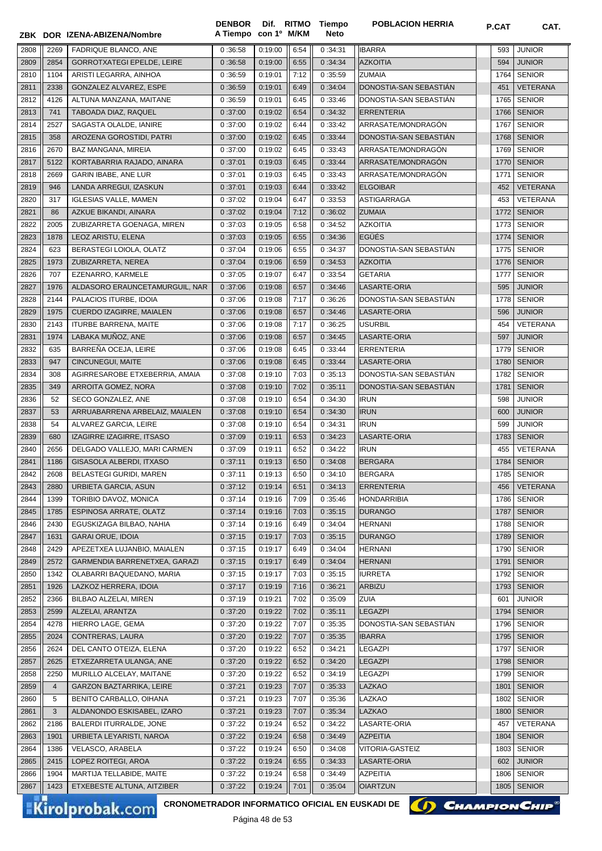|      |                | ZBK DOR IZENA-ABIZENA/Nombre      | A Tiempo con 1º M/KM |         |      | Neto    |                        |      |                 |
|------|----------------|-----------------------------------|----------------------|---------|------|---------|------------------------|------|-----------------|
| 2808 | 2269           | FADRIQUE BLANCO, ANE              | 0:36:58              | 0:19:00 | 6:54 | 0:34:31 | <b>IBARRA</b>          | 593  | <b>JUNIOR</b>   |
| 2809 | 2854           | <b>GORROTXATEGI EPELDE, LEIRE</b> | 0:36:58              | 0:19:00 | 6:55 | 0:34:34 | <b>AZKOITIA</b>        | 594  | <b>JUNIOR</b>   |
| 2810 | 1104           | ARISTI LEGARRA, AINHOA            | 0:36:59              | 0:19:01 | 7:12 | 0:35:59 | <b>ZUMAIA</b>          | 1764 | <b>SENIOR</b>   |
| 2811 | 2338           | GONZALEZ ALVAREZ, ESPE            | 0:36:59              | 0:19:01 | 6:49 | 0:34:04 | DONOSTIA-SAN SEBASTIÁN | 451  | <b>VETERANA</b> |
| 2812 | 4126           | ALTUNA MANZANA, MAITANE           | 0:36:59              | 0:19:01 | 6:45 | 0:33:46 | DONOSTIA-SAN SEBASTIAN | 1765 | <b>SENIOR</b>   |
| 2813 | 741            | TABOADA DIAZ, RAQUEL              | 0:37:00              | 0:19:02 | 6:54 | 0:34:32 | <b>ERRENTERIA</b>      | 1766 | <b>SENIOR</b>   |
| 2814 | 2527           | SAGASTA OLALDE, IANIRE            | 0:37:00              | 0:19:02 | 6:44 | 0:33:42 | ARRASATE/MONDRAGÓN     | 1767 | <b>SENIOR</b>   |
| 2815 | 358            | AROZENA GOROSTIDI, PATRI          | 0:37:00              | 0:19:02 | 6:45 | 0:33:44 | DONOSTIA-SAN SEBASTIÁN | 1768 | <b>SENIOR</b>   |
| 2816 | 2670           | <b>BAZ MANGANA, MIREIA</b>        | 0:37:00              | 0:19:02 | 6:45 | 0:33:43 | ARRASATE/MONDRAGÓN     | 1769 | <b>SENIOR</b>   |
| 2817 | 5122           | KORTABARRIA RAJADO, AINARA        | 0:37:01              | 0:19:03 | 6:45 | 0:33:44 | ARRASATE/MONDRAGÓN     | 1770 | <b>SENIOR</b>   |
| 2818 | 2669           | GARIN IBABE, ANE LUR              | 0:37:01              | 0:19:03 | 6:45 | 0:33:43 | ARRASATE/MONDRAGÓN     | 1771 | <b>SENIOR</b>   |
| 2819 | 946            | LANDA ARREGUI, IZASKUN            | 0:37:01              | 0:19:03 | 6:44 | 0:33:42 | <b>ELGOIBAR</b>        | 452  | <b>VETERANA</b> |
| 2820 | 317            | <b>IGLESIAS VALLE, MAMEN</b>      | 0:37:02              | 0:19:04 | 6:47 | 0:33:53 | ASTIGARRAGA            | 453  | VETERANA        |
| 2821 | 86             | AZKUE BIKANDI, AINARA             | 0:37:02              | 0:19:04 | 7:12 | 0:36:02 | <b>ZUMAIA</b>          | 1772 | <b>SENIOR</b>   |
| 2822 | 2005           | ZUBIZARRETA GOENAGA, MIREN        | 0:37:03              | 0:19:05 | 6:58 | 0:34:52 | AZKOITIA               | 1773 | <b>SENIOR</b>   |
| 2823 | 1878           | LEOZ ARISTU, ELENA                | 0:37:03              | 0:19:05 | 6:55 | 0:34:36 | EGÜÉS                  | 1774 | <b>SENIOR</b>   |
| 2824 | 623            | BERASTEGI LOIOLA, OLATZ           | 0:37:04              | 0:19:06 | 6:55 | 0:34:37 | DONOSTIA-SAN SEBASTIÁN | 1775 | <b>SENIOR</b>   |
| 2825 | 1973           | ZUBIZARRETA, NEREA                | 0:37:04              | 0:19:06 | 6:59 | 0:34:53 | <b>AZKOITIA</b>        | 1776 | <b>SENIOR</b>   |
| 2826 | 707            | EZENARRO, KARMELE                 | 0:37:05              | 0:19:07 | 6:47 | 0:33:54 | <b>GETARIA</b>         | 1777 | <b>SENIOR</b>   |
| 2827 | 1976           | ALDASORO ERAUNCETAMURGUIL, NAR    | 0:37:06              | 0:19:08 | 6:57 | 0:34:46 | <b>LASARTE-ORIA</b>    | 595  | <b>JUNIOR</b>   |
| 2828 | 2144           | PALACIOS ITURBE, IDOIA            | 0:37:06              | 0:19:08 | 7:17 | 0:36:26 | DONOSTIA-SAN SEBASTIAN | 1778 | <b>SENIOR</b>   |
| 2829 | 1975           | CUERDO IZAGIRRE, MAIALEN          | 0:37:06              | 0:19:08 | 6:57 | 0:34:46 | LASARTE-ORIA           | 596  | <b>JUNIOR</b>   |
| 2830 | 2143           | <b>ITURBE BARRENA, MAITE</b>      | 0:37:06              | 0:19:08 | 7:17 | 0:36:25 | <b>USURBIL</b>         | 454  | <b>VETERANA</b> |
| 2831 | 1974           | LABAKA MUÑOZ, ANE                 | 0:37:06              | 0:19:08 | 6:57 | 0:34:45 | LASARTE-ORIA           | 597  | <b>JUNIOR</b>   |
| 2832 | 635            | BARREÑA OCEJA, LEIRE              | 0:37:06              | 0:19:08 | 6:45 | 0:33:44 | <b>ERRENTERIA</b>      | 1779 | <b>SENIOR</b>   |
| 2833 | 947            | CINCUNEGUI, MAITE                 | 0:37:06              | 0:19:08 | 6:45 | 0:33:44 | LASARTE-ORIA           | 1780 | <b>SENIOR</b>   |
| 2834 | 308            | AGIRRESAROBE ETXEBERRIA, AMAIA    | 0:37:08              | 0:19:10 | 7:03 | 0:35:13 | DONOSTIA-SAN SEBASTIAN | 1782 | <b>SENIOR</b>   |
| 2835 | 349            | ARROITA GOMEZ, NORA               | 0:37:08              | 0:19:10 | 7:02 | 0:35:11 | DONOSTIA-SAN SEBASTIAN | 1781 | <b>SENIOR</b>   |
| 2836 | 52             | SECO GONZALEZ, ANE                | 0:37:08              | 0:19:10 | 6:54 | 0:34:30 | <b>IRUN</b>            | 598  | <b>JUNIOR</b>   |
| 2837 | 53             | ARRUABARRENA ARBELAIZ, MAIALEN    | 0:37:08              | 0:19:10 | 6:54 | 0:34:30 | <b>IRUN</b>            | 600  | <b>JUNIOR</b>   |
| 2838 | 54             | ALVAREZ GARCIA, LEIRE             | 0:37:08              | 0:19:10 | 6:54 | 0:34:31 | <b>IRUN</b>            | 599  | <b>JUNIOR</b>   |
| 2839 | 680            | IZAGIRRE IZAGIRRE, ITSASO         | 0:37:09              | 0:19:11 | 6:53 | 0:34:23 | LASARTE-ORIA           | 1783 | <b>SENIOR</b>   |
| 2840 | 2656           | DELGADO VALLEJO, MARI CARMEN      | 0:37:09              | 0:19:11 | 6:52 | 0:34:22 | <b>IRUN</b>            | 455  | VETERANA        |
| 2841 | 1186           | GISASOLA ALBERDI, ITXASO          | 0:37:11              | 0:19:13 | 6:50 | 0:34:08 | <b>BERGARA</b>         | 1784 | <b>SENIOR</b>   |
| 2842 | 2608           | <b>BELASTEGI GURIDI, MAREN</b>    | 0:37:11              | 0:19:13 | 6:50 | 0:34:10 | <b>BERGARA</b>         | 1785 | <b>SENIOR</b>   |
| 2843 | 2880           | URBIETA GARCIA, ASUN              | 0:37:12              | 0:19:14 | 6:51 | 0:34:13 | <b>ERRENTERIA</b>      | 456  | <b>VETERANA</b> |
| 2844 | 1399           | TORIBIO DAVOZ, MONICA             | 0:37:14              | 0:19:16 | 7:09 | 0:35:46 | <b>HONDARRIBIA</b>     | 1786 | <b>SENIOR</b>   |
| 2845 | 1785           | ESPINOSA ARRATE, OLATZ            | 0:37:14              | 0:19:16 | 7:03 | 0:35:15 | <b>DURANGO</b>         | 1787 | <b>SENIOR</b>   |
| 2846 | 2430           | EGUSKIZAGA BILBAO, NAHIA          | 0:37:14              | 0:19:16 | 6:49 | 0:34:04 | <b>HERNANI</b>         | 1788 | <b>SENIOR</b>   |
| 2847 | 1631           | <b>GARAI ORUE, IDOIA</b>          | 0:37:15              | 0:19:17 | 7:03 | 0:35:15 | <b>DURANGO</b>         | 1789 | <b>SENIOR</b>   |
| 2848 | 2429           | APEZETXEA LUJANBIO, MAIALEN       | 0:37:15              | 0:19:17 | 6:49 | 0:34:04 | <b>HERNANI</b>         | 1790 | <b>SENIOR</b>   |
| 2849 | 2572           | GARMENDIA BARRENETXEA, GARAZI     | 0:37:15              | 0:19:17 | 6:49 | 0:34:04 | <b>HERNANI</b>         | 1791 | <b>SENIOR</b>   |
| 2850 | 1342           | OLABARRI BAQUEDANO, MARIA         | 0:37:15              | 0:19:17 | 7:03 | 0:35:15 | <b>IURRETA</b>         | 1792 | <b>SENIOR</b>   |
| 2851 | 1926           | LAZKOZ HERRERA, IDOIA             | 0:37:17              | 0:19:19 | 7:16 | 0:36:21 | ARBIZU                 | 1793 | <b>SENIOR</b>   |
| 2852 | 2366           | BILBAO ALZELAI, MIREN             | 0:37:19              | 0:19:21 | 7:02 | 0:35:09 | ZUIA                   | 601  | <b>JUNIOR</b>   |
| 2853 | 2599           | ALZELAI, ARANTZA                  | 0:37:20              | 0:19:22 | 7:02 | 0:35:11 | <b>LEGAZPI</b>         | 1794 | <b>SENIOR</b>   |
| 2854 | 4278           | HIERRO LAGE, GEMA                 | 0:37:20              | 0:19:22 | 7:07 | 0:35:35 | DONOSTIA-SAN SEBASTIAN | 1796 | <b>SENIOR</b>   |
| 2855 | 2024           | CONTRERAS, LAURA                  | 0:37:20              | 0:19:22 | 7:07 | 0:35:35 | <b>IBARRA</b>          | 1795 | <b>SENIOR</b>   |
| 2856 | 2624           | DEL CANTO OTEIZA, ELENA           | 0:37:20              | 0:19:22 | 6:52 | 0:34:21 | LEGAZPI                | 1797 | <b>SENIOR</b>   |
| 2857 | 2625           | ETXEZARRETA ULANGA, ANE           | 0:37:20              | 0:19:22 | 6:52 | 0:34:20 | LEGAZPI                | 1798 | <b>SENIOR</b>   |
| 2858 | 2250           | MURILLO ALCELAY, MAITANE          | 0:37:20              | 0:19:22 | 6:52 | 0:34:19 | LEGAZPI                | 1799 | <b>SENIOR</b>   |
| 2859 | $\overline{4}$ | <b>GARZON BAZTARRIKA, LEIRE</b>   | 0:37:21              | 0:19:23 | 7:07 | 0:35:33 | LAZKAO                 | 1801 | <b>SENIOR</b>   |
| 2860 | 5              | BENITO CARBALLO, OIHANA           | 0:37:21              | 0:19:23 | 7:07 | 0:35:36 | LAZKAO                 | 1802 | <b>SENIOR</b>   |
| 2861 | 3              | ALDANONDO ESKISABEL, IZARO        | 0:37:21              | 0:19:23 | 7:07 | 0:35:34 | LAZKAO                 | 1800 | <b>SENIOR</b>   |
| 2862 | 2186           | BALERDI ITURRALDE, JONE           | 0:37:22              | 0:19:24 | 6:52 | 0:34:22 | LASARTE-ORIA           | 457  | VETERANA        |
| 2863 | 1901           | URBIETA LEYARISTI, NAROA          | 0:37:22              | 0:19:24 | 6:58 | 0:34:49 | <b>AZPEITIA</b>        | 1804 | <b>SENIOR</b>   |
| 2864 | 1386           | VELASCO, ARABELA                  | 0:37:22              | 0:19:24 | 6:50 | 0:34:08 | VITORIA-GASTEIZ        | 1803 | <b>SENIOR</b>   |
| 2865 | 2415           | LOPEZ ROITEGI, AROA               | 0:37:22              | 0:19:24 | 6:55 | 0:34:33 | LASARTE-ORIA           | 602  | <b>JUNIOR</b>   |
| 2866 | 1904           | MARTIJA TELLABIDE, MAITE          | 0:37:22              | 0:19:24 | 6:58 | 0:34:49 | <b>AZPEITIA</b>        | 1806 | <b>SENIOR</b>   |
| 2867 | 1423           | ETXEBESTE ALTUNA, AITZIBER        | 0:37:22              | 0:19:24 | 7:01 | 0:35:04 | <b>OIARTZUN</b>        | 1805 | <b>SENIOR</b>   |

**DENBOR**

Kirolprobak.com

**CRONOMETRADOR INFORMATICO OFICIAL EN EUSKADI DE**



**POBLACION HERRIA P.CAT CAT. Tiempo**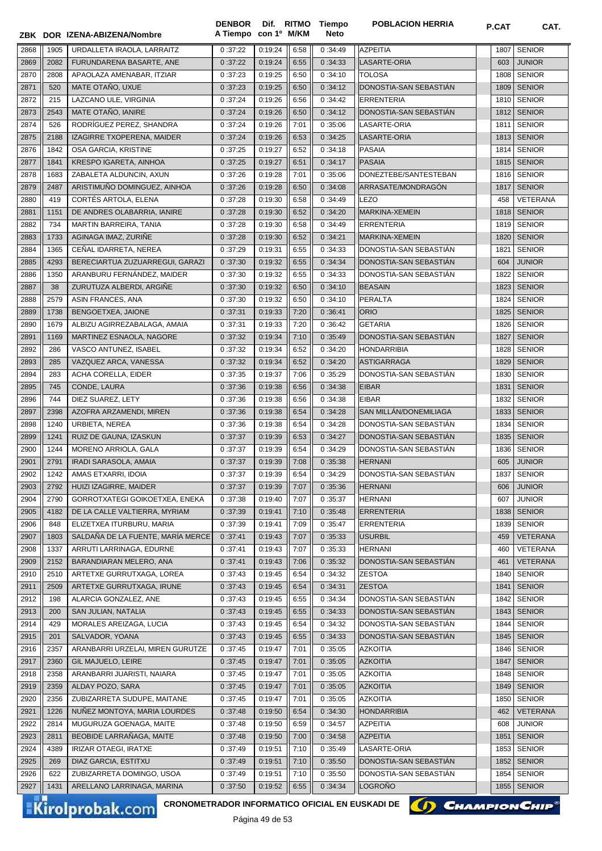|              |              | ZBK DOR IZENA-ABIZENA/Nombre                   | <b>DENBOR</b><br>A Tiempo con 1º M/KM |                    |              | Dif. RITMO Tiempo<br><b>Neto</b> | <b>POBLACION HERRIA</b>                          | P.CAT        | CAT.                           |
|--------------|--------------|------------------------------------------------|---------------------------------------|--------------------|--------------|----------------------------------|--------------------------------------------------|--------------|--------------------------------|
| 2868         | 1905         | URDALLETA IRAOLA, LARRAITZ                     | 0:37:22                               | 0:19:24            | 6:58         | 0:34:49                          | <b>AZPEITIA</b>                                  | 1807         | <b>SENIOR</b>                  |
| 2869         | 2082         | FURUNDARENA BASARTE, ANE                       | 0:37:22                               | 0:19:24            | 6:55         | 0:34:33                          | LASARTE-ORIA                                     | 603          | <b>JUNIOR</b>                  |
| 2870         | 2808         | APAOLAZA AMENABAR, ITZIAR                      | 0:37:23                               | 0:19:25            | 6:50         | 0:34:10                          | <b>TOLOSA</b>                                    | 1808         | <b>SENIOR</b>                  |
| 2871         | 520          | MATE OTAÑO, UXUE                               | 0:37:23                               | 0:19:25            | 6:50         | 0:34:12                          | DONOSTIA-SAN SEBASTIAN                           | 1809         | <b>SENIOR</b>                  |
| 2872         | 215          | LAZCANO ULE, VIRGINIA                          | 0:37:24                               | 0:19:26            | 6:56         | 0:34:42                          | <b>ERRENTERIA</b>                                | 1810         | <b>SENIOR</b>                  |
| 2873         | 2543         | MATE OTAÑO, IANIRE                             | 0:37:24                               | 0:19:26            | 6:50         | 0:34:12                          | DONOSTIA-SAN SEBASTIÁN                           | 1812         | <b>SENIOR</b>                  |
| 2874         | 526          | RODRÍGUEZ PEREZ. SHANDRA                       | 0:37:24                               | 0:19:26            | 7:01         | 0:35:06                          | LASARTE-ORIA                                     | 1811         | <b>SENIOR</b>                  |
| 2875         | 2188         | IZAGIRRE TXOPERENA, MAIDER                     | 0:37:24                               | 0:19:26            | 6:53         | 0:34:25                          | LASARTE-ORIA                                     | 1813         | <b>SENIOR</b>                  |
| 2876         | 1842         | OSA GARCIA, KRISTINE                           | 0:37:25                               | 0:19:27            | 6:52         | 0:34:18                          | PASAIA                                           | 1814         | <b>SENIOR</b>                  |
| 2877         | 1841         | KRESPO IGARETA, AINHOA                         | 0:37:25                               | 0:19:27            | 6:51         | 0:34:17                          | <b>PASAIA</b>                                    | 1815         | <b>SENIOR</b>                  |
| 2878         | 1683         | ZABALETA ALDUNCIN, AXUN                        | 0:37:26                               | 0:19:28            | 7:01         | 0:35:06                          | DONEZTEBE/SANTESTEBAN                            | 1816         | <b>SENIOR</b>                  |
| 2879         | 2487         | ARISTIMUÑO DOMINGUEZ, AINHOA                   | 0:37:26                               | 0:19:28            | 6:50         | 0:34:08                          | ARRASATE/MONDRAGÓN                               | 1817         | <b>SENIOR</b>                  |
| 2880         | 419          | CORTÉS ARTOLA, ELENA                           | 0:37:28                               | 0:19:30            | 6:58         | 0:34:49                          | <b>LEZO</b>                                      | 458          | VETERANA                       |
| 2881         | 1151         | DE ANDRES OLABARRIA, IANIRE                    | 0:37:28                               | 0:19:30            | 6:52         | 0:34:20                          | MARKINA-XEMEIN                                   | 1818         | <b>SENIOR</b>                  |
| 2882         | 734          | MARTIN BARREIRA, TANIA                         | 0:37:28                               | 0:19:30            | 6:58         | 0:34:49                          | <b>ERRENTERIA</b>                                | 1819         | <b>SENIOR</b>                  |
| 2883         | 1733         | AGINAGA IMAZ, ZURIÑE                           | 0:37:28                               | 0:19:30            | 6:52         | 0:34:21                          | <b>MARKINA-XEMEIN</b>                            | 1820         | <b>SENIOR</b>                  |
| 2884         | 1365         | CEÑAL IDARRETA, NEREA                          | 0:37:29                               | 0:19:31            | 6:55         | 0:34:33                          | DONOSTIA-SAN SEBASTIAN                           | 1821         | <b>SENIOR</b>                  |
| 2885         | 4293         | BERECIARTUA ZUZUARREGUI, GARAZI                | 0:37:30                               | 0:19:32            | 6:55         | 0:34:34                          | DONOSTIA-SAN SEBASTIÁN                           | 604          | <b>JUNIOR</b>                  |
| 2886         | 1350         | ARANBURU FERNÁNDEZ, MAIDER                     | 0:37:30                               | 0:19:32            | 6:55         | 0:34:33                          | DONOSTIA-SAN SEBASTIÁN                           | 1822         | <b>SENIOR</b>                  |
| 2887         | 38           | ZURUTUZA ALBERDI, ARGIÑE                       | 0:37:30                               | 0:19:32            | 6:50         | 0:34:10                          | <b>BEASAIN</b>                                   | 1823         | <b>SENIOR</b>                  |
| 2888         | 2579         | ASIN FRANCES, ANA                              | 0:37:30                               | 0:19:32            | 6:50         | 0:34:10                          | <b>PERALTA</b>                                   | 1824         | <b>SENIOR</b>                  |
| 2889         | 1738         | BENGOETXEA, JAIONE                             | 0:37:31                               | 0:19:33            | 7:20         | 0:36:41                          | <b>ORIO</b>                                      | 1825         | <b>SENIOR</b>                  |
| 2890         | 1679         | ALBIZU AGIRREZABALAGA, AMAIA                   | 0:37:31                               | 0:19:33            | 7:20         | 0:36:42                          | <b>GETARIA</b>                                   | 1826         | <b>SENIOR</b>                  |
| 2891         | 1169         | MARTINEZ ESNAOLA, NAGORE                       | 0:37:32                               | 0:19:34            | 7:10         | 0:35:49                          | DONOSTIA-SAN SEBASTIAN                           | 1827         | <b>SENIOR</b>                  |
| 2892         | 286          | VASCO ANTUNEZ, ISABEL                          | 0:37:32                               | 0:19:34            | 6:52         | 0:34:20                          | <b>HONDARRIBIA</b>                               | 1828         | <b>SENIOR</b>                  |
| 2893         | 285          | VAZQUEZ ARCA, VANESSA                          | 0:37:32                               | 0:19:34            | 6:52         | 0:34:20                          | <b>ASTIGARRAGA</b>                               | 1829         | <b>SENIOR</b>                  |
| 2894         | 283          | ACHA CORELLA, EIDER                            | 0:37:35                               | 0:19:37            | 7:06         | 0:35:29                          | DONOSTIA-SAN SEBASTIAN                           | 1830         | <b>SENIOR</b>                  |
| 2895         | 745          | CONDE, LAURA                                   | 0:37:36                               | 0:19:38            | 6:56         | 0:34:38                          | <b>EIBAR</b>                                     | 1831         | <b>SENIOR</b>                  |
| 2896         | 744          | DIEZ SUAREZ, LETY                              | 0:37:36                               | 0:19:38            | 6:56         | 0:34:38                          | <b>EIBAR</b>                                     | 1832         | <b>SENIOR</b>                  |
| 2897         | 2398         | AZOFRA ARZAMENDI, MIREN                        | 0:37:36                               | 0:19:38            | 6:54         | 0:34:28                          | SAN MILLÁN/DONEMILIAGA<br>DONOSTIA-SAN SEBASTIÁN | 1833         | <b>SENIOR</b>                  |
| 2898         | 1240<br>1241 | URBIETA, NEREA                                 | 0:37:36                               | 0:19:38            | 6:54         | 0:34:28                          | DONOSTIA-SAN SEBASTIAN                           | 1834<br>1835 | <b>SENIOR</b><br><b>SENIOR</b> |
| 2899<br>2900 | 1244         | RUIZ DE GAUNA, IZASKUN<br>MORENO ARRIOLA, GALA | 0:37:37<br>0:37:37                    | 0:19:39<br>0:19:39 | 6:53<br>6:54 | 0:34:27<br>0:34:29               | DONOSTIA-SAN SEBASTIAN                           | 1836         | <b>SENIOR</b>                  |
| 2901         | 2791         | <b>IRADI SARASOLA, AMAIA</b>                   | 0:37:37                               | 0:19:39            | 7:08         | 0:35:38                          | <b>HERNANI</b>                                   | 605          | <b>JUNIOR</b>                  |
| 2902         | 1242         | AMAS ETXARRI, IDOIA                            | 0:37:37                               | 0:19:39            | 6:54         | 0:34:29                          | DONOSTIA-SAN SEBASTIÁN                           | 1837         | <b>SENIOR</b>                  |
| 2903         | 2792         | HUIZI IZAGIRRE, MAIDER                         | 0:37:37                               | 0:19:39            | 7:07         | 0:35:36                          | <b>HERNANI</b>                                   | 606          | <b>JUNIOR</b>                  |
| 2904         | 2790         | GORROTXATEGI GOIKOETXEA, ENEKA                 | 0:37:38                               | 0:19:40            | 7:07         | 0:35:37                          | <b>HERNANI</b>                                   | 607          | <b>JUNIOR</b>                  |
| 2905         | 4182         | DE LA CALLE VALTIERRA, MYRIAM                  | 0:37:39                               | 0:19:41            | 7:10         | 0:35:48                          | <b>ERRENTERIA</b>                                | 1838         | <b>SENIOR</b>                  |
| 2906         | 848          | ELIZETXEA ITURBURU, MARIA                      | 0:37:39                               | 0:19:41            | 7:09         | 0:35:47                          | <b>ERRENTERIA</b>                                | 1839         | <b>SENIOR</b>                  |
| 2907         | 1803         | SALDAÑA DE LA FUENTE, MARÍA MERCE              | 0:37:41                               | 0:19:43            | 7:07         | 0:35:33                          | <b>USURBIL</b>                                   | 459          | VETERANA                       |
| 2908         | 1337         | ARRUTI LARRINAGA, EDURNE                       | 0:37:41                               | 0:19:43            | 7:07         | 0:35:33                          | <b>HERNANI</b>                                   | 460          | VETERANA                       |
| 2909         | 2152         | BARANDIARAN MELERO, ANA                        | 0:37:41                               | 0:19:43            | 7:06         | 0:35:32                          | DONOSTIA-SAN SEBASTIAN                           | 461          | <b>VETERANA</b>                |
| 2910         | 2510         | ARTETXE GURRUTXAGA, LOREA                      | 0:37:43                               | 0:19:45            | 6:54         | 0:34:32                          | <b>ZESTOA</b>                                    | 1840         | <b>SENIOR</b>                  |
| 2911         | 2509         | ARTETXE GURRUTXAGA, IRUNE                      | 0:37:43                               | 0:19:45            | 6:54         | 0:34:31                          | <b>ZESTOA</b>                                    | 1841         | <b>SENIOR</b>                  |
| 2912         | 198          | ALARCIA GONZALEZ, ANE                          | 0:37:43                               | 0:19:45            | 6:55         | 0:34:34                          | DONOSTIA-SAN SEBASTIAN                           | 1842         | <b>SENIOR</b>                  |
| 2913         | 200          | SAN JULIAN, NATALIA                            | 0:37:43                               | 0:19:45            | 6:55         | 0:34:33                          | DONOSTIA-SAN SEBASTIAN                           | 1843         | <b>SENIOR</b>                  |
| 2914         | 429          | MORALES AREIZAGA, LUCIA                        | 0:37:43                               | 0:19:45            | 6:54         | 0:34:32                          | DONOSTIA-SAN SEBASTIÁN                           | 1844         | <b>SENIOR</b>                  |
| 2915         | 201          | SALVADOR, YOANA                                | 0:37:43                               | 0:19:45            | 6:55         | 0:34:33                          | DONOSTIA-SAN SEBASTIAN                           | 1845         | <b>SENIOR</b>                  |
| 2916         | 2357         | ARANBARRI URZELAI, MIREN GURUTZE               | 0:37:45                               | 0:19:47            | 7:01         | 0:35:05                          | <b>AZKOITIA</b>                                  | 1846         | <b>SENIOR</b>                  |
| 2917         | 2360         | GIL MAJUELO, LEIRE                             | 0:37:45                               | 0:19:47            | 7:01         | 0:35:05                          | <b>AZKOITIA</b>                                  | 1847         | <b>SENIOR</b>                  |
| 2918         | 2358         | ARANBARRI JUARISTI, NAIARA                     | 0:37:45                               | 0:19:47            | 7:01         | 0:35:05                          | <b>AZKOITIA</b>                                  | 1848         | <b>SENIOR</b>                  |
| 2919         | 2359         | ALDAY POZO, SARA                               | 0:37:45                               | 0:19:47            | 7:01         | 0:35:05                          | <b>AZKOITIA</b>                                  | 1849         | <b>SENIOR</b>                  |
| 2920         | 2356         | ZUBIZARRETA SUDUPE, MAITANE                    | 0:37:45                               | 0:19:47            | 7:01         | 0:35:05                          | <b>AZKOITIA</b>                                  | 1850         | <b>SENIOR</b>                  |
| 2921         | 1226         | NUÑEZ MONTOYA, MARIA LOURDES                   | 0:37:48                               | 0:19:50            | 6:54         | 0:34:30                          | <b>HONDARRIBIA</b>                               | 462          | <b>VETERANA</b>                |
| 2922         | 2814         | MUGURUZA GOENAGA, MAITE                        | 0:37:48                               | 0:19:50            | 6:59         | 0:34:57                          | <b>AZPEITIA</b>                                  | 608          | JUNIOR                         |
| 2923         | 2811         | BEOBIDE LARRAÑAGA, MAITE                       | 0:37:48                               | 0:19:50            | 7:00         | 0:34:58                          | <b>AZPEITIA</b>                                  | 1851         | <b>SENIOR</b>                  |
| 2924         | 4389         | <b>IRIZAR OTAEGI, IRATXE</b>                   | 0:37:49                               | 0:19:51            | 7:10         | 0:35:49                          | LASARTE-ORIA                                     | 1853         | <b>SENIOR</b>                  |
| 2925         | 269          | DIAZ GARCIA, ESTITXU                           | 0:37:49                               | 0:19:51            | 7:10         | 0:35:50                          | DONOSTIA-SAN SEBASTIAN                           | 1852         | <b>SENIOR</b>                  |
| 2926         | 622          | ZUBIZARRETA DOMINGO, USOA                      | 0:37:49                               | 0:19:51            | 7:10         | 0:35:50                          | DONOSTIA-SAN SEBASTIAN                           | 1854         | <b>SENIOR</b>                  |
| 2927         | 1431         | ARELLANO LARRINAGA, MARINA                     | 0:37:50                               | 0:19:52            | 6:55         | 0:34:34                          | <b>LOGRONO</b>                                   | 1855         | <b>SENIOR</b>                  |

Kirolprobak.com

CRONOMETRADOR INFORMATICO OFICIAL EN EUSKADI DE **(A) CHAMPION CHIP**<sup>®</sup>

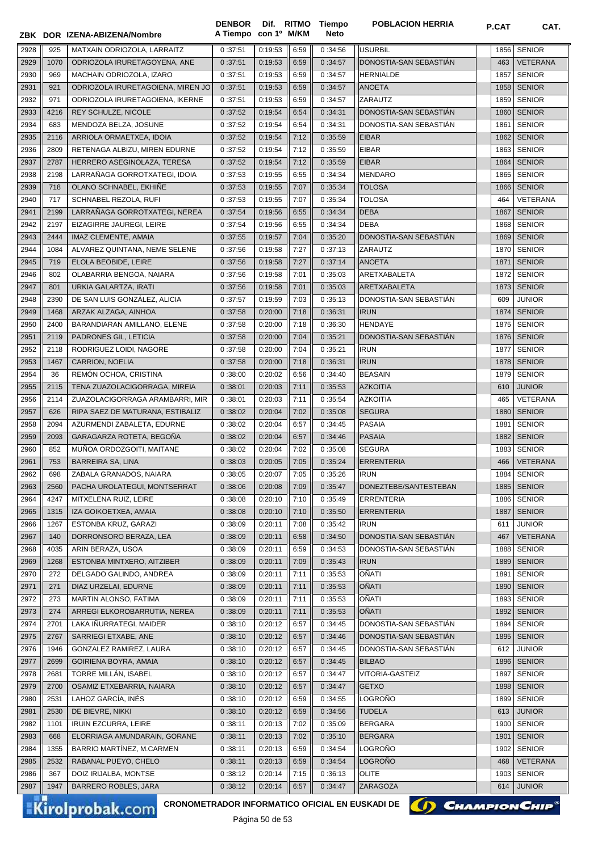**ZBK DOR IZENA-ABIZENA/Nombre A Tiempo**

**Dif. con 1º DENBOR M/KM** **POBLACION HERRIA P.CAT CAT.** 

**Tiempo Neto**

| 2928 | 925  | MATXAIN ODRIOZOLA, LARRAITZ                            | 0:37:51 | 0:19:53 | 6:59 | 0:34:56 | <b>USURBIL</b>         |      | 1856 SENIOR     |
|------|------|--------------------------------------------------------|---------|---------|------|---------|------------------------|------|-----------------|
| 2929 | 1070 | ODRIOZOLA IRURETAGOYENA, ANE                           | 0:37:51 | 0:19:53 | 6:59 | 0:34:57 | DONOSTIA-SAN SEBASTIÁN | 463  | <b>VETERANA</b> |
| 2930 | 969  | MACHAIN ODRIOZOLA, IZARO                               | 0:37:51 | 0:19:53 | 6:59 | 0:34:57 | <b>HERNIALDE</b>       | 1857 | <b>SENIOR</b>   |
| 2931 | 921  | ODRIOZOLA IRURETAGOIENA, MIREN JO                      | 0:37:51 | 0:19:53 | 6:59 | 0:34:57 | <b>ANOETA</b>          | 1858 | <b>SENIOR</b>   |
| 2932 | 971  | ODRIOZOLA IRURETAGOIENA, IKERNE                        | 0:37:51 | 0:19:53 | 6:59 | 0:34:57 | ZARAUTZ                | 1859 | <b>SENIOR</b>   |
| 2933 | 4216 | REY SCHULZE, NICOLE                                    | 0:37:52 | 0:19:54 | 6:54 | 0:34:31 | DONOSTIA-SAN SEBASTIAN |      | 1860 SENIOR     |
| 2934 | 683  | MENDOZA BELZA, JOSUNE                                  | 0:37:52 | 0:19:54 | 6:54 | 0:34:31 | DONOSTIA-SAN SEBASTIAN | 1861 | <b>SENIOR</b>   |
| 2935 | 2116 | ARRIOLA ORMAETXEA, IDOIA                               | 0:37:52 | 0:19:54 | 7:12 | 0:35:59 | <b>EIBAR</b>           | 1862 | <b>SENIOR</b>   |
| 2936 | 2809 | RETENAGA ALBIZU, MIREN EDURNE                          | 0:37:52 | 0:19:54 | 7:12 | 0:35:59 | <b>EIBAR</b>           | 1863 | <b>SENIOR</b>   |
| 2937 | 2787 | HERRERO ASEGINOLAZA, TERESA                            | 0:37:52 | 0:19:54 | 7:12 | 0:35:59 | <b>EIBAR</b>           | 1864 | <b>SENIOR</b>   |
| 2938 | 2198 | LARRAÑAGA GORROTXATEGI, IDOIA                          | 0:37:53 | 0:19:55 | 6:55 | 0:34:34 | <b>MENDARO</b>         | 1865 | <b>SENIOR</b>   |
| 2939 | 718  | OLANO SCHNABEL, EKHIÑE                                 | 0:37:53 | 0:19:55 | 7:07 | 0:35:34 | <b>TOLOSA</b>          | 1866 | <b>SENIOR</b>   |
| 2940 | 717  | SCHNABEL REZOLA, RUFI                                  | 0:37:53 | 0:19:55 | 7:07 | 0:35:34 | <b>TOLOSA</b>          | 464  | VETERANA        |
| 2941 | 2199 | LARRAÑAGA GORROTXATEGI, NEREA                          | 0:37:54 | 0:19:56 | 6:55 | 0:34:34 | <b>DEBA</b>            | 1867 | <b>SENIOR</b>   |
| 2942 | 2197 | EIZAGIRRE JAUREGI, LEIRE                               | 0:37:54 | 0:19:56 | 6:55 | 0:34:34 | <b>DEBA</b>            | 1868 | <b>SENIOR</b>   |
| 2943 | 2444 | IMAZ CLEMENTE, AMAIA                                   | 0:37:55 | 0:19:57 | 7:04 | 0:35:20 | DONOSTIA-SAN SEBASTIAN | 1869 | <b>SENIOR</b>   |
| 2944 | 1084 | ALVAREZ QUINTANA, NEME SELENE                          | 0:37:56 | 0:19:58 | 7:27 | 0:37:13 | ZARAUTZ                | 1870 | <b>SENIOR</b>   |
| 2945 |      |                                                        |         |         | 7:27 |         | <b>ANOETA</b>          |      |                 |
|      | 719  | ELOLA BEOBIDE, LEIRE                                   | 0:37:56 | 0:19:58 |      | 0:37:14 |                        | 1871 | <b>SENIOR</b>   |
| 2946 | 802  | OLABARRIA BENGOA, NAIARA                               | 0:37:56 | 0:19:58 | 7:01 | 0:35:03 | ARETXABALETA           | 1872 | <b>SENIOR</b>   |
| 2947 | 801  | URKIA GALARTZA, IRATI                                  | 0:37:56 | 0:19:58 | 7:01 | 0:35:03 | ARETXABALETA           | 1873 | <b>SENIOR</b>   |
| 2948 | 2390 | DE SAN LUIS GONZALEZ, ALICIA                           | 0:37:57 | 0:19:59 | 7:03 | 0:35:13 | DONOSTIA-SAN SEBASTIAN | 609  | <b>JUNIOR</b>   |
| 2949 | 1468 | ARZAK ALZAGA, AINHOA                                   | 0:37:58 | 0:20:00 | 7:18 | 0:36:31 | <b>IRUN</b>            | 1874 | <b>SENIOR</b>   |
| 2950 | 2400 | BARANDIARAN AMILLANO, ELENE                            | 0:37:58 | 0:20:00 | 7:18 | 0:36:30 | <b>HENDAYE</b>         | 1875 | <b>SENIOR</b>   |
| 2951 | 2119 | PADRONES GIL, LETICIA                                  | 0:37:58 | 0:20:00 | 7:04 | 0:35:21 | DONOSTIA-SAN SEBASTIÁN | 1876 | <b>SENIOR</b>   |
| 2952 | 2118 | RODRIGUEZ LOIDI, NAGORE                                | 0:37:58 | 0:20:00 | 7:04 | 0:35:21 | <b>IRUN</b>            | 1877 | <b>SENIOR</b>   |
| 2953 | 1467 | CARRION, NOELIA                                        | 0:37:58 | 0:20:00 | 7:18 | 0:36:31 | <b>IRUN</b>            | 1878 | <b>SENIOR</b>   |
| 2954 | 36   | REMÓN OCHOA, CRISTINA                                  | 0:38:00 | 0:20:02 | 6:56 | 0:34:40 | <b>BEASAIN</b>         | 1879 | <b>SENIOR</b>   |
| 2955 | 2115 | TENA ZUAZOLACIGORRAGA, MIREIA                          | 0:38:01 | 0:20:03 | 7:11 | 0:35:53 | <b>AZKOITIA</b>        | 610  | <b>JUNIOR</b>   |
| 2956 | 2114 | ZUAZOLACIGORRAGA ARAMBARRI, MIR                        | 0:38:01 | 0:20:03 | 7:11 | 0:35:54 | <b>AZKOITIA</b>        | 465  | VETERANA        |
| 2957 | 626  | RIPA SAEZ DE MATURANA, ESTIBALIZ                       | 0:38:02 | 0:20:04 | 7:02 | 0:35:08 | <b>SEGURA</b>          | 1880 | <b>SENIOR</b>   |
| 2958 | 2094 | AZURMENDI ZABALETA, EDURNE                             | 0:38:02 | 0:20:04 | 6:57 | 0:34:45 | <b>PASAIA</b>          | 1881 | <b>SENIOR</b>   |
| 2959 | 2093 | GARAGARZA ROTETA, BEGOÑA                               | 0:38:02 | 0:20:04 | 6:57 | 0:34:46 | <b>PASAIA</b>          | 1882 | <b>SENIOR</b>   |
| 2960 | 852  | MUÑOA ORDOZGOITI, MAITANE                              | 0:38:02 | 0:20:04 | 7:02 | 0:35:08 | <b>SEGURA</b>          | 1883 | <b>SENIOR</b>   |
| 2961 | 753  | <b>BARREIRA SA, LINA</b>                               | 0:38:03 | 0:20:05 | 7:05 | 0:35:24 | <b>ERRENTERIA</b>      | 466  | VETERANA        |
| 2962 | 698  | ZABALA GRANADOS, NAIARA                                | 0:38:05 | 0:20:07 | 7:05 | 0:35:26 | <b>IRUN</b>            | 1884 | <b>SENIOR</b>   |
| 2963 | 2560 | PACHA UROLATEGUI, MONTSERRAT                           | 0:38:06 | 0:20:08 | 7:09 | 0:35:47 | DONEZTEBE/SANTESTEBAN  |      | 1885 SENIOR     |
| 2964 | 4247 | MITXELENA RUIZ, LEIRE                                  | 0:38:08 | 0:20:10 | 7:10 | 0:35:49 | <b>ERRENTERIA</b>      |      | 1886 SENIOR     |
| 2965 | 1315 | IZA GOIKOETXEA, AMAIA                                  | 0:38:08 | 0:20:10 | 7:10 | 0:35:50 | <b>ERRENTERIA</b>      | 1887 | <b>SENIOR</b>   |
| 2966 | 1267 | ESTONBA KRUZ, GARAZI                                   | 0:38:09 | 0:20:11 | 7:08 | 0:35:42 | <b>IRUN</b>            | 611  | <b>JUNIOR</b>   |
| 2967 | 140  | DORRONSORO BERAZA, LEA                                 | 0:38:09 | 0:20:11 | 6:58 | 0:34:50 | DONOSTIA-SAN SEBASTIÁN | 467  | VETERANA        |
| 2968 | 4035 | ARIN BERAZA, USOA                                      | 0:38:09 | 0:20:11 | 6:59 | 0:34:53 | DONOSTIA-SAN SEBASTIAN | 1888 | <b>SENIOR</b>   |
| 2969 | 1268 | ESTONBA MINTXERO, AITZIBER                             | 0:38:09 | 0:20:11 | 7:09 | 0:35:43 | <b>IRUN</b>            | 1889 | <b>SENIOR</b>   |
| 2970 | 272  | DELGADO GALINDO, ANDREA                                | 0:38:09 | 0:20:11 | 7:11 | 0:35:53 | OÑATI                  | 1891 | <b>SENIOR</b>   |
| 2971 | 271  | DIAZ URZELAI, EDURNE                                   | 0:38:09 | 0:20:11 | 7:11 | 0:35:53 | <b>OÑATI</b>           | 1890 | <b>SENIOR</b>   |
| 2972 | 273  | MARTIN ALONSO, FATIMA                                  | 0:38:09 | 0:20:11 | 7:11 | 0:35:53 | OÑATI                  | 1893 | <b>SENIOR</b>   |
| 2973 | 274  | ARREGI ELKOROBARRUTIA, NEREA                           | 0:38:09 | 0:20:11 | 7:11 | 0:35:53 | <b>OÑATI</b>           | 1892 | <b>SENIOR</b>   |
| 2974 | 2701 | LAKA IÑURRATEGI, MAIDER                                | 0:38:10 | 0:20:12 | 6:57 | 0:34:45 | DONOSTIA-SAN SEBASTIAN | 1894 | <b>SENIOR</b>   |
| 2975 | 2767 | SARRIEGI ETXABE, ANE                                   | 0:38:10 | 0:20:12 | 6:57 | 0:34:46 | DONOSTIA-SAN SEBASTIÁN | 1895 | <b>SENIOR</b>   |
|      |      |                                                        |         |         |      |         |                        |      |                 |
| 2976 | 1946 | GONZALEZ RAMIREZ, LAURA                                | 0:38:10 | 0:20:12 | 6:57 | 0:34:45 | DONOSTIA-SAN SEBASTIAN | 612  | <b>JUNIOR</b>   |
| 2977 | 2699 | GOIRIENA BOYRA, AMAIA                                  | 0:38:10 | 0:20:12 | 6:57 | 0:34:45 | <b>BILBAO</b>          | 1896 | <b>SENIOR</b>   |
| 2978 | 2681 | TORRE MILLAN, ISABEL                                   | 0:38:10 | 0:20:12 | 6:57 | 0:34:47 | VITORIA-GASTEIZ        | 1897 | <b>SENIOR</b>   |
| 2979 | 2700 | OSAMIZ ETXEBARRIA, NAIARA                              | 0:38:10 | 0:20:12 | 6:57 | 0:34:47 | <b>GETXO</b>           | 1898 | <b>SENIOR</b>   |
| 2980 | 2531 | LAHOZ GARCÍA, INÉS                                     | 0:38:10 | 0:20:12 | 6:59 | 0:34:55 | LOGROÑO                | 1899 | <b>SENIOR</b>   |
| 2981 | 2530 | DE BIEVRE, NIKKI                                       | 0:38:10 | 0:20:12 | 6:59 | 0:34:56 | <b>TUDELA</b>          | 613  | <b>JUNIOR</b>   |
| 2982 | 1101 | <b>IRUIN EZCURRA, LEIRE</b>                            | 0:38:11 | 0:20:13 | 7:02 | 0:35:09 | <b>BERGARA</b>         | 1900 | <b>SENIOR</b>   |
| 2983 | 668  | ELORRIAGA AMUNDARAIN, GORANE                           | 0:38:11 | 0:20:13 | 7:02 | 0:35:10 | <b>BERGARA</b>         | 1901 | <b>SENIOR</b>   |
| 2984 | 1355 | BARRIO MARTINEZ, M.CARMEN                              | 0:38:11 | 0:20:13 | 6:59 | 0:34:54 | LOGROÑO                | 1902 | <b>SENIOR</b>   |
| 2985 | 2532 | RABANAL PUEYO, CHELO                                   | 0:38:11 | 0:20:13 | 6:59 | 0:34:54 | LOGROÑO                | 468  | VETERANA        |
| 2986 | 367  | DOIZ IRIJALBA, MONTSE                                  | 0:38:12 | 0:20:14 | 7:15 | 0:36:13 | OLITE                  | 1903 | <b>SENIOR</b>   |
| 2987 | 1947 | BARRERO ROBLES, JARA                                   | 0:38:12 | 0:20:14 | 6:57 | 0:34:47 | ZARAGOZA               | 614  | <b>JUNIOR</b>   |
|      |      | <b>CRONOMETRADOR INFORMATICO OFICIAL EN EUSKADI DE</b> |         |         |      |         | () CHAMPION CHIP       |      |                 |
|      |      | <b>Kirolprobak.com</b>                                 |         |         |      |         |                        |      |                 |

Página 50 de 53

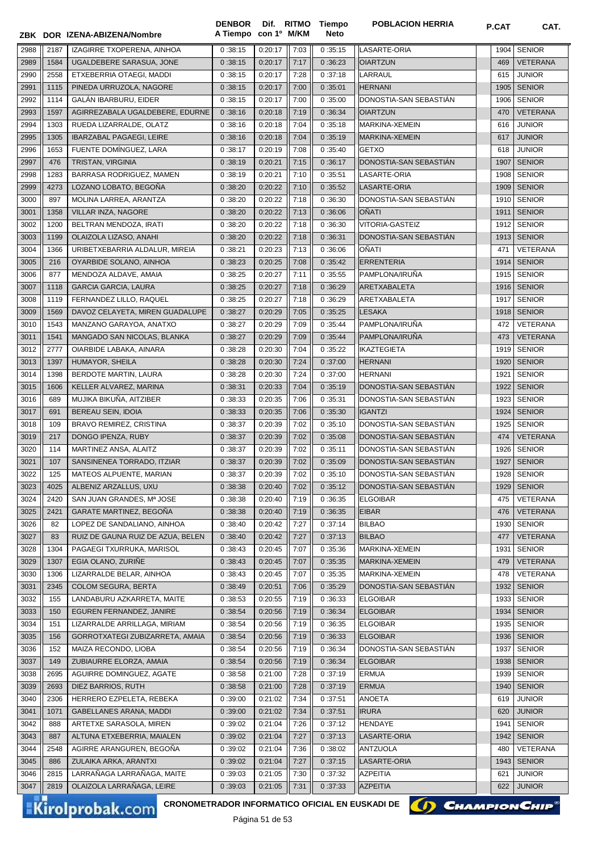|      |      | ZBK DOR IZENA-ABIZENA/Nombre      | A Tiempo con 1º M/KM |         |      | Neto    |                        |      |                 |
|------|------|-----------------------------------|----------------------|---------|------|---------|------------------------|------|-----------------|
| 2988 | 2187 | IZAGIRRE TXOPERENA, AINHOA        | 0:38:15              | 0:20:17 | 7:03 | 0:35:15 | LASARTE-ORIA           | 1904 | <b>SENIOR</b>   |
| 2989 | 1584 | UGALDEBERE SARASUA, JONE          | 0:38:15              | 0:20:17 | 7:17 | 0:36:23 | <b>OIARTZUN</b>        | 469  | <b>VETERANA</b> |
| 2990 | 2558 | ETXEBERRIA OTAEGI, MADDI          | 0:38:15              | 0:20:17 | 7:28 | 0:37:18 | LARRAUL                | 615  | <b>JUNIOR</b>   |
| 2991 | 1115 | PINEDA URRUZOLA, NAGORE           | 0:38:15              | 0:20:17 | 7:00 | 0:35:01 | <b>HERNANI</b>         | 1905 | <b>SENIOR</b>   |
| 2992 | 1114 | GALÁN IBARBURU, EIDER             | 0:38:15              | 0:20:17 | 7:00 | 0:35:00 | DONOSTIA-SAN SEBASTIAN | 1906 | <b>SENIOR</b>   |
| 2993 | 1597 | AGIRREZABALA UGALDEBERE, EDURNE   | 0:38:16              | 0:20:18 | 7:19 | 0:36:34 | <b>OIARTZUN</b>        | 470  | <b>VETERANA</b> |
| 2994 | 1303 | RUEDA LIZARRALDE, OLATZ           | 0:38:16              | 0:20:18 | 7:04 | 0:35:18 | MARKINA-XEMEIN         | 616  | <b>JUNIOR</b>   |
| 2995 | 1305 | <b>IBARZABAL PAGAEGI, LEIRE</b>   | 0:38:16              | 0:20:18 | 7:04 | 0:35:19 | MARKINA-XEMEIN         | 617  | <b>JUNIOR</b>   |
| 2996 | 1653 | FUENTE DOMÍNGUEZ, LARA            | 0:38:17              | 0:20:19 | 7:08 | 0:35:40 | <b>GETXO</b>           | 618  | <b>JUNIOR</b>   |
| 2997 | 476  | <b>TRISTAN, VIRGINIA</b>          | 0:38:19              | 0:20:21 | 7:15 | 0:36:17 | DONOSTIA-SAN SEBASTIAN | 1907 | <b>SENIOR</b>   |
| 2998 | 1283 | BARRASA RODRIGUEZ, MAMEN          | 0:38:19              | 0:20:21 | 7:10 | 0:35:51 | LASARTE-ORIA           | 1908 | <b>SENIOR</b>   |
| 2999 | 4273 | LOZANO LOBATO, BEGOÑA             | 0:38:20              | 0:20:22 | 7:10 | 0:35:52 | LASARTE-ORIA           | 1909 | <b>SENIOR</b>   |
| 3000 | 897  | MOLINA LARREA, ARANTZA            | 0:38:20              | 0:20:22 | 7:18 | 0:36:30 | DONOSTIA-SAN SEBASTIAN | 1910 | <b>SENIOR</b>   |
| 3001 | 1358 | VILLAR INZA, NAGORE               | 0:38:20              | 0:20:22 | 7:13 | 0:36:06 | OÑATI                  | 1911 | <b>SENIOR</b>   |
| 3002 | 1200 | BELTRAN MENDOZA, IRATI            | 0:38:20              | 0:20:22 | 7:18 | 0:36:30 | VITORIA-GASTEIZ        | 1912 | <b>SENIOR</b>   |
| 3003 | 1199 | OLAIZOLA LIZASO, ANAHI            | 0:38:20              | 0:20:22 | 7:18 | 0:36:31 | DONOSTIA-SAN SEBASTIAN | 1913 | <b>SENIOR</b>   |
| 3004 | 1366 | URIBETXEBARRIA ALDALUR, MIREIA    | 0:38:21              | 0:20:23 | 7:13 | 0:36:06 | OÑATI                  | 471  | VETERANA        |
| 3005 | 216  | OYARBIDE SOLANO, AINHOA           | 0:38:23              | 0:20:25 | 7:08 | 0:35:42 | <b>ERRENTERIA</b>      | 1914 | <b>SENIOR</b>   |
| 3006 | 877  | MENDOZA ALDAVE, AMAIA             | 0:38:25              | 0:20:27 | 7:11 | 0:35:55 | PAMPLONA/IRUÑA         | 1915 | <b>SENIOR</b>   |
| 3007 | 1118 | <b>GARCIA GARCIA, LAURA</b>       | 0:38:25              | 0:20:27 | 7:18 | 0:36:29 | ARETXABALETA           | 1916 | <b>SENIOR</b>   |
| 3008 | 1119 | FERNANDEZ LILLO, RAQUEL           | 0:38:25              | 0:20:27 | 7:18 | 0:36:29 | ARETXABALETA           | 1917 | <b>SENIOR</b>   |
| 3009 | 1569 | DAVOZ CELAYETA, MIREN GUADALUPE   | 0:38:27              | 0:20:29 | 7:05 | 0:35:25 | <b>LESAKA</b>          | 1918 | <b>SENIOR</b>   |
| 3010 | 1543 | MANZANO GARAYOA, ANATXO           | 0:38:27              | 0:20:29 | 7:09 | 0:35:44 | PAMPLONA/IRUÑA         | 472  | VETERANA        |
|      |      |                                   |                      |         |      |         | PAMPLONA/IRUÑA         |      |                 |
| 3011 | 1541 | MANGADO SAN NICOLAS, BLANKA       | 0:38:27              | 0:20:29 | 7:09 | 0:35:44 |                        | 473  | <b>VETERANA</b> |
| 3012 | 2777 | OIARBIDE LABAKA, AINARA           | 0:38:28              | 0:20:30 | 7:04 | 0:35:22 | <b>IKAZTEGIETA</b>     | 1919 | <b>SENIOR</b>   |
| 3013 | 1397 | HUMAYOR, SHEILA                   | 0:38:28              | 0:20:30 | 7:24 | 0:37:00 | <b>HERNANI</b>         | 1920 | <b>SENIOR</b>   |
| 3014 | 1398 | BERDOTE MARTIN, LAURA             | 0:38:28              | 0:20:30 | 7:24 | 0:37:00 | <b>HERNANI</b>         | 1921 | <b>SENIOR</b>   |
| 3015 | 1606 | KELLER ALVAREZ, MARINA            | 0:38:31              | 0:20:33 | 7:04 | 0:35:19 | DONOSTIA-SAN SEBASTIAN | 1922 | <b>SENIOR</b>   |
| 3016 | 689  | MUJIKA BIKUÑA, AITZIBER           | 0:38:33              | 0:20:35 | 7:06 | 0:35:31 | DONOSTIA-SAN SEBASTIAN | 1923 | <b>SENIOR</b>   |
| 3017 | 691  | BEREAU SEIN, IDOIA                | 0:38:33              | 0:20:35 | 7:06 | 0:35:30 | <b>IGANTZI</b>         | 1924 | <b>SENIOR</b>   |
| 3018 | 109  | BRAVO REMIREZ, CRISTINA           | 0:38:37              | 0:20:39 | 7:02 | 0:35:10 | DONOSTIA-SAN SEBASTIAN | 1925 | <b>SENIOR</b>   |
| 3019 | 217  | DONGO IPENZA, RUBY                | 0:38:37              | 0:20:39 | 7:02 | 0:35:08 | DONOSTIA-SAN SEBASTIAN | 474  | VETERANA        |
| 3020 | 114  | MARTINEZ ANSA, ALAITZ             | 0:38:37              | 0:20:39 | 7:02 | 0:35:11 | DONOSTIA-SAN SEBASTIÁN | 1926 | <b>SENIOR</b>   |
| 3021 | 107  | SANSINENEA TORRADO, ITZIAR        | 0:38:37              | 0:20:39 | 7:02 | 0:35:09 | DONOSTIA-SAN SEBASTIÁN | 1927 | <b>SENIOR</b>   |
| 3022 | 125  | MATEOS ALPUENTE, MARIAN           | 0:38:37              | 0:20:39 | 7:02 | 0:35:10 | DONOSTIA-SAN SEBASTIÁN | 1928 | <b>SENIOR</b>   |
| 3023 | 4025 | ALBENIZ ARZALLUS, UXU             | 0:38:38              | 0:20:40 | 7:02 | 0:35:12 | DONOSTIA-SAN SEBASTIÁN | 1929 | <b>SENIOR</b>   |
| 3024 | 2420 | SAN JUAN GRANDES, Mª JOSE         | 0:38:38              | 0:20:40 | 7:19 | 0:36:35 | <b>ELGOIBAR</b>        | 475  | <b>VETERANA</b> |
| 3025 | 2421 | GARATE MARTINEZ, BEGOÑA           | 0:38:38              | 0:20:40 | 7:19 | 0:36:35 | <b>EIBAR</b>           | 476  | <b>VETERANA</b> |
| 3026 | 82   | LOPEZ DE SANDALIANO, AINHOA       | 0:38:40              | 0:20:42 | 7:27 | 0:37:14 | <b>BILBAO</b>          | 1930 | <b>SENIOR</b>   |
| 3027 | 83   | RUIZ DE GAUNA RUIZ DE AZUA, BELEN | 0:38:40              | 0:20:42 | 7:27 | 0:37:13 | <b>BILBAO</b>          | 477  | <b>VETERANA</b> |
| 3028 | 1304 | PAGAEGI TXURRUKA, MARISOL         | 0:38:43              | 0:20:45 | 7:07 | 0:35:36 | MARKINA-XEMEIN         | 1931 | <b>SENIOR</b>   |
| 3029 | 1307 | EGIA OLANO, ZURIÑE                | 0:38:43              | 0:20:45 | 7:07 | 0:35:35 | MARKINA-XEMEIN         | 479  | <b>VETERANA</b> |
| 3030 | 1306 | LIZARRALDE BELAR, AINHOA          | 0:38:43              | 0:20:45 | 7:07 | 0:35:35 | MARKINA-XEMEIN         | 478  | VETERANA        |
| 3031 | 2345 | COLOM SEGURA, BERTA               | 0:38:49              | 0:20:51 | 7:06 | 0:35:29 | DONOSTIA-SAN SEBASTIAN | 1932 | <b>SENIOR</b>   |
| 3032 | 155  | LANDABURU AZKARRETA, MAITE        | 0:38:53              | 0:20:55 | 7:19 | 0:36:33 | <b>ELGOIBAR</b>        | 1933 | <b>SENIOR</b>   |
| 3033 | 150  | EGUREN FERNANDEZ, JANIRE          | 0:38:54              | 0:20:56 | 7:19 | 0:36:34 | <b>ELGOIBAR</b>        | 1934 | <b>SENIOR</b>   |
| 3034 | 151  | LIZARRALDE ARRILLAGA, MIRIAM      | 0:38:54              | 0:20:56 | 7:19 | 0:36:35 | <b>ELGOIBAR</b>        | 1935 | <b>SENIOR</b>   |
| 3035 | 156  | GORROTXATEGI ZUBIZARRETA, AMAIA   | 0:38:54              | 0:20:56 | 7:19 | 0:36:33 | <b>ELGOIBAR</b>        | 1936 | <b>SENIOR</b>   |
| 3036 | 152  | MAIZA RECONDO, LIOBA              | 0:38:54              | 0:20:56 | 7:19 | 0:36:34 | DONOSTIA-SAN SEBASTIAN | 1937 | <b>SENIOR</b>   |
| 3037 | 149  | ZUBIAURRE ELORZA, AMAIA           | 0:38:54              | 0:20:56 | 7:19 | 0:36:34 | <b>ELGOIBAR</b>        | 1938 | <b>SENIOR</b>   |
| 3038 | 2695 | AGUIRRE DOMINGUEZ, AGATE          | 0:38:58              | 0:21:00 | 7:28 | 0:37:19 | <b>ERMUA</b>           | 1939 | <b>SENIOR</b>   |
| 3039 | 2693 | DIEZ BARRIOS, RUTH                | 0:38:58              | 0:21:00 | 7:28 | 0:37:19 | <b>ERMUA</b>           | 1940 | <b>SENIOR</b>   |
| 3040 | 2306 | HERRERO EZPELETA, REBEKA          | 0:39:00              | 0:21:02 | 7:34 | 0:37:51 | <b>ANOETA</b>          | 619  | <b>JUNIOR</b>   |
| 3041 | 1071 | GABELLANES ARANA, MADDI           | 0:39:00              | 0:21:02 | 7:34 | 0:37:51 | <b>IRURA</b>           | 620  | <b>JUNIOR</b>   |
| 3042 | 888  | ARTETXE SARASOLA, MIREN           | 0:39:02              | 0:21:04 | 7:26 | 0:37:12 | <b>HENDAYE</b>         | 1941 | <b>SENIOR</b>   |
| 3043 | 887  | ALTUNA ETXEBERRIA, MAIALEN        | 0:39:02              | 0:21:04 | 7:27 | 0:37:13 | LASARTE-ORIA           | 1942 | <b>SENIOR</b>   |
| 3044 | 2548 | AGIRRE ARANGUREN, BEGOÑA          | 0:39:02              | 0:21:04 | 7:36 | 0:38:02 | ANTZUOLA               | 480  | VETERANA        |
| 3045 | 886  | ZULAIKA ARKA, ARANTXI             | 0:39:02              | 0:21:04 | 7:27 | 0:37:15 | LASARTE-ORIA           | 1943 | <b>SENIOR</b>   |
| 3046 | 2815 | LARRAÑAGA LARRAÑAGA, MAITE        | 0:39:03              | 0:21:05 | 7:30 | 0:37:32 | <b>AZPEITIA</b>        | 621  | <b>JUNIOR</b>   |
| 3047 | 2819 | OLAIZOLA LARRAÑAGA, LEIRE         | 0:39:03              | 0:21:05 | 7:31 | 0:37:33 | <b>AZPEITIA</b>        | 622  | <b>JUNIOR</b>   |

**Tiempo** 

**DENBOR**

Kirolprobak.com

**CRONOMETRADOR INFORMATICO OFICIAL EN EUSKADI DE**



**POBLACION HERRIA P.CAT CAT.** 

Página 51 de 53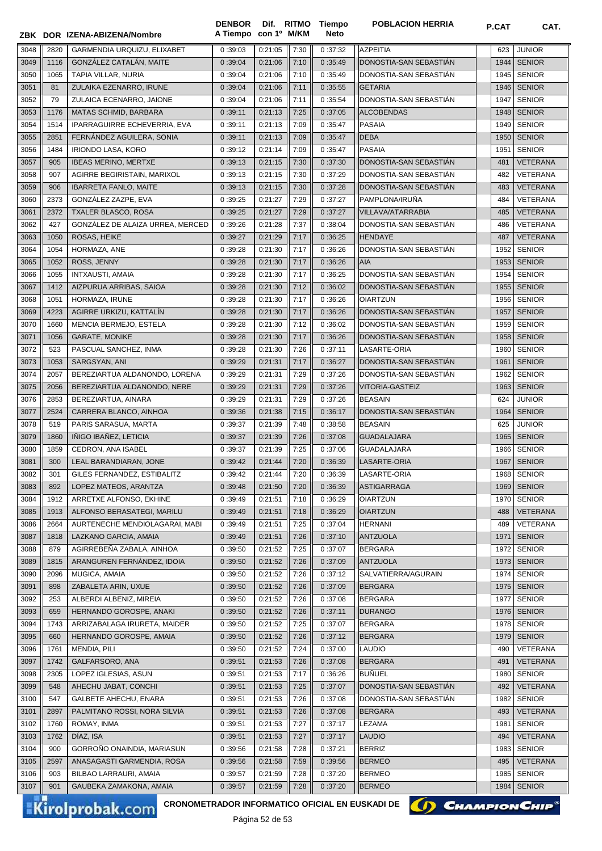|              |             | ZBK DOR IZENA-ABIZENA/Nombre                   | <b>DENBOR</b><br>A Tiempo con 1º M/KM |                    |              | Dif. RITMO Tiempo<br>Neto | <b>POBLACION HERRIA</b>                | P.CAT        | CAT.                           |
|--------------|-------------|------------------------------------------------|---------------------------------------|--------------------|--------------|---------------------------|----------------------------------------|--------------|--------------------------------|
| 3048         | 2820        | GARMENDIA URQUIZU. ELIXABET                    | 0:39:03                               | 0:21:05            | 7:30         | 0:37:32                   | <b>AZPEITIA</b>                        | 623          | <b>JUNIOR</b>                  |
| 3049         | 1116        | GONZÁLEZ CATALÁN, MAITE                        | 0:39:04                               | 0:21:06            | 7:10         | 0:35:49                   | DONOSTIA-SAN SEBASTIAN                 | 1944         | <b>SENIOR</b>                  |
| 3050         | 1065        | TAPIA VILLAR, NURIA                            | 0:39:04                               | 0:21:06            | 7:10         | 0:35:49                   | DONOSTIA-SAN SEBASTIAN                 | 1945         | <b>SENIOR</b>                  |
| 3051         | 81          | ZULAIKA EZENARRO, IRUNE                        | 0:39:04                               | 0:21:06            | 7:11         | 0:35:55                   | <b>GETARIA</b>                         | 1946         | <b>SENIOR</b>                  |
| 3052         | 79          | ZULAICA ECENARRO, JAIONE                       | 0:39:04                               | 0:21:06            | 7:11         | 0:35:54                   | DONOSTIA-SAN SEBASTIÁN                 | 1947         | <b>SENIOR</b>                  |
| 3053         | 1176        | MATAS SCHMID, BARBARA                          | 0:39:11                               | 0:21:13            | 7:25         | 0:37:05                   | <b>ALCOBENDAS</b>                      | 1948         | <b>SENIOR</b>                  |
| 3054         | 1514        | IPARRAGUIRRE ECHEVERRIA, EVA                   | 0:39:11                               | 0:21:13            | 7:09         | 0:35:47                   | PASAIA                                 | 1949         | <b>SENIOR</b>                  |
| 3055         | 2851        | FERNÁNDEZ AGUILERA, SONIA                      | 0:39:11                               | 0:21:13            | 7:09         | 0:35:47                   | <b>DEBA</b>                            | 1950         | <b>SENIOR</b>                  |
| 3056         | 1484        | <b>IRIONDO LASA, KORO</b>                      | 0:39:12                               | 0:21:14            | 7:09         | 0:35:47                   | PASAIA                                 | 1951         | <b>SENIOR</b>                  |
| 3057         | 905         | <b>IBEAS MERINO, MERTXE</b>                    | 0:39:13                               | 0:21:15            | 7:30         | 0:37:30                   | DONOSTIA-SAN SEBASTIÁN                 | 481          | <b>VETERANA</b>                |
| 3058         | 907         | AGIRRE BEGIRISTAIN, MARIXOL                    | 0:39:13                               | 0:21:15            | 7:30         | 0:37:29                   | DONOSTIA-SAN SEBASTIAN                 | 482          | VETERANA                       |
| 3059         | 906         | <b>IBARRETA FANLO, MAITE</b>                   | 0:39:13                               | 0:21:15            | 7:30         | 0:37:28                   | DONOSTIA-SAN SEBASTIAN                 | 483          | <b>VETERANA</b>                |
| 3060         | 2373        | GONZALEZ ZAZPE, EVA                            | 0:39:25                               | 0:21:27            | 7:29         | 0:37:27                   | PAMPLONA/IRUÑA                         | 484          | VETERANA                       |
| 3061         | 2372        | <b>TXALER BLASCO, ROSA</b>                     | 0:39:25                               | 0:21:27            | 7:29         | 0:37:27                   | VILLAVA/ATARRABIA                      | 485          | <b>VETERANA</b>                |
| 3062         | 427         | GONZALEZ DE ALAIZA URREA, MERCED               | 0:39:26                               | 0:21:28            | 7:37         | 0:38:04                   | DONOSTIA-SAN SEBASTIAN                 | 486          | VETERANA                       |
| 3063         | 1050        | ROSAS, HEIKE                                   | 0:39:27                               | 0:21:29            | 7:17         | 0:36:25                   | HENDAYE                                | 487          | <b>VETERANA</b>                |
| 3064         | 1054        | HORMAZA, ANE                                   | 0:39:28                               | 0:21:30            | 7:17         | 0:36:26                   | DONOSTIA-SAN SEBASTIÁN                 | 1952         | <b>SENIOR</b>                  |
| 3065         | 1052        | ROSS, JENNY                                    | 0:39:28                               | 0:21:30            | 7:17         | 0:36:26                   | AIA                                    | 1953         | <b>SENIOR</b>                  |
| 3066         | 1055        | <b>INTXAUSTI, AMAIA</b>                        | 0:39:28                               | 0:21:30            | 7:17         | 0:36:25                   | DONOSTIA-SAN SEBASTIAN                 | 1954         | <b>SENIOR</b>                  |
| 3067         | 1412        | AIZPURUA ARRIBAS, SAIOA                        | 0:39:28                               | 0:21:30            | 7:12         | 0:36:02                   | DONOSTIA-SAN SEBASTIÁN                 | 1955         | <b>SENIOR</b>                  |
| 3068         | 1051        | HORMAZA, IRUNE                                 | 0:39:28                               | 0:21:30            | 7:17         | 0:36:26                   | <b>OIARTZUN</b>                        | 1956         | <b>SENIOR</b>                  |
| 3069         | 4223        | AGIRRE URKIZU, KATTALÍN                        | 0:39:28                               | 0:21:30            | 7:17         | 0:36:26                   | DONOSTIA-SAN SEBASTIAN                 | 1957         | <b>SENIOR</b>                  |
| 3070         | 1660        | MENCIA BERMEJO, ESTELA                         | 0:39:28                               | 0:21:30            | 7:12         | 0:36:02                   | DONOSTIA-SAN SEBASTIÁN                 | 1959         | <b>SENIOR</b>                  |
| 3071         | 1056        | <b>GARATE, MONIKE</b>                          | 0:39:28                               | 0:21:30            | 7:17         | 0:36:26                   | DONOSTIA-SAN SEBASTIAN                 | 1958         | <b>SENIOR</b>                  |
| 3072         | 523<br>1053 | PASCUAL SANCHEZ, INMA<br>SARGSYAN, ANI         | 0:39:28<br>0:39:29                    | 0:21:30<br>0:21:31 | 7:26<br>7:17 | 0:37:11<br>0:36:27        | LASARTE-ORIA<br>DONOSTIA-SAN SEBASTIÁN | 1960<br>1961 | <b>SENIOR</b><br><b>SENIOR</b> |
| 3073<br>3074 | 2057        | BEREZIARTUA ALDANONDO, LORENA                  | 0:39:29                               | 0:21:31            | 7:29         | 0:37:26                   | DONOSTIA-SAN SEBASTIAN                 | 1962         | <b>SENIOR</b>                  |
| 3075         | 2056        | BEREZIARTUA ALDANONDO, NERE                    | 0:39:29                               | 0:21:31            | 7:29         | 0:37:26                   | VITORIA-GASTEIZ                        | 1963         | <b>SENIOR</b>                  |
| 3076         | 2853        | BEREZIARTUA, AINARA                            | 0:39:29                               | 0:21:31            | 7:29         | 0:37:26                   | <b>BEASAIN</b>                         | 624          | <b>JUNIOR</b>                  |
| 3077         | 2524        | CARRERA BLANCO, AINHOA                         | 0:39:36                               | 0:21:38            | 7:15         | 0:36:17                   | DONOSTIA-SAN SEBASTIAN                 | 1964         | <b>SENIOR</b>                  |
| 3078         | 519         | PARIS SARASUA, MARTA                           | 0:39:37                               | 0:21:39            | 7:48         | 0:38:58                   | <b>BEASAIN</b>                         | 625          | <b>JUNIOR</b>                  |
| 3079         | 1860        | IÑIGO IBAÑEZ, LETICIA                          | 0:39:37                               | 0:21:39            | 7:26         | 0:37:08                   | <b>GUADALAJARA</b>                     | 1965         | <b>SENIOR</b>                  |
| 3080         | 1859        | CEDRON, ANA ISABEL                             | 0:39:37                               | 0:21:39            | 7:25         | 0:37:06                   | GUADALAJARA                            | 1966         | <b>SENIOR</b>                  |
| 3081         | 300         | LEAL BARANDIARAN, JONE                         | 0:39:42                               | 0:21:44            | 7:20         | 0:36:39                   | LASARTE-ORIA                           | 1967         | <b>SENIOR</b>                  |
| 3082         | 301         | GILES FERNANDEZ, ESTIBALITZ                    | 0:39:42                               | 0:21:44            | 7:20         | 0:36:39                   | LASARTE-ORIA                           | 1968         | <b>SENIOR</b>                  |
| 3083         | 892         | LOPEZ MATEOS, ARANTZA                          | 0:39:48                               | 0:21:50            | 7:20         | 0:36:39                   | ASTIGARRAGA                            | 1969         | <b>SENIOR</b>                  |
| 3084         | 1912        | ARRETXE ALFONSO, EKHINE                        | 0:39:49                               | 0:21:51            | 7:18         | 0:36:29                   | <b>OIARTZUN</b>                        | 1970         | <b>SENIOR</b>                  |
| 3085         | 1913        | ALFONSO BERASATEGI, MARILU                     | 0:39:49                               | 0:21:51            | 7:18         | 0:36:29                   | <b>OIARTZUN</b>                        | 488          | VETERANA                       |
| 3086         | 2664        | AURTENECHE MENDIOLAGARAI, MABI                 | 0:39:49                               | 0:21:51            | 7:25         | 0:37:04                   | HERNANI                                | 489          | VETERANA                       |
| 3087         | 1818        | LAZKANO GARCIA, AMAIA                          | 0:39:49                               | 0:21:51            | 7:26         | 0:37:10                   | <b>ANTZUOLA</b>                        | 1971         | <b>SENIOR</b>                  |
| 3088         | 879         | AGIRREBEÑA ZABALA, AINHOA                      | 0:39:50                               | 0:21:52            | 7:25         | 0:37:07                   | <b>BERGARA</b>                         | 1972         | <b>SENIOR</b>                  |
| 3089         | 1815        | ARANGUREN FERNÁNDEZ, IDOIA                     | 0:39:50                               | 0:21:52            | 7:26         | 0:37:09                   | <b>ANTZUOLA</b>                        | 1973         | <b>SENIOR</b>                  |
| 3090         | 2096        | MUGICA, AMAIA                                  | 0:39:50                               | 0:21:52            | 7:26         | 0:37:12                   | SALVATIERRA/AGURAIN                    | 1974         | <b>SENIOR</b>                  |
| 3091         | 898<br>253  | ZABALETA ARIN, UXUE<br>ALBERDI ALBENIZ, MIREIA | 0:39:50                               | 0:21:52<br>0:21:52 | 7:26<br>7:26 | 0:37:09                   | <b>BERGARA</b>                         | 1975         | <b>SENIOR</b><br><b>SENIOR</b> |
| 3092<br>3093 | 659         | HERNANDO GOROSPE, ANAKI                        | 0:39:50<br>0:39:50                    | 0:21:52            | 7:26         | 0:37:08<br>0:37:11        | BERGARA<br><b>DURANGO</b>              | 1977<br>1976 | <b>SENIOR</b>                  |
| 3094         | 1743        | ARRIZABALAGA IRURETA, MAIDER                   | 0:39:50                               | 0:21:52            | 7:25         | 0:37:07                   | <b>BERGARA</b>                         | 1978         | <b>SENIOR</b>                  |
| 3095         | 660         | HERNANDO GOROSPE, AMAIA                        | 0:39:50                               | 0:21:52            | 7:26         | 0:37:12                   | <b>BERGARA</b>                         | 1979         | <b>SENIOR</b>                  |
| 3096         | 1761        | MENDIA, PILI                                   | 0:39:50                               | 0:21:52            | 7:24         | 0:37:00                   | <b>LAUDIO</b>                          | 490          | VETERANA                       |
| 3097         | 1742        | GALFARSORO, ANA                                | 0:39:51                               | 0:21:53            | 7:26         | 0:37:08                   | <b>BERGARA</b>                         | 491          | <b>VETERANA</b>                |
| 3098         | 2305        | LOPEZ IGLESIAS, ASUN                           | 0:39:51                               | 0:21:53            | 7:17         | 0:36:26                   | <b>BUÑUEL</b>                          | 1980         | <b>SENIOR</b>                  |
| 3099         | 548         | AHECHU JABAT, CONCHI                           | 0:39:51                               | 0:21:53            | 7:25         | 0:37:07                   | DONOSTIA-SAN SEBASTIÁN                 | 492          | VETERANA                       |
| 3100         | 547         | GALBETE AHECHU, ENARA                          | 0:39:51                               | 0:21:53            | 7:26         | 0:37:08                   | DONOSTIA-SAN SEBASTIAN                 | 1982         | <b>SENIOR</b>                  |
| 3101         | 2897        | PALMITANO ROSSI, NORA SILVIA                   | 0:39:51                               | 0:21:53            | 7:26         | 0:37:08                   | <b>BERGARA</b>                         | 493          | VETERANA                       |
| 3102         | 1760        | ROMAY, INMA                                    | 0:39:51                               | 0:21:53            | 7:27         | 0:37:17                   | LEZAMA                                 | 1981         | <b>SENIOR</b>                  |
| 3103         | 1762        | DÍAZ, ISA                                      | 0:39:51                               | 0:21:53            | 7:27         | 0:37:17                   | <b>LAUDIO</b>                          | 494          | <b>VETERANA</b>                |
| 3104         | 900         | GORROÑO ONAINDIA, MARIASUN                     | 0:39:56                               | 0:21:58            | 7:28         | 0:37:21                   | <b>BERRIZ</b>                          | 1983         | <b>SENIOR</b>                  |
| 3105         | 2597        | ANASAGASTI GARMENDIA, ROSA                     | 0:39:56                               | 0:21:58            | 7:59         | 0:39:56                   | <b>BERMEO</b>                          | 495          | VETERANA                       |
| 3106         | 903         | BILBAO LARRAURI, AMAIA                         | 0:39:57                               | 0:21:59            | 7:28         | 0:37:20                   | <b>BERMEO</b>                          | 1985         | <b>SENIOR</b>                  |
| 3107         | 901         | GAUBEKA ZAMAKONA, AMAIA                        | 0:39:57                               | 0:21:59            | 7:28         | 0:37:20                   | <b>BERMEO</b>                          | 1984         | <b>SENIOR</b>                  |

Kirolprobak.com

CRONOMETRADOR INFORMATICO OFICIAL EN EUSKADI DE **(A) CHAMPION CHIP**<sup>®</sup>



Página 52 de 53